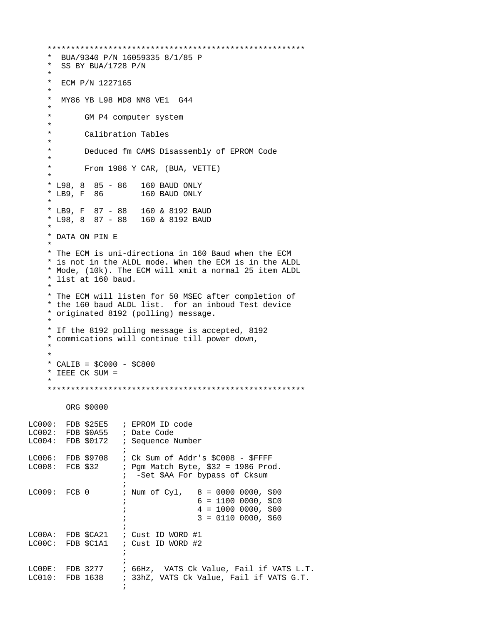```
 ******************************************************* 
     * BUA/9340 P/N 16059335 8/1/85 P<br>* SS BY BUA/1728 P/N
        SS BY BUA/1728 P/N
      *
        ECM P/N 1227165
      * 
        MY86 YB L98 MD8 NM8 VE1 G44
      *
       * GM P4 computer system
 *
       * Calibration Tables
 *
       * Deduced fm CAMS Disassembly of EPROM Code
 *
       * From 1986 Y CAR, (BUA, VETTE)
 *
       * L98, 8 85 - 86 160 BAUD ONLY
                                 160 BAUD ONLY
 *
       * LB9, F 87 - 88 160 & 8192 BAUD
      * L98, 8 87 - 88
 *
      * DATA ON PIN E 
 *
      * The ECM is uni-directiona in 160 Baud when the ECM
      * is not in the ALDL mode. When the ECM is in the ALDL 
      * Mode, (10k). The ECM will xmit a normal 25 item ALDL
      * list at 160 baud. 
 * 
      * The ECM will listen for 50 MSEC after completion of 
      * the 160 baud ALDL list. for an inboud Test device
      * originated 8192 (polling) message.
 *
      * If the 8192 polling message is accepted, 8192
      * commications will continue till power down,
 * 
 * 
     * CALIB = $C000 - $C800 * IEEE CK SUM =
 *
      ******************************************************* 
            ORG $0000
LC000: FDB $25E5 ; EPROM ID code
LC002: FDB $0A55 ; Date Code<br>LC004: FDB $0172 ; Sequence I
                          ; Sequence Number
\mathcal{L}^{\text{max}}LC006: FDB $9708 ; Ck Sum of Addr's $C008 - $FFFF
LC008: FCB $32 ; Pgm Match Byte, $32 = 1986 Prod.
                             ; -Set $AA For bypass of Cksum
\mathcal{L}^{\text{max}} is a set of the set of the set of the set of the set of the set of the set of the set of the set of the set of the set of the set of the set of the set of the set of the set of the set of the set of the set
LC009: FCB 0 ; Num of Cyl, 8 = 0000 0000, $00
                            ; 6 = 1100 0000, $C0
                            ; 4 = 10000000, $80; 3 = 0110 0000, 560\mathcal{L}^{\text{max}} is a set of the set of the set of the set of the set of the set of the set of the set of the set of the set of the set of the set of the set of the set of the set of the set of the set of the set of the set
LC00A: FDB $CA21 ; Cust ID WORD #1
LC00C: FDB $C1A1 ; Cust ID WORD #2
\mathcal{L}^{\text{max}}\mathcal{L}^{\text{max}} is a set of the set of the set of the set of the set of the set of the set of the set of the set of the set of the set of the set of the set of the set of the set of the set of the set of the set of the set
LC00E: FDB 3277 ; 66Hz, VATS Ck Value, Fail if VATS L.T.<br>LC010: FDB 1638 ; 33hz, VATS Ck Value, Fail if VATS G.T.
                           ; 33hZ, VATS Ck Value, Fail if VATS G.T.
\mathcal{L}^{\text{max}}
```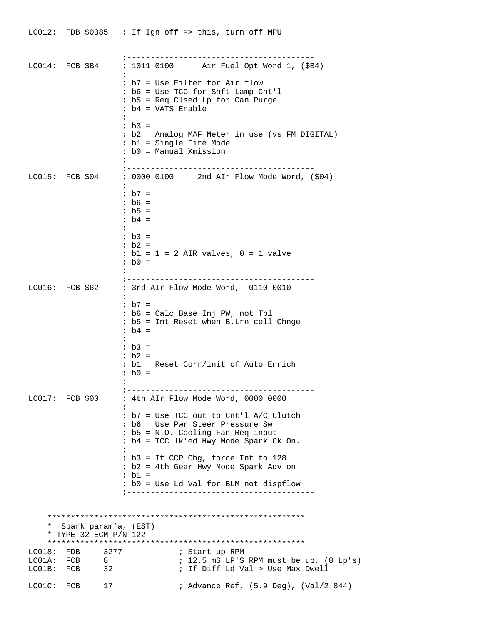|            |                                               |                          | LC012: FDB \$0385 ; If Ign off => this, turn off MPU                                                                                                          |
|------------|-----------------------------------------------|--------------------------|---------------------------------------------------------------------------------------------------------------------------------------------------------------|
|            | $LC014:$ FCB $$B4$                            |                          | ; 1011 0100 Air Fuel Opt Word 1, (\$B4)                                                                                                                       |
|            |                                               | $\ddot{ }$<br>$\ddot{i}$ | ; b7 = Use Filter for Air flow<br>$:$ b6 = Use TCC for Shft Lamp Cnt'l<br><i>i</i> b5 = Req Clsed Lp for Can Purge<br>$ib4 = VATS$ Enable                     |
|            |                                               |                          | ; $b3 =$<br>; b2 = Analog MAF Meter in use (vs FM DIGITAL)<br>; b1 = Single Fire Mode<br>; b0 = Manual Xmission                                               |
|            |                                               |                          | LC015: FCB \$04 ; 0000 0100 2nd AIr Flow Mode Word, (\$04)                                                                                                    |
|            |                                               |                          | ; $b7 =$<br>$;$ b6 =<br>; $b5 =$<br>; b4 =                                                                                                                    |
|            |                                               | i.                       | $ib3 =$<br>$ib2 =$<br>$i$ b1 = 1 = 2 AIR valves, 0 = 1 valve<br>; b0 =                                                                                        |
|            | $LC016:$ FCB \$62                             |                          | ; 3rd AIr Flow Mode Word, 0110 0010                                                                                                                           |
|            |                                               |                          | ; $b7 =$<br>; b6 = Calc Base Inj PW, not Tbl<br>; b5 = Int Reset when B.Lrn cell Chnge<br>; $b4 =$                                                            |
|            |                                               |                          | ; $b3 =$<br>; b2 =<br>; b1 = Reset Corr/init of Auto Enrich<br>; b0 =                                                                                         |
|            | $LC017:$ FCB \$00                             |                          | ; --------<br>; 4th AIr Flow Mode Word, 0000 0000                                                                                                             |
|            |                                               |                          | $i$ b7 = Use TCC out to Cnt'l A/C Clutch<br>; b6 = Use Pwr Steer Pressure Sw<br>$i$ b5 = N.O. Cooling Fan Req input<br>; b4 = TCC lk'ed Hwy Mode Spark Ck On. |
|            |                                               |                          | $ib3 = If CCP Chg, force Int to 128$<br>; b2 = 4th Gear Hwy Mode Spark Adv on<br>$ib1 =$                                                                      |
|            |                                               |                          | ; b0 = Use Ld Val for BLM not dispflow                                                                                                                        |
|            |                                               |                          |                                                                                                                                                               |
| *          | Spark param'a, (EST)<br>* TYPE 32 ECM P/N 122 |                          |                                                                                                                                                               |
| LC018:     | FDB 3277<br>LC01A: FCB 8<br>LC01B: FCB 32     |                          | ; Start up RPM<br>$: 12.5$ mS LP'S RPM must be up, $(8 \text{ Lp's})$<br>; If Diff Ld Val > Use Max Dwell                                                     |
| LC01C: FCB |                                               | 17                       | ; Advance Ref, (5.9 Deg), (Val/2.844)                                                                                                                         |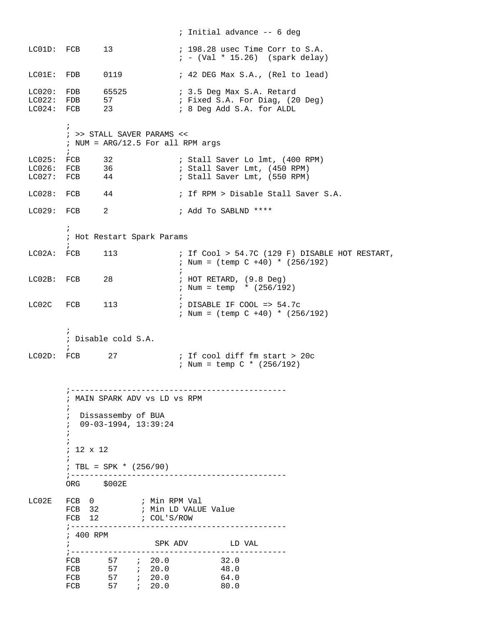|                                          |                                                                                            |                                                                                                                                   |             | ; Initial advance -- 6 deg                                                                      |
|------------------------------------------|--------------------------------------------------------------------------------------------|-----------------------------------------------------------------------------------------------------------------------------------|-------------|-------------------------------------------------------------------------------------------------|
|                                          | LC01D: FCB                                                                                 | 13                                                                                                                                |             | ; 198.28 usec Time Corr to S.A.<br>$: -$ (Val * 15.26) (spark delay)                            |
|                                          | LC01E: FDB                                                                                 | 0119                                                                                                                              |             | ; 42 DEG Max S.A., (Rel to lead)                                                                |
| LC020:<br>LC024: FCB                     | FDB<br>LC022: FDB                                                                          | 65525<br>57<br>23                                                                                                                 |             | ; 3.5 Deg Max S.A. Retard<br>; Fixed S.A. For Diag, (20 Deg)<br>; 8 Deg Add S.A. for ALDL       |
|                                          | $\ddot{i}$<br>$\ddot{i}$                                                                   | ; >> STALL SAVER PARAMS <<<br>; NUM = $ARG/12.5$ For all RPM args                                                                 |             |                                                                                                 |
| LC025:<br>$LCO26:$ $FCB$<br>$LC027:$ FCB | FCB                                                                                        | 32<br>$\frac{36}{44}$                                                                                                             |             | ; Stall Saver Lo 1mt, (400 RPM)<br>; Stall Saver Lmt, (450 RPM)<br>; Stall Saver Lmt, (550 RPM) |
| $LC028:$ FCB                             |                                                                                            | 44                                                                                                                                |             | ; If RPM > Disable Stall Saver S.A.                                                             |
| $LC029:$ FCB                             |                                                                                            | 2                                                                                                                                 |             | ; Add To SABLND ****                                                                            |
|                                          | $\ddot{i}$<br>$\ddot{i}$                                                                   | ; Hot Restart Spark Params                                                                                                        |             |                                                                                                 |
| LC02A: FCB                               |                                                                                            | 113                                                                                                                               |             | ; If Cool > 54.7C (129 F) DISABLE HOT RESTART,<br>; Num = $(\text{temp } C + 40)$ * $(256/192)$ |
| $LCO2B:$ FCB                             |                                                                                            | 28                                                                                                                                | $\ddot{i}$  | $:$ HOT RETARD, $(9.8$ Deg)<br>; Num = temp * $(256/192)$                                       |
| LC02C                                    | FCB                                                                                        | 113                                                                                                                               | $\ddot{i}$  | ; DISABLE IF COOL => $54.7c$<br>; Num = $(\text{temp } C + 40)$ * $(256/192)$                   |
|                                          | $\ddot{i}$<br>$\ddot{i}$                                                                   | ; Disable cold S.A.                                                                                                               |             |                                                                                                 |
| $LCO2D:$ FCB                             |                                                                                            | 27                                                                                                                                |             | ; If cool diff fm start > 20c<br>; Num = temp $C * (256/192)$                                   |
|                                          | i<br>$\ddot{i}$<br>÷,<br>$\ddot{ }$<br>$\ddot{ }$<br>; 12 x 12<br>$\ddot{i}$<br>ORG \$002E | MAIN SPARK ADV VS LD VS RPM<br>Dissassemby of BUA<br>$09 - 03 - 1994, 13:39:24$<br>; TBL = SPK * $(256/90)$<br>; ---------------- |             | ---------------------                                                                           |
| LC02E                                    |                                                                                            | FCB 0 ; Min RPM Val                                                                                                               |             |                                                                                                 |
|                                          | FCB 32<br>FCB 12                                                                           | ; ------------------------                                                                                                        | ; COL'S/ROW | ; Min LD VALUE Value                                                                            |
|                                          | ; 400 RPM<br>$\ddot{i}$                                                                    |                                                                                                                                   |             | SPK ADV LD VAL                                                                                  |
|                                          | FCB<br>FCB                                                                                 | $57$ ; 20.0<br>FCB 57 <i>i</i> 20.0<br>57<br>7.20.0                                                                               |             | 32.0<br>48.0<br>64.0<br>80.0                                                                    |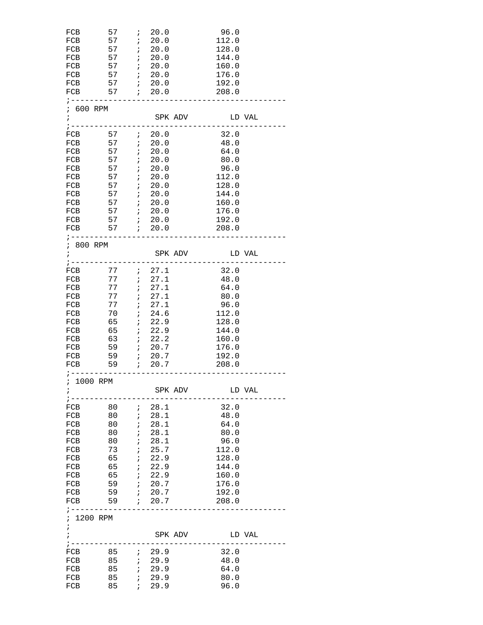| FCB                                   | 57                              | $\mathcal{L}$                         | 20.0                                                                                                         |         | 96.0           |        |
|---------------------------------------|---------------------------------|---------------------------------------|--------------------------------------------------------------------------------------------------------------|---------|----------------|--------|
| FCB                                   | $57$ ; 20.0                     |                                       |                                                                                                              |         | 112.0          |        |
| FCB                                   | 57 ; 20.0<br>57                 |                                       | 20.0                                                                                                         |         | 128.0          |        |
| FCB<br>FCB                            | 57                              | $\mathcal{L}$<br>$\ddot{i}$           | 20.0                                                                                                         |         | 144.0<br>160.0 |        |
| FCB                                   | $57$ ; 20.0                     |                                       |                                                                                                              |         | 176.0          |        |
|                                       |                                 |                                       |                                                                                                              |         | 192.0          |        |
| FCB 57 <i>i</i> 20.0                  |                                 |                                       |                                                                                                              |         | 208.0          |        |
| ; ------------------------            |                                 |                                       |                                                                                                              |         | __________     |        |
| ; 600 RPM<br>$\mathbf{i}$             |                                 |                                       |                                                                                                              |         |                |        |
|                                       |                                 |                                       |                                                                                                              |         | SPK ADV LD VAL |        |
| FCB                                   | 57 ; 20.0                       |                                       |                                                                                                              |         | 32.0           |        |
| FCB                                   | $57$ ; $20.0$                   |                                       |                                                                                                              |         | 48.0           |        |
| FCB                                   | 57                              |                                       | 720.0                                                                                                        |         | 64.0           |        |
| FCB                                   | $57$ ; 20.0                     |                                       |                                                                                                              |         | 80.0           |        |
| FCB                                   | $57$ ; 20.0                     |                                       |                                                                                                              |         | 96.0           |        |
| FCB                                   | 57 ; 20.0                       |                                       |                                                                                                              |         | 112.0          |        |
| FCB<br>FCB                            | $57$ ; $20.0$<br>$57$ ; $20.0$  |                                       |                                                                                                              |         | 128.0<br>144.0 |        |
| FCB                                   | $57$ ; 20.0                     |                                       |                                                                                                              |         | 160.0          |        |
|                                       |                                 |                                       |                                                                                                              |         | 176.0          |        |
|                                       |                                 |                                       |                                                                                                              |         | 192.0          |        |
|                                       |                                 |                                       |                                                                                                              |         | 208.0          |        |
| ; ----------------------------------- |                                 |                                       |                                                                                                              |         |                |        |
| ; 800 RPM<br>$\ddot{i}$               |                                 |                                       |                                                                                                              | SPK ADV | LD VAL         |        |
| $\frac{1}{2}$ - - - - -               |                                 |                                       |                                                                                                              |         |                |        |
| FCB                                   | $77$ ; $27.1$                   |                                       |                                                                                                              |         | 32.0           |        |
| FCB                                   | 77                              |                                       | : 27.1                                                                                                       |         | 48.0           |        |
| FCB                                   |                                 |                                       | 77 : 27.1                                                                                                    |         | 64.0           |        |
| FCB                                   |                                 |                                       | 77 : 27.1                                                                                                    |         | 80.0           |        |
| FCB                                   |                                 |                                       | 77 : 27.1                                                                                                    |         | 96.0           |        |
| FCB                                   | 70                              | $\mathcal{L}(\mathcal{E})$            | 24.6<br>722.9                                                                                                |         | 112.0          |        |
| FCB<br>FCB                            | 65<br>$65$ ; 22.9               |                                       |                                                                                                              |         | 128.0<br>144.0 |        |
| FCB 63 ; 22.2                         |                                 |                                       |                                                                                                              |         | 160.0          |        |
| FCB                                   |                                 |                                       |                                                                                                              |         | 176.0          |        |
| FCB                                   | 59                              |                                       | $7^{1}$ 20.7                                                                                                 |         | 192.0          |        |
| FCB                                   | 59 ; 20.7                       |                                       |                                                                                                              |         | 208.0          |        |
| ; ------------------<br>; 1000 RPM    |                                 |                                       |                                                                                                              |         |                |        |
| i                                     |                                 |                                       |                                                                                                              | SPK ADV |                | LD VAL |
| ; -------                             |                                 |                                       |                                                                                                              |         |                |        |
| FCB                                   | 80                              | $\ddot{i}$                            | 28.1                                                                                                         |         | 32.0           |        |
| FCB                                   | 80                              | $\ddot{i}$                            | 28.1                                                                                                         |         | 48.0           |        |
| FCB                                   | 80 ;                            |                                       | 28.1                                                                                                         |         | 64.0           |        |
| FCB                                   | 80 —                            | $\cdot$ ;                             | 28.1                                                                                                         |         | 80.0           |        |
| FCB                                   | 80                              | $\overrightarrow{ }$                  | 28.1                                                                                                         |         | 96.0           |        |
| FCB                                   | 73                              | $\cdot$ ;<br>$\overline{\phantom{a}}$ | 25.7<br>22.9                                                                                                 |         | 112.0          |        |
| FCB<br>FCB                            | 65<br>65 ;                      |                                       | 22.9                                                                                                         |         | 128.0<br>144.0 |        |
| FCB                                   | 65 ; 22.9                       |                                       |                                                                                                              |         | 160.0          |        |
| FCB                                   | 59                              |                                       | $7 \t 20.7$                                                                                                  |         | 176.0          |        |
| FCB                                   | 59                              |                                       | $\begin{array}{cc} \begin{array}{cc} \cdot & \cdot & \cdot \\ \cdot & \cdot & \cdot \end{array} \end{array}$ |         | 192.0          |        |
| FCB                                   | 59                              |                                       | $7^{120.7}$                                                                                                  |         | 208.0          |        |
|                                       | . _ _ _ _ _ _ _ _ _ _ _ _ _ _ _ |                                       |                                                                                                              |         |                |        |
| ; 1200 RPM                            |                                 |                                       |                                                                                                              |         |                |        |
| $\ddot{i}$<br>$\ddot{i}$              |                                 |                                       |                                                                                                              | SPK ADV | LD VAL         |        |
| ; -----------------------             |                                 |                                       |                                                                                                              |         |                |        |
|                                       |                                 |                                       |                                                                                                              |         | 32.0           |        |
| FCB                                   | 85 ; 29.9                       |                                       |                                                                                                              |         | 48.0           |        |
| FCB                                   | 85                              |                                       | 729.9                                                                                                        |         | 64.0           |        |
| FCB<br>FCB                            | 85                              | $\cdot$                               | 29.9<br>729.9                                                                                                |         | 80.0           |        |
|                                       | 85                              |                                       |                                                                                                              |         | 96.0           |        |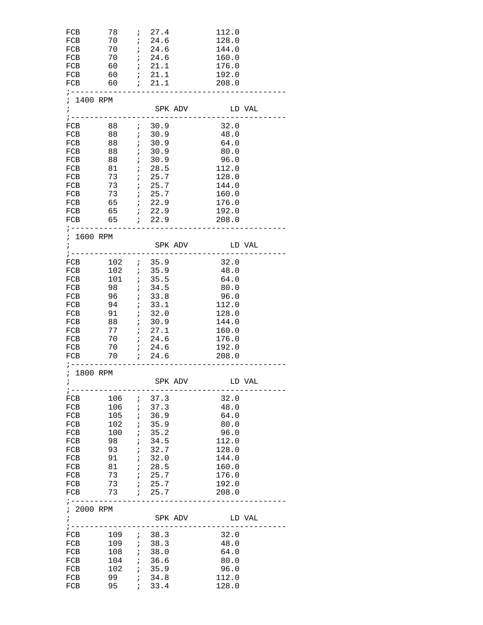| FCB                           | 78                       | $\mathcal{L}$            | 27.4                                                         |                                      | 112.0       |        |
|-------------------------------|--------------------------|--------------------------|--------------------------------------------------------------|--------------------------------------|-------------|--------|
| FCB                           | 70 ; 24.6                |                          |                                                              |                                      | 128.0       |        |
| FCB 70 <i>i</i> 24.6          |                          |                          |                                                              |                                      | 144.0       |        |
| FCB                           | 70                       |                          | $\begin{array}{cc} ; & 24.6 \\ ; & 21.1 \end{array}$         |                                      | 160.0       |        |
| FCB                           | 60                       |                          |                                                              |                                      | 176.0       |        |
| FCB                           | $60$ ; $21.1$            |                          |                                                              |                                      | 192.0       |        |
| FCB 60 <i>i</i> 21.1          |                          |                          |                                                              |                                      | 208.0       |        |
| $7 - - - - - - - - - -$       |                          |                          |                                                              |                                      |             |        |
| ; 1400 RPM                    |                          |                          |                                                              |                                      |             |        |
| $\mathbf{i}$                  |                          |                          |                                                              | SPK ADV                              | LD VAL      |        |
|                               | -------------------      |                          |                                                              |                                      | __________. |        |
| FCB                           | 88 ; 30.9                |                          |                                                              |                                      | 32.0        |        |
|                               |                          |                          |                                                              |                                      | 48.0        |        |
| FCB                           | 88                       |                          |                                                              |                                      | 64.0        |        |
| FCB                           | 88                       |                          | $\begin{array}{cc} ; & 30.9 \\ ; & 30.9 \end{array}$         |                                      | 80.0        |        |
| FCB                           |                          |                          |                                                              |                                      | 96.0        |        |
| FCB 81 ; 28.5                 |                          |                          |                                                              |                                      | 112.0       |        |
|                               |                          |                          |                                                              |                                      |             |        |
| FCB                           | 73 <i>i</i> 25.7         |                          |                                                              |                                      | 128.0       |        |
| FCB                           |                          |                          |                                                              |                                      | 144.0       |        |
| FCB                           |                          |                          |                                                              |                                      | 160.0       |        |
| FCB                           | 65 ; 22.9                |                          |                                                              |                                      | 176.0       |        |
| FCB 65 ; 22.9                 |                          |                          |                                                              |                                      | 192.0       |        |
| FCB 65 <i>i</i> 22.9          |                          |                          |                                                              |                                      | 208.0       |        |
|                               |                          |                          |                                                              | ; ---------------------------------- |             |        |
| ; 1600 RPM                    |                          |                          |                                                              |                                      |             |        |
| $\mathbf{r}$                  |                          |                          |                                                              | SPK ADV                              | LD VAL      |        |
| ;------------------------     |                          |                          |                                                              |                                      |             |        |
| FCB 102 <i>i</i> 35.9         |                          |                          |                                                              |                                      | 32.0        |        |
| FCB                           |                          |                          |                                                              |                                      | 48.0        |        |
| FCB                           | 102 ; 35.9<br>101 ; 35.5 |                          |                                                              |                                      | 64.0        |        |
| FCB                           | $98$ ; $34.5$            |                          |                                                              |                                      | 80.0        |        |
| FCB                           | $96$ ; $33.8$            |                          |                                                              |                                      | 96.0        |        |
| FCB                           | 94 ; 33.1                |                          |                                                              |                                      | 112.0       |        |
|                               |                          |                          |                                                              |                                      |             |        |
| FCB                           | 91                       |                          | 32.0<br>$\begin{array}{cc} ; & 32.0 \\ ; & 30.9 \end{array}$ |                                      | 128.0       |        |
| FCB                           | 88                       |                          |                                                              |                                      | 144.0       |        |
| FCB                           | $77$ ; $27.1$            |                          |                                                              |                                      | 160.0       |        |
| FCB 70 ; 24.6                 |                          |                          |                                                              |                                      | 176.0       |        |
| FCB 70 ; 24.6                 |                          |                          |                                                              |                                      | 192.0       |        |
| FCB                           |                          |                          |                                                              |                                      | 208.0       |        |
| ;-------------------------    |                          |                          |                                                              |                                      |             |        |
| ; 1800 RPM                    |                          |                          |                                                              |                                      |             |        |
| $\mathbf{r}$                  |                          |                          |                                                              | SPK ADV                              |             | LD VAL |
|                               |                          |                          |                                                              |                                      |             |        |
| FCB                           | 106                      | $\cdot$                  | 37.3                                                         |                                      | 32.0        |        |
| FCB                           | 106                      | $\ddot{i}$               | 37.3                                                         |                                      | 48.0        |        |
| FCB                           | 105                      | $\ddot{i}$               | 36.9                                                         |                                      | 64.0        |        |
| FCB                           | 102                      | $\cdot$                  | 35.9                                                         |                                      | 80.0        |        |
| FCB                           | 100                      | $\cdot$                  | 35.2                                                         |                                      | 96.0        |        |
| FCB                           | 98                       | $\ddot{\phantom{0}}$     | 34.5                                                         |                                      | 112.0       |        |
|                               | 93                       | $\cdot$                  | 32.7                                                         |                                      | 128.0       |        |
| FCB                           |                          |                          |                                                              |                                      |             |        |
| FCB                           | 91                       | $\cdot$                  | 32.0                                                         |                                      | 144.0       |        |
| FCB                           | 81 —                     | $\cdot$                  | 28.5                                                         |                                      | 160.0       |        |
| FCB                           | 73                       | $\cdot$                  | 25.7                                                         |                                      | 176.0       |        |
| FCB                           | 73                       | $\ddot{i}$               | 25.7                                                         |                                      | 192.0       |        |
| FCB                           | 73                       |                          | 7.25.7                                                       |                                      | 208.0       |        |
|                               |                          |                          |                                                              |                                      |             |        |
| ; 2000 RPM                    |                          |                          |                                                              |                                      |             |        |
| $\ddot{i}$                    |                          |                          |                                                              | SPK ADV                              |             | LD VAL |
| $\frac{1}{2}$ - - - - - - - - | ---------------          |                          |                                                              |                                      |             |        |
| FCB                           | 109 <i>i</i>             |                          | 38.3                                                         |                                      | 32.0        |        |
| FCB                           | 109                      | $\ddot{i}$               | 38.3                                                         |                                      | 48.0        |        |
| FCB                           | 108                      | $\cdot$                  | 38.0                                                         |                                      | 64.0        |        |
| FCB                           | 104                      | $\overline{\phantom{a}}$ | 36.6                                                         |                                      | 80.0        |        |
| FCB                           | 102                      | $\ddot{i}$               | 35.9                                                         |                                      | 96.0        |        |
|                               |                          |                          |                                                              |                                      |             |        |
| FCB                           | 99                       | $\ddot{i}$               | 34.8                                                         |                                      | 112.0       |        |
| FCB                           | 95                       | $\ddot{i}$               | 33.4                                                         |                                      | 128.0       |        |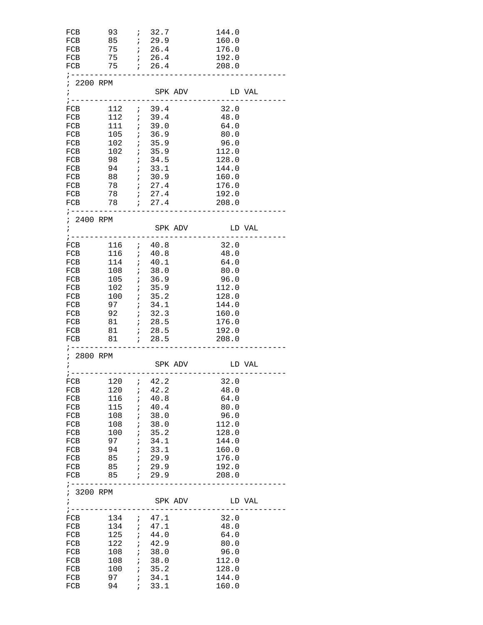| FCB<br>FCB                                           | $93$ ; $32.7$<br>FCB 85 <i>i</i> 29.9<br>FCB 75 <i>i</i> 26.4<br>$75$ ; $26.4$                                                      |               |                                                      |         | 144.0<br>160.0<br>176.0<br>192.0                                |  |
|------------------------------------------------------|-------------------------------------------------------------------------------------------------------------------------------------|---------------|------------------------------------------------------|---------|-----------------------------------------------------------------|--|
| FCB<br>; 2200 RPM                                    | 75 ; 26.4<br>;--------------------------                                                                                            |               |                                                      |         | 208.0                                                           |  |
| $\mathbf{r}$                                         |                                                                                                                                     |               |                                                      |         | SPK ADV LD VAL                                                  |  |
| FCB<br>FCB                                           | $112$ ; 39.4<br>$112$ ; 39.4<br>FCB 111 ; 39.0<br>FCB 105 <i>i</i> 36.9                                                             |               |                                                      |         | 32.0<br>48.0<br>64.0<br>80.0                                    |  |
| FCB<br>FCB<br>FCB                                    | FCB 94 ; 33.1                                                                                                                       |               |                                                      |         | 96.0<br>112.0<br>128.0<br>144.0<br>160.0                        |  |
| FCB<br>FCB                                           | ;----------------------------                                                                                                       |               |                                                      |         | 176.0<br>192.0<br>208.0                                         |  |
| ; 2400 RPM                                           |                                                                                                                                     |               |                                                      |         |                                                                 |  |
| FCB<br>FCB                                           | $116$ ; $40.8$<br>FCB 116 ; 40.8<br>FCB 114 ; 40.1                                                                                  |               |                                                      |         | 32.0<br>48.0<br>64.0<br>80.0                                    |  |
| FCB<br>FCB<br>FCB                                    | 108 ; 38.0<br>105 ; 36.9<br>$102$ ; 35.9<br>FCB 100 ; 35.2<br>$97$ ; $34.1$                                                         |               |                                                      |         | 96.0<br>112.0<br>128.0<br>144.0                                 |  |
| FCB<br>FCB<br>FCB                                    | $81$ ; 28.5                                                                                                                         |               |                                                      |         | 160.0<br>176.0<br>192.0<br>208.0                                |  |
| $7 - - - - - - -$<br>; 2800 RPM<br>$\ddot{i}$        |                                                                                                                                     |               |                                                      | SPK ADV | LD VAL<br>;-------------------------------------                |  |
| FCB<br>FCB<br>FCB<br>FCB                             | $120$ ; $42.2$<br>$116$ ; $40.8$<br>115<br>$108$ ; 38.0                                                                             | $\cdot$ ;     | 40.4                                                 |         | FCB 120 <i>i</i> 42.2 32.0<br>48.0<br>64.0<br>80.0<br>96.0      |  |
| FCB<br>FCB<br>FCB<br>FCB<br>FCB<br>FCB               | 108 ; 38.0<br>$100$ ; $35.2$<br>97<br>94<br>$85$ ; 29.9<br>85 ; 29.9                                                                | $\frac{i}{i}$ | 34.1<br>33.1                                         |         | 112.0<br>128.0<br>144.0<br>160.0<br>176.0<br>192.0<br>208.0     |  |
| ; 3200 RPM<br>$\ddot{i}$                             | ;--------------------------                                                                                                         |               |                                                      | SPK ADV | ---------<br>LD VAL                                             |  |
| FCB<br>FCB<br>FCB<br>FCB<br>FCB<br>FCB<br>FCB<br>FCB | $134$ ; $47.1$<br>$\begin{array}{cccc} 134 & & ; & 47.1 \\ 125 & & ; & 44.0 \end{array}$<br>$122$ ; 42.9<br>108 ; 38.0<br>100<br>97 |               | $\begin{array}{cc} ; & 35.2 \\ ; & 34.1 \end{array}$ |         | 32.0<br>48.0<br>64.0<br>80.0<br>96.0<br>112.0<br>128.0<br>144.0 |  |
| FCB                                                  | 94                                                                                                                                  |               | 7.33.1                                               |         | 160.0                                                           |  |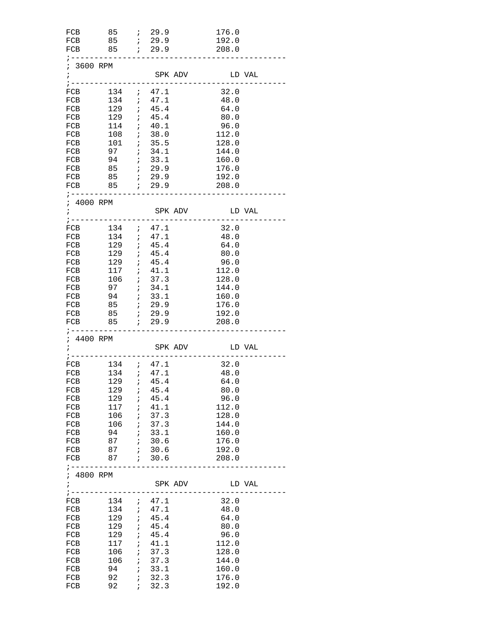| FCB                         | $85$ ; 29.9                                                                           |                      |                |         | 176.0          |  |
|-----------------------------|---------------------------------------------------------------------------------------|----------------------|----------------|---------|----------------|--|
|                             |                                                                                       |                      |                |         | 192.0          |  |
|                             |                                                                                       |                      |                |         | 208.0          |  |
|                             | ;----------------------------------                                                   |                      |                |         |                |  |
| ; 3600 RPM                  |                                                                                       |                      |                |         |                |  |
| $\ddot{i}$                  |                                                                                       |                      |                | SPK ADV | LD VAL         |  |
|                             |                                                                                       |                      |                |         |                |  |
|                             | FCB 134 ; 47.1                                                                        |                      |                |         | 32.0           |  |
| FCB                         |                                                                                       |                      |                |         | 48.0           |  |
| FCB                         | $134$ ; $47.1$<br>$122$ ; $45.4$<br>$129$ ; $45.4$                                    |                      |                |         | 64.0           |  |
|                             | $129$ ; $45.4$                                                                        |                      |                |         | 80.0           |  |
| FCB                         |                                                                                       |                      |                |         |                |  |
|                             | FCB 114 ; 40.1                                                                        |                      |                |         | 96.0           |  |
|                             | FCB 108 <i>i</i> 38.0                                                                 |                      |                |         | 112.0          |  |
| FCB                         | $\begin{array}{ccccc} 101 & & ; & 35.5 \\ 97 & & ; & 34.1 \end{array}$                |                      |                |         | 128.0          |  |
| FCB                         | 97                                                                                    |                      | 34.1           |         | 144.0          |  |
| FCB                         | $94$ ; $33.1$                                                                         |                      |                |         | 160.0          |  |
|                             |                                                                                       |                      |                |         | 176.0          |  |
|                             | FCB 85 <i>i</i> 29.9                                                                  |                      |                |         | 192.0          |  |
|                             |                                                                                       |                      |                |         |                |  |
|                             | ;----------------------------------                                                   |                      |                |         |                |  |
|                             |                                                                                       |                      |                |         |                |  |
| ; 4000 RPM                  |                                                                                       |                      |                |         |                |  |
| $\mathcal{L} = \mathcal{L}$ |                                                                                       |                      |                |         | SPK ADV LD VAL |  |
|                             |                                                                                       |                      |                |         |                |  |
| FCB                         |                                                                                       |                      |                |         | 32.0           |  |
| FCB                         |                                                                                       |                      |                |         | 48.0           |  |
| FCB                         | $\begin{array}{ccccc} 134 & ; & 47.1 \\ 134 & ; & 47.1 \\ 129 & ; & 45.4 \end{array}$ |                      |                |         | 64.0           |  |
|                             | FCB 129 ; 45.4                                                                        |                      |                |         | 80.0           |  |
|                             | FCB 129 ; 45.4                                                                        |                      |                |         | 96.0           |  |
| FCB                         |                                                                                       |                      |                |         | 112.0          |  |
| FCB                         | 117 ; 41.1<br>106 ; 37.3                                                              |                      |                |         | 128.0          |  |
|                             | 97 : 34.1                                                                             |                      |                |         |                |  |
| FCB                         |                                                                                       |                      |                |         | 144.0          |  |
|                             | FCB 94 ; 33.1                                                                         |                      |                |         | 160.0          |  |
|                             |                                                                                       |                      |                |         | 176.0          |  |
| FCB                         |                                                                                       |                      |                |         | 192.0          |  |
| FCB                         |                                                                                       |                      |                |         | 208.0          |  |
|                             | ; ------------                                                                        |                      |                |         |                |  |
| ; 4400 RPM                  |                                                                                       |                      |                |         |                |  |
| $\ddot{i}$                  |                                                                                       |                      |                |         | SPK ADV LD VAL |  |
|                             |                                                                                       |                      |                |         |                |  |
| FCB                         | $134$ ; $47.1$                                                                        |                      |                |         | 32.0           |  |
| FCB                         | 134 : 47.1                                                                            |                      |                |         | 48.0           |  |
|                             |                                                                                       |                      |                |         |                |  |
|                             | FCB 129 <i>i</i> 45.4                                                                 |                      |                |         | 64.0           |  |
| FCB                         |                                                                                       |                      | $129$ ; $45.4$ |         | 80.0           |  |
| FCB                         | $129$ ; $45.4$                                                                        |                      |                |         | 96.0           |  |
| FCB                         | 117                                                                                   | $\cdot$ ;            | 41.1           |         | 112.0          |  |
| FCB                         | 106                                                                                   |                      | 1, 37.3        |         | 128.0          |  |
| FCB                         | $106$ ; 37.3                                                                          |                      |                |         | 144.0          |  |
| FCB                         | $94$ ; $33.1$                                                                         |                      |                |         | 160.0          |  |
| FCB                         |                                                                                       |                      |                |         | 176.0          |  |
| FCB                         |                                                                                       |                      |                |         | 192.0          |  |
|                             |                                                                                       |                      |                |         | 208.0          |  |
| FCB                         | ;--------------------------                                                           |                      |                |         |                |  |
|                             |                                                                                       |                      |                |         |                |  |
| ; 4800 RPM                  |                                                                                       |                      |                |         |                |  |
| $\ddot{i}$                  |                                                                                       |                      |                | SPK ADV | LD VAL         |  |
|                             |                                                                                       |                      |                |         |                |  |
| FCB                         | $134$ ; $47.1$                                                                        |                      |                |         | 32.0           |  |
| FCB                         | $134$ ; $47.1$                                                                        |                      |                |         | 48.0           |  |
| FCB                         | $129$ ; $45.4$                                                                        |                      |                |         | 64.0           |  |
| FCB                         |                                                                                       |                      | 45.4           |         | 80.0           |  |
|                             | $129$ ;                                                                               |                      |                |         |                |  |
| FCB                         | 129                                                                                   | $\cdot$ ;            | 45.4           |         | 96.0           |  |
| FCB                         |                                                                                       |                      | $117$ ; $41.1$ |         | 112.0          |  |
| FCB                         |                                                                                       |                      | $106$ ; 37.3   |         | 128.0          |  |
| FCB                         |                                                                                       |                      | $106$ ; 37.3   |         | 144.0          |  |
| FCB                         | 94                                                                                    | $\overrightarrow{i}$ | 33.1           |         | 160.0          |  |
| FCB                         | 92                                                                                    | $\cdot$ ;            | 32.3           |         | 176.0          |  |
| FCB                         | 92                                                                                    |                      | 7.32.3         |         | 192.0          |  |
|                             |                                                                                       |                      |                |         |                |  |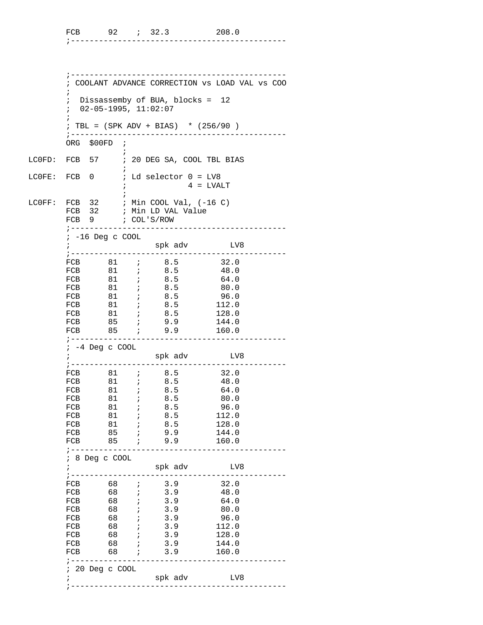|  |  | -------------------------- |  |  | ___ |
|--|--|----------------------------|--|--|-----|

 ;---------------------------------------------- ; COOLANT ADVANCE CORRECTION vs LOAD VAL vs COO  $\mathcal{L}^{\text{max}}$  ; Dissassemby of BUA, blocks = 12 ; 02-05-1995, 11:02:07  $\mathcal{L}^{\text{max}}$  ; TBL = (SPK ADV + BIAS) \* (256/90 ) ;---------------------------------------------- ORG \$00FD ;  $\mathcal{L}^{\text{max}}$ LC0FD: FCB 57 ; 20 DEG SA, COOL TBL BIAS  $\mathcal{L}^{\text{max}}$ LCOFE: FCB  $0$  ; Ld selector  $0 = LV8$  $4$  = LVALT  $\mathcal{L}^{\text{max}}$ LC $0$ FF: FCB 32 ; Min COOL Val,  $(-16 C)$  FCB 32 ; Min LD VAL Value FCB 9 ; COL'S/ROW ;---------------------------------------------- ; -16 Deg c COOL ; spk adv LV8 ;---------------------------------------------- FCB 81 ; 8.5 32.0 FCB 81 ; 8.5 48.0 FCB 81 ; 8.5 64.0 FCB 81 ; 8.5 80.0 FCB 81 ; 8.5 96.0 FCB 81 ; 8.5 112.0 FCB 81 ; 8.5 128.0 FCB 85 ; 9.9 144.0 FCB 85 ; 9.9 160.0 ;---------------------------------------------- ; -4 Deg c COOL ; spk adv LV8 ;---------------------------------------------- FCB 81 *i* 8.5 32.0 FCB 81 ; 8.5 48.0 FCB 81 ; 8.5 64.0 FCB 81 ; 8.5 80.0 FCB 81 ; 8.5 96.0 FCB 81 ; 8.5 112.0 FCB 81 ; 8.5 128.0 FCB 85 ; 9.9 144.0 FCB 81 ; 8.5 80.0<br>
FCB 81 ; 8.5 96.0<br>
FCB 81 ; 8.5 112.0<br>
FCB 81 ; 8.5 128.0<br>
FCB 85 ; 9.9 144.0<br>
FCB 85 ; 9.9 160.0 ;---------------------------------------------- ; 8 Deg c COOL ; spk adv LV8 ;---------------------------------------------- FCB 68 *i* 3.9 32.0 FCB 68 *i* 3.9 48.0 FCB 68 *i* 3.9 64.0 FCB 68 *i* 3.9 80.0 FCB 68 *i* 3.9 96.0 FCB 68 *i* 3.9 112.0 FCB 68 *i* 3.9 128.0 FCB 68 *i* 3.9 144.0 FCB 68 ; 3.9 144.0<br>FCB 68 ; 3.9 160.0 ;---------------------------------------------- ; 20 Deg c COOL ; spk adv LV8 ;----------------------------------------------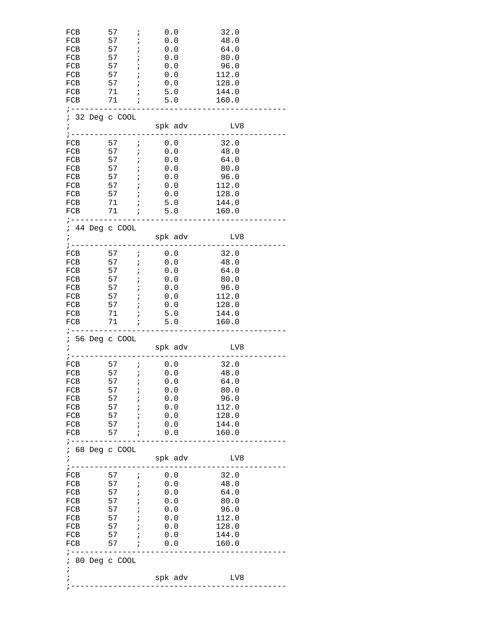| FCB<br>FCB<br>FCB<br>FCB<br>FCB<br>FCB<br>FCB<br>FCB                                    | 57<br>57 <i>i</i><br>$57$ ;<br>57<br>57<br>$\overline{a}$<br>57<br>$57$ ;<br>$71$ ; 5.0                       | $\cdot$ ;<br>$\overrightarrow{r}$<br>$\cdot$ ;             | 0.0<br>0.0<br>0.0<br>0.0<br>0.0<br>0.0<br>0.0<br>$71$ ; 5.0             | 32.0<br>48.0<br>64.0<br>80.0<br>96.0<br>112.0<br>128.0<br>144.0<br>160.0 |
|-----------------------------------------------------------------------------------------|---------------------------------------------------------------------------------------------------------------|------------------------------------------------------------|-------------------------------------------------------------------------|--------------------------------------------------------------------------|
| ; 32 Deg c COOL<br>$\ddot{ }$                                                           |                                                                                                               |                                                            | spk adv                                                                 | LV8                                                                      |
| $: --- -$<br>FCB<br>FCB<br>FCB<br>FCB<br>FCB<br>FCB<br>FCB<br>FCB<br>FCB                | 57<br>57<br>$57$ ;<br>57 <i>i</i><br>$57$ ;<br>$\frac{57}{2}$ ;<br>57<br>$71$ ;<br>$71$ ; 5.0<br>------------ | $\mathbf{r}$<br>$\ddot{i}$<br>$\ddot{i}$                   | 0.0<br>0.0<br>0.0<br>0.0<br>0.0<br>0.0<br>0.0<br>5.0                    | 32.0<br>48.0<br>64.0<br>80.0<br>96.0<br>112.0<br>128.0<br>144.0<br>160.0 |
| ; 44 Deg c COOL<br>$\ddot{i}$<br>$\frac{1}{2}$ - - - - - - - - -                        |                                                                                                               |                                                            | spk adv                                                                 | LV8                                                                      |
| FCB<br>FCB<br>FCB<br>FCB<br>FCB<br>FCB<br>FCB<br>FCB<br>FCB<br>; .                      | 57<br>57<br>57<br>$57$ ;<br>57 ; 0.0<br>57 ; 0.0<br>$71$ ;<br>$71$ ;                                          | $\mathcal{L}^{\mathcal{L}}$<br>$\ddot{i}$                  | $\ddot{i}$ 0.0<br>57 ; 0.0<br>$0.0$<br>0.0<br>$0.0$<br>$5.0$<br>5.0     | 32.0<br>48.0<br>64.0<br>80.0<br>96.0<br>112.0<br>128.0<br>144.0<br>160.0 |
| ; 56 Deg c COOL<br>$\frac{1}{2}$ - - - - -                                              |                                                                                                               |                                                            | spk adv                                                                 | LV8                                                                      |
| FCB<br>FCB<br>FCB<br>FCB<br>FCB<br>FCB<br>FCB<br>FCB<br>FCB<br>; ---------------------- | 57<br>57<br>$57$ ;<br>$\frac{57}{7}$<br>57<br>$57$ ;<br>$57$ ;                                                | $\ddot{i}$<br>$\mathcal{L} = \mathcal{L}$<br>$\frac{i}{i}$ | 0.0<br>0.0<br>57 ; 0.0<br>0.0<br>0.0<br>0.0<br>0.0<br>$57$ ; 0.0<br>0.0 | 32.0<br>48.0<br>64.0<br>80.0<br>96.0<br>112.0<br>128.0<br>144.0<br>160.0 |
| ; 68 Deg c COOL<br>$\ddot{i}$                                                           |                                                                                                               |                                                            | spk adv<br>------------                                                 | LV8                                                                      |
| FCB 57 <i>i</i> 0.0<br>FCB<br>FCB<br>FCB<br>FCB 57 ; 0.0<br>FCB<br>FCB                  | $57$ ;<br>$57$ ;<br>$57$ ;<br>$57$ ;                                                                          |                                                            | 0.0<br>57 ; 0.0<br>$0.0$<br>0.0<br>0.0                                  | 32.0<br>48.0<br>64.0<br>80.0<br>96.0<br>112.0<br>128.0<br>144.0<br>160.0 |
| FCB<br>FCB<br>; ---------------                                                         |                                                                                                               |                                                            |                                                                         |                                                                          |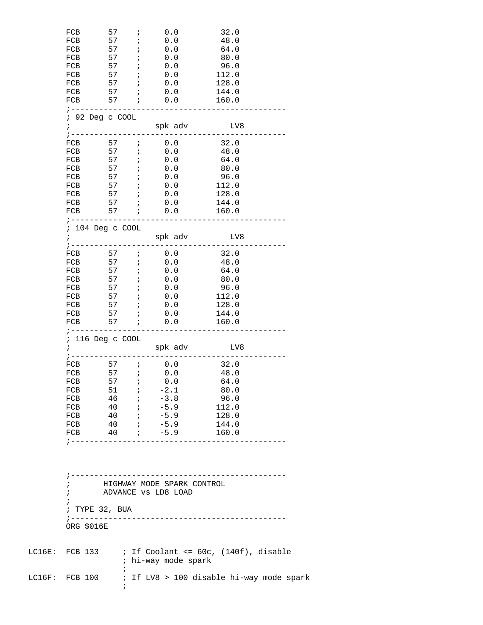| FCB<br>FCB<br>FCB<br>FCB<br>FCB                      | 57<br>57<br>$57$ ;<br>57 <i>;</i><br>57 ;                                                                                                        | $\mathbf{r}$<br>$\mathbf{i}$ | 0.0<br>0.0<br>0.0<br>0.0<br>0.0                                                                            | 32.0<br>48.0<br>64.0<br>80.0<br>96.0                                     |  |
|------------------------------------------------------|--------------------------------------------------------------------------------------------------------------------------------------------------|------------------------------|------------------------------------------------------------------------------------------------------------|--------------------------------------------------------------------------|--|
| FCB<br>FCB                                           | $57$ ;<br>$57$ ; 0.0<br>FCB 57 <i>i</i> 0.0<br>; ---------------                                                                                 |                              | 0.0<br>FCB 57 <i>i</i> 0.0                                                                                 | 112.0<br>128.0<br>144.0<br>160.0                                         |  |
| $\ddot{ }$                                           | ; 92 Deg c COOL                                                                                                                                  |                              | spk adv                                                                                                    | LV8                                                                      |  |
| $7 - - - - - - -$<br>FCB<br>FCB<br>FCB<br>FCB<br>FCB | FCB 57 ; 0.0<br>FCB 57 ; 0.0<br>57 <i>;</i><br>57 ;<br>FCB 57 ; 0.0                                                                              |                              | 57 $\;$ ; 0.0<br>$\begin{array}{c} 0\ . \ 0\ . \ 0\ \end{array}$                                           | 32.0<br>48.0<br>64.0<br>80.0<br>96.0<br>112.0<br>128.0<br>144.0          |  |
| $\ddot{i}$                                           | ; -------------<br>; 104 Deg c COOL                                                                                                              |                              | FCB 57 ; 0.0<br>spk adv<br>-------------                                                                   | 160.0<br>LV8                                                             |  |
| FCB<br>FCB<br>FCB<br>FCB<br>FCB                      | ; -------------<br>FCB 57 <i>i</i> 0.0<br>57 <i>;</i><br>57 <i>;</i><br>$FCB$ 57 ;<br>FCB 57 ; 0.0<br>$57$ ;<br>$57$ ;<br>; -------------------- |                              | FCB 57 <i>i</i> 0.0<br>$\begin{array}{c} 0\,. \,0\ 0\,. \,0\end{array}$<br>0.0<br>0.0<br>0.0<br>$57$ ; 0.0 | 32.0<br>48.0<br>64.0<br>80.0<br>96.0<br>112.0<br>128.0<br>144.0<br>160.0 |  |
| $\mathbf{i}$                                         | ; 116 Deg c COOL                                                                                                                                 |                              | spk adv LV8<br>-----------------------                                                                     |                                                                          |  |
| FCB<br>FCB<br>FCB<br>FCB                             | $57$ ; 0.0<br>$57$ ; 0.0<br>$FCB$ 51 ;<br>FCB 46 ;<br>FCB 40 ;                                                                                   |                              | 57 ; 0.0<br>$-2.1$<br>$-3.8$<br>$-5.9$<br>FCB 40 ; -5.9 128.0<br>FCB 40 ; -5.9 144.0<br>FCB $40$ ; $-5.9$  | 32.0<br>48.0<br>64.0<br>80.0<br>96.0<br>112.0<br>160.0                   |  |
| $\mathbf{r}$<br>$\ddot{i}$<br>$\ddot{ }$             | ; TYPE 32, BUA<br>ORG \$016E                                                                                                                     |                              | HIGHWAY MODE SPARK CONTROL<br>ADVANCE vs LD8 LOAD                                                          |                                                                          |  |
|                                                      |                                                                                                                                                  |                              | ; hi-way mode spark                                                                                        | LC16E: FCB 133 $\qquad$ ; If Coolant <= 60c, (140f), disable             |  |
|                                                      | $\ddot{ }$<br>$\ddot{i}$                                                                                                                         |                              |                                                                                                            |                                                                          |  |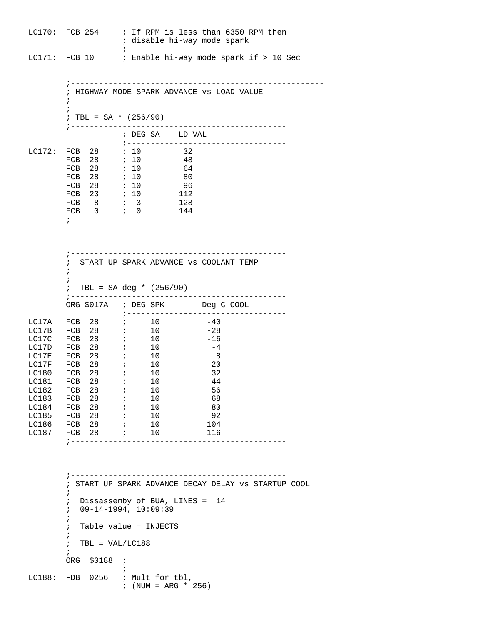LC170: FCB 254 ; If RPM is less than 6350 RPM then ; disable hi-way mode spark  $\mathcal{L}^{\text{max}}$  is a set of the set of the set of the set of the set of the set of the set of the set of the set of the set of the set of the set of the set of the set of the set of the set of the set of the set of the set LC171: FCB 10 ; Enable hi-way mode spark if > 10 Sec

 ;------------------------------------------------------ ; HIGHWAY MODE SPARK ADVANCE vs LOAD VALUE  $\mathcal{L}^{\text{max}}_{\text{max}}$  $\mathcal{L}^{\text{max}}$ ; TBL = SA  $*$  (256/90) ;---------------------------------------------- ; DEG SA LD VAL  $\begin{tabular}{lllllll} \multicolumn{2}{l}{{\bf L}{\bf C172}: & $\text{FCB}$ & $\text{28}$ & & $\text{ $i$ $10}$ & & $\text{32}$ \\ & $\text{FCB}$ & $\text{28}$ & & $\text{ $i$ $10}$ & & $\text{48}$ \\ \end{tabular}$ LC172: FCB 28 ; 10 32 FCB 28 ; 10 48 FCB 28 ; 10 64 FCB 28 ; 10 80 FCB 28 *i* 10 96 FCB 23 ; 10 112 FCB 8 *i* 3 128 FCB 0 *;* 0 144 ;----------------------------------------------

|           | $\ddot{i}$ |                                   |                             | START UP SPARK ADVANCE VS COOLANT TEMP |
|-----------|------------|-----------------------------------|-----------------------------|----------------------------------------|
|           |            |                                   |                             |                                        |
|           |            |                                   |                             |                                        |
|           |            |                                   | ; TBL = SA deg * $(256/90)$ |                                        |
|           |            |                                   |                             |                                        |
|           |            |                                   |                             | ORG \$017A ; DEG SPK Deg C COOL        |
|           |            |                                   |                             |                                        |
| LC17A     |            | FCB 28 <i>i</i> 10                |                             | $-40$                                  |
| LC17B     |            | FCB 28 <i>i</i> 10                |                             | $-28$                                  |
| LC17C     | FCB        | 28 ; 10                           |                             | $-16$                                  |
| LC17D FCB |            | 28 <i>i</i>                       | 10                          | $-4$                                   |
| LC17E     | FCB        | 28 <i>i</i>                       | 10                          | $\sim$ 8                               |
| LC17F FCB |            | 28 <i>i</i>                       | 10                          | 20                                     |
| LC180     | FCB        | 28 <i>i</i>                       | 10                          | 32                                     |
| LC181     | FCB        | 28<br>$\mathcal{L} = \mathcal{L}$ | 10                          | 44                                     |
| LC182     | FCB        | 28 <i>i</i>                       | 10                          | 56                                     |
| LC183     |            | FCB $28$ ;                        | 10                          | 68                                     |
| LC184     | FCB        | 28 <i>i</i>                       | 10                          | 80                                     |
| LC185     | FCB        | 28 <i>i</i>                       | 10                          | 92                                     |
| LC186     |            | FCB 28 <i>i</i> 10                |                             | 104                                    |
|           |            | LC187 FCB 28 <i>;</i>             | 10                          | 116                                    |
|           |            |                                   |                             |                                        |

 ;---------------------------------------------- ; START UP SPARK ADVANCE DECAY DELAY vs STARTUP COOL  $\mathcal{L}^{\text{max}}$  ; Dissassemby of BUA, LINES = 14 ; 09-14-1994, 10:09:39  $\mathcal{L}^{\text{max}}$  ; Table value = INJECTS  $\mathcal{L}^{\text{max}}_{\text{max}}$  $\div$  TBL = VAL/LC188 ;---------------------------------------------- ORG \$0188 ;  $\mathcal{L}^{\text{max}}$  is a set of the set of the set of the set of the set of the set of the set of the set of the set of the set of the set of the set of the set of the set of the set of the set of the set of the set of the set LC188: FDB 0256 ; Mult for tbl, ; (NUM =  $ARG * 256$ )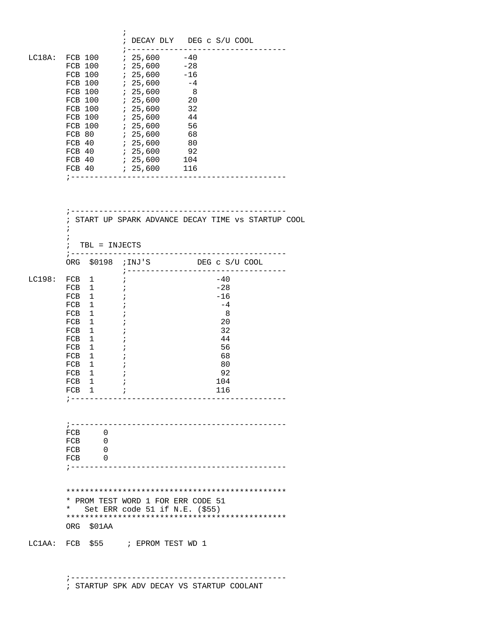|        |                                                                                                                                                                                                                                                                                                                            | $\ddot{ }$<br>; DECAY DLY DEG c S/U COOL                                                                                                                                                                                                                      |
|--------|----------------------------------------------------------------------------------------------------------------------------------------------------------------------------------------------------------------------------------------------------------------------------------------------------------------------------|---------------------------------------------------------------------------------------------------------------------------------------------------------------------------------------------------------------------------------------------------------------|
|        | FCB 100<br>FCB 100<br>FCB 100<br>FCB 100 ; 25,600<br>FCB 100<br>FCB 100<br>FCB 100<br>FCB 80<br>FCB 40                                                                                                                                                                                                                     | ; -----------------------------------<br>$725,600 -28$<br>; 25,600<br>-16<br>725,600<br>$-4$<br>$\overline{\phantom{0}}$<br>32<br>725,600<br>7, 25, 600<br>-44<br>56<br>; 25,600<br>$725,600$ 68<br>92<br>725,600<br>104<br>;-------------------------------- |
|        | $\ddot{i}$<br>$\ddot{i}$<br>$:$ TBL = INJECTS                                                                                                                                                                                                                                                                              | ; START UP SPARK ADVANCE DECAY TIME VS STARTUP COOL                                                                                                                                                                                                           |
|        |                                                                                                                                                                                                                                                                                                                            | ; ---------------------------<br>- - - - - - -<br>ORG \$0198 ; INJ'S DEG C S/U COOL                                                                                                                                                                           |
| LC198: | $FCB$ 1<br>FCB <sub>1</sub><br>FCB <sub>1</sub><br>FCB <sub>1</sub><br>$\overline{\phantom{a}}$<br>FCB <sub>1</sub><br>FCB<br>$\mathbf{1}$<br>$\overline{1}$<br>FCB<br>FCB<br>1<br>FCB <sub>1</sub><br>FCB <sub>1</sub><br>FCB <sub>1</sub><br>$\mathbf{1}$<br>FCB<br>FCB <sub>1</sub><br>FCB <sub>1</sub><br>$\mathbf{r}$ | ;-----------------------------------<br>$-40$<br>i.<br>$-28$<br>$\ddot{i}$<br>$-16$<br>$\cdot$ ;<br>$-4$<br>- 8<br>$\cdot$<br>20<br>÷<br>32<br>$\cdot$<br>44<br>÷<br>56<br>÷<br>68<br>÷<br>80<br>92<br>$\ddot{i}$<br>104<br>116                               |
|        | FCB 0<br>$FCB$ 0<br>$FCB$ 0<br>$FCB$ 0                                                                                                                                                                                                                                                                                     |                                                                                                                                                                                                                                                               |
|        | $\star$<br>ORG \$01AA                                                                                                                                                                                                                                                                                                      | * PROM TEST WORD 1 FOR ERR CODE 51<br>Set ERR code 51 if N.E. $(555)$                                                                                                                                                                                         |
|        |                                                                                                                                                                                                                                                                                                                            | LC1AA: FCB \$55 ; EPROM TEST WD 1                                                                                                                                                                                                                             |

 ;---------------------------------------------- ; STARTUP SPK ADV DECAY VS STARTUP COOLANT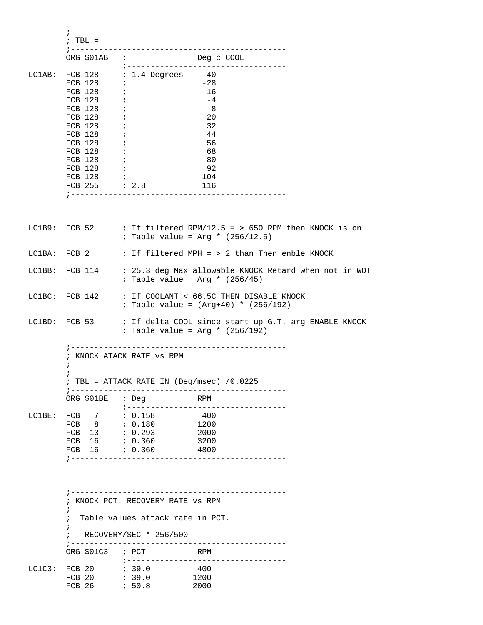|        | $: TBL =$                                                                                                                                                                                                                        |                                                                                                                                                                                                                                                 |
|--------|----------------------------------------------------------------------------------------------------------------------------------------------------------------------------------------------------------------------------------|-------------------------------------------------------------------------------------------------------------------------------------------------------------------------------------------------------------------------------------------------|
|        | ORG \$01AB ;                                                                                                                                                                                                                     | Deg c COOL<br>; -------------------------                                                                                                                                                                                                       |
|        | FCB 128 ;<br>FCB 128 ;<br>FCB 128<br>FCB 128<br>FCB 128<br>FCB 128 ;<br>FCB 128 ;<br>FCB $128$ ;<br>$\begin{tabular}{llll} FCB & 128 & & & & \text{\textit{7}}\\ FCB & 128 & & & \text{\textit{7}}\\ \end{tabular}$<br>FCB 128 ; | LC1AB: FCB 128 : 1.4 Degrees -40<br>FCB 128 : -28<br>$-16$<br>$-4$<br>- 8<br>$\overline{\phantom{a}}$<br>20<br>$\cdot$ ;<br>32<br>$\cdot$ ;<br>44<br>56<br>68<br>80<br>92<br>104<br>FCB 255 <i>i</i> 2.8<br>116<br>;--------------------------- |
|        |                                                                                                                                                                                                                                  | LC1B9: FCB 52 $\qquad$ ; If filtered RPM/12.5 = > 650 RPM then KNOCK is on<br><i>;</i> Table value = Arg * $(256/12.5)$                                                                                                                         |
|        |                                                                                                                                                                                                                                  | $LClBA:$ FCB 2 $\qquad$ ; If filtered MPH = > 2 than Then enble KNOCK                                                                                                                                                                           |
|        |                                                                                                                                                                                                                                  | LC1BB: FCB 114 : 25.3 deg Max allowable KNOCK Retard when not in WOT<br>$: Table value = Arg * (256/45)$                                                                                                                                        |
|        |                                                                                                                                                                                                                                  | LC1BC: FCB 142 ; If COOLANT < 66.5C THEN DISABLE KNOCK<br>; Table value = $(\text{Arg}+40)$ * $(256/192)$                                                                                                                                       |
|        |                                                                                                                                                                                                                                  | LC1BD: FCB 53 ; If delta COOL since start up G.T. arg ENABLE KNOCK<br>; Table value = $Arg * (256/192)$                                                                                                                                         |
|        | i.<br>ORG \$01BE ; Deg                                                                                                                                                                                                           | ; KNOCK ATACK RATE VS RPM<br>; TBL = ATTACK RATE IN (Deg/msec) $/0.0225$<br>RPM                                                                                                                                                                 |
|        | LC1BE: FCB 7 ; 0.158<br>FCB 16 <i>i</i> 0.360                                                                                                                                                                                    | ; --------------------<br>400<br>3200<br>4800                                                                                                                                                                                                   |
|        | $\ddot{i}$<br>$\ddot{i}$<br>ORG $$01C3$ ; PCT                                                                                                                                                                                    | ; KNOCK PCT. RECOVERY RATE VS RPM<br>Table values attack rate in PCT.<br>RECOVERY/SEC * 256/500<br>RPM                                                                                                                                          |
| LC1C3: |                                                                                                                                                                                                                                  | 400<br>1200<br>2000                                                                                                                                                                                                                             |

 $\mathcal{L}^{\text{max}}$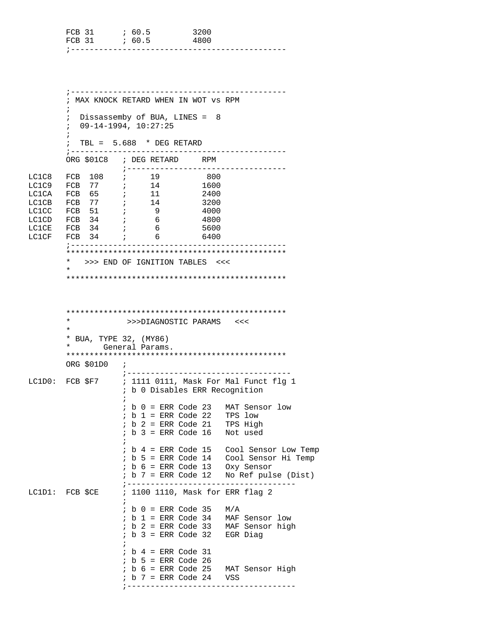|                                  | FCB 31<br>; --------                                                                                                                  | 60.5                                                                                                                                                                                                                        | 3200<br>4800                                                                                                                                                                                                                                                                                         |                     |
|----------------------------------|---------------------------------------------------------------------------------------------------------------------------------------|-----------------------------------------------------------------------------------------------------------------------------------------------------------------------------------------------------------------------------|------------------------------------------------------------------------------------------------------------------------------------------------------------------------------------------------------------------------------------------------------------------------------------------------------|---------------------|
|                                  | $\ddot{ }$<br>$\ddot{i}$<br>$\ddot{ }$                                                                                                | ; MAX KNOCK RETARD WHEN IN WOT VS RPM<br>Dissassemby of BUA, LINES = 8<br>$09 - 14 - 1994, 10:27:25$<br>TBL = $5.688$ * DEG RETARD                                                                                          |                                                                                                                                                                                                                                                                                                      |                     |
|                                  | $7 - - - - - - - - -$                                                                                                                 | ORG \$01C8 ; DEG RETARD RPM                                                                                                                                                                                                 |                                                                                                                                                                                                                                                                                                      |                     |
| LC1C8<br>LC1C9<br>LC1CE<br>LC1CF | FCB 108<br>FCB 77<br>LC1CA FCB 65<br>LC1CB FCB 77<br>LC1CC FCB 51<br>$\mathcal{L}$<br>LC1CD FCB 34<br>FCB 34<br>FCB 34<br>; --------- | ; -----------------<br>$\frac{19}{1}$<br>$\begin{array}{cc} ; & & 14 \\ ; & & 11 \end{array}$<br>14<br>$\cdot$ ;<br>$\overline{9}$<br>$\mathbf{r}$<br>6<br>$6\overline{6}$<br>$\mathcal{L}^{\mathcal{L}}$<br>6              | - 800<br>1600<br>2400<br>3200<br>4000<br>- 4800<br>5600<br>6400<br>-----------                                                                                                                                                                                                                       |                     |
|                                  | *<br>$\star$                                                                                                                          | >>> END OF IGNITION TABLES <<<                                                                                                                                                                                              |                                                                                                                                                                                                                                                                                                      |                     |
|                                  | $^\star$<br>$\star$<br>* BUA, TYPE 32, (MY86)<br>*<br>ORG $$01D0$ ;                                                                   | General Params.                                                                                                                                                                                                             | >>>DIAGNOSTIC PARAMS <<<                                                                                                                                                                                                                                                                             |                     |
|                                  |                                                                                                                                       | $b$ $0$ = ERR Code 23<br>$\ddot{ }$<br>$; b 1 = ERR Code 22$<br>$b$ 2 = ERR Code 21<br>$\ddot{ }$<br>b 3 = ERR Code 16<br>$\ddot{i}$<br>$\ddot{i}$<br>$ib 6 = ERR Code 13$<br>$b$ 7 = ERR Code 12<br>÷                      | ; -----------------------------------<br>LC1D0: FCB \$F7 ; 1111 0111, Mask For Mal Funct flq 1<br>; b 0 Disables ERR Recognition<br>MAT Sensor low<br>TPS low<br>TPS High<br>Not used<br>b 4 = ERR Code 15 Cool Sensor Low Temp<br>$\frac{1}{2}$ b 5 = ERR Code 14 Cool Sensor Hi Temp<br>Oxy Sensor | No Ref pulse (Dist) |
|                                  | LC1D1: FCB \$CE                                                                                                                       | ;---------------------<br>$\ddot{i}$<br>$b$ 0 = ERR Code 35<br>$\ddot{ }$<br>$ib 1 = ERR Code 34$<br>$\ddot{ }$<br>$\cdot$<br>$b$ 4 = ERR Code 31<br>$ib 5 = ERR Code 26$<br>$; b 6 = ERR Code 25$<br>$; b 7 = ERR Code 24$ | ; 1100 1110, Mask for ERR flag 2<br>M/A<br>MAF Sensor low<br>: b 2 = ERR Code 33 MAF Sensor high<br>$b$ 3 = ERR Code 32 EGR Diag<br>MAT Sensor High<br>VSS                                                                                                                                           |                     |

;-----------------------------------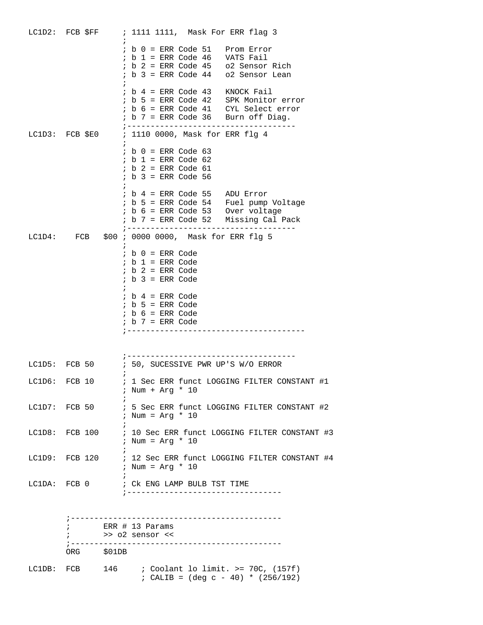|               |            |    | $i$ b $0$ = ERR Code 51 Prom Error<br><i>i</i> b 1 = ERR Code 46 VATS Fail<br><i>i</i> b 2 = ERR Code 45 o2 Sensor Rich<br><i>i</i> b 3 = ERR Code 44 o2 Sensor Lean |
|---------------|------------|----|----------------------------------------------------------------------------------------------------------------------------------------------------------------------|
|               |            |    | $; b 4 = ERR Code 43$ KNOCK Fail                                                                                                                                     |
|               |            |    | LC1D3: FCB \$E0 ; 1110 0000, Mask for ERR flg 4                                                                                                                      |
|               |            |    | $; b 0 = ERR Code 63$<br>$; b 1 = ERR Code 62$<br>$; b 2 = ERR Code 61$<br>$; b 3 = ERR Code 56$                                                                     |
|               |            |    | % i b 4 = ERR Code 55 ADU Error<br>i b 5 = ERR Code 54 Fuel pump Voltage<br>i b 6 = ERR Code 53 Over voltage<br>$: b 7 = ERR Code 52$ Missing Cal Pack               |
|               |            |    | LC1D4: FCB \$00 ; 0000 0000, Mask for ERR flg 5                                                                                                                      |
|               |            |    | $ib$ 0 = ERR Code<br>$; b 1 = ERR Code$<br>$ib$ 2 = ERR Code<br>$ib$ 3 = ERR Code                                                                                    |
|               |            |    | $ib$ 4 = ERR Code<br>$ib 5 = ERR Code$<br>$ib 6 = ERR Code$<br>$; b 7 = ERR Code$                                                                                    |
|               |            |    |                                                                                                                                                                      |
|               |            |    | LC1D5: FCB 50 : 50, SUCESSIVE PWR UP'S W/O ERROR                                                                                                                     |
| LC1D6: FCB 10 |            |    | ; 1 Sec ERR funct LOGGING FILTER CONSTANT #1<br>; Num + Arg * 10                                                                                                     |
|               |            | ÷. | LC1D7: FCB 50 : 5 Sec ERR funct LOGGING FILTER CONSTANT #2<br>; Num = $Arg * 10$                                                                                     |
|               |            |    | LC1D8: FCB 100 ; 10 Sec ERR funct LOGGING FILTER CONSTANT #3<br>; Num = $Arg * 10$                                                                                   |
|               |            |    | LC1D9: FCB 120 : 12 Sec ERR funct LOGGING FILTER CONSTANT #4<br>; Num = $Arg * 10$                                                                                   |
|               |            |    |                                                                                                                                                                      |
|               |            |    |                                                                                                                                                                      |
|               |            |    | ERR # 13 Params<br>>> o2 sensor <<                                                                                                                                   |
|               | ORG \$01DB |    |                                                                                                                                                                      |
|               |            |    | LC1DB: FCB $146$ ; Coolant lo limit. >= 70C, (157f)<br>; CALIB = $(\text{deg } c - 40)$ * $(256/192)$                                                                |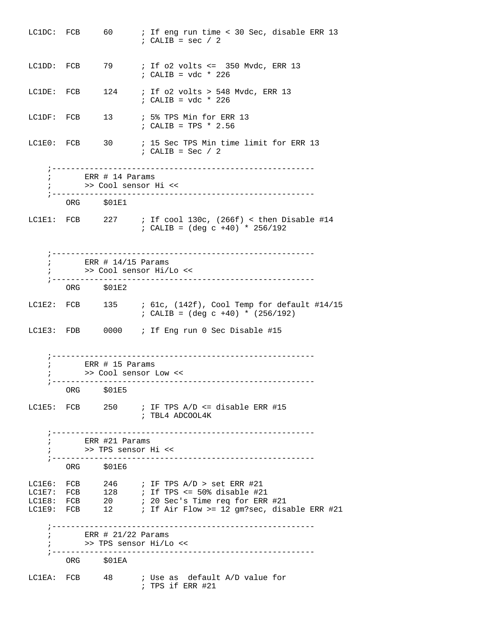| LC1DC: FCB |     | 60 —                                                  | ; If eng run time < 30 Sec, disable ERR 13<br>$: CALIB = sec / 2$                                          |
|------------|-----|-------------------------------------------------------|------------------------------------------------------------------------------------------------------------|
| LC1DD: FCB |     |                                                       | 79 : If o2 volts <= 350 Mvdc, ERR 13<br>$: CALIB = vdc * 226$                                              |
| LC1DE: FCB |     |                                                       | 124 : If o2 volts > 548 Mvdc, ERR 13<br>$: CALIB = vdc * 226$                                              |
| LC1DF: FCB |     |                                                       | 13 / 5% TPS Min for ERR 13<br>; CALIB = TPS * $2.56$                                                       |
| LC1E0: FCB |     |                                                       | 30 : 15 Sec TPS Min time limit for ERR 13<br>$: CALIB = Sec / 2$                                           |
|            |     | $\mathcal{L}$ ERR # 14 Params<br>>> Cool sensor Hi << |                                                                                                            |
|            |     | ORG \$01E1                                            |                                                                                                            |
| LC1E1: FCB |     |                                                       | 227 : If cool 130c, $(266f)$ < then Disable #14<br>; CALIB = $(\text{deg } c + 40) * 256/192$              |
|            |     | $\frac{1}{2}$ ERR # 14/15 Params                      | >> Cool sensor Hi/Lo <<                                                                                    |
|            |     | ORG \$01E2                                            |                                                                                                            |
| LC1E2: FCB |     |                                                       | 135 / 61c, (142f), Cool Temp for default #14/15<br>; CALIB = $(\text{deg } c + 40)$ * $(256/192)$          |
|            |     |                                                       | LC1E3: FDB 0000 ; If Eng run 0 Sec Disable #15                                                             |
|            |     | ERR $#$ 15 Params<br>>> Cool sensor Low <<            | ---------------------------------                                                                          |
|            | ORG | \$01E5                                                |                                                                                                            |
|            |     |                                                       | LC1E5: FCB $250$ ; IF TPS A/D <= disable ERR #15<br>; TBL4 ADCOOL4K                                        |
|            |     | ; ERR #21 Params<br>>> TPS sensor Hi <<               | -------------------------------------                                                                      |
|            |     | ORG \$01E6                                            |                                                                                                            |
|            |     |                                                       | LC1E6: FCB $246$ ; IF TPS A/D > set ERR #21<br>LC1E7: FCB $128$ ; If TPS <= 50% disable #21                |
|            |     |                                                       | LC1E8: FCB 20 : 20 Sec's Time req for ERR #21<br>LC1E9: FCB 12 : If Air Flow >= 12 gm?sec, disable ERR #21 |
|            |     | ERR $\#$ 21/22 Params<br>>> TPS sensor Hi/Lo <<       |                                                                                                            |
|            |     | ORG \$01EA                                            |                                                                                                            |
|            |     |                                                       | LC1EA: FCB 48 ; Use as default A/D value for<br>$: TPS$ if ERR #21                                         |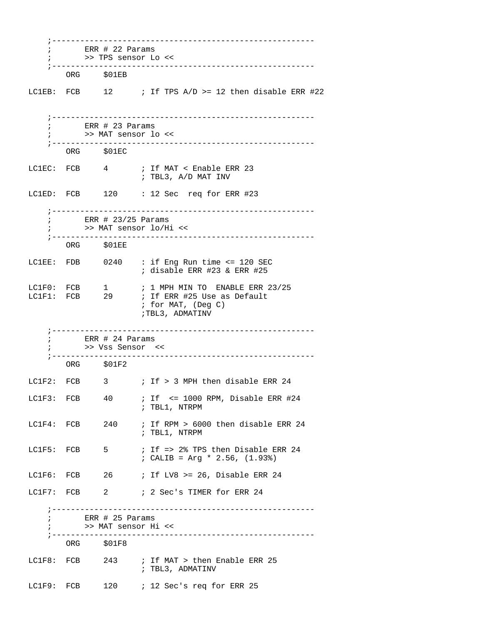|                          | >> TPS sensor Lo <<                                          |                                                                                                           |
|--------------------------|--------------------------------------------------------------|-----------------------------------------------------------------------------------------------------------|
|                          | ORG \$01EB                                                   |                                                                                                           |
|                          |                                                              | LC1EB: FCB $12$ ; If TPS A/D >= 12 then disable ERR #22                                                   |
|                          | ; >> MAT sensor lo <<                                        |                                                                                                           |
|                          | ORG \$01EC                                                   |                                                                                                           |
|                          |                                                              | LC1EC: FCB 4 ; If MAT < Enable ERR 23<br>; TBL3, A/D MAT INV                                              |
|                          |                                                              | LC1ED: FCB 120 : 12 Sec req for ERR #23                                                                   |
|                          | $\frac{1}{2}$ ERR # 23/25 Params<br>; >> MAT sensor lo/Hi << |                                                                                                           |
|                          | ORG \$01EE                                                   |                                                                                                           |
|                          |                                                              | LC1EE: FDB 0240 : if Eng Run time <= 120 SEC<br>$:$ disable ERR #23 & ERR #25                             |
| LC1F0: FCB<br>LC1F1: FCB | $1 \quad \Box$<br>29                                         | $: 1$ MPH MIN TO ENABLE ERR 23/25<br>; If ERR #25 Use as Default<br>; for MAT, (Deg C)<br>;TBL3, ADMATINV |
|                          | $\frac{1}{10}$ ERR # 24 Params                               |                                                                                                           |
|                          | ; >> Vss Sensor <<                                           |                                                                                                           |
|                          | ORG \$01F2                                                   |                                                                                                           |
| LC1F3: FCB               | 40                                                           | LC1F2: FCB $\qquad$ 3 $\qquad$ ; If > 3 MPH then disable ERR 24<br>; If <= 1000 RPM, Disable ERR #24      |
| LC1F4: FCB               | 240                                                          | ; TBL1, NTRPM<br>; If RPM > 6000 then disable ERR 24                                                      |
|                          |                                                              | ; TBL1, NTRPM                                                                                             |
| LC1F5: FCB               | 5                                                            | ; If => 2% TPS then Disable ERR 24<br>; CALIB = Arg * 2.56, $(1.93)$                                      |
| LC1F6: FCB               | 26 — 1                                                       | ; If LV8 >= 26, Disable ERR 24                                                                            |
|                          |                                                              | LC1F7: FCB 2 / 2 Sec's TIMER for ERR 24                                                                   |
|                          | $\frac{1}{100}$ ERR # 25 Params<br>>> MAT sensor Hi <<       |                                                                                                           |
|                          | ORG \$01F8                                                   |                                                                                                           |
| LC1F8: FCB               |                                                              | 243 : If MAT > then Enable ERR 25<br>; TBL3, ADMATINV                                                     |
| LC1F9: FCB               | 120                                                          | ; 12 Sec's req for ERR 25                                                                                 |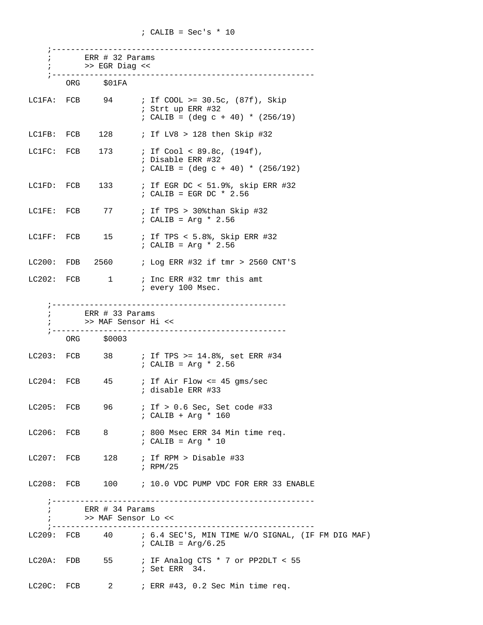| $\ddot{i}$    | ERR # 32 Params<br>>> EGR Diag <<      |                                                                                                                       |
|---------------|----------------------------------------|-----------------------------------------------------------------------------------------------------------------------|
|               | ORG \$01FA                             |                                                                                                                       |
|               |                                        | LC1FA: FCB $94$ ; If COOL >= 30.5c, (87f), Skip<br>; Strt up ERR #32<br>; CALIB = $(\text{deg } c + 40)$ * $(256/19)$ |
|               |                                        | LC1FB: FCB $128$ ; If LV8 > 128 then Skip #32                                                                         |
| LC1FC: FCB    |                                        | 173 : If Cool < 89.8c, (194f),<br>; Disable ERR #32<br>; CALIB = $(\text{deg } c + 40)$ * $(256/192)$                 |
| LC1FD: FCB    |                                        | 133 : If EGR DC < 51.9%, skip ERR #32<br>$:$ CALIB = EGR DC * 2.56                                                    |
|               |                                        | LC1FE: FCB $77$ ; If TPS > 30% than Skip #32<br>$: CALIB = Arg * 2.56$                                                |
|               |                                        | LC1FF: FCB $15$ ; If TPS < 5.8%, Skip ERR #32<br>$: CALIB = Arg * 2.56$                                               |
|               |                                        | LC200: FDB $2560$ ; Log ERR #32 if tmr > 2560 CNT'S                                                                   |
|               | LC202: FCB 1                           | ; Inc ERR #32 tmr this amt<br>; every 100 Msec.                                                                       |
| $\mathbf{i}$  | ERR # 33 Params<br>>> MAF Sensor Hi << |                                                                                                                       |
|               | ORG \$0003                             |                                                                                                                       |
|               |                                        | LC203: FCB 38 ; If TPS >= $14.8$ %, set ERR #34<br>$: CALIB = Arg * 2.56$                                             |
|               |                                        | LC204: FCB $45$ ; If Air Flow <= 45 gms/sec<br>; disable ERR #33                                                      |
| LC205: FCB    |                                        | 96 ; If > 0.6 Sec, Set code #33<br>; CALIB + Arg * 160                                                                |
|               |                                        | LC206: FCB 8 7 800 Msec ERR 34 Min time req.<br>$: CALIB = Arg * 10$                                                  |
|               |                                        | LC207: FCB $128$ ; If RPM > Disable #33<br>; $RPM/25$                                                                 |
| $LC208:$ FCB  |                                        | 100 : 10.0 VDC PUMP VDC FOR ERR 33 ENABLE                                                                             |
| $\mathcal{L}$ | ERR # 34 Params                        |                                                                                                                       |
|               | >> MAF Sensor Lo <<                    | ------------------------------                                                                                        |
|               |                                        | LC209: FCB 40 ; 6.4 SEC'S, MIN TIME W/O SIGNAL, (IF FM DIG MAF)<br>$i$ CALIB = Arg/6.25                               |
| LC20A: FDB    |                                        | 55 : IF Analog CTS * 7 or PP2DLT < 55<br>$:$ Set ERR $:$ 34.                                                          |
|               |                                        | LC20C: FCB $2$ ; ERR #43, 0.2 Sec Min time req.                                                                       |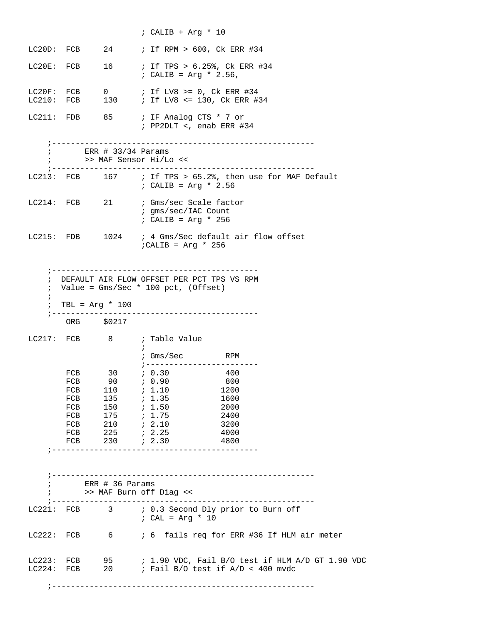|                                        |              |                                                | ; CALIB + Arq $*$ 10                                                                     |
|----------------------------------------|--------------|------------------------------------------------|------------------------------------------------------------------------------------------|
|                                        |              |                                                | LC20D: FCB 24 ; If RPM > 600, Ck ERR #34                                                 |
|                                        | LC20E: FCB   |                                                | 16 : If TPS > 6.25%, Ck ERR #34<br>; CALIB = $Arg * 2.56$ ,                              |
| LC20F: FCB                             |              |                                                | 0 ; If LV8 >= 0, Ck ERR #34<br>LC210: FCB 130 ; If LV8 <= 130, Ck ERR #34                |
|                                        |              |                                                | LC211: FDB 85 ; IF Analog CTS * 7 or<br>$:$ PP2DLT <, enab ERR #34                       |
| $\mathcal{L}$                          | $\mathbf{i}$ | ERR # 33/34 Params<br>; ---------------------- | >> MAF Sensor Hi/Lo <<<br>-------------------------                                      |
|                                        |              |                                                | LC213: FCB 167 ; If TPS > 65.2%, then use for MAF Default<br>; CALIB = $Arg * 2.56$      |
|                                        |              |                                                | LC214: FCB 21 ; Gms/sec Scale factor<br>; gms/sec/IAC Count<br>$:$ CALIB = Arg * 256     |
|                                        |              |                                                | LC215: FDB 1024 ; 4 Gms/Sec default air flow offset<br>$i$ CALIB = Arg * 256             |
| $\ddot{i}$<br>$\ddot{i}$<br>$\ddot{i}$ |              | ORG \$0217                                     | DEFAULT AIR FLOW OFFSET PER PCT TPS VS RPM<br>Value = $Gms/Sec * 100~pot, (Offset)$      |
|                                        |              |                                                |                                                                                          |
|                                        |              |                                                | LC217: FCB 8 ; Table Value<br>$\cdot$ :<br>; $Gms/Sec$<br><b>Example 18 RPM</b>          |
|                                        | FCB          |                                                | $30$ ; 0.30<br>400                                                                       |
|                                        | FCB          |                                                |                                                                                          |
|                                        | FCB          | $110$ ; $1.10$                                 | 1200<br>1600                                                                             |
|                                        |              | FCB 135 ; 1.35<br>FCB 150 ; 1.50               | 2000                                                                                     |
|                                        |              | FCB 150 <i>i</i> 1.50<br>FCB 175 <i>i</i> 1.75 | 2400                                                                                     |
|                                        |              | FCB 210 ; 2.10                                 | 3200                                                                                     |
|                                        |              | FCB 225 <i>i</i> 2.25                          | 4000<br>FCB 230 <i>i</i> 2.30<br>4800                                                    |
|                                        |              |                                                |                                                                                          |
|                                        |              | ERR # 36 Params                                | >> MAF Burn off Diag <<                                                                  |
|                                        |              |                                                | LC221: FCB 3 ; 0.3 Second Dly prior to Burn off<br>$: CAL = Arg * 10$                    |
|                                        |              |                                                | LC222: FCB 6 6 6 6 fails req for ERR #36 If HLM air meter                                |
|                                        |              |                                                | LC223: FCB $\qquad$ 95 $\qquad$ ; 1.90 VDC, Fail B/O test if HLM A/D GT 1.90 VDC         |
|                                        |              |                                                | LC224: FCB $20$ ; Fail B/O test if A/D < 400 mvdc<br>----------------------------------- |
|                                        |              |                                                |                                                                                          |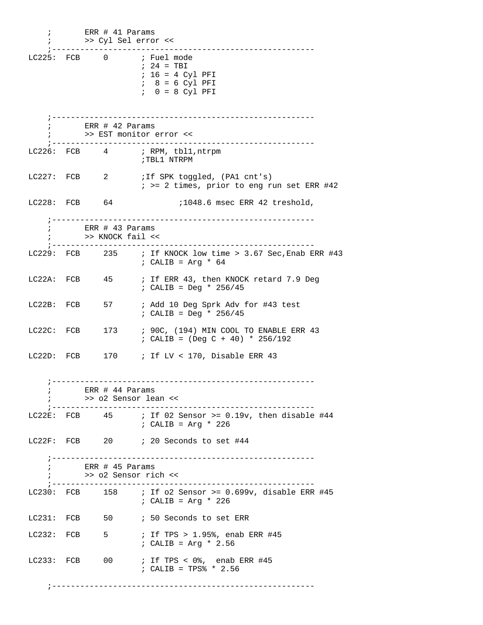| $\ddot{ }$<br>÷.     | $ERR$ # 41 Params<br>>> Cyl Sel error <<               |                                                                                                                          |
|----------------------|--------------------------------------------------------|--------------------------------------------------------------------------------------------------------------------------|
|                      |                                                        | ----------------<br>LC225: FCB 0 ; Fuel mode<br>$: 24 = TBI$<br>$: 16 = 4$ Cyl PFI<br>$8 = 6$ Cyl PFI<br>$0 = 8$ Cyl PFI |
| $\ddot{i}$           | ERR # 42 Params                                        |                                                                                                                          |
|                      |                                                        | >> EST monitor error <<                                                                                                  |
|                      |                                                        | $LC226: FCB$ 4 ; RPM, tbl1, ntrpm<br>;TBL1 NTRPM                                                                         |
|                      |                                                        | LC227: FCB 2 ; If SPK toggled, (PA1 cnt's)<br>$:$ >= 2 times, prior to eng run set ERR #42                               |
| LC228: FCB 64        |                                                        | ;1048.6 msec ERR 42 treshold,                                                                                            |
|                      | ; ERR # 43 Params<br>>> KNOCK fail <<                  |                                                                                                                          |
|                      |                                                        | LC229: FCB 235 ; If KNOCK low time > 3.67 Sec, Enab ERR #43<br>: CALIB = $Arg * 64$                                      |
| LC22A: FCB           | 45                                                     | ; If ERR 43, then KNOCK retard 7.9 Deg<br>; CALIB = Deg * $256/45$                                                       |
| LC22B: FCB           | 57 — 17                                                | ; Add 10 Deg Sprk Adv for #43 test<br>; CALIB = Deg * $256/45$                                                           |
| LC22C: FCB           | 173                                                    | ; 90C, (194) MIN COOL TO ENABLE ERR 43<br>; CALIB = $(Deg C + 40) * 256/192$                                             |
|                      |                                                        | LC22D: FCB $170$ ; If LV < 170, Disable ERR 43                                                                           |
| ; ----<br>$\ddot{ }$ | ERR $#$ 44 Params<br>>> 02 Sensor lean <<              | ------------------------------                                                                                           |
|                      |                                                        | LC22E: FCB $45$ ; If 02 Sensor >= 0.19v, then disable #44<br>$: CALIB = Arg * 226$                                       |
|                      |                                                        | LC22F: FCB 20 ; 20 Seconds to set #44                                                                                    |
|                      | $\frac{1}{10}$ ERR # 45 Params<br>>> o2 Sensor rich << |                                                                                                                          |
|                      |                                                        | LC230: FCB $158$ ; If o2 Sensor >= 0.699v, disable ERR #45<br>$: CALIB = Arg * 226$                                      |
|                      |                                                        | LC231: FCB 50 ; 50 Seconds to set ERR                                                                                    |
| LC232: FCB           |                                                        | 5 : If TPS > 1.95%, enab ERR #45<br>: CALIB = $Arg * 2.56$                                                               |
| $LC233:$ $FCB$       | $00\,$                                                 | ; If TPS < 0%, enab ERR #45<br>; CALIB = TPS% * 2.56                                                                     |
|                      |                                                        |                                                                                                                          |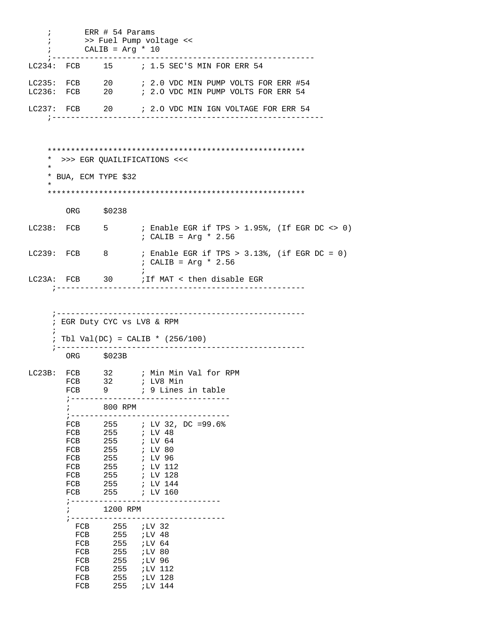| $\ddot{i}$ |                              | ERR # 54 Params<br>CALIB = $Arg * 10$ | >> Fuel Pump voltage <<                                                                                 |
|------------|------------------------------|---------------------------------------|---------------------------------------------------------------------------------------------------------|
|            |                              |                                       | LC234: FCB 15 ; 1.5 SEC'S MIN FOR ERR 54                                                                |
|            |                              |                                       | LC235: FCB 20 ; 2.0 VDC MIN PUMP VOLTS FOR ERR #54<br>LC236: FCB 20 ; 2.0 VDC MIN PUMP VOLTS FOR ERR 54 |
|            |                              | ;--------------------                 | LC237: FCB 20 : 2.0 VDC MIN IGN VOLTAGE FOR ERR 54                                                      |
|            |                              |                                       |                                                                                                         |
| $\star$    |                              |                                       | * >>> EGR QUAILIFICATIONS <<<                                                                           |
| $^\star$   |                              | * BUA, ECM TYPE \$32                  |                                                                                                         |
|            |                              |                                       |                                                                                                         |
|            |                              | ORG \$0238                            |                                                                                                         |
|            |                              |                                       | LC238: FCB $\qquad$ 5 $\qquad$ ; Enable EGR if TPS > 1.95%, (If EGR DC <> 0)<br>$: CALIB = Arg * 2.56$  |
|            | LC239: FCB 8                 |                                       | ; Enable EGR if TPS > 3.13%, (if EGR DC = 0)<br>$: CALIB = Arg * 2.56$                                  |
|            |                              |                                       | LC23A: FCB 30 : If MAT < then disable EGR<br>;-------------------------------------                     |
| $\ddot{i}$ | $7 - - - - -$                | ORG \$023B                            | ; Tbl Val(DC) = CALIB * $(256/100)$                                                                     |
|            | LC23B: FCB                   |                                       | 32 : Min Min Val for RPM                                                                                |
|            | FCB                          |                                       | 32 <i>;</i> LV8 Min                                                                                     |
|            | FCB                          |                                       |                                                                                                         |
|            |                              | 800 RPM<br>; ------------------       |                                                                                                         |
|            |                              |                                       | FCB 255 ; LV 32, DC =99.6%                                                                              |
|            |                              | FCB 255                               | ; LV 48                                                                                                 |
|            | FCB                          | 255                                   | ; LV 64                                                                                                 |
|            | FCB<br>FCB                   | 255<br>255                            | ; LV 80<br>; LV 96                                                                                      |
|            | FCB                          | 255                                   | ; LV 112                                                                                                |
|            |                              |                                       | FCB 255 <i>i</i> LV 128                                                                                 |
|            |                              |                                       | FCB 255 ; LV 144                                                                                        |
|            | FCB<br>$7 - - - - - - - - -$ |                                       | 255 <i>i</i> LV 160                                                                                     |
|            | $\ddot{i}$                   | 1200 RPM                              |                                                                                                         |
|            |                              |                                       | ; ----------------------------                                                                          |
|            | FCB                          | FCB 255 <i>i</i> LV 32                |                                                                                                         |
|            | FCB                          |                                       |                                                                                                         |
|            | FCB                          |                                       | $255$ ; LV 80                                                                                           |
|            | FCB                          |                                       | 255 <i>;</i> LV 96                                                                                      |
|            | FCB                          |                                       | $255$ ; LV 112                                                                                          |
|            | FCB<br>FCB                   |                                       | 255 <i>ILV</i> 128<br>255 <i>ILV</i> 144                                                                |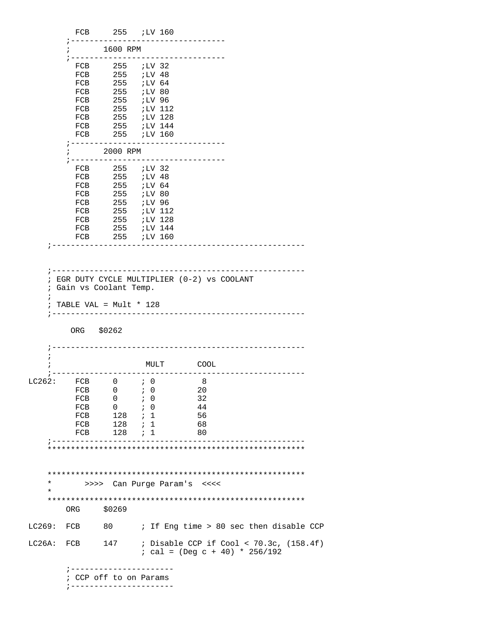|                          |                                                                   |                                                        | FCB 255 ;LV 160                                    |                                                                                              |  |
|--------------------------|-------------------------------------------------------------------|--------------------------------------------------------|----------------------------------------------------|----------------------------------------------------------------------------------------------|--|
|                          | $\ddot{i}$                                                        | --------------<br>1600 RPM                             |                                                    |                                                                                              |  |
|                          |                                                                   | FCB 255 <i>i</i> LV 32                                 | ; -------------------------------                  |                                                                                              |  |
|                          |                                                                   | FCB 255 <i>;</i> LV 48<br>FCB 255 <i>;</i> LV 64       |                                                    |                                                                                              |  |
|                          |                                                                   | FCB 255 ;LV 80                                         |                                                    |                                                                                              |  |
|                          |                                                                   | FCB 255 ;LV 96                                         | FCB 255 <i>iLV</i> 112                             |                                                                                              |  |
|                          |                                                                   |                                                        |                                                    |                                                                                              |  |
|                          |                                                                   |                                                        | FCB 255 <i>;</i> LV 128<br>FCB 255 <i>;</i> LV 144 |                                                                                              |  |
|                          | FCB                                                               |                                                        | 255 <i>;LV</i> 160                                 |                                                                                              |  |
|                          |                                                                   | 2000 RPM                                               | -------------------------------                    |                                                                                              |  |
|                          |                                                                   | FCB 255 ;LV 32                                         | ; ------------------------------                   |                                                                                              |  |
|                          |                                                                   | FCB 255 ;LV 48                                         |                                                    |                                                                                              |  |
|                          |                                                                   | FCB 255 ;LV 64                                         |                                                    |                                                                                              |  |
|                          |                                                                   | FCB 255 <i>i</i> LV 80                                 |                                                    |                                                                                              |  |
|                          |                                                                   |                                                        | FCB 255 <i>i</i> LV 96<br>FCB 255 <i>i</i> LV 112  |                                                                                              |  |
|                          | FCB                                                               |                                                        | 255 <i>;LV</i> 128                                 |                                                                                              |  |
|                          |                                                                   |                                                        | FCB 255 ;LV 144                                    |                                                                                              |  |
|                          |                                                                   |                                                        | FCB 255 ;LV 160                                    |                                                                                              |  |
|                          |                                                                   |                                                        |                                                    | ---------------------------------                                                            |  |
| $\ddot{i}$<br>$\ddot{ }$ | ; Gain vs Coolant Temp.<br>TABLE VAL = $Mult * 128$<br>ORG \$0262 |                                                        | ---------------------------                        |                                                                                              |  |
|                          |                                                                   |                                                        | MULT COOL                                          |                                                                                              |  |
| LC262:                   | $FCB$ 0 $\qquad$ 0                                                |                                                        | -----------------------------------                | 8 <sup>8</sup>                                                                               |  |
|                          | FCB                                                               | $\mathbf{0}$                                           | ; 0                                                | 20                                                                                           |  |
|                          |                                                                   | $FCB$ 0 $\qquad$ 0                                     |                                                    | 32                                                                                           |  |
|                          |                                                                   | FCB $0$ ; 0                                            |                                                    | -44                                                                                          |  |
|                          | ${\rm FCB}$<br>FCB                                                | $\begin{array}{cc} 128 & ; 1 \end{array}$<br>$128$ ; 1 |                                                    | -56<br>68                                                                                    |  |
|                          | FCB                                                               | $128$ ; 1                                              |                                                    | 80                                                                                           |  |
|                          |                                                                   |                                                        |                                                    |                                                                                              |  |
|                          |                                                                   |                                                        |                                                    |                                                                                              |  |
| $^\star$                 |                                                                   |                                                        | >>>> Can Purge Param's <<<<                        |                                                                                              |  |
| $\star$                  |                                                                   |                                                        |                                                    |                                                                                              |  |
|                          | ORG                                                               | \$0269                                                 |                                                    |                                                                                              |  |
| LC269:                   | FCB                                                               |                                                        |                                                    | 80 > 7 If Eng time > 80 sec then disable CCP                                                 |  |
|                          |                                                                   |                                                        |                                                    | LC26A: FCB $147$ ; Disable CCP if Cool < 70.3c, (158.4f)<br>$: cal = (Deg c + 40) * 256/192$ |  |
|                          |                                                                   | ; CCP off to on Params                                 | ; ----------------------                           |                                                                                              |  |
|                          |                                                                   |                                                        | ; ----------------------                           |                                                                                              |  |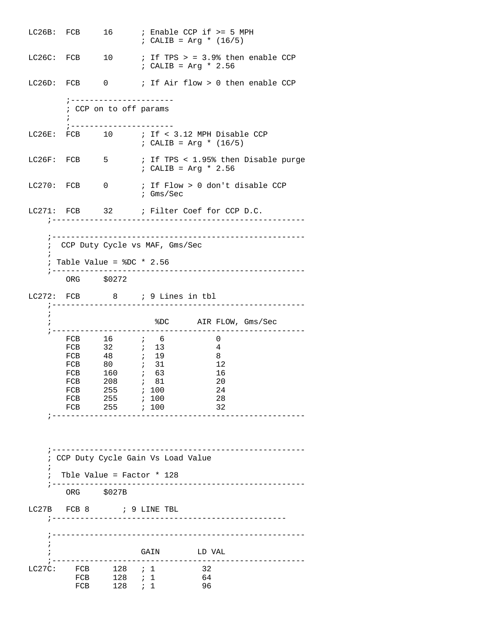LC26B: FCB 16 ; Enable CCP if >= 5 MPH  $;$  CALIB = Arg \* (16/5) LC26C: FCB  $10$  ; If TPS > = 3.9% then enable CCP ; CALIB = Arg \* 2.56 LC26D: FCB 0 ; If Air flow > 0 then enable CCP ;---------------------- ; CCP on to off params  $\mathcal{L}^{\text{max}}$  ;---------------------- LC26E: FCB 10 ; If < 3.12 MPH Disable CCP ; CALIB = Arg \* (16/5) LC26F: FCB 5 ; If TPS < 1.95% then Disable purge ; CALIB = Arg \* 2.56 LC270: FCB 0 ; If Flow > 0 don't disable CCP ; Gms/Sec LC271: FCB 32 ; Filter Coef for CCP D.C. ;------------------------------------------------------ ;------------------------------------------------------ ; CCP Duty Cycle vs MAF, Gms/Sec  $\mathcal{L}$  $:$  Table Value =  $$DC * 2.56$  ;------------------------------------------------------ ORG \$0272 LC272: FCB 8 ; 9 Lines in tbl ;------------------------------------------------------  $\mathbf{i}$  ; %DC AIR FLOW, Gms/Sec ;------------------------------------------------------ FCB 16 ; 6 0 FCB 32 *i* 13 4 FCB 48 *i* 19 8 FCB 80 *;* 31 12 FCB 160 *;* 63 16 FCB 208 *;* 81 20 FCB 255 *;* 100 24 FCB 255 *;* 100 28 FCB 255 *i* 100 32 ;------------------------------------------------------ ;------------------------------------------------------ ; CCP Duty Cycle Gain Vs Load Value ; ; Tble Value = Factor \* 128 ;------------------------------------------------------ ORG \$027B LC27B FCB 8 ; 9 LINE TBL ;-------------------------------------------------- ;------------------------------------------------------ ; ; GAIN LD VAL ;------------------------------------------------------ LC27C: FCB 128 *i* 1 32 FCB 128 *i* 1 64 FCB 128 *i* 1 96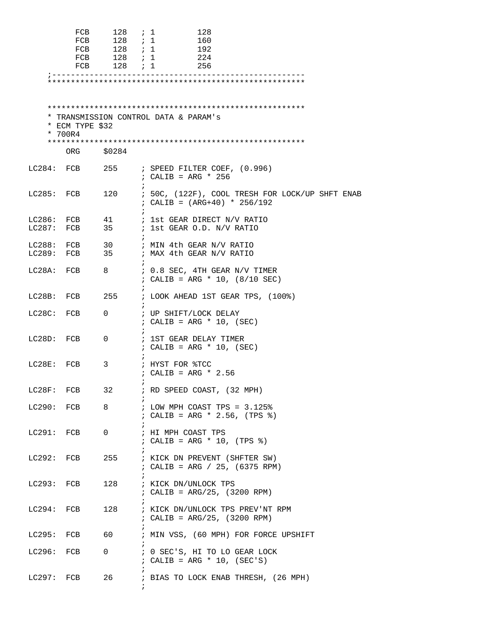|              | FCB<br>FCB<br>FCB          | 128 ; 1<br>$128$ ; 1<br>FCB 128 <i>i</i> 1<br>FCB 128 <i>i</i> 1<br>$128$ ; 1 | 128<br>160<br>192<br>224<br>256                                                   |
|--------------|----------------------------|-------------------------------------------------------------------------------|-----------------------------------------------------------------------------------|
|              | * ECM TYPE \$32<br>* 700R4 |                                                                               | * TRANSMISSION CONTROL DATA & PARAM's                                             |
|              | ORG                        | \$0284                                                                        |                                                                                   |
|              | LC284: FCB                 | 255                                                                           | ; SPEED FILTER COEF, (0.996)<br>; CALIB = ARG $*$ 256                             |
| LC285: FCB   |                            | 120<br>$\ddot{i}$                                                             | ; 50C, (122F), COOL TRESH FOR LOCK/UP SHFT ENAB<br>; CALIB = $(ARG+40) * 256/192$ |
|              | LC286: FCB<br>$LC287:$ FCB | 41<br>35                                                                      | ; 1st GEAR DIRECT N/V RATIO<br>; 1st GEAR O.D. N/V RATIO                          |
| LC289: FCB   | LC288: FCB 30              | 35                                                                            | ; MIN 4th GEAR N/V RATIO<br>; MAX 4th GEAR N/V RATIO                              |
| LC28A: FCB   |                            | 8                                                                             | ; 0.8 SEC, 4TH GEAR N/V TIMER<br>; CALIB = ARG * 10, $(8/10$ SEC)                 |
| LC28B: FCB   |                            | 255<br>$\ddot{i}$                                                             | ; LOOK AHEAD 1ST GEAR TPS, (100%)                                                 |
| LC28C: FCB   |                            | 0                                                                             | ; UP SHIFT/LOCK DELAY<br>; CALIB = ARG $*$ 10, (SEC)                              |
| LC28D: FCB   |                            | 0                                                                             | ; 1ST GEAR DELAY TIMER<br>; CALIB = ARG $*$ 10, (SEC)                             |
| LC28E:       | FCB                        | 3<br>$\ddot{ }$                                                               | ; HYST FOR %TCC<br>; CALIB = ARG * $2.56$                                         |
|              | LC28F: FCB                 | 32                                                                            | ; RD SPEED COAST, (32 MPH)                                                        |
|              | LC290: FCB                 | 8<br>$\ddot{i}$                                                               | ; LOW MPH COAST TPS = $3.125\%$<br>; CALIB = ARG * 2.56, (TPS $)$ )               |
| LC291: FCB   |                            | 0                                                                             | ; HI MPH COAST TPS<br>; CALIB = ARG * 10, $(TPS % )$                              |
|              | LC292: FCB                 | 255                                                                           | ; KICK DN PREVENT (SHFTER SW)<br>; CALIB = ARG / 25, $(6375$ RPM)                 |
| LC293: FCB   |                            |                                                                               | 128 : KICK DN/UNLOCK TPS<br>; CALIB = $ARG/25$ , (3200 RPM)                       |
| LC294: FCB   |                            | 128                                                                           | ; KICK DN/UNLOCK TPS PREV'NT RPM<br>; CALIB = $ARG/25$ , (3200 RPM)               |
|              | LC295: FCB                 | 60 —                                                                          | ; MIN VSS, (60 MPH) FOR FORCE UPSHIFT                                             |
| LC296: FCB   |                            | $\mathsf{O}$                                                                  | ; 0 SEC'S, HI TO LO GEAR LOCK<br>; CALIB = ARG $*$ 10, (SEC'S)                    |
| $LC297:$ FCB |                            | 26                                                                            | ; BIAS TO LOCK ENAB THRESH, (26 MPH)                                              |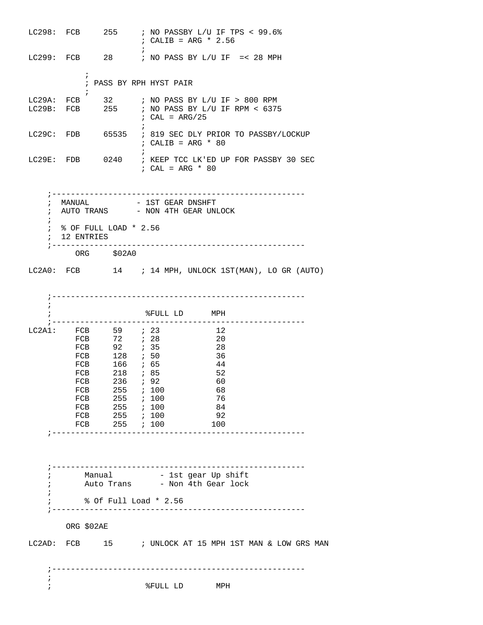|            |              |                                            | LC298: FCB $255$ ; NO PASSBY L/U IF TPS < 99.6%<br>$: CALIB = ARG * 2.56$                                                          |
|------------|--------------|--------------------------------------------|------------------------------------------------------------------------------------------------------------------------------------|
|            |              |                                            | LC299: FCB $28$ ; NO PASS BY L/U IF =< 28 MPH                                                                                      |
|            | $\ddot{i}$   |                                            | ; PASS BY RPH HYST PAIR                                                                                                            |
|            |              |                                            | LC29A: FCB $32$ ; NO PASS BY L/U IF > 800 RPM<br>LC29B: FCB $255$ ; NO PASS BY L/U IF RPM < 6375<br>; $CAL = ARG/25$<br>$\ddot{i}$ |
|            |              |                                            | LC29C: FDB 65535 ; 819 SEC DLY PRIOR TO PASSBY/LOCKUP<br>; CALIB = ARG $*$ 80                                                      |
|            |              |                                            | LC29E: FDB 0240 ; KEEP TCC LK'ED UP FOR PASSBY 30 SEC<br>; CAL = ARG $*$ 80                                                        |
| $\ddot{ }$ | ; 12 ENTRIES | ; % OF FULL LOAD * 2.56<br>ORG \$02A0      | ; MANUAL $-$ 1ST GEAR DNSHFT<br>; AUTO TRANS - NON 4TH GEAR UNLOCK                                                                 |
|            |              |                                            | $LC2A0: FCB$ 14 ; 14 MPH, UNLOCK 1ST(MAN), LO GR (AUTO)                                                                            |
| $\ddot{i}$ |              |                                            | %FULL LD MPH                                                                                                                       |
|            |              | LC2A1: FCB 59 <i>i</i> 23                  | 12                                                                                                                                 |
|            |              | FCB 72 <i>i</i> 28<br>FCB 92 <i>i</i> 35   | 20<br>28                                                                                                                           |
|            |              | FCB 128 <i>i</i> 50                        | 36                                                                                                                                 |
|            |              | FCB 166 <i>i</i> 65<br>FCB 218 <i>i</i> 85 | 44<br>52                                                                                                                           |
|            |              | FCB 236 <i>i</i> 92                        | - 60                                                                                                                               |
|            | FCB          |                                            | $255$ ; 100<br>68                                                                                                                  |
|            | FCB          | FCB 255 <i>i</i> 100                       | 76<br>84<br>$255$ $\;$ $\;$ $\;$ 100                                                                                               |
|            | FCB          |                                            | $255$ ; 100<br>92                                                                                                                  |
|            | FCB          | $255$ ; 100                                | 100<br>;------------------------------------                                                                                       |
|            |              |                                            |                                                                                                                                    |
|            |              |                                            | Manual - 1st gear Up shift                                                                                                         |
|            |              |                                            | Auto Trans - Non 4th Gear lock                                                                                                     |
|            |              |                                            | % Of Full Load * 2.56                                                                                                              |
|            | ORG \$02AE   |                                            |                                                                                                                                    |
|            |              |                                            |                                                                                                                                    |
|            |              |                                            | LC2AD: FCB 15 ; UNLOCK AT 15 MPH 1ST MAN & LOW GRS MAN                                                                             |
|            |              |                                            |                                                                                                                                    |
|            |              |                                            |                                                                                                                                    |
| ï          |              |                                            | %FULL LD MPH                                                                                                                       |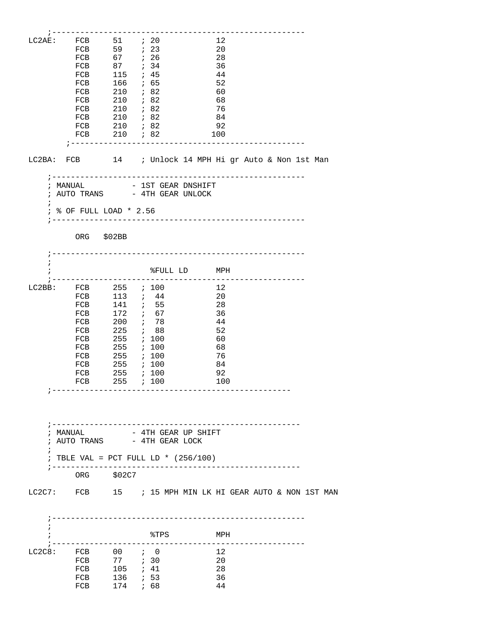| LC2AE:     | FCB 51 <i>i</i> 20                                         |                                    |                        |  | 12  |  |  |  |
|------------|------------------------------------------------------------|------------------------------------|------------------------|--|-----|--|--|--|
|            |                                                            |                                    |                        |  | 20  |  |  |  |
|            | FCB 59 ; 23<br>FCB 67 ; 26                                 |                                    |                        |  | 28  |  |  |  |
|            | FCB 87 ; 34                                                |                                    |                        |  | 36  |  |  |  |
|            | FCB 115 <i>i</i> 45                                        |                                    |                        |  | 44  |  |  |  |
|            | FCB                                                        | 166 ; 65                           |                        |  | 52  |  |  |  |
|            | FCB                                                        |                                    |                        |  | 60  |  |  |  |
|            | FCB                                                        | $210$ ; 82<br>$210$ ; 82           |                        |  | 68  |  |  |  |
|            | FCB 210 ; 82                                               |                                    |                        |  | 76  |  |  |  |
|            | FCB 210 <i>i</i> 82                                        |                                    |                        |  | 84  |  |  |  |
|            |                                                            |                                    |                        |  | 92  |  |  |  |
|            | FCB 210 <i>i</i> 82                                        |                                    |                        |  | 100 |  |  |  |
|            | FCB 210 <i>i</i> 82<br>;---------------------------------- |                                    |                        |  |     |  |  |  |
|            | LC2BA: FCB 14 ; Unlock 14 MPH Hi gr Auto & Non 1st Man     |                                    |                        |  |     |  |  |  |
|            |                                                            |                                    |                        |  |     |  |  |  |
|            |                                                            |                                    |                        |  |     |  |  |  |
|            | ; MANUAL                                                   | - 1ST GEAR DNSHIFT                 |                        |  |     |  |  |  |
|            | $:$ AUTO TRANS $-$ 4TH GEAR UNLOCK                         |                                    |                        |  |     |  |  |  |
| $\ddot{i}$ |                                                            |                                    |                        |  |     |  |  |  |
|            | ; % OF FULL LOAD * 2.56                                    |                                    |                        |  |     |  |  |  |
|            |                                                            |                                    |                        |  |     |  |  |  |
|            | ORG \$02BB                                                 |                                    |                        |  |     |  |  |  |
|            |                                                            |                                    |                        |  |     |  |  |  |
|            |                                                            |                                    |                        |  |     |  |  |  |
| $\ddot{i}$ |                                                            |                                    |                        |  |     |  |  |  |
|            |                                                            |                                    | %FULL LD MPH           |  |     |  |  |  |
|            |                                                            |                                    |                        |  |     |  |  |  |
|            | LC2BB: FCB 255 <i>i</i> 100                                |                                    |                        |  | 12  |  |  |  |
|            | FCB 113 <i>i</i> 44                                        |                                    |                        |  | 20  |  |  |  |
|            | FCB                                                        |                                    |                        |  | 28  |  |  |  |
|            | FCB                                                        | 141 <i>;</i> 55<br>172 <i>;</i> 67 |                        |  | 36  |  |  |  |
|            | FCB 200 ; 78                                               |                                    |                        |  | 44  |  |  |  |
|            | FCB 225 <i>i</i> 88                                        |                                    |                        |  | 52  |  |  |  |
|            | FCB                                                        | 255 ; 100                          |                        |  | 60  |  |  |  |
|            | FCB                                                        |                                    |                        |  | 68  |  |  |  |
|            | FCB                                                        |                                    |                        |  | 76  |  |  |  |
|            | FCB 255 ; 100                                              |                                    |                        |  | 84  |  |  |  |
|            | FCB 255 ; 100                                              |                                    |                        |  | 92  |  |  |  |
|            | FCB 255 <i>i</i> 100                                       |                                    |                        |  | 100 |  |  |  |
|            |                                                            |                                    | ---------------------- |  |     |  |  |  |
|            |                                                            |                                    |                        |  |     |  |  |  |
|            |                                                            |                                    |                        |  |     |  |  |  |
|            |                                                            |                                    |                        |  |     |  |  |  |
|            |                                                            |                                    |                        |  |     |  |  |  |
| i          | MANUAL<br>: AUTO TRANS - 4TH GEAR LOCK                     |                                    | - 4TH GEAR UP SHIFT    |  |     |  |  |  |
| $\ddot{ }$ |                                                            |                                    |                        |  |     |  |  |  |
|            | ; TBLE VAL = PCT FULL LD * $(256/100)$                     |                                    |                        |  |     |  |  |  |
|            | ; ------------                                             |                                    |                        |  |     |  |  |  |
|            | ORG \$02C7                                                 |                                    |                        |  |     |  |  |  |
|            |                                                            |                                    |                        |  |     |  |  |  |
|            | LC2C7: FCB 15 ; 15 MPH MIN LK HI GEAR AUTO & NON 1ST MAN   |                                    |                        |  |     |  |  |  |
|            |                                                            |                                    |                        |  |     |  |  |  |
|            |                                                            |                                    |                        |  |     |  |  |  |
| i          |                                                            |                                    |                        |  |     |  |  |  |
| $\ddot{i}$ |                                                            |                                    | %TPS                   |  | MPH |  |  |  |
|            |                                                            |                                    |                        |  |     |  |  |  |
|            | $LC2C8:$ $FCB$                                             | $00$ ; 0                           |                        |  | 12  |  |  |  |
|            |                                                            |                                    |                        |  | 20  |  |  |  |
|            | FCB 77 <i>i</i> 30<br>FCB 105 <i>i</i> 41                  |                                    |                        |  | 28  |  |  |  |
|            | FCB 136 <i>i</i> 53                                        |                                    |                        |  | 36  |  |  |  |
|            | FCB 174 <i>i</i> 68                                        |                                    |                        |  | 44  |  |  |  |
|            |                                                            |                                    |                        |  |     |  |  |  |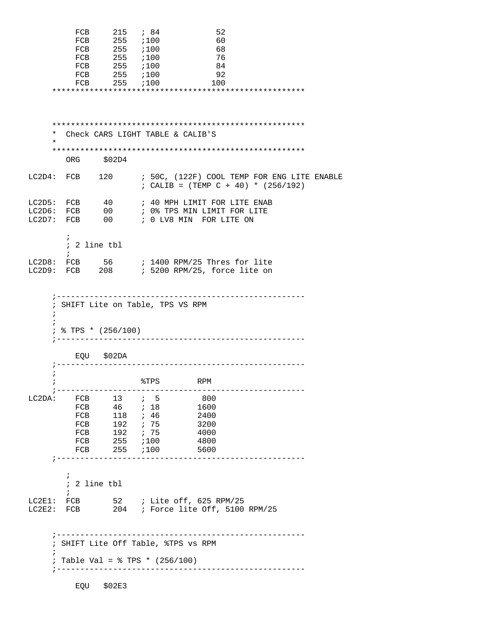|                          | FCB<br>FCB                                                                       | FCB 215 <i>i</i> 84<br>FCB 255 ;100<br>FCB 255 ;100<br>FCB 255 <i>i</i> 100<br>255 ;100<br>255 i100<br>FCB 255 ;100 |                                  | 52<br>60<br>- 68<br>76<br>84<br>- 92<br>100                                                                                        |  |
|--------------------------|----------------------------------------------------------------------------------|---------------------------------------------------------------------------------------------------------------------|----------------------------------|------------------------------------------------------------------------------------------------------------------------------------|--|
| *<br>$\star$             |                                                                                  |                                                                                                                     |                                  | Check CARS LIGHT TABLE & CALIB'S                                                                                                   |  |
|                          | ORG \$02D4                                                                       |                                                                                                                     |                                  |                                                                                                                                    |  |
|                          |                                                                                  |                                                                                                                     |                                  | LC2D4: FCB 120 ; 50C, (122F) COOL TEMP FOR ENG LITE ENABLE<br>; CALIB = $(TEMP C + 40) * (256/192)$                                |  |
|                          |                                                                                  |                                                                                                                     |                                  | LC2D5: FCB $40$ ; 40 MPH LIMIT FOR LITE ENAB<br>LC2D6: FCB 00 ; 0% TPS MIN LIMIT FOR LITE<br>LC2D7: FCB 00 ; 0 LV8 MIN FOR LITE ON |  |
|                          | $\ddot{i}$<br>; 2 line tbl<br>$\ddot{ }$                                         |                                                                                                                     |                                  |                                                                                                                                    |  |
|                          |                                                                                  |                                                                                                                     |                                  | LC2D8: FCB 56 ; 1400 RPM/25 Thres for lite<br>LC2D9: FCB 208 ; 5200 RPM/25, force lite on                                          |  |
| $\ddot{i}$<br>$\ddot{i}$ | ; SHIFT Lite on Table, TPS VS RPM<br>$:$ % TPS * (256/100)                       |                                                                                                                     |                                  | --------------------------<br>----------------                                                                                     |  |
|                          |                                                                                  | EQU \$02DA                                                                                                          |                                  | --------------------------                                                                                                         |  |
| $\ddot{i}$<br>÷          |                                                                                  |                                                                                                                     | %TPS                             | RPM                                                                                                                                |  |
| LC2DA:                   | FCB<br>FCB<br>FCB<br>FCB<br>FCB<br>FCB<br>FCB                                    | 13<br>46 ; 18<br>118<br>192 ; 75<br>$255$ ; 100<br>$255$ $i100$                                                     | $\ddot{i}$ 5<br>7.46<br>192 ; 75 | 800<br>1600<br>2400<br>3200<br>4000<br>4800<br>5600                                                                                |  |
|                          | $\ddot{ }$<br>; 2 line tbl<br>$\ddot{ }$                                         |                                                                                                                     |                                  |                                                                                                                                    |  |
|                          | LC2E1: FCB                                                                       |                                                                                                                     |                                  | LC2E2: FCB 204 ; Force lite Off, 5100 RPM/25                                                                                       |  |
| $\ddot{i}$               | ; SHIFT Lite Off Table, %TPS vs RPM<br>Table Val = $\frac{1}{2}$ TPS * (256/100) |                                                                                                                     |                                  |                                                                                                                                    |  |
|                          |                                                                                  | EQU \$02E3                                                                                                          |                                  | --------------------------------------                                                                                             |  |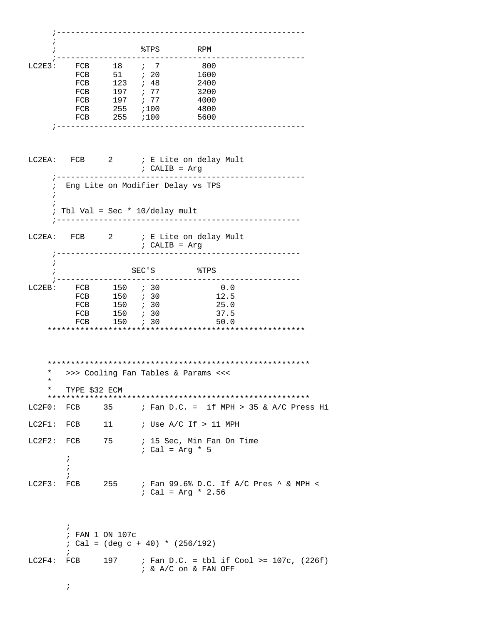|            |                          |                            | %TPS                                               | RPM                                         |  |
|------------|--------------------------|----------------------------|----------------------------------------------------|---------------------------------------------|--|
| LC2E3:     | FCB                      | $18$ ; 7                   |                                                    | 800                                         |  |
|            | FCB                      |                            |                                                    | 1600                                        |  |
|            |                          | FCB 123 ; 48               |                                                    | 2400                                        |  |
|            |                          | FCB 197 ; 77               |                                                    | 3200                                        |  |
|            |                          | FCB 197                    | 77                                                 | 4000                                        |  |
|            | FCB                      | $255$ ; 100                |                                                    | 4800                                        |  |
|            | FCB<br>---------         | $255$ $i100$<br>---------- |                                                    | 5600                                        |  |
|            |                          |                            |                                                    |                                             |  |
|            |                          |                            | ; CALIB = Arg                                      | LC2EA: FCB 2 ; E Lite on delay Mult         |  |
| $\ddot{i}$ |                          |                            | Eng Lite on Modifier Delay vs TPS                  |                                             |  |
|            |                          |                            | Tbl Val = Sec $*$ 10/delay mult                    |                                             |  |
| LC2EA:     |                          |                            | $:$ CALIB = Arg<br>------------------------------- | FCB 2 ; E Lite on delay Mult                |  |
|            |                          | SEC'S                      |                                                    | $\texttt{\$TPS}$                            |  |
| $LC2EB$ :  |                          | FCB 150 <i>i</i> 30        |                                                    | 0.0                                         |  |
|            |                          | FCB 150 ; 30               |                                                    | 12.5                                        |  |
|            |                          | FCB 150 ; 30               |                                                    | 25.0                                        |  |
|            |                          | FCB 150 <i>i</i> 30        |                                                    | 37.5                                        |  |
|            |                          | FCB 150 <i>i</i> 30        |                                                    | 50.0                                        |  |
|            |                          |                            |                                                    |                                             |  |
| *          |                          |                            | >>> Cooling Fan Tables & Params <<<                |                                             |  |
| *          |                          |                            |                                                    |                                             |  |
| $\ast$     | TYPE \$32 ECM            |                            |                                                    |                                             |  |
|            |                          |                            |                                                    |                                             |  |
| LC2F0: FCB |                          | 35                         |                                                    | ; Fan D.C. = if MPH > 35 & A/C Press Hi     |  |
| $LC2F1$ :  | FCB                      | 11                         |                                                    | ; Use $A/C$ If $> 11$ MPH                   |  |
| LC2F2:     | FCB<br>;<br>i.           | 75                         | $:$ Cal = Arg * 5                                  | ; 15 Sec, Min Fan On Time                   |  |
| LC2F3:     | $\ddot{i}$<br>FCB        | 255                        | ; Cal = Arg * 2.56                                 | ; Fan 99.6% D.C. If A/C Pres ^ & MPH <      |  |
|            | $\ddot{i}$<br>$\ddot{i}$ | ; FAN 1 ON 107c            | $: Cal = (deg c + 40) * (256/192)$                 |                                             |  |
| LC2F4:     | FCB                      | 197                        | $i \& A/C$ on $\&$ FAN OFF                         | ; Fan D.C. = tbl if Cool >= $107c$ , (226f) |  |
|            | $\ddot{ }$               |                            |                                                    |                                             |  |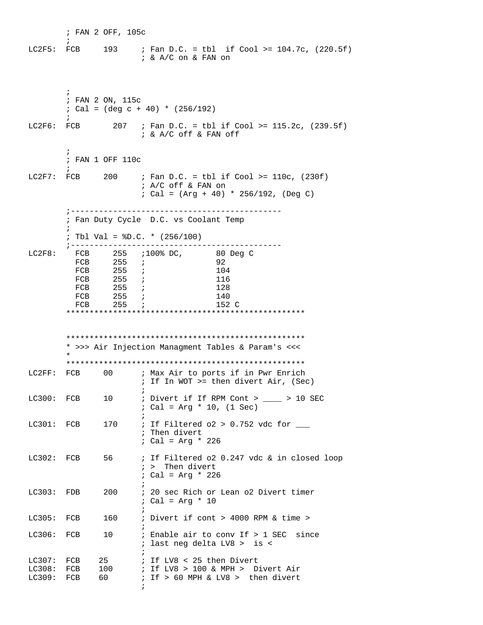; FAN 2 OFF, 105c  $\mathcal{L}^{\text{max}}$ LC2F5: FCB 193 ; Fan D.C. = tbl if Cool >= 104.7c, (220.5f) ; & A/C on & FAN on ; ; FAN 2 ON, 115c  $;$  Cal = (deg c + 40) \* (256/192)  $\mathcal{L}^{\text{max}}$ LC2F6: FCB 207 ; Fan D.C. = tbl if Cool >= 115.2c, (239.5f) ; & A/C off & FAN off  $\mathcal{L}^{\text{max}}$  ; FAN 1 OFF 110c  $\mathcal{L}^{\text{max}}$ LC2F7: FCB 200 ; Fan D.C. = tbl if Cool >=  $110c$ , (230f) ; A/C off & FAN on ; Cal = (Arg + 40) \* 256/192, (Deg C) ;--------------------------------------------- ; Fan Duty Cycle D.C. vs Coolant Temp  $\mathcal{L}^{\text{max}}$  ; Tbl Val = %D.C. \* (256/100) ;--------------------------------------------- LC2F8: FCB 255 ;100% DC, 80 Deg C FCB 255 *;* 92 FCB 255 *;* 104 FCB 255 *;* 116 FCB 255 *;* 128 FCB 255 *;* 140 FCB 255 *;* 152 C \*\*\*\*\*\*\*\*\*\*\*\*\*\*\*\*\*\*\*\*\*\*\*\*\*\*\*\*\*\*\*\*\*\*\*\*\*\*\*\*\*\*\*\*\*\*\*\*\*\*\* \*\*\*\*\*\*\*\*\*\*\*\*\*\*\*\*\*\*\*\*\*\*\*\*\*\*\*\*\*\*\*\*\*\*\*\*\*\*\*\*\*\*\*\*\*\*\*\*\*\*\* \* >>> Air Injection Managment Tables & Param's <<<  $\star$  \*\*\*\*\*\*\*\*\*\*\*\*\*\*\*\*\*\*\*\*\*\*\*\*\*\*\*\*\*\*\*\*\*\*\*\*\*\*\*\*\*\*\*\*\*\*\*\*\*\*\* LC2FF: FCB 00 ; Max Air to ports if in Pwr Enrich ; If In WOT >= then divert Air, (Sec)  $\mathcal{L}$  ; and the state  $\mathcal{L}$  is the state of  $\mathcal{L}$ LC300: FCB 10 ; Divert if If RPM Cont > \_\_\_\_ > 10 SEC ; Cal = Arg \* 10, (1 Sec)  $\mathcal{L}$  ; and the contract of  $\mathcal{L}$ LC301: FCB  $170$  ; If Filtered o2 > 0.752 vdc for  $\_\_$  ; Then divert ; Cal = Arg \* 226 LC302: FCB 56 ; If Filtered o2 0.247 vdc & in closed loop ; > Then divert ; Cal = Arg \* 226  $\mathcal{L}$  ; and the state  $\mathcal{L}$  is the state of  $\mathcal{L}$ LC303: FDB 200 ; 20 sec Rich or Lean o2 Divert timer ; Cal = Arg \* 10  $\mathcal{L}$  ; and the contract of  $\mathcal{L}$ LC305: FCB 160 ; Divert if cont > 4000 RPM & time >  $\mathcal{L}$  ; and the state  $\mathcal{L}$  is the state of  $\mathcal{L}$ LC306: FCB 10 ; Enable air to conv If > 1 SEC since ; last neg delta LV8 > is <  $\mathcal{L}$  ; and the contract of  $\mathcal{L}$ LC307: FCB 25 ; If LV8 < 25 then Divert<br>
LC308: FCB 100 ; If LV8 > 100 & MPH > D:<br>
IC300: TCP 10 LC308: FCB 100 ; If LV8 > 100 & MPH > Divert Air<br>
LC309: FCB 60 ; If > 60 MPH & LV8 > then divert  $;$  If > 60 MPH & LV8 > then divert  $\mathcal{L}$  ; and the contract of  $\mathcal{L}$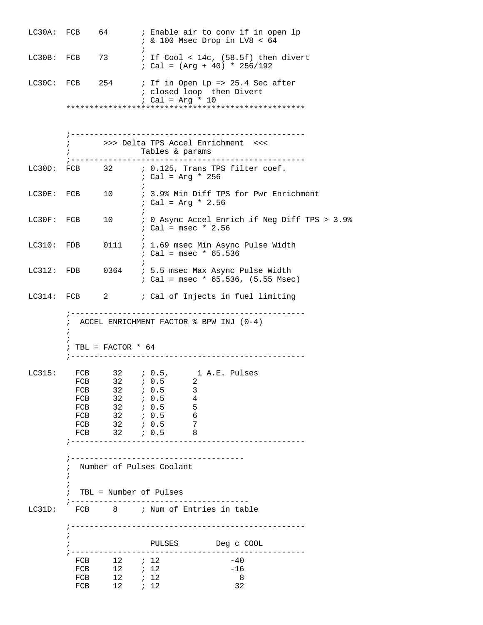|            | LC30A: FCB               | 64                                    |                                                             | ; Enable air to conv if in open lp<br>$: 200$ Msec Drop in LV8 < 64                      |  |
|------------|--------------------------|---------------------------------------|-------------------------------------------------------------|------------------------------------------------------------------------------------------|--|
|            |                          | LC30B: FCB 73                         |                                                             | ; If $Cool < 14c$ , $(58.5f)$ then divert<br>$:$ Cal = (Arg + 40) * 256/192              |  |
|            |                          | LC30C: FCB 254                        | ; closed loop then Divert<br>: Cal = Arg * 10               | ; If in Open Lp => 25.4 Sec after                                                        |  |
|            |                          |                                       |                                                             |                                                                                          |  |
|            |                          |                                       |                                                             |                                                                                          |  |
|            |                          |                                       | ; >>> Delta TPS Accel Enrichment <<<<br>Tables & params     |                                                                                          |  |
|            |                          |                                       | ; Cal = Arg * 256                                           | LC30D: FCB $32$ ; 0.125, Trans TPS filter coef.                                          |  |
| LC30E: FCB |                          | 10                                    | $:$ Cal = Arg * 2.56                                        | ; 3.9% Min Diff TPS for Pwr Enrichment                                                   |  |
| LC30F: FCB |                          | 10                                    | ; Cal = $msec * 2.56$                                       | ; 0 Async Accel Enrich if Neg Diff TPS > 3.9%                                            |  |
|            |                          |                                       | $:$ Cal = msec * 65.536                                     | LC310: FDB 0111 : 1.69 msec Min Async Pulse Width                                        |  |
|            |                          |                                       |                                                             | LC312: FDB 0364 ; 5.5 msec Max Async Pulse Width<br>$:$ Cal = msec * 65.536, (5.55 Msec) |  |
|            |                          | LC314: FCB 2                          |                                                             | ; Cal of Injects in fuel limiting                                                        |  |
|            |                          |                                       |                                                             |                                                                                          |  |
|            | $\ddot{ }$<br>$\ddot{i}$ | ; TBL = FACTOR $* 64$                 | $:$ ACCEL ENRICHMENT FACTOR $\textdegree$ BPW INJ (0-4)     |                                                                                          |  |
|            |                          |                                       |                                                             |                                                                                          |  |
|            |                          |                                       | LC315: FCB 32 ; 0.5, 1 A.E. Pulses<br>FCB 32 <i>i</i> 0.5 2 |                                                                                          |  |
|            |                          | FCB 32 ; 0.5                          | 3                                                           |                                                                                          |  |
|            |                          |                                       | FCB 32 <i>i</i> 0.5 4                                       |                                                                                          |  |
|            |                          | FCB 32 <i>i</i> 0.5                   | - 5                                                         |                                                                                          |  |
|            | FCB                      | 32                                    | 6<br>; 0.5<br>- 7                                           |                                                                                          |  |
|            | FCB                      |                                       | FCB $32 : 0.5$<br>$32$ ; 0.5<br>$\overline{\phantom{a}}$ 8  |                                                                                          |  |
|            | $\ddot{i}$<br>$\ddot{i}$ |                                       | Number of Pulses Coolant<br>TBL = Number of Pulses          |                                                                                          |  |
| LC31D:     |                          |                                       | FCB 8 ; Num of Entries in table                             |                                                                                          |  |
|            |                          |                                       |                                                             | -------------------------------------                                                    |  |
|            |                          |                                       | PULSES Deg c COOL                                           |                                                                                          |  |
|            |                          | FCB $12$ ; $12$                       |                                                             | $-40$                                                                                    |  |
|            |                          | FCB 12 <i>i</i> 12<br>FCB $12$ ; $12$ |                                                             | $-16$<br>8                                                                               |  |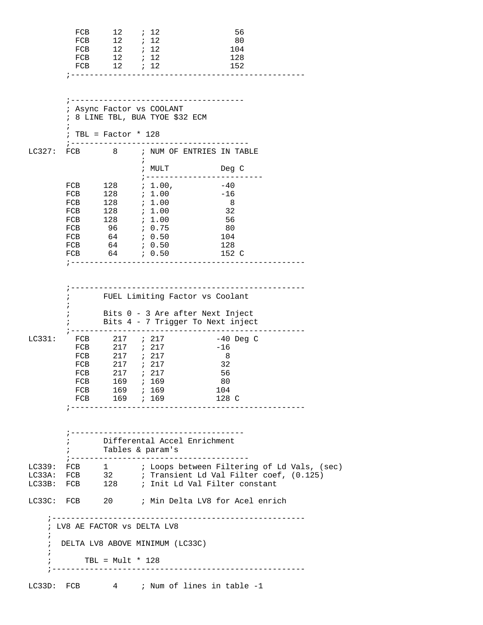|                                        | FCB<br>FCB                      | $\begin{array}{ccccc}\n12 & & & \vdots & 12 \\ 12 & & & \vdots & 12\n\end{array}$<br>FCB 12 ; 12<br>FCB 12 <i>i</i> 12<br>FCB 12 <i>i</i> 12 |                                                                                                           | - 56<br>80<br>104<br>128<br>152                                                                                                     |  |
|----------------------------------------|---------------------------------|----------------------------------------------------------------------------------------------------------------------------------------------|-----------------------------------------------------------------------------------------------------------|-------------------------------------------------------------------------------------------------------------------------------------|--|
|                                        | $\mathbf{r}$                    | $: TBL = Factor * 128$                                                                                                                       | ; Async Factor vs COOLANT<br>; 8 LINE TBL, BUA TYOE \$32 ECM                                              |                                                                                                                                     |  |
|                                        |                                 |                                                                                                                                              |                                                                                                           | LC327: FCB $8$ ; NUM OF ENTRIES IN TABLE                                                                                            |  |
|                                        |                                 |                                                                                                                                              | $\ddot{ }$                                                                                                | ; MULT Deg C                                                                                                                        |  |
|                                        | FCB<br>FCB<br>FCB<br>FCB<br>FCB | $\begin{array}{c} 128 \\ 128 \end{array}$                                                                                                    | $128$ ; 1.00<br>7.1.00<br>; 1.00<br>FCB 128 <i>i</i> 1.00<br>FCB 96 <i>i</i> 0.75<br>FCB 64 <i>i</i> 0.50 | ;-------------------------<br>FCB $128$ ; 1.00, $-40$<br>$-16$<br>8<br>32<br>56<br>80<br>104<br>128<br>152 C                        |  |
|                                        | i.                              |                                                                                                                                              |                                                                                                           | FUEL Limiting Factor vs Coolant<br>Bits 0 - 3 Are after Next Inject<br>Bits 4 - 7 Trigger To Next inject                            |  |
| LC331:                                 | FCB<br>FCB                      | FCB 217 <i>;</i> 217<br>FCB 217 ; 217<br>FCB 217 ; 217<br>$217$ ; $217$                                                                      | FCB 217 ; 217<br>169 ; 169<br>FCB 169 ; 169                                                               | -40 Deg C<br>$-16$<br>- 8<br>32<br>56<br>80<br>104<br>FCB 169 ; 169 128 C                                                           |  |
|                                        | $\mathbf{r}$ and $\mathbf{r}$   |                                                                                                                                              | Tables & param's                                                                                          | Differental Accel Enrichment<br>;-------------------------------------                                                              |  |
|                                        |                                 |                                                                                                                                              |                                                                                                           | LC339: FCB 1 : Loops between Filtering of Ld Vals, (sec)<br>LC33A: FCB $\qquad$ 32 $\qquad$ ; Transient Ld Val Filter coef, (0.125) |  |
|                                        |                                 |                                                                                                                                              |                                                                                                           | LC33B: FCB 128 ; Init Ld Val Filter constant                                                                                        |  |
|                                        |                                 |                                                                                                                                              |                                                                                                           | LC33C: FCB 20 ; Min Delta LV8 for Acel enrich                                                                                       |  |
| $\ddot{ }$<br>$\ddot{i}$<br>$\ddot{i}$ | TBL = $Mult * 128$              |                                                                                                                                              | ; LV8 AE FACTOR VS DELTA LV8<br>; DELTA LV8 ABOVE MINIMUM (LC33C)                                         |                                                                                                                                     |  |
|                                        | ; ___________________           |                                                                                                                                              |                                                                                                           | LC33D: FCB 4 ; Num of lines in table -1                                                                                             |  |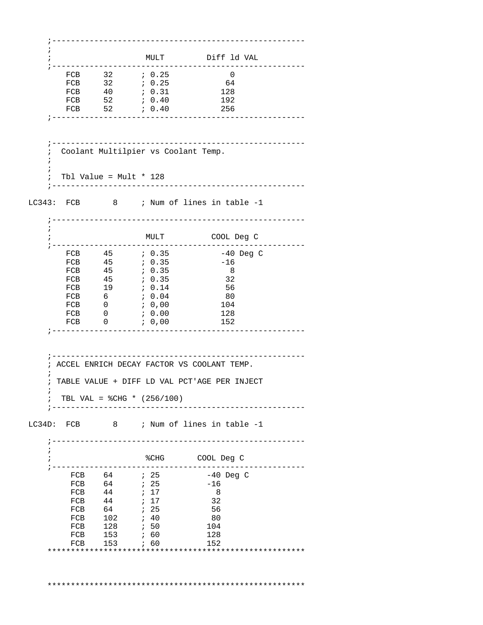;------------------------------------------------------ ; ; MULT Diff ld VAL  $\begin{tabular}{lllllllll} $r$ & $r$ & $r$ & $r$ & $r$ & $r$ & $r$ & $r$ & $r$ \\ \hline $FCB$ & $32$ & $; 0.25$ & $64$ & $r$ & $64$ & $r$ & $610$ & $128$ & $64$ & $r$ & $650$ & $660$ & $670$ & $680$ & $670$ & $680$ & $670$ & $680$ & $680$ & $680$ & $690$ & $680$ & $690$ & $690$ & $690$ & $690$ & $690$ & $690$ & $690$ FCB 32 *i* 0.25 0 FCB 32 *i* 0.25 64 FCB 40 ; 0.31 128 FCB 52 *i* 0.40 192 FCB 52 *i* 0.40 256 ;------------------------------------------------------ ;------------------------------------------------------ ; Coolant Multilpier vs Coolant Temp.  $\mathcal{L}$  ; ; Tbl Value = Mult \* 128 ;------------------------------------------------------ LC343: FCB 8 ; Num of lines in table -1 ;------------------------------------------------------ ; ; MULT COOL Deg C ;------------------------------------------------------ FCB 45 ; 0.35 -40 Deg C FCB  $45$  ; 0.35  $-16$ FCB 45 *i* 0.35 8 FCB 45 *i* 0.35 32 FCB 19 *;* 0.14 56 FCB 6 *i* 0.04 80 FCB 0  $: 0,00$  104 FCB 0  $\,$  ; 0.00 128 FCB 0  $; 0,00$  152 ;------------------------------------------------------ ;------------------------------------------------------ ; ACCEL ENRICH DECAY FACTOR VS COOLANT TEMP.  $\mathcal{L}$  ; TABLE VALUE + DIFF LD VAL PCT'AGE PER INJECT  $\mathbf{i}$ ; TBL VAL =  $CHG * (256/100)$  ;------------------------------------------------------ LC34D: FCB 8 ; Num of lines in table -1 ;------------------------------------------------------ ; ; https://www.facture.com/degitations/sections/sections/sections/sections/sections/sections/sections/sections/ ;------------------------------------------------------ FCB 64 ; 25 -40 Deg C  $FCB$  64 ; 25 -16 FCB 44 ; 17 8 FCB 44 ; 17 32 FCB 64 *;* 25 56 FCB 102 ; 40 80 FCB 128 *;* 50 104 FCB 153 *;* 60 128 FCB 153 *;* 60 152 \*\*\*\*\*\*\*\*\*\*\*\*\*\*\*\*\*\*\*\*\*\*\*\*\*\*\*\*\*\*\*\*\*\*\*\*\*\*\*\*\*\*\*\*\*\*\*\*\*\*\*\*\*\*\* \*\*\*\*\*\*\*\*\*\*\*\*\*\*\*\*\*\*\*\*\*\*\*\*\*\*\*\*\*\*\*\*\*\*\*\*\*\*\*\*\*\*\*\*\*\*\*\*\*\*\*\*\*\*\*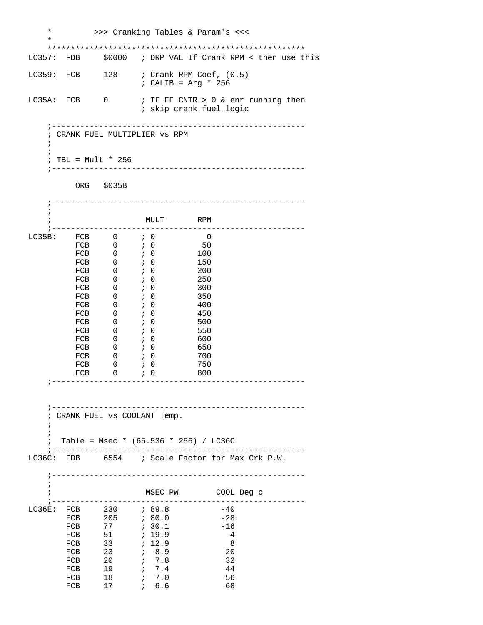| $\star$                  |                    |                                                                                                                                                                                                                                          |                                                                                  | >>> Cranking Tables & Param's <<<                              |
|--------------------------|--------------------|------------------------------------------------------------------------------------------------------------------------------------------------------------------------------------------------------------------------------------------|----------------------------------------------------------------------------------|----------------------------------------------------------------|
| $\ast$                   |                    |                                                                                                                                                                                                                                          |                                                                                  |                                                                |
|                          |                    |                                                                                                                                                                                                                                          |                                                                                  | LC357: FDB \$0000 ; DRP VAL If Crank RPM < then use this       |
|                          |                    |                                                                                                                                                                                                                                          | : CALIB = Arg * 256                                                              | LC359: FCB 128 ; Crank RPM Coef, (0.5)                         |
|                          | LC35A: FCB 0       |                                                                                                                                                                                                                                          |                                                                                  | ; IF FF CNTR > 0 & enr running then<br>; skip crank fuel logic |
|                          |                    |                                                                                                                                                                                                                                          |                                                                                  |                                                                |
| $\ddot{ }$               |                    |                                                                                                                                                                                                                                          | ; CRANK FUEL MULTIPLIER VS RPM                                                   |                                                                |
| $\ddot{i}$               |                    |                                                                                                                                                                                                                                          |                                                                                  |                                                                |
|                          | ; TBL = Mult * 256 |                                                                                                                                                                                                                                          |                                                                                  |                                                                |
|                          |                    | ORG \$035B                                                                                                                                                                                                                               |                                                                                  |                                                                |
|                          |                    |                                                                                                                                                                                                                                          | -----------------------                                                          |                                                                |
| i.                       |                    |                                                                                                                                                                                                                                          | MULT RPM                                                                         |                                                                |
|                          |                    | LC35B: $FCB$ 0 ; 0                                                                                                                                                                                                                       |                                                                                  | $\overline{0}$                                                 |
|                          | FCB                | $\begin{tabular}{lllllll} \multicolumn{2}{c}{\text{FCB}} & & 0 & & \mbox{\em\it i} & 0 \\ \multicolumn{2}{c}{\text{FCB}} & & 0 & & \mbox{\em\it i} & 0 \\ \multicolumn{2}{c}{\text{FCB}} & & 0 & & \mbox{\em\it i} & 0 \\ \end{tabular}$ | $\cdot$ 0                                                                        | 50                                                             |
|                          |                    |                                                                                                                                                                                                                                          |                                                                                  | 100                                                            |
|                          |                    | $FCB$ 0 $\rightarrow$ 0                                                                                                                                                                                                                  |                                                                                  | 150                                                            |
|                          |                    | $\begin{matrix} \text{FCB} & \hspace{1.5cm} 0 & \hspace{1.5cm} \end{matrix} \hspace{1.5cm} \begin{matrix} \hspace{1.5cm} 0 \hspace{1.5cm} \end{matrix}$<br>$\overline{0}$                                                                | $\begin{matrix}1\\0\end{matrix}$                                                 | 200<br>250                                                     |
|                          | FCB<br>FCB         | $\overline{0}$                                                                                                                                                                                                                           | $\cdot$ 0                                                                        | 300                                                            |
|                          | FCB                | $0 \qquad ; \qquad 0$                                                                                                                                                                                                                    |                                                                                  | 350                                                            |
|                          | FCB                | $0 \qquad ; \qquad 0$                                                                                                                                                                                                                    |                                                                                  | 400                                                            |
|                          | FCB                | $0 \qquad ; \quad 0$                                                                                                                                                                                                                     |                                                                                  | 450                                                            |
|                          |                    | $FCB$ 0                                                                                                                                                                                                                                  | $\ddot{i}$ 0<br>$\ddot{i}$ 0                                                     | 500                                                            |
|                          | FCB                | $\overline{0}$<br>$FCB$ 0                                                                                                                                                                                                                | $\ddot{i}$ 0                                                                     | 550<br>600                                                     |
|                          |                    | FCB 0 <i>i</i> 0                                                                                                                                                                                                                         |                                                                                  | 650                                                            |
|                          |                    | FCB $0$ ; 0                                                                                                                                                                                                                              |                                                                                  | 700                                                            |
|                          | FCB                | $\overline{0}$                                                                                                                                                                                                                           | $\ddot{i}$ 0                                                                     | 750                                                            |
|                          | FCB                | $\overline{0}$                                                                                                                                                                                                                           | $\cdot$ ; 0<br>----------------------------------                                | 800                                                            |
|                          |                    |                                                                                                                                                                                                                                          |                                                                                  |                                                                |
|                          |                    |                                                                                                                                                                                                                                          | ----------------------------------                                               |                                                                |
| $\ddot{ }$<br>$\ddot{ }$ |                    |                                                                                                                                                                                                                                          | CRANK FUEL VS COOLANT Temp.                                                      |                                                                |
| $\ddot{ }$               |                    |                                                                                                                                                                                                                                          |                                                                                  |                                                                |
| $\ddot{i}$               |                    |                                                                                                                                                                                                                                          | Table = Msec * $(65.536 * 256) / LC36C$<br>;------------------------------------ | ------------------                                             |
|                          |                    |                                                                                                                                                                                                                                          |                                                                                  | LC36C: FDB 6554 ; Scale Factor for Max Crk P.W.                |
|                          |                    |                                                                                                                                                                                                                                          | -----------------------                                                          |                                                                |
| $\cdot$                  |                    |                                                                                                                                                                                                                                          |                                                                                  | MSEC PW COOL Deg c                                             |
|                          |                    |                                                                                                                                                                                                                                          |                                                                                  |                                                                |
|                          |                    |                                                                                                                                                                                                                                          | LC36E: FCB 230 ; 89.8                                                            | $-40$                                                          |
|                          |                    |                                                                                                                                                                                                                                          | FCB 205 <i>i</i> 80.0                                                            | $-28$                                                          |
|                          |                    |                                                                                                                                                                                                                                          | ; 19.9                                                                           | -16<br>$-4$                                                    |
|                          | FCB 51<br>FCB 33   | 33                                                                                                                                                                                                                                       | ; 12.9                                                                           | 8                                                              |
|                          | FCB                | 23                                                                                                                                                                                                                                       | 6.9                                                                              | 20                                                             |
|                          | FCB                |                                                                                                                                                                                                                                          | $20$ ; 7.8                                                                       | 32                                                             |
|                          | FCB                | 19                                                                                                                                                                                                                                       | 7.4                                                                              | 44                                                             |
|                          | FCB                | 18<br>17                                                                                                                                                                                                                                 | ; 7.0<br>6.6                                                                     | 56<br>68                                                       |
|                          | FCB                |                                                                                                                                                                                                                                          |                                                                                  |                                                                |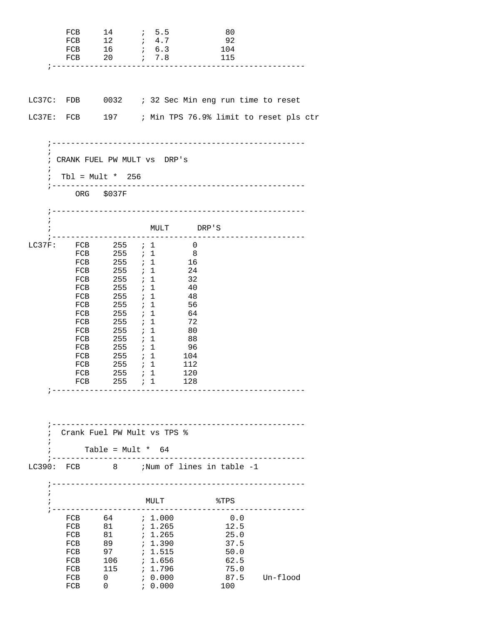|                          | FCB<br>FCB<br>FCB<br>FCB                                                                                                                          | 14<br>12<br>16<br>20                                                                                                                                                                                                                  | $\ddot{i}$ 5.5<br>$\ddot{i}$ 4.7<br>$\ddot{i}$ 6.3<br>7.8<br>;-------------------------------                                                                                                                              | - 80<br>92<br>104<br>115                                           |                                                       |
|--------------------------|---------------------------------------------------------------------------------------------------------------------------------------------------|---------------------------------------------------------------------------------------------------------------------------------------------------------------------------------------------------------------------------------------|----------------------------------------------------------------------------------------------------------------------------------------------------------------------------------------------------------------------------|--------------------------------------------------------------------|-------------------------------------------------------|
|                          |                                                                                                                                                   |                                                                                                                                                                                                                                       | LC37C: FDB 0032 ; 32 Sec Min eng run time to reset                                                                                                                                                                         |                                                                    | LC37E: FCB 197 ; Min TPS 76.9% limit to reset pls ctr |
| $\ddot{i}$<br>$\ddot{i}$ | ; Tbl = Mult * $256$<br>$\, \, \frac{1}{2} \, - \, - \, - \, - \, - \, - \, - \, - \,$                                                            | ORG \$037F                                                                                                                                                                                                                            | ; CRANK FUEL PW MULT VS DRP'S                                                                                                                                                                                              | -------------------------------                                    |                                                       |
| $\ddot{i}$<br>$\ddot{i}$ |                                                                                                                                                   |                                                                                                                                                                                                                                       | MULT DRP'S                                                                                                                                                                                                                 |                                                                    |                                                       |
| $\ddot{i}$               | LC37F: FCB<br>FCB<br>FCB<br>FCB<br>FCB<br>FCB<br>FCB<br>FCB<br>FCB<br>FCB<br>FCB<br>FCB<br>FCB<br>FCB<br>FCB<br>$_{\rm FCB}$<br>$7 - - - - - - -$ | $255$ ; 1<br>255 ; 1<br>$255$ ; 1<br>$255$ ; 1<br>$255$ ; 1<br>255<br>255<br>$255$ ; 1<br>$255$ ; 1<br>$255$ ; 1<br>255<br>$\begin{array}{ccc} -5 & 7 & 7 \\ 255 & 7 & 1 \end{array}$<br>$255$ ; 1<br>$255$ ; 1<br>FCB 255 <i>i</i> 1 | $255$ ; 1<br>$\overline{0}$<br>$_{\rm 8}$<br>16<br>24<br>32<br>- 40<br>$\cdot$ 1<br>48<br>; 1<br>56<br>64<br>72<br>- 80<br>$\cdot$ 1<br>- 88<br>96<br>$255$ ; 1<br>104<br>112<br>120<br>128<br>Crank Fuel PW Mult vs TPS % |                                                                    |                                                       |
| $\ddot{i}$               |                                                                                                                                                   | Table = $Mult * 64$                                                                                                                                                                                                                   |                                                                                                                                                                                                                            |                                                                    |                                                       |
|                          |                                                                                                                                                   |                                                                                                                                                                                                                                       | LC390: FCB 8 ;Num of lines in table -1                                                                                                                                                                                     |                                                                    |                                                       |
|                          |                                                                                                                                                   |                                                                                                                                                                                                                                       | MULT                                                                                                                                                                                                                       | $\STPS$                                                            |                                                       |
|                          | FCB<br>FCB<br>FCB<br>FCB<br>FCB<br>FCB<br>FCB<br>FCB                                                                                              | 89<br>97<br>106<br>0<br>$\mathbf{0}$                                                                                                                                                                                                  | FCB 64 ; 1.000<br>7.390<br>: 1.515<br>; 1.656<br>$115$ ; 1.796<br>, 0.000<br>70.000                                                                                                                                        | 0.0<br>12.5<br>25.0<br>37.5<br>50.0<br>62.5<br>75.0<br>87.5<br>100 | Un-flood                                              |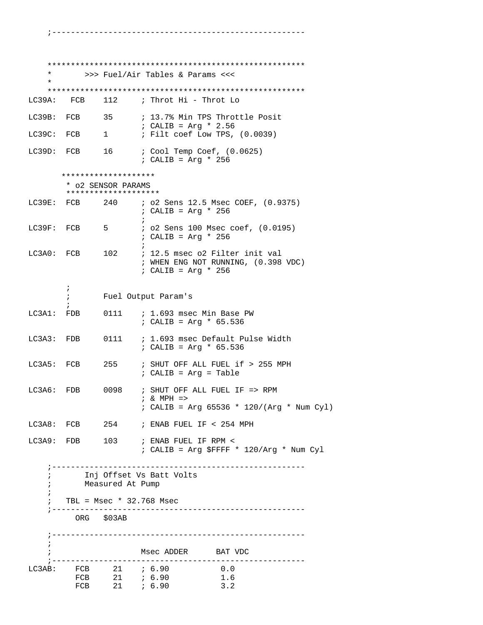\*\*\*\*\*\*\*\*\*\*\*\*\*\*\*\*\*\*\*\*\*\*\*\*\*\*\*\*\*\*\*\*\*\*\*\*\*\*\*\*\*\*\*\*\*\*\*\*\*\*\*\*\*\*\* \* >>> Fuel/Air Tables & Params <<< \* \*\*\*\*\*\*\*\*\*\*\*\*\*\*\*\*\*\*\*\*\*\*\*\*\*\*\*\*\*\*\*\*\*\*\*\*\*\*\*\*\*\*\*\*\*\*\*\*\*\*\*\*\*\*\* LC39A: FCB 112 ; Throt Hi - Throt Lo LC39B: FCB 35  $i$  13.7% Min TPS Throttle Posit : CALIB = Arg \* 2.56<br>
LC39C: FCB 1 : Filt coef Low TPS,  $i$  Filt coef Low TPS,  $(0.0039)$ LC39D: FCB 16 ; Cool Temp Coef, (0.0625) ; CALIB = Arg \* 256 \*\*\*\*\*\*\*\*\*\*\*\*\*\*\*\*\*\*\*\* \* o2 SENSOR PARAMS \*\*\*\*\*\*\*\*\*\*\*\*\*\*\*\*\*\*\*\* LC39E: FCB 240 ; o2 Sens 12.5 Msec COEF, (0.9375) ; CALIB = Arg \* 256  $\mathcal{L}$  ; and the state  $\mathcal{L}$  is the state of  $\mathcal{L}$ LC39F: FCB 5 ; o2 Sens 100 Msec coef, (0.0195) ; CALIB = Arg \* 256  $\mathcal{L}$  ; and the contract of  $\mathcal{L}$ LC3A0: FCB 102 ; 12.5 msec o2 Filter init val ; WHEN ENG NOT RUNNING, (0.398 VDC) ; CALIB = Arg \* 256  $\mathcal{L}^{\text{max}}$  ; Fuel Output Param's  $\mathcal{L}^{\text{max}}$ LC3A1: FDB 0111 ; 1.693 msec Min Base PW ; CALIB = Arg \* 65.536 LC3A3: FDB 0111 ; 1.693 msec Default Pulse Width ; CALIB = Arg \* 65.536 LC3A5: FCB 255 ; SHUT OFF ALL FUEL if > 255 MPH ; CALIB = Arg = Table LC3A6: FDB 0098 ; SHUT OFF ALL FUEL IF => RPM ; & MPH => ; CALIB = Arg 65536 \* 120/(Arg \* Num Cyl) LC3A8: FCB 254 ; ENAB FUEL IF < 254 MPH LC3A9: FDB 103 ; ENAB FUEL IF RPM < ; CALIB = Arg \$FFFF \* 120/Arg \* Num Cyl ;------------------------------------------------------ ; Inj Offset Vs Batt Volts ; Measured At Pump ; ; TBL = Msec \* 32.768 Msec ;------------------------------------------------------ ORG \$03AB ;------------------------------------------------------ ; ; https://www.mise.com/mise.com/mise.com/mise.com/mise.com/mise.com/mise.com/mise.com/mise.com/mise.com/mise.com/mise.com/mise.com/mise.com/mise.com/mise.com/mise.com/mise.com/mise.com/mise.com/mise.com/mise.com/mise.com/m ;------------------------------------------------------ LC3AB: FCB 21 *;* 6.90 0.0 FCB 21 ; 6.90 1.6 FCB 21 *i* 6.90 3.2

;------------------------------------------------------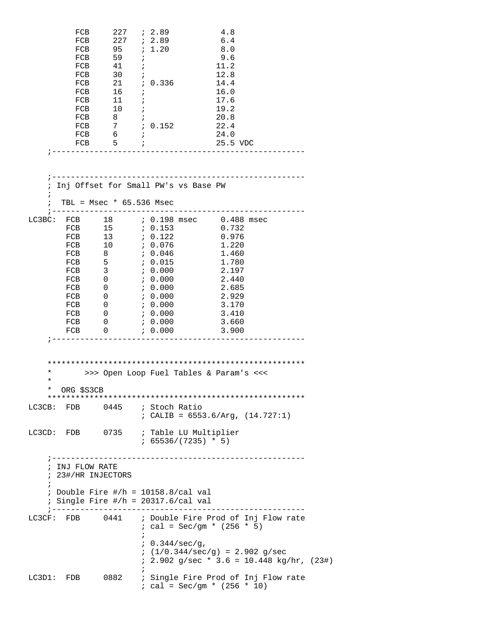|            | FCB<br>FCB<br>FCB | 227<br>FCB<br>FCB 95 <i>i</i> 1.20<br>$59$ ;<br>41<br>FCB 30<br>FCB 21 ; 0.336<br>$FCB$ 16 ;<br>$\begin{tabular}{llllll} \textbf{FCB} & & 11 & & $i$ \\ \textbf{FCB} & & 10 & & $i$ \\ \textbf{FCB} & & 8 & & $i$ \\ \end{tabular}$<br>FCB 7 ; 0.152<br>$FCB$ 6 ;<br>$FCB$ 5 ;<br>------------------------------------- | ; 2.89<br>$227$ ; 2.89<br>$\mathbf{r}$<br>$\ddot{i}$                                                       |                                                                                   | 4.8<br>6.4<br>8.0<br>9.6<br>11.2<br>12.8<br>14.4<br>16.0<br>17.6<br>19.2<br>20.8<br>22.4<br>24.0<br>25.5 VDC |                                                                                    |  |
|------------|-------------------|-------------------------------------------------------------------------------------------------------------------------------------------------------------------------------------------------------------------------------------------------------------------------------------------------------------------------|------------------------------------------------------------------------------------------------------------|-----------------------------------------------------------------------------------|--------------------------------------------------------------------------------------------------------------|------------------------------------------------------------------------------------|--|
| ÷          |                   | Inj Offset for Small PW's vs Base PW                                                                                                                                                                                                                                                                                    |                                                                                                            | ______________________________                                                    |                                                                                                              |                                                                                    |  |
| $\ddot{i}$ |                   | TBL = $Msec * 65.536 Msec$                                                                                                                                                                                                                                                                                              |                                                                                                            |                                                                                   |                                                                                                              |                                                                                    |  |
|            | FCB<br>FCB        | LC3BC: FCB 18 ; 0.198 msec 0.488 msec<br>$FCB$ 10<br>FCB 8<br>FCB 5<br>$FCB$ 3<br>$\overline{\mathbf{0}}$<br>$FCB$ 0<br>FCB 0<br>FCB 0<br>$FCB$ 0<br>$\overline{\phantom{0}}$<br>FCB 0                                                                                                                                  | 7.0.076<br>0.046<br>0.015<br>0.000<br>70.000<br>, 0.000<br>0.000<br>6.000<br>7.0.000<br>; 0.000<br>7.0.000 | _____________________                                                             | 1.220<br>1.460<br>1.780<br>2.197<br>2.440<br>2.685<br>2.929<br>3.170<br>3.410<br>3.660<br>3.900              |                                                                                    |  |
| ¥          |                   | >>> Open Loop Fuel Tables & Param's <<<                                                                                                                                                                                                                                                                                 |                                                                                                            |                                                                                   |                                                                                                              |                                                                                    |  |
| ¥<br>*     | ORG \$S3CB        |                                                                                                                                                                                                                                                                                                                         |                                                                                                            |                                                                                   |                                                                                                              |                                                                                    |  |
|            |                   | LC3CB: FDB 0445 ; Stoch Ratio                                                                                                                                                                                                                                                                                           |                                                                                                            |                                                                                   |                                                                                                              | ; CALIB = $6553.6/Arg$ , $(14.727:1)$                                              |  |
|            |                   | LC3CD: FDB 0735 ; Table LU Multiplier                                                                                                                                                                                                                                                                                   |                                                                                                            | $: 65536/(7235) * 5)$                                                             |                                                                                                              |                                                                                    |  |
|            | ; INJ FLOW RATE   | ; 23#/HR INJECTORS<br>; Double Fire $\#/h = 10158.8/\text{cal val}$<br>; Single Fire $\#/h = 20317.6/cal$ val                                                                                                                                                                                                           |                                                                                                            | ----------------------                                                            |                                                                                                              |                                                                                    |  |
|            |                   | LC3CF: FDB 0441                                                                                                                                                                                                                                                                                                         | $\ddot{i}$                                                                                                 | ; cal = Sec/gm * $(256 * 5)$<br>: 0.344/sec/g,<br>$(1/0.344/sec/g) = 2.902 g/sec$ |                                                                                                              | ; Double Fire Prod of Inj Flow rate                                                |  |
|            | LC3D1: FDB        | 0882                                                                                                                                                                                                                                                                                                                    |                                                                                                            | $: cal = Sec/gm * (256 * 10)$                                                     |                                                                                                              | $: 2.902$ g/sec * 3.6 = 10.448 kg/hr, (23#)<br>; Single Fire Prod of Inj Flow rate |  |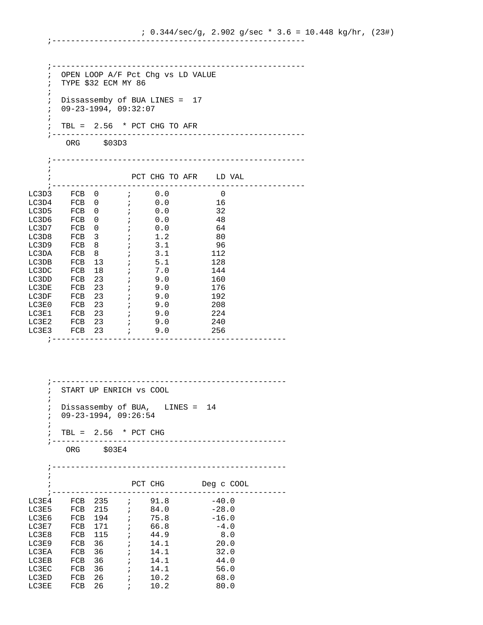;------------------------------------------------------ ; OPEN LOOP A/F Pct Chg vs LD VALUE ; TYPE \$32 ECM MY 86 ; ; Dissassemby of BUA LINES = 17 ; 09-23-1994, 09:32:07 ; ; TBL = 2.56 \* PCT CHG TO AFR ;------------------------------------------------------ ORG \$03D3 ;------------------------------------------------------ ; ; PCT CHG TO AFR LD VAL ;------------------------------------------------------ LC3D3 FCB 0 ; 0.0 0 LC3D4 FCB 0 ; 0.0 16 LC3D5 FCB 0 ; 0.0 32 LC3D6 FCB 0 ; 0.0 48 LC3D7 FCB 0 ; 0.0 64 LC3D8 FCB 3 ; 1.2 80 LC3D9 FCB 8 ; 3.1 96  $LC3DA$  FCB 8 ; 3.1 112  $LC3DB$  FCB 13 ; 5.1 128 LC3DC FCB 18 ; 7.0 144 LC3DD FCB 23 ; 9.0 160 LC3DE FCB 23 ; 9.0 176 LC3DF FCB 23 ; 9.0 192 LC3E0 FCB 23 ; 9.0 208 LC3E1 FCB 23 ; 9.0 224 LC3E2 FCB 23 ; 9.0 240 LC3E2 FCB 23 ; 9.0 240<br>
LC3E3 FCB 23 ; 9.0 256 ;-------------------------------------------------- ;--------------------------------------------------

;------------------------------------------------------

 ; START UP ENRICH vs COOL ; ; Dissassemby of BUA, LINES = 14 ; 09-23-1994, 09:26:54 ; ; TBL = 2.56 \* PCT CHG ;-------------------------------------------------- ORG \$03E4 ;-------------------------------------------------- ; ; PCT CHG Deg c COOL ;-------------------------------------------------- LC3E4 FCB 235 ; 91.8 -40.0<br>
LC3E5 FCB 215 ; 84.0 -28.0 LC3E5 FCB 215 ; 84.0 -28.0<br>LC3E6 FCB 194 ; 75.8 -16.0 LC3E6 FCB 194 ; 75.8 LC3E7 FCB 171 ; 66.8 -4.0 LC3E8 FCB 115 ; 44.9 8.0  $LC3E9$  FCB 36 ; 14.1 20.0  $LC3EA$  FCB 36 ; 14.1 32.0  $LC3EB$  FCB 36 ; 14.1 44.0  $LC3EC$  FCB 36 ; 14.1 56.0  $LC3ED$  FCB 26 ; 10.2 68.0  $LC3EE$  FCB 26 ; 10.2 80.0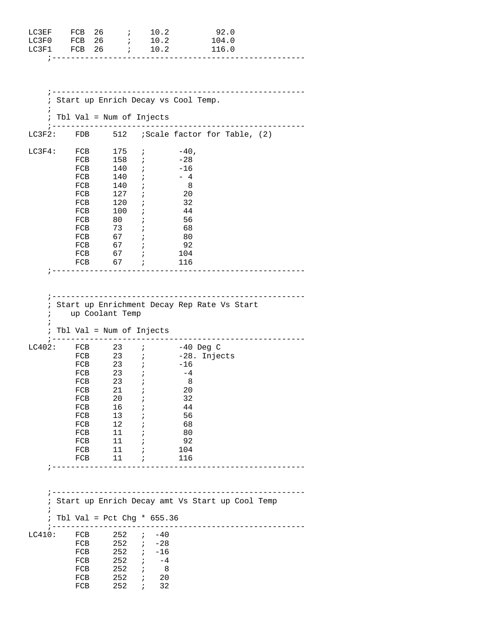| LC3EF<br>LC3F0 | FCB<br>FCB 26 | 26<br>$\mathcal{L}^{\mathcal{L}}$<br>$\ddot{i}$ | 10.2<br>10.2                           | 92.0<br>104.0                                   |
|----------------|---------------|-------------------------------------------------|----------------------------------------|-------------------------------------------------|
| LC3F1          | FCB 26        |                                                 | 10.2<br>$\mathcal{L}$                  | 116.0                                           |
|                |               |                                                 |                                        |                                                 |
|                |               |                                                 |                                        |                                                 |
|                |               |                                                 |                                        |                                                 |
| i              |               |                                                 |                                        | Start up Enrich Decay vs Cool Temp.             |
|                |               |                                                 |                                        |                                                 |
| $\ddot{ }$     |               | Tbl Val = Num of Injects<br>_________________   |                                        |                                                 |
|                |               |                                                 |                                        | LC3F2: FDB 512 ; Scale factor for Table, (2)    |
|                |               | $LC3F4:$ $FCB$ 175                              | $\mathbf{i}$ and $\mathbf{j}$          | $-40$ ,                                         |
|                | FCB           | 158                                             | $\mathbf{i}$                           | -28                                             |
|                | FCB           | 140                                             | $\mathbf{i}$                           | $-16$                                           |
|                | FCB<br>FCB    | 140<br>140                                      | $\ddot{i}$<br>$\ddot{ }$               | $-4$<br>- 8                                     |
|                |               | FCB 127                                         | i.                                     | 20                                              |
|                | FCB           | 120                                             | $\ddot{i}$                             | 32                                              |
|                | FCB           |                                                 |                                        | 44                                              |
|                | FCB           | 100<br>80                                       | $\ddot{i}$                             | 56                                              |
|                | FCB           | 73                                              | $\ddot{i}$                             | - 68                                            |
|                |               | $FCB$ 67 ;                                      |                                        | - 80                                            |
|                |               | FCB $67$ ;                                      |                                        | 92                                              |
|                | FCB           | $67$ ;                                          |                                        | 104                                             |
|                | FCB           | 67 <i>i</i>                                     |                                        | 116<br>---------------------------------        |
|                |               | Tbl Val = Num of Injects                        |                                        |                                                 |
| LC402:         |               |                                                 |                                        | FCB 23 ; -40 Deg C                              |
|                |               | $23$ ;                                          |                                        | FCB 23 ; -28. Injects                           |
|                | FCB<br>FCB    | 23                                              | $\mathcal{L} = \mathcal{L}$            | $-16$<br>-4                                     |
|                | FCB           | 23                                              |                                        | 8 <sup>8</sup>                                  |
|                | FCB           | 21                                              | $\ddot{i}$                             | 20                                              |
|                | FCB           | 20                                              |                                        | 32                                              |
|                | FCB           | 16                                              |                                        | 44                                              |
|                | FCB           | 13                                              |                                        | 56                                              |
|                | FCB           | 12                                              |                                        | 68                                              |
|                | FCB<br>FCB    | 11<br>11                                        | $\ddot{i}$                             | 80<br>92                                        |
|                |               | $FCB$ 11 ;                                      |                                        | 104                                             |
|                |               | $FCB$ 11 ;                                      |                                        | 116                                             |
|                |               |                                                 |                                        | --------------------------------                |
|                |               |                                                 |                                        |                                                 |
|                |               |                                                 |                                        |                                                 |
| ï              |               |                                                 |                                        | Start up Enrich Decay amt Vs Start up Cool Temp |
| $\cdot$        |               |                                                 |                                        |                                                 |
| $\ddot{i}$     |               | Tbl Val = Pct Chg * $655.36$                    |                                        |                                                 |
| LC410:         | FCB           | ---------------------------<br>$252$ ; $-40$    |                                        |                                                 |
|                | FCB           |                                                 | $252$ ; $-28$                          |                                                 |
|                | FCB           |                                                 | $-16$                                  |                                                 |
|                | FCB           |                                                 | 252 ;<br>252 ;<br>$-4$                 |                                                 |
|                | FCB           | 252                                             | $\overline{\phantom{0}}$<br>$\ddot{i}$ |                                                 |
|                | FCB           |                                                 | $252$ ; 20                             |                                                 |
|                | FCB           | 252                                             | $\frac{1}{2}$ 32                       |                                                 |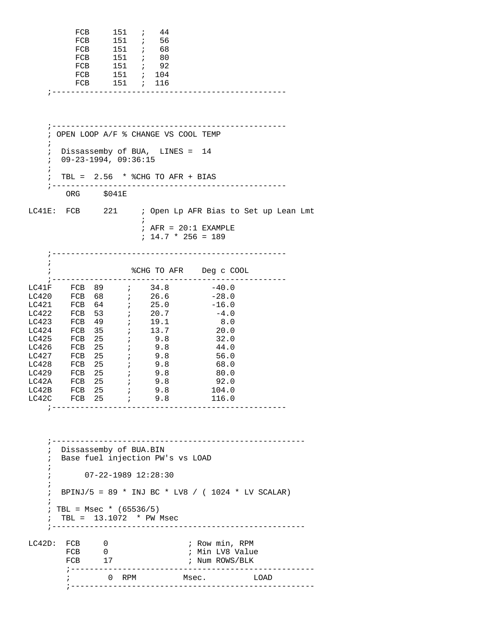| FCB        |     | $151$ ; | 44            |  |  |
|------------|-----|---------|---------------|--|--|
| FCB        |     |         | $151$ ; 56    |  |  |
| FCB        | 151 |         | 68 - 7        |  |  |
| <b>FCB</b> | 151 |         | 60 - 1        |  |  |
| FCB        |     |         | $151$ ; 92    |  |  |
| FCB        |     |         | $151$ ; $104$ |  |  |
| FCB        |     |         | $151$ ; $116$ |  |  |
|            |     |         |               |  |  |
|            |     |         |               |  |  |

 ;-------------------------------------------------- ; OPEN LOOP A/F % CHANGE VS COOL TEMP ; ; Dissassemby of BUA, LINES = 14 ; 09-23-1994, 09:36:15  $\mathcal{L}$  $\div$  TBL = 2.56  $*$  %CHG TO AFR + BIAS ;-------------------------------------------------- ORG \$041E LC41E: FCB 221 ; Open Lp AFR Bias to Set up Lean Lmt  $\mathcal{L}^{\text{max}}$  $;$  AFR = 20:1 EXAMPLE ; 14.7 \* 256 = 189 ;-------------------------------------------------- ; ; %CHG TO AFR Deg c COOL ;-------------------------------------------------- LC41F FCB 89  $i$  34.8  $-40.0$ LC420 FCB 68  $i$  26.6  $-28.0$ LC421 FCB  $64$  ; 25.0  $-16.0$ LC422 FCB 53  $i$  20.7  $-4.0$ LC423 FCB 49 ; 19.1 8.0  $LC424$  FCB 35 ; 13.7 20.0 LC425 FCB  $25$  ; 9.8 32.0 LC426 FCB  $25$  ; 9.8 44.0 LC427 FCB  $25$  ; 9.8 56.0  $LC428$  FCB  $25$  ; 9.8 68.0 LC429 FCB  $25$  ; 9.8 80.0  $LCA2A$  FCB  $25$  ; 9.8 92.0  $LCA2B$  FCB  $25$  ; 9.8 104.0 LC42C FCB  $25$  ; 9.8 116.0 ;-------------------------------------------------- ;------------------------------------------------------ ; Dissassemby of BUA.BIN ; Base fuel injection PW's vs LOAD ; ; 07-22-1989 12:28:30 ; ; BPINJ/5 = 89 \* INJ BC \* LV8 / ( 1024 \* LV SCALAR) ;  $: TBL = Msec * (65536/5)$  ; TBL = 13.1072 \* PW Msec ;------------------------------------------------------ LC42D: FCB 0 7 7 80w min, RPM FCB 0 ; Min LV8 Value FCB 17 ; Num ROWS/BLK ;---------------------------------------------------- ; 0 RPM Msec. ;----------------------------------------------------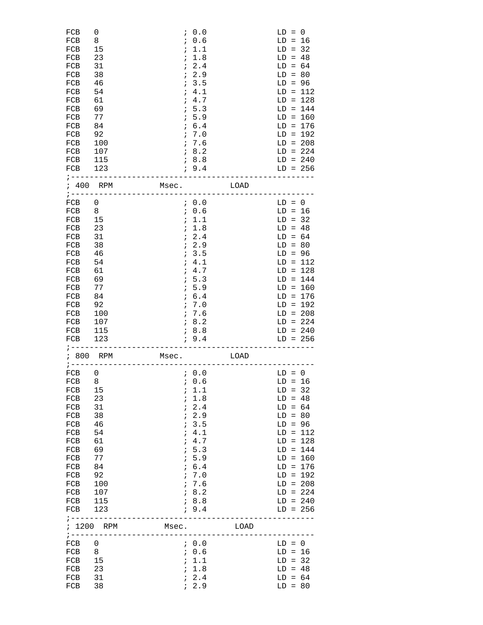| FCB<br>FCB<br>FCB<br>FCB<br>FCB<br>FCB<br>FCB<br>FCB<br>FCB<br>FCB<br>FCB<br>FCB<br>FCB<br>FCB<br>FCB<br>FCB<br>FCB<br>$7 - - - - - - - -$                          | 0<br>8<br>15<br>23<br>31<br>38<br>46<br>54<br>61<br>69<br>77<br>84<br>92<br>100<br>107<br>115<br>123                            | $\ddot{i}$<br>$\ddot{ }$<br>$\ddot{i}$<br>$\ddot{i}$<br>$\ddot{i}$<br>$\ddot{ }$ | 0.0<br>; 0.6<br>1.1<br>1.8<br>2.4<br>72.9<br>13.5<br>4.1<br>; 4.7<br>5.3<br>; 5.9<br>; 6.4<br>7.0<br>7.6<br>18.2<br>; 8.8<br>; 9.4<br>------------------------     |      | $LD = 0$<br>$LD = 16$<br>$LD = 32$<br>$LD = 48$<br>$LD = 64$<br>$LD = 80$<br>$LD = 96$ | $LD = 112$<br>$LD = 128$<br>$LD = 144$<br>$LD = 160$<br>$LD = 176$<br>$LD = 192$<br>$LD = 208$<br>$LD = 224$<br>$LD = 240$<br>$LD = 256$ |
|---------------------------------------------------------------------------------------------------------------------------------------------------------------------|---------------------------------------------------------------------------------------------------------------------------------|----------------------------------------------------------------------------------|--------------------------------------------------------------------------------------------------------------------------------------------------------------------|------|----------------------------------------------------------------------------------------|------------------------------------------------------------------------------------------------------------------------------------------|
| ; 400 RPM                                                                                                                                                           | $7 - - - - - - - - - -$                                                                                                         | Msec.<br>___________                                                             |                                                                                                                                                                    | LOAD |                                                                                        |                                                                                                                                          |
| FCB<br>FCB<br>FCB<br>FCB<br>FCB<br>FCB<br>FCB<br>FCB<br>FCB<br>FCB<br>FCB<br>FCB<br>FCB<br>FCB<br>FCB<br>FCB<br>FCB<br>$7 - - - - - - -$                            | 0<br>8<br>15<br>23<br>31<br>38<br>46<br>54<br>61<br>69<br>77<br>84<br>92<br>100<br>107<br>115<br>123                            | $\ddot{ }$<br>$\ddot{i}$<br>$\ddot{i}$<br>$\ddot{ }$                             | 70.0<br>7.0.6<br>; 1.1<br>1.8<br>72.4<br>72.9<br>7.3.5<br>4.1<br>; 4.7<br>5.3<br>; 5.9<br>; 6.4<br>7.0<br>7.6<br>18.2<br>78.8<br>; 9.4<br>------------------------ |      | $LD = 0$<br>$LD = 16$<br>$LD = 32$<br>$LD = 48$<br>$LD = 64$<br>$LD = 80$<br>$LD = 96$ | $LD = 112$<br>$LD = 128$<br>$LD = 144$<br>$LD = 160$<br>$LD = 176$<br>$LD = 192$<br>$LD = 208$<br>$LD = 224$<br>$LD = 240$<br>$LD = 256$ |
| ; 800                                                                                                                                                               | RPM<br>$:$ -----------                                                                                                          | Msec.<br>_______________                                                         |                                                                                                                                                                    | LOAD |                                                                                        |                                                                                                                                          |
| ${\rm FCB}$<br>${\rm FCB}$<br>8 <sup>8</sup><br>FCB<br>FCB<br>FCB<br>FCB<br>FCB<br>FCB<br>FCB<br>FCB<br>FCB<br>FCB<br>FCB<br>FCB<br>FCB<br>FCB<br>FCB<br>; -------- | 0<br>15<br>23<br>31<br>38<br>46<br>54<br>61<br>69<br>77<br>84<br>92<br>100<br>107<br>115<br>123<br>---------------------------- | $\ddot{i}$                                                                       | 70.0<br>6.6<br>; 1.1<br>; 1.8<br>72.4<br>72.9<br>; 3.5<br>4.1<br>; 4.7<br>; 5.3<br>; 5.9<br>; 6.4<br>7.0<br>7.6<br>18.2<br>18.8<br>; 9.4                           |      | $LD = 0$<br>$LD = 16$<br>$LD = 32$<br>$LD = 48$<br>$LD = 64$<br>$LD = 80$<br>$LD = 96$ | $LD = 112$<br>$LD = 128$<br>$LD = 144$<br>$LD = 160$<br>$LD = 176$<br>$LD = 192$<br>$LD = 208$<br>$LD = 224$<br>$LD = 240$<br>$LD = 256$ |
|                                                                                                                                                                     | ; 1200 RPM<br>;-------------------------------                                                                                  | Msec.                                                                            |                                                                                                                                                                    | LOAD |                                                                                        |                                                                                                                                          |
| FCB<br>FCB<br>FCB<br>FCB<br>FCB<br>FCB                                                                                                                              | 0<br>8<br>15<br>23<br>31<br>38                                                                                                  |                                                                                  | 7.0.0<br>7.0.6<br>; 1.1<br>; 1.8<br>72.4<br>72.9                                                                                                                   |      | $LD = 0$<br>$LD = 16$<br>$LD = 32$<br>$LD = 48$<br>$LD = 64$<br>$LD = 80$              |                                                                                                                                          |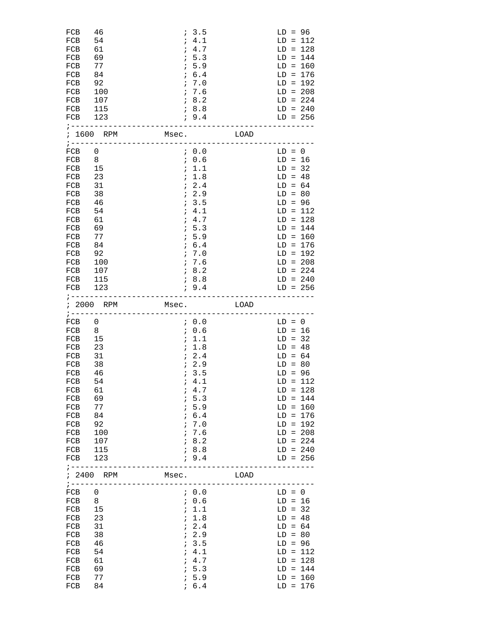| FCB<br>FCB<br>FCB<br>FCB<br>FCB<br>FCB<br>FCB<br>FCB<br>FCB<br>FCB<br>FCB                                                                            | 46<br>54<br>61<br>69<br>77<br>84<br>92<br>100<br>107<br>115<br>123<br>;-----------------------------------                                    |            | 7.3.5<br>; 4.1<br>; 4.7<br>1, 5.3<br>; 5.9<br>; 6.4<br>7.0<br>7.6<br>18.2<br>; 8.8<br>, 9.4                                                                   |      | $LD = 96$                                                                              | $LD = 112$<br>$LD = 128$<br>$LD = 144$<br>$LD = 160$<br>$LD = 176$<br>$LD = 192$<br>$LD = 208$<br>$LD = 224$<br>$LD = 240$<br>$LD = 256$ |
|------------------------------------------------------------------------------------------------------------------------------------------------------|-----------------------------------------------------------------------------------------------------------------------------------------------|------------|---------------------------------------------------------------------------------------------------------------------------------------------------------------|------|----------------------------------------------------------------------------------------|------------------------------------------------------------------------------------------------------------------------------------------|
|                                                                                                                                                      | ; 1600 RPM                                                                                                                                    |            | Msec. LOAD                                                                                                                                                    |      |                                                                                        |                                                                                                                                          |
| FCB<br>FCB<br>FCB<br>FCB<br>FCB<br>FCB<br>FCB<br>FCB<br>FCB<br>FCB<br>FCB<br>FCB<br>FCB<br>FCB<br>FCB<br>FCB<br>FCB                                  | 0<br>8<br>15<br>23<br>31<br>38<br>46<br>54<br>61<br>69<br>77<br>84<br>92<br>100<br>107<br>115<br>123<br>; ----------------------------------- | 7.9.4      | 70.0<br>7.0.6<br>; 1.1<br>; 1.8<br>72.4<br>7.2.9<br>7.3.5<br>; 4.1<br>7.4.7<br>1, 5.3<br>; 5.9<br>; 6.4<br>7.0<br>7.6<br>18.2<br>78.8                         |      | $LD = 0$<br>$LD = 16$<br>$LD = 32$<br>$LD = 48$<br>$LD = 64$<br>$LD = 80$<br>$LD = 96$ | $LD = 112$<br>$LD = 128$<br>$LD = 144$<br>$LD = 160$<br>$LD = 176$<br>$LD = 192$<br>$LD = 208$<br>$LD = 224$<br>$LD = 240$<br>$LD = 256$ |
|                                                                                                                                                      | ; 2000 RPM<br>;-----------------------------                                                                                                  |            | Msec. LOAD                                                                                                                                                    |      |                                                                                        |                                                                                                                                          |
| FCB<br>FCB<br>FCB<br>FCB<br>FCB<br>FCB<br>FCB<br>FCB<br>FCB<br>FCB<br>FCB<br>FCB<br>FCB<br>FCB<br>FCB<br>FCB<br>FCB<br>$\frac{1}{2}$ - - - - - - - - | 0<br>8<br>15<br>23<br>31<br>38<br>46<br>54<br>61<br>69<br>77<br>84<br>92<br>100<br>107<br>115<br>123<br>---------------                       |            | 70.0<br>7.0.6<br>; 1.1<br>; 1.8<br>72.4<br>72.9<br>; 3.5<br>4.1<br>7.4.7<br>; 5.3<br>; 5.9<br>; 6.4<br>7.0<br>7.6<br>; 8.2<br>; 8.8<br>; 9.4<br>$- - - - - -$ |      | $LD = 0$<br>$LD = 16$<br>$LD = 32$<br>$LD = 48$<br>$LD = 64$<br>$LD = 80$<br>$LD = 96$ | $LD = 112$<br>$LD = 128$<br>$LD = 144$<br>$LD = 160$<br>$LD = 176$<br>$LD = 192$<br>$LD = 208$<br>$LD = 224$<br>$LD = 240$<br>$LD = 256$ |
|                                                                                                                                                      | ; 2400 RPM<br>; ----------------                                                                                                              | Msec.      |                                                                                                                                                               | LOAD |                                                                                        |                                                                                                                                          |
| FCB<br>FCB<br>FCB<br>FCB<br>FCB<br>FCB<br>FCB<br>FCB<br>FCB<br>FCB<br>FCB<br>FCB                                                                     | 0<br>8<br>15<br>23<br>31<br>38<br>46<br>54<br>61<br>69<br>77<br>84                                                                            | $\ddot{i}$ | 7.0.0<br>; 0.6<br>; 1.1<br>; 1.8<br>72.4<br>72.9<br>; 3.5<br>; 4.1<br>; 4.7<br>; 5.3<br>5.9<br>; 6.4                                                          |      | $LD = 0$<br>$LD = 16$<br>$LD = 32$<br>$LD = 48$<br>$LD = 64$<br>$LD = 80$<br>$LD = 96$ | $LD = 112$<br>$LD = 128$<br>$LD = 144$<br>$LD = 160$<br>$LD = 176$                                                                       |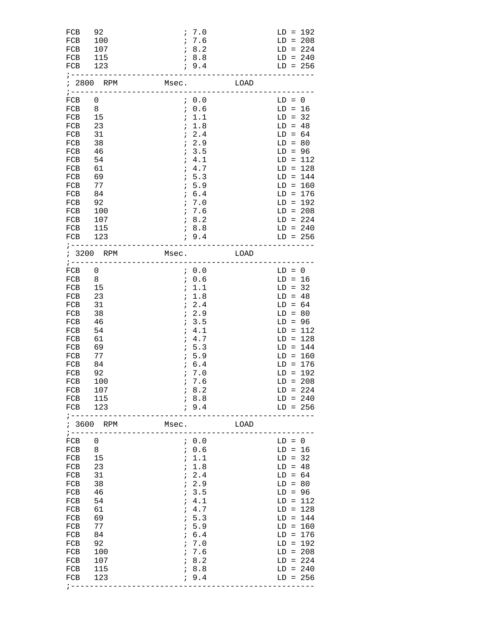| 92<br>100<br>107<br>115<br>123                                                                           |            |            |                                                                                                                                                                                                                                                                                                                                                                                                                                                                                    |                                                                                        | $LD = 192$<br>$LD = 208$<br>$LD = 224$<br>$LD = 240$<br>$LD = 256$                                                                       |
|----------------------------------------------------------------------------------------------------------|------------|------------|------------------------------------------------------------------------------------------------------------------------------------------------------------------------------------------------------------------------------------------------------------------------------------------------------------------------------------------------------------------------------------------------------------------------------------------------------------------------------------|----------------------------------------------------------------------------------------|------------------------------------------------------------------------------------------------------------------------------------------|
| ; 2800 RPM                                                                                               |            |            |                                                                                                                                                                                                                                                                                                                                                                                                                                                                                    |                                                                                        |                                                                                                                                          |
| 0<br>8<br>15<br>23<br>31<br>38<br>46<br>54<br>61<br>69<br>77<br>84<br>92<br>100<br>107<br>115<br>123     |            |            |                                                                                                                                                                                                                                                                                                                                                                                                                                                                                    | $LD = 0$<br>$LD = 16$<br>$LD = 32$<br>$LD = 48$<br>$LD = 64$<br>$LD = 80$<br>$LD = 96$ | $LD = 112$<br>$LD = 128$<br>$LD = 144$<br>$LD = 160$<br>$LD = 176$<br>$LD = 192$<br>$LD = 208$<br>$LD = 224$<br>$LD = 240$<br>$LD = 256$ |
| ; 3200 RPM                                                                                               |            |            |                                                                                                                                                                                                                                                                                                                                                                                                                                                                                    |                                                                                        |                                                                                                                                          |
| 0<br>8<br>15<br>23<br>31<br>38<br>46<br>54<br>61<br>69<br>77<br>84<br>92<br>100<br>107<br>FCB 115<br>123 | $\ddot{i}$ | 7.0<br>7.6 |                                                                                                                                                                                                                                                                                                                                                                                                                                                                                    | $LD = 0$<br>$LD = 16$<br>$LD = 32$<br>$LD = 48$<br>$LD = 64$<br>$LD = 80$<br>$LD = 96$ | $LD = 112$<br>$LD = 128$<br>$LD = 144$<br>$LD = 160$<br>$LD = 176$<br>$LD = 192$<br>$LD = 208$<br>$LD = 224$<br>$LD = 240$<br>$LD = 256$ |
| ; 3600 RPM                                                                                               |            |            |                                                                                                                                                                                                                                                                                                                                                                                                                                                                                    |                                                                                        |                                                                                                                                          |
| 0<br>8<br>15<br>23<br>31<br>38<br>46<br>54<br>61<br>69<br>77<br>84<br>92<br>100<br>107<br>115<br>123     |            |            |                                                                                                                                                                                                                                                                                                                                                                                                                                                                                    | $LD = 0$<br>$LD = 16$<br>$LD = 32$<br>$LD = 48$<br>$LD = 64$<br>$LD = 80$<br>$LD = 96$ | $LD = 112$<br>$LD = 128$<br>$LD = 144$<br>$LD = 160$<br>$LD = 176$<br>$LD = 192$<br>$LD = 208$<br>$LD = 224$<br>$LD = 240$<br>$LD = 256$ |
|                                                                                                          |            |            | 7.0<br>7.6<br>78.2<br>18.8<br>, 9.4<br>$\ddot{i}$ 0.0<br>7.0.6<br>; 1.1<br>; 1.8<br>72.4<br>7.2.9<br>7.3.5<br>; 4.1<br>; 4.7<br>1, 5.3<br>; 5.9<br>; 6.4<br>7.0<br>7.6<br>18.2<br>78.8<br>; 9.4<br>7.0.0<br>7.0.6<br>; 1.1<br>; 1.8<br>72.4<br>7.2.9<br>7.3.5<br>; 4.1<br>; 4.7<br>; 5.3<br>; 5.9<br>; 6.4<br>18.2<br>18.8<br>19.4<br>7.0.0<br>7.0.6<br>; 1.1<br>; 1.8<br>72.4<br>72.9<br>; 3.5<br>; 4.1<br>; 4.7<br>; 5.3<br>; 5.9<br>; 6.4<br>7.0<br>7.6<br>78.2<br>78.8<br>19.4 | Msec. LOAD<br>Msec. LOAD<br>Msec. LOAD<br>;-----------------------------------         | ; --------------                                                                                                                         |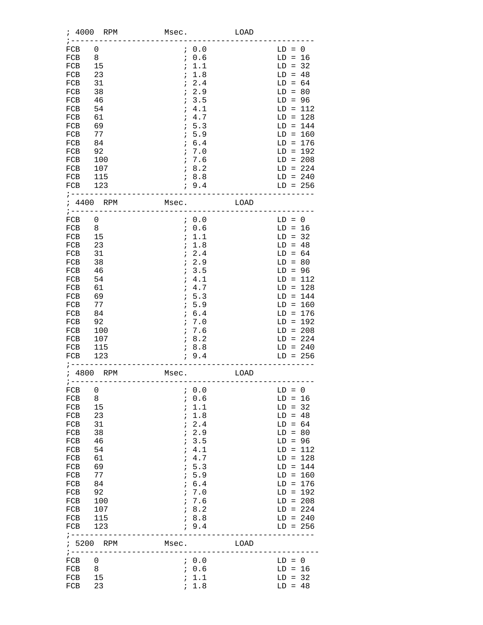| ; 4000                                                                                                                                          | RPM                                                                                                  | Msec.                                                                                                                                                                 | LOAD |                                                                                                                                                                                                                                    |
|-------------------------------------------------------------------------------------------------------------------------------------------------|------------------------------------------------------------------------------------------------------|-----------------------------------------------------------------------------------------------------------------------------------------------------------------------|------|------------------------------------------------------------------------------------------------------------------------------------------------------------------------------------------------------------------------------------|
| FCB<br>FCB<br>FCB<br>FCB<br>FCB<br>FCB<br>FCB<br>FCB<br>FCB<br>FCB<br>FCB<br>FCB<br>FCB<br>FCB<br>FCB<br>FCB<br>FCB                             | 0<br>8<br>15<br>23<br>31<br>38<br>46<br>54<br>61<br>69<br>77<br>84<br>92<br>100<br>107<br>115<br>123 | 0.0<br>7.6<br>; 1.1<br>; 1.8<br>$\mathbf{i}$<br>2.4<br>7.2.9<br>7.3.5<br>; 4.1<br>; 4.7<br>7.5.3<br>5.9<br>$\ddot{i}$<br>; 6.4<br>7.0<br>7.6<br>78.2<br>18.8<br>7.9.4 |      | $LD = 0$<br>$LD = 16$<br>$LD = 32$<br>$LD = 48$<br>$LD = 64$<br>$LD = 80$<br>$LD = 96$<br>$LD = 112$<br>$LD = 128$<br>$LD = 144$<br>$LD = 160$<br>$LD = 176$<br>$LD = 192$<br>$LD = 208$<br>$LD = 224$<br>$LD = 240$<br>$LD = 256$ |
| $7 - - - - - - -$                                                                                                                               | ; 4400 RPM                                                                                           | Msec.                                                                                                                                                                 | LOAD |                                                                                                                                                                                                                                    |
| FCB<br>FCB<br>FCB<br>FCB<br>FCB<br>FCB<br>FCB<br>FCB<br>FCB<br>FCB<br>FCB<br>FCB<br>FCB<br>FCB<br>FCB<br>FCB<br>FCB                             | 0<br>8<br>15<br>23<br>31<br>38<br>46<br>54<br>61<br>69<br>77<br>84<br>92<br>100<br>107<br>115<br>123 | 70.0<br>7.0.6<br>; 1.1<br>; 1.8<br>72.4<br>7.2.9<br>7.3.5<br>; 4.1<br>; 4.7<br>7.5.3<br>$\mathbf{i}$<br>5.9<br>; 6.4<br>7.0<br>7.6<br>78.2<br>78.8<br>; 9.4           |      | $LD = 0$<br>$LD = 16$<br>$LD = 32$<br>$LD = 48$<br>$LD = 64$<br>$LD = 80$<br>$LD = 96$<br>$LD = 112$<br>$LD = 128$<br>$LD = 144$<br>$LD = 160$<br>$LD = 176$<br>$LD = 192$<br>$LD = 208$<br>$LD = 224$<br>$LD = 240$<br>$LD = 256$ |
| ; ------                                                                                                                                        | ; 4800 RPM                                                                                           | Msec.                                                                                                                                                                 | LOAD |                                                                                                                                                                                                                                    |
| FCB<br>FCB<br>FCB<br>FCB<br>FCB<br>FCB<br>FCB<br>FCB<br>FCB<br>FCB<br><b>FCB</b><br>FCB<br>FCB<br>FCB<br>FCB<br>FCB<br>FCB<br>$1 - - - - - - -$ | 0<br>8<br>15<br>23<br>31<br>38<br>46<br>54<br>61<br>69<br>77<br>84<br>92<br>100<br>107<br>115<br>123 | 0.0<br>7.6<br>; 1.1<br>; 1.8<br>$\ddot{i}$<br>2.4<br>12.9<br>13.5<br>; 4.1<br>; 4.7<br>; 5.3<br>; 5.9<br>; 6.4<br>7.0<br>7.6<br>18.2<br>18.8<br>; 9.4                 |      | $LD = 0$<br>$LD = 16$<br>$LD = 32$<br>$LD = 48$<br>$LD = 64$<br>$LD = 80$<br>$LD = 96$<br>$LD = 112$<br>$LD = 128$<br>$LD = 144$<br>$LD = 160$<br>$LD = 176$<br>$LD = 192$<br>$LD = 208$<br>$LD = 224$<br>$LD = 240$<br>$LD = 256$ |
| $\frac{1}{2}$ - - - - - - - -                                                                                                                   | ; 5200 RPM                                                                                           | Msec.                                                                                                                                                                 | LOAD |                                                                                                                                                                                                                                    |
| FCB<br>FCB<br>FCB<br>FCB                                                                                                                        | 0<br>8<br>15<br>23                                                                                   | 7.0.0<br>7.0.6<br>; 1.1<br>; 1.8                                                                                                                                      |      | $LD = 0$<br>$LD = 16$<br>$LD = 32$<br>$LD = 48$                                                                                                                                                                                    |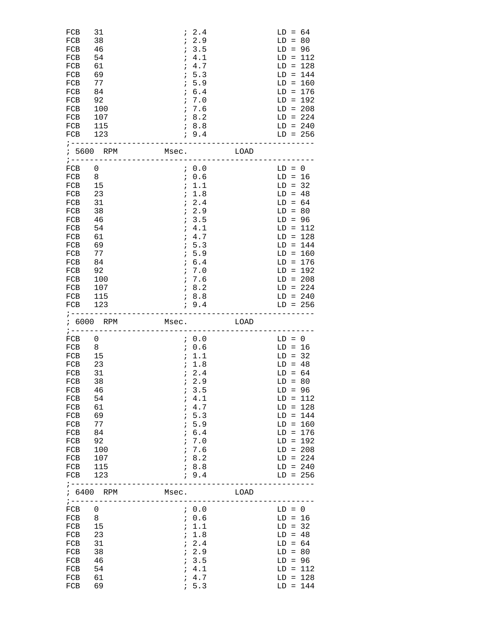| FCB<br>FCB<br>FCB<br>FCB<br>FCB<br>FCB<br>FCB<br>FCB<br>FCB<br>FCB<br>FCB<br>FCB<br>FCB 123                         | 31<br>38<br>46<br>54<br>61<br>69<br>77<br>84<br>92<br>100<br>107<br>115                              |       | 72.4<br>7.2.9<br>7.3.5<br>; 4.1<br>; 4.7<br>7.5.3<br>7.5.9<br>; 6.4<br>7.0<br>7.6<br>78.2<br>78.8<br>; 9.4                                      |      | $LD = 64$<br>$LD = 80$<br>$LD = 96$<br>$LD = 112$<br>$LD = 128$<br>$LD = 144$<br>$LD = 160$<br>$LD = 176$<br>$LD = 192$<br>$LD = 208$<br>$LD = 224$<br>$LD = 240$<br>$LD = 256$                                                    |
|---------------------------------------------------------------------------------------------------------------------|------------------------------------------------------------------------------------------------------|-------|-------------------------------------------------------------------------------------------------------------------------------------------------|------|------------------------------------------------------------------------------------------------------------------------------------------------------------------------------------------------------------------------------------|
| $7 - - - - - - - -$                                                                                                 | ; 5600 RPM<br>______________________                                                                 | Msec. |                                                                                                                                                 | LOAD |                                                                                                                                                                                                                                    |
| FCB<br>FCB<br>FCB<br>FCB<br>FCB<br>FCB<br>FCB<br>FCB<br>FCB<br>FCB<br>FCB<br>FCB<br>FCB<br>FCB<br>FCB<br>FCB<br>FCB | 0<br>8<br>15<br>23<br>31<br>38<br>46<br>54<br>61<br>69<br>77<br>84<br>92<br>100<br>107<br>115<br>123 |       | 7.0.0<br>7.0.6<br>7.1.1<br>; 1.8<br>72.4<br>7.2.9<br>7.3.5<br>; 4.1<br>; 4.7<br>; 5.3<br>1, 5.9<br>; 6.4<br>7.0<br>7.6<br>78.2<br>78.8<br>; 9.4 |      | $LD = 0$<br>$LD = 16$<br>$LD = 32$<br>$LD = 48$<br>$LD = 64$<br>$LD = 80$<br>$LD = 96$<br>$LD = 112$<br>$LD = 128$<br>$LD = 144$<br>$LD = 160$<br>$LD = 176$<br>$LD = 192$<br>$LD = 208$<br>$LD = 224$<br>$LD = 240$<br>$LD = 256$ |
|                                                                                                                     | ; 6000 RPM<br>;---------------------------                                                           | Msec. |                                                                                                                                                 | LOAD |                                                                                                                                                                                                                                    |
| FCB<br>FCB<br>FCB<br>FCB<br>FCB<br>FCB<br>FCB<br>FCB<br>FCB<br>FCB<br>FCB<br>FCB<br>FCB<br>FCB<br>FCB<br>FCB<br>FCB | 0<br>8<br>15<br>23<br>31<br>38<br>46<br>54<br>61<br>69<br>77<br>84<br>92<br>100<br>107<br>115<br>123 |       | 70.0<br>7.0.6<br>; 1.1<br>7.8<br>72.4<br>12.9<br>13.5<br>; 4.1<br>; 4.7<br>; 5.3<br>; 5.9<br>; 6.4<br>7.0<br>7.6<br>18.2<br>; 8.8<br>; 9.4      |      | $LD = 0$<br>$LD = 16$<br>$LD = 32$<br>$LD = 48$<br>$LD = 64$<br>$LD = 80$<br>$LD = 96$<br>$LD = 112$<br>$LD = 128$<br>$LD = 144$<br>$LD = 160$<br>$LD = 176$<br>$LD = 192$<br>$LD = 208$<br>$LD = 224$<br>$LD = 240$<br>$LD = 256$ |
| $7 - - - - - - -$                                                                                                   | ; 6400 RPM                                                                                           | Msec. |                                                                                                                                                 | LOAD |                                                                                                                                                                                                                                    |
| $1 - - - - - - - -$<br>FCB<br>FCB<br>FCB<br>FCB<br>FCB<br>FCB<br>FCB<br>FCB<br>FCB                                  | 0<br>8<br>15<br>23<br>31<br>38<br>46<br>54<br>61                                                     |       | 7.0.0<br>7.0.6<br>; 1.1<br>; 1.8<br>72.4<br>72.9<br>13.5<br>; 4.1<br>; 4.7                                                                      |      | $LD = 0$<br>$LD = 16$<br>$LD = 32$<br>$LD = 48$<br>$LD = 64$<br>$LD = 80$<br>$LD = 96$<br>$LD = 112$<br>$LD = 128$                                                                                                                 |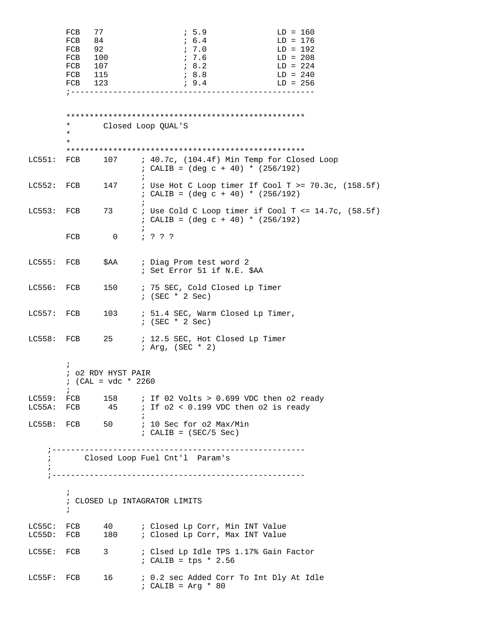|                          | FCB<br>FCB<br>FCB<br>FCB<br>FCB<br>FCB 115<br>FCB 123<br>$7 - - - - - -$ | 77<br>84<br>92<br>100<br>107                | 1, 5.9<br>; 6.4<br>; 7.0<br>7.6<br>78.2<br><i>i</i> 8.8<br>; 9.4                                                     | $LD = 160$<br>$LD = 176$<br>$LD = 192$<br>$LD = 208$<br>$LD = 224$<br>$LD = 240$<br>$LD = 256$<br>------------------------ |
|--------------------------|--------------------------------------------------------------------------|---------------------------------------------|----------------------------------------------------------------------------------------------------------------------|----------------------------------------------------------------------------------------------------------------------------|
|                          | *<br>$^\star$<br>*                                                       |                                             | Closed Loop QUAL'S                                                                                                   |                                                                                                                            |
| LC551:                   | FCB                                                                      |                                             | 107 : 40.7c, (104.4f) Min Temp for Closed Loop<br>; CALIB = $(\text{deg } c + 40)$ * $(256/192)$                     |                                                                                                                            |
| LC552: FCB               |                                                                          | 147                                         | ; CALIB = $(\text{deg } c + 40)$ * $(256/192)$                                                                       | ; Use Hot C Loop timer If Cool T >= 70.3c, (158.5f)                                                                        |
| LC553: FCB               |                                                                          | 73                                          | ; CALIB = $(\text{deg } c + 40)$ * $(256/192)$                                                                       | : Use Cold C Loop timer if Cool T <= $14.7c$ , (58.5f)                                                                     |
|                          | FCB                                                                      | $\overline{0}$                              | 7 3 3 3                                                                                                              |                                                                                                                            |
| $LC555:$ $FCB$           |                                                                          |                                             | \$AA ; Diag Prom test word 2<br>; Set Error 51 if N.E. \$AA                                                          |                                                                                                                            |
| LC556: FCB               |                                                                          | 150                                         | ; 75 SEC, Cold Closed Lp Timer<br>$:$ (SEC $*$ 2 Sec)                                                                |                                                                                                                            |
| $LC557:$ FCB             |                                                                          | 103                                         | ; 51.4 SEC, Warm Closed Lp Timer,<br>$:$ (SEC $*$ 2 Sec)                                                             |                                                                                                                            |
| LC558: FCB               |                                                                          | 25                                          | ; 12.5 SEC, Hot Closed Lp Timer<br>$; Arg, (SEC * 2)$                                                                |                                                                                                                            |
|                          | $\ddot{ }$                                                               | ; o2 RDY HYST PAIR<br>; $(CAL = vdc * 2260$ |                                                                                                                      |                                                                                                                            |
|                          | $\ddot{i}$                                                               |                                             | LC559: FCB $158$ ; If 02 Volts > 0.699 VDC then o2 ready<br>LC55A: FCB $45$ ; If $02 < 0.199$ VDC then $02$ is ready |                                                                                                                            |
|                          |                                                                          |                                             | LC55B: FCB 50 ; 10 Sec for 02 Max/Min<br>$: CALIB = (SEC/5 Sec)$                                                     |                                                                                                                            |
|                          |                                                                          |                                             | ; Closed Loop Fuel Cnt'l Param's                                                                                     |                                                                                                                            |
|                          | $\ddot{i}$<br>$\ddot{i}$                                                 |                                             | ; CLOSED Lp INTAGRATOR LIMITS                                                                                        |                                                                                                                            |
| LC55C: FCB<br>LC55D: FCB |                                                                          | 180                                         | 40 : Closed Lp Corr, Min INT Value<br>; Closed Lp Corr, Max INT Value                                                |                                                                                                                            |
| LC55E: FCB 3             |                                                                          |                                             | : Clsed Lp Idle TPS 1.17% Gain Factor<br>; CALIB = $tps * 2.56$                                                      |                                                                                                                            |
| LC55F: FCB               |                                                                          | 16                                          | ; 0.2 sec Added Corr To Int Dly At Idle<br>$: CALIB = Arg * 80$                                                      |                                                                                                                            |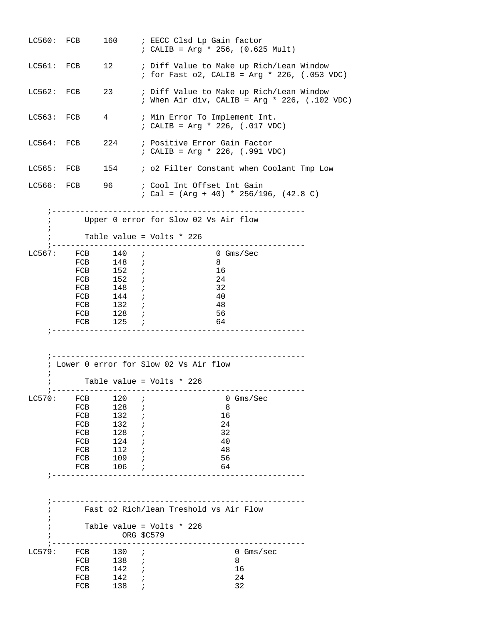|            | LC560: FCB     |                        |            | 160 : EECC Clsd Lp Gain factor<br>; CALIB = Arg * 256, $(0.625 \text{ Mult})$                          |  |
|------------|----------------|------------------------|------------|--------------------------------------------------------------------------------------------------------|--|
|            | LC561: FCB     |                        |            | 12 : Diff Value to Make up Rich/Lean Window<br>; for Fast o2, CALIB = Arg * 226, (.053 VDC)            |  |
| LC562: FCB |                | 23 and $\sim$          |            | ; Diff Value to Make up Rich/Lean Window<br>; When Air div, CALIB = Arg * 226, $(.102 \text{ VDC})$    |  |
| LC563: FCB |                | $4\degree$             |            | ; Min Error To Implement Int.<br>; CALIB = Arg * 226, $(.017 \text{ VDC})$                             |  |
|            | $LC564:$ FCB   |                        |            | 224 : Positive Error Gain Factor<br>; CALIB = Arg * 226, $(.991$ VDC)                                  |  |
|            | LC565: FCB     |                        |            | 154 : o2 Filter Constant when Coolant Tmp Low                                                          |  |
|            |                |                        |            | LC566: FCB 96 ; Cool Int Offset Int Gain<br>; Cal = $(\text{Arg} + 40) * 256/196$ , $(42.8 \text{ C})$ |  |
|            |                |                        |            | Upper 0 error for Slow 02 Vs Air flow                                                                  |  |
| $\ddot{i}$ |                |                        |            | Table value = Volts * 226                                                                              |  |
|            | $LC567:$ $FCB$ | 140i                   |            | . _ _ _ _ _ _ _ _ _ _ _ _ _<br>0 Gms/Sec                                                               |  |
|            |                | FCB 148 <i>i</i>       |            | 8                                                                                                      |  |
|            |                | FCB 152 ;<br>FCB 152 ; |            | 16<br>24                                                                                               |  |
|            |                | FCB 148 ;              |            | 32                                                                                                     |  |
|            |                | FCB 144 ;              |            | 40                                                                                                     |  |
|            |                | FCB 132 <i>i</i>       |            | 48                                                                                                     |  |
|            | FCB            | $128$ ;                |            | 56                                                                                                     |  |
|            |                | FCB $125$ ;            |            | 64                                                                                                     |  |
|            |                |                        |            | ; Lower 0 error for Slow 02 Vs Air flow                                                                |  |
| i.         |                |                        |            | Table value = Volts * 226                                                                              |  |
| LC570:     | FCB            | 120                    | $\ddot{i}$ | $0 \,$ Gms/Sec                                                                                         |  |
|            | FCB            | 128                    | $\ddot{i}$ | 8                                                                                                      |  |
|            | FCB            | 132                    | $\ddot{ }$ | 16                                                                                                     |  |
|            | FCB            | 132                    |            | 24                                                                                                     |  |
|            | FCB            | 128                    |            | 32                                                                                                     |  |
|            | FCB            | 124                    | $\cdot$ ;  | 40<br>48                                                                                               |  |
|            | FCB<br>FCB     | 112<br>$109$ ;         |            | 56                                                                                                     |  |
|            | FCB            | $106$ ;                |            | 64                                                                                                     |  |
|            |                |                        |            |                                                                                                        |  |
|            |                |                        |            | Fast o2 Rich/lean Treshold vs Air Flow                                                                 |  |
|            |                | ORG \$C579             |            | Table value = Volts * 226                                                                              |  |
|            |                |                        |            |                                                                                                        |  |
| LC579:     | FCB<br>FCB     | $130$ ;<br>$138$ ;     |            | $0 \,$ Gms/sec<br>8                                                                                    |  |
|            | FCB            | $142$ ;                |            | 16                                                                                                     |  |
|            | FCB            | $142$ ;                |            | 24                                                                                                     |  |
|            | FCB            | 138                    | $\cdot$ ;  | 32                                                                                                     |  |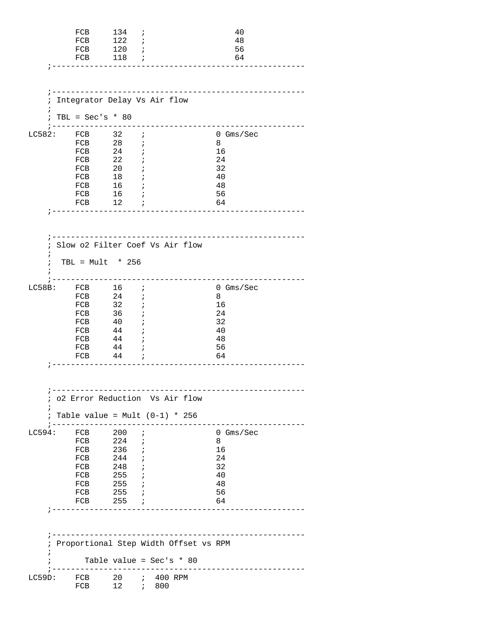|                               | FCB<br>FCB<br>FCB 120 ;<br>FCB 118 <i>i</i><br>-----------                                                                                                                   | 134 ;<br>122<br>--------                                                | $\cdot$                         |                                                                                                         | 40<br>48<br>56<br>64                                                      |
|-------------------------------|------------------------------------------------------------------------------------------------------------------------------------------------------------------------------|-------------------------------------------------------------------------|---------------------------------|---------------------------------------------------------------------------------------------------------|---------------------------------------------------------------------------|
| ;<br>$\ddot{i}$<br>$\ddot{i}$ | Integrator Delay Vs Air flow<br>$TBL = Sec's * 80$                                                                                                                           |                                                                         |                                 | -----------------------------------<br>------------                                                     |                                                                           |
|                               | ; -----------<br>LC582: FCB 32 ;<br>FCB 28 <i>i</i><br>${\rm FCB}$<br>FCB<br>FCB 20<br>FCB 18 <i>i</i><br>FCB 16 ;<br>$FCB$ 16 ;<br>FCB 12 <i>i</i><br>_____________________ | $\begin{array}{ccc} 24 & & \text{ } i \\ 22 & & \text{ } i \end{array}$ | $\cdot$                         |                                                                                                         | $0 \,$ Gms/Sec<br>8<br>16<br>24<br>32<br>40<br>48<br>56<br>64             |
| i<br>$\ddot{i}$<br>$\ddot{i}$ | Slow o2 Filter Coef Vs Air flow<br>TBL = $Mult * 256$                                                                                                                        |                                                                         |                                 |                                                                                                         |                                                                           |
|                               | LC58B: FCB 16 ;<br>$FCB$ 24<br>$FCB$ 32<br>FCB 36 ;<br>${\rm FCB}$<br>FCB<br>$FCB$ 44 ;<br>$FCB$ 44 ;<br>$FCB$ 44 ;                                                          | 40<br>$\overrightarrow{ }$<br>44                                        | $\cdot$<br>$\cdot$ ;<br>$\cdot$ |                                                                                                         | $0$ Gms/Sec<br>8<br>16<br>24<br>32<br>40<br>48<br>56<br>64                |
| $\ddot{ }$<br>$\ddot{i}$      | 02 Error Reduction Vs Air flow<br>Table value = Mult $(0-1) * 256$<br>; -------------                                                                                        |                                                                         |                                 |                                                                                                         |                                                                           |
|                               | LC594: FCB 200<br>FCB 224 <i>i</i><br>${\rm FCB}$<br>FCB<br>FCB 248 ;<br>FCB 255 <i>i</i><br>FCB 255 <i>i</i><br>FCB<br>FCB 255 ;<br>______________________                  | 236 ;<br>244 ;<br>$255$ ;                                               | $\ddot{i}$                      |                                                                                                         | $0 \text{ Gms}/\text{Sec}$<br>8<br>16<br>24<br>32<br>40<br>48<br>56<br>64 |
| ÷                             |                                                                                                                                                                              |                                                                         |                                 | ________________________________<br>Proportional Step Width Offset vs RPM<br>Table value = Sec's $* 80$ |                                                                           |
| LC59D:                        | FCB $20$ ; $400$ RPM<br>FCB                                                                                                                                                  | ---------                                                               |                                 | $- - - - - -$                                                                                           | ________________                                                          |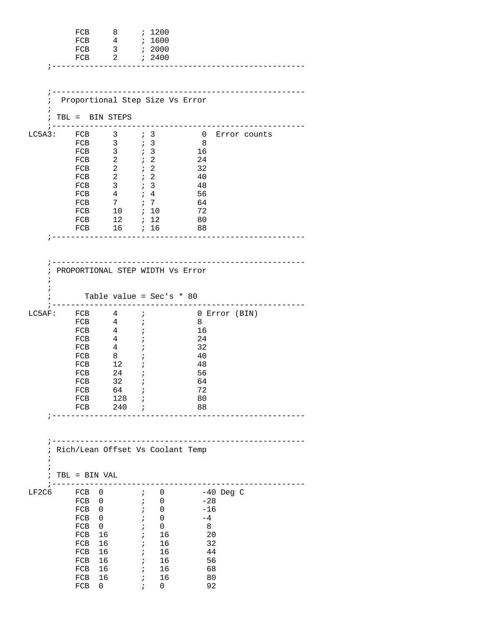|                               | FCB<br>FCB<br>FCB<br>FCB                                                                           |                                                                                                             | 8<br>$\overline{4}$<br>$\overline{3}$<br>$\overline{2}$                                                                                                |                                                                                                                                 | ; 1200<br>; 1600<br>; 2000<br>; 2400                                                                                                        |                                                               |                                                                                      |               |              |  |
|-------------------------------|----------------------------------------------------------------------------------------------------|-------------------------------------------------------------------------------------------------------------|--------------------------------------------------------------------------------------------------------------------------------------------------------|---------------------------------------------------------------------------------------------------------------------------------|---------------------------------------------------------------------------------------------------------------------------------------------|---------------------------------------------------------------|--------------------------------------------------------------------------------------|---------------|--------------|--|
| $\ddot{i}$<br>$\ddot{i}$      | TBL = BIN STEPS                                                                                    |                                                                                                             |                                                                                                                                                        |                                                                                                                                 | Proportional Step Size Vs Error                                                                                                             |                                                               |                                                                                      |               |              |  |
| LC5A3: FCB                    | FCB<br>FCB<br>FCB<br>FCB<br>FCB<br>FCB<br>FCB<br>FCB<br>FCB<br>FCB                                 | $\overline{\phantom{a}}$<br>$\overline{4}$                                                                  | $3 \qquad ; 3$<br>$\mathbf{3}$<br>$\mathbf{3}$<br>$\overline{a}$<br>$\overline{a}$<br>$\mathbf{3}$<br>FCB 7<br>$10 \qquad ; \quad 10$<br>12<br>16 ; 16 | $\mathfrak{z}$ 3<br>$\cdot$ 3<br>$\therefore$ 2<br>$\cdot$ $\cdot$ 2<br>$\cdot$ 2<br>$\mathfrak{z}$ 3<br>$7 \t4$<br>$\dot{z}$ 7 | ; 12                                                                                                                                        | 16<br>- 24<br>32<br>40<br>48<br>56<br>64<br>72<br>80<br>88    | $\overline{0}$<br>8                                                                  | Error counts  |              |  |
| $\ddot{i}$<br>÷<br>ï          |                                                                                                    |                                                                                                             |                                                                                                                                                        |                                                                                                                                 | -------------------------------<br>PROPORTIONAL STEP WIDTH Vs Error<br>Table value = $Sec's * 80$                                           |                                                               |                                                                                      |               |              |  |
| LC5AF:                        | $FCB$ 4<br>FCB<br>FCB<br>FCB<br>FCB<br>FCB<br>FCB<br>FCB<br>FCB<br>FCB<br>FCB<br>FCB               | $\overline{4}$<br>4<br>$\overline{4}$<br>12<br>24                                                           | $4\overline{4}$<br>8<br>32<br>64<br>128<br>$240$ ;                                                                                                     | $\cdot$<br>$\ddot{ }$<br>i<br>$\cdot$<br>$\cdot$                                                                                | ----------------------------                                                                                                                | 8<br>16<br>24<br>32<br>40<br>48<br>56<br>64<br>72<br>80<br>88 |                                                                                      | 0 Error (BIN) |              |  |
| i<br>$\ddot{ }$<br>$\ddot{i}$ | TBL = BIN VAL                                                                                      |                                                                                                             |                                                                                                                                                        |                                                                                                                                 | ; Rich/Lean Offset Vs Coolant Temp                                                                                                          |                                                               |                                                                                      |               |              |  |
| LF2C6                         | ------------<br>FCB 0<br>FCB<br>FCB<br>FCB<br>FCB<br>FCB<br>FCB<br>FCB<br>FCB<br>FCB<br>FCB<br>FCB | $\overline{0}$<br>$\overline{0}$<br>$\mathbf{0}$<br>$\overline{0}$<br>16<br>16<br>16<br>16<br>16<br>16<br>0 |                                                                                                                                                        | $\ddot{i}$<br>$\ddot{ }$<br>$\ddot{i}$<br>$\ddot{i}$<br>$\ddot{i}$<br>$\ddot{i}$                                                | $\mathbf{i}$ 0<br>0<br>$\mathbf{i}$<br>0<br>0<br>0<br>16<br>$\mathbf{i}$<br>16<br>$\mathbf{i}$<br>16<br>16<br>16<br>$\mathbf{i}$<br>16<br>0 |                                                               | $-40$ Deg C<br>$-28$<br>$-16$<br>$-4$<br>8<br>20<br>32<br>44<br>56<br>68<br>80<br>92 |               | ------------ |  |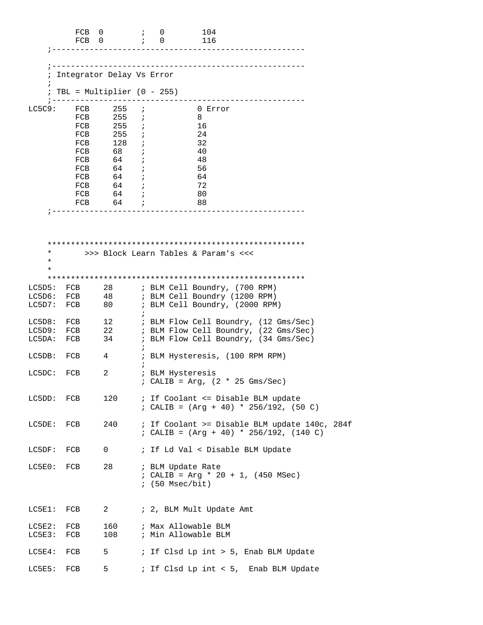|                      | FCB 0<br>FCB 0 |                              |              | $\mathfrak{z} = 0$<br>$\cdot$ ; 0 | 104<br>116                             |                                                             |  |
|----------------------|----------------|------------------------------|--------------|-----------------------------------|----------------------------------------|-------------------------------------------------------------|--|
|                      |                |                              |              |                                   |                                        |                                                             |  |
| ï                    |                | Integrator Delay Vs Error    |              |                                   | -------------------------------------- |                                                             |  |
| $\ddot{i}$           |                | $TBL = Multiplier (0 - 255)$ |              |                                   |                                        |                                                             |  |
| LC5C9:               | FCB            | 255                          |              |                                   | 0 Error                                |                                                             |  |
|                      | FCB            | 255                          | $\ddot{i}$   |                                   | 8                                      |                                                             |  |
|                      | FCB            | 255 i                        |              |                                   | 16                                     |                                                             |  |
|                      | FCB            | $255$ ;                      |              |                                   | 24                                     |                                                             |  |
|                      | FCB            | 128                          | $\cdot$ ;    |                                   | 32                                     |                                                             |  |
|                      | FCB            | 68                           | $\ddot{i}$   |                                   | - 40                                   |                                                             |  |
|                      | FCB            | 64                           | $\ddot{i}$   |                                   | -48                                    |                                                             |  |
|                      | FCB            | $64$ ;                       |              |                                   | 56                                     |                                                             |  |
|                      | FCB            | 64                           | $\mathbf{i}$ |                                   | 64                                     |                                                             |  |
|                      | FCB            | $64$ ;                       |              |                                   | 72                                     |                                                             |  |
|                      | FCB            | 64 ;                         |              |                                   | 80                                     |                                                             |  |
|                      | FCB            | $64$ ;                       |              |                                   | 88                                     |                                                             |  |
|                      |                |                              |              |                                   |                                        |                                                             |  |
| $^\star$<br>$^\star$ |                |                              |              |                                   | >>> Block Learn Tables & Param's <<<   |                                                             |  |
| $\star$              |                |                              |              |                                   |                                        |                                                             |  |
|                      |                |                              |              |                                   |                                        |                                                             |  |
|                      |                |                              |              |                                   |                                        |                                                             |  |
| LC5D5:               | FCB            | 28                           |              |                                   | ; BLM Cell Boundry, (700 RPM)          |                                                             |  |
| LC5D6:               | FCB            | 48                           |              |                                   | ; BLM Cell Boundry (1200 RPM)          |                                                             |  |
| $LC5D7$ :            | FCB            | 80 -                         |              |                                   | ; BLM Cell Boundry, (2000 RPM)         |                                                             |  |
|                      |                |                              | $\ddot{i}$   |                                   |                                        |                                                             |  |
| LC5D8:               | FCB            |                              |              |                                   |                                        | 12 : BLM Flow Cell Boundry, (12 Gms/Sec)                    |  |
| LC5D9:               | FCB            |                              |              |                                   |                                        | 22 : BLM Flow Cell Boundry, (22 Gms/Sec)                    |  |
| LC5DA:               | FCB            |                              |              |                                   |                                        | 34 : BLM Flow Cell Boundry, (34 Gms/Sec)                    |  |
| LC5DB:               | FCB            | 4                            | $\ddot{i}$   |                                   | ; BLM Hysteresis, (100 RPM RPM)        |                                                             |  |
|                      |                |                              |              |                                   |                                        |                                                             |  |
| LC5DC:               | FCB            | 2                            |              |                                   | ; BLM Hysteresis                       |                                                             |  |
|                      |                |                              |              |                                   | ; CALIB = $Arg$ , (2 * 25 Gms/Sec)     |                                                             |  |
|                      |                |                              |              |                                   |                                        |                                                             |  |
| LC5DD:               | FCB            | 120                          |              |                                   |                                        | ; If Coolant <= Disable BLM update                          |  |
|                      |                |                              |              |                                   |                                        | ; CALIB = $(\text{Arg} + 40) * 256/192$ , (50 C)            |  |
|                      |                |                              |              |                                   |                                        |                                                             |  |
| LC5DE:               | FCB            | 240                          |              |                                   |                                        | ; If Coolant >= Disable BLM update 140c, 284f               |  |
|                      |                |                              |              |                                   |                                        | ; CALIB = $(\text{Arg} + 40) * 256/192$ , $(140 \text{ C})$ |  |
|                      |                |                              |              |                                   |                                        |                                                             |  |
| LC5DF:               | FCB            | $\mathsf{O}$                 |              |                                   | ; If Ld Val < Disable BLM Update       |                                                             |  |
|                      |                |                              |              |                                   |                                        |                                                             |  |
| LC5E0:               | FCB            | 28                           |              |                                   | ; BLM Update Rate                      |                                                             |  |
|                      |                |                              |              |                                   | ; CALIB = Arg * 20 + 1, $(450$ MSec)   |                                                             |  |
|                      |                |                              |              |                                   | $: (50$ Msec/bit)                      |                                                             |  |
|                      |                |                              |              |                                   |                                        |                                                             |  |
|                      |                |                              |              |                                   |                                        |                                                             |  |
| $LC5E1$ :            | FCB            | $\overline{2}$               |              |                                   | ; 2, BLM Mult Update Amt               |                                                             |  |
|                      |                |                              |              |                                   |                                        |                                                             |  |
| LC5E2:               | FCB            | 160                          |              |                                   | ; Max Allowable BLM                    |                                                             |  |
| LC5E3:               | FCB            | 108                          |              |                                   | ; Min Allowable BLM                    |                                                             |  |
|                      |                |                              |              |                                   |                                        |                                                             |  |
| $LC5E4$ :            | FCB            | 5                            |              |                                   |                                        | ; If Clsd Lp int > 5, Enab BLM Update                       |  |
|                      |                |                              |              |                                   |                                        |                                                             |  |
| LC5E5:               | FCB            | 5                            |              |                                   |                                        | ; If Clsd Lp int < 5, Enab BLM Update                       |  |
|                      |                |                              |              |                                   |                                        |                                                             |  |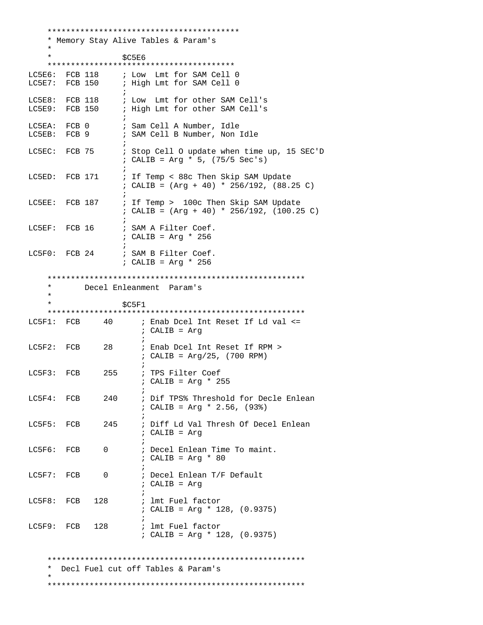\*\*\*\*\*\*\*\*\*\*\*\*\*\*\*\*\*\*\*\*\*\*\*\*\*\*\*\*\*\*\*\*\*\*\*\*\*\*\*\*\* \* Memory Stay Alive Tables & Param's \*  $*$  \$C5E6 \*\*\*\*\*\*\*\*\*\*\*\*\*\*\*\*\*\*\*\*\*\*\*\*\*\*\*\*\*\*\*\*\*\*\*\*\*\*\*\* LC5E6: FCB 118 ; Low Lmt for SAM Cell 0<br>LC5E7: FCB 150 ; High Lmt for SAM Cell 0 ; High Lmt for SAM Cell 0  $\mathcal{L}^{\text{max}}$  is a set of the set of the set of the set of the set of the set of the set of the set of the set of the set of the set of the set of the set of the set of the set of the set of the set of the set of the set LC5E8: FCB 118 : Low Lmt for other SAM Cell's LC5E9: FCB 150 ; High Lmt for other SAM Cell's  $\mathcal{L}^{\text{max}}$ LC5EA: FCB 0 ; Sam Cell A Number, Idle LC5EB: FCB 9 : SAM Cell B Number, Non Idle  $\mathcal{L}^{\text{max}}$  is a set of the set of the set of the set of the set of the set of the set of the set of the set of the set of the set of the set of the set of the set of the set of the set of the set of the set of the set LC5EC: FCB 75 ; Stop Cell O update when time up, 15 SEC'D ; CALIB = Arg \* 5, (75/5 Sec's)  $\mathcal{L}^{\text{max}}$ LC5ED: FCB 171 ; If Temp < 88c Then Skip SAM Update ; CALIB = (Arg + 40) \* 256/192, (88.25 C)  $\mathcal{L}^{\text{max}}$ LC5EE: FCB 187 ; If Temp > 100c Then Skip SAM Update ; CALIB = (Arg + 40) \* 256/192, (100.25 C)  $\mathcal{L}^{\text{max}}$  is a set of the set of the set of the set of the set of the set of the set of the set of the set of the set of the set of the set of the set of the set of the set of the set of the set of the set of the set LC5EF: FCB 16 ; SAM A Filter Coef. ; CALIB = Arg \* 256  $\mathcal{L}^{\text{max}}$ LC5F0: FCB 24 ; SAM B Filter Coef. ; CALIB = Arg \* 256 \*\*\*\*\*\*\*\*\*\*\*\*\*\*\*\*\*\*\*\*\*\*\*\*\*\*\*\*\*\*\*\*\*\*\*\*\*\*\*\*\*\*\*\*\*\*\*\*\*\*\*\*\*\*\* Decel Enleanment Param's \*  $$C5F1$  \*\*\*\*\*\*\*\*\*\*\*\*\*\*\*\*\*\*\*\*\*\*\*\*\*\*\*\*\*\*\*\*\*\*\*\*\*\*\*\*\*\*\*\*\*\*\*\*\*\*\*\*\*\*\* LC5F1: FCB 40 ; Enab Dcel Int Reset If Ld val <= ; CALIB = Arg  $\mathcal{L}$  ; and the contract of  $\mathcal{L}$ LC5F2: FCB 28 ; Enab Dcel Int Reset If RPM > ; CALIB = Arg/25, (700 RPM)  $\mathcal{L}$  ; and the contract of  $\mathcal{L}$ LC5F3: FCB 255 ; TPS Filter Coef ; CALIB = Arg \* 255  $\mathcal{L}^{\text{max}}$ LC5F4: FCB 240 ; Dif TPS% Threshold for Decle Enlean ; CALIB = Arg \* 2.56, (93%)  $\mathcal{L}$  ; and the contract of  $\mathcal{L}$ LC5F5: FCB 245 ; Diff Ld Val Thresh Of Decel Enlean ; CALIB = Arg  $\mathcal{L}^{\text{max}}$ LC5F6: FCB 0 ; Decel Enlean Time To maint. ; CALIB = Arg \* 80  $\mathcal{L}$  ; and the contract of  $\mathcal{L}$ LC5F7: FCB 0 ; Decel Enlean T/F Default ; CALIB = Arg  $\mathcal{L}$  ; and the contract of  $\mathcal{L}$ LC5F8: FCB 128 ; lmt Fuel factor ; CALIB = Arg \* 128, (0.9375)  $\mathcal{L}^{\text{max}}$ LC5F9: FCB 128 ; lmt Fuel factor ; CALIB = Arg \* 128, (0.9375) \*\*\*\*\*\*\*\*\*\*\*\*\*\*\*\*\*\*\*\*\*\*\*\*\*\*\*\*\*\*\*\*\*\*\*\*\*\*\*\*\*\*\*\*\*\*\*\*\*\*\*\*\*\*\* Decl Fuel cut off Tables & Param's \* \*\*\*\*\*\*\*\*\*\*\*\*\*\*\*\*\*\*\*\*\*\*\*\*\*\*\*\*\*\*\*\*\*\*\*\*\*\*\*\*\*\*\*\*\*\*\*\*\*\*\*\*\*\*\*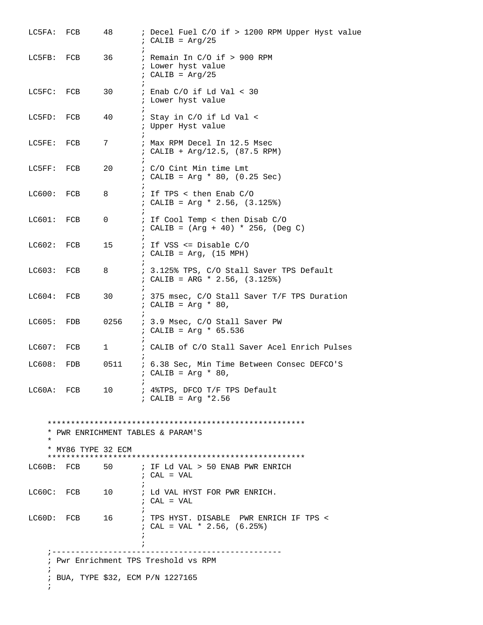| LC5FA: FCB   |                    | 48               | ; Decel Fuel C/O if > 1200 RPM Upper Hyst value<br>; CALIB = $Arg/25$         |  |  |  |  |
|--------------|--------------------|------------------|-------------------------------------------------------------------------------|--|--|--|--|
| LC5FB: FCB   |                    | 36               | ; Remain In C/O if > 900 RPM<br>; Lower hyst value<br>$: CALIB = Arg/25$      |  |  |  |  |
| LC5FC: FCB   |                    | 30               | ; Enab $C/O$ if Ld Val < 30<br>; Lower hyst value                             |  |  |  |  |
| LC5FD:       | FCB                | 40               | ; Stay in C/O if Ld Val <<br>; Upper Hyst value                               |  |  |  |  |
| LC5FE: FCB   |                    | 7                | ; Max RPM Decel In 12.5 Msec<br>; CALIB + Arg/12.5, (87.5 RPM)                |  |  |  |  |
| LC5FF:       | FCB                | 20               | ; C/O Cint Min time Lmt<br>; CALIB = Arg * 80, $(0.25 \text{ Sec})$           |  |  |  |  |
| LC600:       | FCB                | $\ddot{i}$<br>8  | ; If TPS < then Enab C/O<br>; CALIB = Arg * 2.56, $(3.125%)$                  |  |  |  |  |
| LCGO1: FCB   |                    | $\mathbf{0}$     | ; If Cool Temp < then Disab C/O<br>; CALIB = $(Arg + 40) * 256$ , $(Deg C)$   |  |  |  |  |
| LC602:       | FCB                | $\ddot{i}$<br>15 | ; If VSS $\le$ Disable C/O<br>; CALIB = $Arg$ , (15 MPH)                      |  |  |  |  |
| LC603: FCB   |                    | $\ddot{i}$<br>8  | ; 3.125% TPS, C/O Stall Saver TPS Default<br>; CALIB = ARG * 2.56, $(3.125%)$ |  |  |  |  |
| LC604:       | FCB                | 30               | ; 375 msec, C/O Stall Saver T/F TPS Duration<br>; CALIB = $Arg * 80$ ,        |  |  |  |  |
| LC605:       | FDB                | 0256             | ; 3.9 Msec, C/O Stall Saver PW<br>; CALIB = Arg * $65.536$                    |  |  |  |  |
| $LCG07:$ FCB |                    | $1 \quad \Box$   | ; CALIB of C/O Stall Saver Acel Enrich Pulses                                 |  |  |  |  |
| LC608:       | FDB                | 0511             | ; 6.38 Sec, Min Time Between Consec DEFCO'S<br>; CALIB = $Arg * 80$ ,         |  |  |  |  |
|              | LC60A: FCB         | 10               | ; 4%TPS, DFCO T/F TPS Default<br>: CALIB = $Arg *2.56$                        |  |  |  |  |
| $\star$      | * MY86 TYPE 32 ECM |                  | * PWR ENRICHMENT TABLES & PARAM'S                                             |  |  |  |  |
|              | LC60B: FCB         | 50 —             | ; IF Ld VAL > 50 ENAB PWR ENRICH<br>$;$ CAL = VAL                             |  |  |  |  |
|              | LC60C: FCB         | 10               | ; Ld VAL HYST FOR PWR ENRICH.<br>; CAL = VAL                                  |  |  |  |  |
|              | $L$ C60D: FCB 16   |                  | ; TPS HYST. DISABLE PWR ENRICH IF TPS <<br>; CAL = VAL * 2.56, $(6.25%)$      |  |  |  |  |
|              | ; -------------    |                  | ; Pwr Enrichment TPS Treshold vs RPM                                          |  |  |  |  |
|              |                    |                  | ; BUA, TYPE \$32, ECM P/N 1227165                                             |  |  |  |  |
| i.           |                    |                  |                                                                               |  |  |  |  |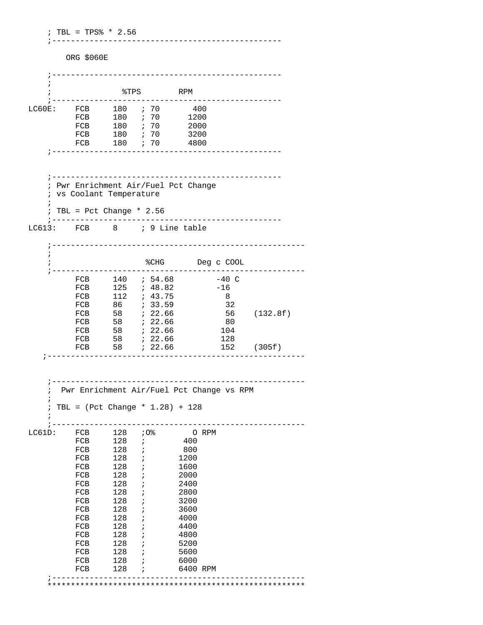; TBL = TPS% \* 2.56 ;-------------------------------------------------

ORG \$060E

|        |            |                                                 | __________________   |            |     |                                           |              |             |
|--------|------------|-------------------------------------------------|----------------------|------------|-----|-------------------------------------------|--------------|-------------|
|        |            |                                                 |                      |            |     |                                           |              |             |
|        |            |                                                 | \$TPS                |            |     | RPM                                       |              |             |
|        |            |                                                 | ------------         |            |     | -----                                     |              |             |
|        |            | LC60E: FCB 180 ; 70 400<br>FCB 180 ; 70 1200    |                      |            |     |                                           |              |             |
|        |            | ${\rm FCB}$                                     |                      |            |     |                                           |              |             |
|        |            | FCB                                             |                      |            |     | 2000<br>3200                              |              |             |
|        |            | FCB                                             | 180 ; 70             |            |     | 4800                                      |              |             |
|        |            |                                                 |                      |            |     |                                           |              |             |
|        |            |                                                 |                      |            |     |                                           |              |             |
|        |            |                                                 |                      |            |     |                                           |              |             |
|        |            |                                                 |                      |            |     | ; Pwr Enrichment Air/Fuel Pct Change      |              |             |
|        |            | ; vs Coolant Temperature                        |                      |            |     |                                           |              |             |
|        |            | TBL = Pct Change $*$ 2.56                       |                      |            |     |                                           |              |             |
|        |            |                                                 |                      |            |     | --------------------                      |              |             |
|        |            | LC613: FCB 8 ; 9 Line table                     |                      |            |     |                                           |              |             |
|        |            |                                                 |                      |            |     | --------------------------------------    |              |             |
|        | $\ddot{i}$ |                                                 |                      |            |     |                                           |              |             |
|        |            |                                                 |                      |            |     | %CHG Deg c COOL                           |              |             |
|        |            |                                                 | -------------------- |            |     |                                           |              |             |
|        |            | FCB 140 <i>i</i> 54.68                          |                      |            |     |                                           | $-40$ C      |             |
|        |            | FCB 125 ; 48.82                                 |                      |            |     |                                           | $-16$<br>- 8 |             |
|        |            | FCB 112 <i>i</i> 43.75<br>FCB 86 <i>i</i> 33.59 |                      |            |     |                                           | 32           |             |
|        |            |                                                 |                      |            |     |                                           |              | 56 (132.8f) |
|        |            |                                                 |                      |            |     |                                           | 80           |             |
|        |            | FCB                                             |                      |            |     |                                           | 104<br>128   |             |
|        |            | FCB                                             | 58 ; 22.66           |            |     |                                           |              | 152 (305f)  |
|        |            | ________________________                        |                      |            |     |                                           |              |             |
|        |            |                                                 |                      |            |     |                                           |              |             |
|        |            |                                                 |                      |            |     |                                           |              |             |
|        |            |                                                 |                      |            |     | Pwr Enrichment Air/Fuel Pct Change vs RPM |              |             |
|        |            |                                                 |                      |            |     |                                           |              |             |
|        |            | TBL = $(Pct Change * 1.28) + 128$               |                      |            |     |                                           |              |             |
|        |            |                                                 |                      |            |     |                                           |              |             |
| LC61D: |            | FCB                                             | 128                  |            | .0% | O RPM                                     |              |             |
|        |            | FCB                                             | 128                  | $\ddot{ }$ |     | 400                                       |              |             |
|        |            | FCB                                             | 128                  | i          |     | 800                                       |              |             |
|        |            | FCB                                             | 128<br>128           |            |     | 1200<br>1600                              |              |             |
|        |            | FCB<br>FCB                                      | 128                  |            |     | 2000                                      |              |             |
|        |            | FCB                                             | 128                  | i          |     | 2400                                      |              |             |
|        |            | FCB                                             | 128                  |            |     | 2800                                      |              |             |
|        |            | FCB                                             | 128                  |            |     | 3200                                      |              |             |
|        |            | FCB<br>FCB                                      | 128<br>128           |            |     | 3600<br>4000                              |              |             |
|        |            | FCB                                             | 128                  | i          |     | 4400                                      |              |             |
|        |            | FCB                                             | 128                  |            |     | 4800                                      |              |             |
|        |            | FCB                                             | 128                  |            |     | 5200                                      |              |             |
|        |            | FCB                                             | 128                  | i          |     | 5600                                      |              |             |
|        |            | FCB<br>FCB                                      | 128<br>128           |            |     | 6000<br>6400 RPM                          |              |             |
|        |            |                                                 |                      |            |     |                                           |              |             |
|        |            |                                                 |                      |            |     |                                           |              |             |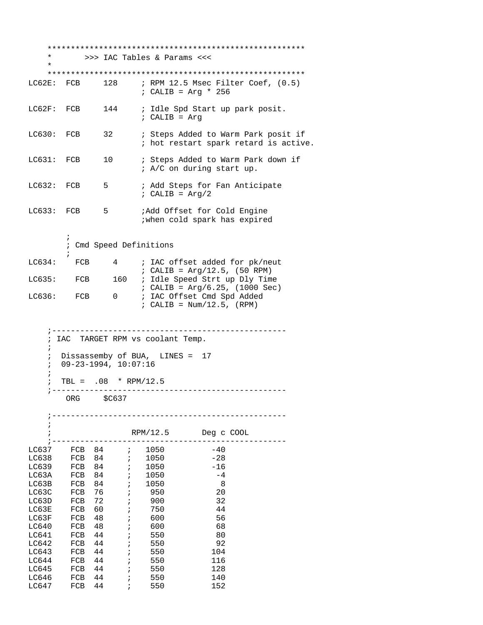| ; RPM 12.5 Msec Filter Coef, (0.5)                                           |
|------------------------------------------------------------------------------|
|                                                                              |
| ; Steps Added to Warm Park posit if<br>; hot restart spark retard is active. |
| ; Steps Added to Warm Park down if                                           |
|                                                                              |
|                                                                              |
|                                                                              |
|                                                                              |
|                                                                              |
|                                                                              |
|                                                                              |
|                                                                              |
|                                                                              |
|                                                                              |
|                                                                              |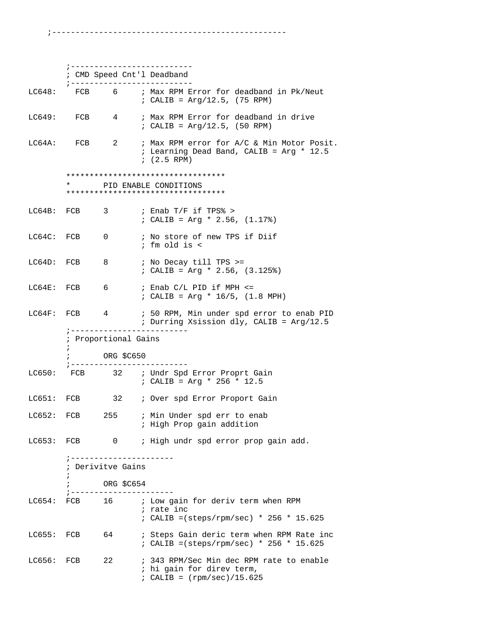;--------------------------------------------------

|                | ; ----------------------                      |                |                   | ; ---------------------------<br>; CMD Speed Cnt'l Deadband                                             |
|----------------|-----------------------------------------------|----------------|-------------------|---------------------------------------------------------------------------------------------------------|
|                |                                               |                |                   | LC648: FCB 6 ; Max RPM Error for deadband in Pk/Neut<br>; CALIB = $Arg/12.5$ , (75 RPM)                 |
|                |                                               |                |                   | LC649: FCB 4 ; Max RPM Error for deadband in drive<br>; CALIB = $Arg/12.5$ , (50 RPM)                   |
| LC64A: FCB     |                                               |                | $\mathbf{2}$      | ; Max RPM error for A/C & Min Motor Posit.<br>; Learning Dead Band, CALIB = $Arg * 12.5$<br>$(2.5$ RPM) |
|                |                                               |                |                   | ***********************************                                                                     |
|                |                                               |                |                   | PID ENABLE CONDITIONS<br>**********************************                                             |
| LC64B: FCB     |                                               | 3              |                   | ; Enab T/F if TPS% ><br>; CALIB = Arg * 2.56, $(1.17)$                                                  |
| LC64C: FCB     |                                               | $\overline{0}$ |                   | ; No store of new TPS if Diif<br>; fm old is <                                                          |
| LC64D: FCB     |                                               | 8 <sup>8</sup> |                   | ; No Decay till TPS >=<br>; CALIB = Arg * 2.56, $(3.125)$                                               |
| LC64E: FCB     |                                               |                |                   | $6$ ; Enab $C/L$ PID if MPH $\le$<br>; CALIB = Arg * $16/5$ , (1.8 MPH)                                 |
|                |                                               |                |                   | LC64F: FCB 4 ; 50 RPM, Min under spd error to enab PID<br>; Durring Xsission dly, CALIB = Arg/12.5      |
|                | ; ----------------<br>; Proportional Gains    |                |                   |                                                                                                         |
|                | $\ddot{ }$                                    |                |                   |                                                                                                         |
|                | ; -------------                               |                | ORG \$C650        | . _ _ _ _ _ _ _ _ _ _ _                                                                                 |
|                |                                               |                |                   | LC650: FCB 32 ; Undr Spd Error Proprt Gain<br>; CALIB = Arg * 256 * 12.5                                |
|                |                                               |                |                   | LC651: FCB 32 ; Over spd Error Proport Gain                                                             |
|                |                                               |                |                   | LC652: FCB 255 ; Min Under spd err to enab<br>; High Prop gain addition                                 |
| LC653: FCB     |                                               |                | $0 \qquad \qquad$ | ; High undr spd error prop gain add.                                                                    |
|                | ; ----------------------<br>; Derivitve Gains |                |                   |                                                                                                         |
|                | $\ddot{i}$                                    |                | ORG \$C654        |                                                                                                         |
| LC654:         | ; -----------                                 |                |                   | FCB 16 : Low gain for deriv term when RPM<br>; rate inc<br>; CALIB = (steps/rpm/sec) * 256 * 15.625     |
| $LC655:$ $FCB$ |                                               | 64             |                   | ; Steps Gain deric term when RPM Rate inc<br>; CALIB = (steps/rpm/sec) * 256 * 15.625                   |
| LC656:         | FCB                                           | 22             |                   | ; 343 RPM/Sec Min dec RPM rate to enable<br>; hi gain for direv term,<br>; CALIB = $(rpm/sec)/15.625$   |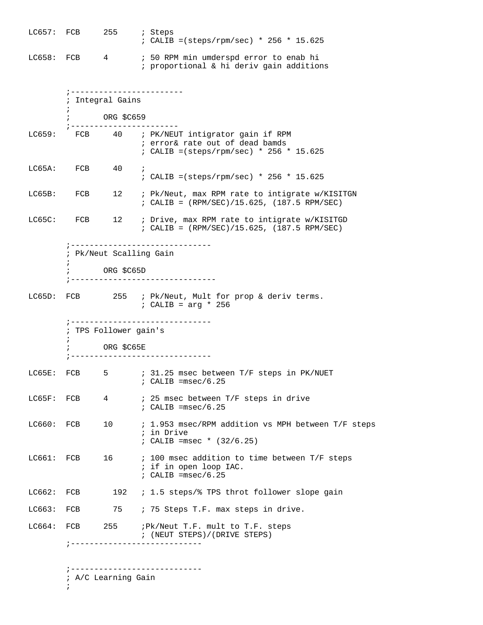LC657: FCB 255 ; Steps ; CALIB =(steps/rpm/sec) \* 256 \* 15.625 LC658: FCB 4 ; 50 RPM min umderspd error to enab hi ; proportional & hi deriv gain additions ;------------------------ ; Integral Gains  $\mathcal{L}^{\text{max}}$  ; ORG \$C659 ;----------------------- LC659: FCB 40 ; PK/NEUT intigrator gain if RPM ; error& rate out of dead bamds ; CALIB =(steps/rpm/sec) \* 256 \* 15.625 LC65A: FCB 40 ; ; CALIB =(steps/rpm/sec) \* 256 \* 15.625 LC65B: FCB 12 ; Pk/Neut, max RPM rate to intigrate w/KISITGN ; CALIB = (RPM/SEC)/15.625, (187.5 RPM/SEC) LC65C: FCB 12 ; Drive, max RPM rate to intigrate w/KISITGD ; CALIB = (RPM/SEC)/15.625, (187.5 RPM/SEC) ;------------------------------ ; Pk/Neut Scalling Gain  $\mathcal{L}^{\text{max}}$  ; ORG \$C65D ;------------------------------- LC65D: FCB 255 ; Pk/Neut, Mult for prop & deriv terms. ; CALIB = arg \* 256 ;------------------------------ ; TPS Follower gain's  $\mathcal{L}^{\text{max}}$  ; ORG \$C65E ;------------------------------ LC65E: FCB 5 ; 31.25 msec between T/F steps in PK/NUET ; CALIB =msec/6.25 LC65F: FCB 4 ; 25 msec between T/F steps in drive ; CALIB =msec/6.25 LC660: FCB 10 ; 1.953 msec/RPM addition vs MPH between T/F steps ; in Drive ; CALIB =msec \* (32/6.25) LC661: FCB 16 : 100 msec addition to time between T/F steps ; if in open loop IAC. ; CALIB =msec/6.25 LC662: FCB 192 ; 1.5 steps/% TPS throt follower slope gain LC663: FCB 75 ; 75 Steps T.F. max steps in drive. LC664: FCB 255 ; Pk/Neut T.F. mult to T.F. steps ; (NEUT STEPS)/(DRIVE STEPS) ;----------------------------

> ;---------------------------- ; A/C Learning Gain

 $\mathcal{L}^{\text{max}}$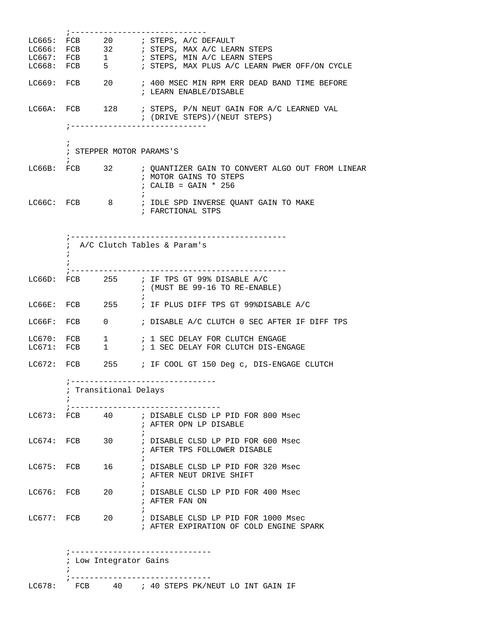|                  |            |                        | ;-----------------------------                                                                                              |
|------------------|------------|------------------------|-----------------------------------------------------------------------------------------------------------------------------|
| LC665:           |            |                        | FCB 20 ; STEPS, A/C DEFAULT                                                                                                 |
| LC666:           |            |                        | FCB 32 ; STEPS, MAX A/C LEARN STEPS                                                                                         |
|                  |            |                        |                                                                                                                             |
|                  |            |                        | ; STEPS, MAX PLUS A/C LEARN PWER OFF/ON CYCLE                                                                               |
|                  |            |                        |                                                                                                                             |
|                  |            |                        | LC669: FCB 20 : 400 MSEC MIN RPM ERR DEAD BAND TIME BEFORE<br>; LEARN ENABLE/DISABLE                                        |
|                  |            |                        | LC66A: FCB 128 ; STEPS, P/N NEUT GAIN FOR A/C LEARNED VAL<br>; (DRIVE STEPS)/(NEUT STEPS)<br>;----------------------------- |
|                  |            |                        |                                                                                                                             |
|                  | $\ddot{ }$ |                        | ; STEPPER MOTOR PARAMS'S                                                                                                    |
|                  | $\ddot{i}$ |                        | LC66B: FCB 32 ; QUANTIZER GAIN TO CONVERT ALGO OUT FROM LINEAR<br>; MOTOR GAINS TO STEPS<br>$: CALIB = GAIN * 256$          |
|                  |            |                        | LC66C: FCB 8 ; IDLE SPD INVERSE QUANT GAIN TO MAKE<br>; FARCTIONAL STPS                                                     |
|                  |            |                        |                                                                                                                             |
|                  |            |                        | ; A/C Clutch Tables & Param's                                                                                               |
|                  |            |                        | LC66D: FCB 255 ; IF TPS GT 99% DISABLE A/C<br>$:$ (MUST BE 99-16 TO RE-ENABLE)                                              |
| LC66E:           |            |                        | FCB 255 ; IF PLUS DIFF TPS GT 99%DISABLE A/C                                                                                |
| LC66F:           | FCB        | $\overline{0}$         | ; DISABLE A/C CLUTCH 0 SEC AFTER IF DIFF TPS                                                                                |
| LC670:<br>LC671: | FCB        |                        | 1 / SEC DELAY FOR CLUTCH ENGAGE<br>FCB 1 : 1 SEC DELAY FOR CLUTCH DIS-ENGAGE                                                |
|                  |            |                        | LC672: FCB 255 ; IF COOL GT 150 Deg c, DIS-ENGAGE CLUTCH                                                                    |
|                  |            | ; Transitional Delays  | ;-------------------------------                                                                                            |
|                  |            |                        | LC673: FCB 40 ; DISABLE CLSD LP PID FOR 800 Msec<br>; AFTER OPN LP DISABLE                                                  |
| LC674: FCB       |            | 30                     | ; DISABLE CLSD LP PID FOR 600 Msec<br>; AFTER TPS FOLLOWER DISABLE                                                          |
| LC675: FCB       |            |                        | 16 : DISABLE CLSD LP PID FOR 320 Msec<br>; AFTER NEUT DRIVE SHIFT                                                           |
| LC676: FCB       |            | 20                     | ; DISABLE CLSD LP PID FOR 400 Msec<br>; AFTER FAN ON                                                                        |
| $LCG77:$ FCB     |            |                        | 20 : DISABLE CLSD LP PID FOR 1000 Msec<br>; AFTER EXPIRATION OF COLD ENGINE SPARK                                           |
|                  |            |                        |                                                                                                                             |
|                  |            |                        |                                                                                                                             |
|                  |            | ; Low Integrator Gains |                                                                                                                             |
|                  |            |                        |                                                                                                                             |
|                  |            |                        |                                                                                                                             |

LC678: FCB 40 ; 40 STEPS PK/NEUT LO INT GAIN IF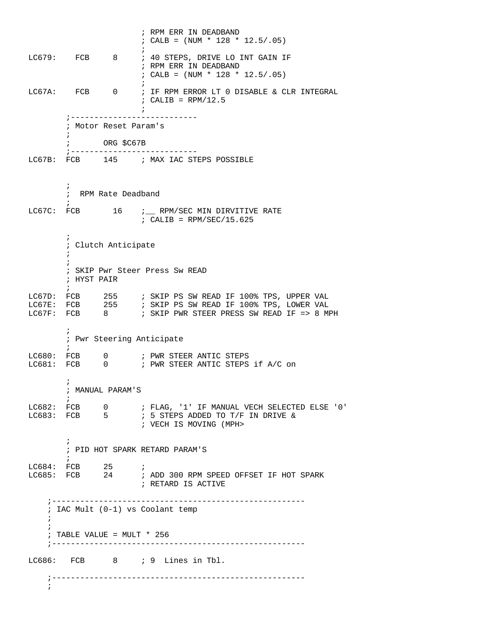; RPM ERR IN DEADBAND  $;$  CALB = (NUM \* 128 \* 12.5/.05)  $\mathcal{L}^{\text{max}}$ LC679: FCB 8 ; 40 STEPS, DRIVE LO INT GAIN IF ; RPM ERR IN DEADBAND  $;$  CALB = (NUM \* 128 \* 12.5/.05)  $\mathcal{L}^{\text{max}}$ LC67A: FCB 0 ; IF RPM ERROR LT 0 DISABLE & CLR INTEGRAL  $;$  CALIB = RPM/12.5  $\mathcal{L}$  ; and the contract of  $\mathcal{L}$  ;--------------------------- ; Motor Reset Param's  $\mathcal{L}^{\text{max}}$  ; ORG \$C67B ;--------------------------- LC67B: FCB 145 ; MAX IAC STEPS POSSIBLE  $\mathcal{L}^{\text{max}}$  ; RPM Rate Deadband  $\mathcal{L}^{\text{max}}$ LC67C: FCB  $16$   $i$  RPM/SEC MIN DIRVITIVE RATE  $;$  CALIB = RPM/SEC/15.625  $\mathcal{L}^{\text{max}}$  ; Clutch Anticipate  $\mathcal{L}^{\text{max}}$  $\mathcal{L}^{\text{max}}$  ; SKIP Pwr Steer Press Sw READ ; HYST PAIR  $\mathcal{L}^{\text{max}}$ LC67D: FCB 255 ; SKIP PS SW READ IF 100% TPS, UPPER VAL LC67E: FCB 255 ; SKIP PS SW READ IF 100% TPS, LOWER VAL LC67F: FCB 8 : SKIP PWR STEER PRESS SW READ IF => 8 MPH  $\mathcal{L}^{\text{max}}$  ; Pwr Steering Anticipate  $\mathcal{L}^{\text{max}}$ LC680: FCB 0 7 PWR STEER ANTIC STEPS LC681: FCB 0 6 ; PWR STEER ANTIC STEPS if A/C on  $\mathcal{L}^{\text{max}}$  ; MANUAL PARAM'S  $\mathcal{L}^{\text{max}}$ LC682: FCB 0 ; FLAG, '1' IF MANUAL VECH SELECTED ELSE '0' LC683: FCB 5 ; 5 STEPS ADDED TO T/F IN DRIVE &  $: 5$  STEPS ADDED TO T/F IN DRIVE & ; VECH IS MOVING (MPH>  $\mathcal{L}^{\text{max}}$  ; PID HOT SPARK RETARD PARAM'S  $\mathcal{L}^{\text{max}}$ LC684: FCB 25 ; LC685: FCB 24 ; ADD 300 RPM SPEED OFFSET IF HOT SPARK ; RETARD IS ACTIVE ;------------------------------------------------------ ; IAC Mult (0-1) vs Coolant temp ;  $\mathbf{i}$  ; TABLE VALUE = MULT \* 256 ;------------------------------------------------------ LC686: FCB 8 ; 9 Lines in Tbl. ;------------------------------------------------------ ;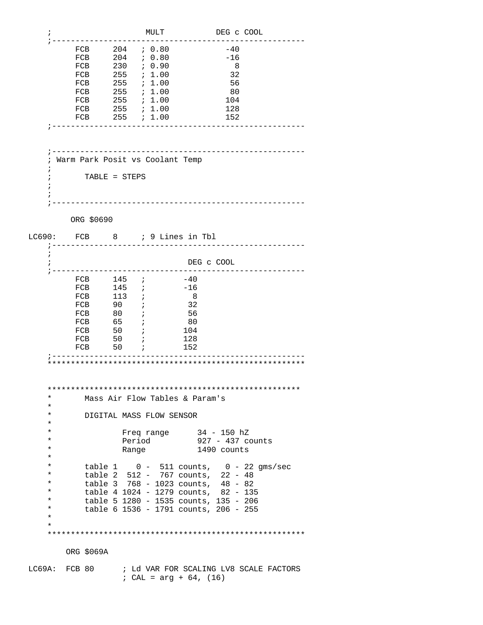| i                   |               |                                  |     |         | MULT                         |                                        | DEG C COOL                                    |  |
|---------------------|---------------|----------------------------------|-----|---------|------------------------------|----------------------------------------|-----------------------------------------------|--|
|                     |               | FCB                              | 204 |         | 70.80                        |                                        | $-40$                                         |  |
|                     |               | FCB                              |     |         | $204$ ; 0.80                 |                                        | $-16$                                         |  |
|                     |               | FCB                              | 230 |         | ; 0.90                       |                                        | - 8                                           |  |
|                     |               | FCB                              | 255 |         | ; 1.00                       |                                        | 32                                            |  |
|                     |               | FCB 255 ; 1.00                   |     |         |                              |                                        | - 56                                          |  |
|                     |               | FCB                              |     |         | $255$ ; 1.00                 |                                        | - 80                                          |  |
|                     |               | FCB                              |     |         |                              |                                        | 104                                           |  |
|                     |               | FCB                              |     |         | $255$ ; 1.00<br>$255$ ; 1.00 |                                        | 128                                           |  |
|                     |               |                                  |     |         | $255$ ; 1.00                 |                                        | 152                                           |  |
|                     |               | FCB<br>------------------------- |     |         |                              |                                        |                                               |  |
|                     |               |                                  |     |         |                              |                                        |                                               |  |
|                     |               |                                  |     |         |                              | -------------------------------------- |                                               |  |
| ÷                   |               | Warm Park Posit vs Coolant Temp  |     |         |                              |                                        |                                               |  |
|                     |               | TABLE = STEPS                    |     |         |                              |                                        |                                               |  |
|                     |               |                                  |     |         |                              |                                        |                                               |  |
|                     |               |                                  |     |         |                              |                                        |                                               |  |
|                     |               |                                  |     |         |                              |                                        |                                               |  |
|                     |               | ORG \$0690                       |     |         |                              |                                        |                                               |  |
| LC690:              |               |                                  |     |         |                              | FCB 8 ; 9 Lines in Tbl                 |                                               |  |
|                     |               |                                  |     |         |                              |                                        |                                               |  |
|                     |               |                                  |     |         |                              |                                        |                                               |  |
|                     |               |                                  |     |         |                              | DEG C COOL                             |                                               |  |
|                     |               | . _ _ _ _ _ _ _ .                |     |         |                              |                                        |                                               |  |
|                     |               | FCB                              |     | $145$ ; |                              | -40                                    |                                               |  |
|                     |               | FCB                              |     | $145$ ; |                              | -16                                    |                                               |  |
|                     |               | FCB 113 <i>i</i>                 |     |         |                              | $_{\rm 8}$                             |                                               |  |
|                     |               | FCB                              | 90  |         |                              | -32                                    |                                               |  |
|                     |               | FCB                              | 80  | $\cdot$ |                              | 56                                     |                                               |  |
|                     |               | FCB                              | 65  | $\cdot$ |                              | -80                                    |                                               |  |
|                     |               | FCB                              | 50  | $\cdot$ |                              | 104                                    |                                               |  |
|                     |               | FCB 50 <i>i</i>                  |     |         |                              | 128                                    |                                               |  |
|                     |               | FCB                              | 50  |         |                              | 152                                    |                                               |  |
|                     |               |                                  |     |         |                              |                                        |                                               |  |
|                     |               |                                  |     |         |                              |                                        |                                               |  |
|                     |               |                                  |     |         |                              |                                        |                                               |  |
|                     |               |                                  |     |         |                              |                                        |                                               |  |
| $^\star$            |               |                                  |     |         |                              | Mass Air Flow Tables & Param's         |                                               |  |
| $^\star$            |               |                                  |     |         |                              |                                        |                                               |  |
| $^\star$<br>$\star$ |               |                                  |     |         | DIGITAL MASS FLOW SENSOR     |                                        |                                               |  |
| $^\star$            |               |                                  |     |         |                              |                                        | 34 - 150 hZ                                   |  |
| $\star$             |               |                                  |     |         | Freq range                   |                                        |                                               |  |
| $^\star$            |               |                                  |     | Period  |                              |                                        | 927 - 437 counts                              |  |
| $^\star$            |               |                                  |     | Range   |                              |                                        | 1490 counts                                   |  |
| $\star$             |               |                                  |     |         |                              |                                        |                                               |  |
| $\star$             |               |                                  |     |         |                              |                                        | table $1 \t 0 - 511$ counts, $0 - 22$ qms/sec |  |
|                     |               |                                  |     |         |                              |                                        | table 2 512 - 767 counts, 22 - 48             |  |
| $^\star$            |               |                                  |     |         |                              |                                        | table 3 768 - 1023 counts, 48 - 82            |  |
| $^\star$            |               |                                  |     |         |                              |                                        | table 4 1024 - 1279 counts, 82 - 135          |  |
| $\star$             |               |                                  |     |         |                              |                                        | table 5 1280 - 1535 counts, 135 - 206         |  |
| $\star$             |               |                                  |     |         |                              |                                        | table 6 1536 - 1791 counts, 206 - 255         |  |
| $^\star$            |               |                                  |     |         |                              |                                        |                                               |  |
| $\star$             |               |                                  |     |         |                              |                                        |                                               |  |
|                     |               |                                  |     |         |                              |                                        |                                               |  |
|                     |               | ORG \$069A                       |     |         |                              |                                        |                                               |  |
|                     |               |                                  |     |         |                              |                                        |                                               |  |
|                     | LC69A: FCB 80 |                                  |     |         |                              | ; CAL = $arg + 64$ , (16)              | ; Ld VAR FOR SCALING LV8 SCALE FACTORS        |  |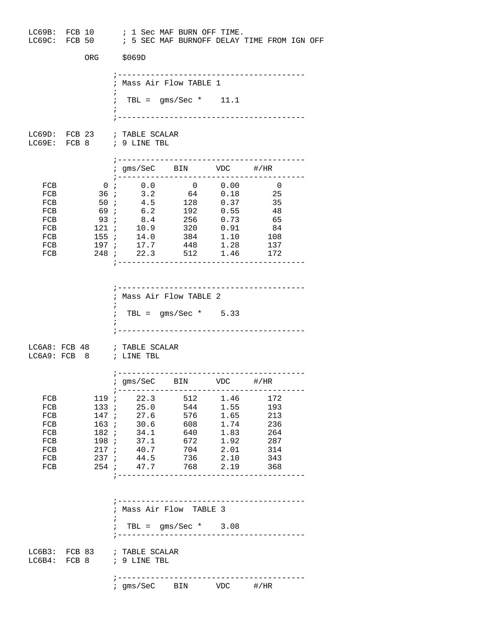|                                                             |                        |                                                                    | LC69B: FCB 10 ; 1 Sec MAF BURN OFF TIME.<br>LC69C: FCB 50 : 5 SEC MAF BURNOFF DELAY TIME FROM IGN OFF                                                                                     |                              |                                                    |  |
|-------------------------------------------------------------|------------------------|--------------------------------------------------------------------|-------------------------------------------------------------------------------------------------------------------------------------------------------------------------------------------|------------------------------|----------------------------------------------------|--|
|                                                             | ORG                    | \$069D                                                             |                                                                                                                                                                                           |                              |                                                    |  |
|                                                             |                        |                                                                    | ; Mass Air Flow TABLE 1                                                                                                                                                                   |                              |                                                    |  |
|                                                             |                        |                                                                    | $: TBL = gms/Sec * 11.1$                                                                                                                                                                  |                              |                                                    |  |
|                                                             |                        | LC69D: FCB 23 ; TABLE SCALAR<br>LC69E: FCB 8 $\qquad$ ; 9 LINE TBL |                                                                                                                                                                                           |                              |                                                    |  |
|                                                             |                        |                                                                    | ; gms/SeC BIN VDC #/HR<br>; ---------------------                                                                                                                                         |                              |                                                    |  |
| FCB<br>FCB<br>FCB<br>FCB<br>FCB                             | 36 ;<br>50 ;           | $0$ ; $0.0$<br>$3.2$<br>$4.5$                                      | $\begin{array}{ccc} 0 & 0.00 \ 64 & 0.18 \ 128 & 0.37 \end{array}$<br>69; 6.2 192 0.55 48<br>93; 8.4 256 0.73 65                                                                          |                              | $\overline{\phantom{0}}$<br>-25<br>35              |  |
| FCB<br>FCB<br>FCB<br>FCB                                    | 155i                   | 155 ; 14.0<br>197 ; 17.7                                           | 121 ; 10.9 320 0.91<br>384 1.10<br>448 1.28<br>248 ; 22.3 512 1.46 172<br>;---------------------------------                                                                              |                              | - 84<br>108<br>137                                 |  |
|                                                             |                        | $\ddot{i}$                                                         | ; Mass Air Flow TABLE 2<br>$: TBL = gms/Sec * 5.33$                                                                                                                                       |                              |                                                    |  |
|                                                             |                        | LC6A8: FCB 48 ; TABLE SCALAR<br>LC6A9: FCB 8 ; LINE TBL            | --------------------------------------                                                                                                                                                    |                              |                                                    |  |
|                                                             |                        |                                                                    | ; gms/SeC BIN VDC #/HR                                                                                                                                                                    |                              |                                                    |  |
| FCB<br>FCB<br>FCB<br>FCB<br>FCB<br>FCB<br>FCB<br>FCB<br>FCB | 133i<br>147 ;<br>217 ; | 25.0<br>27.6<br>40.7<br>237 : 44.5                                 | 119 ; 22.3 512 1.46<br>544<br>576<br>163; 30.6 608 1.74<br>182; 34.1 640 1.83 264<br>198; 37.1 672<br>704<br>736<br>254 <i>i</i> 47.7 768 2.19 368<br>;---------------------------------- | 1.55<br>1.65<br>2.01<br>2.10 | 172<br>193<br>213<br>236<br>1.92 287<br>314<br>343 |  |
|                                                             |                        | $\ddot{i}$                                                         | ; Mass Air Flow TABLE 3<br>$: TBL = gms/Sec * 3.08$                                                                                                                                       |                              |                                                    |  |
|                                                             |                        | LC6B3: FCB 83 ; TABLE SCALAR<br>LC6B4: FCB 8 ; 9 LINE TBL          |                                                                                                                                                                                           |                              |                                                    |  |
|                                                             |                        |                                                                    | -------------------------------------<br>; gms/SeC BIN VDC #/HR                                                                                                                           |                              |                                                    |  |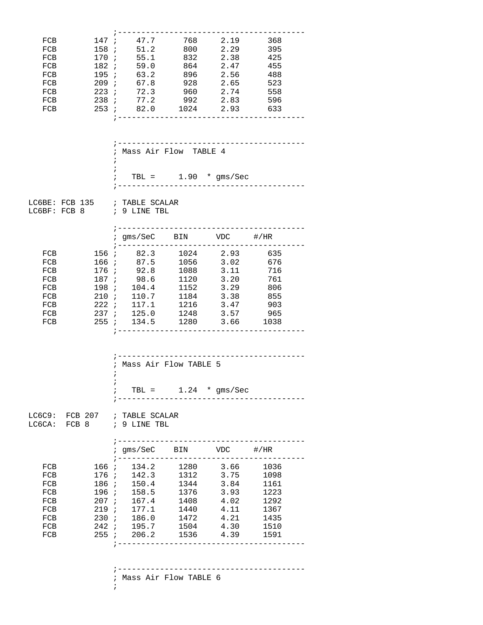|            |                  | ; -----------------------------------                                                                     |      |                                    |      |  |
|------------|------------------|-----------------------------------------------------------------------------------------------------------|------|------------------------------------|------|--|
| FCB        |                  | 147; 47.7 768 2.19 368                                                                                    |      |                                    |      |  |
| FCB        |                  | 158; 51.2 800 2.29                                                                                        |      |                                    | 395  |  |
| FCB        | 170 ;            | 55.1                                                                                                      | 832  | 2.38                               | 425  |  |
| FCB        | 182 ;            | 59.0                                                                                                      | 864  | 2.47                               | 455  |  |
| FCB        |                  | 195; 63.2                                                                                                 | 896  | 2.56                               | 488  |  |
| FCB        |                  | 209; 67.8 928 2.65 523                                                                                    |      |                                    |      |  |
| FCB        |                  | 223 <i>i</i> 72.3 960                                                                                     |      | 2.74                               | 558  |  |
| FCB        |                  | 238 <i>i</i> 77.2                                                                                         | 992  | 2.83                               | 596  |  |
| FCB        |                  | 253; 82.0 1024 2.93                                                                                       |      |                                    | 633  |  |
|            |                  | ; Mass Air Flow TABLE 4                                                                                   |      |                                    |      |  |
|            | ÷.<br>$\ddot{i}$ |                                                                                                           |      |                                    |      |  |
|            |                  | $\frac{1}{2}$ TBL = 1.90 $\star$ gms/Sec                                                                  |      |                                    |      |  |
|            |                  | LC6BE: FCB 135 ; TABLE SCALAR<br>LC6BF: FCB 8 ; 9 LINE TBL                                                |      |                                    |      |  |
|            |                  | ; gms/SeC BIN VDC #/HR                                                                                    |      |                                    |      |  |
| FCB        |                  | 156; 82.3 1024 2.93 635                                                                                   |      |                                    |      |  |
| FCB        |                  | 166; 87.5                                                                                                 |      | 1056 3.02 676                      |      |  |
| FCB        | 176 ;            | 92.8                                                                                                      | 1088 | 3.11                               | 716  |  |
| FCB        | 187 ;            | 98.6                                                                                                      | 1120 | 3.20                               | 761  |  |
| FCB        |                  | 198; 104.4                                                                                                | 1152 | 3.29                               | 806  |  |
| FCB        |                  | 210; 110.7                                                                                                |      | 1184 3.38 855                      |      |  |
| FCB        |                  | $222$ ; $117.1$                                                                                           | 1216 | 3.47                               | 903  |  |
| FCB        |                  | 237 : 125.0 1248                                                                                          |      | 3.57                               | 965  |  |
| FCB        |                  | 255 ; 134.5 1280 3.66 1038                                                                                |      |                                    |      |  |
|            | $\ddot{i}$       | ; --------------------------------<br>; Mass Air Flow TABLE 5<br>$\frac{1}{2}$ TBL = 1.24 $\star$ gms/Sec |      |                                    |      |  |
|            |                  | LC6C9: FCB 207 ; TABLE SCALAR<br>LC6CA: FCB 8 ; 9 LINE TBL<br>; --------------------------------          |      |                                    |      |  |
|            |                  | ; gms/SeC BIN VDC #/HR                                                                                    |      |                                    |      |  |
| FCB        |                  | 166 ; 134.2 1280 3.66 1036                                                                                |      |                                    |      |  |
| FCB        |                  | 176 ; 142.3 1312 3.75 1098                                                                                |      |                                    |      |  |
| FCB        |                  | 186 ; 150.4 1344<br>196 ; 158.5 1376                                                                      |      | $3.84$<br>$3.93$                   | 1161 |  |
| FCB        | 196 ;            |                                                                                                           |      |                                    | 1223 |  |
| FCB        |                  | 207; 167.4                                                                                                | 1408 | 4.02                               | 1292 |  |
| FCB        |                  | 219; 177.1                                                                                                |      | 1440 4.11                          | 1367 |  |
| FCB        |                  | 230 ; 186.0                                                                                               |      | 1472   4.21   1435                 |      |  |
| FCB<br>FCB |                  | 242 ; 195.7 1504<br>255 ; 206.2 1536 4.39 1591                                                            |      | 4.30 1510                          |      |  |
|            |                  |                                                                                                           |      | ---------------------------------- |      |  |
|            |                  | ; Mass Air Flow TABLE 6                                                                                   |      |                                    |      |  |
|            |                  | $\ddot{i}$                                                                                                |      |                                    |      |  |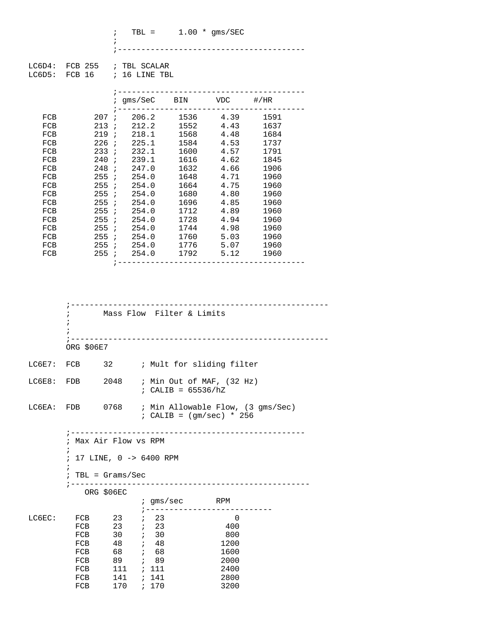|            |        | $\ddot{i}$<br>$\ddot{i}$ |                                                         | TBL = $1.00 * \text{gms}/\text{SEC}$ | ______________ |      |  |
|------------|--------|--------------------------|---------------------------------------------------------|--------------------------------------|----------------|------|--|
| $L$ C6D5:  |        |                          | LC6D4: FCB 255 ; TBL SCALAR<br>FCB $16$ ; $16$ LINE TBL |                                      |                |      |  |
|            |        |                          | ; gms/SeC BIN VDC #/HR                                  |                                      |                |      |  |
| FCB        | 207 ;  |                          |                                                         | 206.2 1536 4.39                      |                | 1591 |  |
| FCB        | 213i   |                          |                                                         | 212.2 1552 4.43                      |                | 1637 |  |
| FCB        | 219:   |                          |                                                         | 218.1 1568                           | 4.48           | 1684 |  |
| FCB        | 226i   |                          |                                                         | 225.1 1584                           | 4.53           | 1737 |  |
| FCB        | 233; j |                          | 232.1                                                   | 1600                                 | 4.57           | 1791 |  |
| FCB        | 240i   |                          |                                                         | 239.1 1616                           | 4.62           | 1845 |  |
| <b>FCB</b> | 248i   |                          | 247.0                                                   | 1632                                 | 4.66           | 1906 |  |
| FCB        | 255 i  |                          | 254.0                                                   | 1648                                 | 4.71           | 1960 |  |
| FCB        | 255 i  |                          | 254.0                                                   | 1664                                 | 4.75           | 1960 |  |
| FCB        | 255i   |                          | 254.0                                                   | 1680                                 | 4.80           | 1960 |  |
| FCB        | 255 i  |                          | 254.0                                                   | 1696 —                               | 4.85           | 1960 |  |
| FCB        | 255i   |                          | 254.0                                                   | 1712                                 | 4.89           | 1960 |  |
| FCB        | 255 i  |                          | 254.0                                                   | 1728                                 | 4.94           | 1960 |  |
| FCB        | 255i   |                          | 254.0                                                   | 1744                                 | 4.98           | 1960 |  |
| FCB        | 255i   |                          | 254.0                                                   | 1760                                 | 5.03           | 1960 |  |

 FCB 255 ; 254.0 1776 5.07 1960 FCB 255 ; 254.0 1792 5.12 1960

;----------------------------------------

|        |            |                                                                                                                                                          |       | Mass Flow Filter & Limits                                                              |  |
|--------|------------|----------------------------------------------------------------------------------------------------------------------------------------------------------|-------|----------------------------------------------------------------------------------------|--|
|        | ORG \$06E7 |                                                                                                                                                          |       |                                                                                        |  |
|        |            |                                                                                                                                                          |       | LC6E7: FCB 32 ; Mult for sliding filter                                                |  |
| LCE8:  |            |                                                                                                                                                          |       | FDB 2048 ; Min Out of MAF, (32 Hz)<br>; CALIB = $65536/hZ$                             |  |
|        |            |                                                                                                                                                          |       | LC6EA: FDB 0768 ; Min Allowable Flow, (3 gms/Sec)<br>; CALIB = $(gm/sec) * 256$        |  |
|        |            | Max Air Flow vs RPM<br>$: 17$ LINE, $0 \rightarrow 6400$ RPM<br>$: TBL = GramS/Sec$                                                                      |       | _____________________________                                                          |  |
|        |            | ORG \$06EC                                                                                                                                               |       |                                                                                        |  |
|        |            |                                                                                                                                                          |       | ; gms/sec RPM                                                                          |  |
| LC6EC: |            | FCB 23 <i>i</i> 23<br>FCB 23 ; 23<br>FCB 30 ; 30<br>FCB 48 <i>i</i> 48<br>FCB 68 <i>i</i> 68<br>FCB 89 ; 89<br>FCB 111 ; 111<br>FCB 141 ; 141<br>FCB 170 | ; 170 | $\overline{\phantom{0}}$<br>400<br>800<br>1200<br>1600<br>2000<br>2400<br>2800<br>3200 |  |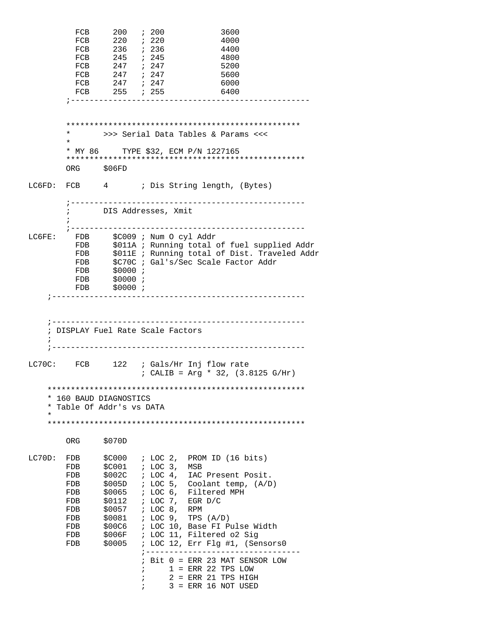FCB 200 ; 200 3600 FCB 220 ; 220 4000<br>FCB 236 ; 236 4400 FCB 236 ; 236 FCB 245 ; 245 4800 FCB 247 *;* 247 5200 FCB 247 ; 247 5600 FCB 247 ; 247 6000 FCB 255 *i* 255 6400 ;--------------------------------------------------- \*\*\*\*\*\*\*\*\*\*\*\*\*\*\*\*\*\*\*\*\*\*\*\*\*\*\*\*\*\*\*\*\*\*\*\*\*\*\*\*\*\*\*\*\*\*\*\*\*\* \* >>> Serial Data Tables & Params <<< \* \* MY 86 TYPE \$32, ECM P/N 1227165 \*\*\*\*\*\*\*\*\*\*\*\*\*\*\*\*\*\*\*\*\*\*\*\*\*\*\*\*\*\*\*\*\*\*\*\*\*\*\*\*\*\*\*\*\*\*\*\*\*\*\* ORG \$06FD LC6FD: FCB 4 ; Dis String length, (Bytes) ;-------------------------------------------------- ; DIS Addresses, Xmit  $\mathcal{L}^{\text{max}}$  ;-------------------------------------------------- LC6FE: FDB \$C009 ; Num O cyl Addr FDB \$011A ; Running total of fuel supplied Addr FDB \$011E ; Running total of Dist. Traveled Addr FDB \$C70C ; Gal's/Sec Scale Factor Addr FDB \$0000 ;<br>FDB \$0000 ; FDB \$0000 ;<br>FDB \$0000 ;  $$0000$ ; ;------------------------------------------------------ ;------------------------------------------------------ ; DISPLAY Fuel Rate Scale Factors ; ;------------------------------------------------------ LC70C: FCB 122 ; Gals/Hr Inj flow rate ; CALIB = Arg \* 32, (3.8125 G/Hr) \*\*\*\*\*\*\*\*\*\*\*\*\*\*\*\*\*\*\*\*\*\*\*\*\*\*\*\*\*\*\*\*\*\*\*\*\*\*\*\*\*\*\*\*\*\*\*\*\*\*\*\*\*\*\* \* 160 BAUD DIAGNOSTICS \* Table Of Addr's vs DATA \* \*\*\*\*\*\*\*\*\*\*\*\*\*\*\*\*\*\*\*\*\*\*\*\*\*\*\*\*\*\*\*\*\*\*\*\*\*\*\*\*\*\*\*\*\*\*\*\*\*\*\*\*\*\*\* ORG \$070D LC70D: FDB \$C000 ; LOC 2, PROM ID (16 bits)<br>FDB \$C001 ; LOC 3, MSB FDB \$C001 ; LOC 3, MSB FDB \$002C ; LOC 4, IAC Present Posit. FDB \$005D ; LOC 5, Coolant temp, (A/D)<br>FDB \$0065 ; LOC 6, Filtered MPH \$0065 ; LOC 6, Filtered MPH FDB \$0112 ; LOC 7, EGR D/C<br>FDB \$0057 ; LOC 8, RPM \$0057 ; LOC 8, RPM FDB \$0081 ; LOC 9, TPS (A/D) FDB \$00C6 ; LOC 10, Base FI Pulse Width FDB \$006F ; LOC 11, Filtered o2 Sig FDB \$0005 ; LOC 12, Err Flg #1, (Sensors0 ;--------------------------------- ; Bit 0 = ERR 23 MAT SENSOR LOW  $; 1 =$  ERR 22 TPS LOW  $; 2 = ERR 21 TPS HIGH$ ; 3 = ERR 16 NOT USED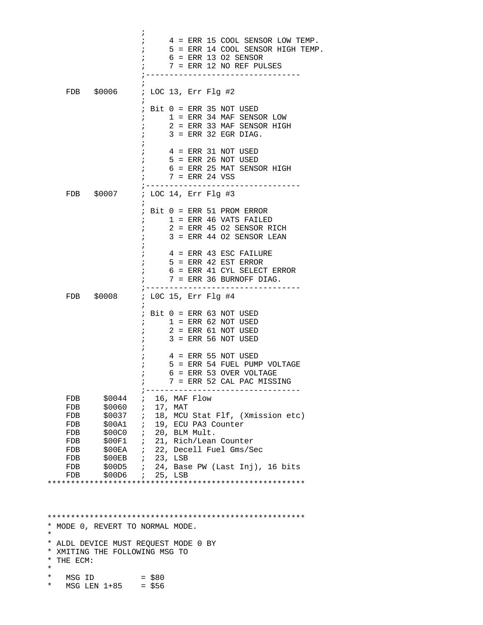$\mathcal{L}$  ; and the contract of  $\mathcal{L}$  ; 4 = ERR 15 COOL SENSOR LOW TEMP. ; 5 = ERR 14 COOL SENSOR HIGH TEMP. ; 6 = ERR 13 O2 SENSOR ; 7 = ERR 12 NO REF PULSES ;---------------------------------  $\mathcal{L}$  ; and the contract of  $\mathcal{L}$  FDB \$0006 ; LOC 13, Err Flg #2  $\mathcal{L}^{\text{max}}$  ; Bit 0 = ERR 35 NOT USED ; 1 = ERR 34 MAF SENSOR LOW ; 2 = ERR 33 MAF SENSOR HIGH  $;$  3 = ERR 32 EGR DIAG.  $\mathcal{L}$  ; and the state  $\mathcal{L}$  is the state of  $\mathcal{L}$  $; 4 = ERR 31 NOT USED$  $5$  = ERR 26 NOT USED ; 6 = ERR 25 MAT SENSOR HIGH  $7$  = ERR 24 VSS ;--------------------------------- ; LOC 14, Err Flg #3  $\mathcal{L}^{\text{max}}$  ; Bit 0 = ERR 51 PROM ERROR  $;$   $1$  = ERR 46 VATS FAILED  $; 2$  = ERR 45 02 SENSOR RICH  $; 3$  = ERR 44 O2 SENSOR LEAN  $\mathcal{L}$  ; and the contract of  $\mathcal{L}$  ; 4 = ERR 43 ESC FAILURE  $5$  = ERR 42 EST ERROR ; 6 = ERR 41 CYL SELECT ERROR  $7$  = ERR 36 BURNOFF DIAG. ;--------------------------------- ; LOC 15, Err Flg #4  $\mathcal{L}^{\text{max}}$  ; Bit 0 = ERR 63 NOT USED  $; 1 = ERR 62 NOT USED$  $; 2 = ERR 61 NOT USED$  $; 3 = ERR 56 NOT USED$  $\mathcal{L}$  ; and the state  $\mathcal{L}$  is the state of  $\mathcal{L}$  $; 4 = ERR 55 NOT USED$  ; 5 = ERR 54 FUEL PUMP VOLTAGE ; 6 = ERR 53 OVER VOLTAGE ; 7 = ERR 52 CAL PAC MISSING ;--------------------------------- FDB \$0044 ; 16, MAF Flow<br>FDB \$0060 ; 17, MAT ; 17, MAT FDB \$0037 ; 18, MCU Stat Flf, (Xmission etc) FDB \$00A1 ; 19, ECU PA3 Counter FDB \$00C0 ; 20, BLM Mult. FDB \$00F1 ; 21, Rich/Lean Counter FDB \$00EA ; 22, Decell Fuel Gms/Sec FDB \$00EB ; 23, LSB<br>FDB \$00D5 ; 24, Base FDB \$00D5 ; 24, Base PW (Last Inj), 16 bits FDB \$00D6 ; 25, LSB \*\*\*\*\*\*\*\*\*\*\*\*\*\*\*\*\*\*\*\*\*\*\*\*\*\*\*\*\*\*\*\*\*\*\*\*\*\*\*\*\*\*\*\*\*\*\*\*\*\*\*\*\*\*\*

 \*\*\*\*\*\*\*\*\*\*\*\*\*\*\*\*\*\*\*\*\*\*\*\*\*\*\*\*\*\*\*\*\*\*\*\*\*\*\*\*\*\*\*\*\*\*\*\*\*\*\*\*\*\*\* \* MODE 0, REVERT TO NORMAL MODE. \* \* ALDL DEVICE MUST REQUEST MODE 0 BY \* XMITING THE FOLLOWING MSG TO \* THE ECM: \*  $*$  MSG ID = \$80  $MSG$  LEN  $1+85$  = \$56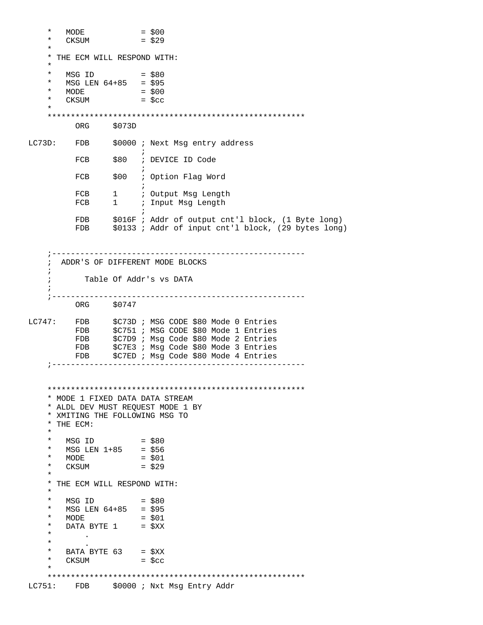```
* MODE = $00<br>
* CKSUM = $29
       CKSUM *
     * THE ECM WILL RESPOND WITH:
     *
* MSG ID = $80 * MSG LEN 64+85 = $95
* MODE = $00* CKSUM = $cc *
     *******************************************************
          ORG $073D 
LC73D: FDB $0000 ; Next Msg entry address
\mathcal{L} ; and the contract of \mathcal{L}FCB $80 ; DEVICE ID Code
\mathcal{L} ; and the contract of \mathcal{L}FCB $00 ; Option Flag Word
\mathcal{L} ; and the state \mathcal{L} is the state of \mathcal{L}FCB 1 ; Output Msg Length<br>FCB 1 ; Input Msg Length
                        ; Input Msg Length
\mathcal{L} ; and the contract of \mathcal{L}FDB $016F ; Addr of output cnt'l block, (1 Byte long)<br>FDB $0133 ; Addr of input cnt'l block, (29 bytes long
                 $0133 ; Addr of input cnt'l block, (29 bytes long)
     ;------------------------------------------------------
     ; ADDR'S OF DIFFERENT MODE BLOCKS 
\mathbf{i} ; Table Of Addr's vs DATA
\mathcal{L} ;------------------------------------------------------
          ORG $0747
LC747: FDB $C73D ; MSG CODE $80 Mode 0 Entries
         FDB $C751 ; MSG CODE $80 Mode 1 Entries
          FDB $C7D9 ; Msg Code $80 Mode 2 Entries 
          FDB $C7E3 ; Msg Code $80 Mode 3 Entries 
          FDB $C7ED ; Msg Code $80 Mode 4 Entries 
     ;------------------------------------------------------
     *******************************************************
     * MODE 1 FIXED DATA DATA STREAM
     * ALDL DEV MUST REQUEST MODE 1 BY
     * XMITING THE FOLLOWING MSG TO 
    * THE ECM:
 *
* MSG ID = $80 * MSG LEN 1+85 = $56
* MODE = $01* CKSUM = $29
     *
     * THE ECM WILL RESPOND WITH:
     *
    * MSG ID = $80<br>* MSC LEN 64+85 - $95
    * MSG LEN 64+85 = $95<br>* MODE = $01
       MODE* DATA BYTE 1 = \frac{1}{2}\sim .
\star* BATA BYTE 63 = $XX<br>* CKSUM = $cc
       {\tt CKSUM} *
     *******************************************************
LC751: FDB $0000 ; Nxt Msg Entry Addr
```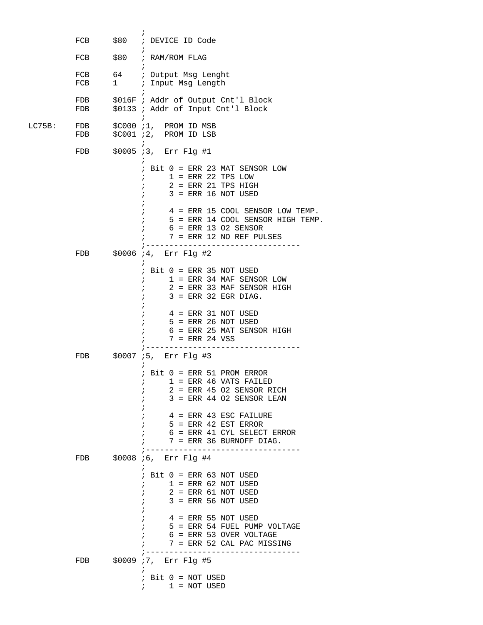|        | FCB        | \$80 ; DEVICE ID Code                                                                                                                                                                                                                                                                             |
|--------|------------|---------------------------------------------------------------------------------------------------------------------------------------------------------------------------------------------------------------------------------------------------------------------------------------------------|
|        | FCB        | $\ddot{ }$<br>\$80 ; RAM/ROM FLAG                                                                                                                                                                                                                                                                 |
|        | FCB<br>FCB | 64 : Output Msg Lenght<br>1 : Input Msg Length                                                                                                                                                                                                                                                    |
|        | FDB<br>FDB | \$016F ; Addr of Output Cnt'l Block<br>\$0133 ; Addr of Input Cnt'l Block                                                                                                                                                                                                                         |
| LC75B: | FDB<br>FDB | $\ddot{i}$<br>\$C000 ;1, PROM ID MSB<br>\$C001 ;2, PROM ID LSB                                                                                                                                                                                                                                    |
|        | FDB        | $\ddot{i}$<br>\$0005 ;3, Err Flg #1                                                                                                                                                                                                                                                               |
|        |            | $:$ Bit $0 =$ ERR 23 MAT SENSOR LOW<br>$1 =$ ERR 22 TPS LOW<br>$2$ = ERR 21 TPS HIGH<br>$3$ = ERR 16 NOT USED<br>4 = ERR 15 COOL SENSOR LOW TEMP.<br>$\ddot{i}$<br>5 = ERR 14 COOL SENSOR HIGH TEMP.<br>$\ddot{i}$<br>$6 =$ ERR 13 02 SENSOR<br>$7 =$ ERR 12 NO REF PULSES                        |
|        | FDB        | ; -----------<br>\$0006 ;4, Err Flg #2                                                                                                                                                                                                                                                            |
|        |            | $:$ Bit $0 =$ ERR 35 NOT USED<br>$1 = ERR$ 34 MAF SENSOR LOW<br>2 = ERR 33 MAF SENSOR HIGH<br>$\mathcal{L}$<br>$3$ = ERR 32 EGR DIAG.<br>4 = ERR 31 NOT USED<br>5 = ERR 26 NOT USED<br>6 = ERR 25 MAT SENSOR HIGH<br>$\mathcal{L}$<br>$7 =$ ERR 24 VSS                                            |
|        | FDB        | \$0007 ;5, Err Flq #3                                                                                                                                                                                                                                                                             |
|        |            | $:$ Bit $0 =$ ERR 51 PROM ERROR<br>$1$ = ERR 46 VATS FAILED<br>$\ddot{i}$<br>2 = ERR 45 O2 SENSOR RICH<br>$\ddot{i}$<br>$3$ = ERR 44 02 SENSOR LEAN<br>4 = ERR 43 ESC FAILURE<br>$5$ = ERR 42 EST ERROR<br>$\ddot{i}$<br>6 = ERR 41 CYL SELECT ERROR<br>$\mathcal{L}$<br>7 = ERR 36 BURNOFF DIAG. |
|        | FDB        | ; -----------<br>\$0008 % Frr Flg #4                                                                                                                                                                                                                                                              |
|        |            | $:$ Bit $0 =$ ERR 63 NOT USED<br>$1$ = ERR 62 NOT USED<br>$\mathbf{r}$<br>$2 = ERR 61 NOT USED$<br>$3 =$ ERR 56 NOT USED<br>$\mathbf{r}$<br>$4$ = ERR 55 NOT USED<br>5 = ERR 54 FUEL PUMP VOLTAGE<br>$\ddot{i}$<br>6 = ERR 53 OVER VOLTAGE<br>7 = ERR 52 CAL PAC MISSING                          |
|        | FDB        | \$0009 77, Err Flg #5                                                                                                                                                                                                                                                                             |
|        |            | $\ddot{i}$<br>$:$ Bit $0 = NOT$ USED<br>$1 = NOT USED$                                                                                                                                                                                                                                            |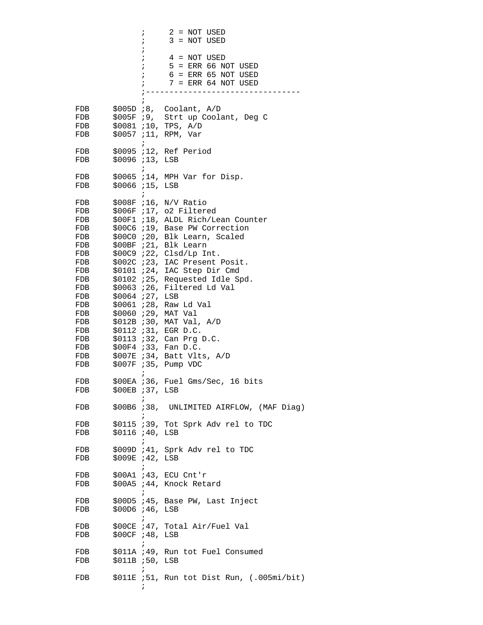$; 2 = NOT USED$  $; 3 = NOT USED$  $\mathcal{L}$  ; and the state  $\mathcal{L}$  is the state of  $\mathcal{L}$  $; 4 = NOT USED$  $;$   $5$  = ERR 66 NOT USED ; 6 = ERR 65 NOT USED  $7 =$  ERR 64 NOT USED ;---------------------------------  $\mathcal{L}$  ; and the state  $\mathcal{L}$  is the state of  $\mathcal{L}$  FDB \$005D ;8, Coolant, A/D FDB  $$005F$  ;9, Strt up Coolant, Deg C<br>FDB  $$0081$  ;10, TPS, A/D FDB \$0081 ;10, TPS, A/D<br>FDB \$0057 ;11, RPM, Var \$0057 ;11, RPM, Var  $\mathcal{L}^{\text{max}}$  FDB \$0095 ;12, Ref Period FDB \$0096 ;13, LSB  $\mathcal{L}$  ; and the contract of  $\mathcal{L}$  FDB \$0065 ;14, MPH Var for Disp. FDB \$0066 ;15, LSB  $\mathcal{L}$  ; and the contract of  $\mathcal{L}$  FDB \$008F ;16, N/V Ratio FDB \$006F ;17, o2 Filtered FDB \$00F1 ;18, ALDL Rich/Lean Counter FDB \$00C6 ;19, Base PW Correction FDB \$00C0 ;20, Blk Learn, Scaled FDB \$00BF ;21, Blk Learn FDB \$00C9 ;22, Clsd/Lp Int. FDB \$002C ;23, IAC Present Posit. FDB \$0101 ;24, IAC Step Dir Cmd FDB \$0102 ;25, Requested Idle Spd. FDB \$0063 ;26, Filtered Ld Val<br>FDB \$0064 ;27, LSB FDB \$0064 ; 27, LSB FDB \$0061 ;28, Raw Ld Val FDB \$0060 ;29, MAT Val FDB \$012B ;30, MAT Val, A/D FDB \$0112 ;31, EGR D.C. FDB \$0113 ;32, Can Prg D.C. FDB \$00F4 ;33, Fan D.C. FDB \$007E *;*34, Batt Vlts, A/D<br>FDB \$007F *;*35, Pump VDC \$007F ;35, Pump VDC  $\mathcal{L}^{\text{max}}$ FDB \$00EA ;36, Fuel Gms/Sec, 16 bits<br>FDB \$00EB ;37, LSB \$00EB ;37, LSB  $\mathcal{L}^{\text{max}}$  FDB \$00B6 ;38, UNLIMITED AIRFLOW, (MAF Diag)  $\mathcal{L}^{\text{max}}$  FDB \$0115 ;39, Tot Sprk Adv rel to TDC FDB \$0116 ;40, LSB  $\mathcal{L}$  ; and the state  $\mathcal{L}$  is the state of  $\mathcal{L}$  FDB \$009D ;41, Sprk Adv rel to TDC FDB \$009E ;42, LSB  $\mathcal{L}^{\text{max}}$  FDB \$00A1 ;43, ECU Cnt'r FDB \$00A5 ;44, Knock Retard  $\mathcal{L}^{\text{max}}$  FDB \$00D5 ;45, Base PW, Last Inject FDB \$00D6 ;46, LSB  $\mathcal{L}^{\text{max}}$ FDB \$00CE ;47, Total Air/Fuel Val FDB \$00CF ;48, LSB  $\mathcal{L}^{\text{max}}$  FDB \$011A ;49, Run tot Fuel Consumed FDB \$011B ;50, LSB  $\mathcal{L}^{\text{max}}$  FDB \$011E ;51, Run tot Dist Run, (.005mi/bit)  $\mathcal{L}$  ; and the contract of  $\mathcal{L}$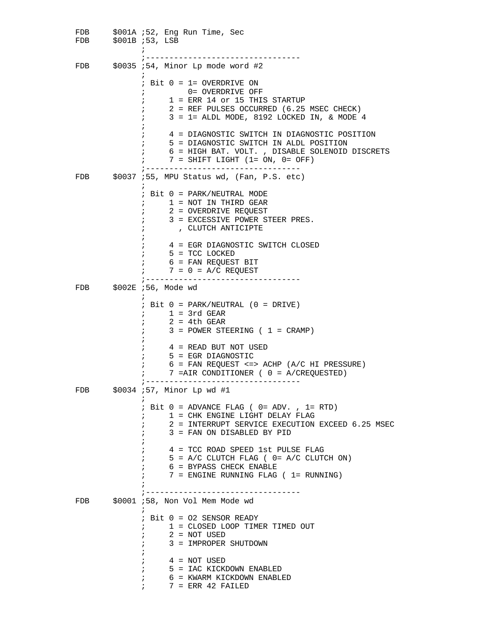FDB \$001A ;52, Eng Run Time, Sec<br>FDB \$001B ;53, LSB \$001B ;53, LSB  $\mathcal{L}$  ; and the state  $\mathcal{L}$  is the state of  $\mathcal{L}$  ;--------------------------------- FDB \$0035 ;54, Minor Lp mode word #2  $\mathcal{L}^{\text{max}}$  ; Bit 0 = 1= OVERDRIVE ON ; 0= OVERDRIVE OFF  $; 1 = ERR 14$  or 15 THIS STARTUP ; 2 = REF PULSES OCCURRED (6.25 MSEC CHECK) ; 3 = 1= ALDL MODE, 8192 LOCKED IN, & MODE 4  $\mathcal{L}$  ; and the contract of  $\mathcal{L}$  ; 4 = DIAGNOSTIC SWITCH IN DIAGNOSTIC POSITION ; 5 = DIAGNOSTIC SWITCH IN ALDL POSITION ; 6 = HIGH BAT. VOLT. , DISABLE SOLENOID DISCRETS  $7 =$  SHIFT LIGHT (1= ON, 0= OFF) ;---------------------------------  $$0037$  ;55, MPU Status wd, (Fan, P.S. etc)  $\mathcal{L}^{\text{max}}$  ; Bit 0 = PARK/NEUTRAL MODE  $;$   $1$  = NOT IN THIRD GEAR ; 2 = OVERDRIVE REQUEST ; 3 = EXCESSIVE POWER STEER PRES. ; , CLUTCH ANTICIPTE  $\mathcal{L}$  ; and the contract of  $\mathcal{L}$  ; 4 = EGR DIAGNOSTIC SWITCH CLOSED ; 5 = TCC LOCKED ; 6 = FAN REQUEST BIT  $7 = 0 = A/\tilde{C}$  REQUEST ;--------------------------------- FDB \$002E ;56, Mode wd  $\mathcal{L}^{\text{max}}$  ; Bit 0 = PARK/NEUTRAL (0 = DRIVE)  $; 1 = 3rd$  GEAR  $; 2 = 4th$  GEAR  $; 3 = POWER STEERING ( 1 = CRAMP)$  $\mathcal{L}$  ; and the contract of  $\mathcal{L}$  ; 4 = READ BUT NOT USED ; 5 = EGR DIAGNOSTIC  $6$  = FAN REQUEST <=> ACHP (A/C HI PRESSURE) ; 7 =AIR CONDITIONER ( 0 = A/CREQUESTED) ;--------------------------------- \$0034 ;57, Minor Lp wd #1  $\mathcal{L}^{\text{max}}$  $;$  Bit  $0 =$  ADVANCE FLAG (  $0 =$  ADV. ,  $1 =$  RTD) ; 1 = CHK ENGINE LIGHT DELAY FLAG ; 2 = INTERRUPT SERVICE EXECUTION EXCEED 6.25 MSEC ; 3 = FAN ON DISABLED BY PID  $\mathcal{L}$  ; and the state  $\mathcal{L}$  is the state of  $\mathcal{L}$  ; 4 = TCC ROAD SPEED 1st PULSE FLAG  $;$  5 = A/C CLUTCH FLAG (  $0=$  A/C CLUTCH ON) ; 6 = BYPASS CHECK ENABLE  $7 =$  ENGINE RUNNING FLAG ( 1= RUNNING)  $\mathcal{L}$  ; and the state  $\mathcal{L}$  is the state of  $\mathcal{L}$  ;--------------------------------- FDB \$0001 ;58, Non Vol Mem Mode wd  $\mathcal{L}^{\text{max}}$  ; Bit 0 = O2 SENSOR READY ; 1 = CLOSED LOOP TIMER TIMED OUT  $; 2 = NOT USED$  ; 3 = IMPROPER SHUTDOWN  $\mathcal{L}$  ; and the contract of  $\mathcal{L}$  $; 4 = NOT USED$  ; 5 = IAC KICKDOWN ENABLED ; 6 = KWARM KICKDOWN ENABLED  $7$  = ERR 42 FAILED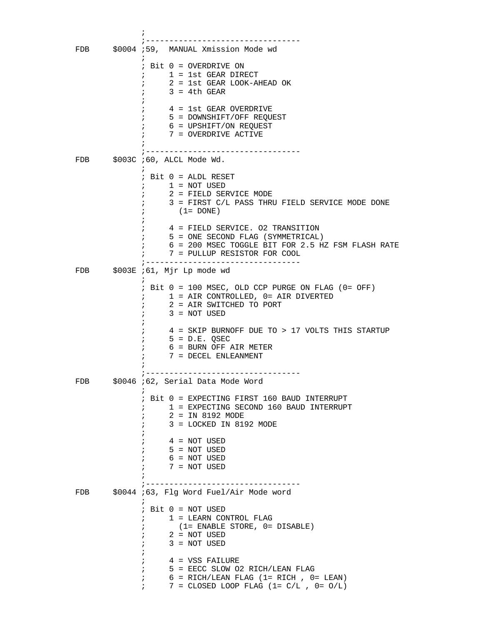$\mathcal{L}$  ; and the contract of  $\mathcal{L}$  ;--------------------------------- \$0004 ;59, MANUAL Xmission Mode wd  $\mathcal{L}^{\text{max}}$  ; Bit 0 = OVERDRIVE ON ; 1 = 1st GEAR DIRECT ; 2 = 1st GEAR LOOK-AHEAD OK  $; 3 = 4th$  GEAR  $\mathcal{L}$  ; and the state  $\mathcal{L}$  is the state of  $\mathcal{L}$  ; 4 = 1st GEAR OVERDRIVE ; 5 = DOWNSHIFT/OFF REQUEST ; 6 = UPSHIFT/ON REQUEST ; 7 = OVERDRIVE ACTIVE  $\mathcal{L}$  ; and the state  $\mathcal{L}$  is the state of  $\mathcal{L}$  ;--------------------------------- FDB \$003C ;60, ALCL Mode Wd.  $\mathcal{L}^{\text{max}}$  ; Bit 0 = ALDL RESET  $; 1 = NOT USED$  ; 2 = FIELD SERVICE MODE ; 3 = FIRST C/L PASS THRU FIELD SERVICE MODE DONE  $;$   $(1=$  DONE)  $\mathcal{L}$  ; and the state  $\mathcal{L}$  is the state of  $\mathcal{L}$  ; 4 = FIELD SERVICE. O2 TRANSITION ; 5 = ONE SECOND FLAG (SYMMETRICAL) ; 6 = 200 MSEC TOGGLE BIT FOR 2.5 HZ FSM FLASH RATE ; 7 = PULLUP RESISTOR FOR COOL ;--------------------------------- FDB \$003E ;61, Mjr Lp mode wd  $\mathcal{L}^{\text{max}}$  ; Bit 0 = 100 MSEC, OLD CCP PURGE ON FLAG (0= OFF) ; 1 = AIR CONTROLLED, 0= AIR DIVERTED ; 2 = AIR SWITCHED TO PORT  $; 3 = NOT USED$  $\mathcal{L}$  ; and the contract of  $\mathcal{L}$  ; 4 = SKIP BURNOFF DUE TO > 17 VOLTS THIS STARTUP  $5 = D.E. QSEC$  ; 6 = BURN OFF AIR METER ; 7 = DECEL ENLEANMENT  $\mathcal{L}$  ; and the contract of  $\mathcal{L}$  ;--------------------------------- \$0046 ;62, Serial Data Mode Word  $\mathcal{L}^{\text{max}}$  ; Bit 0 = EXPECTING FIRST 160 BAUD INTERRUPT ; 1 = EXPECTING SECOND 160 BAUD INTERRUPT ; 2 = IN 8192 MODE ; 3 = LOCKED IN 8192 MODE  $\mathcal{L}$  ; and the state  $\mathcal{L}$  is the state of  $\mathcal{L}$  $; 4 = NOT USED$  $;$   $5 = NOT$  USED  $6 = NOT USED$  ; 7 = NOT USED  $\mathcal{L}$  ; and the state  $\mathcal{L}$  is the state of  $\mathcal{L}$  ;--------------------------------- \$0044 ;63, Flg Word Fuel/Air Mode word  $\mathcal{L}^{\text{max}}$  ; Bit 0 = NOT USED ; 1 = LEARN CONTROL FLAG ; (1= ENABLE STORE, 0= DISABLE)  $; 2 = NOT USED$  $; 3 = NOT USED$  $\mathcal{L}$  ; and the contract of  $\mathcal{L}$  ; 4 = VSS FAILURE ; 5 = EECC SLOW O2 RICH/LEAN FLAG  $6 = RICH/LEM \; FLAG (1 = RICH , 0 = LEAN)$ ;  $7 = \text{CLOSED LOOP FLAG} (1 = \text{C/L} , 0 = \text{O/L})$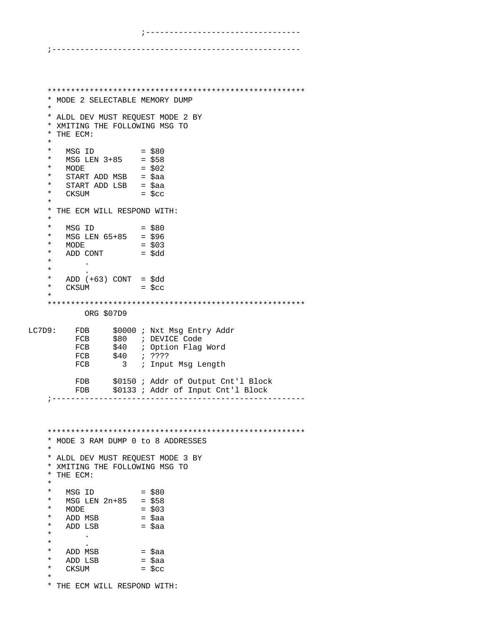```
 ;---------------------------------
```
## ;-----------------------------------------------------

```
 *******************************************************
     * MODE 2 SELECTABLE MEMORY DUMP
 *
     * ALDL DEV MUST REQUEST MODE 2 BY
     * XMITING THE FOLLOWING MSG TO 
     * THE ECM:
     *
* MSG ID = $80 * MSG LEN 3+85 = $58
    * MODE = $02<br>* crapt and med = $22
        START ADD MSB = $aa* START ADD LSB = $aa<br>* CKSUM = $cc
        {\tt CKSUM} *
     * THE ECM WILL RESPOND WITH:
 *
    * MSG ID = $80<br>* MSG LEN 65+85 = $96
        MSG LEN 65+85 = $96<br>MODE = $03
    * MODE = $03<br>* ADD CONT = $dd
    * ADD CONT *\sim .
\star .
    * ADD (+63) CONT = $dd<br>* CKSUM = $cc
        CKSUM = $cc *
     *******************************************************
             ORG $07D9 
LC7D9: FDB $0000 ; Nxt Msg Entry Addr<br>FCB $80 ; DEVICE Code
                  $80 ; DEVICE Code
          FCB $40 ; Option Flag Word
           FCB $40 ; ????<br>FCB 3 ; Input
                    3 ; Input Msg Length
          FDB $0150 ; Addr of Output Cnt'l Block<br>FDB $0133 ; Addr of Input Cnt'l Block
                  $0133 ; Addr of Input Cnt'l Block
     ;------------------------------------------------------
     *******************************************************
     * MODE 3 RAM DUMP 0 to 8 ADDRESSES
 * 
     * ALDL DEV MUST REQUEST MODE 3 BY
     * XMITING THE FOLLOWING MSG TO 
     * THE ECM:
 *
    * MSG ID = $80<br>* MSG LEN 2n+85 = $58
    * MSG LEN 2n+85 = $58<br>* MODE = $03
    * MODE<br>* ADD MSB
    * ADD MSB = $aa<br>* ADD LSB = $aa* ADD LSB = $aa\begin{matrix} \star \end{matrix} .
\star* ADD MSB = $aa<br>* ADD LSB = $aa
      ADD LSB
    * CKSUM = $cc *
     * THE ECM WILL RESPOND WITH:
```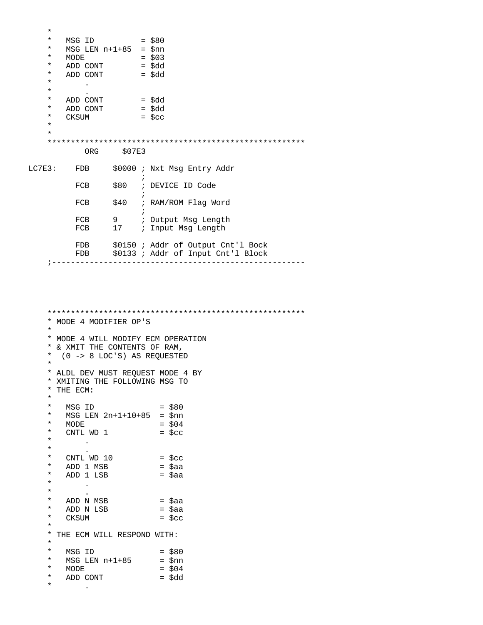| $^\star$ |                            |                   |         |                                                                          |
|----------|----------------------------|-------------------|---------|--------------------------------------------------------------------------|
| $\star$  | MSG ID                     |                   |         | $=$ \$80                                                                 |
| *        | $MSG$ LEN $n+1+85$ = $$nn$ |                   |         |                                                                          |
| *        | <b>MODE</b>                |                   |         | $=$ \$03                                                                 |
| *        | ADD CONT                   |                   |         | = \$dd                                                                   |
| *        | ADD CONT                   |                   |         | $=$ \$dd                                                                 |
| $^\star$ |                            |                   |         |                                                                          |
| $^\star$ | $\bullet$                  |                   |         |                                                                          |
| $^\star$ | ADD CONT                   |                   |         | = \$dd                                                                   |
| $^\star$ | ADD CONT                   |                   |         | = \$dd                                                                   |
| *        | CKSUM                      |                   |         | $=$ \$cc                                                                 |
| $\star$  |                            |                   |         |                                                                          |
| $\star$  |                            |                   |         |                                                                          |
|          |                            |                   |         |                                                                          |
|          | <b>ORG</b>                 | S07E3             |         |                                                                          |
| LC7E3:   | FDB                        |                   | ÷       | \$0000 ; Nxt Msg Entry Addr                                              |
|          | FCB                        |                   |         | \$80 ; DEVICE ID Code                                                    |
|          | FCB                        | \$40              | $\cdot$ | ; RAM/ROM Flag Word                                                      |
|          | FCB                        | $9 \quad \bullet$ |         | ; Output Msg Length                                                      |
|          | FCB                        | 17                |         | ; Input Msg Length                                                       |
|          | FDB<br>FDB                 |                   |         | \$0150 ; Addr of Output Cnt'l Bock<br>\$0133 ; Addr of Input Cnt'l Block |
|          |                            |                   |         | -----------                                                              |

 \*\*\*\*\*\*\*\*\*\*\*\*\*\*\*\*\*\*\*\*\*\*\*\*\*\*\*\*\*\*\*\*\*\*\*\*\*\*\*\*\*\*\*\*\*\*\*\*\*\*\*\*\*\*\* \* MODE 4 MODIFIER OP'S \* \* MODE 4 WILL MODIFY ECM OPERATION \* & XMIT THE CONTENTS OF RAM, \* (0 -> 8 LOC'S) AS REQUESTED \* \* ALDL DEV MUST REQUEST MODE 4 BY \* XMITING THE FOLLOWING MSG TO \* THE ECM: \*  $*$  MSG ID = \$80<br> $*$  MSG LEN 2n+1+10+85 = \$nn \* MSG LEN 2n+1+10+85 = \$nn<br>\* MODE = \$04  $*$  MODE = \$04<br>  $*$  CNTL WD 1 = \$cc CNTL WD 1  $\begin{matrix} \star \cr \star \cr \end{matrix}$  .  $\star$ \* CNTL WD 10 = \$cc<br>\* ADD 1 MSB = \$aa \* ADD 1 MSB = \$aa<br>\* ADD 1 LSB = \$aa  $*$  ADD 1 LSB  $*$  $\begin{array}{ccc} \star & & \cdot \\ \star & & \cdot \end{array}$  $\star$ \* ADD N MSB = \$aa<br>\* ADD N LSB = \$aa  $*$  ADD N LSB  $= $aa$ <br> $*$  CKSIIM  $= 5ca$  $CKSUM$  =  $$cc$  \* \* THE ECM WILL RESPOND WITH: \*  $*$  MSG ID = \$80<br> $*$  MSG LEN n+1+85 = \$nn \*  $MSG$  LEN  $n+1+85$ <br>\*  $MODE$  $*$  MODE =  $$04$ <br> $*$  ADD CONT =  $$d$ \* ADD CONT  $^\star$ 

 $\mathbf{r}$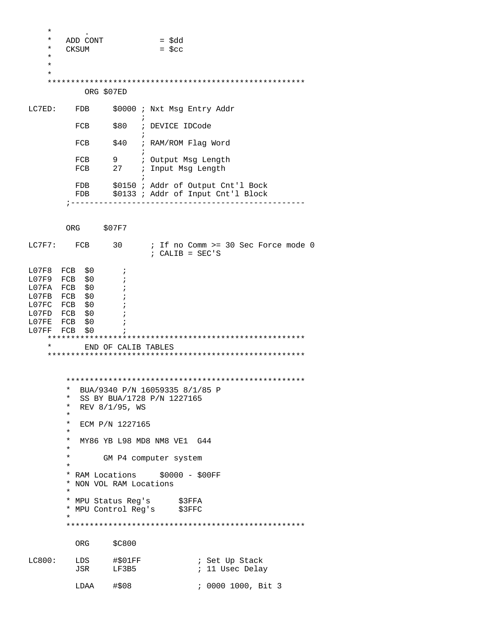| $^\star$<br>$^\star$<br>*<br>$^\star$<br>$^\star$<br>$\star$<br>LC7ED: | ADD CONT<br><b>CKSUM</b><br>ORG \$07ED<br>FDB<br>FCB<br>FCB                                                                                                          | $\ddot{i}$                                  | $=$ \$dd<br>$=$ \$cc<br>\$0000 ; Nxt Msg Entry Addr<br>\$80 ; DEVICE IDCode<br>\$40 ; RAM/ROM Flag Word                                                                                                            |                                                                          |
|------------------------------------------------------------------------|----------------------------------------------------------------------------------------------------------------------------------------------------------------------|---------------------------------------------|--------------------------------------------------------------------------------------------------------------------------------------------------------------------------------------------------------------------|--------------------------------------------------------------------------|
|                                                                        | FCB<br>FCB                                                                                                                                                           | 9                                           | ; Output Msg Length<br>27 : Input Msg Length                                                                                                                                                                       |                                                                          |
|                                                                        | FDB<br>FDB<br>; -----                                                                                                                                                |                                             |                                                                                                                                                                                                                    | \$0150 ; Addr of Output Cnt'l Bock<br>\$0133 ; Addr of Input Cnt'l Block |
|                                                                        | ORG                                                                                                                                                                  | \$07F7                                      |                                                                                                                                                                                                                    |                                                                          |
| LC7F7:                                                                 | FCB                                                                                                                                                                  | 30                                          | $: CALIB = SEC'S$                                                                                                                                                                                                  | ; If no Comm >= 30 Sec Force mode 0                                      |
| L07FF                                                                  | L07F8 FCB \$0<br>L07F9 FCB \$0<br>LO7FA FCB \$0<br>LO7FB FCB \$0<br>L07FC FCB \$0<br>L07FD FCB \$0<br>LO7FE FCB \$0<br>FCB<br>\$0                                    | $\cdot$<br>÷<br>$\cdot$<br>$\ddot{i}$       |                                                                                                                                                                                                                    |                                                                          |
| $\star$<br>END OF CALIB TABLES                                         |                                                                                                                                                                      |                                             |                                                                                                                                                                                                                    |                                                                          |
|                                                                        | $\star$<br>$\star$<br>$\star$<br>$\star$<br>$^\star$<br>$^\star$<br>$^\star$<br>$^\star$<br>$\ast$<br>$\ast$<br>* NON VOL RAM Locations<br>$\star$<br>$\star$<br>ORG | REV 8/1/95, WS<br>ECM P/N 1227165<br>\$C800 | BUA/9340 P/N 16059335 8/1/85 P<br>SS BY BUA/1728 P/N 1227165<br>MY86 YB L98 MD8 NM8 VE1 G44<br>GM P4 computer system<br>* RAM Locations \$0000 - \$00FF<br>* MPU Status Reg's \$3FFA<br>* MPU Control Reg's \$3FFC |                                                                          |
| LC800:                                                                 | LDS<br>JSR<br>LDAA                                                                                                                                                   | #501FF<br>LF3B5<br>#\$08                    |                                                                                                                                                                                                                    | ; Set Up Stack<br>; 11 Usec Delay<br>; 0000 1000, Bit 3                  |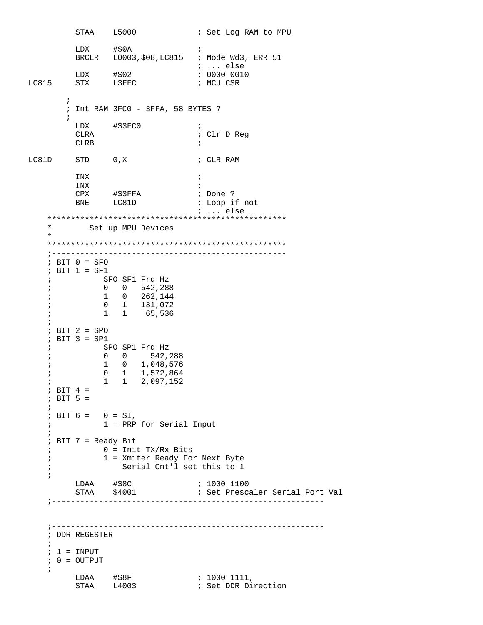STAA L5000 ; Set Log RAM to MPU  $\verb|LDX| + $0A \qquad ;$  BRCLR L0003,\$08,LC815 ; Mode Wd3, ERR 51 ; ... else LDX #\$02 ; 0000 0010 LC815 STX L3FFC ; MCU CSR  $\mathcal{L}^{\text{max}}_{\text{max}}$  ; Int RAM 3FC0 - 3FFA, 58 BYTES ?  $\mathcal{L}^{\text{max}}$  $\begin{array}{lll}\n\text{LDX} & & \text{#}\$3FC0 & & & \text{;} \\
\text{CLRA} & & & & \text{;} \\
\end{array}$ ; Clr D Reg CLRB  $\qquad \qquad ;$ LC81D  $STD$  0, X ; CLR RAM INX ; INX  $\qquad \qquad ;$  CPX #\$3FFA ; Done ? BNE LC81D ; Loop if not ; ... else \*\*\*\*\*\*\*\*\*\*\*\*\*\*\*\*\*\*\*\*\*\*\*\*\*\*\*\*\*\*\*\*\*\*\*\*\*\*\*\*\*\*\*\*\*\*\*\*\*\*\* Set up MPU Devices \* \*\*\*\*\*\*\*\*\*\*\*\*\*\*\*\*\*\*\*\*\*\*\*\*\*\*\*\*\*\*\*\*\*\*\*\*\*\*\*\*\*\*\*\*\*\*\*\*\*\*\* ;-------------------------------------------------- ; BIT 0 = SFO ; BIT 1 = SF1 ; SFO SF1 Frq Hz ; 0 0 542,288 ; 1 0 262,144 ; 0 1 131,072 ; 1 1 65,536 ; ; BIT 2 = SPO ; BIT 3 = SP1 ; SPO SP1 Frq Hz ; 0 0 542,288 ; 1 0 1,048,576 ; 0 1 1,572,864 ; 1 1 2,097,152  $;$  BIT 4 = ; BIT 5 = ; ; BIT  $6 = 0 = SI$ , ; 1 = PRP for Serial Input ; ; BIT 7 = Ready Bit  $\int$  0 = Init TX/Rx Bits ; 1 = Xmiter Ready For Next Byte ; Serial Cnt'l set this to 1 ; LDAA #\$8C ; 1000 1100 STAA \$4001 ; Set Prescaler Serial Port Val ;---------------------------------------------------------- ;---------------------------------------------------------- ; DDR REGESTER ;  $; 1 = INPUT$  ; 0 = OUTPUT ; LDAA #\$8F ; 1000 1111, STAA L4003 **;** Set DDR Direction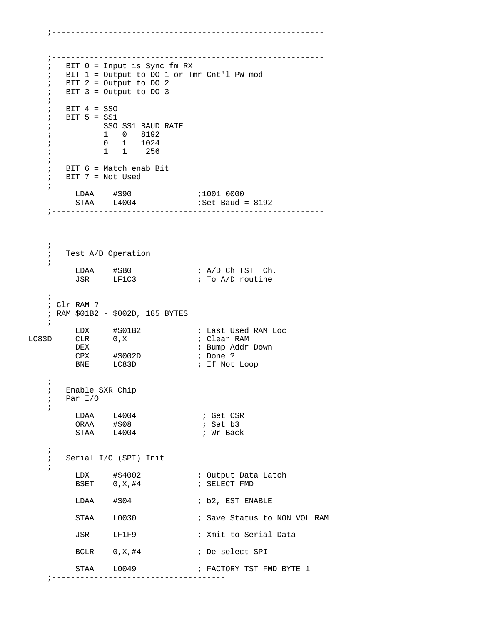```
 ;---------------------------------------------------------- 
   ; BIT 0 = Input is Sync fm RX 
   ; BIT 1 = Output to DO 1 or Tmr Cnt'l PW mod 
   ; BIT 2 = Output to DO 2 
   ; BIT 3 = Output to DO 3 
   ;
   ; BIT 4 = SSO 
   ; BIT 5 = SS1 
   ; SSO SS1 BAUD RATE 
   ; 1 0 8192 
   ; 0 1 1024 
   ; 1 1 256 
   ;
   ; BIT 6 = Match enab Bit 
   ; BIT 7 = Not Used 
   ;
LDAA #$90 ;1001 0000
 STAA L4004 ;Set Baud = 8192 
    ;---------------------------------------------------------- 
   ;
   ; Test A/D Operation 
   ;
LDAA \#$B0 ; A/D Ch TST Ch.
JSR LF1C3 \cdot ; To A/D routine
   ; 
   ; Clr RAM ? 
   ; RAM $01B2 - $002D, 185 BYTES 
   ; 
 LDX #$01B2 ; Last Used RAM Loc 
LC83D CLR 0,X ; Clear RAM
       DEX ; Bump Addr Down 
 CPX #$002D ; Done ? 
BNE LC83D ; If Not Loop
   ; 
   ; Enable SXR Chip 
   ; Par I/O 
   ; 
LDAA L4004 ; Get CSR
ORAA #$08 ; Set b3
STAA L4004 ; Wr Back
   ; 
   ; Serial I/O (SPI) Init 
   ; 
       LDX #$4002 ; Output Data Latch
       BSET 0, X, #4 ; SELECT FMD
       LDAA #$04 ; b2, EST ENABLE
       STAA L0030 : Save Status to NON VOL RAM
        JSR LF1F9 ; Xmit to Serial Data 
       BCLR 0, X, #4 ; De-select SPI
      STAA L0049 ; FACTORY TST FMD BYTE 1
    ;-------------------------------------
```
;----------------------------------------------------------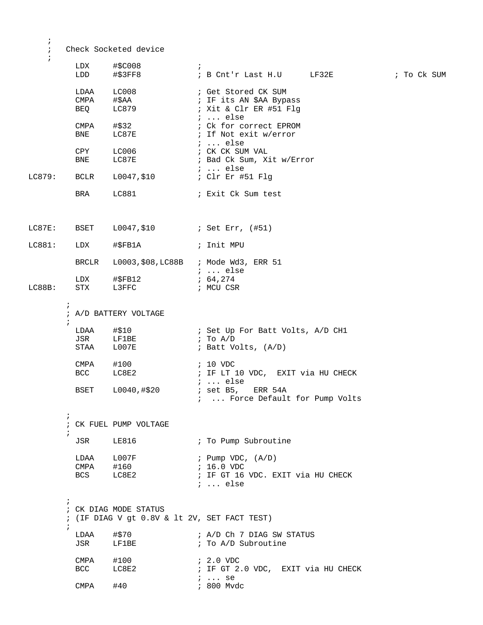```
 ; Check Socketed device 
     ; 
           LDX #$C008 ; 
           LDD #$3FF8 ; B Cnt'r Last H.U LF32E ; To Ck SUM 
           LDAA LC008 ; Get Stored CK SUM 
          CMPA #$AA ; IF its AN $AA Bypass<br>BEQ LC879 ; Xit & Clr ER #51 Flq
                                   ; Xit & Clr ER #51 Flg
           ; ... else
          CMPA #$32 ; Ck for correct EPROM<br>
BNE LC87E : If Not exit w/error
                                   ; If Not exit w/error
           ; ... else
                                   ; CK CK SUM VAL
          BNE LC87E ; Bad Ck Sum, Xit w/Error
LC879: BCLR L0047,$10 <br>LC879: BCLR L0047,$10 ; Clr Er #51 Flq
        BCLR L0047,$10
         BRA LC881 ; Exit Ck Sum test
LC87E: BSET L0047, $10 ; Set Err, (#51)
LC881: LDX #$FB1A ; Init MPU
          BRCLR L0003,$08,LC88B ; Mode Wd3, ERR 51 
          ; ... else
         LDX #$FB12 ; 64,274 
LC88B: STX L3FFC ; MCU CSR
\mathcal{L}^{\text{max}} ; A/D BATTERY VOLTAGE 
\mathcal{L}^{\text{max}}LDAA #$10                ; Set Up For Batt Volts, A/D CH1<br>JSR     LF1BE               ; To A/D
         JSR LF1BE<br>STAA L007E
                                   ; Batt Volts, (A/D)
           CMPA #100 ; 10 VDC 
          BCC LC8E2 : IF LT 10 VDC, EXIT via HU CHECK
         ; ... else<br>BSET 10040,#$20 ; set B5,
                                   i set B5, ERR 54A
                                     ; ... Force Default for Pump Volts 
\mathcal{L}^{\text{max}} ; CK FUEL PUMP VOLTAGE
\mathcal{L}^{\text{max}}JSR LE816 ; To Pump Subroutine
         \begin{tabular}{lllllllll} \texttt{LDAA} & \texttt{L007F} & & & \texttt{Pump VDC, (A/D)} \\ \texttt{CMPA} & \texttt{\#160} & & & \texttt{; 16.0 VDC} \end{tabular}CMPA #160<br>BCS LC8E2
                                   ; IF GT 16 VDC. EXIT via HU CHECK
                                    ; ... else
\mathcal{L}^{\text{max}} ; CK DIAG MODE STATUS
         ; (IF DIAG V gt 0.8V & lt 2V, SET FACT TEST)
\mathcal{L}^{\text{max}}LDAA #$70 ; A/D Ch 7 DIAG SW STATUS
          JSR LF1BE ; To A/D Subroutine
           CMPA #100 ; 2.0 VDC 
                LC8E2 \qquad ; IF GT 2.0 VDC, EXIT via HU CHECK
                                   ; ... se<br>; 800 Mvdc
          CMPA \#40
```
;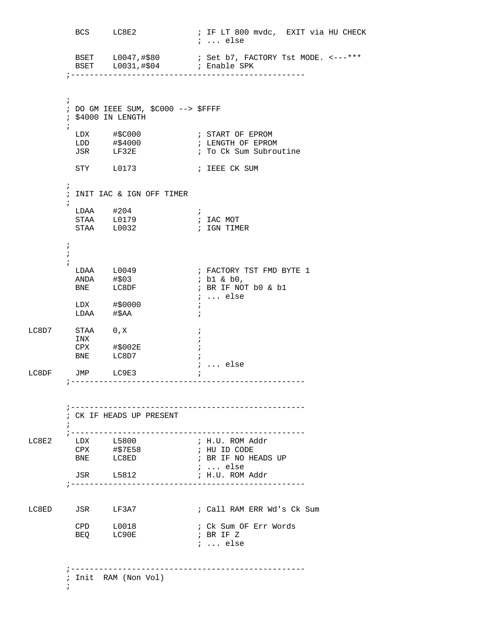BCS LC8E2 : IF LT 800 mvdc, EXIT via HU CHECK ; ... else BSET L0047,#\$80 ; Set b7, FACTORY Tst MODE. <---\*\*\* BSET L0031,#\$04 ; Enable SPK ;--------------------------------------------------  $\mathcal{L}^{\text{max}}$  ; DO GM IEEE SUM, \$C000 --> \$FFFF ; \$4000 IN LENGTH  $\mathcal{L}^{\text{max}}$ LDX #\$C000 7 START OF EPROM LDD #\$4000 ; LENGTH OF EPROM LDX #\$C000 ; START OF EPROM<br>LDD #\$4000 ; LENGTH OF EPROM<br>JSR LF32E ; To Ck Sum Subroutine STY L0173 ; IEEE CK SUM  $\mathcal{L}^{\text{max}}$  ; INIT IAC & IGN OFF TIMER  $\mathcal{L}^{\text{max}}$  $LDAA$   $\#204$  ; STAA L0179 ; IAC MOT STAA L0032 **;** IGN TIMER  $\mathcal{L}^{\text{max}}$  $\mathcal{L}^{\text{max}}$  $\mathcal{L}^{\text{max}}$ LDAA L0049 ; FACTORY TST FMD BYTE 1  $ANDA$  #\$03 ; b1 & b0, BNE LC8DF ; BR IF NOT b0 & b1 ; ... else LDX #\$0000 ;  $\verb|LDAA| + \SAA \qquad ;$  $LC8D7$   $STAA$   $0,X$  ; INX  $\qquad \qquad ;$  $CPX$  #\$002E ; BNE LC8D7 ;  ${\tt LC8DF} \qquad {\tt JMP} \qquad {\tt LC9E3} \qquad \qquad i \quad \ldots \ {\tt else}$ JMP LC9E3 ; ;-------------------------------------------------- ;-------------------------------------------------- ; CK IF HEADS UP PRESENT  $\mathcal{L}^{\text{max}}$  ;-------------------------------------------------- LC8E2 LDX L5800 ; H.U. ROM Addr<br>
CPX #\$7E58 ; HU ID CODE CPX #\$7E58 ; HU ID CODE ; BR IF NO HEADS UP ; ... else ; H.U. ROM Addr ;-------------------------------------------------- LC8ED JSR LF3A7 ; Call RAM ERR Wd's Ck Sum CPD L0018 ; Ck Sum OF Err Words BEQ LC90E ; BR IF Z ; ... else ;-------------------------------------------------- ; Init RAM (Non Vol)  $\mathcal{L}^{\text{max}}_{\text{max}}$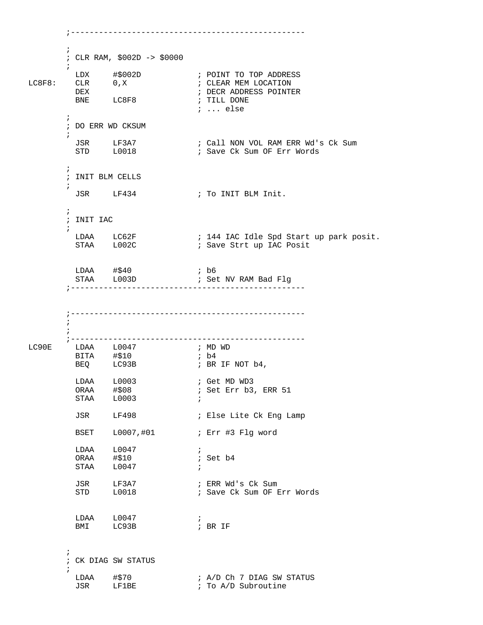```
\mathcal{L}^{\text{max}} ; CLR RAM, $002D -> $0000
       ;<br>LDX
 LDX #$002D ; POINT TO TOP ADDRESS 
        CLR 0,X ; CLEAR MEM LOCATION<br>DEX                                ; DECR ADDRESS POINT!
         DEX ; DECR ADDRESS POINTER 
                                ; TILL DONE
                                 ; ... else
\mathcal{L}^{\text{max}} ; DO ERR WD CKSUM
\mathcal{L}^{\text{max}} JSR LF3A7 ; Call NON VOL RAM ERR Wd's Ck Sum 
STD L0018 : Save Ck Sum OF Err Words
\mathcal{L}^{\text{max}} ; INIT BLM CELLS 
\mathcal{L}^{\text{max}}JSR LF434 ; To INIT BLM Init.
\mathcal{L}^{\text{max}} ; INIT IAC 
\mathcal{L}^{\text{max}} LDAA LC62F ; 144 IAC Idle Spd Start up park posit. 
STAA L002C : Save Strt up IAC Posit
        LDAA #$40 ; b6<br>STAA L003D ; Set
                                ; Set NV RAM Bad Flg
        ;--------------------------------------------------
        ;--------------------------------------------------
\mathcal{L}^{\text{max}}\mathcal{L}^{\text{max}} ;-------------------------------------------------- 
       LDAA L0047 ; MD WD
        BITA #$10 ; b4<br>BEQ LC93B ; BR
                             ; BR IF NOT b4,
          LDAA L0003 ; Get MD WD3
                                ; Set Err b3, ERR 51
          STAA L0003 ; 
         JSR LF498 ; Else Lite Ck Eng Lamp
          BSET L0007,#01 ; Err #3 Flg word 
          LDAA L0047 ;
ORAA #$10 ; Set b4
STAA L0047 ;
         JSR LF3A7 ; ERR Wd's Ck Sum<br>STD L0018 ; Save Ck Sum OF E
                                ; Save Ck Sum OF Err Words
         LDAA L0047 ;<br>
BMI LC93B ; BR IF
         BMI LC93B
\mathcal{L}^{\text{max}} ; CK DIAG SW STATUS 
\mathcal{L}^{\text{max}}LDAA \#570 ; A/D Ch 7 DIAG SW STATUS
JSR LF1BE \qquad ; To A/D Subroutine
```
;--------------------------------------------------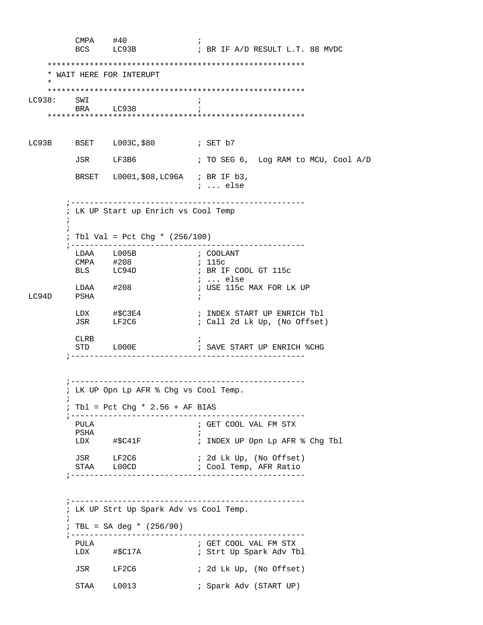CMPA #40 ;<br>BCS LC93B ; ; BR IF A/D RESULT L.T. 88 MVDC \*\*\*\*\*\*\*\*\*\*\*\*\*\*\*\*\*\*\*\*\*\*\*\*\*\*\*\*\*\*\*\*\*\*\*\*\*\*\*\*\*\*\*\*\*\*\*\*\*\*\*\*\*\*\* \* WAIT HERE FOR INTERUPT \* \*\*\*\*\*\*\*\*\*\*\*\*\*\*\*\*\*\*\*\*\*\*\*\*\*\*\*\*\*\*\*\*\*\*\*\*\*\*\*\*\*\*\*\*\*\*\*\*\*\*\*\*\*\*\* LC938: SWI ; BRA LC938 ; \*\*\*\*\*\*\*\*\*\*\*\*\*\*\*\*\*\*\*\*\*\*\*\*\*\*\*\*\*\*\*\*\*\*\*\*\*\*\*\*\*\*\*\*\*\*\*\*\*\*\*\*\*\*\* LC93B BSET L003C, \$80 ; SET b7 JSR LF3B6 ; TO SEG 6, Log RAM to MCU, Cool A/D BRSET L0001,\$08,LC96A ; BR IF b3, ; ... else ;-------------------------------------------------- ; LK UP Start up Enrich vs Cool Temp  $\mathcal{L}^{\text{max}}$  $\mathcal{L}^{\text{max}}$  ; Tbl Val = Pct Chg \* (256/100) ;-------------------------------------------------- LDAA L005B ; COOLANT CMPA #208<br>BLS LC94D ; BR IF COOL GT 115c ; ... else LDAA #208 ; USE 115c MAX FOR LK UP PSHA LDX #\$C3E4 ; INDEX START UP ENRICH Tbl JSR LF2C6 ; Call 2d Lk Up, (No Offset) CLRB ; STD L000E : SAVE START UP ENRICH %CHG ;-------------------------------------------------- ;-------------------------------------------------- ; LK UP Opn Lp AFR % Chg vs Cool Temp.  $\mathcal{L}^{\text{max}}$  ; Tbl = Pct Chg \* 2.56 + AF BIAS ;-------------------------------------------------- PULA ; GET COOL VAL FM STX PSHA  $\qquad \qquad ;$ LDX #\$C41F ; INDEX UP Opn Lp AFR % Chg Tbl<br>JSR LF2C6 ; 2d Lk Up, (No Offset)<br>STAA L00CD ; Cool Temp, AFP Person JSR LF2C6 ; 2d Lk Up, (No Offset) STAA LOOCD **i** Cool Temp, AFR Ratio ;-------------------------------------------------- ;-------------------------------------------------- ; LK UP Strt Up Spark Adv vs Cool Temp.  $\mathcal{L}^{\text{max}}$  $;$  TBL = SA deg \* (256/90) ;-------------------------------------------------- PULA ; GET COOL VAL FM STX ; Strt Up Spark Adv Tbl JSR LF2C6 ; 2d Lk Up, (No Offset) STAA L0013 ; Spark Adv (START UP)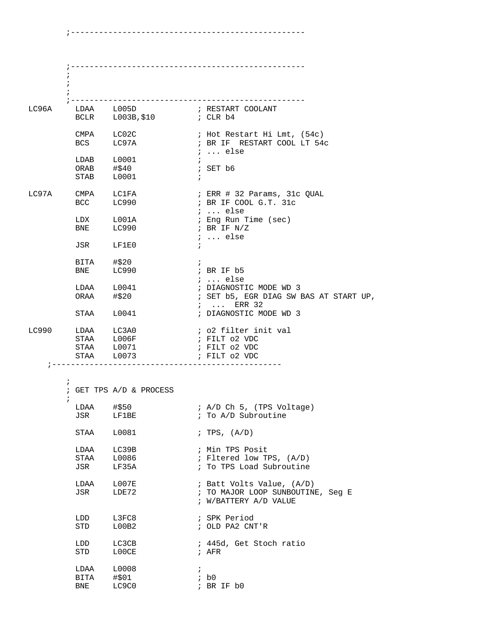|       | $\ddot{i}$<br>$\ddot{ }$ |                                                                 |                                                                                         |
|-------|--------------------------|-----------------------------------------------------------------|-----------------------------------------------------------------------------------------|
|       | LC96A LDAA L005D         |                                                                 | ; RESTART COOLANT                                                                       |
|       |                          | CMPA LC02C<br>BCS LC97A                                         | ; Hot Restart Hi Lmt, (54c)<br>; BR IF RESTART COOL LT 54c                              |
|       | STAB L0001               | $\begin{tabular}{ll} LDAB & L0001 \\ ORAB & #$40 \end{tabular}$ | ;  else<br>$\ddot{i}$<br>; SET b6<br>$\ddot{i}$                                         |
| LC97A | CMPA LC1FA<br>BCC LC990  |                                                                 | ; ERR # 32 Params, 31c QUAL<br>; BR IF COOL G.T. 31c<br>$i \ldots$ else                 |
|       |                          | LDX L001A<br>BNE LC990                                          | ; Eng Run Time (sec)<br>; BR IF $N/Z$<br>$i \ldots$ else                                |
|       | JSR LF1E0                |                                                                 | $\ddot{i}$                                                                              |
|       | BITA #\$20<br>BNE LC990  |                                                                 | $\ddot{i}$<br>; BR IF b5<br>$i \ldots$ else                                             |
|       |                          | LDAA L0041<br>ORAA #\$20                                        | ; DIAGNOSTIC MODE WD 3<br>; SET b5, EGR DIAG SW BAS AT START UP,<br>$i \ldots$ ERR 32   |
|       | STAA L0041               |                                                                 | ; DIAGNOSTIC MODE WD 3                                                                  |
| LC990 | LDAA LC3A0<br>STAA L006F | STAA L0071<br>STAA L0073                                        | ; o2 filter init val<br>; FILT 02 VDC<br>; FILT 02 VDC<br>; FILT 02 VDC                 |
|       | $\ddot{i}$               |                                                                 |                                                                                         |
|       | i                        | ; GET TPS A/D & PROCESS                                         |                                                                                         |
|       | LDAA<br>JSR              | #\$50<br>LF1BE                                                  | ; A/D Ch 5, (TPS Voltage)<br>; To A/D Subroutine                                        |
|       | STAA                     | L0081                                                           | ; TPS, $(A/D)$                                                                          |
|       | LDAA<br>STAA<br>JSR      | LC39B<br>L0086<br>LF35A                                         | ; Min TPS Posit<br>; Fltered low TPS, (A/D)<br>; To TPS Load Subroutine                 |
|       | LDAA<br>JSR              | LOO7E<br>LDE72                                                  | ; Batt Volts Value, (A/D)<br>; TO MAJOR LOOP SUNBOUTINE, Seg E<br>; W/BATTERY A/D VALUE |
|       | LDD<br>STD               | L3FC8<br>L00B2                                                  | ; SPK Period<br>; OLD PA2 CNT'R                                                         |
|       | LDD<br>STD               | LC3CB<br>L00CE                                                  | ; 445d, Get Stoch ratio<br>$;$ AFR                                                      |
|       | LDAA<br>BITA<br>BNE      | L0008<br>#\$01<br>LC9C0                                         | $\ddot{i}$<br>ib0<br>; BR IF b0                                                         |

;--------------------------------------------------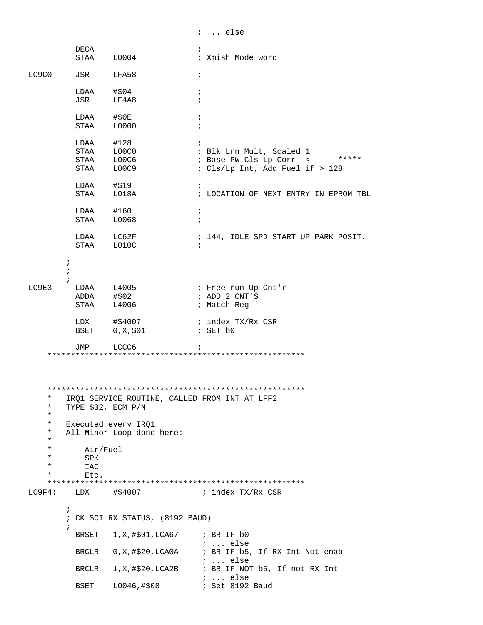|                                |                                       |                                                  | $i \ldots$ else                                                                                                 |
|--------------------------------|---------------------------------------|--------------------------------------------------|-----------------------------------------------------------------------------------------------------------------|
|                                | DECA                                  | STAA L0004                                       | ÷<br>; Xmish Mode word                                                                                          |
| LC9C0                          | JSR LFA58                             |                                                  | $\ddot{i}$                                                                                                      |
|                                | $LDAA$ #\$04<br>JSR LF4A8             |                                                  | $\ddot{i}$<br>$\ddot{i}$                                                                                        |
|                                | LDAA #\$0E<br>STAA L0000              |                                                  | $\ddot{i}$<br>$\ddot{i}$                                                                                        |
|                                | $LDAA$ #128                           | STAA L00C0<br>STAA L00C6<br>STAA L00C9           | $\ddot{i}$<br>; Blk Lrn Mult, Scaled 1<br>; Base PW Cls Lp Corr <----- *****<br>; Cls/Lp Int, Add Fuel if > 128 |
|                                | LDAA #\$19                            | STAA L018A                                       | $\ddot{i}$<br>; LOCATION OF NEXT ENTRY IN EPROM TBL                                                             |
|                                | $LDAA$ #160<br>STAA L0068             |                                                  | $\ddot{i}$<br>$\ddot{i}$                                                                                        |
|                                |                                       | LDAA LC62F<br>STAA L010C                         | ; 144, IDLE SPD START UP PARK POSIT.<br>$\ddot{i}$                                                              |
| $\ddot{i}$<br>$\ddot{i}$       |                                       |                                                  |                                                                                                                 |
| LC9E3                          |                                       | $LDAA$ $L4005$<br>ADDA #\$02<br>STAA L4006       | ; Free run Up Cnt'r<br>; ADD 2 CNT'S<br>; Match Reg                                                             |
|                                |                                       |                                                  | ; index TX/Rx CSR<br>; SET b0                                                                                   |
|                                | JMP LCCC6                             |                                                  |                                                                                                                 |
| *<br>$^\star$<br>*             | TYPE \$32, ECM P/N                    | IRQ1 SERVICE ROUTINE, CALLED FROM INT AT LFF2    |                                                                                                                 |
| $\ast$<br>$^\star$<br>*        |                                       | Executed every IRQ1<br>All Minor Loop done here: |                                                                                                                 |
| *<br>*<br>$^\star$<br>$^\star$ | Air/Fuel<br>SPK<br><b>IAC</b><br>Etc. |                                                  |                                                                                                                 |
| LC9F4:                         |                                       | LDX #\$4007                                      | ; index TX/Rx CSR                                                                                               |
| $\ddot{i}$                     |                                       | ; CK SCI RX STATUS, (8192 BAUD)                  |                                                                                                                 |
|                                | BRSET                                 | 1, X, #\$01, LCA67                               | ; BR IF b0<br>$i \ldots$ else                                                                                   |
|                                |                                       | BRCLR 0, X, #\$20, LCA0A                         | ; BR IF b5, If RX Int Not enab<br>$i \ldots$ else                                                               |
|                                | BRCLR                                 |                                                  | $1, X, \# $20, \text{LCA2B}$ ; BR IF NOT b5, If not RX Int<br>$\ldots$ else                                     |
|                                | BSET                                  | L0046, #\$08                                     | ; Set 8192 Baud                                                                                                 |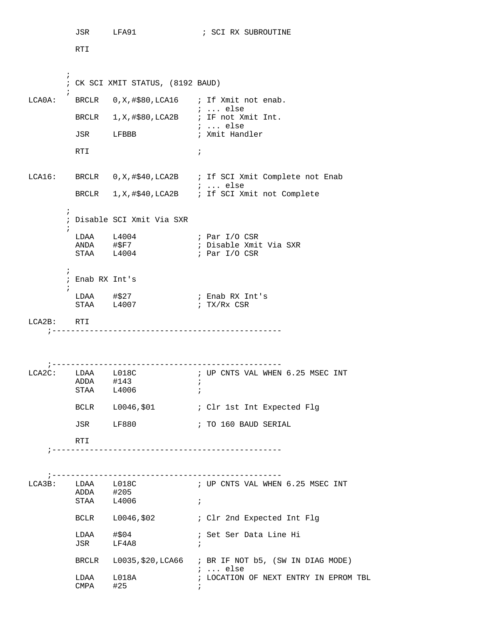JSR LFA91 ; SCI RX SUBROUTINE RTI  $\mathcal{L}^{\text{max}}$  ; CK SCI XMIT STATUS, (8192 BAUD)  $\mathcal{L}^{\text{max}}$ LCA0A: BRCLR 0, X, #\$80, LCA16 ; If Xmit not enab. ; ... else BRCLR 1, X, #\$80, LCA2B ; IF not Xmit Int.  ${\rm JSR} \qquad \quad {\rm LFBBB} \qquad \qquad \quad \ ; \ \ \ldots \ \ {\rm else}$ ; Xmit Handler RTI di provincia di controllato di controllato di controllato di controllato di controllato di controllato di controllato di controllato di controllato di controllato di controllato di controllato di controllato di control LCA16: BRCLR 0,X,#\$40,LCA2B ; If SCI Xmit Complete not Enab ; ... else BRCLR 1,X,#\$40,LCA2B ; If SCI Xmit not Complete  $\mathcal{L}^{\text{max}}$  ; Disable SCI Xmit Via SXR  $\mathcal{L}^{\text{max}}$ LDAA L4004 ; Par I/O CSR ANDA #\$F7 ; Disable Xmit Via SXR STAA L4004 ; Par I/O CSR  $\mathcal{L}^{\text{max}}$  ; Enab RX Int's  $\mathcal{L}^{\text{max}}$  LDAA #\$27 ; Enab RX Int's  $STAA$   $L4007$  ;  $TX/Rx$  CSR LCA2B: RTI ;------------------------------------------------- ;------------------------------------------------- LCA2C: LDAA L018C ; UP CNTS VAL WHEN 6.25 MSEC INT ADDA #143 ; STAA L4006 ; BCLR L0046, \$01 ; Clr 1st Int Expected Flg JSR LF880 ; TO 160 BAUD SERIAL RTI ;------------------------------------------------- ;------------------------------------------------- ; UP CNTS VAL WHEN 6.25 MSEC INT LCA3B: LDAA L018C<br>ADDA #205 STAA L4006 ; BCLR L0046, \$02 ; Clr 2nd Expected Int Flq LDAA #\$04 ; Set Ser Data Line Hi JSR LF4A8 ; BRCLR L0035,\$20,LCA66 ; BR IF NOT b5, (SW IN DIAG MODE)  $\begin{tabular}{lllll} \tt LDAA & L018A & & & & & \tt ; & \tt LOCATION \end{tabular}$ ; LOCATION OF NEXT ENTRY IN EPROM TBL CMPA #25 ;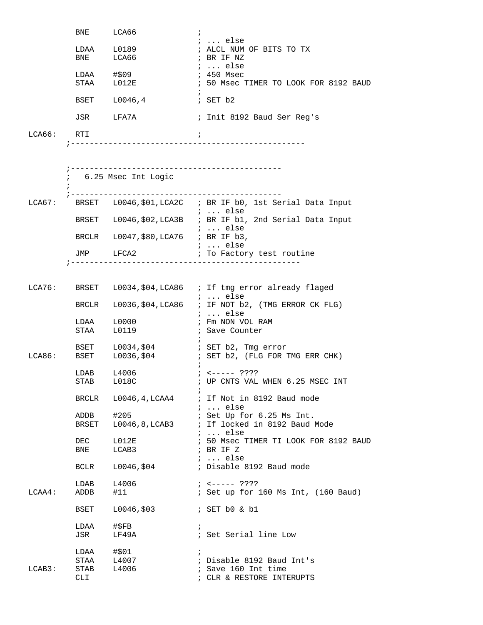|            | BNE LCA66       |                                      | $\ddot{i}$ |                                                                              |
|------------|-----------------|--------------------------------------|------------|------------------------------------------------------------------------------|
|            |                 | LDAA L0189                           |            | $i \ldots$ else<br>; ALCL NUM OF BITS TO TX                                  |
|            |                 | BNE LCA66                            |            | ; BR IF NZ                                                                   |
|            |                 |                                      |            | ;  else                                                                      |
|            |                 | LDAA #\$09<br>STAA L012E             |            | ; 450 Msec<br>; 50 Msec TIMER TO LOOK FOR 8192 BAUD                          |
|            |                 |                                      |            |                                                                              |
|            |                 | BSET L0046,4                         |            | ; SET b2                                                                     |
|            |                 | JSR LFA7A                            |            | ; Init 8192 Baud Ser Reg's                                                   |
| LCA66: RTI |                 |                                      | $\ddot{i}$ |                                                                              |
|            |                 |                                      |            |                                                                              |
|            |                 |                                      |            |                                                                              |
|            |                 |                                      |            |                                                                              |
|            |                 | 6.25 Msec Int Logic                  |            |                                                                              |
|            |                 |                                      |            |                                                                              |
|            |                 |                                      |            | LCA67: BRSET L0046, \$01, LCA2C ; BR IF b0, 1st Serial Data Input<br>;  else |
|            |                 |                                      |            | BRSET L0046, \$02, LCA3B ; BR IF b1, 2nd Serial Data Input                   |
|            |                 | BRCLR L0047, \$80, LCA76 ; BR IF b3, |            | ;  else                                                                      |
|            |                 |                                      |            | ;  else                                                                      |
|            |                 |                                      |            | JMP LFCA2 : To Factory test routine                                          |
|            | ; ------------- |                                      |            | --------------------------------                                             |
|            |                 |                                      |            |                                                                              |
|            |                 |                                      |            | LCA76: BRSET L0034, \$04, LCA86 ; If tmg error already flaged                |
|            |                 |                                      |            | $i \ldots$ else<br>BRCLR L0036, \$04, LCA86 ; IF NOT b2, (TMG ERROR CK FLG)  |
|            |                 |                                      |            | ;  else                                                                      |
|            |                 | $LDAA$ $L0000$<br>STAA L0119         |            | ; Fm NON VOL RAM                                                             |
|            |                 |                                      |            | ; Save Counter                                                               |
|            |                 |                                      |            | BSET L0034, \$04 : SET b2, Tmg error                                         |
|            |                 | LCA86: BSET L0036,\$04               |            | ; SET b2, (FLG FOR TMG ERR CHK)                                              |
|            | LDAB            | L4006                                |            | $7 - 5 - 12$                                                                 |
|            |                 | STAB L018C                           |            | ; UP CNTS VAL WHEN 6.25 MSEC INT                                             |
|            |                 |                                      |            |                                                                              |
|            |                 |                                      |            | BRCLR L0046, 4, LCAA4 ; If Not in 8192 Baud mode<br>$i$ else                 |
|            |                 | ADDB #205                            |            | ; Set Up for 6.25 Ms Int.                                                    |
|            |                 |                                      |            | BRSET L0046,8, LCAB3 ; If locked in 8192 Baud Mode                           |
|            | DEC             | L012E                                |            | $: $ else<br>; 50 Msec TIMER TI LOOK FOR 8192 BAUD                           |
|            | BNE             | LCAB3                                |            | ; BR IF Z                                                                    |
|            |                 |                                      |            | $i \ldots$ else                                                              |
|            |                 | BCLR L0046, \$04                     |            | ; Disable 8192 Baud mode                                                     |
|            | $LDAB$ $L4006$  |                                      |            | $7 - 5 - 12$                                                                 |
| LCAA4:     | ADDB            | #11                                  |            | ; Set up for 160 Ms Int, (160 Baud)                                          |
|            | BSET            | L0046,\$03                           |            | ; SET b0 & b1                                                                |
|            | LDAA            | #\$FB                                | $\ddot{ }$ |                                                                              |
|            | JSR             | LF49A                                |            | ; Set Serial line Low                                                        |
|            | $LDAA$ #\$01    |                                      | $\ddot{i}$ |                                                                              |
|            |                 | STAA L4007                           |            | ; Disable 8192 Baud Int's                                                    |
| LCAB3:     | STAB            | L4006                                |            | ; Save 160 Int time                                                          |
|            | CLI             |                                      |            | ; CLR & RESTORE INTERUPTS                                                    |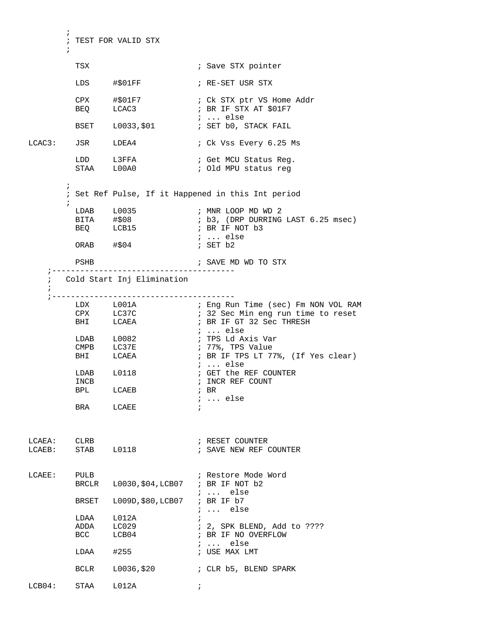```
\mathcal{L}^{\text{max}} ; TEST FOR VALID STX
\mathcal{L}^{\text{max}}TSX \qquad \qquad ; Save STX pointer
            LDS #$01FF ; RE-SET USR STX
             CPX #$01F7 ; Ck STX ptr VS Home Addr<br>
BEQ LCAC3 ; BR IF STX AT $01F7
                                             ; BR IF STX AT $01F7
            EXET LOO33,$01 ; ... else<br>BSET LOO33,$01 ; SET b0, 9
                                             ; SET b0, STACK FAIL
LCAC3: JSR LDEA4 ; Ck Vss Every 6.25 Ms
            LDD L3FFA ; Get MCU Status Reg. 
                                             ; Old MPU status reg
\mathcal{L}^{\text{max}} ; Set Ref Pulse, If it Happened in this Int period 
\mathcal{L}^{\text{max}}_{\text{max}}LDAB L0035 ; MNR LOOP MD WD 2
                                              ; b3, (DRP DURRING LAST 6.25 msec)<br>; BR IF NOT b3
             BEQ LCB15 ; BR IF NOT b3
                                              ; ... else<br>; SET b2
           ORAB \# $04 PSHB ; SAVE MD WD TO STX 
      ;--------------------------------------- 
      ; Cold Start Inj Elimination 
\mathcal{L} ;--------------------------------------- 
 LDX L001A ; Eng Run Time (sec) Fm NON VOL RAM
 CPX LC37C ; 32 Sec Min eng run time to reset
BHI LCAEA ; BR IF GT 32 Sec THRESH
                                             ; ... else<br>; TPS Ld Axis Var
            LDAB L0082<br>CMPB LC37E
                                             ; 77%, TPS Value
             BHI LCAEA : BR IF TPS LT 77%, (If Yes clear)
            \begin{tabular}{lllllll} \multicolumn{2}{l}{{\texttt{LDAB}}} & $\multicolumn{2}{c}{\texttt{LDAB}}$ & $\multicolumn{2}{c}{\texttt{LDAB}}$ & $\multicolumn{2}{c}{\texttt{LDAB}}$ & $\multicolumn{2}{c}{\texttt{LDAB}}$ & $\multicolumn{2}{c}{\texttt{LDAB}}$ & $\multicolumn{2}{c}{\texttt{LDAB}}$ & $\multicolumn{2}{c}{\texttt{LDAB}}$ & $\multicolumn{2}{c}{\texttt{LDAB}}$ & $\multicolumn{2}{c}{\texttt{LDAB}}$ & $\multicolumn{2}{c}{\texttt{LDAB}}$ & $\multicolumn{2}{c}{\texttt; GET the REF COUNTER<br>; INCR REF COUNT
INCB \qquad \qquad ; \qquad \text{INCR REF} COUNT
BPL LCAEB ; BR
                                               ; ... else
           BRA LCAEE ;
LCAEA: CLRB ; RESET COUNTER 
LCAEB: STAB L0118 ; SAVE NEW REF COUNTER 
LCAEE: PULB ; Restore Mode Word
             BRCLR L0030,$04,LCB07 ; BR IF NOT b2 
                                               ; ... else
              BRSET L009D,$80,LCB07 ; BR IF b7 
                                               ; ... else
             \begin{tabular}{lllllll} \texttt{LDAA} & \texttt{L012A} & & & & & \texttt{;} \\ \texttt{ADDA} & \texttt{LC029} & & & & \texttt{;} \end{tabular}ADDA LC029 : 2, SPK BLEND, Add to ????<br>BCC LCB04 : BR IF NO OVERFLOW
                     LCB04 ; BR IF NO OVERFLOW
                                             ; ... else<br>; USE MAX LMT
            LDAA \#255BCLR    L0036, $20    ; CLR    b5, BLEND SPARK
\begin{tabular}{lllll} \multicolumn{2}{l}{{\bf LCB04:}} & $\mbox{STAA}$ & $\mbox{LO12A}$ & & $\mbox{${\cal i}$} \end{tabular}
```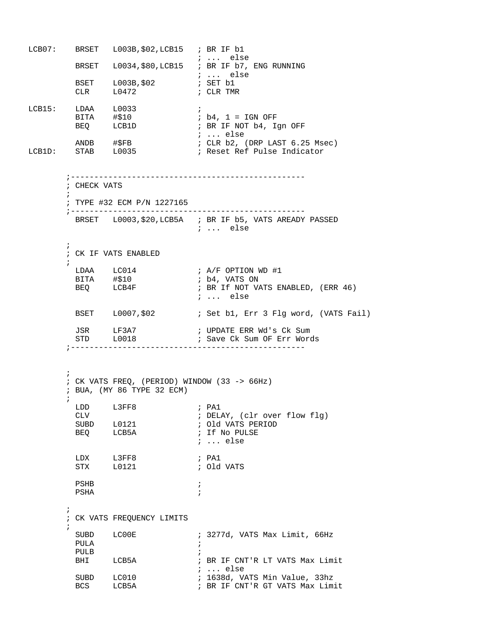LCB07: BRSET L003B,\$02,LCB15 ; BR IF b1 ; ... else BRSET L0034, \$80, LCB15 ; BR IF b7, ENG RUNNING ; ... else<br>; SET b1 BSET L003B,\$02 ; SET b1 CLR L0472 ; CLR TMR LCB15: LDAA L0033 ; BITA #\$10 <br>BEQ LCB1D ; BR IF NOT b4, Ig ; BR IF NOT b4, Ign OFF ; ... else ANDB #\$FB ; CLR b2, (DRP LAST 6.25 Msec)<br>LCB1D: STAB L0035 ; Reset Ref Pulse Indicator ; Reset Ref Pulse Indicator ;-------------------------------------------------- ; CHECK VATS  $\mathcal{L}^{\text{max}}$  ; TYPE #32 ECM P/N 1227165 ;-------------------------------------------------- BRSET L0003,\$20,LCB5A ; BR IF b5, VATS AREADY PASSED ; ... else  $\mathcal{L}^{\text{max}}$  ; CK IF VATS ENABLED  $\mathcal{L}^{\text{max}}$  $\begin{tabular}{lllllll} \texttt{LDAA} & $\color{red}$LC014 & & & & \texttt{; A/F OPTION WD #1} \\ \texttt{BITA} & $\color{red} \# \$ 10 & & & \texttt{; b4, VATS ON} \end{tabular}$ BITA #\$10<br>BEQ LCB4F ; BR If NOT VATS ENABLED, (ERR 46) ; ... else BSET L0007, \$02 ; Set b1, Err 3 Flg word, (VATS Fail) JSR LF3A7 ; UPDATE ERR Wd's Ck Sum STD L0018 : Save Ck Sum OF Err Words ;--------------------------------------------------  $\mathcal{L}^{\text{max}}$  $;$  CK VATS FREQ, (PERIOD) WINDOW (33 -> 66Hz) ; BUA, (MY 86 TYPE 32 ECM)  $\mathcal{L}^{\text{max}}$ LDD L3FF8 ; PA1 CLV ; DELAY, (clr over flow flg) SUBD L0121 **;** Old VATS PERIOD BEQ LCB5A  $\qquad$  ; If No PULSE ; ... else LDX L3FF8 ; PA1<br>STX 10121 STX L0121 ; Old VATS PSHB  $\qquad \qquad ;$ PSHA  $\qquad \qquad ;$  $\mathcal{L}^{\text{max}}$  ; CK VATS FREQUENCY LIMITS  $\mathcal{L}^{\text{max}}$ SUBD LC00E : 3277d, VATS Max Limit, 66Hz PULA ; PULB ; ; BR IF CNT'R LT VATS Max Limit subput to the subput of the subput of the subport of the subport of the subport of the subport of the subport <br>  $\ddot{r}$  is the subport of the subport of the subport of the subport of the subport of the subport of the subp SUBD LC010 ; 1638d, VATS Min Value, 33hz<br>BCS LCB5A ; BR IF CNT'R GT VATS Max Lim ; BR IF CNT'R GT VATS Max Limit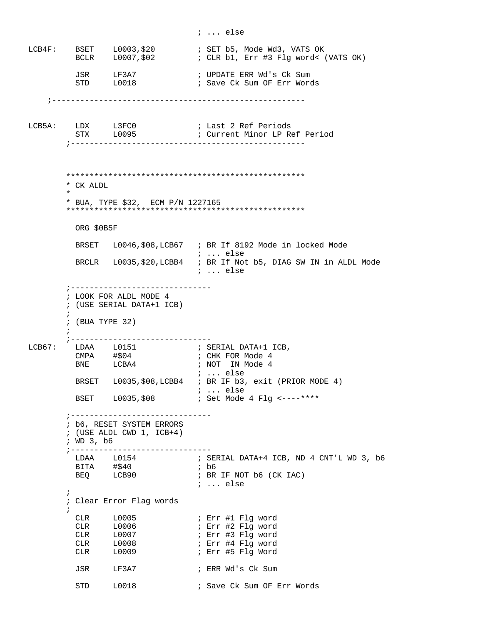LCB4F: BSET L0003, \$20 ; SET b5, Mode Wd3, VATS OK<br>BCLR L0007, \$02 ; CLR b1, Err #3 Flg word< ; CLR b1, Err #3 Flg word< (VATS OK) JSR LF3A7 ; UPDATE ERR Wd's Ck Sum<br>STD L0018 ; Save Ck Sum OF Err Word ; Save Ck Sum OF Err Words ;------------------------------------------------------ LCB5A: LDX L3FC0 ; Last 2 Ref Periods STX L0095 ; Current Minor LP Ref Period ;-------------------------------------------------- \*\*\*\*\*\*\*\*\*\*\*\*\*\*\*\*\*\*\*\*\*\*\*\*\*\*\*\*\*\*\*\*\*\*\*\*\*\*\*\*\*\*\*\*\*\*\*\*\*\*\* \* CK ALDL  $\star$  \* BUA, TYPE \$32, ECM P/N 1227165 \*\*\*\*\*\*\*\*\*\*\*\*\*\*\*\*\*\*\*\*\*\*\*\*\*\*\*\*\*\*\*\*\*\*\*\*\*\*\*\*\*\*\*\*\*\*\*\*\*\*\* ORG \$0B5F BRSET L0046,\$08,LCB67 ; BR If 8192 Mode in locked Mode ; ... else BRCLR L0035,\$20,LCBB4 ; BR If Not b5, DIAG SW IN in ALDL Mode ; ... else ;------------------------------ ; LOOK FOR ALDL MODE 4 ; (USE SERIAL DATA+1 ICB)  $\mathcal{L}^{\text{max}}$  ; (BUA TYPE 32)  $\mathcal{L}^{\text{max}}$  ;------------------------------ LDAA L0151 ; SERIAL DATA+1 ICB,  $CMPA$   $\# $04$  ; CHK FOR Mode 4 BNE LCBA4 ; NOT IN Mode 4 ; ... else BRSET L0035,\$08,LCBB4 ; BR IF b3, exit (PRIOR MODE 4) EXET LOO35,\$08 3... else<br>BSET LOO35,\$08 3. Set Mode ; Set Mode 4 Flg <----\*\*\*\* ;------------------------------ ; b6, RESET SYSTEM ERRORS ; (USE ALDL CWD 1, ICB+4) ; WD 3, b6 ;------------------------------ ; SERIAL DATA+4 ICB, ND 4 CNT'L WD 3, b6<br>; b6 LDAA L0154<br>BITA #\$40<br>BEQ LCB90 ; BR IF NOT b6 (CK IAC) ; ... else  $\mathcal{L}^{\text{max}}$  ; Clear Error Flag words  $\mathcal{L}^{\text{max}}$  CLR L0005 ; Err #1 Flg word CLR L0006 ; Err #2 Flq word CLR L0007 ; Err #3 Flg word ; Err #4 Flg word ; Err #5 Flg Word JSR LF3A7 ; ERR Wd's Ck Sum STD L0018 : Save Ck Sum OF Err Words

; ... else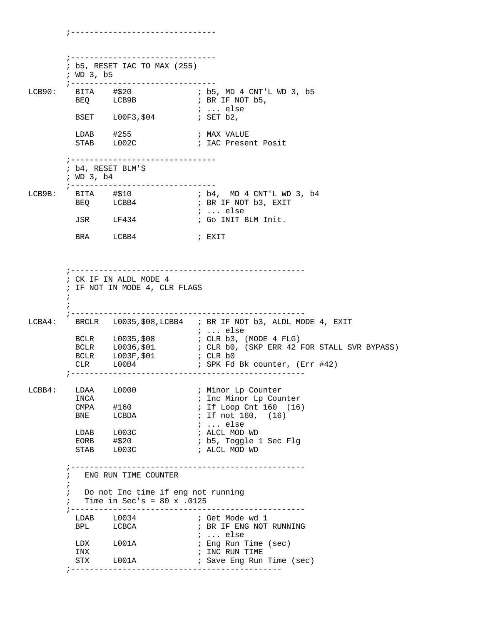;------------------------------- ; b5, RESET IAC TO MAX (255) ; WD 3, b5 ;------------------------------- ; b5, MD 4 CNT'L WD 3, b5<br>; BR IF NOT b5, BEQ LCB9B ; BR IF NOT b5, ; ... else BSET L00F3, \$04 ; SET b2, LDAB #255 ; MAX VALUE STAB L002C **;** IAC Present Posit ;------------------------------- ; b4, RESET BLM'S ; WD 3, b4 ;------------------------------- BITA #\$10 ; b4, MD 4 CNT'L WD 3, b4<br>BEQ LCBB4 ; BR IF NOT b3, EXIT ; BR IF NOT b3, EXIT ; ... else ; Go INIT BLM Init. BRA LCBB4 ; EXIT ;-------------------------------------------------- ; CK IF IN ALDL MODE 4 ; IF NOT IN MODE 4, CLR FLAGS  $\mathcal{L}^{\text{max}}$  $\mathcal{L}^{\text{max}}$  ;-------------------------------------------------- LCBA4: BRCLR L0035, \$08, LCBB4 ; BR IF NOT b3, ALDL MODE 4, EXIT ; ... else BCLR L0035,\$08 ; CLR b3, (MODE 4 FLG)<br>BCLR L0036,\$01 ; CLR b0, (SKP ERR 42) BCLR L0036,\$01 ; CLR b0, (SKP ERR 42 FOR STALL SVR BYPASS) BCLR L003F,\$01 ; CLR b0 CLR L00B4 ; SPK Fd Bk counter, (Err #42) ;-------------------------------------------------- LCBB4: LDAA L0000 *;* Minor Lp Counter ; Inc Minor Lp Counter ; If Loop Cnt 160 (16) ; If not  $160$ ,  $(16)$  ; ... else ; ... else<br>; ALCL MOD WD<br>. .. -; b5, Toggle 1 Sec Flg EDAB L003C ; ... CIDE<br>
EORB #\$20 ; ALCL MOD WD<br>
STAB L003C ; ALCL MOD WD ;-------------------------------------------------- ; ENG RUN TIME COUNTER  $\mathcal{L}^{\text{max}}_{\text{max}}$  ; Do not Inc time if eng not running ; Time in Sec's = 80 x .0125 ;-------------------------------------------------- LDAB L0034 ; Get Mode wd 1 BPL LCBCA ; BR IF ENG NOT RUNNING ; ... else LDX L001A ; Eng Run Time (sec) INX  $\qquad \qquad ;\quad \text{INC } \text{RUN } \text{TIME}$ STX L001A : Save Eng Run Time (sec) ;---------------------------------------------

;-------------------------------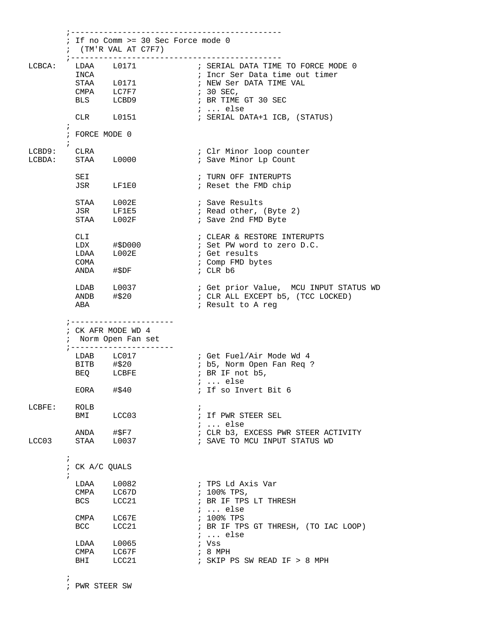|        |                                                | ; If no Comm >= 30 Sec Force mode 0<br>$:$ (TM'R VAL AT C7F7)<br>; -------------------            | ---------------------------                                                                                                                                                             |
|--------|------------------------------------------------|---------------------------------------------------------------------------------------------------|-----------------------------------------------------------------------------------------------------------------------------------------------------------------------------------------|
| LCBCA: | INCA                                           | LDAA L0171<br>STAA L0171<br>CMPA LC7F7<br>BLS LCBD9<br>CLR L0151                                  | ; SERIAL DATA TIME TO FORCE MODE 0<br>; Incr Ser Data time out timer<br>; NEW Ser DATA TIME VAL<br>; 30 SEC,<br>; BR TIME GT 30 SEC<br>$i \ldots$ else<br>; SERIAL DATA+1 ICB, (STATUS) |
|        | $\ddot{i}$<br>; FORCE MODE 0                   |                                                                                                   |                                                                                                                                                                                         |
|        | $\ddot{i}$<br>LCBD9: CLRA<br>LCBDA: STAA L0000 |                                                                                                   | ; Clr Minor loop counter<br>; Save Minor Lp Count                                                                                                                                       |
|        | SEI                                            | JSR LF1E0                                                                                         | ; TURN OFF INTERUPTS<br>; Reset the FMD chip                                                                                                                                            |
|        | JSR<br>STAA                                    | STAA L002E<br>LF1E5<br>L002F                                                                      | ; Save Results<br>; Read other, (Byte 2)<br>; Save 2nd FMD Byte                                                                                                                         |
|        | CLI<br>COMA<br>ANDA                            | LDX #\$D000<br>LDAA L002E<br>#\$DF                                                                | ; CLEAR & RESTORE INTERUPTS<br>; Set PW word to zero D.C.<br>; Get results<br>; Comp FMD bytes<br>; $CLR$ $b6$                                                                          |
|        | ABA                                            | $LDAB$ $L0037$<br>$ANDB$ $\#$ \$20                                                                | ; Get prior Value, MCU INPUT STATUS WD<br>; CLR ALL EXCEPT b5, (TCC LOCKED)<br>; Result to A reg                                                                                        |
|        |                                                | ; ----------------------<br>; CK AFR MODE WD 4<br>; Norm Open Fan set<br>; ---------------------- |                                                                                                                                                                                         |
|        |                                                | LDAB LC017<br>BITB #\$20<br>BEQ LCBFE<br>$EORA$ #\$40                                             | ; Get Fuel/Air Mode Wd 4<br>; b5, Norm Open Fan Req ?<br>$;$ BR IF not $b5,$<br>;  else<br>; If so Invert Bit 6                                                                         |
| LCBFE: | ROLB<br>BMI                                    | LCC03                                                                                             | $\ddot{i}$<br>; If PWR STEER SEL<br>$i \ldots$ else                                                                                                                                     |
| LCC03  | STAA                                           | ANDA #\$F7<br>L0037                                                                               | ; CLR b3, EXCESS PWR STEER ACTIVITY<br>; SAVE TO MCU INPUT STATUS WD                                                                                                                    |
|        | $\ddot{i}$<br>; CK A/C QUALS                   |                                                                                                   |                                                                                                                                                                                         |
|        | CMPA<br>BCS                                    | LDAA L0082<br>LC67D<br>LCC21                                                                      | ; TPS Ld Axis Var<br>$: 100\$ TPS,<br>; BR IF TPS LT THRESH<br>$i \ldots$ else                                                                                                          |
|        | $\texttt{CMPA}$<br><b>BCC</b>                  | LC67E<br>LCC21                                                                                    | $: 100$ % TPS<br>; BR IF TPS GT THRESH, (TO IAC LOOP)<br>$i \ldots$ else                                                                                                                |
|        | LDAA<br>CMPA<br>BHI                            | L0065<br>LC67F<br>LCC21                                                                           | ; Vss<br>$:8$ MPH<br>; SKIP PS SW READ IF > 8 MPH                                                                                                                                       |

 $\mathcal{L}^{\text{max}}$ 

; PWR STEER SW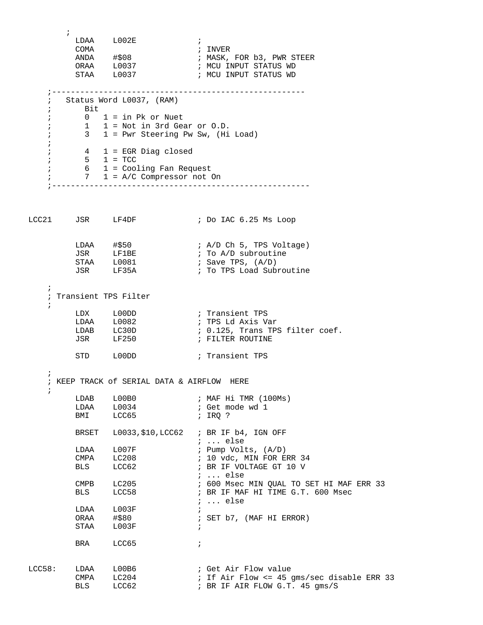$\mathcal{L}^{\text{max}}$  $\begin{array}{ccc}\n\text{LDAA} & \text{L002E} & \text{;} \\
\text{COMA} & \text{; INVER}\n\end{array}$ COMA<br>
ANDA #\$08<br>
ORAA L0037 ANDA #\$08 ; MASK, FOR b3, PWR STEER ORAA L0037 ; MCU INPUT STATUS WD STAA L0037 ; MCU INPUT STATUS WD ;------------------------------------------------------ ; Status Word L0037, (RAM) ; Bit  $; 0 1 = in Pk or Nuet$  $; 1 1 = Not in 3rd Gear or 0.D.$  ; 3 1 = Pwr Steering Pw Sw, (Hi Load) ; ; 4 1 = EGR Diag closed ; 5 1 = TCC ; 6 1 = Cooling Fan Request ; 7 1 = A/C Compressor not On ;------------------------------------------------------- LCC21 JSR LF4DF ; Do IAC 6.25 Ms Loop LDAA #\$50 ; A/D Ch 5, TPS Voltage) JSR LF1BE  $\qquad$  ; To A/D subroutine STAA L0081 ; Save TPS, (A/D) JSR LF35A ; To TPS Load Subroutine ; ; Transient TPS Filter ; LDX L00DD **;** Transient TPS LDAA L0082 ; TPS Ld Axis Var LDAB LC30D : 0.125, Trans TPS filter coef. JSR LF250 **;** FILTER ROUTINE STD L00DD ; Transient TPS ; ; KEEP TRACK of SERIAL DATA & AIRFLOW HERE  $\mathbf{i}$ LDAB L00B0 ; MAF Hi TMR (100Ms) ; Get mode wd 1<br>; IRQ ? LDAA L0034<br>BMI LCC65 BRSET L0033,\$10,LCC62 ; BR IF b4, IGN OFF  $\begin{tabular}{lllllll} \multicolumn{2}{l}{{\small\tt LDAA}} & $\;{\small\tt L007F}$ & & $\;{\small\tt $}:$ & $\;{\small\tt {e.lse}}$ \\ \multicolumn{2}{l}{{\small\tt LDAA}} & $\;{\small\tt L007F}$ & & $\;{\small\tt $}:$ & $\;{\small\tt {Pump\text{ }Volt}}$ \\ \end{tabular}$ LDAA L007F ; Pump Volts, (A/D)<br>CMPA LC208 ; 10 vdc, MIN FOR E<br>BLS LCC62 ; BR IF VOLTAGE GT  $; 10$  vdc, MIN FOR ERR 34 ; BR IF VOLTAGE GT 10 V<br>; ... else ; ... else CMPB LC205 : 600 Msec MIN QUAL TO SET HI MAF ERR 33 CMPB LC205 ; 600 Msec MIN QUAL TO SET HI MAF<br>BLS LCC58 ; BR IF MAF HI TIME G.T. 600 Msec ; ... else  $\begin{array}{lll}\n\text{LDAA} & \text{L003F} & & \text{;} \\
\text{ORAA} & \text{\#$80} & & \text{;}\n\end{array}$ ; SET b7, (MAF HI ERROR) STAA L003F ; BRA LCC65 ; LCC58: LDAA L00B6 ; Get Air Flow value CMPA LC204 ; If Air Flow <= 45 gms/sec disable ERR 33 BLS LCC62 **; BR IF AIR FLOW G.T. 45 gms/S**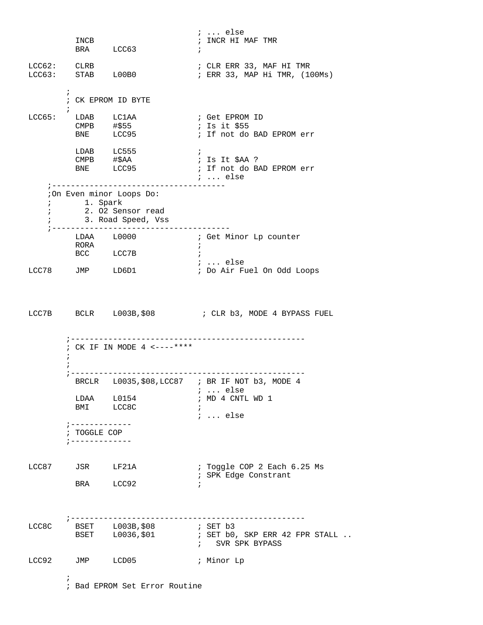; ... else<br>; INCR HI MAF TMR INCB  $\qquad \qquad ; \qquad \text{INCR} \qquad \text{H1} \qquad \text{MAF} \qquad \text{TMR}$ BRA LCC63 ;  $\frac{1}{2}$  CLR ERR 33, MAF HI TMR LCC63: STAB L00B0 ; ERR 33, MAP Hi TMR, (100Ms)  $\mathcal{L}^{\text{max}}$  ; CK EPROM ID BYTE  $\mathcal{L}^{\text{max}}$ LCC65: LDAB LC1AA ; Get EPROM ID CMPB  $\#$ \$55  $\qquad$  ; Is it \$55 BNE LCC95 : If not do BAD EPROM err LDAB LC555<br>CMPB #\$AA<br>BNE LCC95  $\text{CMPB}$  # $\text{SAA}$  ; Is It  $\text{SAA}$  ? BNE LCC95 : If not do BAD EPROM err ; ... else ;------------------------------------- ;On Even minor Loops Do: ; 1. Spark ; 2. O2 Sensor read  $\frac{2}{3}$ . Road Speed, Vss ;-------------------------------------- LDAA L0000 **;** Get Minor Lp counter RORA  $\qquad \qquad ;$ BCC LCC7B ; ; ... else LCC78 JMP LD6D1 ; Do Air Fuel On Odd Loops LCC7B BCLR L003B, \$08 ; CLR b3, MODE 4 BYPASS FUEL ;-------------------------------------------------- ; CK IF IN MODE 4 <----\*\*\*\*  $\mathcal{L}^{\text{max}}$  $\mathcal{L}^{\text{max}}$  ;-------------------------------------------------- BRCLR L0035,\$08,LCC87 ; BR IF NOT b3, MODE 4 ; ... else<br>; MD 4 CNTL WD 1 LDAA L0154 *;* MD 4 CNTL WD 1 BMI LCC8C ; ; ... else ;------------- ; TOGGLE COP ;------------- LCC87 JSR LF21A : Toggle COP 2 Each 6.25 Ms ; SPK Edge Constrant BRA LCC92 ; ;-------------------------------------------------- LCC8C BSET L003B, \$08 *;* SET b3 BSET L0036,\$01 ; SET b0, SKP ERR 42 FPR STALL .. ; SVR SPK BYPASS LCC92 JMP LCD05 ; Minor Lp  $\mathcal{L}^{\text{max}}$ ; Bad EPROM Set Error Routine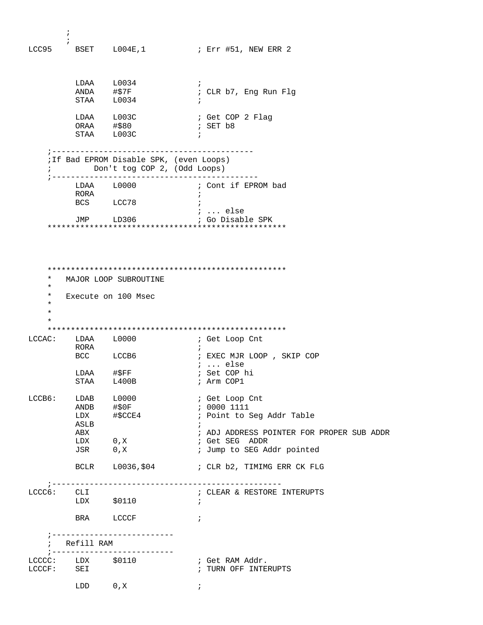$\mathcal{L}^{\text{max}}$  $\begin{tabular}{cc} & \texttt{;} \\ \texttt{LCC95} & & \texttt{BSET} & \texttt{L004E,1} \end{tabular}$ ; Err #51, NEW ERR 2 LDAA L0034 ; ;<br>; CLR b7, Eng Run Flg STAA L0034 ; ; Get COP 2 Flag<br>; SET b8 LDAA L003C<br>ORAA #\$80 STAA L003C ; ;------------------------------------------- ;If Bad EPROM Disable SPK, (even Loops) ; Don't tog COP 2, (Odd Loops) ;-------------------------------------------- LDAA L0000 ; Cont if EPROM bad RORA  $\qquad \qquad ;$ BCS LCC78 ; ; ... else JMP LD306 ; Go Disable SPK \*\*\*\*\*\*\*\*\*\*\*\*\*\*\*\*\*\*\*\*\*\*\*\*\*\*\*\*\*\*\*\*\*\*\*\*\*\*\*\*\*\*\*\*\*\*\*\*\*\*\* \*\*\*\*\*\*\*\*\*\*\*\*\*\*\*\*\*\*\*\*\*\*\*\*\*\*\*\*\*\*\*\*\*\*\*\*\*\*\*\*\*\*\*\*\*\*\*\*\*\*\* MAJOR LOOP SUBROUTINE \* Execute on 100 Msec \* \* \* \*\*\*\*\*\*\*\*\*\*\*\*\*\*\*\*\*\*\*\*\*\*\*\*\*\*\*\*\*\*\*\*\*\*\*\*\*\*\*\*\*\*\*\*\*\*\*\*\*\*\* LCCAC: LDAA L0000 ; Get Loop Cnt RORA ;<br>BCC LCCB6 ;<br>. ; EXEC MJR LOOP, SKIP COP ; ... else<br>; Set COP hi LDAA #\$FF ; Set COP hi STAA L400B ; Arm COP1 LCCB6: LDAB L0000 ; Get Loop Cnt<br>ANDB #\$0F ; 0000 1111 ANDB #\$0F ; 0000 1111 ; Point to Seg Addr Table ASLB<br>ABX ABX ; ADJ ADDRESS POINTER FOR PROPER SUB ADDR ; Get SEG ADDR ; Jump to SEG Addr pointed BCLR L0036, \$04 ; CLR b2, TIMIMG ERR CK FLG ;------------------------------------------------- ; CLEAR & RESTORE INTERUPTS LDX \$0110 ; BRA LCCCF ; ;-------------------------- ; Refill RAM ;-------------------------- LCCCC: LDX \$0110 ; Get RAM Addr.<br>
LCCCF: SEI ; TURN OFF INTE ; TURN OFF INTERUPTS  $\text{LDD} \hspace{1cm} 0 \text{ , } \text{X} \hspace{1.5cm} ;$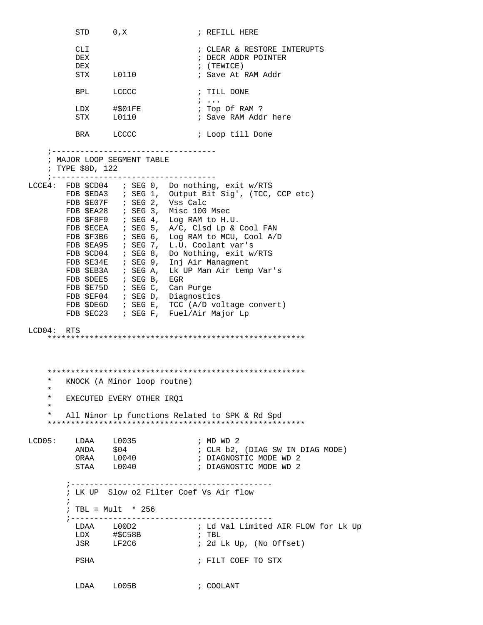STD 0, X ; REFILL HERE CLI  $\qquad \qquad ;$  CLEAR & RESTORE INTERUPTS DEX ; DECR ADDR POINTER DEX  $\qquad \qquad ; \quad (\text{TEWICE})$ STX L0110 ; Save At RAM Addr BPL LCCCC ; TILL DONE ; ... ; Top Of RAM ? STX L0110 : Save RAM Addr here BRA LCCCC ; Loop till Done ;----------------------------------- ; MAJOR LOOP SEGMENT TABLE ; TYPE \$8D, 122 ;----------------------------------- LCCE4: FDB \$CD04 ; SEG 0, Do nothing, exit w/RTS FDB \$EDA3 ; SEG 1, Output Bit Sig', (TCC, CCP etc) FDB \$E07F ; SEG 2, Vss Calc FDB \$EA28 ; SEG 3, Misc 100 Msec FDB \$F8F9 ; SEG 4, Log RAM to H.U. FDB \$ECEA ; SEG 5, A/C, Clsd Lp & Cool FAN FDB \$F3B6 ; SEG 6, Log RAM to MCU, Cool A/D FDB \$EA95 ; SEG 7, L.U. Coolant var's FDB \$CD04 ; SEG 8, Do Nothing, exit w/RTS FDB \$E34E ; SEG 9, Inj Air Managment FDB \$EB3A ; SEG A, Lk UP Man Air temp Var's FDB \$DEE5 ; SEG B, EGR FDB \$E75D ; SEG C, Can Purge FDB \$EF04 ; SEG D, Diagnostics FDB \$DE6D ; SEG E, TCC (A/D voltage convert) FDB \$EC23 ; SEG F, Fuel/Air Major Lp LCD04: RTS \*\*\*\*\*\*\*\*\*\*\*\*\*\*\*\*\*\*\*\*\*\*\*\*\*\*\*\*\*\*\*\*\*\*\*\*\*\*\*\*\*\*\*\*\*\*\*\*\*\*\*\*\*\*\* \*\*\*\*\*\*\*\*\*\*\*\*\*\*\*\*\*\*\*\*\*\*\*\*\*\*\*\*\*\*\*\*\*\*\*\*\*\*\*\*\*\*\*\*\*\*\*\*\*\*\*\*\*\*\* KNOCK (A Minor loop routne) \* EXECUTED EVERY OTHER IRQ1 \* \* All Ninor Lp functions Related to SPK & Rd Spd \*\*\*\*\*\*\*\*\*\*\*\*\*\*\*\*\*\*\*\*\*\*\*\*\*\*\*\*\*\*\*\*\*\*\*\*\*\*\*\*\*\*\*\*\*\*\*\*\*\*\*\*\*\*\*  $\begin{tabular}{lllllllll} \texttt{LCD05}: & \texttt{LDAA} & \texttt{L0035} & \texttt{; MD WD 2} \\ & \texttt{ANDA} & \texttt{\$04} & \texttt{; CLR b2,} \end{tabular}$ ANDA \$04 ; CLR b2, (DIAG SW IN DIAG MODE)<br>ORAA L0040 ; DIAGNOSTIC MODE WD 2 ORAA L0040 ; DIAGNOSTIC MODE WD 2 STAA L0040 ; DIAGNOSTIC MODE WD 2 ;------------------------------------------- ; LK UP Slow o2 Filter Coef Vs Air flow  $\mathcal{L}^{\text{max}}_{\text{max}}$  ; TBL = Mult \* 256 ;------------------------------------------- LDAA L00D2 ; Ld Val Limited AIR FLOW for Lk Up  $\#$ \$C58B  $\qquad$  ; TBL JSR LF2C6 ; 2d Lk Up, (No Offset) PSHA ; FILT COEF TO STX LDAA L005B ; COOLANT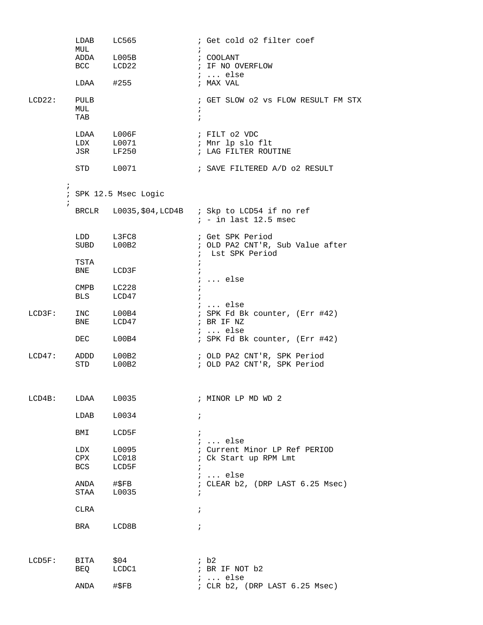|                          | LDAB        | LC565                         |            | ; Get cold o2 filter coef                         |
|--------------------------|-------------|-------------------------------|------------|---------------------------------------------------|
|                          | MUL         |                               | $\ddot{i}$ |                                                   |
|                          |             | ADDA L005B<br>BCC LCD22       |            | ; COOLANT<br>; IF NO OVERFLOW                     |
|                          |             |                               |            | $i \ldots$ else                                   |
|                          | LDAA        | #255                          |            | ; MAX VAL                                         |
| LCD22:                   | PULB        |                               |            | ; GET SLOW 02 vs FLOW RESULT FM STX               |
|                          | MUL         |                               | $\ddot{i}$ |                                                   |
|                          | TAB         |                               | $\ddot{i}$ |                                                   |
|                          |             | LDAA L006F                    |            | ; FILT 02 VDC                                     |
|                          |             | LDX L0071    i Mnr lp slo flt |            |                                                   |
|                          | JSR LF250   |                               |            | ; LAG FILTER ROUTINE                              |
|                          | STD L0071   |                               |            | ; SAVE FILTERED A/D o2 RESULT                     |
| $\ddot{ }$<br>$\ddot{i}$ |             | ; SPK 12.5 Msec Logic         |            |                                                   |
|                          |             |                               |            | BRCLR L0035, \$04, LCD4B ; Skp to LCD54 if no ref |
|                          |             |                               |            | $i$ - in last 12.5 msec                           |
|                          | LDD         | L3FC8                         |            | ; Get SPK Period                                  |
|                          | SUBD        | L00B2                         |            | ; OLD PA2 CNT'R, Sub Value after                  |
|                          |             |                               |            | ; Lst SPK Period                                  |
|                          | TSTA        |                               | $\ddot{i}$ |                                                   |
|                          | BNE         | LCD3F                         |            | ;  else                                           |
|                          | CMPB        | LC228                         | $\ddot{i}$ |                                                   |
|                          | <b>BLS</b>  | LCD47                         | $\ddot{i}$ |                                                   |
|                          |             |                               |            | ;  else                                           |
| LCD3F:                   | INC         | L00B4                         |            | ; SPK Fd Bk counter, (Err #42)                    |
|                          | BNE         | LCD47                         |            | ; BR IF NZ<br>$i \ldots$ else                     |
|                          | DEC         | L00B4                         |            | ; SPK Fd Bk counter, (Err #42)                    |
| LCD47:                   | ADDD        | L00B2                         |            | ; OLD PA2 CNT'R, SPK Period                       |
|                          | STD         | L00B2                         |            | ; OLD PA2 CNT'R, SPK Period                       |
|                          |             |                               |            |                                                   |
| LCD4B:                   | LDAA        | L0035                         |            | ; MINOR LP MD WD 2                                |
|                          | LDAB        | L0034                         | $\ddot{i}$ |                                                   |
|                          | BMI         | LCD5F                         | $\ddot{i}$ |                                                   |
|                          |             |                               |            | ;  else                                           |
|                          | LDX         | L0095                         |            | ; Current Minor LP Ref PERIOD                     |
|                          | CPX<br>BCS  | LC018<br>LCD5F                | $\ddot{i}$ | ; Ck Start up RPM Lmt                             |
|                          |             |                               |            | $i \ldots$ else                                   |
|                          | ANDA        | #\$FB                         |            | ; CLEAR b2, (DRP LAST 6.25 Msec)                  |
|                          | STAA        | L0035                         |            |                                                   |
|                          | <b>CLRA</b> |                               | $\ddot{i}$ |                                                   |
|                          |             |                               |            |                                                   |
|                          | BRA         | LCD8B                         | $\ddot{ }$ |                                                   |
|                          |             |                               |            |                                                   |
| LCD5F:                   | BITA        | \$04                          |            | ib2                                               |
|                          | BEQ         | LCDC1                         |            | ; BR IF NOT b2                                    |
|                          | ANDA        | $\sharp$ \$FB                 |            | $i \ldots$ else<br>; CLR b2, (DRP LAST 6.25 Msec) |
|                          |             |                               |            |                                                   |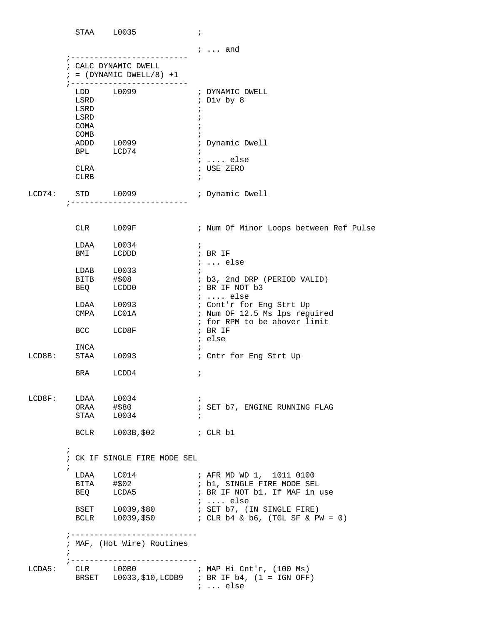|        |                                                                    | STAA L0035                                          | $\ddot{i}$                                           |                                                                                                                     |
|--------|--------------------------------------------------------------------|-----------------------------------------------------|------------------------------------------------------|---------------------------------------------------------------------------------------------------------------------|
|        |                                                                    |                                                     |                                                      | $i \ldots$ and                                                                                                      |
|        |                                                                    | ; CALC DYNAMIC DWELL<br>$: = (DYNAMIC DWELL/8) + 1$ |                                                      |                                                                                                                     |
|        | LSRD<br>LSRD<br>LSRD<br><b>COMA</b><br>COMB<br>CLRA<br><b>CLRB</b> | $LDD$ $L0099$<br>ADDD L0099<br>BPL LCD74            | $\ddot{ }$<br>$\ddot{i}$<br>$\ddot{i}$<br>$\ddot{ }$ | ; DYNAMIC DWELL<br>; Div by 8<br>; Dynamic Dwell<br>$i$ else<br>; USE ZERO                                          |
| LCD74: |                                                                    | STD L0099<br>; -------------------------            |                                                      | ; Dynamic Dwell                                                                                                     |
|        |                                                                    | CLR L009F                                           |                                                      | ; Num Of Minor Loops between Ref Pulse                                                                              |
|        |                                                                    | $LDAA$ $L0034$<br>BMI LCDDD                         | $\mathbf{i}$<br>$\mathcal{C}$ , BR IF                |                                                                                                                     |
|        |                                                                    | BEQ LCDD0                                           |                                                      | $i \ldots$ else<br>; b3, 2nd DRP (PERIOD VALID)<br>; BR IF NOT b3<br>$i$ else                                       |
|        |                                                                    | LDAA L0093                                          |                                                      | ; Cont'r for Eng Strt Up                                                                                            |
|        | CMPA                                                               | LC01A<br>BCC LCD8F                                  | ; BR IF<br>; else                                    | ; Num OF 12.5 Ms lps reguired<br>; for RPM to be abover limit                                                       |
| LCD8B: | INCA<br>STAA                                                       | L0093                                               | $\ddot{ }$                                           | ; Cntr for Eng Strt Up                                                                                              |
|        |                                                                    | BRA LCDD4                                           | $\ddot{i}$                                           |                                                                                                                     |
| LCD8F: |                                                                    | $LDAA$ $L0034$<br>$ORAA$ $\# $80$<br>STAA L0034     | $\ddot{i}$<br>$\ddot{i}$                             | ; SET b7, ENGINE RUNNING FLAG                                                                                       |
|        |                                                                    | BCLR L003B, \$02 ; CLR b1                           |                                                      |                                                                                                                     |
|        | $\ddot{i}$<br>$\ddot{ }$                                           | ; CK IF SINGLE FIRE MODE SEL                        |                                                      |                                                                                                                     |
|        |                                                                    |                                                     |                                                      | BITA #\$02<br>BEQ LCDA5<br>BEQ LCDA5<br>BR IF NOT b1. If MAF in<br>; BR IF NOT b1. If MAF in use<br>$i \ldots$ else |
|        |                                                                    |                                                     |                                                      | BSET L0039, \$80<br>; SET b7, (IN SINGLE FIRE)                                                                      |
|        | $\mathbf{r}$                                                       | ; MAF, (Hot Wire) Routines                          |                                                      |                                                                                                                     |
| LCDA5: |                                                                    |                                                     |                                                      | CLR L00B0 ; MAP Hi Cnt'r, (100 Ms)<br>BRSET L0033,\$10,LCDB9 ; BR IF b4, (1 = IGN OFF)<br>$: $ else                 |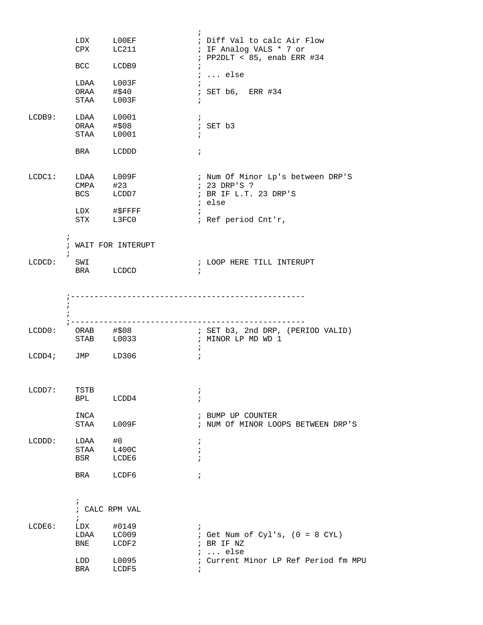|                      |                                        | LDX LOOEF<br>CPX LC211               |                          | ; Diff Val to calc Air Flow<br>; IF Analog VALS * 7 or<br>$i$ PP2DLT < 85, enab ERR #34 |
|----------------------|----------------------------------------|--------------------------------------|--------------------------|-----------------------------------------------------------------------------------------|
|                      | BCC LCDB9                              |                                      | $\mathcal{L}$            | $i \ldots$ else                                                                         |
|                      | LDAA L003F<br>ORAA #\$40               |                                      |                          |                                                                                         |
|                      | STAA L003F                             |                                      | $\ddot{i}$               | ; SET b6, ERR #34                                                                       |
| LCDB9:               | LDAA L0001<br>ORAA #\$08               |                                      | $\ddot{i}$               | ; SET b3                                                                                |
|                      | STAA L0001                             |                                      | $\ddot{i}$               |                                                                                         |
|                      | BRA LCDDD                              |                                      | $\ddot{i}$               |                                                                                         |
|                      | CMPA #23                               | $LCDC1:$ $LDAA$ $L009F$<br>BCS LCDD7 |                          | ; Num Of Minor Lp's between DRP'S<br>; 23 DRP'S ?<br>; BR IF L.T. 23 DRP'S              |
|                      |                                        | LDX #\$FFFF<br>STX L3FC0             | $\mathcal{F}$            | ; else<br>; Ref period Cnt'r,                                                           |
|                      | $\mathbf{i}$                           | ; WAIT FOR INTERUPT                  |                          |                                                                                         |
| LCDCD:               | SWI<br>BRA LCDCD                       |                                      | $\cdot$ ;                | ; LOOP HERE TILL INTERUPT                                                               |
|                      |                                        |                                      |                          |                                                                                         |
|                      | $\ddot{i}$                             | __________________                   |                          |                                                                                         |
| LCDD0:               | ORAB        #\$08<br>STAB        L0033 |                                      |                          | ; SET b3, 2nd DRP, (PERIOD VALID)<br>; MINOR LP MD WD 1                                 |
| $LCDD4:$ JMP $LD306$ |                                        |                                      | $\ddot{i}$<br>$\ddot{i}$ |                                                                                         |
| LCDD7:               | TSTB                                   |                                      | ï                        |                                                                                         |
|                      | <b>BPL</b>                             | LCDD4                                |                          |                                                                                         |
|                      | INCA<br>STAA                           | L009F                                |                          | ; BUMP UP COUNTER<br>; NUM Of MINOR LOOPS BETWEEN DRP'S                                 |
| LCDDD:               | LDAA<br>STAA                           | #0<br>L400C                          | $\ddot{ }$               |                                                                                         |
|                      | BSR                                    | LCDE6                                |                          |                                                                                         |
|                      | BRA                                    | LCDF6                                | $\ddot{i}$               |                                                                                         |
|                      | $\ddot{i}$<br>$\ddot{i}$               | ; CALC RPM VAL                       |                          |                                                                                         |
| LCDE6:               | LDX                                    | #0149                                |                          |                                                                                         |
|                      | LDAA<br>BNE                            | LC009<br>LCDF2                       |                          | ; Get Num of Cyl's, $(0 = 8$ CYL)<br>; BR IF NZ                                         |
|                      | LDD<br>BRA                             | L0095<br>LCDF5                       |                          | $i \ldots$ else<br>; Current Minor LP Ref Period fm MPU                                 |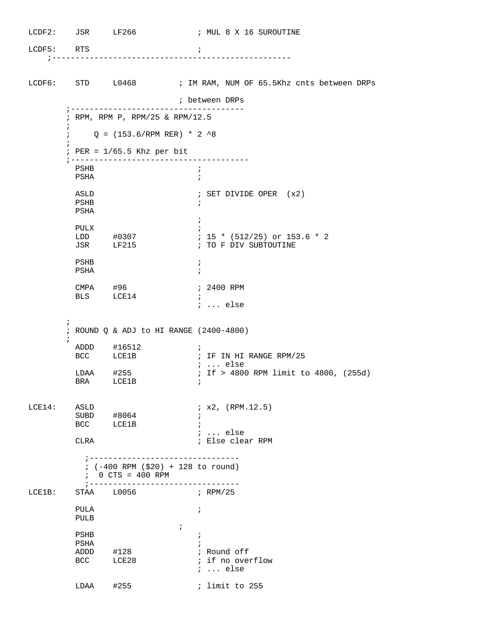| LCDF5: RTS |              |                                     | i.                                                                           |
|------------|--------------|-------------------------------------|------------------------------------------------------------------------------|
|            |              |                                     |                                                                              |
|            |              |                                     | LCDF6: STD L0468 : IM RAM, NUM OF 65.5Khz cnts between DRPs                  |
|            |              |                                     | ; between DRPs                                                               |
|            | $\ddot{ }$   |                                     | ; RPM, RPM P, RPM/25 & RPM/12.5                                              |
|            |              |                                     | $Q = (153.6/RPM RER) * 2 *8$                                                 |
|            |              | $:$ PER = $1/65.5$ Khz per bit      |                                                                              |
|            | PSHB         |                                     | $\cdot$                                                                      |
|            | PSHA         |                                     |                                                                              |
|            | ASLD<br>PSHB |                                     | ; SET DIVIDE OPER (x2)<br>÷                                                  |
|            | PSHA         |                                     | $\ddot{i}$                                                                   |
|            | PULX         |                                     | $: 15 * (512/25)$ or 153.6 * 2                                               |
|            |              | LDD #0307<br>JSR LF215              | ; TO F DIV SUBTOUTINE                                                        |
|            | PSHB<br>PSHA |                                     | $\ddot{ }$                                                                   |
|            |              | CMPA #96<br>BLS LCE14               | ; 2400 RPM<br>$\ddot{i}$                                                     |
|            |              |                                     | $i \ldots$ else                                                              |
|            | $\ddot{i}$   |                                     | ; ROUND Q & ADJ to HI RANGE (2400-4800)                                      |
|            | $\ddot{i}$   | ADDD #16512                         | $\ddot{i}$                                                                   |
|            |              | BCC LCE1B                           | ; IF IN HI RANGE RPM/25<br><i>;</i> else                                     |
|            |              | $LDAA$ #255                         | ; If > 4800 RPM limit to 4800, (255d)                                        |
|            |              | BRA LCE1B                           |                                                                              |
| LCE14:     | ASLD         |                                     | ; x2, (RPM.12.5)                                                             |
|            |              | SUBD #8064<br>BCC LCE1B             | $\ddot{i}$                                                                   |
|            |              |                                     | $\ddot{i}$<br>$i$ else                                                       |
|            | CLRA         |                                     | ; Else clear RPM                                                             |
|            |              | $: 0 \text{ CTS} = 400 \text{ RPM}$ | ;---------------------------------<br>$: (-400$ RPM $( $20) + 128$ to round) |
| LCE1B:     |              | ;----------------                   |                                                                              |
|            | PULA<br>PULB |                                     | $\ddot{i}$                                                                   |
|            | PSHB         |                                     | $\ddot{i}$<br>$\ddot{i}$                                                     |
|            | PSHA         |                                     |                                                                              |
|            |              | ADDD #128<br>BCC LCE28              | ; Round off<br>; if no overflow                                              |
|            |              |                                     | $i \ldots$ else                                                              |
|            | $LDAA$ #255  |                                     | ; limit to 255                                                               |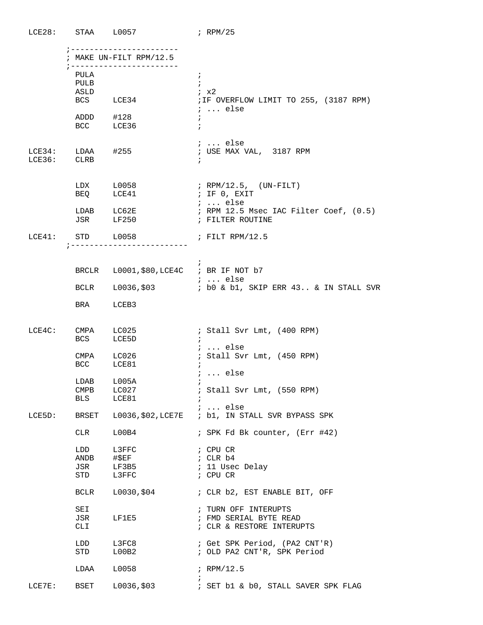|           | $LCE28:$ STAA $L0057$                  |                                                                 | ; $RPM/25$                                                                                      |
|-----------|----------------------------------------|-----------------------------------------------------------------|-------------------------------------------------------------------------------------------------|
|           |                                        | ; -----------------------<br>; MAKE UN-FILT RPM/12.5            |                                                                                                 |
|           | PULA<br>PULB<br>ASLD                   | ;-----------------------<br>BCS LCE34                           | $\mathbf{i}$<br>$\ddot{i}$<br>; x2<br>; IF OVERFLOW LIMIT TO 255, (3187 RPM)<br>$i \ldots$ else |
|           |                                        | ADDD #128<br>BCC LCE36                                          | $\ddot{i}$<br>$\ddot{i}$                                                                        |
|           | $LCE34: LDAA$ #255<br>LCE36: CLRB      |                                                                 | $i \ldots$ else<br>; USE MAX VAL, 3187 RPM<br>$\mathcal{L}$                                     |
|           |                                        | $LDX$ $L0058$<br>BEQ LCE41                                      | ; RPM/12.5, (UN-FILT)<br>; IF 0, EXIT                                                           |
|           |                                        | LDAB LC62E<br>JSR LF250                                         | $i \ldots$ else<br>; RPM 12.5 Msec IAC Filter Coef, (0.5)<br>; FILTER ROUTINE                   |
|           |                                        | LCE41: STD L0058 ; FILT RPM/12.5<br>; ------------------------- |                                                                                                 |
|           |                                        |                                                                 | i.                                                                                              |
|           |                                        | BRCLR L0001, \$80, LCE4C ; BR IF NOT b7                         | $\ldots$ else                                                                                   |
|           |                                        |                                                                 | BCLR L0036, \$03 ; b0 & b1, SKIP ERR 43 & IN STALL SVR                                          |
|           | <b>BRA</b>                             | LCEB3                                                           |                                                                                                 |
|           |                                        | LCE4C: CMPA LC025<br>BCS LCE5D                                  | ; Stall Svr Lmt, (400 RPM)<br>$\ddot{i}$                                                        |
|           |                                        | CMPA LC026<br>BCC LCE81                                         | $i$ else<br>; Stall Svr Lmt, (450 RPM)<br>$i \ldots$ else                                       |
|           | $\mathop{\mathrm{CMPB}}$<br><b>BLS</b> | LDAB L005A<br>LCO27<br>LCE81                                    | ; Stall Svr Lmt, (550 RPM)                                                                      |
| LCE5D:    | BRSET                                  |                                                                 | $i \ldots$ else<br>L0036, \$02, LCE7E ; b1, IN STALL SVR BYPASS SPK                             |
|           | CLR                                    | L00B4                                                           | ; SPK Fd Bk counter, (Err #42)                                                                  |
|           | LDD<br>ANDB<br>JSR<br>STD              | L3FFC<br>#\$EF<br>LF3B5<br>L3FFC                                | ; CPU CR<br>; CLR b4<br>; 11 Usec Delay<br>; CPU CR                                             |
|           | BCLR                                   | L0030,\$04                                                      | ; CLR b2, EST ENABLE BIT, OFF                                                                   |
|           | SEI<br>JSR<br>CLI                      | LF1E5                                                           | ; TURN OFF INTERUPTS<br>; FMD SERIAL BYTE READ<br>; CLR & RESTORE INTERUPTS                     |
|           | LDD<br>STD                             | L3FC8<br>L00B2                                                  | ; Get SPK Period, (PA2 CNT'R)<br>; OLD PA2 CNT'R, SPK Period                                    |
|           | LDAA                                   | L0058                                                           | ; RPM/12.5                                                                                      |
| $LCE7E$ : | BSET                                   | L0036,\$03                                                      | ; SET b1 & b0, STALL SAVER SPK FLAG                                                             |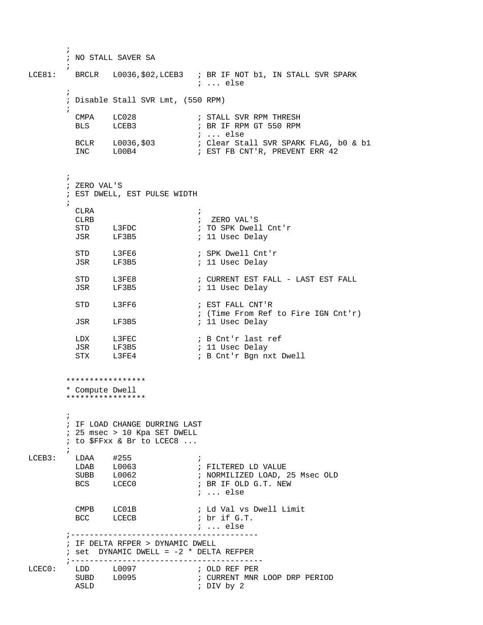```
\mathcal{L}^{\text{max}} ; NO STALL SAVER SA
         ;
LCE81: BRCLR L0036, $02, LCEB3 ; BR IF NOT b1, IN STALL SVR SPARK
                                      ; ... else 
\mathcal{L}^{\text{max}} ; Disable Stall SVR Lmt, (550 RPM) 
\mathcal{L}^{\text{max}}CMPA LC028 <br>BLS LCEB3 <br>BLS LCEB3 <br>BR IF RPM GT 550 RPM
                                    ; BR IF RPM GT 550 RPM
           ; ... else
                                  ; Clear Stall SVR SPARK FLAG, b0 & b1
                                    ; EST FB CNT'R, PREVENT ERR 42
\mathcal{L}^{\text{max}} ; ZERO VAL'S 
         ; EST DWELL, EST PULSE WIDTH
\mathcal{L}^{\text{max}}CLRA<br>CLRB
                                     ; ZERO VAL'S
                                     ; TO SPK Dwell Cnt'r<br>; 11 Usec Delay
          STD L3FDC<br>JSR LF3B5
                                  ; SPK Dwell Cnt'r<br>; 11 Usec Delay
          STD L3FE6<br>JSR LF3B5
                                 ; CURRENT EST FALL - LAST EST FALL
          STD L3FE8 ; CURRENT EST F<br>JSR LF3B5 ; 11 Usec Delay
          STD L3FF6 ; EST FALL CNT'R
           ; (Time From Ref to Fire IGN Cnt'r)
                                    ; 11 Usec Delay
          LDX L3FEC ; B Cnt'r last ref
 JSR LF3B5 ; 11 Usec Delay 
STX L3FE4 : B Cnt'r Bgn nxt Dwell
         *****************
         * Compute Dwell
         *****************
\mathcal{L}^{\text{max}} ; IF LOAD CHANGE DURRING LAST
         ; 25 msec > 10 Kpa SET DWELL 
         ; to $FFxx & Br to LCEC8 ...
         ;
LCEB3: LDAA #255<br>
LDAB L0063<br>
SUBB L0062
                                    ; FILTERED LD VALUE
                                    ; NORMILIZED LOAD, 25 Msec OLD
          BCS LCECO ; BR IF OLD G.T. NEW
                                      ; ... else 
          CMPB LC01B ; Ld Val vs Dwell Limit<br>BCC LCECB ; br if G.T.
          BCC LCECB
                                     ; ... else
         ;----------------------------------------
         ; IF DELTA RFPER > DYNAMIC DWELL
        : set DYNAMIC DWELL = -2 * DELTA REFPER
         ;----------------------------------------- 
LCEC0: LDD L0097 ; OLD REF PER<br>SUBD L0095 ; CURRENT MNR
          SUBD L0095 ; CURRENT MNR LOOP DRP PERIOD<br>ASLD : DIV by 2
                                     ; DIV by 2
```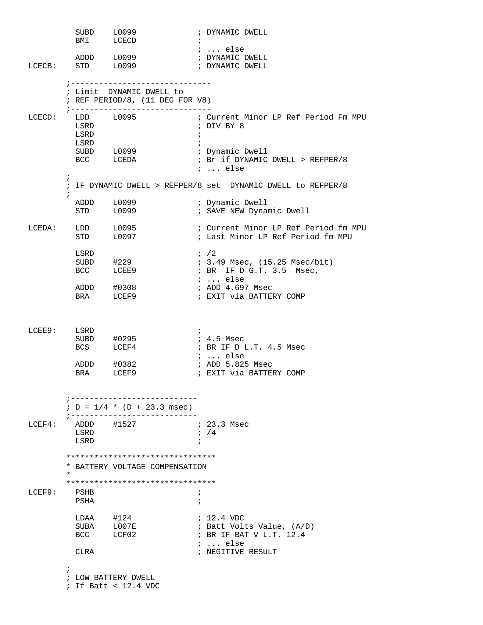SUBD L0099 ; DYNAMIC DWELL BMI LCECD ;  $LCECD$  ; ; ... else<br>; DYNAMIC DWELL ADDD L0099 **;** DYNAMIC DWELL LCECB: STD L0099 : DYNAMIC DWELL ;------------------------------ ; Limit DYNAMIC DWELL to ; REF PERIOD/8, (11 DEG FOR V8) ;------------------------------ LCECD: LDD L0095 ; Current Minor LP Ref Period Fm MPU<br>LSRD : DIV BY 8 LDD L0095<br>LSRD b **LSRD**  LSRD ;  $SUBD$   $L0099$ BCC LCEDA : Br if DYNAMIC DWELL > REFPER/8 ; ... else  $\mathcal{L}^{\text{max}}$  ; IF DYNAMIC DWELL > REFPER/8 set DYNAMIC DWELL to REFPER/8  $\mathcal{L}^{\text{max}}$  ADDD L0099 ; Dynamic Dwell ; SAVE NEW Dynamic Dwell LCEDA: LDD L0095 ; Current Minor LP Ref Period fm MPU<br>STD L0097 ; Last Minor LP Ref Period fm MPU ; Last Minor LP Ref Period fm MPU  $\begin{tabular}{lllllll} \texttt{LSRD} & & & & & ; & /2 \\ \texttt{SUBD} & & \#229 & & & & ; & 3.4 \\ \texttt{BCC} & & & \texttt{LCEE9} & & & & ; & \texttt{BR} \\ \end{tabular}$  $: 3.49$  Msec,  $(15.25$  Msec/bit) ; BR IF  $D$  G.T. 3.5 Msec, ; ... else<br>; ADD 4.697 Msec ADDD #0308 ; ADD 4.697 Msec BRA LCEF9  $\cdot$  EXIT via BATTERY COMP LCEE9: LSRD ; SUBD #0295 ; 4.5 Msec BCS LCEF4 ; BR IF D L.T. 4.5 Msec ; ... else ADDD #0382 ; ADD 5.825 Msec BRA LCEF9 ; EXIT via BATTERY COMP ;---------------------------  $; D = 1/4 * (D + 23.3$  msec) ;------------------------------<br>ADDD #1527 ; 23.3 Msec  $LCEF4:$  ADDD #1527  $\begin{array}{ccc} \text{LSRD} & \hspace{1.5cm} ; \hspace{1.5cm} / \hspace{1.5cm} 4 \end{array}$ **LSRD**  \*\*\*\*\*\*\*\*\*\*\*\*\*\*\*\*\*\*\*\*\*\*\*\*\*\*\*\*\*\*\*\* \* BATTERY VOLTAGE COMPENSATION \* \*\*\*\*\*\*\*\*\*\*\*\*\*\*\*\*\*\*\*\*\*\*\*\*\*\*\*\*\*\*\*\* PSHB ; PSHA ; LDAA #124 ; 12.4 VDC<br>SUBA L007E ; Batt Vol ; Batt Volts Value, (A/D) BCC LCF02 ; BR IF BAT V L.T. 12.4  $\begin{tabular}{lllllllllll} \multicolumn{2}{l}{{\small\textrm{\\ \hspace{1.5cm}}\mbox{}} & \multicolumn{2}{l}{\mbox{}} & \multicolumn{2}{l}{\mbox{}} & \multicolumn{2}{l}{\mbox{}} & \multicolumn{2}{l}{\mbox{}} & \multicolumn{2}{l}{\mbox{}} & \multicolumn{2}{l}{\mbox{}} & \multicolumn{2}{l}{\mbox{}} & \multicolumn{2}{l}{\mbox{}} & \multicolumn{2}{l}{\mbox{}} & \multicolumn{2}{l}{\mbox{}} & \multicolumn{2}{l}{\mbox{}} & \multicolumn{2}{l}{\m$ ; NEGITIVE RESULT  $\mathcal{L}^{\text{max}}$  ; LOW BATTERY DWELL ; If Batt < 12.4 VDC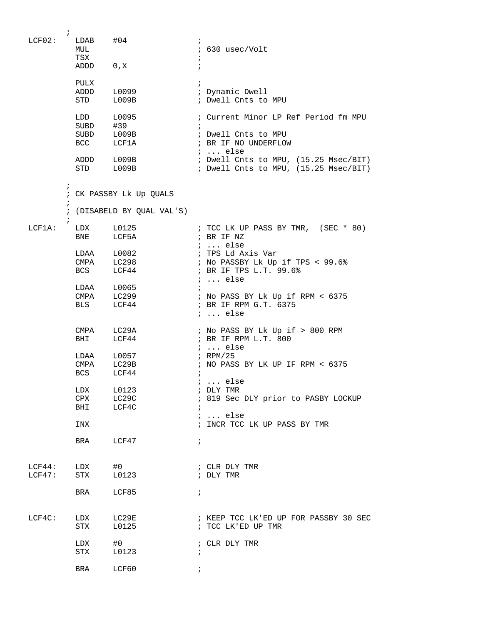| $LCF02$ :        | $\ddot{i}$<br>$LDAB$ $#04$<br>MUL<br>TSX | ADDD 0, X                                        | $\ddot{i}$<br>; 630 usec/Volt<br>$\mathbf{i}$<br>$\ddot{ }$                                                 |
|------------------|------------------------------------------|--------------------------------------------------|-------------------------------------------------------------------------------------------------------------|
|                  | PULX<br>STD                              | ADDD L0099<br>L009B                              | $\ddot{i}$<br>; Dynamic Dwell<br>; Dwell Cnts to MPU                                                        |
|                  |                                          | LDD L0095<br>SUBD #39<br>SUBD L009B<br>BCC LCF1A | ; Current Minor LP Ref Period fm MPU<br>$\cdot$ :<br>; Dwell Cnts to MPU<br>; BR IF NO UNDERFLOW<br>;  else |
|                  |                                          | ADDD L009B<br>STD L009B                          | ; Dwell Cnts to MPU, (15.25 Msec/BIT)<br>; Dwell Cnts to MPU, (15.25 Msec/BIT)                              |
|                  | $\ddot{i}$                               | ; CK PASSBY Lk Up QUALS                          |                                                                                                             |
|                  |                                          | ; (DISABELD BY QUAL VAL'S)                       |                                                                                                             |
| LCF1A:           |                                          | $LDX$ $L0125$<br>BNE LCF5A                       | ; TCC LK UP PASS BY TMR, (SEC * 80)<br>; BR IF NZ<br>$i \ldots$ else                                        |
|                  |                                          | LDAA L0082<br>CMPA LC298<br>BCS LCF44            | ; TPS Ld Axis Var<br>; No PASSBY Lk Up if TPS < 99.6%<br>; BR IF TPS L.T. 99.6%<br>$i \ldots$ else          |
|                  |                                          | LDAA L0065<br>CMPA LC299<br>BLS LCF44            | $\ddot{i}$<br>; No PASS BY Lk Up if RPM < 6375<br>; BR IF RPM G.T. 6375<br>$i \ldots$ else                  |
|                  | BHI                                      | CMPA LC29A<br>LCF44                              | ; No PASS BY Lk Up if > 800 RPM<br>; BR IF RPM L.T. 800<br>$i \ldots$ else                                  |
|                  |                                          | LDAA L0057<br>CMPA LC29B<br>BCS LCF44            | ; RPM/25<br>; NO PASS BY LK UP IF RPM < 6375<br>$\ddot{i}$<br>;  else                                       |
|                  | LDX                                      | L0123                                            | ; DLY TMR                                                                                                   |
|                  | CPX<br>BHI                               | LC29C<br>LCF4C                                   | ; 819 Sec DLY prior to PASBY LOCKUP<br>$\ddot{i}$<br>$i \ldots$ else                                        |
|                  | INX                                      |                                                  | ; INCR TCC LK UP PASS BY TMR                                                                                |
|                  | BRA                                      | LCF47                                            | $\ddot{i}$                                                                                                  |
| LCF44:<br>LCF47: | LDX<br>STX                               | #0<br>L0123                                      | ; CLR DLY TMR<br>; DLY TMR                                                                                  |
|                  | BRA                                      | LCF85                                            | $\ddot{i}$                                                                                                  |
| $LCF4C$ :        | LDX<br>STX                               | LC29E<br>L0125                                   | ; KEEP TCC LK'ED UP FOR PASSBY 30 SEC<br>; TCC LK'ED UP TMR                                                 |
|                  | LDX<br>STX                               | #0<br>L0123                                      | ; CLR DLY TMR<br>$\cdot$ ;                                                                                  |
|                  | BRA                                      | LCF60                                            | $\ddot{i}$                                                                                                  |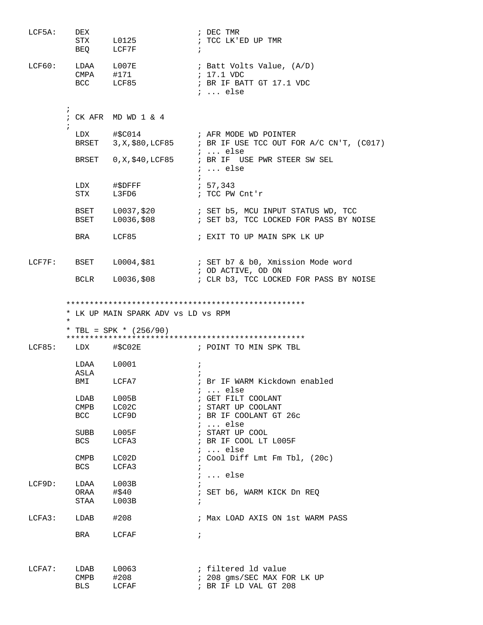| LCF5A:    | DEX<br><b>STX</b><br>BEQ                             | L0125<br>LCF7F                                                             | ; DEC TMR<br>; TCC LK'ED UP TMR<br>$\ddot{i}$                                                             |
|-----------|------------------------------------------------------|----------------------------------------------------------------------------|-----------------------------------------------------------------------------------------------------------|
| LCF60:    |                                                      | LDAA L007E<br>CMPA #171<br>BCC LCF85                                       | ; Batt Volts Value, (A/D)<br>; 17.1 VDC<br>; BR IF BATT GT 17.1 VDC<br>$i \ldots$ else                    |
|           | $\ddot{i}$                                           | ; CK AFR $MDWD 1 & 4$                                                      |                                                                                                           |
|           | $\ddot{ }$                                           |                                                                            | BRSET $3, X, $80, LCF85$ ; BR IF USE TCC OUT FOR A/C CN'T, (C017)<br>;  else                              |
|           |                                                      |                                                                            | BRSET 0, X, \$40, LCF85 ; BR IF USE PWR STEER SW SEL<br>$i \ldots$ else                                   |
|           | LDX<br>STX                                           | #\$DFFF<br>L3FD6                                                           | ; 57,343<br>; TCC PW Cnt'r                                                                                |
|           | BSET                                                 |                                                                            | BSET L0037, \$20 : SET b5, MCU INPUT STATUS WD, TCC<br>L0036, \$08 : SET b3, TCC LOCKED FOR PASS BY NOISE |
|           | <b>BRA</b>                                           | LCF85                                                                      | ; EXIT TO UP MAIN SPK LK UP                                                                               |
|           | LCF7F: BSET                                          |                                                                            | ; OD ACTIVE, OD ON                                                                                        |
|           |                                                      | BCLR L0036,\$08                                                            | ; CLR b3, TCC LOCKED FOR PASS BY NOISE                                                                    |
| LCF85:    | $\ast$<br>LDX                                        | * LK UP MAIN SPARK ADV vs LD vs RPM<br>* TBL = SPK * $(256/90)$<br>#\$C02E | ; POINT TO MIN SPK TBL                                                                                    |
|           | LDAA                                                 | L0001                                                                      | $\ddot{i}$                                                                                                |
|           | ASLA                                                 |                                                                            | $\cdot$                                                                                                   |
|           |                                                      | BMI LCFA7                                                                  | ; Br IF WARM Kickdown enabled<br>$i \ldots$ else                                                          |
|           | LDAB                                                 | L005B                                                                      | ; GET FILT COOLANT                                                                                        |
|           | CMPB<br>BCC                                          | LC02C<br>LCF9D                                                             | ; START UP COOLANT<br>; BR IF COOLANT GT 26c<br>$i$ else                                                  |
|           | SUBB<br>BCS                                          | ${\tt LOO5F}$<br>LCFA3                                                     | ; START UP COOL<br>; BR IF COOL LT L005F                                                                  |
|           | CMPB<br><b>BCS</b>                                   | $_{\tt LC02D}$<br>LCFA3                                                    | $i$ else<br>; Cool Diff Lmt Fm Tbl, $(20c)$                                                               |
| LCF9D:    | LDAA<br>ORAA<br>STAA                                 | L003B<br>#\$40<br>L003B                                                    | $i \ldots$ else<br>; SET b6, WARM KICK Dn REQ<br>$\ddot{i}$                                               |
| LCFA3:    | LDAB                                                 | #208                                                                       | ; Max LOAD AXIS ON 1st WARM PASS                                                                          |
|           | BRA                                                  | LCFAF                                                                      | $\ddot{i}$                                                                                                |
| $LCFA7$ : | LDAB<br>$\footnotesize{\mathsf{CMPB}}$<br><b>BLS</b> | L0063<br>#208<br>LCFAF                                                     | ; filtered ld value<br>; 208 gms/SEC MAX FOR LK UP<br>; BR IF LD VAL GT 208                               |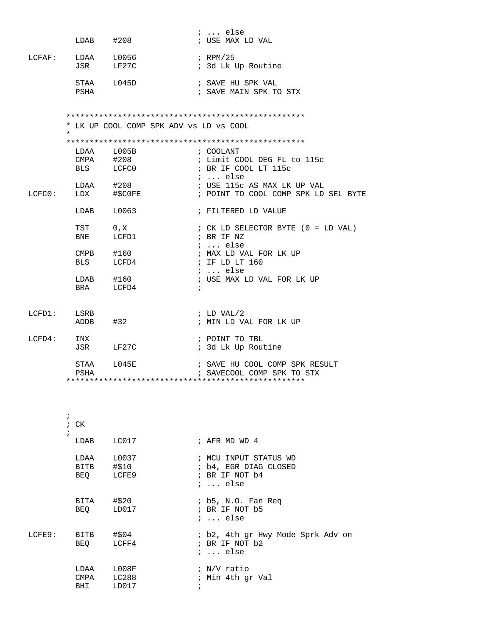|        |                         | $LDAB$ $\#208$                          | $i$ else<br>; USE MAX LD VAL                                                        |
|--------|-------------------------|-----------------------------------------|-------------------------------------------------------------------------------------|
|        |                         | LCFAF: LDAA L0056<br>JSR LF27C          | ; RPM/25<br>; 3d Lk Up Routine                                                      |
|        | PSHA                    | STAA L045D                              | ; SAVE HU SPK VAL<br>; SAVE MAIN SPK TO STX                                         |
|        | $\star$                 | * LK UP COOL COMP SPK ADV vs LD vs COOL |                                                                                     |
|        |                         | LDAA L005B<br>CMPA #208<br>BLS LCFC0    | ; COOLANT<br>; Limit COOL DEG FL to 115c<br>; BR IF COOL LT 115c                    |
|        |                         | $LDAA$ $\#208$<br>LCFC0: LDX #\$C0FE    | ;  else<br>; USE 115c AS MAX LK UP VAL<br>; POINT TO COOL COMP SPK LD SEL BYTE      |
|        |                         | LDAB L0063                              | ; FILTERED LD VALUE                                                                 |
|        | TST 0, X                | BNE LCFD1                               | ; CK LD SELECTOR BYTE (0 = LD VAL)<br>; BR IF NZ                                    |
|        |                         | CMPB #160<br>BLS LCFD4                  | $i \ldots$ else<br>; MAX LD VAL FOR LK UP<br>; IF LD LT 160                         |
|        |                         | $LDAB$ #160<br>BRA LCFD4                | $i \ldots$ else<br>; USE MAX LD VAL FOR LK UP                                       |
|        | LCFD1: LSRB<br>ADDB #32 |                                         | ; LD VAL/2<br>; MIN LD VAL FOR LK UP                                                |
|        | LCFD4: INX              | JSR LF27C                               | ; POINT TO TBL<br>; 3d Lk Up Routine                                                |
|        | PSHA                    | STAA L045E                              | ; SAVE HU COOL COMP SPK RESULT<br>; SAVECOOL COMP SPK TO STX                        |
|        |                         |                                         |                                                                                     |
|        | $\ddot{i}$<br>$;$ CK    |                                         |                                                                                     |
|        | $\ddot{i}$<br>LDAB      | LC017                                   | ; AFR MD WD 4                                                                       |
|        | LDAA<br>BITB<br>BEQ     | L0037<br>#\$10<br>LCFE9                 | ; MCU INPUT STATUS WD<br>; b4, EGR DIAG CLOSED<br>; BR IF NOT b4<br>$i \ldots$ else |
|        | BITA<br>BEQ             | #\$20<br>LD017                          | ; b5, N.O. Fan Req<br>; BR IF NOT b5<br>$i \ldots$ else                             |
| LCFE9: | BITB<br>BEQ             | #\$04<br>LCFF4                          | ; b2, 4th gr Hwy Mode Sprk Adv on<br>; BR IF NOT b2<br>$i \ldots$ else              |
|        | LDAA<br>CMPA<br>BHI     | L008F<br>LC288<br>LD017                 | ; N/V ratio<br>; Min 4th gr Val                                                     |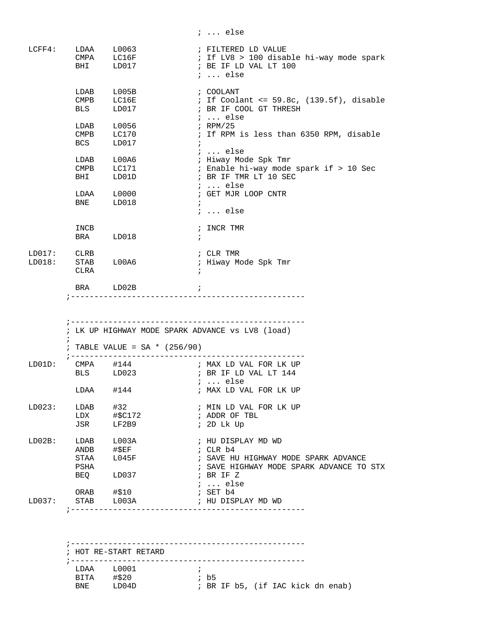|                       |               |                                                                                 |            | $i \ldots$ else                                  |
|-----------------------|---------------|---------------------------------------------------------------------------------|------------|--------------------------------------------------|
| LCFF4:                |               |                                                                                 |            | ; FILTERED LD VALUE                              |
|                       |               | LDAA L0063<br>CMPA LC16F                                                        |            | ; If LV8 > 100 disable hi-way mode spark         |
|                       |               | BHI LD017                                                                       |            | ; BE IF LD VAL LT 100                            |
|                       |               |                                                                                 |            | $i \ldots$ else                                  |
|                       |               |                                                                                 |            | ; COOLANT                                        |
|                       |               | LDAB L005B<br>CMPB LC16E                                                        |            | $:$ If Coolant <= 59.8c, (139.5f), disable       |
|                       |               | BLS LD017                                                                       |            | ; BR IF COOL GT THRESH                           |
|                       |               |                                                                                 |            | ;  else                                          |
|                       |               | LDAB L0056                                                                      |            | ; RPM/25                                         |
|                       |               | CMPB LC170<br>BCS LD017                                                         |            | ; If RPM is less than 6350 RPM, disable          |
|                       |               |                                                                                 | $\ddot{i}$ |                                                  |
|                       |               |                                                                                 |            | ;  else                                          |
|                       |               | LDAB L00A6                                                                      |            | ; Hiway Mode Spk Tmr                             |
|                       |               | CMPB LC171                                                                      |            | ; Enable hi-way mode spark if > 10 Sec           |
|                       | <b>BHI</b>    | LD01D                                                                           |            | ; BR IF TMR LT 10 SEC                            |
|                       |               |                                                                                 |            | $i \ldots$ else                                  |
|                       |               | LDAA L0000                                                                      |            | ; GET MJR LOOP CNTR                              |
|                       |               | BNE LD018                                                                       |            |                                                  |
|                       |               |                                                                                 |            | $i \ldots$ else                                  |
|                       | INCB          |                                                                                 |            | ; INCR TMR                                       |
|                       |               | BRA LD018                                                                       | $\cdot$    |                                                  |
|                       |               |                                                                                 |            |                                                  |
| LD017: CLRB           |               |                                                                                 |            | ; CLR TMR                                        |
| $LD018:$ STAB $L00A6$ |               |                                                                                 |            | ; Hiway Mode Spk Tmr                             |
|                       | CLRA          |                                                                                 | $\ddot{i}$ |                                                  |
|                       |               | BRA LD02B<br>$\mathcal{L} = \mathcal{L} \mathcal{L}$ . The set of $\mathcal{L}$ |            |                                                  |
|                       |               |                                                                                 |            |                                                  |
|                       |               |                                                                                 |            |                                                  |
|                       |               |                                                                                 |            | ; LK UP HIGHWAY MODE SPARK ADVANCE vs LV8 (load) |
|                       | $\mathcal{L}$ | ; TABLE VALUE = $SA * (256/90)$                                                 |            |                                                  |
| LD01D:                |               |                                                                                 |            | CMPA $#144$ $;$ MAX LD VAL FOR LK UP             |
|                       |               |                                                                                 |            | BLS LD023 <b>BR</b> IF LD VAL LT 144             |
|                       |               |                                                                                 |            | $i \ldots$ else                                  |
|                       | LDAA          | #144                                                                            |            | ; MAX LD VAL FOR LK UP                           |
| LD023:                | LDAB          | #32                                                                             |            | ; MIN LD VAL FOR LK UP                           |
|                       | LDX           | #\$C172                                                                         |            | ; ADDR OF TBL                                    |
|                       | JSR           | LF2B9                                                                           |            | ; 2D Lk Up                                       |
|                       |               |                                                                                 |            |                                                  |
| $LD02B$ :             | LDAB          | L003A                                                                           |            | ; HU DISPLAY MD WD                               |
|                       |               | ANDB #\$EF                                                                      |            | ; CLR b4                                         |
|                       | STAA          | L045F                                                                           |            | ; SAVE HU HIGHWAY MODE SPARK ADVANCE             |
|                       | PSHA          |                                                                                 |            | ; SAVE HIGHWAY MODE SPARK ADVANCE TO STX         |
|                       | BEQ           | LD037                                                                           |            | ; BR IF Z                                        |
|                       |               |                                                                                 |            | ;  else                                          |
|                       |               | ORAB #\$10                                                                      |            | ; SET b4                                         |
| LD037:                |               | STAB L003A                                                                      |            | ; HU DISPLAY MD WD                               |
|                       |               |                                                                                 |            |                                                  |
|                       |               |                                                                                 |            |                                                  |
|                       |               |                                                                                 |            |                                                  |
|                       |               |                                                                                 |            |                                                  |
|                       |               |                                                                                 |            |                                                  |
|                       |               | ; HOT RE-START RETARD                                                           |            |                                                  |
|                       |               |                                                                                 |            |                                                  |

; BR IF b5, (if IAC kick dn enab)

LDAA L0001 ;<br>BITA #\$20 ; b5

BITA #\$20<br>BNE LD04D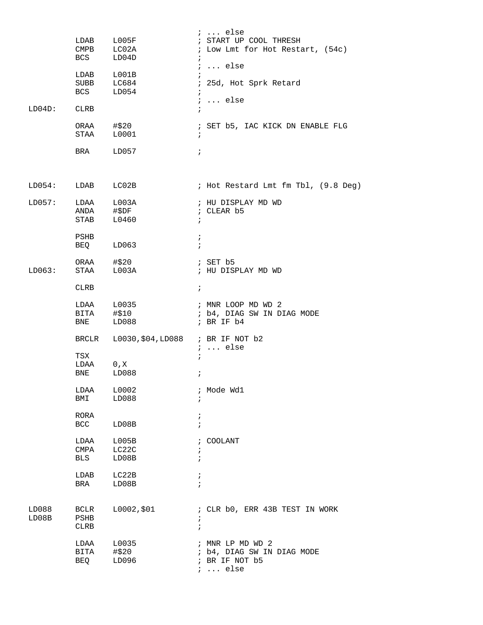| $LD04D$ :               | LDAB L005F<br>CMPB LC02A<br><b>BCS</b><br>LDAB<br><b>SUBB</b><br><b>BCS</b><br>CLRB<br>ORAA #\$20<br>STAA<br>BRA | LD04D<br>L001B<br>LC684<br>LD054<br>L0001<br>LD057 | $i \ldots$ else<br>; START UP COOL THRESH<br>; Low Lmt for Hot Restart, (54c)<br>$\ddot{ }$<br>$i \ldots$ else<br>$\ddot{i}$<br>$\ddot{i}$<br>25d, Hot Sprk Retard<br>$\ddot{i}$<br>$i \ldots$ else<br>$\ddot{ }$<br>; SET b5, IAC KICK DN ENABLE FLG<br>$\ddot{i}$<br>$\ddot{i}$ |
|-------------------------|------------------------------------------------------------------------------------------------------------------|----------------------------------------------------|-----------------------------------------------------------------------------------------------------------------------------------------------------------------------------------------------------------------------------------------------------------------------------------|
| $LD054:$ $LDAB$ $LC02B$ |                                                                                                                  |                                                    | ; Hot Restard Lmt fm Tbl, (9.8 Deg)                                                                                                                                                                                                                                               |
| LD057:                  | LDAA L003A<br>ANDA #\$DF<br>STAB                                                                                 | L0460                                              | ; HU DISPLAY MD WD<br>; CLEAR b5<br>$\ddot{i}$                                                                                                                                                                                                                                    |
|                         | PSHB<br>BEQ                                                                                                      | LD063                                              | $\ddot{i}$<br>$\ddot{i}$                                                                                                                                                                                                                                                          |
| LD063:                  | ORAA #\$20<br>STAA                                                                                               | L003A                                              | $5$ SET b5<br>; HU DISPLAY MD WD                                                                                                                                                                                                                                                  |
|                         | <b>CLRB</b>                                                                                                      |                                                    | $\ddot{i}$                                                                                                                                                                                                                                                                        |
|                         | LDAA L0035<br>BITA #\$10<br>BNE                                                                                  | LD088                                              | ; MNR LOOP MD WD 2<br>; b4, DIAG SW IN DIAG MODE<br>; BR IF b4                                                                                                                                                                                                                    |
|                         |                                                                                                                  | BRCLR L0030, \$04, LD088 ; BR IF NOT b2            | $i \ldots$ else                                                                                                                                                                                                                                                                   |
|                         | TSX<br>LDAA<br>BNE                                                                                               | 0, X<br>LD088                                      | $\ddot{i}$<br>$\ddot{i}$                                                                                                                                                                                                                                                          |
|                         | LDAA<br>BMI                                                                                                      | L0002<br>LD088                                     | ; Mode Wd1<br>÷                                                                                                                                                                                                                                                                   |
|                         | RORA<br>BCC                                                                                                      | LD08B                                              | $\ddot{ }$<br>$\mathbf{r}$                                                                                                                                                                                                                                                        |
|                         | LDAA<br>CMPA<br>BLS                                                                                              | L005B<br>LC22C<br>LD08B                            | COOLANT<br>$\ddot{ }$<br>i<br>$\ddot{i}$                                                                                                                                                                                                                                          |
|                         | LDAB<br>BRA                                                                                                      | LC22B<br>LD08B                                     | $\ddot{ }$<br>$\ddot{i}$                                                                                                                                                                                                                                                          |
| LD088<br>LD08B          | <b>BCLR</b><br>PSHB<br>CLRB                                                                                      | L0002,\$01                                         | ; CLR b0, ERR 43B TEST IN WORK<br>$\ddot{ }$<br>$\ddot{ }$                                                                                                                                                                                                                        |
|                         | LDAA<br>BITA<br>BEQ                                                                                              | L0035<br>#\$20<br>LD096                            | ; MNR LP MD WD 2<br>; b4, DIAG SW IN DIAG MODE<br>; BR IF NOT b5<br>$i \ldots$ else                                                                                                                                                                                               |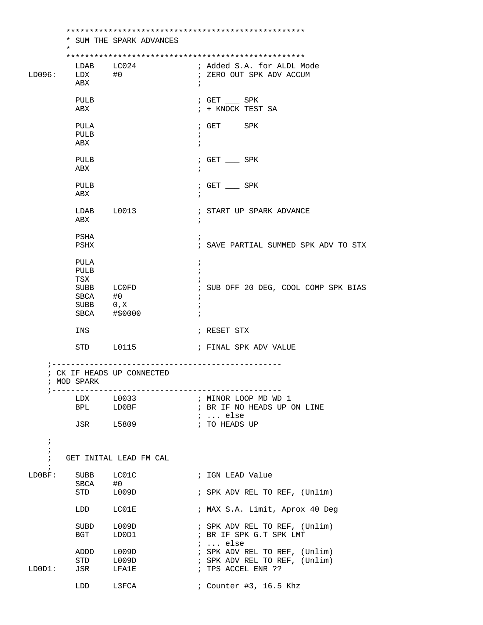|                                        | *                                           | * SUM THE SPARK ADVANCES                            |                                                                                      |
|----------------------------------------|---------------------------------------------|-----------------------------------------------------|--------------------------------------------------------------------------------------|
| LD096:                                 | LDAB<br>$LDX$ #0<br>ABX                     | LC024                                               | ; Added S.A. for ALDL Mode<br>; ZERO OUT SPK ADV ACCUM<br>i.                         |
|                                        | PULB<br>ABX                                 |                                                     | $\frac{1}{2}$ GET _____ SPK<br>; + KNOCK TEST SA                                     |
|                                        | PULA<br>PULB<br>ABX                         |                                                     | $\frac{1}{1}$ GET $\frac{1}{1}$ SPK<br>$\ddot{ }$<br>$\ddot{i}$                      |
|                                        | PULB<br>ABX                                 |                                                     | $;$ GET $\_\_$ SPK                                                                   |
|                                        | PULB<br>ABX                                 |                                                     | $:$ GET $\_\_\_$ SPK                                                                 |
|                                        | ABX                                         | LDAB L0013                                          | ; START UP SPARK ADVANCE<br>$\ddot{i}$                                               |
|                                        | PSHA<br>PSHX                                |                                                     | ; SAVE PARTIAL SUMMED SPK ADV TO STX                                                 |
|                                        | PULA<br>PULB<br>TSX<br>SBCA #0<br>SUBB 0, X | SUBB LCOFD<br>SBCA #\$0000                          | $\ddot{i}$<br>; SUB OFF 20 DEG, COOL COMP SPK BIAS<br>Ť<br>$\ddot{i}$                |
|                                        | INS                                         |                                                     | ; RESET STX                                                                          |
|                                        | STD                                         | L0115                                               | ; FINAL SPK ADV VALUE                                                                |
|                                        | ; MOD SPARK<br>; -------------              | ; CK IF HEADS UP CONNECTED<br>--------------------- |                                                                                      |
|                                        |                                             | LDX L0033<br>BPL LDOBF<br>JSR L5809                 | ; MINOR LOOP MD WD 1<br>; BR IF NO HEADS UP ON LINE<br>$i$ else<br>; TO HEADS UP     |
| $\ddot{i}$<br>$\ddot{i}$<br>$\ddot{i}$ |                                             | GET INITAL LEAD FM CAL                              |                                                                                      |
| $\ddot{i}$<br>LD0BF:                   | SBCA<br>STD                                 | SUBB LC01C<br>#0<br>L009D                           | ; IGN LEAD Value<br>; SPK ADV REL TO REF, (Unlim)                                    |
|                                        | LDD                                         | LC01E                                               | ; MAX S.A. Limit, Aprox 40 Deg                                                       |
|                                        | SUBD<br>BGT                                 | L009D<br>LD0D1                                      | ; SPK ADV REL TO REF, (Unlim)<br>; BR IF SPK G.T SPK LMT<br>$i \ldots$ else          |
| LDOD1:                                 | ADDD<br>STD<br>JSR                          | ${\tt LOO9D}$<br>${\tt LOO9D}$<br>LFA1E             | ; SPK ADV REL TO REF, (Unlim)<br>; SPK ADV REL TO REF, (Unlim)<br>; TPS ACCEL ENR ?? |
|                                        | LDD                                         | L3FCA                                               | ; Counter #3, 16.5 Khz                                                               |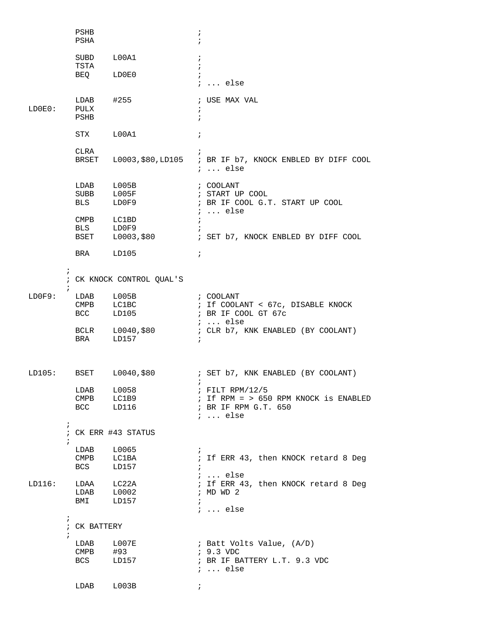|        |            | PSHB<br>PSHA                                              |                                           | $\ddot{ }$<br>$\ddot{i}$ |                                                                                                         |  |  |
|--------|------------|-----------------------------------------------------------|-------------------------------------------|--------------------------|---------------------------------------------------------------------------------------------------------|--|--|
|        |            | SUBD<br>TSTA                                              | L00A1                                     | $\ddot{i}$<br>$\ddot{i}$ |                                                                                                         |  |  |
|        |            | BEQ LDOEO                                                 |                                           | $\ddot{i}$               | $i$ else                                                                                                |  |  |
| LD0E0: |            | $LDAB$ $\#255$<br>PULX<br>PSHB                            |                                           | $\ddot{ }$<br>$\ddot{i}$ | ; USE MAX VAL                                                                                           |  |  |
|        |            | STX L00A1                                                 |                                           | $\ddot{i}$               |                                                                                                         |  |  |
|        |            | CLRA                                                      |                                           |                          | BRSET L0003, \$80, LD105 ; BR IF b7, KNOCK ENBLED BY DIFF COOL<br>$i \ldots$ else                       |  |  |
|        |            | LDAB L005B<br>CMPB LC1BD<br>BLS LD0F9                     | SUBB L005F<br>BLS LD0F9                   | $\ddot{i}$<br>$\cdot$    | ; COOLANT<br>; START UP COOL<br>; BR IF COOL G.T. START UP COOL<br>$i \ldots$ else                      |  |  |
|        |            |                                                           | BSET L0003,\$80                           |                          | ; SET b7, KNOCK ENBLED BY DIFF COOL                                                                     |  |  |
|        |            | BRA LD105                                                 |                                           | $\ddot{i}$               |                                                                                                         |  |  |
|        | $\ddot{i}$ |                                                           | ; CK KNOCK CONTROL QUAL'S                 |                          |                                                                                                         |  |  |
| LD0F9: |            | LDAB L005B                                                | CMPB LC1BC<br>BCC LD105                   |                          | ; COOLANT<br>; If COOLANT < 67c, DISABLE KNOCK<br>; BR IF COOL GT 67c                                   |  |  |
|        |            |                                                           | BCLR L0040,\$80<br>BRA LD157              | $\ddot{i}$               | $i \ldots$ else<br>; CLR b7, KNK ENABLED (BY COOLANT)                                                   |  |  |
|        |            |                                                           |                                           |                          | LD105: BSET L0040, \$80 (BET b7, KNK ENABLED (BY COOLANT)                                               |  |  |
|        |            |                                                           | $LDAB$ $L0058$<br>CMPB LC1B9<br>BCC LD116 |                          | $:$ FILT RPM/12/5<br>$:$ If RPM = > 650 RPM KNOCK is ENABLED<br>; BR IF RPM G.T. 650<br>$i \ldots$ else |  |  |
|        | $\ddot{ }$ | ; CK ERR #43 STATUS                                       |                                           |                          |                                                                                                         |  |  |
|        | ÷.         | LDAB L0065<br>$\footnotesize{\mathsf{CMPB}}$<br>BCS       | LC1BA<br>LD157                            | $\ddot{i}$<br>$\ddot{i}$ | ; If ERR 43, then KNOCK retard 8 Deg<br>$i \ldots$ else                                                 |  |  |
| LD116: |            | LDAA LC22A<br>LDAB L0002<br>BMI                           | LD157                                     | $\ddot{i}$               | ; If ERR 43, then KNOCK retard 8 Deg<br>: MDWD2<br>$i \ldots$ else                                      |  |  |
|        | $\ddot{i}$ | ; CK BATTERY                                              |                                           |                          |                                                                                                         |  |  |
|        | $\ddot{i}$ | LDAB L007E<br>$\footnotesize{\mathsf{CMPB}}$<br>BCS LD157 | #93                                       |                          | ; Batt Volts Value, (A/D)<br>$: 9.3$ VDC<br>; BR IF BATTERY L.T. 9.3 VDC<br>$i$ else                    |  |  |
|        |            | LDAB                                                      | L003B                                     | $\ddot{i}$               |                                                                                                         |  |  |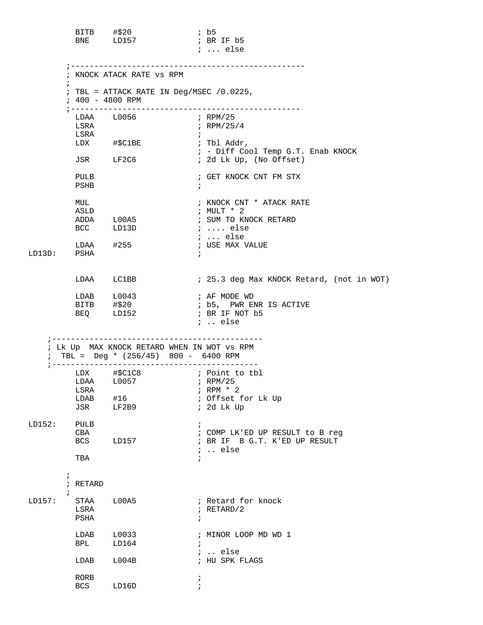|        |                        | BITB #\$20<br>BNE LD157                                           | $\cdot$ b5<br>; BR IF b5                                      |
|--------|------------------------|-------------------------------------------------------------------|---------------------------------------------------------------|
|        |                        |                                                                   | $i \ldots$ else                                               |
|        |                        | ; KNOCK ATACK RATE VS RPM                                         |                                                               |
|        |                        | ; TBL = ATTACK RATE IN Deg/MSEC $/0.0225$ ,<br>$: 400 - 4800$ RPM |                                                               |
|        |                        | LDAA L0056                                                        | $\mu$ RPM/25                                                  |
|        | LSRA<br>LSRA           |                                                                   | $i$ RPM/25/4                                                  |
|        |                        | LDX #\$C1BE                                                       | $\ddot{i}$<br>; Tbl Addr,                                     |
|        |                        | JSR LF2C6                                                         | ; - Diff Cool Temp G.T. Enab KNOCK<br>; 2d Lk Up, (No Offset) |
|        |                        |                                                                   |                                                               |
|        | PULB<br>PSHB           |                                                                   | ; GET KNOCK CNT FM STX<br>$\ddot{i}$                          |
|        | MUL                    |                                                                   | ; KNOCK CNT * ATACK RATE                                      |
|        | ASLD                   |                                                                   | ; MULT * 2                                                    |
|        |                        | ADDA L00A5<br>BCC LD13D                                           | ; SUM TO KNOCK RETARD<br>; $\dots$ else                       |
|        |                        |                                                                   | $i \ldots$ else                                               |
|        |                        | $LDAA$ #255                                                       | ; USE MAX VALUE                                               |
| LD13D: | PSHA                   |                                                                   | $\ddot{i}$                                                    |
|        |                        | LDAA LC1BB                                                        | ; 25.3 deg Max KNOCK Retard, (not in WOT)                     |
|        |                        | LDAB L0043                                                        | ; AF MODE WD                                                  |
|        |                        |                                                                   |                                                               |
|        |                        | BEQ LD152                                                         | ; BR IF NOT b5<br>$i$ else                                    |
|        |                        | ; Lk Up MAX KNOCK RETARD WHEN IN WOT VS RPM                       |                                                               |
|        |                        | TBL = Deg * $(256/45)$ 800 - 6400 RPM                             |                                                               |
|        |                        |                                                                   |                                                               |
|        |                        |                                                                   |                                                               |
|        | LSRA<br>LDAB           | #16                                                               | ; RPM $*$ 2<br>; Offset for Lk Up                             |
|        | JSR                    | LF2B9                                                             | ; 2d Lk Up                                                    |
| LD152: | PULB                   |                                                                   | $\ddot{i}$                                                    |
|        | CBA                    |                                                                   | ; COMP LK'ED UP RESULT to B reg                               |
|        | BCS                    | LD157                                                             | ; BR IF B G.T. K'ED UP RESULT<br>$:$ else                     |
|        | TBA                    |                                                                   | $\ddot{i}$                                                    |
|        | $\ddot{ }$<br>; RETARD |                                                                   |                                                               |
|        | $\mathbf{r}$           |                                                                   |                                                               |
| LD157: | STAA<br>LSRA           | L00A5                                                             | ; Retard for knock<br>$i$ RETARD/2                            |
|        | PSHA                   |                                                                   | $\ddot{i}$                                                    |
|        | LDAB                   | L0033                                                             | ; MINOR LOOP MD WD 1                                          |
|        | BPL                    | LD164                                                             | $\mathcal{L}$                                                 |
|        | LDAB                   | L004B                                                             | $:$ else<br>; HU SPK FLAGS                                    |
|        |                        |                                                                   |                                                               |
|        | RORB<br>BCS            | LD16D                                                             | i.                                                            |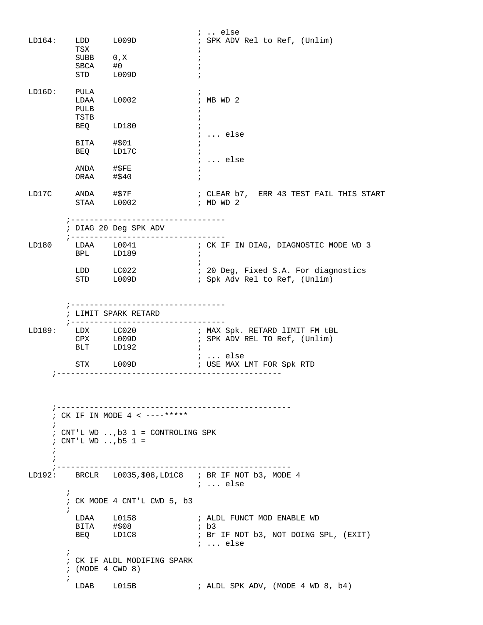| LD164:          | TSX                                                                                                                               | LDD L009D                                                             | $i$ else<br>; SPK ADV Rel to Ref, (Unlim)                                                               |  |  |  |  |
|-----------------|-----------------------------------------------------------------------------------------------------------------------------------|-----------------------------------------------------------------------|---------------------------------------------------------------------------------------------------------|--|--|--|--|
|                 | $\begin{tabular}{ll} \multicolumn{2}{l}{{\bf SUBB}} & 0 \thinspace , {\tt X} \\ {\bf SBCA} & \tt{\#0} \end{tabular}$<br>STD L009D |                                                                       | $\ddot{ }$                                                                                              |  |  |  |  |
| LD16D:          | PULA<br>$LDAA$ $L0002$<br>PULB<br>TSTB                                                                                            |                                                                       | $;$ MB WD $2$                                                                                           |  |  |  |  |
|                 | BEQ LD180<br>BITA #\$01<br>BEQ LD17C                                                                                              |                                                                       | $i \ldots$ else<br>$\ddot{i}$<br>$\ldots$ else                                                          |  |  |  |  |
|                 | ANDA #\$FE<br>ORAA #\$40                                                                                                          |                                                                       | $\ddot{i}$                                                                                              |  |  |  |  |
| LD17C           | STAA L0002                                                                                                                        | ANDA #\$7F                                                            | ; CLEAR b7, ERR 43 TEST FAIL THIS START<br>$\frac{1}{2}$ MD WD 2                                        |  |  |  |  |
|                 |                                                                                                                                   | ;----------------------------------<br>; DIAG 20 Deg SPK ADV          |                                                                                                         |  |  |  |  |
| LD180           | BPL LD189                                                                                                                         |                                                                       | $\cdot$ ;                                                                                               |  |  |  |  |
|                 |                                                                                                                                   | LDD LC022<br>STD L009D                                                | ; 20 Deg, Fixed S.A. For diagnostics<br>; Spk Adv Rel to Ref, (Unlim)                                   |  |  |  |  |
|                 |                                                                                                                                   | LIMIT SPARK RETARD                                                    |                                                                                                         |  |  |  |  |
|                 | ; ----------------<br>BLT LD192                                                                                                   | --------------                                                        | LD189: LDX LC020 : MAX Spk. RETARD 1IMIT FM tBL<br>CPX L009D : SPK ADV REL TO Ref, (Unlim)<br>$\cdot$ : |  |  |  |  |
|                 |                                                                                                                                   |                                                                       | ;  else<br>STX L009D $\overline{\hspace{1cm}}$ ; USE MAX LMT FOR Spk RTD                                |  |  |  |  |
| $\ddot{i}$<br>i | ; CNT'L WD , b5 $1 =$                                                                                                             | ; CK IF IN MODE 4 < ----*****<br>; CNT'L WD , b3 $1 =$ CONTROLING SPK | ---------------                                                                                         |  |  |  |  |
| LD192:          | $\mathbf{i}$                                                                                                                      |                                                                       | BRCLR L0035, \$08, LD1C8 ; BR IF NOT b3, MODE 4<br>;  else                                              |  |  |  |  |
|                 | ; CK MODE 4 CNT'L CWD 5, b3                                                                                                       |                                                                       |                                                                                                         |  |  |  |  |
|                 | LDAA L0158<br>BITA<br>BEQ LD1C8                                                                                                   | #\$08                                                                 | ; ALDL FUNCT MOD ENABLE WD<br>; b3<br>; Br IF NOT b3, NOT DOING SPL, (EXIT)<br>$i$ else                 |  |  |  |  |
| $\ddot{i}$      | : (MODE 4 CWD 8)                                                                                                                  | ; CK IF ALDL MODIFING SPARK                                           |                                                                                                         |  |  |  |  |
| $\mathcal{L}$   | LDAB L015B                                                                                                                        |                                                                       | ; ALDL SPK ADV, (MODE 4 WD 8, b4)                                                                       |  |  |  |  |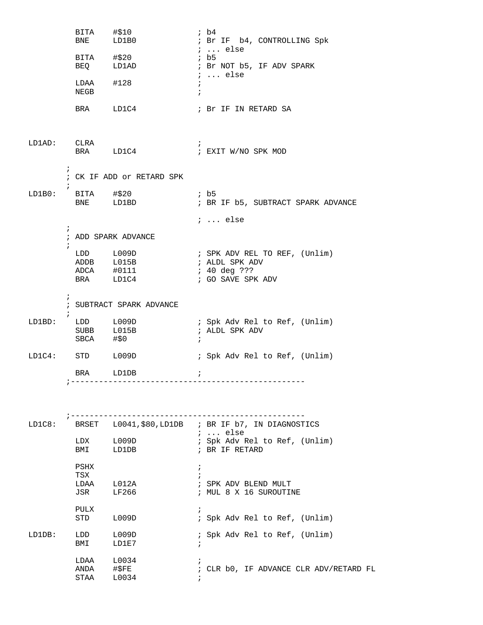|             | BITA #\$10<br><b>BNE</b>   | LD1B0                                              | ib4<br>; Br IF b4, CONTROLLING Spk                                                   |
|-------------|----------------------------|----------------------------------------------------|--------------------------------------------------------------------------------------|
|             |                            | BITA #\$20<br>BEQ LD1AD                            | $i \ldots$ else<br>; b5<br>; Br NOT b5, IF ADV SPARK                                 |
|             | NEGB                       | $LDAA$ #128                                        | $i \ldots$ else<br>$\ddot{i}$<br>$\ddot{i}$                                          |
|             |                            | BRA LD1C4                                          | ; Br IF IN RETARD SA                                                                 |
| LD1AD: CLRA |                            | BRA LD1C4                                          | $\ddot{ }$<br>; EXIT W/NO SPK MOD                                                    |
|             | $\ddot{i}$                 | ; CK IF ADD or RETARD SPK                          |                                                                                      |
| LD1B0:      | BITA #\$20                 | BNE LD1BD                                          | $\cdot$ b5<br>; BR IF b5, SUBTRACT SPARK ADVANCE                                     |
|             |                            |                                                    | $i$ else                                                                             |
|             | $\ddot{ }$<br>$\mathbf{i}$ | ; ADD SPARK ADVANCE                                |                                                                                      |
|             |                            | LDD L009D<br>ADDB L015B<br>ADCA #0111<br>BRA LD1C4 | ; SPK ADV REL TO REF, (Unlim)<br>; ALDL SPK ADV<br>; 40 deg ???<br>; GO SAVE SPK ADV |
|             | $\ddot{i}$                 | ; SUBTRACT SPARK ADVANCE                           |                                                                                      |
| LD1BD:      | $\ddot{ }$<br>SBCA #\$0    | LDD L009D<br>SUBB L015B                            | ; Spk Adv Rel to Ref, (Unlim)<br>; ALDL SPK ADV<br>$\ddot{i}$                        |
|             | $LD1C4:$ STD $L009D$       |                                                    | ; Spk Adv Rel to Ref, (Unlim)                                                        |
|             |                            | BRA LD1DB                                          | $\ddot{i}$                                                                           |
|             |                            |                                                    |                                                                                      |
| LD1C8:      |                            |                                                    | BRSET L0041, \$80, LD1DB ; BR IF b7, IN DIAGNOSTICS                                  |
|             | LDX<br>BMI                 | L009D<br>LD1DB                                     | $i \ldots$ else<br>; Spk Adv Rel to Ref, (Unlim)<br>; BR IF RETARD                   |
|             | PSHX<br>TSX<br>LDAA<br>JSR | L012A<br>LF266                                     | $\ddot{ }$<br>; SPK ADV BLEND MULT<br>; MUL 8 X 16 SUROUTINE                         |
|             | PULX<br>STD                | L009D                                              | $\ddot{i}$<br>; Spk Adv Rel to Ref, (Unlim)                                          |
| LD1DB:      | LDD<br>BMI                 | L009D<br>LD1E7                                     | ; Spk Adv Rel to Ref, (Unlim)<br>$\ddot{ }$                                          |
|             | LDAA<br>ANDA<br>STAA       | L0034<br>#\$FE<br>L0034                            | ; CLR b0, IF ADVANCE CLR ADV/RETARD FL                                               |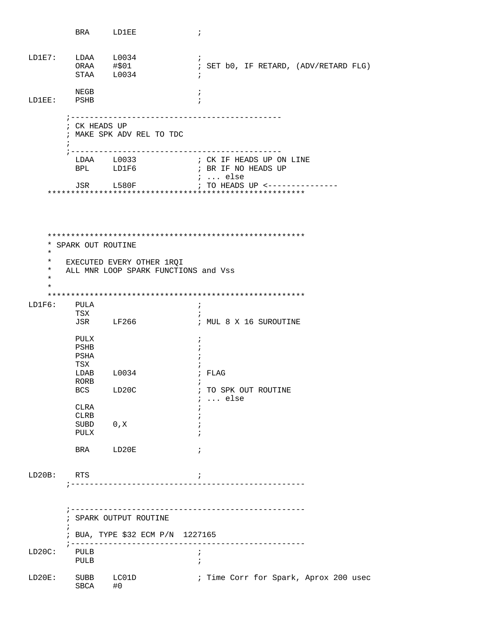|                                 | BRA LD1EE                                                |                                                                   | $\ddot{i}$                                                        |  |  |
|---------------------------------|----------------------------------------------------------|-------------------------------------------------------------------|-------------------------------------------------------------------|--|--|
| LD1E7: LDAA L0034<br>ORAA #\$01 | STAA L0034                                               |                                                                   | $\ddot{i}$<br>; SET b0, IF RETARD, (ADV/RETARD FLG)<br>$\ddot{i}$ |  |  |
| LD1EE:                          | NEGB<br>PSHB                                             |                                                                   | $\ddot{i}$                                                        |  |  |
| ÷                               | ; -----------<br>; CK HEADS UP                           | ; MAKE SPK ADV REL TO TDC                                         |                                                                   |  |  |
|                                 | ; -------                                                | BPL LD1F6                                                         | ----------------------<br>; BR IF NO HEADS UP<br>;  else          |  |  |
|                                 |                                                          | JSR L580F                                                         | ; TO HEADS UP <---------------                                    |  |  |
|                                 |                                                          |                                                                   |                                                                   |  |  |
|                                 |                                                          |                                                                   |                                                                   |  |  |
| $^\star$                        | * SPARK OUT ROUTINE                                      |                                                                   |                                                                   |  |  |
| $^\star$<br>*<br>$^\star$<br>*  |                                                          | EXECUTED EVERY OTHER 1ROI<br>ALL MNR LOOP SPARK FUNCTIONS and Vss |                                                                   |  |  |
|                                 |                                                          |                                                                   |                                                                   |  |  |
| LD1F6:                          | PULA<br>TSX                                              |                                                                   | $\ddot{i}$<br>$\ddot{i}$                                          |  |  |
|                                 |                                                          | JSR LF266                                                         | ; MUL 8 X 16 SUROUTINE                                            |  |  |
|                                 | PULX<br>PSHB<br>PSHA<br>TSX                              |                                                                   | $\ddot{ }$                                                        |  |  |
|                                 | LDAB L0034                                               |                                                                   | ; FLAG                                                            |  |  |
|                                 | RORB<br>BCS                                              | LD20C                                                             | i.<br>; TO SPK OUT ROUTINE<br>$i \ldots$ else                     |  |  |
|                                 | CLRA<br>CLRB                                             |                                                                   |                                                                   |  |  |
|                                 | SUBD<br>PULX                                             | 0, X                                                              |                                                                   |  |  |
|                                 | <b>BRA</b>                                               | LD20E                                                             | $\cdot$                                                           |  |  |
| LD20B:                          | RTS                                                      |                                                                   | $\ddot{i}$                                                        |  |  |
|                                 |                                                          |                                                                   |                                                                   |  |  |
|                                 | $\, \, \, \, \, - - - - - - -$<br>; SPARK OUTPUT ROUTINE |                                                                   |                                                                   |  |  |
| i                               |                                                          | ; BUA, TYPE \$32 ECM P/N 1227165                                  |                                                                   |  |  |
| LD20C:                          | PULB<br>PULB                                             |                                                                   | $\ddot{ }$<br>ï                                                   |  |  |
| LD20E:                          | SUBB<br>SBCA                                             | LC01D<br>#0                                                       | ; Time Corr for Spark, Aprox 200 usec                             |  |  |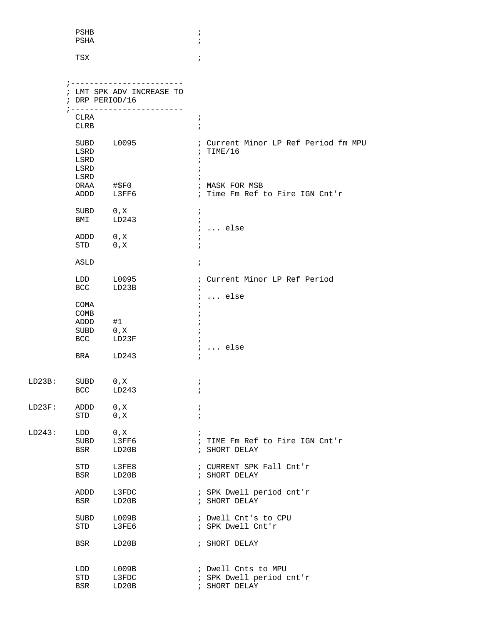|        | PSHB<br>PSHA                                           |                                                       | $\ddot{i}$<br>$\mathbf{r}$                                                    |  |
|--------|--------------------------------------------------------|-------------------------------------------------------|-------------------------------------------------------------------------------|--|
|        | TSX                                                    |                                                       | $\ddot{ }$                                                                    |  |
|        | ; DRP PERIOD/16                                        | ; ------------------------<br>LMT SPK ADV INCREASE TO |                                                                               |  |
|        | CLRA<br>CLRB                                           |                                                       | $\ddot{ }$<br>$\mathbf{r}$                                                    |  |
|        | LSRD<br>LSRD<br>LSRD<br>LSRD                           | SUBD L0095                                            | ; Current Minor LP Ref Period fm MPU<br>: TIME/16<br>$\ddot{i}$<br>$\ddot{i}$ |  |
|        | ADDD                                                   | ORAA #\$F0<br>L3FF6                                   | ; MASK FOR MSB<br>; Time Fm Ref to Fire IGN Cnt'r                             |  |
|        | SUBD 0, X<br>BMI                                       | LD243                                                 | $\ddot{ }$<br>$\ddot{i}$<br>$i$ else                                          |  |
|        | ADDD 0, X<br>STD                                       | 0, X                                                  | $\ddot{ }$<br>$\ddot{ }$                                                      |  |
|        | ASLD                                                   |                                                       | $\ddot{i}$                                                                    |  |
|        | LDD<br><b>BCC</b>                                      | L0095<br>LD23B                                        | ; Current Minor LP Ref Period<br>$\ddot{i}$<br>$i \ldots$ else                |  |
|        | COMA<br>COMB<br>ADDD<br>SUBD 0, X<br><b>BCC</b><br>BRA | #1<br>LD23F<br>LD243                                  | $i \ldots$ else                                                               |  |
| LD23B: | SUBD<br><b>BCC</b>                                     | 0, X<br>LD243                                         | $\cdot$<br>$\ddot{i}$                                                         |  |
| LD23F: | ADDD<br>STD                                            | 0, x<br>0, X                                          | $\ddot{ }$<br>$\ddot{i}$                                                      |  |
| LD243: | LDD<br>SUBD<br>BSR                                     | 0, X<br>L3FF6<br>LD20B                                | ÷<br>; TIME Fm Ref to Fire IGN Cnt'r<br>; SHORT DELAY                         |  |
|        | STD<br>BSR                                             | L3FE8<br>LD20B                                        | ; CURRENT SPK Fall Cnt'r<br>; SHORT DELAY                                     |  |
|        | ADDD<br>BSR                                            | L3FDC<br>LD20B                                        | ; SPK Dwell period cnt'r<br>; SHORT DELAY                                     |  |
|        | SUBD<br>STD                                            | L009B<br>L3FE6                                        | ; Dwell Cnt's to CPU<br>; SPK Dwell Cnt'r                                     |  |
|        | BSR                                                    | LD20B                                                 | ; SHORT DELAY                                                                 |  |
|        | LDD<br>STD<br>BSR                                      | L009B<br>L3FDC<br>LD20B                               | ; Dwell Cnts to MPU<br>; SPK Dwell period cnt'r<br>; SHORT DELAY              |  |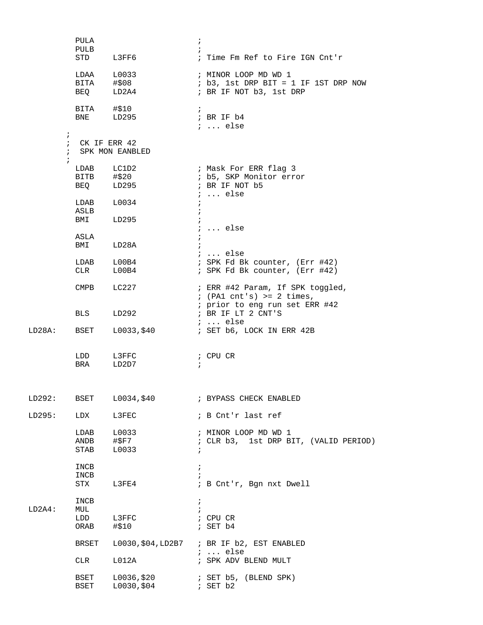|        | PULA               |                         | $\ddot{ }$                                 |  |
|--------|--------------------|-------------------------|--------------------------------------------|--|
|        | PULB               |                         |                                            |  |
|        |                    | STD L3FF6               | ; Time Fm Ref to Fire IGN Cnt'r            |  |
|        |                    | LDAA L0033              | ; MINOR LOOP MD WD 1                       |  |
|        |                    | BITA #\$08<br>BEQ LD2A4 | $: b3, 1st DRP BIT = 1 IF IST DRP Now$     |  |
|        |                    |                         | ; BR IF NOT b3, 1st DRP                    |  |
|        |                    | BITA #\$10<br>BNE LD295 | $\ddot{i}$                                 |  |
|        |                    |                         | ; BR IF b4<br>$i \ldots$ else              |  |
|        | $\ddot{ }$         |                         |                                            |  |
|        | ; $CK$ IF ERR $42$ |                         |                                            |  |
|        |                    | ; SPK MON EANBLED       |                                            |  |
|        |                    | LDAB LC1D2              | ; Mask For ERR flag 3                      |  |
|        |                    | BITB #\$20              | ; b5, SKP Monitor error                    |  |
|        |                    | BEQ LD295               | ; BR IF NOT b5                             |  |
|        |                    | $LDAB$ $L0034$          | $i \ldots$ else                            |  |
|        | ASLB               |                         |                                            |  |
|        |                    | BMI LD295               |                                            |  |
|        |                    |                         | $i \ldots$ else                            |  |
|        | ASLA<br>BMI        | LD28A                   | $\ddot{i}$                                 |  |
|        |                    |                         | $\ldots$ else                              |  |
|        |                    | $LDAB$ $L00B4$          | ; SPK Fd Bk counter, (Err #42)             |  |
|        | <b>CLR</b>         | L00B4                   | ; SPK Fd Bk counter, (Err #42)             |  |
|        | CMPB               | LC227                   | ; ERR #42 Param, If SPK toggled,           |  |
|        |                    |                         | $;$ (PA1 cnt's) >= 2 times,                |  |
|        |                    |                         | ; prior to eng run set ERR #42             |  |
|        | <b>BLS</b>         | LD292                   | ; BR IF LT 2 CNT'S<br>;  else              |  |
| LD28A: | BSET               |                         |                                            |  |
|        |                    |                         |                                            |  |
|        |                    | LDD L3FFC               | ; CPU CR                                   |  |
|        |                    | BRA LD2D7               | $\ddot{i}$                                 |  |
|        |                    |                         |                                            |  |
|        |                    |                         |                                            |  |
| LD292: |                    |                         |                                            |  |
| LD295: | LDX                | L3FEC                   | ; B Cnt'r last ref                         |  |
|        |                    | LDAB L0033              | ; MINOR LOOP MD WD 1                       |  |
|        |                    | ANDB #\$F7              | ; CLR b3, 1st DRP BIT, (VALID PERIOD)      |  |
|        | <b>STAB</b>        | L0033                   | $\ddot{ }$                                 |  |
|        | INCB               |                         | $\ddot{ }$                                 |  |
|        | INCB               |                         |                                            |  |
|        |                    | STX L3FE4               | ; B Cnt'r, Bgn nxt Dwell                   |  |
|        | INCB               |                         | $\ddot{ }$                                 |  |
| LD2A4: | MUL                |                         | $\ddot{i}$                                 |  |
|        |                    | LDD L3FFC<br>ORAB #\$10 | ; CPU CR<br>; SET b4                       |  |
|        |                    |                         |                                            |  |
|        | BRSET              |                         | L0030, \$04, LD2B7 ; BR IF b2, EST ENABLED |  |
|        |                    |                         | $i \ldots$ else                            |  |
|        | CLR                | L012A                   | ; SPK ADV BLEND MULT                       |  |
|        | <b>BSET</b>        | L0036,\$20              | ; SET b5, (BLEND SPK)                      |  |
|        | BSET               | L0030,\$04              | ; SET b2                                   |  |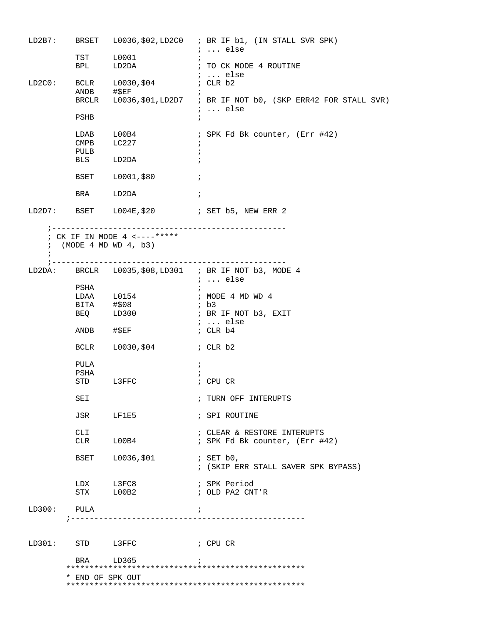| LD2B7:           |                           |                              |                          | BRSET L0036, \$02, LD2C0 ; BR IF b1, (IN STALL SVR SPK)<br>;  else |
|------------------|---------------------------|------------------------------|--------------------------|--------------------------------------------------------------------|
|                  | TST                       | L0001                        | $\ddot{i}$               |                                                                    |
|                  | <b>BPL</b>                | LD2DA                        |                          | ; TO CK MODE 4 ROUTINE<br>;  else                                  |
| LD2C0:           | <b>BCLR</b><br>ANDB #\$EF | L0030,\$04                   |                          | ; CLR b2                                                           |
|                  | BRCLR                     |                              |                          | L0036, \$01, LD2D7 ; BR IF NOT b0, (SKP ERR42 FOR STALL SVR)       |
|                  | PSHB                      |                              | $\ddot{i}$               | ;  else                                                            |
|                  | LDAB                      | L00B4                        |                          | ; SPK Fd Bk counter, (Err #42)                                     |
|                  | CMPB                      | LC227                        | $\ddot{i}$               |                                                                    |
|                  | PULB<br><b>BLS</b>        | LD2DA                        | $\ddot{i}$<br>$\ddot{i}$ |                                                                    |
|                  |                           |                              |                          |                                                                    |
|                  |                           | BSET L0001,\$80              | $\ddot{i}$               |                                                                    |
|                  | <b>BRA</b>                | LD2DA                        | $\cdot$ ;                |                                                                    |
|                  |                           |                              |                          |                                                                    |
|                  |                           | ; CK IF IN MODE 4 <----***** |                          |                                                                    |
|                  |                           | $:$ (MODE 4 MD WD 4, b3)     |                          |                                                                    |
|                  |                           |                              |                          |                                                                    |
|                  |                           |                              |                          | LD2DA: BRCLR L0035, \$08, LD301 ; BR IF NOT b3, MODE 4             |
|                  | PSHA                      |                              | $\ddot{i}$               | <i>i</i> else                                                      |
|                  |                           | $LDAA$ $L0154$               |                          | ; MODE 4 MD WD 4                                                   |
|                  | BITA #\$08                |                              |                          | ; b3                                                               |
|                  | BEQ                       | LD300                        |                          | ; BR IF NOT b3, EXIT                                               |
|                  |                           |                              |                          | ;  else                                                            |
|                  | ANDB #\$EF                |                              |                          | ; CLR b4                                                           |
|                  | <b>BCLR</b>               | ; CLR b2<br>L0030,\$04       |                          |                                                                    |
|                  | PULA                      |                              | $\ddot{i}$               |                                                                    |
|                  | PSHA                      |                              |                          |                                                                    |
|                  | STD L3FFC                 |                              |                          | ; CPU CR                                                           |
|                  | SEI                       |                              |                          | ; TURN OFF INTERUPTS                                               |
|                  |                           | JSR LF1E5                    |                          | ; SPI ROUTINE                                                      |
|                  | CLI                       |                              |                          | ; CLEAR & RESTORE INTERUPTS                                        |
|                  |                           | CLR L00B4                    |                          | ; SPK Fd Bk counter, (Err #42)                                     |
|                  |                           | BSET L0036,\$01              |                          | $;$ SET $b0$ ,                                                     |
|                  |                           |                              |                          | ; (SKIP ERR STALL SAVER SPK BYPASS)                                |
|                  | LDX L3FC8                 |                              |                          | ; SPK Period                                                       |
|                  |                           | STX L00B2                    |                          | ; OLD PA2 CNT'R                                                    |
| LD300: PULA      |                           |                              | $\cdot$ ;                |                                                                    |
|                  |                           |                              |                          |                                                                    |
| LD301: STD L3FFC |                           |                              |                          | ; CPU CR                                                           |
|                  | <b>BRA</b>                | LD365                        |                          |                                                                    |
|                  |                           |                              |                          |                                                                    |
|                  | * END OF SPK OUT          |                              |                          |                                                                    |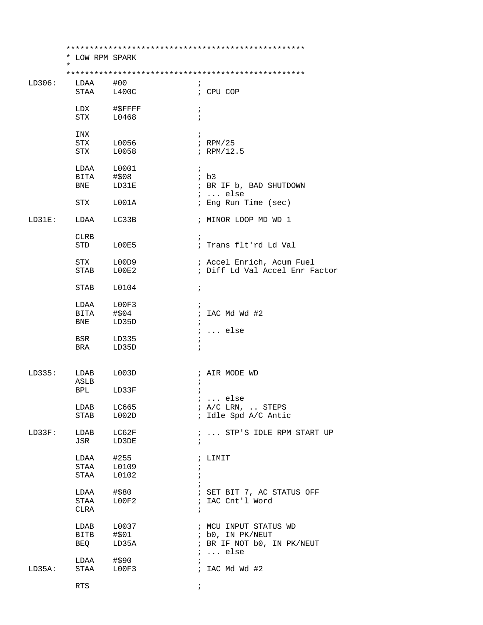|        | * LOW RPM SPARK            |                |            |                                            |
|--------|----------------------------|----------------|------------|--------------------------------------------|
|        | $\star$                    |                |            |                                            |
| LD306: | LDAA                       | #00            |            |                                            |
|        | STAA                       | L400C          | i.         | ; CPU COP                                  |
|        |                            |                |            |                                            |
|        |                            | LDX #\$FFFF    | $\ddot{i}$ |                                            |
|        | STX L0468                  |                | $\ddot{i}$ |                                            |
|        |                            |                |            |                                            |
|        | INX                        |                | $\ddot{i}$ |                                            |
|        | STX                        | L0056          |            | $i$ RPM/25                                 |
|        | STX                        | L0058          |            | $i$ RPM/12.5                               |
|        |                            |                |            |                                            |
|        | LDAA L0001                 |                | $\ddot{i}$ |                                            |
|        | BITA                       | #\$08<br>LD31E |            | ib3                                        |
|        | BNE                        |                |            | ; BR IF b, BAD SHUTDOWN<br>$i \ldots$ else |
|        | STX L001A                  |                |            | ; Eng Run Time (sec)                       |
|        |                            |                |            |                                            |
| LD31E: | LDAA LC33B                 |                |            | ; MINOR LOOP MD WD 1                       |
|        |                            |                |            |                                            |
|        | CLRB                       |                | $\ddot{i}$ |                                            |
|        | STD LOOE5                  |                |            | ; Trans flt'rd Ld Val                      |
|        |                            |                |            |                                            |
|        | STX L00D9                  |                |            | ; Accel Enrich, Acum Fuel                  |
|        | STAB                       | LOOE2          |            | ; Diff Ld Val Accel Enr Factor             |
|        |                            |                |            |                                            |
|        | STAB L0104                 |                | $\ddot{i}$ |                                            |
|        |                            |                |            |                                            |
|        | LDAA L00F3<br>BITA         | #\$04          | $\ddot{ }$ | ; IAC Md Wd #2                             |
|        | BNE                        | LD35D          | $\cdot$    |                                            |
|        |                            |                |            | $i \ldots$ else                            |
|        | BSR                        | LD335          | $\ddot{i}$ |                                            |
|        | BRA                        | LD35D          | $\ddot{i}$ |                                            |
|        |                            |                |            |                                            |
|        |                            |                |            |                                            |
| LD335: | LDAB L003D                 |                |            | ; AIR MODE WD                              |
|        | ASLB                       |                | ÷          |                                            |
|        | <b>BPL</b>                 | LD33F          |            |                                            |
|        |                            |                |            | else                                       |
|        | LDAB                       | LC665          |            | $;$ A/C LRN, $\ldots$ STEPS                |
|        | STAB                       | L002D          |            | ; Idle Spd A/C Antic                       |
|        |                            |                |            |                                            |
| LD33F: | LDAB                       | LC62F          | $\ddot{i}$ | ;  STP'S IDLE RPM START UP                 |
|        | JSR                        | LD3DE          |            |                                            |
|        | $LDAA$ #255                |                |            | ; LIMIT                                    |
|        | STAA L0109                 |                | $\ddot{ }$ |                                            |
|        | STAA                       | L0102          | $\ddot{i}$ |                                            |
|        |                            |                |            |                                            |
|        | LDAA                       | #\$80          |            | ; SET BIT 7, AC STATUS OFF                 |
|        | STAA                       | L00F2          |            | ; IAC Cnt'l Word                           |
|        | CLRA                       |                | $\ddot{ }$ |                                            |
|        |                            |                |            |                                            |
|        | LDAB                       | L0037          |            | ; MCU INPUT STATUS WD                      |
|        | BITB #\$01                 |                |            | ; b0, IN PK/NEUT                           |
|        | BEQ                        | LD35A          |            | ; BR IF NOT b0, IN PK/NEUT                 |
|        |                            |                |            | $i \ldots$ else                            |
|        | $LDAA$ #\$90<br>STAA LOOF3 |                | $\ddot{i}$ |                                            |
| LD35A: |                            |                |            | ; IAC Md Wd $#2$                           |
|        | RTS                        |                | $\ddot{i}$ |                                            |
|        |                            |                |            |                                            |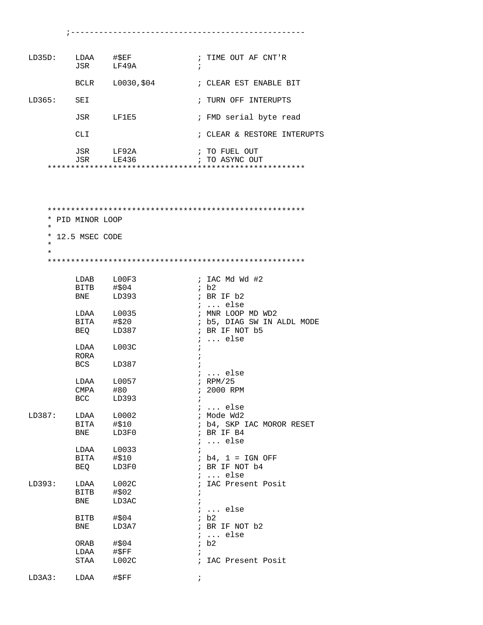| LD35D:              |                  | LDAA #\$EF             | ; TIME OUT AF CNT'R         |
|---------------------|------------------|------------------------|-----------------------------|
|                     |                  | JSR LF49A              | $\ddot{i}$                  |
|                     | BCLR             | L0030,\$04             | ; CLEAR EST ENABLE BIT      |
| LD365:              | SEI              |                        | ; TURN OFF INTERUPTS        |
|                     | JSR              | LF1E5                  | ; FMD serial byte read      |
|                     | CLI.             |                        | ; CLEAR & RESTORE INTERUPTS |
|                     |                  | JSR LF92A              | ; TO FUEL OUT               |
|                     | JSR              | LE436                  | ; TO ASYNC OUT              |
|                     |                  |                        |                             |
|                     |                  |                        |                             |
|                     |                  |                        |                             |
|                     |                  |                        |                             |
|                     |                  |                        |                             |
|                     | * PID MINOR LOOP |                        |                             |
| $^\star$            |                  |                        |                             |
|                     | * 12.5 MSEC CODE |                        |                             |
| $^\star$<br>$\star$ |                  |                        |                             |
|                     |                  |                        |                             |
|                     |                  |                        |                             |
|                     |                  | LDAB L00F3             | ; IAC Md Wd #2              |
|                     | BITB             | #\$04                  | ib2                         |
|                     | BNE              | LD393                  | ; BR IF b2                  |
|                     |                  |                        | $\ldots$ else               |
|                     |                  | LDAA L0035             | ; MNR LOOP MD WD2           |
|                     | BITA             | #\$20                  | ; b5, DIAG SW IN ALDL MODE  |
|                     | BEQ              | LD387                  | ; BR IF NOT b5              |
|                     |                  |                        | $i$ else                    |
|                     | LDAA<br>RORA     | L003C                  | i                           |
|                     | BCS              | LD387                  | Ť<br>$\ddot{i}$             |
|                     |                  |                        | $i$ else                    |
|                     | LDAA             | L0057                  | $;$ RPM/25                  |
|                     | CMPA             | #80                    | ; 2000 RPM                  |
|                     | <b>BCC</b>       | LD393                  | $\ddot{ }$                  |
|                     |                  |                        | $i \ldots$ else             |
| LD387:              | LDAA             | L0002                  | ; Mode Wd2                  |
|                     | BITA             | #\$10                  | ; b4, SKP IAC MOROR RESET   |
|                     | <b>BNE</b>       | LD3F0                  | ; BR IF B4                  |
|                     | LDAA             | L0033                  | $i \ldots$ else             |
|                     | BITA             | #\$10                  | $ib4, 1 = IGN OFF$          |
|                     | BEQ              | LD3F0                  | ; BR IF NOT b4              |
|                     |                  |                        | $i \ldots$ else             |
| LD393:              | LDAA             | L002C                  | ; IAC Present Posit         |
|                     | BITB             | #\$02                  | $\ddot{i}$                  |
|                     | BNE              | LD3AC                  | $\mathbf{i}$                |
|                     |                  |                        | $i \ldots$ else             |
|                     | BITB             | #\$04                  | ib2                         |
|                     | BNE              | LD3A7                  | ; BR IF NOT b2              |
|                     |                  |                        | $i \ldots$ else             |
|                     | ORAB<br>LDAA     | #\$04<br>$\sharp$ \$FF | ib2<br>$\ddot{i}$           |
|                     | STAA             | L002C                  | ; IAC Present Posit         |
|                     |                  |                        |                             |

 $LD3A3:$   $LDAA$   $\#SFF$  ;

;--------------------------------------------------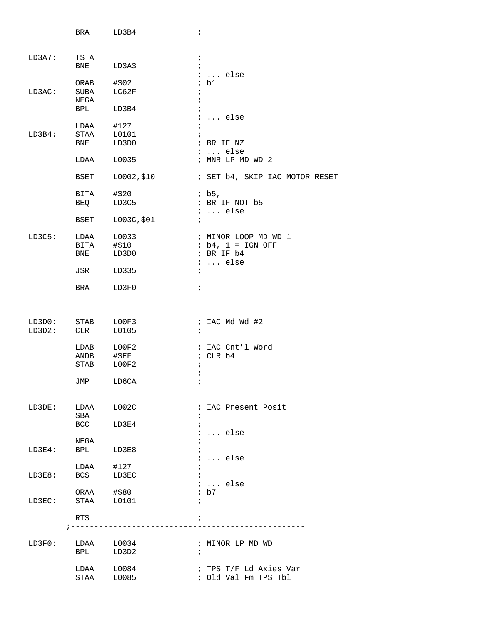|        | BRA LD3B4                |                  | $\ddot{i}$               |                                   |
|--------|--------------------------|------------------|--------------------------|-----------------------------------|
| LD3A7: | TSTA<br>BNE LD3A3        |                  | $\cdot$<br>$\cdot$       |                                   |
|        |                          |                  |                          | $i \ldots$ else                   |
|        | ORAB #\$02               |                  |                          | ; b1                              |
| LD3AC: | SUBA LC62F<br>NEGA       |                  | $\ddot{i}$<br>$\ddot{i}$ |                                   |
|        | BPL LD3B4                |                  | $\ddot{i}$               |                                   |
|        |                          |                  |                          | $i \ldots$ else                   |
| LD3B4: | $LDAA$ #127<br>STAA      | L0101            | $\ddot{i}$<br>$\ddot{i}$ |                                   |
|        | BNE                      | LD3D0            |                          | ; BR IF NZ                        |
|        |                          |                  |                          | $i \ldots$ else                   |
|        | LDAA L0035               |                  |                          | ; MNR LP MD WD 2                  |
|        | BSET                     | L0002,\$10       |                          | ; SET b4, SKIP IAC MOTOR RESET    |
|        | BITA #\$20               |                  |                          | $;$ b5,                           |
|        |                          | BEQ LD3C5        |                          | ; BR IF NOT b5<br>$i \ldots$ else |
|        |                          | BSET L003C, \$01 | $\ddot{i}$               |                                   |
| LD3C5: | LDAA L0033               |                  |                          | ; MINOR LOOP MD WD 1              |
|        |                          | BITA #\$10       |                          | ; b4, 1 = IGN OFF                 |
|        |                          | BNE LD3D0        |                          | ; BR IF b4<br>$i \ldots$ else     |
|        | JSR LD335                |                  | $\ddot{i}$               |                                   |
|        | BRA LD3F0                |                  | $\ddot{i}$               |                                   |
|        |                          |                  |                          |                                   |
| LD3D0: | STAB LOOF3               |                  |                          | ; IAC Md Wd #2                    |
| LD3D2: | CLR                      | L0105            | $\ddot{i}$               |                                   |
|        |                          |                  |                          | ; IAC Cnt'l Word                  |
|        | LDAB L00F2<br>ANDB #\$EF |                  |                          | ; CLR b4                          |
|        | STAB LOOF2               |                  | $\ddot{ }$<br>$\ddot{i}$ |                                   |
|        | JMP                      | LD6CA            |                          |                                   |
|        |                          |                  |                          |                                   |
| LD3DE: | LDAA L002C<br>SBA        |                  | $\ddot{ }$               | ; IAC Present Posit               |
|        | BCC LD3E4                |                  | $\ddot{i}$               |                                   |
|        |                          |                  |                          | $i \ldots$ else                   |
| LD3E4: | NEGA<br><b>BPL</b>       | LD3E8            | $\ddot{i}$               |                                   |
|        |                          |                  |                          | <i>;</i> else                     |
| LD3E8: | $LDAA$ #127<br>BCS       |                  | $\ddot{ }$               |                                   |
|        |                          | LD3EC            |                          | $i \ldots$ else                   |
|        | ORAA #\$80               |                  |                          | ; b7                              |
| LD3EC: | STAA L0101               |                  | $\ddot{i}$               |                                   |
|        | RTS                      |                  | $\ddot{i}$               |                                   |
|        | ; ----------             |                  |                          |                                   |
| LD3F0: | LDAA L0034               |                  |                          | ; MINOR LP MD WD                  |
|        | BPL LD3D2                |                  | $\ddot{i}$               |                                   |
|        | $LDAA$ $L0084$           |                  |                          | ; TPS T/F Ld Axies Var            |
|        | STAA L0085               |                  |                          | ; Old Val Fm TPS Tbl              |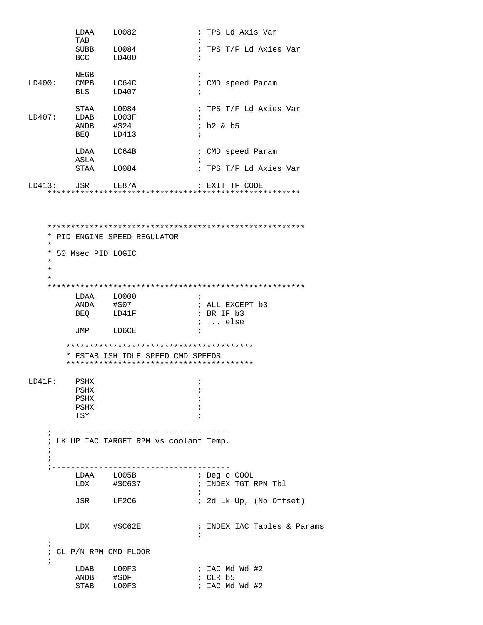|            | LDAA<br>TAB       | L0082                      | ; TPS Ld Axis Var<br>ï                  |
|------------|-------------------|----------------------------|-----------------------------------------|
|            | BCC               | SUBB L0084<br>LD400        | ; TPS T/F Ld Axies Var<br>i             |
|            |                   |                            |                                         |
|            | NEGB              |                            | $\ddot{i}$                              |
| LD400:     |                   | CMPB LC64C                 | CMD speed Param<br>$\ddot{i}$           |
|            | <b>BLS</b>        | LD407                      |                                         |
|            |                   |                            |                                         |
|            | STAA              | L0084                      | TPS T/F Ld Axies Var<br>$\ddot{i}$      |
| LD407:     | LDAB              | L003F                      | $\cdot$                                 |
|            | ANDB              | #\$24                      | $;$ b2 & b5                             |
|            | BEO               | LD413                      | $\cdot$                                 |
|            |                   | LDAA LC64B                 | ; CMD speed Param                       |
|            | ASLA              |                            |                                         |
|            | STAA              | L0084                      | ; TPS T/F Ld Axies Var                  |
|            |                   |                            |                                         |
|            | LD413: JSR        | LE87A                      | ; EXIT TF CODE                          |
|            |                   |                            |                                         |
|            |                   |                            |                                         |
|            |                   |                            |                                         |
|            |                   |                            |                                         |
|            |                   |                            |                                         |
| *          |                   | PID ENGINE SPEED REGULATOR |                                         |
| $\star$    |                   |                            |                                         |
| *          | 50 Msec PID LOGIC |                            |                                         |
| $\star$    |                   |                            |                                         |
| $\star$    |                   |                            |                                         |
| $\star$    |                   |                            |                                         |
|            |                   |                            |                                         |
|            |                   | LDAA L0000                 | $\ddot{i}$                              |
|            | ANDA #\$07        |                            | ; ALL EXCEPT b3                         |
|            | BEO               | LD41F                      | ; BR IF b3                              |
|            |                   |                            | $i$ else                                |
|            | JMP               | LD6CE                      | $\ddot{i}$                              |
|            |                   |                            |                                         |
|            |                   |                            |                                         |
|            |                   |                            | * ESTABLISH IDLE SPEED CMD SPEEDS       |
|            |                   |                            |                                         |
|            |                   |                            |                                         |
| $LD41F$ :  | PSHX              |                            | ï                                       |
|            | PSHX              |                            |                                         |
|            | PSHX<br>PSHX      |                            |                                         |
|            | TSY               |                            |                                         |
|            |                   |                            |                                         |
|            |                   |                            |                                         |
|            |                   |                            | ; LK UP IAC TARGET RPM vs coolant Temp. |
| $\ddot{i}$ |                   |                            |                                         |
| $\ddot{i}$ |                   |                            |                                         |
|            |                   |                            |                                         |
|            |                   | LDAA L005B                 | ; Deg c COOL                            |
|            |                   |                            | ; INDEX TGT RPM Tbl                     |
|            |                   |                            | $\ddot{i}$                              |
|            |                   | JSR LF2C6                  | ; 2d Lk Up, (No Offset)                 |
|            |                   |                            |                                         |
|            |                   |                            |                                         |
|            |                   | LDX #\$C62E                | ; INDEX IAC Tables & Params             |
|            |                   |                            | $\ddot{i}$                              |
| $\ddot{i}$ |                   |                            |                                         |
| $\ddot{i}$ |                   | CL P/N RPM CMD FLOOR       |                                         |
|            |                   |                            |                                         |
|            |                   | LDAB L00F3                 | ; IAC Md Wd #2                          |
|            | ANDB              | #\$DF                      | ; CLR b5                                |

STAB LOOF3 ; IAC Md Wd #2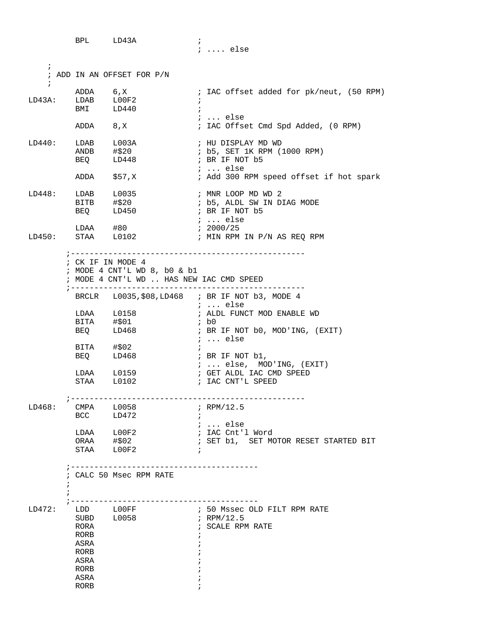BPL LD43A ; ; .... else ; ; ADD IN AN OFFSET FOR P/N ; ADDA 6,X ; IAC offset added for pk/neut, (50 RPM) LD43A: LDAB L00F2<br>BMI LD440  $LD440$  ; ; ... else ; IAC Offset Cmd Spd Added, (0 RPM) LD440: LDAB L003A ; HU DISPLAY MD WD<br>ANDB #\$20 ; b5, SET 1K RPM (1 ; b5, SET 1K RPM (1000 RPM) BEQ LD448 ; BR IF NOT b5 ; ... else ; Add 300 RPM speed offset if hot spark LD448: LDAB L0035 ; MNR LOOP MD WD 2 ; b5, ALDL SW IN DIAG MODE<br>; BR IF NOT b5 BEQ LD450 ; BR IF NOT b5 ; ... else<br>; 2000/25 LDAA #80 ; 2000/25 LD450: STAA L0102 ; MIN RPM IN P/N AS REQ RPM ;-------------------------------------------------- ; CK IF IN MODE 4 ; MODE 4 CNT'L WD 8, b0 & b1 ; MODE 4 CNT'L WD .. HAS NEW IAC CMD SPEED ;-------------------------------------------------- BRCLR L0035,\$08,LD468 ; BR IF NOT b3, MODE 4 ; ... else LDAA L0158 : ALDL FUNCT MOD ENABLE WD BITA #\$01 ; b0 BEQ LD468 ; BR IF NOT b0, MOD'ING, (EXIT) ; ... else BITA #\$02 ; BEQ LD468 ; BR IF NOT b1, ; ... else, MOD'ING, (EXIT) ; GET ALDL IAC CMD SPEED ; IAC CNT'L SPEED ;-------------------------------------------------- LD468: CMPA L0058 ; RPM/12.5 BCC LD472 ; ; ... else LDAA L00F2 ; IAC Cnt'l Word ORAA #\$02 **;** SET b1, SET MOTOR RESET STARTED BIT STAA L00F2 ; ;---------------------------------------- ; CALC 50 Msec RPM RATE  $\mathcal{L}^{\text{max}}$  $\mathcal{L}^{\text{max}}$  ;---------------------------------------- LD472: LDD L00FF ; 50 Mssec OLD FILT RPM RATE SUBD L0058 ; RPM/12.5 RORA ; SCALE RPM RATE

> RORB  $\qquad \qquad ;$  ASRA ; RORB  $\qquad \qquad ;$  ASRA ; RORB  $\qquad \qquad ;$  ASRA ; RORB  $\qquad \qquad ;$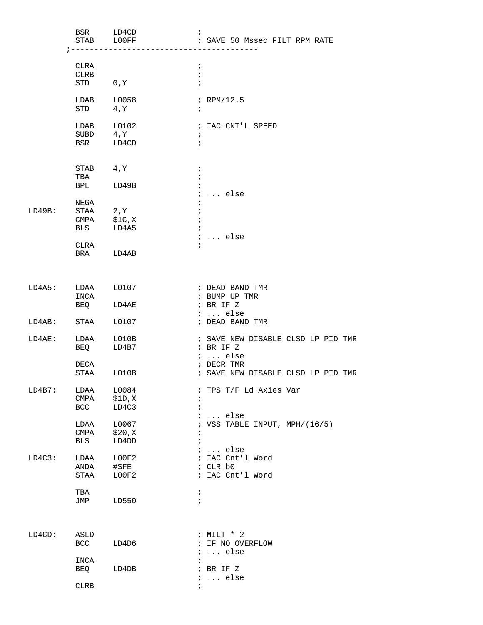|                   | BSR LD4CD<br>STAB LOOFF                       | ---------                | $\ddot{i}$                                           | ; SAVE 50 Mssec FILT RPM RATE                                       |
|-------------------|-----------------------------------------------|--------------------------|------------------------------------------------------|---------------------------------------------------------------------|
|                   | CLRA<br>CLRB<br>STD 0, Y                      |                          | $\ddot{i}$<br>$\cdot$<br>$\ddot{i}$                  |                                                                     |
|                   |                                               |                          |                                                      |                                                                     |
|                   | $LDAB$ $L0058$<br>STD 4, Y                    |                          | $\ddot{i}$                                           | ; $RPM/12.5$                                                        |
|                   | $LDAB$ $L0102$<br>SUBD<br>BSR LD4CD           | $4, \overline{Y}$        | $\cdot$<br>$\ddot{i}$                                | ; IAC CNT'L SPEED                                                   |
|                   | STAB 4, Y<br>TBA                              |                          | $\ddot{i}$<br>$\ddot{i}$                             |                                                                     |
|                   | BPL LD49B                                     |                          | $\ddot{ }$                                           | $i$ else                                                            |
| LD49B:            | NEGA<br>STAA 2, Y<br>CMPA \$1C,X<br>BLS LD4A5 |                          | $\ddot{ }$<br>$\ddot{i}$<br>$\ddot{i}$<br>$\ddot{i}$ |                                                                     |
|                   | CLRA<br>BRA LD4AB                             |                          | $\ddot{i}$                                           | $i$ else                                                            |
|                   |                                               |                          |                                                      |                                                                     |
| LD4A5: LDAA L0107 | INCA                                          |                          |                                                      | ; DEAD BAND TMR<br>; BUMP UP TMR<br>; BR IF Z                       |
| LD4AB: STAA L0107 | BEQ LD4AE                                     |                          |                                                      | $i \ldots$ else                                                     |
|                   |                                               |                          |                                                      | ; DEAD BAND TMR                                                     |
| LD4AE:            | LDAA L010B<br>BEQ LD4B7                       |                          |                                                      | ; SAVE NEW DISABLE CLSD LP PID TMR<br>; BR IF Z<br>$i \ldots$ else  |
|                   | DECA<br>STAA L010B                            |                          |                                                      | ; DECR TMR<br>; SAVE NEW DISABLE CLSD LP PID TMR                    |
| LD4B7:            | LDAA<br>CMPA<br><b>BCC</b>                    | L0084<br>\$1D,X<br>LD4C3 | $\ddot{ }$<br>$\ddot{i}$                             | ; TPS T/F Ld Axies Var                                              |
|                   | LDAA<br>CMPA<br>BLS                           | L0067<br>\$20,X<br>LD4DD | $\ddot{i}$<br>$\ddot{ }$                             | $i \ldots$ else<br>; VSS TABLE INPUT, MPH/ $(16/5)$                 |
| LD4C3:            | LDAA<br>ANDA<br>STAA                          | L00F2<br>#\$FE<br>L00F2  |                                                      | $i \ldots$ else<br>; IAC Cnt'l Word<br>; CLR b0<br>; IAC Cnt'l Word |
|                   | TBA<br>JMP                                    | LD550                    | $\ddot{i}$<br>$\ddot{i}$                             |                                                                     |
| $LD4CD$ :         | ASLD<br>BCC                                   | LD4D6                    |                                                      | ; MILT * 2<br>; IF NO OVERFLOW<br>$i \ldots$ else                   |
|                   | INCA<br>BEQ                                   | LD4DB                    | $\ddot{i}$                                           | ; BR IF Z<br>$i \ldots$ else                                        |
|                   | <b>CLRB</b>                                   |                          | $\ddot{i}$                                           |                                                                     |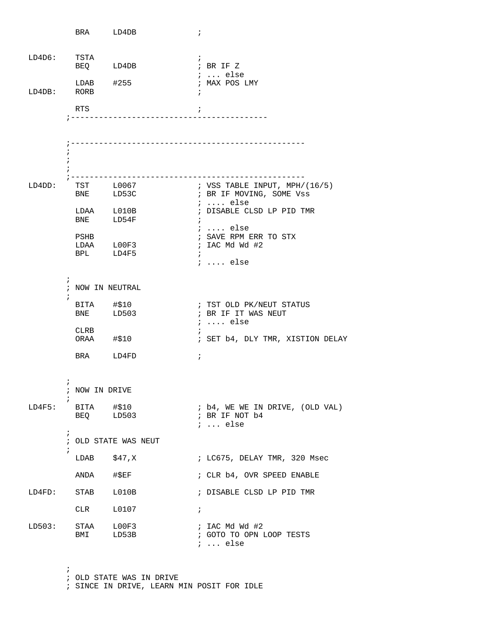|             |                            | BRA LD4DB                          |                             | $\ddot{ }$    |                                                                                 |
|-------------|----------------------------|------------------------------------|-----------------------------|---------------|---------------------------------------------------------------------------------|
| LD4D6: TSTA |                            | BEQ LD4DB                          |                             |               | $\ddot{i}$<br>; BR IF Z                                                         |
| LD4DB: RORB |                            | $LDAB$ $\#255$                     |                             |               | $: $ else<br>; MAX POS LMY                                                      |
|             |                            | RTS                                | ; ------------------------- | $\cdot$       |                                                                                 |
|             |                            |                                    |                             |               |                                                                                 |
|             |                            |                                    |                             |               |                                                                                 |
|             | $\ddot{i}$                 |                                    |                             |               |                                                                                 |
| LD4DD:      |                            | TST L0067<br>BNE LD53C             |                             |               | ; VSS TABLE INPUT, MPH/ $(16/5)$<br>; BR IF MOVING, SOME Vss<br>$i \ldots$ else |
|             |                            | $LDAA$ $L010B$<br>BNE LD54F        |                             | $\ddot{i}$    | ; DISABLE CLSD LP PID TMR                                                       |
|             |                            | PSHB<br>LDAA L00F3<br>BPL LD4F5    |                             | $\mathcal{L}$ | ;  else<br>; SAVE RPM ERR TO STX<br>; IAC Md Wd #2<br>$i \ldots$ else           |
|             | $\mathbf{r}$<br>$\ddot{ }$ | ; NOW IN NEUTRAL                   |                             |               |                                                                                 |
|             |                            | BITA #\$10<br>BNE LD503            |                             |               | ; TST OLD PK/NEUT STATUS<br>; BR IF IT WAS NEUT<br>$i \ldots$ else              |
|             |                            | CLRB<br>ORAA #\$10                 |                             | $\mathcal{L}$ | ; SET b4, DLY TMR, XISTION DELAY                                                |
|             |                            | BRA LD4FD                          |                             | $\ddot{i}$    |                                                                                 |
|             | $\ddot{i}$                 | ; NOW IN DRIVE                     |                             |               |                                                                                 |
|             |                            | $LD4F5:$ BITA #\$10<br>BEQ LD503   |                             |               | ; b4, WE WE IN DRIVE, (OLD VAL)<br>; BR IF NOT b4<br>$i \ldots$ else            |
|             | $\ddot{ }$                 |                                    | ; OLD STATE WAS NEUT        |               |                                                                                 |
|             |                            | LDAB $$47,X$                       |                             |               | ; LC675, DELAY TMR, 320 Msec                                                    |
|             |                            | ANDA #\$EF                         |                             |               | ; CLR b4, OVR SPEED ENABLE                                                      |
|             |                            | LD4FD: STAB L010B                  |                             |               | ; DISABLE CLSD LP PID TMR                                                       |
|             |                            | CLR                                | L0107                       | $\ddot{i}$    |                                                                                 |
|             |                            | $LD503:$ STAA $LOOF3$<br>BMI LD53B |                             |               | ; IAC Md Wd #2<br>; GOTO TO OPN LOOP TESTS<br>$i \ldots$ else                   |

 ; OLD STATE WAS IN DRIVE ; SINCE IN DRIVE, LEARN MIN POSIT FOR IDLE

;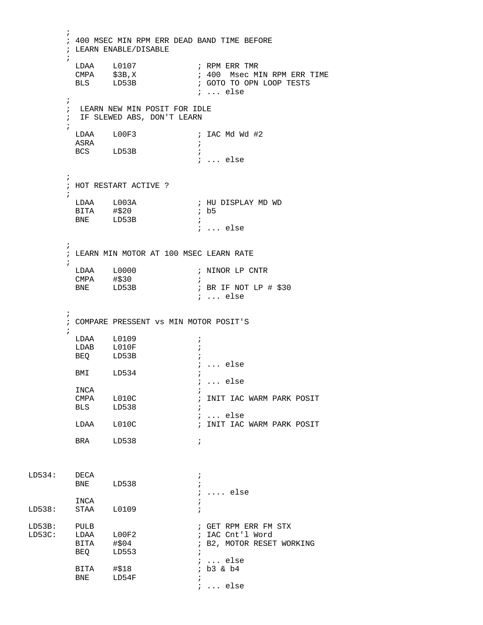```
\mathcal{L}^{\text{max}}_{\text{max}} ; 400 MSEC MIN RPM ERR DEAD BAND TIME BEFORE
          ; LEARN ENABLE/DISABLE
\mathcal{L}^{\text{max}}LDAA L0107 ; RPM ERR TMR<br>
CMPA $3B,X ; 400 Msec M:<br>
BLS LD53B ; GOTO TO OPN
                                      ; 400 Msec MIN RPM ERR TIME
                                       ; GOTO TO OPN LOOP TESTS
                                        ; ... else
\mathcal{L}^{\text{max}} ; LEARN NEW MIN POSIT FOR IDLE
          ; IF SLEWED ABS, DON'T LEARN
\mathcal{L}^{\text{max}}LDAA L00F3 ; IAC Md Wd #2
           ASRA ; 
          BCS LD53B
                                       ; ... else 
\mathcal{L}^{\text{max}} ; HOT RESTART ACTIVE ?
\mathcal{L}^{\text{max}}_{\text{max}}; HU DISPLAY MD WD<br>; b5
BITA \# $20 ; b5
BNE LD53B ;
                                       ; ... else
\mathcal{L}^{\text{max}} ; LEARN MIN MOTOR AT 100 MSEC LEARN RATE
\mathcal{L}^{\text{max}}\begin{tabular}{lllllllll} \texttt{LDAA} & \texttt{L0000} & & & & ; \texttt{NINOR LP CNTR} \\ \texttt{CMPA} & \texttt{\#\$30} & & & ; \end{tabular}CMPA #$30
          BNE LD53B ; BR IF NOT LP # $30
                                        ; ... else
\mathcal{L}^{\text{max}} ; COMPARE PRESSENT vs MIN MOTOR POSIT'S
\mathcal{L}^{\text{max}} LDAA L0109 ; 
          LDAB L010F ;
          BEQ LD53B ;
                                       ; ... else
          BMI LD534 ;
           \begin{array}{ccc} & \quad & \quad & \quad ; \quad \ldots \text{ else} \\ & \quad & \quad & \quad ; \end{array} INCA
INCA \qquad \qquad ;; INIT IAC WARM PARK POSIT
BLS LD538 ;
          \begin{tabular}{lllll} \tt{LDAA} & \tt{L010C} & & & & \tt{; ... else} \\ \tt{LDAA} & \tt{L010C} & & & \tt{; INT~IAC} \end{tabular}; INIT IAC WARM PARK POSIT
          BRA LD538 ;
LD534: DECA ;
         BNE LD538 ;
                                       ; .... else
         INCA \qquad \qquad ;LD538: STAA L0109 ; 
LD53B: PULB \overline{P} PULB \overline{P} FOLD \overline{P} FOLD \overline{P} FOLD \overline{P} PULB
LD53C: LDAA L00F2     ; IAC Cnt'l Word
           BITA #$04 ; B2, MOTOR RESET WORKING 
          BEQ LD553 ;
                                      ; ... else<br>; b3 & b4
BITA #$18 ; b3 & b4
BNE LD54F ;
                                        ; ... else
```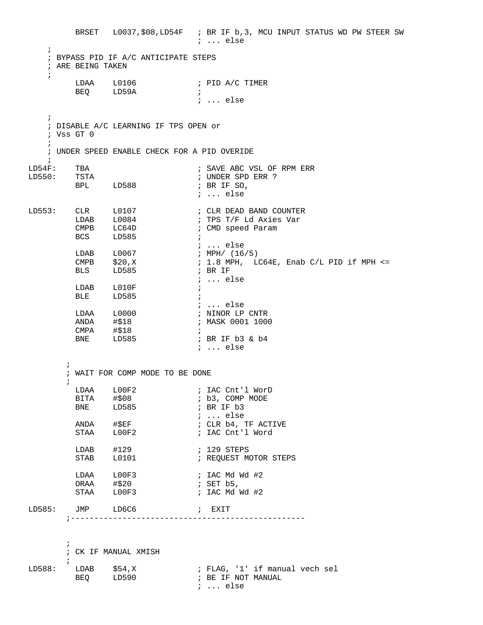BRSET L0037,\$08,LD54F ; BR IF b,3, MCU INPUT STATUS WD PW STEER SW ; ... else ; ; BYPASS PID IF A/C ANTICIPATE STEPS ; ARE BEING TAKEN ; LDAA L0106 ; PID A/C TIMER BEQ LD59A ; ; ... else ; ; DISABLE A/C LEARNING IF TPS OPEN or ; Vss GT 0  $\mathbf{i}$  ; UNDER SPEED ENABLE CHECK FOR A PID OVERIDE  $\mathcal{L}$ LD54F: TBA ; SAVE ABC VSL OF RPM ERR LD550: TSTA ; UNDER SPD ERR ? BPL LD588 ; BR IF SO, ; ... else LD553: CLR L0107 ; CLR DEAD BAND COUNTER LDAB L0084 : TPS T/F Ld Axies Var CMPB LC64D : CMD speed Param BCS LD585 ; ; ... else LDAB L0067 ; MPH/ (16/5)  $\texttt{CMPB}$   $\texttt{$20,X$}$  ; 1.8 MPH, LC64E, Enab C/L PID if MPH <= BLS LD585 ; BR IF ; ... else LDAB LO10F ; BLE LD585 ; ; ... else LDAA L0000 ; NINOR LP CNTR ANDA #\$18 ; MASK 0001 1000 CMPA #\$18 ; ; BR IF b3 & b4 ; ... else  $\mathcal{L}^{\text{max}}$  ; WAIT FOR COMP MODE TO BE DONE  $\mathcal{L}^{\text{max}}_{\text{max}}$ LDAA L00F2 ; IAC Cnt'l WorD<br>BITA #\$08 ; b3, COMP MODE BITA #\$08 ; b3, COMP MODE BNE LD585 ; BR IF b3 ANDA #\$EF <br>
STAA LOOF2 ; CLR b4, T<br>
sTAA LOOF2 ; IAC Cnt' ; CLR b4, TF ACTIVE ; IAC Cnt'l Word LDAB #129 ; 129 STEPS<br>
STAB L0101 ; REQUEST MO ; REQUEST MOTOR STEPS LDAA L00F3 ; IAC Md Wd #2  $ORAA$  #\$20 ; SET b5, STAA LOOF3 ; IAC Md Wd #2 LD585: JMP LD6C6 ; EXIT ;--------------------------------------------------  $\mathcal{L}^{\text{max}}$  ; CK IF MANUAL XMISH  $\mathcal{L}^{\text{max}}$ LD588: LDAB \$54,X ; FLAG, '1' if manual vech sel<br>BEO LD590 ; BE IF NOT MANUAL BEQ LD590 ; ... else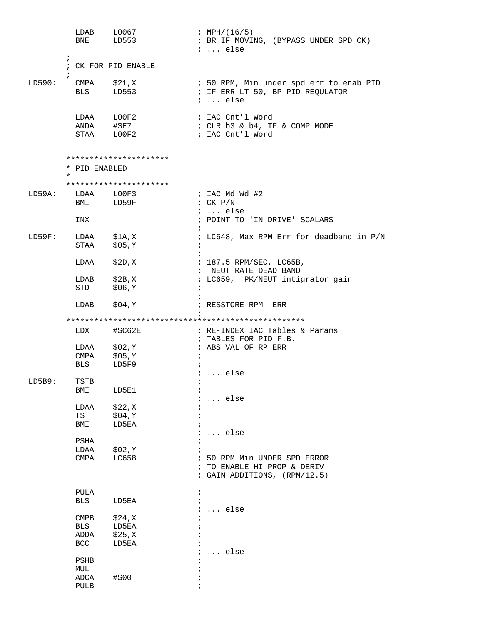|        | <b>BNE</b>                      | LDAB L0067<br>LD553                    | ; MPH/(16/5)<br>; BR IF MOVING, (BYPASS UNDER SPD CK)<br>$i \ldots$ else                       |
|--------|---------------------------------|----------------------------------------|------------------------------------------------------------------------------------------------|
|        | $\ddot{ }$<br>$\ddot{ }$        | ; CK FOR PID ENABLE                    |                                                                                                |
| LD590: | <b>BLS</b>                      | CMPA      \$21,X<br>BLS       LD553    | ; 50 RPM, Min under spd err to enab PID<br>; IF ERR LT 50, BP PID REQULATOR<br>$i \ldots$ else |
|        |                                 | LDAA L00F2<br>ANDA #\$E7<br>STAA LOOF2 | ; IAC Cnt'l Word<br>; CLR b3 & b4, TF & COMP MODE<br>; IAC Cnt'l Word                          |
|        | * PID ENABLED<br>$\star$        | **********************                 |                                                                                                |
|        |                                 | **********************                 |                                                                                                |
| LD59A: | LDAA L00F3                      | BMI LD59F                              | ; IAC Md Wd #2<br>; $CK$ $P/N$                                                                 |
|        | INX                             |                                        | $i \ldots$ else<br>; POINT TO 'IN DRIVE' SCALARS                                               |
| LD59F: | STAA                            | LDAA \$1A, X<br>\$05,Y                 | ; LC648, Max RPM Err for deadband in P/N<br>$\ddot{i}$                                         |
|        |                                 | LDAA \$2D, X                           | ; 187.5 RPM/SEC, LC65B,<br>; NEUT RATE DEAD BAND                                               |
|        | STD                             | LDAB $$2B, X$<br>\$06,Y                | ; LC659, PK/NEUT intigrator gain                                                               |
|        | LDAB                            | \$04,Y                                 | ; RESSTORE RPM ERR                                                                             |
|        |                                 |                                        |                                                                                                |
|        |                                 | LDX #\$C62E                            | ; RE-INDEX IAC Tables & Params<br>; TABLES FOR PID F.B.                                        |
|        |                                 | LDAA \$02, Y<br>CMPA \$05, Y           | ; ABS VAL OF RP ERR                                                                            |
|        | <b>BLS</b>                      | LD5F9                                  | $i$ else                                                                                       |
| LD5B9: | TSTB<br>BMI                     | LD5E1                                  |                                                                                                |
|        |                                 |                                        | $\ldots$ else                                                                                  |
|        | LDAA<br>TST                     | \$22,K<br>\$04,Y                       |                                                                                                |
|        | BMI                             | LD5EA                                  |                                                                                                |
|        |                                 |                                        | else                                                                                           |
|        | PSHA                            |                                        |                                                                                                |
|        | LDAA<br>CMPA                    | \$02,Y<br>LC658                        | ; 50 RPM Min UNDER SPD ERROR<br>; TO ENABLE HI PROP & DERIV<br>; GAIN ADDITIONS, (RPM/12.5)    |
|        | PULA                            |                                        |                                                                                                |
|        | BLS                             | LD5EA                                  |                                                                                                |
|        |                                 |                                        | else                                                                                           |
|        | $\mathop{\mathrm{CMPB}}$<br>BLS | \$24,K<br>LD5EA                        |                                                                                                |
|        | ADDA                            | \$25, X                                |                                                                                                |
|        | <b>BCC</b>                      | LD5EA                                  |                                                                                                |
|        | $_{\rm{PSHB}}$                  |                                        | $\ldots$ else                                                                                  |
|        | MUL                             |                                        |                                                                                                |
|        | ADCA<br>PULB                    | #\$00                                  |                                                                                                |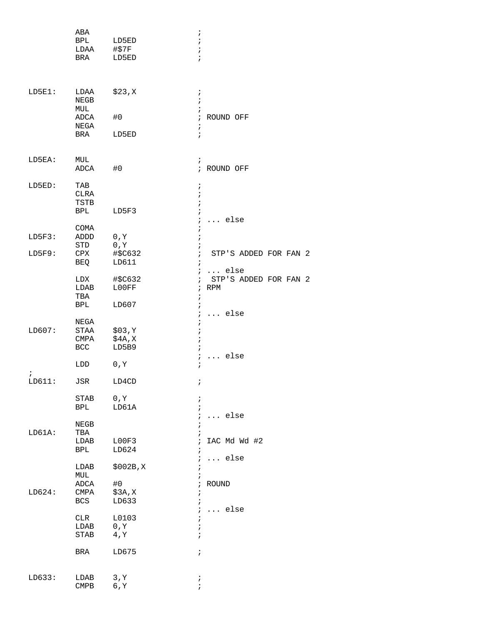|                  | ABA<br>BPL<br>LDAA<br>BRA                  | LD5ED<br>#\$7F<br>LD5ED             | $\ddot{i}$<br>$\ddot{ }$<br>$\mathbf{r}$<br>$\ddot{i}$                                                                                   |
|------------------|--------------------------------------------|-------------------------------------|------------------------------------------------------------------------------------------------------------------------------------------|
| $LD5E1$ :        | LDAA<br>NEGB<br>MUL<br>ADCA<br>NEGA<br>BRA | \$23,K<br>#0<br>LD5ED               | $\ddot{ }$<br>$\ddot{i}$<br>$\mathbf{\dot{i}}$<br>$\ddot{i}$<br>ROUND OFF<br>$\ddot{i}$<br>$\ddot{i}$                                    |
| LD5EA:           | MUL<br>ADCA                                | #0                                  | $\ddot{i}$<br>; ROUND OFF                                                                                                                |
| LD5ED:           | TAB<br>CLRA<br>TSTB<br>BPL                 | LD5F3                               | $\ddot{i}$<br>$\mathbf{\dot{i}}$<br>$\ddot{ }$<br>$\ddot{ }$<br>$\ddot{ }$<br>$\ldots$ else                                              |
| LD5F3:<br>LD5F9: | COMA<br>ADDD<br>STD<br>CPX                 | 0, Y<br>$0$ , $\Upsilon$<br>#\$C632 | $\ddot{i}$<br>$\ddot{i}$<br>i<br>STP'S ADDED FOR FAN 2<br>$\ddot{i}$                                                                     |
|                  | BEQ<br>LDX<br>LDAB<br>TBA<br><b>BPL</b>    | LD611<br>#\$C632<br>L00FF<br>LD607  | $\ddot{i}$<br>$\ldots$ else<br>$\ddot{ }$<br>STP'S ADDED FOR FAN 2<br>$\ddot{i}$<br><b>RPM</b><br>$\ddot{i}$<br>$\ddot{i}$<br>$\ddot{ }$ |
| LD607:           | NEGA<br>STAA<br>CMPA<br>BCC                | \$03, Y<br>\$4A, X<br>LD5B9         | $\ldots$ else<br>$\ddot{i}$<br>$\ddot{i}$<br>$\ddot{ }$<br>$\ddot{ }$<br>$\ddot{i}$                                                      |
| $\ddot{i}$       | LDD                                        | 0, Y                                | else<br>$\ddot{i}$<br>.<br>$\ddot{i}$                                                                                                    |
| LD611:           | JSR<br>STAB                                | LD4CD<br>0, Y                       | ÷<br>$\ddot{i}$                                                                                                                          |
| LD61A:           | BPL<br>NEGB<br>TBA                         | LD61A                               | $\mathbf{i}$<br>$\mathcal{L}$<br>$\ldots$ else<br>$\ddot{i}$<br>ï                                                                        |
|                  | LDAB<br>BPL<br>LDAB                        | LOOF3<br>LD624<br>$$002B$ , X       | IAC Md Wd #2<br>$\ddot{i}$<br>$\ddot{i}$<br>$\ldots$ else<br>$\ddot{i}$<br>÷,                                                            |
| LD624:           | MUL<br>ADCA<br>CMPA<br>BCS                 | #0<br>\$3A,X<br>LD633               | ÷<br>$;$ ROUND<br>$\ddot{i}$<br>$\ddot{ }$                                                                                               |
|                  | CLR<br>LDAB<br>STAB                        | L0103<br>0, Y<br>4, Y               | $\ddot{i}$<br>$\ldots$ else<br>$\ddot{ }$<br>$\ddot{i}$<br>$\mathbf{r}$                                                                  |
|                  | BRA                                        | LD675                               | $\ddot{ }$                                                                                                                               |
| LD633:           | LDAB<br>$\mathop{\rm CMBB}\nolimits$       | 3, Y<br>6, Y                        | $\ddot{ }$<br>$\ddot{i}$                                                                                                                 |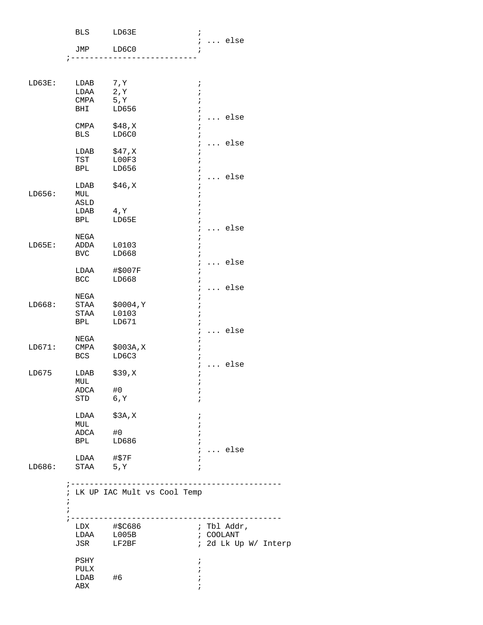|            | BLS                   | LD63E                                  | ï                        |                                   |
|------------|-----------------------|----------------------------------------|--------------------------|-----------------------------------|
|            | JMP                   | LD6C0                                  | i.<br>$\ddot{ }$         | $\ldots$ else                     |
|            |                       |                                        |                          |                                   |
| LD63E:     | LDAB                  | 7, Y                                   | i                        |                                   |
|            | LDAA                  | 2, Y                                   | $\mathbf{r}$             |                                   |
|            | CMPA                  | 5, Y                                   | $\ddot{i}$               |                                   |
|            | BHI                   | LD656                                  | $\ddot{i}$<br>i          | $\ldots$ else                     |
|            | CMPA                  | \$48,K                                 | $\ddot{ }$               |                                   |
|            | BLS                   | LD6C0                                  | $\ddot{i}$               |                                   |
|            |                       |                                        | $\ddot{ }$               | $\ldots$ else                     |
|            | LDAB                  | \$47, X                                | ÷                        |                                   |
|            | TST                   | LOOF3                                  | ï                        |                                   |
|            | BPL                   | LD656                                  | $\ddot{i}$               |                                   |
|            | LDAB                  | \$46, X                                | $\ddot{ }$<br>$\ddot{i}$ | $\ldots$ else                     |
| LD656:     | MUL                   |                                        | $\ddot{i}$               |                                   |
|            | ASLD                  |                                        |                          |                                   |
|            | LDAB                  | 4, Y                                   |                          |                                   |
|            | BPL                   | LD65E                                  | $\ddot{i}$               |                                   |
|            |                       |                                        | $\ddot{i}$               | $\ldots$ else                     |
|            | NEGA                  |                                        | $\ddot{ }$               |                                   |
| LD65E:     | ADDA                  | L0103                                  | ï                        |                                   |
|            | BVC                   | LD668                                  | $\ddot{i}$<br>i.         | $\ldots$ else                     |
|            | LDAA                  | #\$007F                                | $\ddot{ }$               |                                   |
|            | BCC                   | LD668                                  | $\ddot{ }$               |                                   |
|            |                       |                                        | $\ddot{ }$               | $\ldots$ else                     |
|            | NEGA                  |                                        | $\ddot{i}$               |                                   |
| LD668:     | STAA                  | \$0004, Y                              | $\ddot{i}$               |                                   |
|            | STAA                  | L0103                                  | $\ddot{ }$               |                                   |
|            | BPL                   | LD671                                  | $\ddot{i}$               |                                   |
|            | NEGA                  |                                        | $\ddot{i}$<br>$\ddot{i}$ | $\ldots$ else                     |
| LD671:     | CMPA                  | \$003A, X                              | $\mathfrak{z}$           |                                   |
|            | BCS                   | LD6C3                                  | $\ddot{i}$               |                                   |
|            |                       |                                        | i.                       | $\ldots$ else                     |
| LD675      | LDAB                  | \$39,X                                 | $\ddot{i}$               |                                   |
|            | MUL                   |                                        | ï                        |                                   |
|            | ADCA                  | #0                                     | $\ddot{i}$               |                                   |
|            | STD                   | 6, Y                                   | ï                        |                                   |
|            | LDAA                  | \$3A,X                                 | ï                        |                                   |
|            | MUL                   |                                        |                          |                                   |
|            | ADCA                  | #0                                     |                          |                                   |
|            | <b>BPL</b>            | LD686                                  |                          |                                   |
|            |                       |                                        | $\ddot{i}$               | $\ldots$ else                     |
|            | LDAA #\$7F            |                                        | ;                        |                                   |
| LD686:     | STAA 5, Y             |                                        | $\ddot{ }$               |                                   |
|            |                       | ; ------------------------------------ |                          |                                   |
|            |                       | ; LK UP IAC Mult vs Cool Temp          |                          |                                   |
| $\ddot{i}$ |                       |                                        |                          |                                   |
| i          |                       |                                        |                          |                                   |
|            |                       |                                        |                          |                                   |
|            |                       |                                        |                          | ; Tbl Addr,                       |
|            | $LDAA$ $L005B$<br>JSR | LF2BF                                  |                          | ; COOLANT<br>; 2d Lk Up W/ Interp |
|            |                       |                                        |                          |                                   |
|            | PSHY                  |                                        | ;                        |                                   |
|            | PULX                  |                                        | $\ddot{ }$               |                                   |
|            | LDAB                  | #6                                     | i                        |                                   |
|            | ABX                   |                                        |                          |                                   |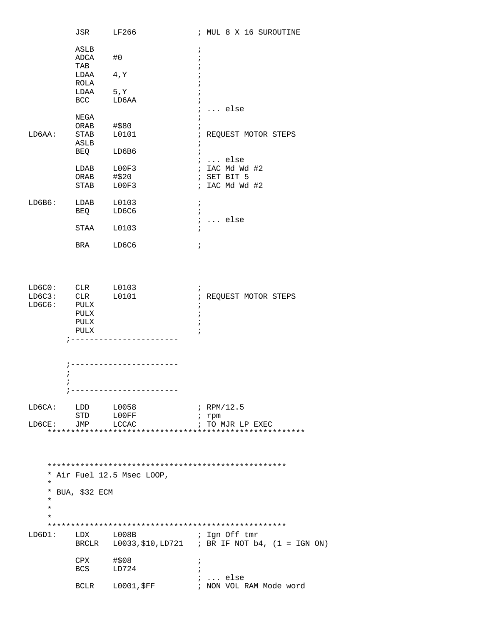|                                      | JSR                                                        | LF266                      | ; MUL 8 X 16 SUROUTINE                                                |
|--------------------------------------|------------------------------------------------------------|----------------------------|-----------------------------------------------------------------------|
|                                      | ASLB                                                       |                            | i.                                                                    |
|                                      | ADCA                                                       | #0                         | $\ddot{i}$                                                            |
|                                      | TAB                                                        |                            |                                                                       |
|                                      | LDAA 4, Y                                                  |                            |                                                                       |
|                                      | ROLA                                                       |                            |                                                                       |
|                                      | LDAA                                                       | 5, Y                       |                                                                       |
|                                      | BCC                                                        | LD6AA                      | $\ddot{i}$                                                            |
|                                      |                                                            |                            | $i \ldots$ else                                                       |
|                                      | NEGA<br>ORAB                                               | #\$80                      |                                                                       |
| LD6AA:                               | STAB L0101                                                 |                            | ; REQUEST MOTOR STEPS                                                 |
|                                      | ASLB                                                       |                            | $\ddot{i}$                                                            |
|                                      | <b>BEQ</b>                                                 | LD6B6                      | $\ddot{i}$                                                            |
|                                      |                                                            |                            | $i \ldots$ else                                                       |
|                                      | LDAB L00F3                                                 |                            | ; IAC Md Wd #2                                                        |
|                                      | ORAB                                                       | #\$20                      | ; SET BIT 5                                                           |
|                                      | STAB                                                       | LOOF3                      | ; IAC Md Wd #2                                                        |
|                                      |                                                            |                            |                                                                       |
| $LDSB6$ :                            | LDAB L0103                                                 |                            | $\ddot{i}$                                                            |
|                                      | BEQ LD6C6                                                  |                            | $\ddot{i}$                                                            |
|                                      | STAA L0103                                                 |                            | $i \ldots$ else<br>$\ddot{i}$                                         |
|                                      |                                                            |                            |                                                                       |
|                                      | <b>BRA</b>                                                 | LD6C6                      | $\ddot{i}$                                                            |
|                                      |                                                            |                            |                                                                       |
| LD6C0: CLR L0103<br>LD6C3:<br>LD6C6: | CLR L0101<br>PULX<br>$\operatorname{PULX}$<br>PULX<br>PULX | ____________________       | i.<br>; REQUEST MOTOR STEPS<br>$\ddot{ }$<br>$\ddot{i}$<br>$\ddot{ }$ |
|                                      |                                                            |                            |                                                                       |
|                                      |                                                            |                            |                                                                       |
|                                      |                                                            | ; -----------------------  |                                                                       |
| $\ddot{i}$                           |                                                            |                            |                                                                       |
|                                      |                                                            |                            |                                                                       |
|                                      |                                                            | -----------------          |                                                                       |
| LD6CA:                               | LDD L0058                                                  |                            | ; RPM/12.5                                                            |
|                                      | STD LOOFF                                                  |                            | $i$ rpm                                                               |
| LD6CE:                               | JMP LCCAC                                                  |                            | ; TO MJR LP EXEC                                                      |
|                                      |                                                            |                            |                                                                       |
|                                      |                                                            |                            |                                                                       |
|                                      |                                                            |                            |                                                                       |
|                                      |                                                            |                            |                                                                       |
|                                      |                                                            |                            |                                                                       |
| $\star$                              |                                                            | * Air Fuel 12.5 Msec LOOP, |                                                                       |
|                                      | * BUA, \$32 ECM                                            |                            |                                                                       |
| *                                    |                                                            |                            |                                                                       |
| $^\star$                             |                                                            |                            |                                                                       |
| $\star$                              |                                                            |                            |                                                                       |
|                                      |                                                            |                            |                                                                       |
| LD6D1:                               | LDX L008B                                                  |                            | ; Ign Off tmr                                                         |
|                                      |                                                            |                            | BRCLR $L0033, $10, LD721$ ; BR IF NOT b4, $(1 = IGN ON)$              |
|                                      |                                                            |                            |                                                                       |
|                                      | CPX #\$08<br>BCS                                           | LD724                      | i.                                                                    |
|                                      |                                                            |                            | $i \ldots$ else                                                       |
|                                      |                                                            | BCLR L0001, \$FF           | ; NON VOL RAM Mode word                                               |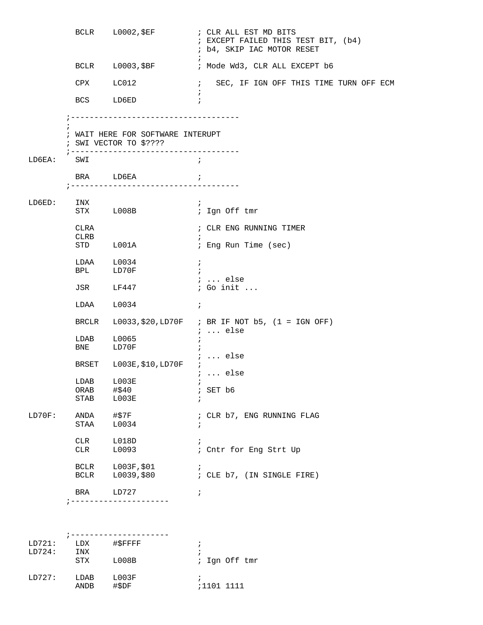|        |                     | BCLR L0002, \$EF                                                                                       | ; CLR ALL EST MD BITS<br>; EXCEPT FAILED THIS TEST BIT, (b4)<br>; b4, SKIP IAC MOTOR RESET |
|--------|---------------------|--------------------------------------------------------------------------------------------------------|--------------------------------------------------------------------------------------------|
|        |                     | BCLR L0003, \$BF                                                                                       | ÷<br>; Mode Wd3, CLR ALL EXCEPT b6                                                         |
|        | CPX LC012           |                                                                                                        | $\mathcal{L}$<br>SEC, IF IGN OFF THIS TIME TURN OFF ECM                                    |
|        | <b>BCS</b>          | LD6ED                                                                                                  | $\ddot{i}$                                                                                 |
|        |                     | -------------------------------                                                                        |                                                                                            |
|        |                     | ; WAIT HERE FOR SOFTWARE INTERUPT<br>$:$ SWI VECTOR TO \$????<br>;------------------------------------ |                                                                                            |
| LD6EA: | SWI                 |                                                                                                        | $\cdot$ ;                                                                                  |
|        |                     | BRA LD6EA<br>;------------------------------------                                                     | $\ddot{i}$                                                                                 |
| LD6ED: | INX                 | STX LOO8B                                                                                              | $\ddot{i}$<br>; Ign Off tmr                                                                |
|        | CLRA<br>CLRB        |                                                                                                        | ; CLR ENG RUNNING TIMER<br>$\ddot{i}$                                                      |
|        |                     | STD L001A                                                                                              | ; Eng Run Time (sec)                                                                       |
|        | LDAA                | L0034<br>BPL LD70F                                                                                     | $\ddot{i}$<br>$\ddot{i}$<br>$i \ldots$ else                                                |
|        | JSR                 | LF447                                                                                                  | ; Go init                                                                                  |
|        | LDAA                | L0034                                                                                                  | $\ddot{i}$                                                                                 |
|        | BRCLR               |                                                                                                        | $L0033, $20, LDT0F$ ; BR IF NOT b5, (1 = IGN OFF)<br>$i \ldots$ else                       |
|        | LDAB<br>BNE         | L0065<br>LD70F                                                                                         | $\ddot{i}$                                                                                 |
|        |                     | BRSET L003E, \$10, LD70F                                                                               | ;  else<br>$i$ else                                                                        |
|        | ORAB<br><b>STAB</b> | LDAB L003E<br>#\$40<br>LOO3E                                                                           | $\mathbf{r}$<br>; SET b6<br>÷                                                              |
| LD70F: | ANDA<br>STAA        | #\$7F<br>L0034                                                                                         | ; CLR b7, ENG RUNNING FLAG<br>$\ddot{i}$                                                   |
|        | CLR<br>CLR          | L018D<br>L0093                                                                                         | ; Cntr for Eng Strt Up                                                                     |
|        | <b>BCLR</b><br>BCLR | L003F, \$01<br>L0039,\$80                                                                              | i.<br>; CLE b7, (IN SINGLE FIRE)                                                           |
|        | BRA                 | LD727                                                                                                  | $\ddot{i}$                                                                                 |
|        |                     |                                                                                                        |                                                                                            |

| LD721: | LDX                 | #\$FFFF        |               |
|--------|---------------------|----------------|---------------|
| LD724: | INX                 |                |               |
|        | STX                 | L008B          | ; Ign Off tmr |
| LD727: | LDAB<br><b>ANDB</b> | L003F<br>#\$DF | ;1101 1111    |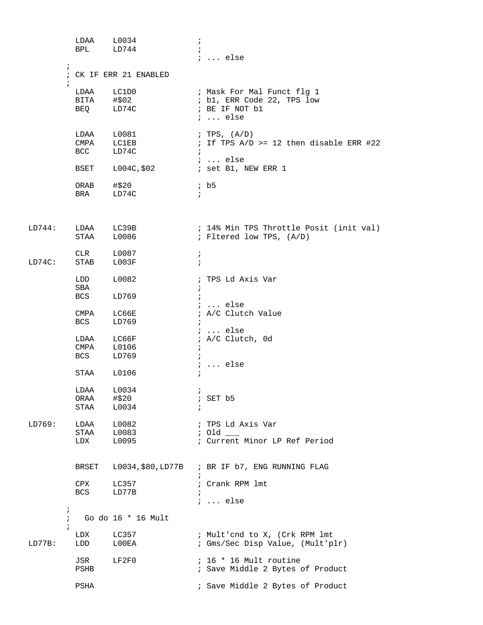|        |                                               | LDAA<br>BPL LD744                                                                                                                                                                                                                                                                                                                                                                                                                                                              | L0034                        | $\cdot$<br>$\ddot{i}$      | $i \ldots$ else                                                                               |
|--------|-----------------------------------------------|--------------------------------------------------------------------------------------------------------------------------------------------------------------------------------------------------------------------------------------------------------------------------------------------------------------------------------------------------------------------------------------------------------------------------------------------------------------------------------|------------------------------|----------------------------|-----------------------------------------------------------------------------------------------|
|        | $\ddot{i}$                                    |                                                                                                                                                                                                                                                                                                                                                                                                                                                                                | ; CK IF ERR 21 ENABLED       |                            |                                                                                               |
|        | $\ddot{i}$                                    | LDAA LC1D0<br>BITA #\$02<br>BEQ LD74C                                                                                                                                                                                                                                                                                                                                                                                                                                          |                              |                            | ; Mask For Mal Funct flg 1<br>; b1, ERR Code 22, TPS low<br>; BE IF NOT b1<br>$i \ldots$ else |
|        |                                               | $\begin{tabular}{ll} \multicolumn{2}{c}{\text{LDA}} & \multicolumn{2}{c}{\text{L0081}}\\ \multicolumn{2}{c}{\text{CMPA}} & \multicolumn{2}{c}{\text{L0081}}\\ \multicolumn{2}{c}{\text{CMPA}} & \multicolumn{2}{c}{\text{LCMP}}\\ \multicolumn{2}{c}{\text{LCMPA}} & \multicolumn{2}{c}{\text{LCMP}}\\ \multicolumn{2}{c}{\text{LCMP}} & \multicolumn{2}{c}{\text{LCMP}}\\ \multicolumn{2}{c}{\text{LCMP}} & \multicolumn{2}{c}{\text{LCMP}}\\ \multicolumn{2}{$<br><b>BCC</b> | LD74C                        | $\ddot{i}$                 | ; TPS, $(A/D)$<br>; If TPS $A/D$ >= 12 then disable ERR #22<br>$i \ldots$ else                |
|        |                                               | BSET<br>ORAB<br><b>BRA</b>                                                                                                                                                                                                                                                                                                                                                                                                                                                     | L004C,\$02<br>#\$20<br>LD74C | $\ddot{i}$                 | ; set B1, NEW ERR 1<br>ib5                                                                    |
| LD744: |                                               | LDAA<br>STAA                                                                                                                                                                                                                                                                                                                                                                                                                                                                   | LC39B<br>L0086               |                            | ; 14% Min TPS Throttle Posit (init val)<br>; Fltered low TPS, (A/D)                           |
| LD74C: |                                               | <b>CLR</b><br>STAB                                                                                                                                                                                                                                                                                                                                                                                                                                                             | L0087<br>L003F               | i.<br>$\ddot{i}$           |                                                                                               |
|        |                                               | LDD<br>SBA<br>BCS                                                                                                                                                                                                                                                                                                                                                                                                                                                              | L0082<br>LD769               | i.                         | ; TPS Ld Axis Var                                                                             |
|        |                                               | CMPA<br>BCS                                                                                                                                                                                                                                                                                                                                                                                                                                                                    | LC66E<br>LD769               |                            | $\ldots$ else<br>; A/C Clutch Value                                                           |
|        |                                               | LDAA<br>CMPA<br><b>BCS</b>                                                                                                                                                                                                                                                                                                                                                                                                                                                     | LC66F<br>L0106<br>LD769      | $\ddot{i}$                 | $i \ldots$ else<br>; A/C Clutch, 0d                                                           |
|        |                                               | STAA                                                                                                                                                                                                                                                                                                                                                                                                                                                                           | L0106                        |                            | $i \ldots$ else                                                                               |
|        |                                               | LDAA<br>ORAA<br>STAA                                                                                                                                                                                                                                                                                                                                                                                                                                                           | L0034<br>#\$20<br>L0034      | $\mathbf{r}$<br>$\ddot{ }$ | $;$ SET $b5$                                                                                  |
| LD769: |                                               | LDAA<br>STAA<br>LDX                                                                                                                                                                                                                                                                                                                                                                                                                                                            | L0082<br>L0083<br>L0095      |                            | ; TPS Ld Axis Var<br>$:$ Old $\_\_$<br>; Current Minor LP Ref Period                          |
|        |                                               | BRSET                                                                                                                                                                                                                                                                                                                                                                                                                                                                          |                              | $\ddot{i}$                 | L0034, \$80, LD77B ; BR IF b7, ENG RUNNING FLAG                                               |
|        |                                               | CPX<br><b>BCS</b>                                                                                                                                                                                                                                                                                                                                                                                                                                                              | LC357<br>LD77B               | $\ddot{ }$                 | ; Crank RPM 1mt<br>$i \ldots$ else                                                            |
|        | $\ddot{\phantom{0}}$<br>$\ddot{i}$<br>$\cdot$ |                                                                                                                                                                                                                                                                                                                                                                                                                                                                                | Go do 16 * 16 Mult           |                            |                                                                                               |
| LD77B: |                                               | LDX<br>LDD                                                                                                                                                                                                                                                                                                                                                                                                                                                                     | LC357<br>$\mathtt{LOOEA}$    |                            | ; Mult'end to X, (Crk RPM lmt<br>; Gms/Sec Disp Value, (Mult'plr)                             |
|        |                                               | JSR<br>PSHB                                                                                                                                                                                                                                                                                                                                                                                                                                                                    | LF2F0                        |                            | $: 16 * 16$ Mult routine<br>; Save Middle 2 Bytes of Product                                  |
|        |                                               | PSHA                                                                                                                                                                                                                                                                                                                                                                                                                                                                           |                              |                            | ; Save Middle 2 Bytes of Product                                                              |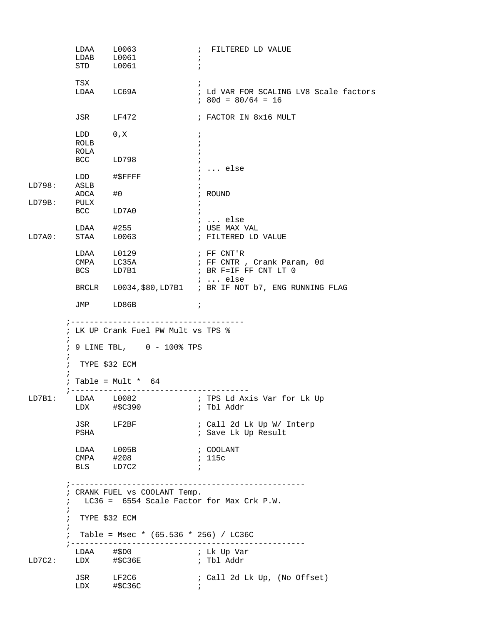|             | LDAA L0063                          |                                                                                                                          |              | ; FILTERED LD VALUE                                            |
|-------------|-------------------------------------|--------------------------------------------------------------------------------------------------------------------------|--------------|----------------------------------------------------------------|
|             | $LDAB$ $L0061$                      |                                                                                                                          |              |                                                                |
|             | STD                                 | L0061                                                                                                                    | $\cdot$      |                                                                |
|             | TSX                                 |                                                                                                                          |              |                                                                |
|             |                                     | LDAA LC69A                                                                                                               |              | ; Ld VAR FOR SCALING LV8 Scale factors                         |
|             |                                     |                                                                                                                          |              | $: 80d = 80/64 = 16$                                           |
|             |                                     | JSR LF472                                                                                                                |              | ; FACTOR IN 8x16 MULT                                          |
|             | LDD 0, X                            |                                                                                                                          | $\ddot{i}$   |                                                                |
|             | ROLB                                |                                                                                                                          |              |                                                                |
|             | ROLA                                |                                                                                                                          |              |                                                                |
|             | <b>BCC</b>                          | LD798                                                                                                                    | $\ddot{i}$   |                                                                |
|             |                                     |                                                                                                                          |              | $i \ldots$ else                                                |
|             |                                     | LDD #\$FFFF                                                                                                              | $\ddot{ }$   |                                                                |
| LD798:      | ASLB                                |                                                                                                                          |              |                                                                |
|             | ADCA                                | #0                                                                                                                       |              | ; ROUND                                                        |
| LD79B:      | PULX                                |                                                                                                                          | $\ddot{i}$   |                                                                |
|             | BCC LD7A0                           |                                                                                                                          | $\ddot{i}$   |                                                                |
|             |                                     |                                                                                                                          |              | ;  else                                                        |
|             |                                     | $LDAA$ #255                                                                                                              |              | ; USE MAX VAL                                                  |
|             |                                     |                                                                                                                          |              |                                                                |
| LD7A0:      | STAA                                | L0063                                                                                                                    |              | ; FILTERED LD VALUE                                            |
|             |                                     | LDAA L0129                                                                                                               |              | ; FF CNT'R                                                     |
|             |                                     | CMPA LC35A                                                                                                               |              | ; FF CNTR, Crank Param, Od                                     |
|             |                                     | BCS LD7B1                                                                                                                |              | ; BR F=IF FF CNT LT 0                                          |
|             |                                     |                                                                                                                          |              | $i \ldots$ else                                                |
|             |                                     |                                                                                                                          |              | BRCLR L0034, \$80, LD7B1 ; BR IF NOT b7, ENG RUNNING FLAG      |
|             |                                     | JMP LD86B                                                                                                                | $\cdot$ ;    |                                                                |
| i.          | $\ddot{i}$<br>$\mathcal{L}$<br>PSHA | ; LK UP Crank Fuel PW Mult vs TPS %<br>; 9 LINE TBL, 0 - 100% TPS<br>TYPE \$32 ECM<br>; Table = Mult $*$ 64<br>JSR LF2BF |              | ; Tbl Addr<br>; Call 2d Lk Up W/ Interp<br>; Save Lk Up Result |
|             |                                     | LDAA L005B<br>CMPA #208<br>BLS LD7C2                                                                                     | $\mathbf{r}$ | ; COOLANT<br>; 115c                                            |
| i<br>;<br>i | $\ddot{i}$                          | CRANK FUEL vs COOLANT Temp.<br>LC36 = 6554 Scale Factor for Max Crk P.W.<br>TYPE \$32 ECM                                |              |                                                                |
|             | $\ddot{ }$                          | Table = Msec * $(65.536 * 256) / LC36C$<br>; -------------------------                                                   |              |                                                                |
| LD7C2:      |                                     | LDAA #\$D0<br>LDX #\$C36E                                                                                                |              | ; Lk Up Var<br>; Tbl Addr                                      |
|             |                                     |                                                                                                                          |              |                                                                |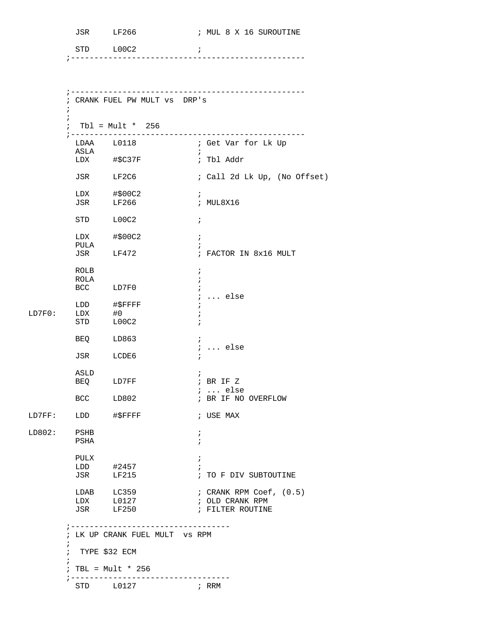STD L00C2 ; ;-------------------------------------------------- ;-------------------------------------------------- ; CRANK FUEL PW MULT vs DRP's  $\mathcal{L}^{\text{max}}_{\text{max}}$  $\mathcal{L}^{\text{max}}_{\text{max}}$  ; Tbl = Mult \* 256 ;-------------------------------------------------- ; Get Var for Lk Up<br>; ASLA ; LDX #\$C37F ; Tbl Addr JSR LF2C6 ; Call 2d Lk Up, (No Offset)  $LDX$   $\#$ \$00C2 ; JSR LF266 ; MUL8X16 STD L00C2 ; LDX #\$00C2 ; PULA <br>
JSR LF472 ; ; FACTOR IN 8x16 MULT ROLB ; ROLA ; BCC LD7F0 ; ; ... else  $\begin{tabular}{lllll} \multicolumn{2}{l}{{\bf LDD}} & \multicolumn{2}{l}{{\bf \#SPFFF}} & \multicolumn{2}{l}{\bf \#D} \\ & \multicolumn{2}{l}{\bf \#CPFF} & \multicolumn{2}{l}{\bf \#D} \\ & \multicolumn{2}{l}{\bf \#D} & \multicolumn{2}{l}{\bf \#C} & \multicolumn{2}{l}{\bf \#D} \\ & \multicolumn{2}{l}{\bf \#D} & \multicolumn{2}{l}{\bf \#C} & \multicolumn{2}{l}{\bf \#D} \\ & \multicolumn{2}{l}{\bf \#D} & \multicolumn{2}{l}{\bf$ LD7F0: LDX #0 ;  $\begin{array}{ccc}\n\text{LOOC2} & \hspace{1.5cm}\text{...} & \hspace{1.5cm}\text{...}\n\end{array}$ BEQ LD863 ; ; ... else JSR LCDE6 ;  $\begin{tabular}{lllllll} \bf{ASLD} & & & & & ; \\ \bf{BEQ} & & \bf{LD7FF} & & & & ; \\ \end{tabular}$ ; BR IF Z ; ... else ; BR IF NO OVERFLOW LD7FF: LDD #\$FFFF ; USE MAX LD802: PSHB ; PSHA ; PULX  $\qquad \qquad ;$  LDD #2457 ; ; TO F DIV SUBTOUTINE LDAB LC359 ; CRANK RPM Coef,  $(0.5)$ LDX L0127 ; OLD CRANK RPM  $\begin{array}{lllll} \text{LDX} & \text{L0127} & \text{I0LD} & \text{CRANK RPM} \\ \text{JSR} & \text{LF250} & \text{I0} & \text{FILTER ROUTINE} \\ \end{array}$  ;---------------------------------- ; LK UP CRANK FUEL MULT vs RPM  $\mathcal{L}^{\text{max}}$  ; TYPE \$32 ECM  $\mathcal{L}^{\text{max}}$  ; TBL = Mult \* 256 ;----------------------------------STD L0127 ; RRM

JSR LF266 ; MUL 8 X 16 SUROUTINE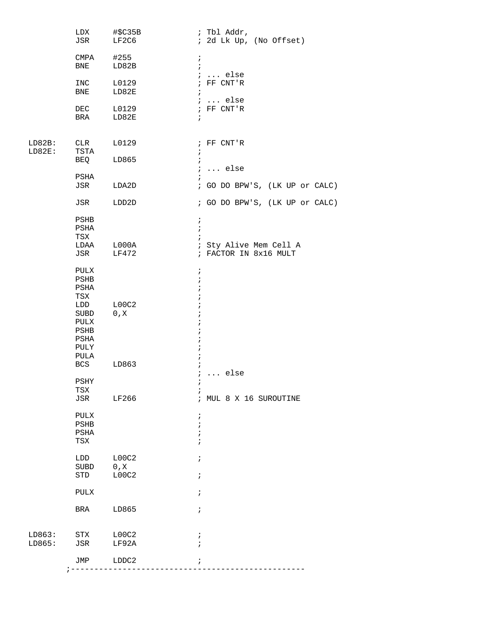|                  | LDX<br>JSR                                                                 | #\$C35B<br>LF2C6       | ; Tbl Addr,<br>; 2d Lk Up, (No Offset)                                                                                                  |
|------------------|----------------------------------------------------------------------------|------------------------|-----------------------------------------------------------------------------------------------------------------------------------------|
|                  | CMPA<br>BNE                                                                | #255<br>LD82B          | $\ddot{ }$<br>$\ddot{i}$                                                                                                                |
|                  | INC<br>BNE                                                                 | L0129<br>LD82E         | $: $ else<br>$;$ FF CNT'R<br>$\ddot{i}$                                                                                                 |
|                  | DEC<br>BRA                                                                 | L0129<br>LD82E         | $i \ldots$ else<br>$;$ FF CNT'R<br>$\ddot{i}$                                                                                           |
| LD82B:<br>LD82E: | CLR<br>TSTA                                                                | L0129                  | ; FF CNT'R<br>$\cdot$                                                                                                                   |
|                  | BEQ                                                                        | LD865                  | $\ddot{i}$<br>$: $ else                                                                                                                 |
|                  | PSHA<br>JSR                                                                | LDA2D                  | ; GO DO BPW'S, (LK UP or CALC)                                                                                                          |
|                  | JSR                                                                        | LDD2D                  | ; GO DO BPW'S, (LK UP or CALC)                                                                                                          |
|                  | PSHB<br>PSHA<br>TSX<br>LDAA<br>JSR                                         | L000A<br>LF472         | $\ddot{r}$<br>$\ddot{ }$<br>; Sty Alive Mem Cell A<br>; FACTOR IN 8x16 MULT                                                             |
|                  | PULX<br>PSHB<br>PSHA<br>TSX<br>LDD<br>SUBD<br>PULX<br>PSHB<br>PSHA<br>PULY | LOOC2<br>0, X          | $\ddot{ }$<br>$\mathbf{\dot{i}}$<br>$\ddot{i}$<br>$\ddot{ }$<br>$\ddot{ }$<br>$\ddot{ }$<br>$\ddot{ }$<br>$\ddot{ }$<br>ï<br>$\ddot{ }$ |
|                  | PULA<br><b>BCS</b>                                                         | LD863                  | ÷<br>$i \ldots$ else                                                                                                                    |
|                  | PSHY<br>TSX<br>JSR                                                         | LF266                  | ï<br>; MUL 8 X 16 SUROUTINE                                                                                                             |
|                  | PULX<br>PSHB<br>PSHA<br>TSX                                                |                        | $\mathbf{\dot{}}$<br>ï<br>÷<br>$\ddot{ }$                                                                                               |
|                  | LDD<br>SUBD<br>STD                                                         | LOOC2<br>0, X<br>LOOC2 | $\ddot{ }$<br>$\ddot{ }$                                                                                                                |
|                  | <b>PULX</b>                                                                |                        | $\ddot{ }$                                                                                                                              |
|                  | BRA                                                                        | LD865                  | $\ddot{ }$                                                                                                                              |
| LD863:<br>LD865: | STX<br>JSR                                                                 | L00C2<br>LF92A         | ÷<br>$\ddot{i}$                                                                                                                         |
|                  | JMP                                                                        | LDDC2                  |                                                                                                                                         |
|                  |                                                                            |                        |                                                                                                                                         |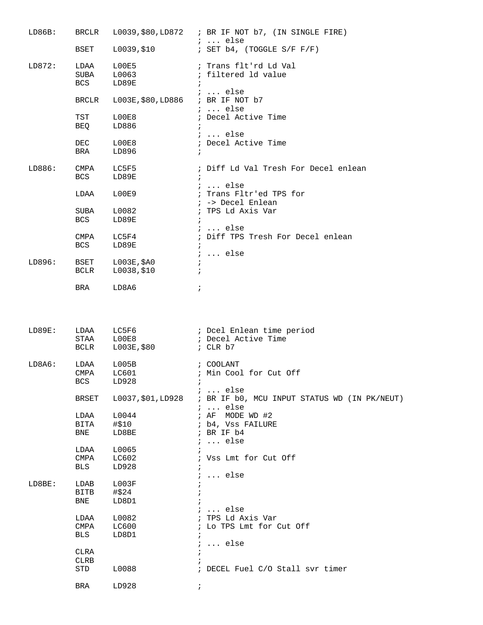| LD86B: | BRCLR        |                                   | $L0039$ , \$80, $LD872$ ; BR IF NOT b7, (IN SINGLE FIRE)        |
|--------|--------------|-----------------------------------|-----------------------------------------------------------------|
|        | BSET         | L0039,\$10                        | $: $ else<br>; SET $b4$ , (TOGGLE S/F F/F)                      |
| LD872: | LDAA         | L00E5                             | ; Trans flt'rd Ld Val                                           |
|        | SUBA         | L0063                             | ; filtered ld value                                             |
|        | BCS          | LD89E                             | $\ddot{i}$<br>$: $ else                                         |
|        | BRCLR        | L003E, \$80, LD886 ; BR IF NOT b7 |                                                                 |
|        | TST          | LOOE8                             | $i \ldots$ else<br>; Decel Active Time                          |
|        | BEQ          | LD886                             | $\ddot{i}$                                                      |
|        |              |                                   | $i \ldots$ else                                                 |
|        | <b>DEC</b>   | LOOE8                             | ; Decel Active Time                                             |
|        | BRA          | LD896                             | $\ddot{ }$                                                      |
| LD886: | CMPA         | LC5F5                             | ; Diff Ld Val Tresh For Decel enlean                            |
|        | BCS          | LD89E                             | $\ddot{i}$                                                      |
|        |              |                                   | $i \ldots$ else                                                 |
|        | LDAA         | L00E9                             | ; Trans Fltr'ed TPS for<br>; -> Decel Enlean                    |
|        | SUBA         | L0082                             | ; TPS Ld Axis Var                                               |
|        | BCS          | LD89E                             | $\ddot{i}$                                                      |
|        |              |                                   | $i \ldots$ else                                                 |
|        | CMPA         | LC5F4                             | ; Diff TPS Tresh For Decel enlean                               |
|        | BCS          | LD89E                             | $\ddot{ }$                                                      |
| LD896: | BSET         |                                   | $i \ldots$ else                                                 |
|        | BCLR         | L003E,\$A0<br>L0038,\$10          | $\ddot{i}$<br>$\ddot{i}$                                        |
|        |              |                                   |                                                                 |
|        | BRA          | LD8A6                             | $\ddot{ }$                                                      |
|        |              |                                   |                                                                 |
| LD89E: | LDAA<br>STAA | LC5F6<br>LOOE8                    | ; Dcel Enlean time period<br>; Decel Active Time                |
|        | BCLR         | L003E,\$80                        | ; CLR b7                                                        |
| LD8A6: | LDAA         | L005B                             | ; COOLANT                                                       |
|        | CMPA         | LC601                             | ; Min Cool for Cut Off                                          |
|        | <b>BCS</b>   | LD928                             |                                                                 |
|        | BRSET        | L0037,\$01,LD928                  | $i \ldots$ else<br>; BR IF b0, MCU INPUT STATUS WD (IN PK/NEUT) |
|        | LDAA         | L0044                             | $i \ldots$ else<br>; AF MODE WD #2                              |
|        | BITA         | #\$10                             | ; b4, Vss FAILURE                                               |
|        | BNE          | LD8BE                             | ; BR IF b4                                                      |
|        |              |                                   | $i \ldots$ else                                                 |
|        | LDAA         | L0065                             |                                                                 |
|        | CMPA<br>BLS  | LC602<br>LD928                    | ; Vss Lmt for Cut Off<br>$\ddot{ }$                             |
|        |              |                                   | $i \ldots$ else                                                 |
| LD8BE: | LDAB         | L003F                             |                                                                 |
|        | BITB         | #\$24                             |                                                                 |
|        | BNE          | LD8D1                             |                                                                 |
|        | LDAA         | L0082                             | $i \ldots$ else<br>; TPS Ld Axis Var                            |
|        | CMPA         | $L$ C $600$                       | ; Lo TPS Lmt for Cut Off                                        |
|        | BLS          | LD8D1                             | $\ddot{i}$                                                      |
|        |              |                                   | $i \ldots$ else                                                 |
|        | CLRA<br>CLRB |                                   | $\ddot{i}$                                                      |
|        | STD          | L0088                             | ; DECEL Fuel C/O Stall svr timer                                |
|        | BRA          | LD928                             |                                                                 |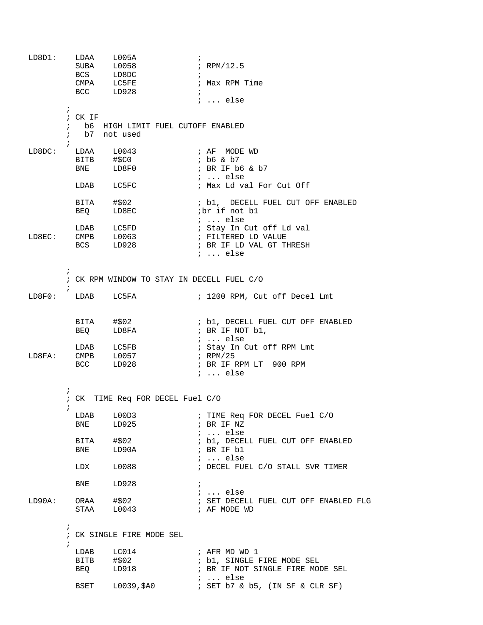| LDBDI: | LDAA<br>SUBA                                      | L005A<br>L0058<br>BCS LD8DC<br>CMPA LC5FE<br>BCC LD928 | $\ddot{i}$<br>; RPM/12.5<br>$\ddot{ }$<br>; Max RPM Time<br>$\ddot{i}$<br>$i \ldots$ else          |
|--------|---------------------------------------------------|--------------------------------------------------------|----------------------------------------------------------------------------------------------------|
|        | $\ddot{ }$<br>; CK IF<br>$\ddot{i}$<br>$\ddot{ }$ | b6 HIGH LIMIT FUEL CUTOFF ENABLED<br>b7 not used       |                                                                                                    |
| LD8DC: | BNE                                               | LDAA L0043<br>BITB #\$C0<br>LD8F0                      | ; AF MODE WD<br>; b6 & b7<br>; BR IF b6 & b7<br>$i \ldots$ else                                    |
|        | LDAB                                              | LC5FC                                                  | ; Max Ld val For Cut Off                                                                           |
|        | BITA<br>BEQ                                       | #\$02<br>LD8EC                                         | ; b1, DECELL FUEL CUT OFF ENABLED<br>ibr if not bl<br>$: $ else                                    |
| LD8EC: | <b>BCS</b>                                        | LDAB LC5FD<br>LD928                                    | ; Stay In Cut off Ld val<br>; BR IF LD VAL GT THRESH<br>$i$ else                                   |
|        | $\ddot{i}$<br>$\ddot{i}$                          | ; CK RPM WINDOW TO STAY IN DECELL FUEL C/O             |                                                                                                    |
| LD8F0: |                                                   | LDAB LC5FA                                             | ; 1200 RPM, Cut off Decel Lmt                                                                      |
|        | BEQ                                               | $BITA$ $\#$02$<br>LD8FA                                | ; b1, DECELL FUEL CUT OFF ENABLED<br>; BR IF NOT b1,<br>$i$ else                                   |
| LD8FA: | <b>BCC</b>                                        | LDAB LC5FB<br>CMPB L0057<br>LD928                      | ; Stay In Cut off RPM Lmt<br>; $RPM/25$<br>; BR IF RPM LT 900 RPM<br>$i \ldots$ else               |
|        | $\ddot{ }$                                        | ; CK TIME Req FOR DECEL Fuel C/O                       |                                                                                                    |
|        | LDAB<br>BNE                                       | L00D3<br>LD925                                         | ; TIME Req FOR DECEL Fuel C/O<br>; BR IF NZ<br>$i$ else                                            |
|        | BITA<br>BNE                                       | #\$02<br>LD90A                                         | ; b1, DECELL FUEL CUT OFF ENABLED<br>; BR IF b1                                                    |
|        | LDX                                               | L0088                                                  | $i \ldots$ else<br>; DECEL FUEL C/O STALL SVR TIMER                                                |
|        | BNE                                               | LD928                                                  | $\ddot{i}$                                                                                         |
| LD90A: | ORAA<br>STAA                                      | #\$02<br>L0043                                         | $i \ldots$ else<br>; SET DECELL FUEL CUT OFF ENABLED FLG<br>; AF MODE WD                           |
|        | $\ddot{i}$<br>$\ddot{i}$                          | ; CK SINGLE FIRE MODE SEL                              |                                                                                                    |
|        | LDAB<br><b>BITB</b>                               | LCO14<br>#\$02<br>BEQ LD918                            | ; AFR MD WD 1<br>; b1, SINGLE FIRE MODE SEL<br>; BR IF NOT SINGLE FIRE MODE SEL<br>$i \ldots$ else |
|        | BSET                                              | L0039,\$A0                                             | ; SET b7 & b5, (IN SF & CLR SF)                                                                    |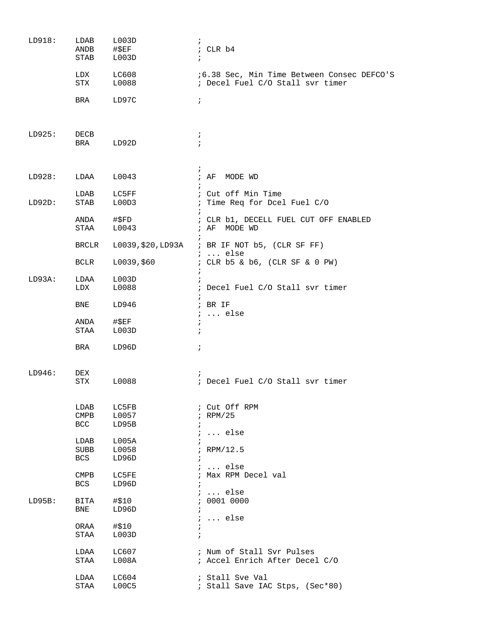| LD918: | LDAB<br>ANDB<br>STAB | L003D<br>$\#$ \$EF<br>L003D | $\ddot{i}$<br>; CLR b4<br>$\ddot{ }$                                                   |
|--------|----------------------|-----------------------------|----------------------------------------------------------------------------------------|
|        | LDX<br>STX           | LC608<br>L0088              | <i>i</i> 6.38 Sec, Min Time Between Consec DEFCO'S<br>; Decel Fuel C/O Stall svr timer |
|        | BRA                  | LD97C                       | $\ddot{i}$                                                                             |
| LD925: | DECB<br>BRA          | LD92D                       | $\ddot{ }$<br>$\ddot{i}$                                                               |
| LD928: | LDAA                 | L0043                       | $\ddot{ }$<br>; AF<br>MODE WD                                                          |
| LD92D: | LDAB<br>STAB         | LC5FF<br>L00D3              | ; Cut off Min Time<br>Time Req for Dcel Fuel C/O<br>$\ddot{i}$                         |
|        | ANDA<br>STAA         | #SFD<br>L0043               | ; CLR b1, DECELL FUEL CUT OFF ENABLED<br>; AF MODE WD                                  |
|        | <b>BRCLR</b>         | L0039, \$20, LD93A          | ; BR IF NOT b5, (CLR SF FF)                                                            |
|        | BCLR                 | L0039,\$60                  | $i \ldots$ else<br>; CLR b5 & b6, (CLR SF & 0 PW)<br>$\ddot{i}$                        |
| LD93A: | LDAA<br>LDX          | L003D<br>L0088              | ; Decel Fuel C/O Stall svr timer                                                       |
|        | BNE                  | LD946                       | $;$ BR IF                                                                              |
|        | ANDA<br>STAA         | #\$EF<br>L003D              | $i \ldots$ else<br>$\ddot{i}$<br>$\ddot{i}$                                            |
|        | BRA                  | LD96D                       | $\ddot{i}$                                                                             |
| LD946: | DEX<br>STX           | L0088                       | $\ddot{i}$<br>; Decel Fuel C/O Stall svr timer                                         |
|        | LDAB<br>CMPB<br>BCC  | LC5FB<br>L0057<br>LD95B     | ; Cut Off RPM<br>$i$ RPM/25<br>$\ddot{i}$                                              |
|        | LDAB<br>SUBB<br>BCS  | L005A<br>L0058<br>LD96D     | $i \ldots$ else<br>$\ddot{i}$<br>; RPM/12.5<br>$\ddot{i}$                              |
|        | <b>CMPB</b><br>BCS   | LC5FE<br>LD96D              | $i$ else<br>; Max RPM Decel val<br>$\ddot{i}$                                          |
| LD95B: | BITA<br><b>BNE</b>   | #\$10<br>LD96D              | $i \ldots$ else<br>: 0001 0000<br>$\ddot{i}$                                           |
|        | ORAA<br>STAA         | #\$10<br>L003D              | $i \ldots$ else<br>$\ddot{i}$<br>$\ddot{i}$                                            |
|        | LDAA<br>STAA         | LC607<br>L008A              | ; Num of Stall Svr Pulses<br>; Accel Enrich After Decel C/O                            |
|        | LDAA<br>STAA         | LC604<br>L00C5              | ; Stall Sve Val<br>; Stall Save IAC Stps, (Sec*80)                                     |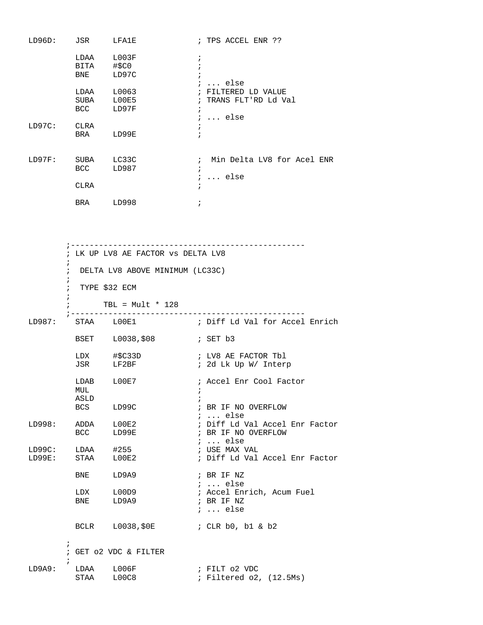| LD96D: JSR LFA1E  |                                               |                                                                                                                                 | ; TPS ACCEL ENR ??                                                          |
|-------------------|-----------------------------------------------|---------------------------------------------------------------------------------------------------------------------------------|-----------------------------------------------------------------------------|
|                   |                                               | LDAA L003F<br>BITA #\$C0<br>BNE LD97C                                                                                           | $\ddot{i}$<br>$i$ else                                                      |
|                   |                                               | LDAA L0063<br>SUBA L00E5<br>BCC LD97F                                                                                           | ; FILTERED LD VALUE<br>; TRANS FLT'RD Ld Val<br>$\ddot{i}$<br>$i$ else      |
| LD97C: CLRA       |                                               | BRA LD99E                                                                                                                       | $\ddot{i}$                                                                  |
| LD97F: SUBA LC33C | CLRA                                          | BCC LD987                                                                                                                       | ; Min Delta LV8 for Acel ENR<br>$\ddot{i}$<br>$i \ldots$ else<br>$\ddot{i}$ |
|                   |                                               | BRA LD998                                                                                                                       | $\cdot$                                                                     |
|                   | $\mathbf{r}$<br>i.<br>$:$ TYPE \$32 ECM<br>i. | ; LK UP LV8 AE FACTOR VS DELTA LV8<br>; DELTA LV8 ABOVE MINIMUM (LC33C)<br>TBL = $Mult * 128$<br>; ---------------------------- |                                                                             |
|                   |                                               |                                                                                                                                 |                                                                             |
|                   |                                               |                                                                                                                                 |                                                                             |
|                   |                                               | LDX #\$C33D<br>JSR LF2BF                                                                                                        | ; LV8 AE FACTOR Tbl<br>; 2d Lk Up W/ Interp                                 |
|                   | LDAB<br>MUL<br>ASLD                           | LOOE7                                                                                                                           | ; Accel Enr Cool Factor<br>i.                                               |
|                   | BCS                                           | LD99C                                                                                                                           | ; BR IF NO OVERFLOW<br>$\ldots$ else<br>$\ddot{i}$                          |
| LD998:            | ADDA<br>BCC                                   | L00E2<br>LD99E                                                                                                                  | ; Diff Ld Val Accel Enr Factor<br>; BR IF NO OVERFLOW<br>$i \ldots$ else    |
| LD99C:<br>LD99E:  | LDAA<br>STAA                                  | #255<br>LOOE2                                                                                                                   | ; USE MAX VAL<br>; Diff Ld Val Accel Enr Factor                             |

; Accel Enrich, Acum Fuel<br>; BR IF NZ

; ... else

; ... else

 $\mathcal{L}^{\text{max}}_{\text{max}}$ LD9A9: LDAA L006F ; FILT 02 VDC ; Filtered o2, (12.5Ms)

LDX L00D9<br>BNE LD9A9

; GET o2 VDC & FILTER

;

BNE LD9A9 ; BR IF NZ

BCLR L0038,\$0E ; CLR b0, b1 & b2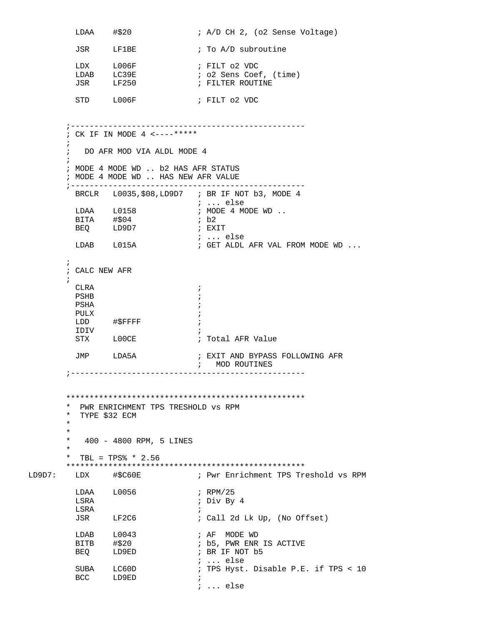```
LDAA #$20 ; A/D CH 2, (o2 Sense Voltage)
         JSR LF1BE : To A/D subroutine
         LDX L006F ; FILT 02 VDC
                              ; o2 Sens Coef, (time)<br>; FILTER ROUTINE
         LEM<br>LDAB LC39E<br>JSR LF250
         STD L006F ; FILT 02 VDC
        ;--------------------------------------------------
        ; CK IF IN MODE 4 <----*****
\mathcal{L}^{\text{max}} ; DO AFR MOD VIA ALDL MODE 4
\mathcal{L}^{\text{max}} ; MODE 4 MODE WD .. b2 HAS AFR STATUS
        ; MODE 4 MODE WD .. HAS NEW AFR VALUE
        ;--------------------------------------------------
         BRCLR L0035,$08,LD9D7 ; BR IF NOT b3, MODE 4
                                  ; ... else
                                ; MODE 4 MODE WD ..<br>; b2
BITA \# $04 ; b2
BEQ LD9D7 ; EXIT
         ; ... else
                                 ; GET ALDL AFR VAL FROM MODE WD ...
\mathcal{L}^{\text{max}} ; CALC NEW AFR 
\mathcal{L}^{\text{max}}CLRA \qquad \qquad ; PSHB ; 
         PSHA ; 
        PULX \qquad \qquad ;LDD #$FFFF ;
         IDIV ; 
                         ; Total AFR Value
         JMP LDA5A ; EXIT AND BYPASS FOLLOWING AFR 
                                 ; MOD ROUTINES 
        ;--------------------------------------------------
        ***************************************************
        * PWR ENRICHMENT TPS TRESHOLD vs RPM
        * TYPE $32 ECM
\star *
        * 400 - 4800 RPM, 5 LINES
\star * TBL = TPS% * 2.56
 ***************************************************
       LDX #$C60E ; Pwr Enrichment TPS Treshold vs RPM
         LDAA L0056 ; RPM/25 
          LSRA ; Div By 4 
         \begin{tabular}{lllll} \tt LSRA & & & & & & & \tt ; \\ \tt JSR & & & & \tt LF2C6 & & & & \tt ; \\ \end{tabular}; Call 2d Lk Up, (No Offset)
         LDAB L0043 ; AF MODE WD
         BITB #$20 ; b5, PWR ENR IS ACTIVE<br>BEQ LD9ED ; BR IF NOT b5
         BEQ LD9ED ; BR IF NOT b5
                                 ; ... else 
                                ; TPS Hyst. Disable P.E. if TPS < 10
         SUBA LC60D<br>BCC LD9ED
                                  ; ... else
```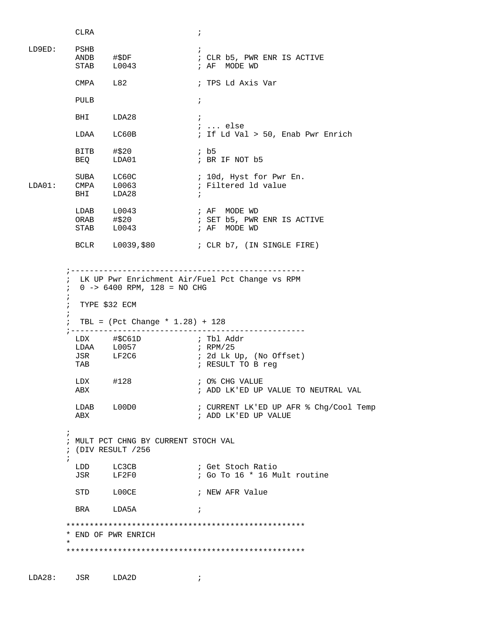```
CLRA \qquad \qquad ;LD9ED: PSHB<br>
ANDB #$DF ;<br>
STAB L0043 ;
        ANDB #$DF ; CLR b5, PWR ENR IS ACTIVE
        STAB L0043 ; AF MODE WD
         CMPA L82 ; TPS Ld Axis Var 
         PULB ; 
        BHI LDA28 ;
         ; ... else
                              ; If Ld Val > 50, Enab Pwr Enrich
         BITB #$20 ; b5
        BEQ LDA01 ; BR IF NOT b5
        SUBA LC60C ; 10d, Hyst for Pwr En.
LDA01: CMPA L0063 ; Filtered 1d value
         BHI LDA28 ; 
                            ; AF MODE WD
                              ; SET b5, PWR ENR IS ACTIVE<br>; AF  MODE WD
         STAB L0043 ; AF MODE WD
        BCLR    L0039, $80    ; CLR    b7, (IN SINGLE FIRE)
        ;--------------------------------------------------
        ; LK UP Pwr Enrichment Air/Fuel Pct Change vs RPM
        ; 0 -> 6400 RPM, 128 = NO CHG
\mathcal{L}^{\text{max}} ; TYPE $32 ECM
\mathcal{L}^{\text{max}} ; TBL = (Pct Change * 1.28) + 128
        ;--------------------------------------------------
         LDX #$C61D ; Tbl Addr 
        LDAA L0057 ; RPM/25
        JSR LF2C6 ; 2d Lk Up, (No Offset)<br>TAB ; RESULT TO B req
                              ; RESULT TO B req
        LDX #128 ; O% CHG VALUE<br>ABX ; ADD LK'ED UP
                               ; ADD LK'ED UP VALUE TO NEUTRAL VAL
         LDAB L00D0 ; CURRENT LK'ED UP AFR % Chg/Cool Temp 
         ABX ; ADD LK'ED UP VALUE 
\mathcal{L}^{\text{max}} ; MULT PCT CHNG BY CURRENT STOCH VAL
        ; (DIV RESULT /256
\mathcal{L}^{\text{max}}LDD LC3CB ; Get Stoch Ratio
         JSR LF2F0 ; Go To 16 * 16 Mult routine 
        STD LOOCE ; NEW AFR Value
        BRA LDA5A ;
        ***************************************************
        * END OF PWR ENRICH
\star ***************************************************
```
LDA28: JSR LDA2D ;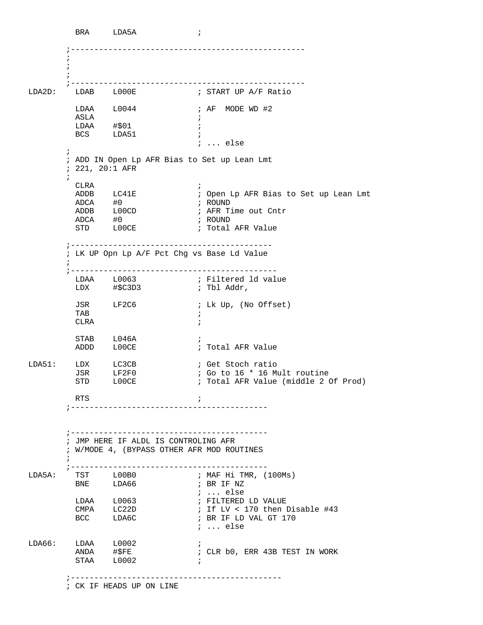BRA LDA5A ; ;--------------------------------------------------  $\mathcal{L}^{\text{max}}$  $\mathcal{L}^{\text{max}}$  $\mathcal{L}^{\text{max}}$  ;-------------------------------------------------- ; START UP A/F Ratio  $LDAA \qquad L0044 \qquad \qquad ; AF \quad MODE \quad WD \quad \sharp 2$  ASLA ; LDAA #\$01 ; BCS LDA51 ; ; ... else ; ; ADD IN Open Lp AFR Bias to Set up Lean Lmt ; 221, 20:1 AFR  $\mathcal{L}^{\text{max}}$  CLRA ; ; Open Lp AFR Bias to Set up Lean Lmt ADCA #0 ; ROUND L00CD ; AFR Time out Cntr<br>#0 ; ROUND ADCA #0 ; ROUND<br>STD LOOCE ; Total STD LOOCE ; Total AFR Value ;------------------------------------------- ; LK UP Opn Lp A/F Pct Chg vs Base Ld Value  $\mathcal{L}^{\text{max}}$  ;-------------------------------------------- LDAA L0063 ; Filtered ld value ; Tbl Addr, JSR LF2C6 ; Lk Up, (No Offset) TAB  $\qquad \qquad ;$ CLRA  $\qquad \qquad ;$ STAB L046A ; ADDD L00CE : Total AFR Value LDA51: LDX LC3CB ; Get Stoch ratio JSR LF2F0 ; Go to 16 \* 16 Mult routine STD LOOCE : Total AFR Value (middle 2 Of Prod) RTS  $\qquad \qquad ;$  ;------------------------------------------ ;------------------------------------------ ; JMP HERE IF ALDL IS CONTROLING AFR ; W/MODE 4, (BYPASS OTHER AFR MOD ROUTINES  $\mathcal{L}^{\text{max}}$  ;------------------------------------------ ; MAF Hi TMR, (100Ms) BNE LDA66 ; BR IF NZ  $\begin{tabular}{lllll} \multicolumn{2}{l}{{\small\textrm{LDA}}} & \multicolumn{2}{l}{\small\textrm{LODA}} & \multicolumn{2}{l}{\small\textrm{LODA}} & \multicolumn{2}{l}{\small\textrm{LODA}} & \multicolumn{2}{l}{\small\textrm{LODA}} & \multicolumn{2}{l}{\small\textrm{LODA}} & \multicolumn{2}{l}{\small\textrm{LODA}} & \multicolumn{2}{l}{\small\textrm{LODA}} & \multicolumn{2}{l}{\small\textrm{LODA}} & \multicolumn{2}{l}{\small\textrm{LODA}} & \multicolumn{2}{l}{\small$ ; FILTERED LD VALUE CMPA LC22D ; If LV < 170 then Disable #43<br>BCC LDA6C ; BR IF LD VAL GT 170 ; BR IF LD VAL GT 170 ; ... else  $\begin{tabular}{lllllll} \multicolumn{2}{l}{{\bf LDA66:} & $\bf{LDAA}$ & $\bf{L0002}$ & } & \multicolumn{2}{l}{\bf \end{tabular}}\; ;$ ; CLR b0, ERR 43B TEST IN WORK STAA L0002 ; ;--------------------------------------------- ; CK IF HEADS UP ON LINE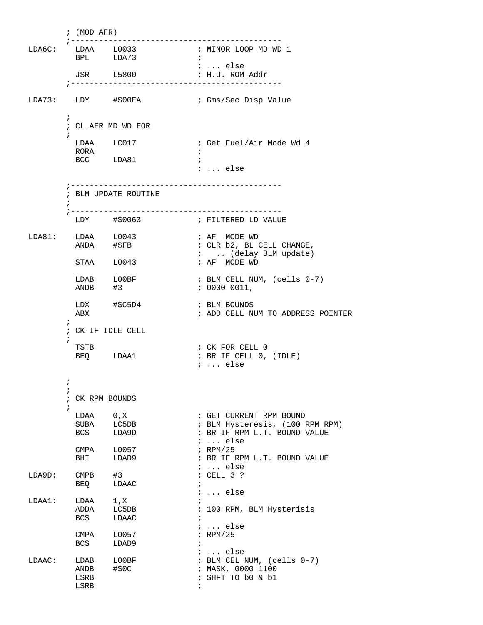; (MOD AFR) ;--------------------------------------------- ------------------<br>; MINOR LOOP MD WD 1<br>; LDAA L0033<br>BPL LDA73 ; ... else JSR L5800 ; H.U. ROM Addr ;--------------------------------------------- LDA73: LDY #\$00EA ; Gms/Sec Disp Value  $\mathcal{L}^{\text{max}}$  ; CL AFR MD WD FOR  $\mathcal{L}^{\text{max}}$ LDAA LC017 ; Get Fuel/Air Mode Wd 4 RORA  $\qquad \qquad ;$ BCC LDA81 ; ; ... else ;--------------------------------------------- ; BLM UPDATE ROUTINE  $\mathcal{L}^{\text{max}}$  ;--------------------------------------------- ; FILTERED LD VALUE LDA81: LDAA L0043 ; AF MODE WD ANDA #\$FB ; CLR b2, BL CELL CHANGE, ; .. (delay BLM update)<br>; AF MODE WD  $STAA$   $L0043$ LDAB L00BF ; BLM CELL NUM, (cells 0-7) ANDB #3 ; 0000 0011, LDX #\$C5D4 ; BLM BOUNDS ABX ; ADD CELL NUM TO ADDRESS POINTER  $\mathcal{L}^{\text{max}}$  ; CK IF IDLE CELL  $\mathcal{L}^{\text{max}}$ TSTB ; CK FOR CELL 0 BEQ LDAA1 ; BR IF CELL 0, (IDLE) ; ... else  $\mathcal{L}^{\text{max}}$  $\mathcal{L}^{\text{max}}$  ; CK RPM BOUNDS  $\mathcal{L}^{\text{max}}_{\text{max}}$ LDAA 0,X ; GET CURRENT RPM BOUND<br>
SUBA LC5DB ; BLM Hysteresis, (100 POC 1.049D ; BR IF RPM L.T. BOUND ; BLM Hysteresis, (100 RPM RPM) ; BR IF RPM L.T. BOUND VALUE ; ... else CMPA L0057 ; RPM/25<br>BHI LDAD9 ; BR IF ; BR IF RPM L.T. BOUND VALUE ; ... else<br>; CELL 3 ?  $LDA9D:$   $CMPB$   $#3$ BEQ LDAAC ; ; ... else LDAA1: LDAA 1, X ;<br>ADDA LC5DB ; ADDA LC5DB ; 100 RPM, BLM Hysterisis<br>BCS LDAAC ; LDAAC ; ; ... else<br>; RPM/25 CMPA L0057<br>BCS LDAD9 LDAD9  $\texttt{LDAAC:} \qquad \texttt{LDAB} \qquad \texttt{LO0BF} \qquad \qquad \begin{array}{ccc} \texttt{;} & \texttt{...} & \texttt{else} \\ \texttt{;} & \texttt{DLAC:} & \texttt{...} & \texttt{...} \end{array}$ LDAB L00BF ; BLM CEL NUM, (cells 0-7)<br>ANDB #\$0C ; MASK, 0000 1100 ANDB #\$0C ; MASK, 0000 1100<br>LSRB ; SHFT TO b0 & b1 ; SHFT TO b0 & b1 LSRB ;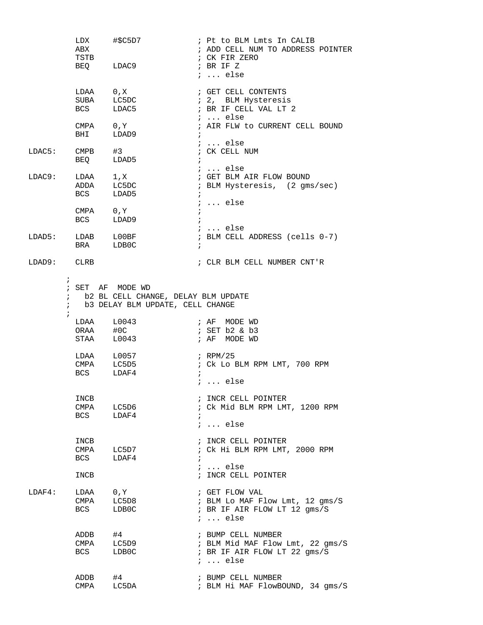|                                        | ABX<br>TSTB                | LDX #\$C5D7<br>BEQ LDAC9                                                                    | ; Pt to BLM Lmts In CALIB<br>; ADD CELL NUM TO ADDRESS POINTER<br>; CK FIR ZERO<br>; BR IF Z<br>$i$ else  |
|----------------------------------------|----------------------------|---------------------------------------------------------------------------------------------|-----------------------------------------------------------------------------------------------------------|
|                                        | LDAA 0, X                  | SUBA LC5DC<br>BCS LDAC5                                                                     | ; GET CELL CONTENTS<br>; 2, BLM Hysteresis<br>; BR IF CELL VAL LT 2<br><i>;</i> else                      |
|                                        | CMPA 0, Y<br><b>BHI</b>    | LDAD9                                                                                       | ; AIR FLW to CURRENT CELL BOUND<br>$\ddot{i}$                                                             |
| LDAC5: CMPB #3                         |                            | BEQ LDAD5                                                                                   | ;  else<br>; CK CELL NUM<br>$\ddot{i}$                                                                    |
| LDAC9:                                 | LDAA 1,X<br>ADDA LC5DC     | BCS LDAD5                                                                                   | ;  else<br>; GET BLM AIR FLOW BOUND<br>; BLM Hysteresis, (2 gms/sec)<br>$i \ldots$ else                   |
|                                        | CMPA $0, Y$<br><b>BCS</b>  | LDAD9                                                                                       |                                                                                                           |
|                                        | BRA LDB0C                  | LDAD5: LDAB L00BF                                                                           | $\ldots$ else<br>; BLM CELL ADDRESS (cells 0-7)<br>$\ddot{i}$                                             |
| LDAD9: CLRB                            |                            |                                                                                             | ; CLR BLM CELL NUMBER CNT'R                                                                               |
| $\ddot{i}$<br>$\ddot{ }$<br>$\ddot{i}$ | $\ddot{i}$                 | ; SET AF MODE WD<br>b2 BL CELL CHANGE, DELAY BLM UPDATE<br>b3 DELAY BLM UPDATE, CELL CHANGE |                                                                                                           |
|                                        |                            | $LDAA$ $L0043$<br>ORAA #0C<br>STAA L0043                                                    | ; AF MODE WD<br>; SET b2 & b3<br>; AF MODE WD                                                             |
|                                        | BCS LDAF4                  | LDAA L0057<br>CMPA LC5D5                                                                    | ; RPM/25<br>; Ck Lo BLM RPM LMT, 700 RPM<br>$\ddot{i}$<br>$i$ else                                        |
|                                        | INCB<br>CMPA<br><b>BCS</b> | LC5D6<br>LDAF4                                                                              | ; INCR CELL POINTER<br>; Ck Mid BLM RPM LMT, 1200 RPM<br>$\ddot{ }$<br>$i \ldots$ else                    |
|                                        | INCB<br>CMPA<br><b>BCS</b> | LC5D7<br>LDAF4                                                                              | ; INCR CELL POINTER<br>; Ck Hi BLM RPM LMT, 2000 RPM<br>$\ddot{i}$<br>$i \ldots$ else                     |
|                                        | INCB                       |                                                                                             | ; INCR CELL POINTER                                                                                       |
| LDAF4:                                 | LDAA<br>CMPA<br><b>BCS</b> | 0, Y<br>LC5D8<br>LDB0C                                                                      | ; GET FLOW VAL<br>; BLM Lo MAF Flow Lmt, 12 gms/S<br>; BR IF AIR FLOW LT 12 gms/S<br>$i \ldots$ else      |
|                                        | ADDB<br>CMPA<br>BCS        | #4<br>LC5D9<br>LDB0C                                                                        | ; BUMP CELL NUMBER<br>; BLM Mid MAF Flow Lmt, 22 gms/S<br>; BR IF AIR FLOW LT 22 gms/S<br>$i \ldots$ else |
|                                        | ADDB<br>CMPA               | #4<br>LC5DA                                                                                 | ; BUMP CELL NUMBER<br>; BLM Hi MAF FlowBOUND, 34 gms/S                                                    |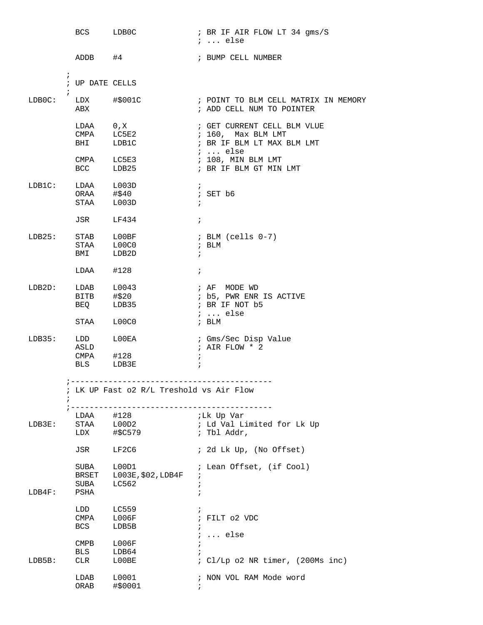|                   | BCS LDB0C                                     |                                          |                          | ; BR IF AIR FLOW LT 34 gms/S<br>$i \ldots$ else                                                                  |
|-------------------|-----------------------------------------------|------------------------------------------|--------------------------|------------------------------------------------------------------------------------------------------------------|
|                   | ADDB #4                                       |                                          |                          | ; BUMP CELL NUMBER                                                                                               |
| $\ddot{i}$        | $\ddot{i}$<br>; UP DATE CELLS                 |                                          |                          |                                                                                                                  |
| LDB0C:            | $LDX$ $\#$ \$001C<br>ABX                      |                                          |                          | ; POINT TO BLM CELL MATRIX IN MEMORY<br>; ADD CELL NUM TO POINTER                                                |
|                   | LDAA 0, X<br>CMPA LC5E3                       | CMPA LC5E2<br>BHI LDB1C                  |                          | ; GET CURRENT CELL BLM VLUE<br>; 160, Max BLM LMT<br>; BR IF BLM LT MAX BLM LMT<br>;  else<br>; 108, MIN BLM LMT |
| LDB1C:            | BCC LDB25<br>LDAA L003D<br>ORAA #\$40         |                                          | $\ddot{i}$               | ; BR IF BLM GT MIN LMT<br>$;$ SET $b6$                                                                           |
|                   | STAA L003D<br>JSR LF434                       |                                          | $\ddot{i}$<br>$\ddot{i}$ |                                                                                                                  |
| LDB25: STAB L00BF | STAA L00C0<br>BMI LDB2D                       |                                          |                          | ; BLM (cells 0-7)<br>; BLM<br>$\mathbf{i}$                                                                       |
|                   | $LDAA$ #128                                   |                                          | $\ddot{ }$               |                                                                                                                  |
| $LDB2D$ :         | LDAB L0043<br>BITB #\$20<br>BEQ LDB35         |                                          |                          | ; AF MODE WD<br>; b5, PWR ENR IS ACTIVE<br>; BR IF NOT b5<br>$i \ldots$ else                                     |
|                   | STAA L00C0                                    |                                          |                          | ; BLM                                                                                                            |
| LDB35:            | LDD<br>ASLD<br>CMPA #128<br>BLS LDB3E         | ${\tt LOOEA}$                            | $\ddot{i}$<br>$\ddot{i}$ | ; Gms/Sec Disp Value<br>; AIR FLOW * 2                                                                           |
|                   |                                               | ; LK UP Fast o2 R/L Treshold vs Air Flow |                          |                                                                                                                  |
| LDB3E:            | $\frac{1}{2}$ - - - - -<br>LDAA<br>STAA L00D2 | #128                                     |                          | ;Lk Up Var<br>; Ld Val Limited for Lk Up<br>; Tbl Addr,                                                          |
|                   |                                               | JSR LF2C6                                |                          | ; 2d Lk Up, (No Offset)                                                                                          |
| LDB4F:            | SUBA L00D1<br>SUBA<br>PSHA                    | BRSET L003E, \$02, LDB4F<br>LC562        | $\ddot{i}$<br>$\ddot{i}$ | ; Lean Offset, (if Cool)                                                                                         |
|                   | LDD<br>$CMPA$ $L006F$<br><b>BCS</b>           | LC559<br>LDB5B                           | $\ddot{i}$               | ; FILT 02 VDC<br>$i \ldots$ else                                                                                 |
| LDB5B:            | CMPB L006F<br>BLS<br>CLR                      | LDB64<br>${\tt LOOBE}$                   | $\ddot{i}$<br>$\ddot{i}$ | ; Cl/Lp o2 NR timer, (200Ms inc)                                                                                 |
|                   | LDAB<br>ORAB                                  | L0001<br>#\$0001                         |                          | ; NON VOL RAM Mode word                                                                                          |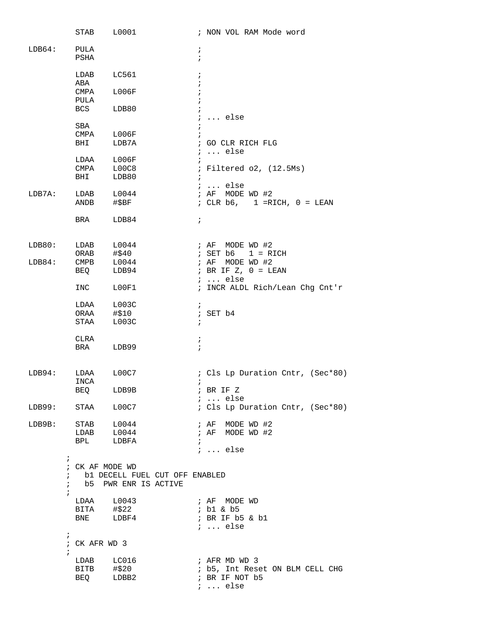|        | STAB                                      | L0001                  |                                  | ; NON VOL RAM Mode word                                   |
|--------|-------------------------------------------|------------------------|----------------------------------|-----------------------------------------------------------|
| LDB64: | PULA<br><b>PSHA</b>                       |                        | $\ddot{i}$<br>$\ddot{ }$         |                                                           |
|        | LDAB<br>ABA                               | LC561                  | $\ddot{ }$                       |                                                           |
|        | CMPA<br>PULA                              | L006F                  |                                  |                                                           |
|        | BCS                                       | LDB80                  |                                  | $i \ldots$ else                                           |
|        | SBA                                       |                        |                                  |                                                           |
|        | CMPA<br>BHI                               | L006F<br>LDB7A         |                                  | ; GO CLR RICH FLG<br>$i \ldots$ else                      |
|        | LDAA                                      | L006F                  | $\ddot{i}$                       |                                                           |
|        | CMPA<br>BHI                               | L00C8<br>LDB80         |                                  | ; Filtered o2, (12.5Ms)                                   |
|        |                                           |                        |                                  | $i$ else                                                  |
| LDB7A: | LDAB<br>ANDB                              | L0044<br>#\$BF         |                                  | ; $AF$<br>MODE WD #2<br>; CLR $b6$ , 1 = RICH, $0 = LEAN$ |
|        | BRA                                       | LDB84                  | $\ddot{i}$                       |                                                           |
| LDB80: | LDAB                                      | L0044                  |                                  | MODE WD #2<br>; $AF$                                      |
|        | ORAB                                      | #\$40                  |                                  | ; SET b6<br>$1 = RICH$                                    |
| LDB84: | CMPB                                      | L0044                  | ; AF                             | MODE WD #2                                                |
|        | BEQ                                       | LDB94                  |                                  | ; BR IF $Z$ , $0 = LEAN$<br>$i \ldots$ else               |
|        | INC                                       | LOOF1                  |                                  | ; INCR ALDL Rich/Lean Chg Cnt'r                           |
|        | LDAA                                      | LOO3C                  | $\ddot{i}$                       |                                                           |
|        | ORAA<br>STAA                              | #\$10<br>LOO3C         | $\ddot{i}$                       | $;$ SET $b4$                                              |
|        |                                           |                        |                                  |                                                           |
|        | CLRA                                      |                        | ï<br>$\ddot{i}$                  |                                                           |
|        | BRA                                       | LDB99                  |                                  |                                                           |
| LDB94: | LDAA<br>INCA                              | L00C7                  |                                  | : Cls Lp Duration Cntr, (Sec*80)                          |
|        | BEQ                                       | LDB9B                  |                                  | ; BR IF Z                                                 |
|        | LDB99: STAA                               | L00C7                  |                                  | $i \ldots$ else<br>: Cls Lp Duration Cntr, (Sec*80)       |
|        |                                           |                        |                                  |                                                           |
| LDB9B: |                                           | STAB L0044             |                                  | ; AF MODE WD #2<br>; AF MODE WD #2                        |
|        | <b>BPL</b>                                | LDAB L0044<br>LDBFA    | $\ddot{i}$                       |                                                           |
|        |                                           |                        |                                  | $i \ldots$ else                                           |
|        | $\ddot{ }$<br>; CK AF MODE WD             |                        |                                  |                                                           |
|        | $\ddot{i}$                                | ; b5 PWR ENR IS ACTIVE | ; b1 DECELL FUEL CUT OFF ENABLED |                                                           |
|        | LDAA                                      | L0043                  |                                  | ; AF MODE WD                                              |
|        |                                           | BITA #\$22             |                                  | ; b1 & b5                                                 |
|        | <b>BNE</b>                                | LDBF4                  |                                  | ; BR IF b5 & b1<br>$i \ldots$ else                        |
|        | $\ddot{i}$<br>; CK AFR WD 3<br>$\ddot{i}$ |                        |                                  |                                                           |
|        |                                           | LDAB LC016             |                                  | ; AFR MD WD 3                                             |
|        | BITB $\#20$                               |                        |                                  | ; b5, Int Reset ON BLM CELL CHG                           |
|        |                                           | BEQ LDBB2              |                                  | ; BR IF NOT b5<br>$i \ldots$ else                         |
|        |                                           |                        |                                  |                                                           |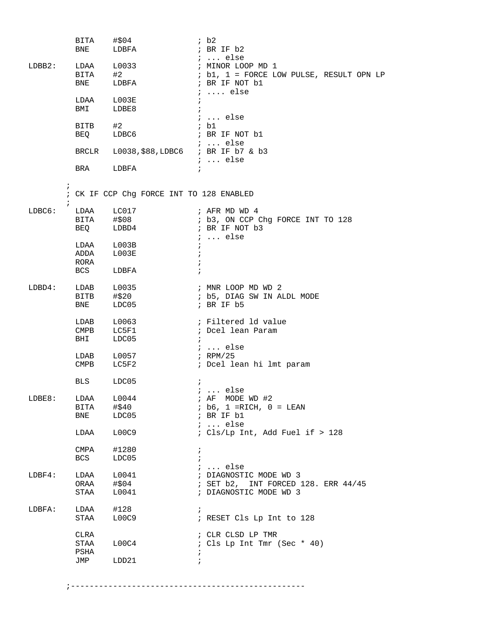|                          | BITA #\$04                       | BNE LDBFA                                | ib2<br>; BR IF b2                                                                                          |
|--------------------------|----------------------------------|------------------------------------------|------------------------------------------------------------------------------------------------------------|
| $LDBB2$ :                | BITA #2<br><b>BNE</b>            | LDAA L0033<br>LDBFA                      | $\cdots$ else<br>; MINOR LOOP MD 1<br>; b1, 1 = FORCE LOW PULSE, RESULT OPN LP<br>; BR IF NOT b1           |
|                          | LDAA L003E<br>BMI                | LDBE8                                    | $i \ldots$ else<br>$\ddot{ }$                                                                              |
|                          |                                  |                                          | $i \ldots$ else<br>; b1                                                                                    |
|                          |                                  | BITB #2<br>BEQ LDBC6                     | ; BR IF NOT b1                                                                                             |
|                          |                                  | BRCLR L0038, \$88, LDBC6 ; BR IF b7 & b3 | ;  else<br>$i$ else                                                                                        |
|                          |                                  | BRA LDBFA                                |                                                                                                            |
| $\ddot{i}$<br>$\ddot{ }$ |                                  | ; CK IF CCP Chg FORCE INT TO 128 ENABLED |                                                                                                            |
| LDBC6:                   |                                  | LDAA LC017<br>BITA #\$08<br>BEQ LDBD4    | ; AFR MD WD 4<br>; b3, ON CCP Chg FORCE INT TO 128<br>; BR IF NOT b3<br>$i \ldots$ else                    |
|                          | LDAA L003B<br>ADDA L003E<br>RORA |                                          | $\ddot{i}$                                                                                                 |
|                          | <b>BCS</b>                       | LDBFA                                    |                                                                                                            |
| $LDBD4$ :                |                                  | LDAB L0035<br>BITB #\$20<br>BNE LDC05    | ; MNR LOOP MD WD 2<br>; b5, DIAG SW IN ALDL MODE<br>; BR IF $b5$                                           |
|                          | $\texttt{CMPB}$<br>BHI           | LDAB L0063<br>LC5F1<br>LDC05             | ; Filtered 1d value<br>; Dcel lean Param<br>$\ddot{i}$                                                     |
|                          | CMPB                             | $LDAB$ $L0057$<br>LC5F2                  | ; $\ldots$ else<br>; RPM/25<br>; Dcel lean hi lmt param                                                    |
|                          | <b>BLS</b>                       | LDC05                                    | $\ddot{ }$                                                                                                 |
| LDEB:                    | LDAA                             | L0044                                    | $i \ldots$ else<br>MODE WD #2<br>; $AF$                                                                    |
|                          | BITA                             | #\$40                                    | $ib6, 1 = RICH, 0 = LERN$                                                                                  |
|                          | BNE                              | LDC05                                    | ; BR IF b1<br>$i \ldots$ else                                                                              |
|                          | LDAA                             | L00C9                                    | ; Cls/Lp Int, Add Fuel if > 128                                                                            |
|                          | CMPA<br>BCS                      | #1280<br>LDC05                           | $\ddot{i}$                                                                                                 |
| $L$ $DBF$ $4$ :          | LDAA<br>ORAA<br>STAA             | L0041<br>#\$04<br>L0041                  | $i \ldots$ else<br>; DIAGNOSTIC MODE WD 3<br>; SET b2, INT FORCED 128. ERR 44/45<br>; DIAGNOSTIC MODE WD 3 |
| LDBFA:                   | LDAA<br>STAA                     | #128<br>L00C9                            | $\ddot{ }$<br>; RESET Cls Lp Int to 128                                                                    |
|                          | CLRA<br>STAA<br>PSHA             | L00C4                                    | ; CLR CLSD LP TMR<br>; Cls Lp Int Tmr (Sec * 40)<br>$\ddot{ }$                                             |
|                          | JMP                              | LDD21                                    | $\ddot{i}$                                                                                                 |

;--------------------------------------------------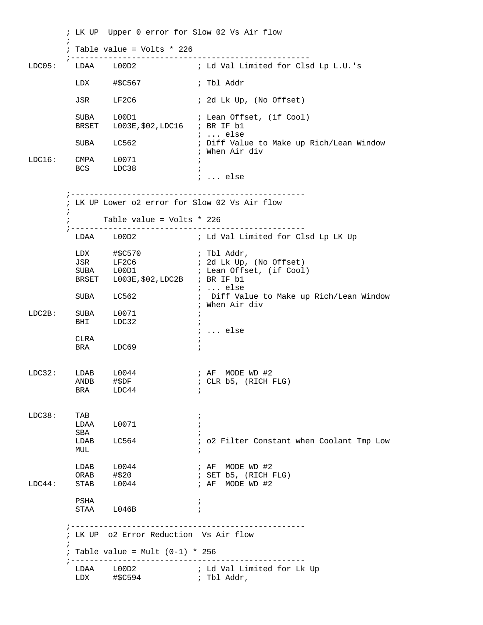; LK UP Upper 0 error for Slow 02 Vs Air flow  $\mathcal{L}^{\text{max}}_{\text{max}}$  ; Table value = Volts \* 226 ;--------------------------------------------------- LDC05: LDAA L00D2 ; Ld Val Limited for Clsd Lp L.U.'s LDX #\$C567 ; Tbl Addr JSR LF2C6 ; 2d Lk Up, (No Offset) SUBA L00D1 ; Lean Offset, (if Cool) BRSET L003E,\$02,LDC16 ; BR IF b1 ; ... else SUBA LC562 : Diff Value to Make up Rich/Lean Window ; When Air div LDC16: CMPA L0071 ; BCS LDC38 ; ; ... else ;-------------------------------------------------- ; LK UP Lower o2 error for Slow 02 Vs Air flow  $\mathcal{L}^{\text{max}}_{\text{max}}$  ; Table value = Volts \* 226 ;-------------------------------------------------- ; Ld Val Limited for Clsd Lp LK Up  $LDX$   $\#$ \$C570 ; Tbl Addr, JSR LF2C6 ; 2d Lk Up, (No Offset) SUBA L00D1 ; Lean Offset, (if Cool) BRSET L003E,\$02,LDC2B ; BR IF b1 ; ... else SUBA LC562 ; Diff Value to Make up Rich/Lean Window ; When Air div LDC2B: SUBA L0071 ; BHI LDC32 ; ; ... else CLRA  $\qquad \qquad ;$ BRA LDC69 ; LDC32: LDAB L0044 ; AF MODE WD #2<br>ANDB #\$DF ; CLR b5, (RICH I ANDB  $\# \xi DF$  ; CLR b5, (RICH FLG)<br>BRA LDC44 ;  $LDC44$  ; LDC38: TAB ; LDAA L0071 ; SBA ; LDAB LC564 : o2 Filter Constant when Coolant Tmp Low MUL  $\,$  $LDAB$   $L0044$  ; AF MODE WD #2 ORAB #\$20 ; SET b5, (RICH FLG)  $\texttt{LDC44}: \qquad \texttt{STAB} \qquad \texttt{LO044} \qquad \qquad \texttt{i AF} \quad \texttt{MODE WD} \; \texttt{\#2}$  PSHA ; STAA L046B ; ;-------------------------------------------------- ; LK UP o2 Error Reduction Vs Air flow  $\mathcal{L}^{\text{max}}_{\text{max}}$  $:$  Table value = Mult  $(0-1)$  \* 256 ;-------------------------------------------------- LDAA L00D2 ; Ld Val Limited for Lk Up  $LDX$   $\#$ \$C594 ; Tbl Addr,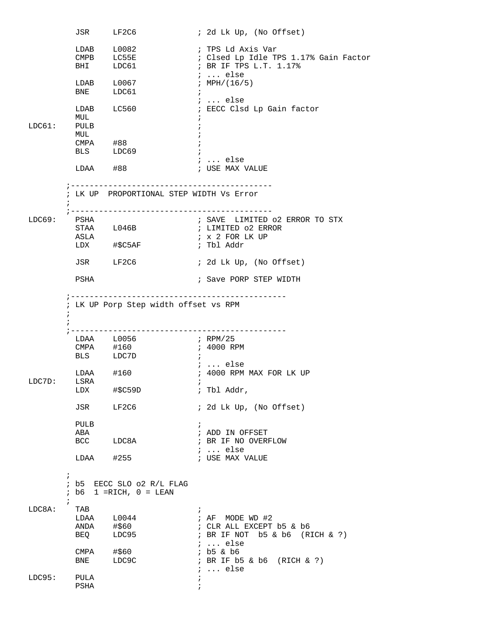|            | JSR LF2C6                 |                                                         | ; 2d Lk Up, (No Offset)                                                                                              |
|------------|---------------------------|---------------------------------------------------------|----------------------------------------------------------------------------------------------------------------------|
|            |                           | LDAB L0082<br>CMPB LC55E<br>BHI LDC61                   | ; TPS Ld Axis Var<br>; Clsed Lp Idle TPS 1.17% Gain Factor<br>; BR IF TPS L.T. 1.17%<br>;  else                      |
|            | BNE LDC61                 | $LDAB$ $L0067$                                          | ; MPH/(16/5)<br>$\ddot{i}$                                                                                           |
| LDC61:     | MUL<br>PULB<br>MUL        | LDAB LC560                                              | $i \ldots$ else<br>; EECC Clsd Lp Gain factor                                                                        |
|            | $CMPA$ #88                | BLS LDC69                                               | ;  else                                                                                                              |
|            | $LDAA$ #88<br>; --------- |                                                         | ; USE MAX VALUE                                                                                                      |
|            | $\ddot{i}$                | ; LK UP PROPORTIONAL STEP WIDTH Vs Error                |                                                                                                                      |
| LDCG9:     | PSHA<br>ASLA              | STAA L046B<br>LDX #\$C5AF                               | ; SAVE LIMITED 02 ERROR TO STX<br>; LIMITED 02 ERROR<br>; x 2 FOR LK UP<br>; Tbl Addr                                |
|            |                           |                                                         |                                                                                                                      |
|            | JSR LF2C6<br>PSHA         |                                                         | ; 2d Lk Up, (No Offset)<br>; Save PORP STEP WIDTH                                                                    |
|            |                           |                                                         |                                                                                                                      |
| $\ddot{i}$ |                           | ; LK UP Porp Step width offset vs RPM                   |                                                                                                                      |
|            |                           | LDAA L0056<br>CMPA #160<br>BLS LDC7D                    | $\mathcal{F}$ RPM/25<br>; 4000 RPM                                                                                   |
| LDC7D:     | LDAA #160<br>LSRA         | LDX #\$C59D                                             | <i>;</i> else<br>; 4000 RPM MAX FOR LK UP<br>$\mathbf{r}$<br>; Tbl Addr,                                             |
|            |                           | JSR LF2C6                                               | ; 2d Lk Up, (No Offset)                                                                                              |
|            | PULB<br>ABA               | BCC LDC8A                                               | $\ddot{i}$<br>; ADD IN OFFSET<br>; BR IF NO OVERFLOW                                                                 |
|            | $LDAA$ #255               |                                                         | ;  else<br>; USE MAX VALUE                                                                                           |
| $\ddot{i}$ | $\mathbf{i}$              | ; b5 EECC SLO o2 R/L FLAG<br>$ib6$ 1 = RICH, $0 = LEAN$ |                                                                                                                      |
| LDC8A:     | TAB<br>ANDA #\$60<br>BEQ  | LDAA L0044<br>LDC95                                     | $\ddot{i}$<br>; AF MODE WD #2<br>; CLR ALL EXCEPT b5 & b6<br>; BR IF NOT $b5 & b6$ (RICH $\& ?$ )<br>$i \ldots$ else |
|            | CMPA #\$60                | BNE LDC9C                                               | ; b5 & b6<br>; BR IF b5 & b6 (RICH & ?)                                                                              |
| LDC95:     | PULA<br>PSHA              |                                                         | $i \ldots$ else<br>$\ddot{i}$<br>$\ddot{i}$                                                                          |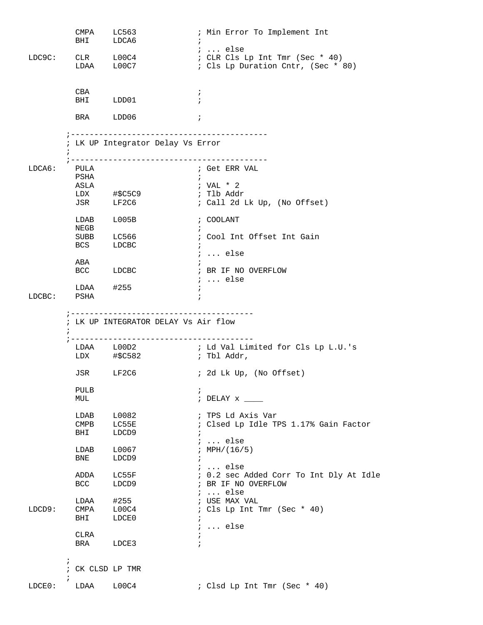|        | CMPA<br>BHI              | LC563<br>LDCA6          | ; Min Error To Implement Int                                                             |
|--------|--------------------------|-------------------------|------------------------------------------------------------------------------------------|
| LDC9C: |                          | CLR L00C4<br>LDAA L00C7 | $i \ldots$ else<br>: CLR Cls Lp Int Tmr (Sec * 40)<br>: Cls Lp Duration Cntr, (Sec * 80) |
|        | CBA                      | BHI LDD01               | $\ddot{i}$<br>$\ddot{i}$                                                                 |
|        |                          | BRA LDD06               | $\cdot$ ;                                                                                |
|        | $\ddot{ }$               |                         | ; LK UP Integrator Delay Vs Error                                                        |
| LDCAG: | PULA                     |                         | ; Get ERR VAL                                                                            |
|        | PSHA                     |                         | $\ddot{i}$                                                                               |
|        | ASLA                     |                         | ; VAL $*$ 2                                                                              |
|        |                          | LDX #\$C5C9             | ; Tlb Addr                                                                               |
|        | JSR                      | LF2C6                   | ; Call 2d Lk Up, (No Offset)                                                             |
|        | NEGB                     | LDAB L005B              | ; COOLANT<br>$\ddot{i}$                                                                  |
|        |                          | SUBB LC566              | ; Cool Int Offset Int Gain                                                               |
|        | <b>BCS</b>               | LDCBC                   | $\ddot{i}$                                                                               |
|        |                          |                         | $i \ldots$ else                                                                          |
|        | ABA                      |                         |                                                                                          |
|        |                          | BCC LDCBC               | ; BR IF NO OVERFLOW                                                                      |
|        |                          |                         | $i \ldots$ else                                                                          |
| LDCBC: | PSHA                     | $LDAA$ #255             | $\ddot{i}$<br>$\ddot{i}$                                                                 |
|        | $\ddot{i}$               |                         | ; LK UP INTEGRATOR DELAY Vs Air flow                                                     |
|        |                          |                         | LDAA L00D2 : Ld Val Limited for Cls Lp L.U.'s<br>; Tbl Addr,                             |
|        |                          | JSR LF2C6               | ; 2d Lk Up, (No Offset)                                                                  |
|        | PULB                     |                         | $\ddot{ }$                                                                               |
|        | MUL                      |                         | $:$ DELAY $x$ ____                                                                       |
|        | LDAB                     | L0082                   | ; TPS Ld Axis Var                                                                        |
|        | $\mathop{\mathrm{CMPB}}$ | LC55E                   | : Clsed Lp Idle TPS 1.17% Gain Factor                                                    |
|        | BHI                      | LDCD9                   | $\ddot{i}$                                                                               |
|        |                          |                         | $i \ldots$ else                                                                          |
|        | LDAB                     | L0067                   | ; $MPH/(16/5)$                                                                           |
|        | BNE                      | LDCD9                   | $\ddot{ }$                                                                               |
|        |                          |                         | $i \ldots$ else                                                                          |
|        | ADDA                     | LC55F                   | ; 0.2 sec Added Corr To Int Dly At Idle                                                  |
|        | <b>BCC</b>               | LDCD9                   | ; BR IF NO OVERFLOW                                                                      |
|        |                          | $LDAA$ #255             | $i \ldots$ else                                                                          |
| LDCD9: | <b>CMPA</b>              | L00C4                   | ; USE MAX VAL<br>; Cls Lp Int Tmr (Sec * 40)                                             |
|        | BHI                      | LDCE0                   | $\ddot{i}$                                                                               |
|        |                          |                         | $i \ldots$ else                                                                          |
|        | CLRA                     |                         | $\ddot{i}$                                                                               |
|        |                          | BRA LDCE3               | $\ddot{i}$                                                                               |
|        | $\ddot{i}$               |                         |                                                                                          |
|        |                          | ; CK CLSD LP TMR        |                                                                                          |
| LDCE0: |                          | LDAA L00C4              | ; Clsd Lp Int Tmr (Sec * 40)                                                             |
|        |                          |                         |                                                                                          |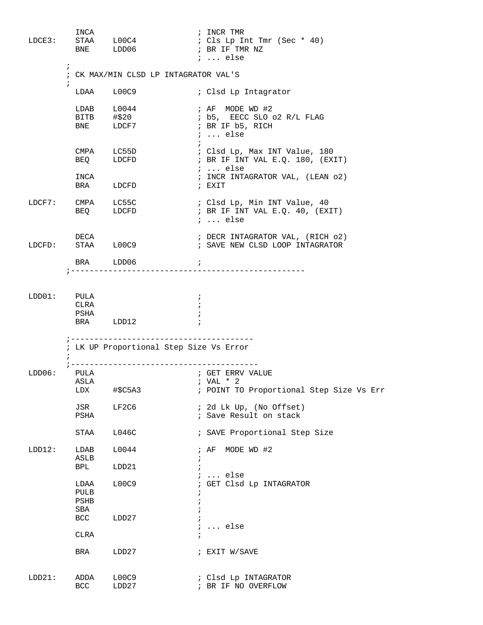| LDCE3:      | INCA                        | STAA L00C4<br>BNE LDD06                          | ; INCR TMR<br>: Cls Lp Int Tmr (Sec * 40)<br>; BR IF TMR NZ<br>$i \ldots$ else                              |
|-------------|-----------------------------|--------------------------------------------------|-------------------------------------------------------------------------------------------------------------|
|             | $\ddot{i}$                  |                                                  | ; CK MAX/MIN CLSD LP INTAGRATOR VAL'S                                                                       |
|             | $\ddot{i}$                  | LDAA L00C9                                       | ; Clsd Lp Intagrator                                                                                        |
|             | <b>BITB</b><br><b>BNE</b>   | $LDAB$ $L0044$<br>#\$20<br>LDCF7                 | ; AF MODE WD #2<br>; b5, EECC SLO o2 R/L FLAG<br>; BR IF b5, RICH<br>$i \ldots$ else                        |
|             |                             | CMPA LC55D<br>BEQ LDCFD                          | ; Clsd Lp, Max INT Value, 180<br>; BR IF INT VAL E.Q. 180, (EXIT)<br>$i \ldots$ else                        |
|             | INCA                        | BRA LDCFD                                        | ; INCR INTAGRATOR VAL, (LEAN 02)<br>; EXIT                                                                  |
|             |                             | LDCF7: CMPA LC55C<br>BEQ LDCFD                   | ; Clsd Lp, Min INT Value, 40<br>; BR IF INT VAL E.Q. 40, (EXIT)<br>$i \ldots$ else                          |
|             | DECA<br>LDCFD: STAA L00C9   |                                                  | ; DECR INTAGRATOR VAL, (RICH 02)<br>; SAVE NEW CLSD LOOP INTAGRATOR                                         |
|             |                             | BRA LDD06                                        | $\mathcal{L}_{\mathcal{L}}$                                                                                 |
| LDD01: PULA | CLRA<br>PSHA                | BRA LDD12                                        | $\ddot{ }$                                                                                                  |
|             |                             |                                                  | ; LK UP Proportional Step Size Vs Error                                                                     |
| LDD06:      | PULA<br>LDX                 | ; ---------------------------<br>$\sharp$ \$C5A3 | ; GET ERRV VALUE<br>ASLA $\qquad \qquad ; \text{VAL} \; * \; 2$<br>; POINT TO Proportional Step Size Vs Err |
|             | JSR<br>PSHA                 | LF2C6                                            | ; 2d Lk Up, (No Offset)<br>; Save Result on stack                                                           |
|             | STAA                        | L046C                                            | ; SAVE Proportional Step Size                                                                               |
| LDD12:      | LDAB<br>ASLB                | L0044                                            | ; AF MODE WD #2<br>i.                                                                                       |
|             | BPL                         | LDD21                                            | $\ldots$ else                                                                                               |
|             | LDAA<br>PULB<br>PSHB<br>SBA | L00C9                                            | ; GET Clsd Lp INTAGRATOR                                                                                    |
|             | <b>BCC</b>                  | LDD27                                            | $i \ldots$ else                                                                                             |
|             | <b>CLRA</b>                 |                                                  | $\ddot{i}$                                                                                                  |
|             | BRA                         | LDD27                                            | ; EXIT W/SAVE                                                                                               |
| LDD21:      | ADDA<br><b>BCC</b>          | L00C9<br>LDD27                                   | ; Clsd Lp INTAGRATOR<br>; BR IF NO OVERFLOW                                                                 |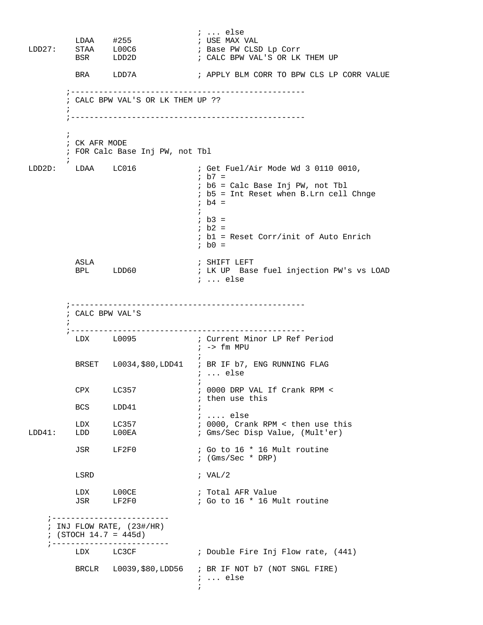; ... else<br>; USE MAX VAL LDAA #255<br>LDD27: STAA L00C6<br>BSR LDD2D LDD27: STAA L00C6 ; Base PW CLSD Lp Corr ; CALC BPW VAL'S OR LK THEM UP BRA LDD7A ; APPLY BLM CORR TO BPW CLS LP CORR VALUE ;-------------------------------------------------- ; CALC BPW VAL'S OR LK THEM UP ??  $\mathcal{L}^{\text{max}}$  ;--------------------------------------------------  $\mathcal{L}^{\text{max}}$  ; CK AFR MODE ; FOR Calc Base Inj PW, not Tbl  $\mathcal{L}^{\text{max}}_{\text{max}}$ LDD2D: LDAA LC016 ; Get Fuel/Air Mode Wd 3 0110 0010,  $;$  b7 = ; b6 = Calc Base Inj PW, not Tbl ; b5 = Int Reset when B.Lrn cell Chnge  $ib4 =$  $\mathcal{L}^{\text{max}}$  $;$  b3 = ; b2 = ; b1 = Reset Corr/init of Auto Enrich  $ib0 =$  ASLA ; SHIFT LEFT ; LK UP Base fuel injection PW's vs LOAD ; ... else ;-------------------------------------------------- ; CALC BPW VAL'S  $\mathcal{L}^{\text{max}}$  ;-------------------------------------------------- LDX L0095 ; Current Minor LP Ref Period ; -> fm MPU  $\mathbf{z}$ BRSET L0034, \$80, LDD41 ; BR IF b7, ENG RUNNING FLAG ; ... else  $\mathcal{L}^{\text{max}}$  CPX LC357 ; 0000 DRP VAL If Crank RPM < BCS LDD41  $\qquad$ ; then use this  $LDD41$  ; .... else LDX LC357 : 0000, Crank RPM < then use this<br>
LDD41: LDD LOOEA : Gms/Sec Disp Value, (Mult'er) ; Gms/Sec Disp Value, (Mult'er) JSR LF2F0 ; Go to 16 \* 16 Mult routine ; (Gms/Sec \* DRP) LSRD ; VAL/2 LDX LOOCE ; Total AFR Value JSR LF2F0 ; Go to 16 \* 16 Mult routine ;------------------------- ; INJ FLOW RATE, (23#/HR) ; (STOCH 14.7 = 445d) ;------------------------- LDX LC3CF : Double Fire Inj Flow rate, (441) BRCLR L0039,\$80,LDD56 ; BR IF NOT b7 (NOT SNGL FIRE) ; ... else  $\mathcal{L}^{\text{max}}$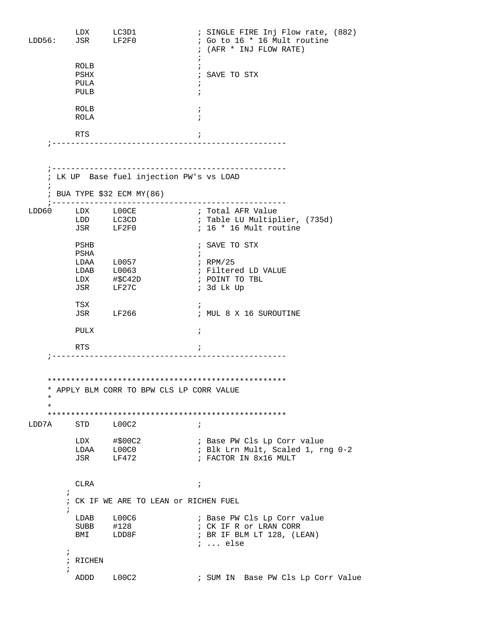; SINGLE FIRE Inj Flow rate, (882)<br>; Go to 16 \* 16 Mult routine LDD56: LDD55: LDD56: LDD56: LG3D1 ; (AFR \* INJ FLOW RATE)  $\mathbf{z}$  ROLB ; PSHX ; SAVE TO STX PULA ; PULB ; ROLB  $\qquad \qquad ;$  ROLA ; RTS  $\qquad \qquad ;$  ;-------------------------------------------------- ;-------------------------------------------------- ; LK UP Base fuel injection PW's vs LOAD  $\mathbf{i}$  ; BUA TYPE \$32 ECM MY(86) ;-------------------------------------------------- LDD60 LDX L00CE i Total AFR Value LDD LC3CD ; Table LU Multiplier, (735d) JSR LF2F0 ; 16 \* 16 Mult routine PSHB ; SAVE TO STX PSHA  $\qquad \qquad ;$ LDAA L0057 ; RPM/25 LDAB L0063 **;** Filtered LD VALUE LDAB L0063 <br>
LDX #\$C42D ; POINT TO TBL<br>
JSR LF27C ; 3d Lk Up ; 3d Lk Up TSX  $\qquad \qquad ;$  JSR LF266 ; MUL 8 X 16 SUROUTINE PULX ; RTS  $\qquad \qquad ;$  ;-------------------------------------------------- \*\*\*\*\*\*\*\*\*\*\*\*\*\*\*\*\*\*\*\*\*\*\*\*\*\*\*\*\*\*\*\*\*\*\*\*\*\*\*\*\*\*\*\*\*\*\*\*\*\*\* \* APPLY BLM CORR TO BPW CLS LP CORR VALUE \* \* \*\*\*\*\*\*\*\*\*\*\*\*\*\*\*\*\*\*\*\*\*\*\*\*\*\*\*\*\*\*\*\*\*\*\*\*\*\*\*\*\*\*\*\*\*\*\*\*\*\*\* LDD7A STD L00C2 ; LDX #\$00C2 ; Base PW Cls Lp Corr value LDAA L00C0 : Blk Lrn Mult, Scaled 1, rng 0-2 LDX #\$00C2 <br>
LDAA L00C0 ; Base PW Cls Lp Corr<br>
JSR LF472 ; FACTOR IN 8x16 MULT CLRA ;  $\mathcal{L}^{\text{max}}$  ; CK IF WE ARE TO LEAN or RICHEN FUEL  $\mathcal{L}^{\text{max}}$ LDAB L00C6 : Base PW Cls Lp Corr value SUBB #128 ; CK IF R or LRAN CORR BMI LDD8F ; BR IF BLM LT 128, (LEAN) ; ... else  $\mathcal{L}^{\text{max}}$  ; RICHEN  $\mathcal{L}^{\text{max}}$ ADDD L00C2 : SUM IN Base PW Cls Lp Corr Value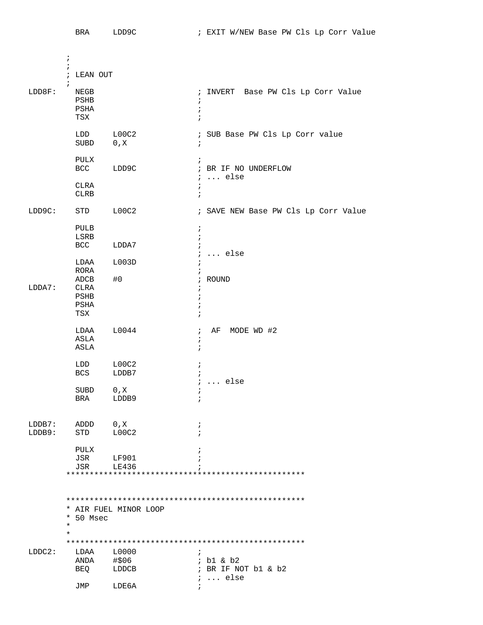|           | <b>BRA</b>          | LDD9C                 | ; EXIT W/NEW Base PW Cls Lp Corr Value       |
|-----------|---------------------|-----------------------|----------------------------------------------|
|           |                     |                       |                                              |
|           | $\ddot{i}$          |                       |                                              |
|           | $\ddot{i}$          |                       |                                              |
|           | ; LEAN OUT          |                       |                                              |
| LDD8F:    | $\ddot{i}$<br>NEGB  |                       | ; INVERT Base PW Cls Lp Corr Value           |
|           | PSHB                |                       | $\ddot{ }$                                   |
|           | $_{\rm{PSHA}}$      |                       | $\ddot{ }$                                   |
|           | TSX                 |                       | $\ddot{i}$                                   |
|           | LDD                 | LOOC2                 | ; SUB Base PW Cls Lp Corr value              |
|           | SUBD                | 0, X                  | $\ddot{i}$                                   |
|           |                     |                       |                                              |
|           | PULX                |                       | $\ddot{i}$                                   |
|           | BCC                 | LDD9C                 | ; BR IF NO UNDERFLOW<br>$i \ldots$ else      |
|           | CLRA                |                       | $\ddot{i}$                                   |
|           | CLRB                |                       | $\ddot{i}$                                   |
|           |                     |                       |                                              |
| LDD9C:    | STD                 | LOOC2                 | ; SAVE NEW Base PW Cls Lp Corr Value         |
|           | PULB                |                       | $\ddot{i}$                                   |
|           | LSRB                |                       | $\ddot{ }$                                   |
|           | BCC                 | LDDA7                 | $\ddot{i}$<br>$\ldots$ else                  |
|           | LDAA                | L003D                 | $\ddot{i}$<br>ï                              |
|           | RORA                |                       | $\ddot{i}$                                   |
|           | ADCB                | #0                    | ; ROUND                                      |
| LDDA7:    | CLRA                |                       | ÷                                            |
|           | PSHB<br>PSHA        |                       | $\ddot{ }$<br>$\ddot{ }$                     |
|           | TSX                 |                       | $\ddot{i}$                                   |
|           |                     |                       |                                              |
|           | LDAA<br>ASLA        | L0044                 | MODE WD #2<br>AF<br>$\ddot{i}$<br>$\ddot{i}$ |
|           | ASLA                |                       | $\ddot{ }$                                   |
|           |                     |                       |                                              |
|           | LDD                 | LOOC2                 | ÷                                            |
|           | <b>BCS</b>          | LDDB7                 | $\ddot{i}$<br>$i \ldots$ else                |
|           | SUBD                | 0, X                  | ï                                            |
|           | BRA                 | LDDB9                 | $\ddot{i}$                                   |
|           |                     |                       |                                              |
| $LDDB7$ : | ADDD                | 0, X                  | $\ddot{i}$                                   |
| LDDB9:    | STD                 | LOOC2                 | $\ddot{i}$                                   |
|           |                     |                       |                                              |
|           | PULX                |                       | $\ddot{i}$                                   |
|           | JSR<br>JSR          | LF901<br>LE436        | ÷                                            |
|           |                     |                       |                                              |
|           |                     |                       |                                              |
|           |                     |                       |                                              |
|           |                     | * AIR FUEL MINOR LOOP |                                              |
|           | * 50 Msec           |                       |                                              |
|           | $^\star$<br>$\star$ |                       |                                              |
|           |                     |                       |                                              |
| LDDC2:    |                     | LDAA L0000            | $\ddot{i}$                                   |
|           |                     | $ANDA$ #\$06          | $;$ b1 & b2                                  |
|           |                     | BEQ LDDCB             | ; BR IF NOT b1 & b2                          |
|           | JMP                 | LDE6A                 | $i \ldots$ else<br>$\ddot{i}$                |
|           |                     |                       |                                              |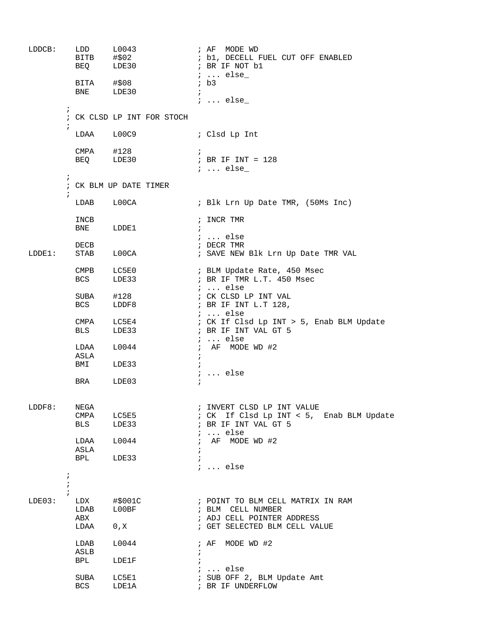```
LDDCB: LDD L0043 ; AF MODE WD
                                                  ; b1, DECELL FUEL CUT OFF ENABLED<br>; BR IF NOT b1
BEQ LDE30 ; BR IF NOT b1
              BITA #$08 <br>BITA #$08 <br>i b3
              BITA #$08<br>BNE LDE30
                         LDE30 ;
                                                   ; ... else_ 
\mathcal{L}^{\text{max}} ; CK CLSD LP INT FOR STOCH
\mathcal{L}^{\text{max}} LDAA L00C9 ; Clsd Lp Int
              CMPA #128 ;
               BEQ LDE30 ; BR IF INT = 128
                                                    ; ... else_ 
\mathcal{L}^{\text{max}} ; CK BLM UP DATE TIMER
\mathcal{L}^{\text{max}}_{\text{max}}LDAB L00CA : Blk Lrn Up Date TMR, (50Ms Inc)
               INCB ; INCR TMR 
              BNE LDDE1
                                                    ; ... else
               DECB ; DECR TMR 
LDDE1: STAB L00CA : SAVE NEW Blk Lrn Up Date TMR VAL
              CMPB LC5E0 ; BLM Update Rate, 450 Msec<br>
BCS LDE33 ; BR IF TMR L.T. 450 Msec
                                                   ; BR IF TMR L.T. 450 Msec
              \begin{tabular}{lllllllllll} \multicolumn{4}{c}{\textbf{SUBA}} & \multicolumn{4}{c}{\textbf{#128}} & & \multicolumn{4}{c}{\textbf{;}} & \multicolumn{4}{c}{\textbf{;}} & \multicolumn{4}{c}{\textbf{.} & \multicolumn{4}{c}{\textbf{.} & \multicolumn{4}{c}{\textbf{.} & \multicolumn{4}{c}{\textbf{.} & \multicolumn{4}{c}{\textbf{.} & \multicolumn{4}{c}{\textbf{.} & \multicolumn{4}{c}{\textbf{.} & \multicolumn{4}{c}{\textbf{.} & \multicolumn{4}{c}{\text SUBA #128 ; CK CLSD LP INT VAL 
                                                  ; BR IF INT L.T 128,
              CMPA LC5E4 <br>
\vdots ... else<br>
\vdots \vdots \vdots \vdots; CK If Clsd Lp INT > 5, Enab BLM Update
              BLS LDE33 ; BR IF INT VAL GT 5
               ; ... else
                                                  ; AF MODE WD #2
              ASLA<br>BMI
                       LDE33
              BRA LDE03 ; ... else
                       LDE03 ;
LDDF8: NEGA ; INVERT CLSD LP INT VALUE<br>
CMPA LC5E5 ; CK If Clsd Lp INT < 5,<br>
BLS LDE33 ; BR IF INT VAL GT 5
              CMPA LC5E5 ; CK If Clsd Lp INT < 5, Enab BLM Update<br>BLS LDE33 ; BR IF INT VAL GT 5
                                                   ; BR IF INT VAL GT 5
                                                    ; ... else 
              LDAA L0044 ; AF MODE WD #2
               ASLA ; 
              BPL LDE33
                                                    ; ... else
\mathcal{L}^{\text{max}}\mathcal{L}^{\text{max}}\mathcal{L}^{\text{max}}LDE03: LDX #$001C ; POINT TO BLM CELL MATRIX IN RAM 
               LDAB L00BF ; BLM CELL NUMBER 
                                                   ; ADJ CELL POINTER ADDRESS
              LDAA 0,X ; GET SELECTED BLM CELL VALUE
              LDAB L0044 ; AF MODE WD #2
               ASLB ; 
                       LDE1F\begin{tabular}{lllll} \multicolumn{2}{l}{{\text{SUBA}}} & $\multicolumn{2}{l}{\text{LCE1}} & & & & & \multicolumn{2}{l}{\text{N}} & $\multicolumn{2}{l}{\text{N}}$ & $\multicolumn{2}{l}{\text{SUB}}$ & $\multicolumn{2}{l}{\text{N}}$ & $\multicolumn{2}{l}{\text{N}}$ & $\multicolumn{2}{l}{\text{N}}$ & $\multicolumn{2}{l}{\text{N}}$ & $\multicolumn{2}{l}{\text{N}}$ & $\multicolumn{2}{l}{\text{N}}$ & $\multicolumn{2}{l}{\text{N}}$ & $\multicolumn{2}{l}{\text{NLC5E1                      ; SUB OFF 2, BLM Update Amt<br>
LDE1A                  ; BR IF UNDERFLOW
              BCS LDE1A ; BR IF UNDERFLOW
```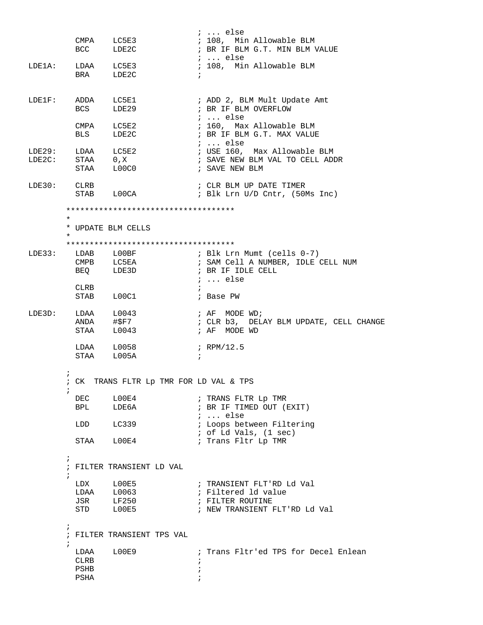|           |                   |                                         |            | $i$ else                                          |
|-----------|-------------------|-----------------------------------------|------------|---------------------------------------------------|
|           |                   | CMPA LC5E3                              |            | ; 108, Min Allowable BLM                          |
|           |                   | BCC LDE2C                               |            | ; BR IF BLM G.T. MIN BLM VALUE                    |
|           |                   |                                         |            | ;  else                                           |
|           | LDE1A: LDAA LC5E3 |                                         |            | ; 108, Min Allowable BLM                          |
|           |                   | BRA LDE2C                               | $\ddot{i}$ |                                                   |
|           |                   |                                         |            |                                                   |
|           |                   |                                         |            |                                                   |
|           |                   |                                         |            | LDE1F: ADDA LC5E1<br>: ADD 2, BLM Mult Update Amt |
|           | <b>BCS</b>        | LDE29                                   |            | ; BR IF BLM OVERFLOW                              |
|           |                   |                                         |            | $i \dots$ else                                    |
|           |                   | CMPA LC5E2                              |            | ; 160, Max Allowable BLM                          |
|           |                   | BLS LDE2C                               |            | ; BR IF BLM G.T. MAX VALUE                        |
|           |                   |                                         |            | ;  else                                           |
| LDE29:    |                   | LDAA LC5E2                              |            |                                                   |
|           |                   | STAA 0, X                               |            | ; USE 160, Max Allowable BLM                      |
| $LDE2C$ : |                   |                                         |            | ; SAVE NEW BLM VAL TO CELL ADDR                   |
|           |                   | STAA L00C0                              |            | ; SAVE NEW BLM                                    |
|           |                   |                                         |            |                                                   |
|           | LDE30: CLRB       |                                         |            | ; CLR BLM UP DATE TIMER                           |
|           |                   | STAB L00CA                              |            | ; Blk Lrn U/D Cntr, (50Ms Inc)                    |
|           |                   | *************************************   |            |                                                   |
|           | $\star$           |                                         |            |                                                   |
|           |                   | * UPDATE BLM CELLS                      |            |                                                   |
|           |                   |                                         |            |                                                   |
|           |                   | *************************************   |            |                                                   |
|           |                   |                                         |            | LDE33: LDAB LOOBF : Blk Lrn Mumt (cells 0-7)      |
|           |                   | CMPB LC5EA                              |            | ; SAM Cell A NUMBER, IDLE CELL NUM                |
|           |                   | BEQ LDE3D                               |            | ; BR IF IDLE CELL                                 |
|           |                   |                                         |            | $: $ else                                         |
|           |                   |                                         | $\ddot{i}$ |                                                   |
|           | CLRB              |                                         |            |                                                   |
|           |                   | STAB L00C1                              |            | ; Base PW                                         |
| LDE3D:    |                   |                                         |            | $; AF$ MODE WD;                                   |
|           |                   | LDAA L0043<br>ANDA #\$F7                |            |                                                   |
|           |                   | $STAA$ $L0043$                          |            | ; CLR b3, DELAY BLM UPDATE, CELL CHANGE           |
|           |                   |                                         |            | ; AF MODE WD                                      |
|           |                   | LDAA L0058                              |            | ; RPM/12.5                                        |
|           |                   | STAA L005A                              | $\ddot{ }$ |                                                   |
|           |                   |                                         |            |                                                   |
|           | $\ddot{ }$        |                                         |            |                                                   |
|           |                   | ; CK TRANS FLTR Lp TMR FOR LD VAL & TPS |            |                                                   |
|           | $\ddot{i}$        |                                         |            |                                                   |
|           | DEC               | LOOE4                                   |            | ; TRANS FLTR Lp TMR                               |
|           | BPL               | LDE6A                                   |            | ; BR IF TIMED OUT (EXIT)                          |
|           |                   |                                         |            | $i \ldots$ else                                   |
|           |                   | LDD LC339                               |            | ; Loops between Filtering                         |
|           |                   |                                         |            |                                                   |
|           |                   |                                         |            | ; of Ld Vals, (1 sec)                             |
|           |                   | STAA LOOE4                              |            | ; Trans Fltr Lp TMR                               |
|           | $\ddot{i}$        |                                         |            |                                                   |
|           |                   | ; FILTER TRANSIENT LD VAL               |            |                                                   |
|           |                   |                                         |            |                                                   |
|           | $\ddot{i}$        |                                         |            |                                                   |
|           |                   |                                         |            | ; TRANSIENT FLT'RD Ld Val                         |
|           |                   | JSR LF250                               |            | ; Filtered 1d value                               |
|           |                   |                                         |            | ; FILTER ROUTINE                                  |
|           |                   | STD LOOE5                               |            | ; NEW TRANSIENT FLT'RD Ld Val                     |
|           |                   |                                         |            |                                                   |
|           | $\ddot{i}$        | ; FILTER TRANSIENT TPS VAL              |            |                                                   |
|           | $\ddot{i}$        |                                         |            |                                                   |
|           |                   | LDAA L00E9                              |            | ; Trans Fltr'ed TPS for Decel Enlean              |
|           |                   |                                         |            |                                                   |
|           | CLRB              |                                         |            |                                                   |
|           | PSHB              |                                         |            |                                                   |
|           | PSHA              |                                         |            |                                                   |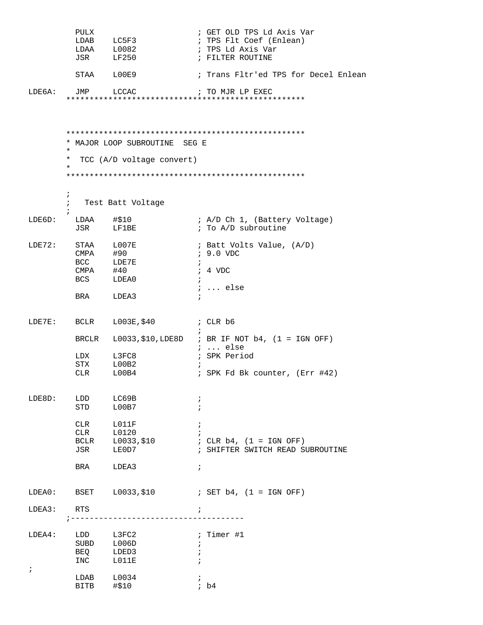|                      | PULX                                                 | LDAB LC5F3<br>LDAA L0082<br>JSR LF250                                           | ; GET OLD TPS Ld Axis Var<br>; TPS Flt Coef (Enlean)<br>; TPS Ld Axis Var<br>; FILTER ROUTINE                         |
|----------------------|------------------------------------------------------|---------------------------------------------------------------------------------|-----------------------------------------------------------------------------------------------------------------------|
|                      |                                                      | STAA LOOE9                                                                      | ; Trans Fltr'ed TPS for Decel Enlean                                                                                  |
| LDE6A:               | JMP LCCAC                                            |                                                                                 | ; TO MJR LP EXEC                                                                                                      |
|                      | $\star$<br>*<br>$^\star$<br>$\ddot{ }$<br>$\ddot{i}$ | * MAJOR LOOP SUBROUTINE SEG E<br>TCC (A/D voltage convert)<br>Test Batt Voltage |                                                                                                                       |
| LDE6D:               | LDAA #\$10                                           | JSR LF1BE                                                                       | ; A/D Ch 1, (Battery Voltage)<br>; To A/D subroutine                                                                  |
| LDE72:               | STAA L007E<br>CMPA #90                               | BCC LDE7E<br>CMPA #40<br>BCS LDEA0<br>BRA LDEA3                                 | ; Batt Volts Value, (A/D)<br>$, 9.0$ VDC<br>÷<br>$: 4$ VDC<br>$\ddot{i}$<br>$i \ldots$ else                           |
| LDE7E:               |                                                      | BCLR L003E, \$40 ; CLR b6                                                       |                                                                                                                       |
|                      |                                                      | LDX L3FC8<br>STX L00B2<br>CLR L00B4                                             | BRCLR $L0033, $10, LDE8D$ ; BR IF NOT b4, (1 = IGN OFF)<br>$i$ else<br>; SPK Period<br>; SPK Fd Bk counter, (Err #42) |
| LDE8D:               | LDD<br>STD<br>CLR<br>CLR<br>BCLR                     | LC69B<br>L00B7<br>L011F<br>L0120<br>L0033,\$10                                  | $\ddot{ }$<br>$\ddot{ }$<br>; CLR $b4$ , $(1 = IGN$ OFF)                                                              |
|                      | JSR<br>BRA                                           | LE0D7<br>LDEA3                                                                  | ; SHIFTER SWITCH READ SUBROUTINE<br>$\ddot{ }$                                                                        |
| LDEA0:               |                                                      | BSET L0033, \$10                                                                | ; SET b4, (1 = IGN OFF)                                                                                               |
| LDEA3:               | RTS                                                  | ---------------                                                                 | $\ddot{i}$                                                                                                            |
| LDEA4:<br>$\ddot{ }$ | LDD<br>BEQ<br>INC                                    | L3FC2<br>SUBD L006D<br>LDED3<br>L011E                                           | ; Timer #1<br>$\ddot{i}$                                                                                              |
|                      | LDAB<br>BITB                                         | L0034<br>#\$10                                                                  | ib4                                                                                                                   |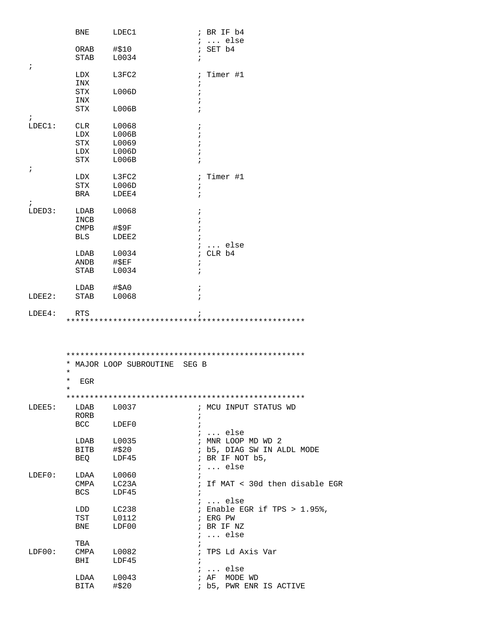|            | BNE                | LDEC1                         | ; BR IF b4                                    |
|------------|--------------------|-------------------------------|-----------------------------------------------|
|            |                    |                               | ;  else                                       |
|            | ORAB               | #\$10                         | $;$ SET $b4$                                  |
|            | <b>STAB</b>        | L0034                         | i                                             |
| $\ddot{ }$ |                    |                               |                                               |
|            | LDX<br>INX         | L3FC2                         | ; Timer #1                                    |
|            | STX                | L006D                         | i<br>$\cdot$                                  |
|            | INX                |                               |                                               |
|            | STX                | L006B                         |                                               |
| $\ddot{ }$ |                    |                               |                                               |
| LDEC1:     | CLR                | L0068                         | $\ddot{ }$                                    |
|            | LDX                | L006B                         |                                               |
|            | <b>STX</b>         | L0069                         | $\ddot{i}$                                    |
|            | LDX                | L006D                         | $\cdot$                                       |
|            | STX                | L006B                         |                                               |
| $\ddot{ }$ |                    |                               |                                               |
|            | LDX                | L3FC2                         | ; Timer #1                                    |
|            | <b>STX</b>         | L006D                         | ï                                             |
| $\ddot{i}$ | BRA                | LDEE4                         | $\ddot{i}$                                    |
| LDED3:     | LDAB               | L0068                         | i                                             |
|            | INCB               |                               |                                               |
|            | CMPB               | #\$9F                         | i                                             |
|            | <b>BLS</b>         | LDEE2                         | $\ddot{i}$                                    |
|            |                    |                               | ; $\ldots$ else                               |
|            | LDAB               | L0034                         | ; CLR b4                                      |
|            | ANDB               | #SEF                          | i                                             |
|            | STAB               | L0034                         | $\ddot{i}$                                    |
|            |                    |                               |                                               |
| LDEE2:     | LDAB<br>STAB       | $#$ \$A0<br>L0068             | $\ddot{ }$<br>$\ddot{i}$                      |
|            |                    |                               |                                               |
| LDEE4:     | <b>RTS</b>         |                               |                                               |
|            |                    |                               |                                               |
|            |                    |                               |                                               |
|            |                    |                               |                                               |
|            | $^\star$           | * MAJOR LOOP SUBROUTINE SEG B |                                               |
|            | *<br>EGR<br>$\ast$ |                               |                                               |
|            |                    |                               |                                               |
| LDEE5:     | LDAB               | L0037                         | ; MCU INPUT STATUS WD                         |
|            | RORB               |                               | $\ddot{ }$                                    |
|            | BCC                | LDEF0                         | $\ddot{i}$                                    |
|            |                    |                               | $i$ else                                      |
|            | LDAB               | L0035                         | ; MNR LOOP MD WD 2                            |
|            | BITB               | #\$20                         | ; b5, DIAG SW IN ALDL MODE                    |
|            | BEO                | LDF45                         | ; BR IF NOT b5,                               |
|            |                    |                               | $i \ldots$ else                               |
| LDEF0:     | LDAA               | L0060                         | $\ddot{i}$                                    |
|            | CMPA<br>BCS        | LC23A<br>LDF45                | ; If MAT < 30d then disable EGR<br>$\ddot{i}$ |
|            |                    |                               | $i \ldots$ else                               |
|            | LDD                | LC238                         | ; Enable EGR if TPS > 1.95%,                  |
|            | TST                | L0112                         | ; ERG PW                                      |
|            | BNE                | LDF00                         | ; BR IF NZ                                    |
|            |                    |                               | $i \ldots$ else                               |
|            | TBA                |                               | $\ddot{i}$                                    |
| LDF00:     | CMPA               | L0082                         | ; TPS Ld Axis Var                             |
|            | BHI                | LDF45                         | $\ddot{i}$                                    |
|            |                    |                               | $i \ldots$ else                               |
|            | LDAA<br>BITA       | L0043<br>#\$20                | ; AF MODE WD<br>; b5, PWR ENR IS ACTIVE       |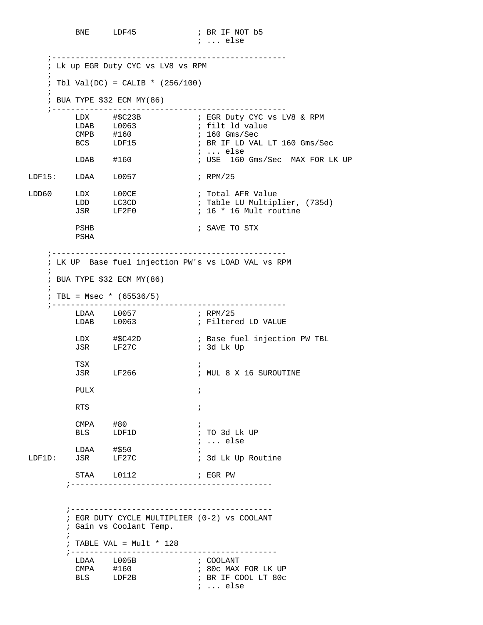BNE LDF45 ; BR IF NOT b5 ; ... else

 ;-------------------------------------------------- ; Lk up EGR Duty CYC vs LV8 vs RPM  $\mathcal{L}$  $:$  Tbl Val(DC) = CALIB \* (256/100) ; ; BUA TYPE \$32 ECM MY(86) ;-------------------------------------------------- LDX #\$C23B ; EGR Duty CYC vs LV8 & RPM LDAB L0063 : filt ld value CMPB #160 ; 160 Gms/Sec BCS LDF15 ; BR IF LD VAL LT 160 Gms/Sec ; ... else LDAB #160 ; USE 160 Gms/Sec MAX FOR LK UP LDF15: LDAA L0057 ; RPM/25 LDD60 LDX L00CE i Total AFR Value ; Total AFR Value<br>; Table LU Multiplier, (735d)<br>; 16 \* 16 Mult routine JSR LF2F0 ; 16 \* 16 Mult routine PSHB ; SAVE TO STX PSHA ;-------------------------------------------------- ; LK UP Base fuel injection PW's vs LOAD VAL vs RPM  $\mathbf{i}$  ; BUA TYPE \$32 ECM MY(86)  $\mathcal{L}$  $: TBL = Msec * (65536/5)$  ;-------------------------------------------------- LDAA L0057 ; RPM/25<br>
LDAB L0063 ; Filter ; Filtered LD VALUE ; Base fuel injection PW TBL LDX #\$C42D ; Base fue<br>JSR LF27C ; 3d Lk Up TSX ; ; MUL 8 X 16 SUROUTINE PULX  $\qquad \qquad ;$ RTS  $\qquad \qquad ;$ CMPA #80 ; BLS LDF1D ; TO 3d Lk UP ; ... else LDAA #\$50 ; LDF1D: JSR LF27C ; 3d Lk Up Routine STAA L0112 **;** EGR PW ;------------------------------------------- ;------------------------------------------- ; EGR DUTY CYCLE MULTIPLIER (0-2) vs COOLANT ; Gain vs Coolant Temp.  $\mathcal{L}^{\text{max}}$  ; TABLE VAL = Mult \* 128 ;-------------------------------------------- LDAA L005B ; COOLANT ; 80c MAX FOR LK UP ; BR IF COOL LT 80c ; ... else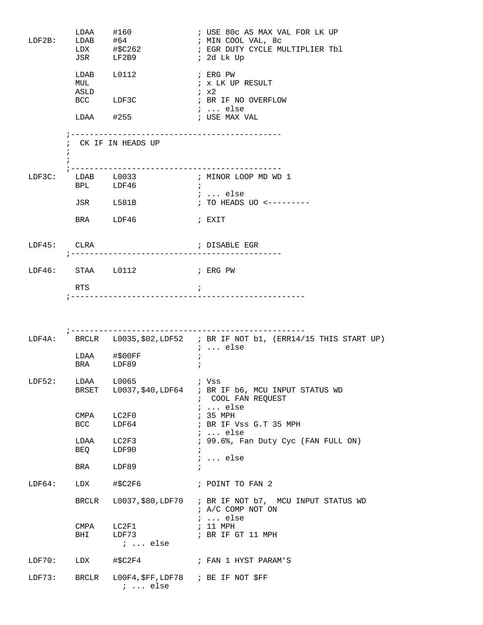| $LDF2B$ :   | $LDAA$ #160<br>$LDAB$ #64     | JSR LF2B9                           | ; USE 80c AS MAX VAL FOR LK UP<br>; MIN COOL VAL, 8c<br>; 2d Lk Up                                   |
|-------------|-------------------------------|-------------------------------------|------------------------------------------------------------------------------------------------------|
|             | $LDAB$ $L0112$<br>MUL<br>ASLD |                                     | ; ERG PW<br>; x LK UP RESULT<br>; x2                                                                 |
|             |                               | BCC LDF3C                           | ; BR IF NO OVERFLOW<br>;  else                                                                       |
|             |                               | $LDAA$ #255                         | ; USE MAX VAL                                                                                        |
| $\ddot{ }$  |                               | CK IF IN HEADS UP                   |                                                                                                      |
|             |                               | BPL LDF46                           | $\ddot{i}$                                                                                           |
|             |                               | JSR L581B                           | ;  else<br>; TO HEADS UO <---------                                                                  |
|             | BRA LDF46                     |                                     | ; EXIT                                                                                               |
| LDF45: CLRA |                               | ;---------------------------------- | ; DISABLE EGR                                                                                        |
|             |                               | LDF46: STAA L0112 ; ERG PW          |                                                                                                      |
|             | RTS                           |                                     | $\cdot$ ;                                                                                            |
|             |                               |                                     |                                                                                                      |
|             |                               |                                     | LDF4A: BRCLR L0035, \$02, LDF52 ; BR IF NOT b1, (ERR14/15 THIS START UP)<br>;  else                  |
|             | LDAA #\$00FF<br>BRA LDF89     |                                     |                                                                                                      |
| LDF52:      | LDAA<br>BRSET                 | L0065                               | ; Vss<br>L0037, \$40, LDF64 ; BR IF b6, MCU INPUT STATUS WD<br>; COOL FAN REQUEST<br>$i \ldots$ else |
|             | CMPA<br>BCC                   | LC2F0<br>LDF64                      | ; 35 MPH<br>; BR IF Vss G.T 35 MPH                                                                   |
|             | LDAA<br>BEQ                   | LC2F3<br>LDF90                      | $i \ldots$ else<br>; 99.6%, Fan Duty Cyc (FAN FULL ON)<br>$\ddot{i}$                                 |
|             | BRA                           | LDF89                               | $i \ldots$ else<br>$\ddot{ }$                                                                        |
| LDF64:      | LDX                           | #\$C2F6                             | ; POINT TO FAN 2                                                                                     |
|             | BRCLR                         |                                     | L0037, \$80, LDF70 ; BR IF NOT b7, MCU INPUT STATUS WD                                               |
|             |                               |                                     | ; A/C COMP NOT ON                                                                                    |
|             | CMPA<br>BHI                   | LC2F1<br>LDF73<br>$i$ else          | $i \ldots$ else<br>; 11 MPH<br>; BR IF GT 11 MPH                                                     |
| LDF70:      | LDX                           | #\$C2F4                             | ; FAN 1 HYST PARAM'S                                                                                 |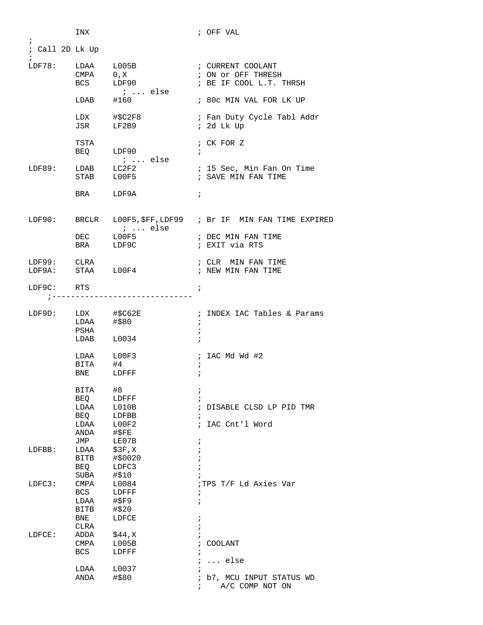| ; Call 2D Lk Up<br>$\begin{array}{cccc}\nLDF78: & &\text{LDAA} & &\text{L005B} \\  & & & & \text{CMDA} & & 0 & \text{Y}\n\end{array}$<br>; CURRENT COOLANT<br>CMPA<br>$0$ , $X$<br>; ON OT OFF THRESH<br>BCS LDF90<br>; BE IF COOL L.T. THRSH<br>$i$ else<br>$LDAB$ #160<br>; 80c MIN VAL FOR LK UP<br>LDX #\$C2F8<br>; Fan Duty Cycle Tabl Addr<br>JSR LF2B9<br>$: 2d$ Lk Up<br>TSTA<br>; CK FOR Z<br>BEQ LDF90<br>$\ddot{i}$ |
|--------------------------------------------------------------------------------------------------------------------------------------------------------------------------------------------------------------------------------------------------------------------------------------------------------------------------------------------------------------------------------------------------------------------------------|
|                                                                                                                                                                                                                                                                                                                                                                                                                                |
|                                                                                                                                                                                                                                                                                                                                                                                                                                |
|                                                                                                                                                                                                                                                                                                                                                                                                                                |
|                                                                                                                                                                                                                                                                                                                                                                                                                                |
|                                                                                                                                                                                                                                                                                                                                                                                                                                |
|                                                                                                                                                                                                                                                                                                                                                                                                                                |
|                                                                                                                                                                                                                                                                                                                                                                                                                                |
|                                                                                                                                                                                                                                                                                                                                                                                                                                |
|                                                                                                                                                                                                                                                                                                                                                                                                                                |
| ;  else<br>$LDAB$ $LC2F2$                                                                                                                                                                                                                                                                                                                                                                                                      |
| LDF89:<br>; 15 Sec, Min Fan On Time<br>; SAVE MIN FAN TIME<br>STAB LOOF5                                                                                                                                                                                                                                                                                                                                                       |
|                                                                                                                                                                                                                                                                                                                                                                                                                                |
| BRA LDF9A<br>$\ddot{i}$                                                                                                                                                                                                                                                                                                                                                                                                        |
| LDF90: BRCLR L00F5, \$FF, LDF99 ; Br IF MIN FAN TIME EXPIRED                                                                                                                                                                                                                                                                                                                                                                   |
| $: $ else                                                                                                                                                                                                                                                                                                                                                                                                                      |
| $DEC$ $L00F5$<br>; DEC MIN FAN TIME                                                                                                                                                                                                                                                                                                                                                                                            |
| ; EXIT via RTS<br>BRA LDF9C                                                                                                                                                                                                                                                                                                                                                                                                    |
| LDF99: CLRA<br>; CLR MIN FAN TIME                                                                                                                                                                                                                                                                                                                                                                                              |
| LDF9A: STAA L00F4<br>; NEW MIN FAN TIME                                                                                                                                                                                                                                                                                                                                                                                        |
| LDF9C: RTS<br>$\cdot$ ;                                                                                                                                                                                                                                                                                                                                                                                                        |
| ;------------------------------                                                                                                                                                                                                                                                                                                                                                                                                |
| LDF9D: LDX #\$C62E<br>; INDEX IAC Tables & Params                                                                                                                                                                                                                                                                                                                                                                              |
| LDAA #\$80<br>$\ddot{i}$                                                                                                                                                                                                                                                                                                                                                                                                       |
| PSHA<br>$\ddot{ }$                                                                                                                                                                                                                                                                                                                                                                                                             |
| $LDAB$ $L0034$<br>$\ddot{i}$                                                                                                                                                                                                                                                                                                                                                                                                   |
| LDAA L00F3<br>; IAC Md Wd $#2$                                                                                                                                                                                                                                                                                                                                                                                                 |
| BITA<br>#4                                                                                                                                                                                                                                                                                                                                                                                                                     |
| BNE LDFFF<br>$\ddot{i}$                                                                                                                                                                                                                                                                                                                                                                                                        |
| #8<br>BITA<br>;                                                                                                                                                                                                                                                                                                                                                                                                                |
| BEQ<br>LDFFF                                                                                                                                                                                                                                                                                                                                                                                                                   |
| DISABLE CLSD LP PID TMR                                                                                                                                                                                                                                                                                                                                                                                                        |
|                                                                                                                                                                                                                                                                                                                                                                                                                                |
|                                                                                                                                                                                                                                                                                                                                                                                                                                |
| LE07B                                                                                                                                                                                                                                                                                                                                                                                                                          |
| \$3F, X<br>LDFBB:<br>LDAA                                                                                                                                                                                                                                                                                                                                                                                                      |
| #\$0020<br>BITB                                                                                                                                                                                                                                                                                                                                                                                                                |
| BEQ<br>LDFC3                                                                                                                                                                                                                                                                                                                                                                                                                   |
|                                                                                                                                                                                                                                                                                                                                                                                                                                |
|                                                                                                                                                                                                                                                                                                                                                                                                                                |
| LDAA<br>#\$F9<br>$\ddot{ }$                                                                                                                                                                                                                                                                                                                                                                                                    |
| BITB<br>#\$20                                                                                                                                                                                                                                                                                                                                                                                                                  |
|                                                                                                                                                                                                                                                                                                                                                                                                                                |
| BNE<br>LDFCE<br>÷                                                                                                                                                                                                                                                                                                                                                                                                              |
| CLRA                                                                                                                                                                                                                                                                                                                                                                                                                           |
| \$44,X<br>LDFCE:<br>ADDA                                                                                                                                                                                                                                                                                                                                                                                                       |
| CMPA<br>L005B<br>${\tt COOLANT}$                                                                                                                                                                                                                                                                                                                                                                                               |
| BCS<br>LDFFF<br>i<br>$\ddot{i}$                                                                                                                                                                                                                                                                                                                                                                                                |
| $\ldots$ else<br>LDAA<br>L0037                                                                                                                                                                                                                                                                                                                                                                                                 |
| LDAA<br>L010B<br>BEO<br>LDFBB<br>$\ddot{i}$<br>L00F2<br>; IAC Cnt'l Word<br>LDAA<br>$\sharp$ \$FE<br>ANDA<br>JMP<br>i<br>#\$10<br>SUBA<br>; TPS T/F Ld Axies Var<br>LDFC3:<br>CMPA<br>L0084<br>BCS<br>LDFFF<br>÷                                                                                                                                                                                                               |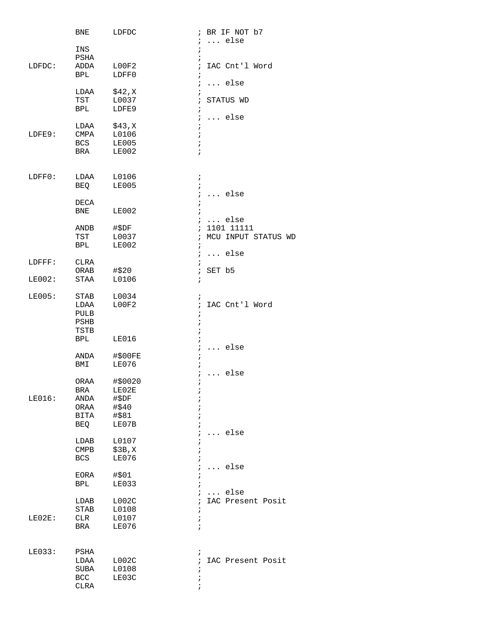|        | BNE                | LDFDC          |                 | ; BR IF NOT b7      |
|--------|--------------------|----------------|-----------------|---------------------|
|        |                    |                | i.              | else                |
|        | INS                |                | $\ddot{i}$      |                     |
| LDFDC: | PSHA<br>ADDA       | L00F2          | i<br>$\ddot{i}$ | IAC Cnt'l Word      |
|        | BPL                | LDFF0          | $\ddot{ }$      |                     |
|        |                    |                | $\ddot{ }$      | $\ldots$ else       |
|        | LDAA               | \$42, X        | $\ddot{i}$      |                     |
|        | TST                | L0037          | $\ddot{ }$      | STATUS WD           |
|        | BPL                | LDFE9          | $\ddot{i}$      |                     |
|        |                    |                | $\ddot{i}$      | $\ldots$ else       |
|        | LDAA               | \$43,X         | $\ddot{ }$      |                     |
| LDFE9: | CMPA               | L0106          | $\ddot{i}$      |                     |
|        | <b>BCS</b>         | <b>LE005</b>   | $\cdot$         |                     |
|        | BRA                | LE002          | $\ddot{i}$      |                     |
|        |                    |                |                 |                     |
| LDFF0: | LDAA               | L0106          | $\ddot{i}$      |                     |
|        | <b>BEQ</b>         | <b>LE005</b>   | $\ddot{ }$      |                     |
|        |                    |                | $\ddot{ }$      | $\ldots$ else       |
|        | $\mathtt{DECA}$    |                | $\ddot{i}$      |                     |
|        | BNE                | LE002          | $\ddot{ }$      |                     |
|        |                    |                |                 | $i \ldots$ else     |
|        | ANDB               | #\$DF          | $\ddot{i}$      | 1101 11111          |
|        | TST                | L0037          | $\ddot{i}$      | MCU INPUT STATUS WD |
|        | BPL                | LE002          | $\ddot{i}$      |                     |
|        |                    |                | ÷,              | $\ldots$ else       |
| LDFFF: | CLRA               |                | $\ddot{i}$      |                     |
|        | ORAB               | #\$20          | $\ddot{ }$      | SET b5              |
| LE002: | STAA               | L0106          | $\ddot{i}$      |                     |
| LE005: | STAB               | L0034          | $\ddot{ }$      |                     |
|        | LDAA               | L00F2          | $\ddot{i}$      | IAC Cnt'l Word      |
|        | <b>PULB</b>        |                | $\ddot{ }$      |                     |
|        | PSHB               |                | ï               |                     |
|        | TSTB               |                |                 |                     |
|        | BPL                | LE016          |                 |                     |
|        |                    |                | $\ddot{ }$      | $\ldots$ else       |
|        | ANDA               | #\$00FE        | $\ddot{i}$      |                     |
|        | BMI                | <b>LE076</b>   | $\ddot{i}$      |                     |
|        |                    |                |                 | $i \ldots$ else     |
|        | ORAA               | #\$0020        |                 |                     |
|        | BRA                | LE02E          | $\ddot{ }$      |                     |
| LE016: | ANDA               | #\$DF          |                 |                     |
|        | ORAA               | #\$40          |                 |                     |
|        | <b>BITA</b>        | #\$81          |                 |                     |
|        | BEQ                | LE07B          |                 |                     |
|        |                    |                | $\ddot{i}$      | else                |
|        | LDAB               | L0107          |                 |                     |
|        | CMPB               | \$3B,X         |                 |                     |
|        | <b>BCS</b>         | LE076          |                 |                     |
|        |                    | #\$01          |                 | $\ldots$ else       |
|        | EORA<br><b>BPL</b> | LE033          |                 |                     |
|        |                    |                |                 | $\ldots$ else       |
|        | LDAB               | L002C          | $\ddot{i}$      | IAC Present Posit   |
|        | STAB               | L0108          | ï               |                     |
| LE02E: | CLR                | L0107          | $\ddot{ }$      |                     |
|        | BRA                | LE076          | $\ddot{i}$      |                     |
|        |                    |                |                 |                     |
|        |                    |                |                 |                     |
| LE033: | PSHA               |                | $\ddot{ }$      |                     |
|        | LDAA               | L002C          | $\ddot{ }$      | IAC Present Posit   |
|        | SUBA<br>BCC        | L0108<br>LE03C | i               |                     |
|        | <b>CLRA</b>        |                |                 |                     |
|        |                    |                |                 |                     |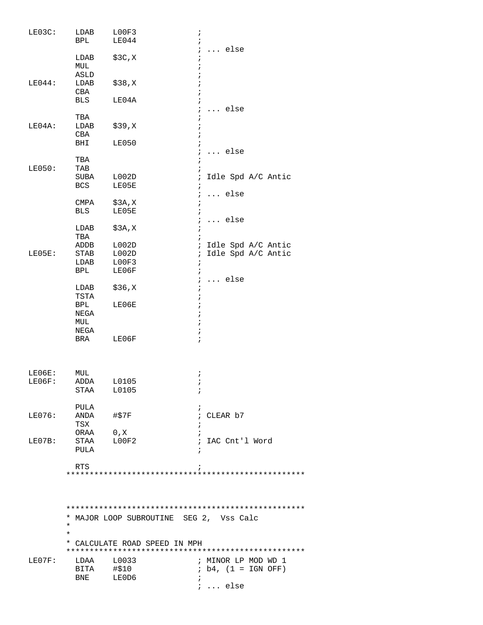| LE03C: | LDAB<br>BPL              | LOOF3<br>LE044                          | $\ddot{ }$<br>else            |
|--------|--------------------------|-----------------------------------------|-------------------------------|
|        | LDAB<br>MUL<br>ASLD      | \$3C,X                                  | $\ddot{i}$                    |
| LE044: | LDAB<br>CBA              | \$38,X                                  |                               |
|        | BLS                      | LE04A                                   | $\ldots$ else                 |
|        | TBA                      |                                         |                               |
| LE04A: | LDAB                     | \$39, X                                 |                               |
|        | CBA<br>BHI               | LE050                                   |                               |
|        |                          |                                         | $\ldots$ else                 |
|        | TBA                      |                                         |                               |
| LE050: | TAB<br>SUBA              | L002D                                   | Idle Spd A/C Antic<br>$\cdot$ |
|        | BCS                      | LE05E                                   |                               |
|        |                          |                                         | else<br>$\ddot{i}$            |
|        | CMPA                     | \$3A, X                                 |                               |
|        | BLS                      | LE05E                                   |                               |
|        | LDAB                     | \$3A,X                                  | $\ldots$ else                 |
|        | TBA                      |                                         |                               |
|        | ADDB                     | L002D                                   | ; Idle Spd A/C Antic          |
| LE05E: | STAB                     | L002D                                   | ; Idle Spd A/C Antic          |
|        | LDAB<br>BPL              | LOOF3<br>LE06F                          | $\cdot$                       |
|        |                          |                                         | $\ldots$ else<br>$\ddot{ }$   |
|        | LDAB                     | \$36,X                                  |                               |
|        | TSTA                     |                                         |                               |
|        | BPL<br>NEGA              | LE06E                                   |                               |
|        | MUL                      |                                         |                               |
|        | NEGA                     |                                         |                               |
|        | BRA                      | LE06F                                   | $\ddot{i}$                    |
| LE06E: | MUL                      |                                         | i.                            |
| LE06F: | ADDA L0105<br>STAA L0105 |                                         |                               |
|        |                          |                                         |                               |
|        | PULA                     |                                         |                               |
| LE076: | ANDA #\$7F               |                                         | ; CLEAR b7                    |
|        | TSX<br>ORAA 0, X         |                                         |                               |
| LE07B: | STAA LOOF2               |                                         | ; IAC Cnt'l Word              |
|        | PULA                     |                                         |                               |
|        | RTS                      |                                         |                               |
|        |                          |                                         |                               |
|        | $\ast$<br>$\ast$         | * MAJOR LOOP SUBROUTINE SEG 2, Vss Calc |                               |
|        |                          | * CALCULATE ROAD SPEED IN MPH           |                               |
| LE07F: | LDAA L0033               |                                         | ; MINOR LP MOD WD 1           |
|        | BITA #\$10               |                                         | $ib4$ , $(1 = IGN OFF)$       |
|        | BNE LEOD6                |                                         |                               |
|        |                          |                                         | $i \ldots$ else               |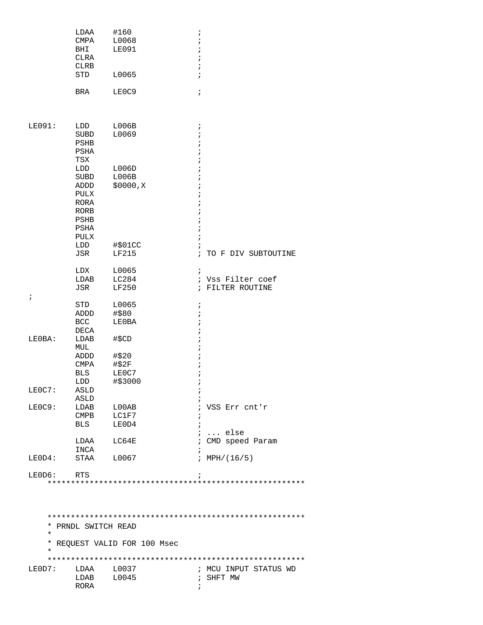|                                              | LDAA<br>CMPA<br>BHI<br><b>CLRA</b><br>CLRB<br><b>STD</b>            | #160<br>L0068<br><b>LE091</b><br>L0065      | $\ddot{ }$<br>$\cdot$<br>$\cdot$<br>$\cdot$<br>$\mathbf{r}$<br>$\dot{I}$ |
|----------------------------------------------|---------------------------------------------------------------------|---------------------------------------------|--------------------------------------------------------------------------|
|                                              | BRA                                                                 | LE0C9                                       | $\mathbf{\dot{i}}$                                                       |
| LE091:                                       | LDD<br>SUBD<br>PSHB<br>PSHA<br>TSX                                  | L006B<br>L0069                              | $\ddot{i}$<br>$\ddot{i}$<br>$\cdot$                                      |
|                                              | LDD<br>SUBD<br>ADDD<br>PULX<br>RORA<br>RORB<br>PSHB<br>PSHA<br>PULX | L006D<br>L006B<br>\$0000,K                  | $\cdot$                                                                  |
|                                              | LDD<br>JSR                                                          | #\$01CC<br><b>LF215</b>                     | i<br>$\ddot{ }$<br>TO F DIV SUBTOUTINE                                   |
| $\ddot{i}$                                   | LDX<br>LDAB<br>JSR                                                  | L0065<br>LC284<br>LF250                     | $\ddot{i}$<br>Vss Filter coef<br>$\ddot{i}$<br>; FILTER ROUTINE          |
|                                              | <b>STD</b><br>ADDD<br><b>BCC</b><br>DECA                            | L0065<br>#\$80<br>LE0BA                     | $\ddot{ }$<br>$\cdot$<br>$\ddot{i}$                                      |
| LE0BA:                                       | LDAB<br>MUL<br>ADDD<br>CMPA<br>BLS<br>LDD                           | #\$CD<br>#\$20<br>#\$2F<br>LE0C7<br>#\$3000 | ï                                                                        |
| LE0C7:                                       | ASLD<br>ASLD                                                        |                                             |                                                                          |
| LE0C9:                                       | LDAB<br>CMPB<br><b>BLS</b>                                          | L00AB<br>LC1F7<br>LE0D4                     | VSS Err cnt'r<br>$\cdot$<br>$i$ else                                     |
|                                              | LDAA                                                                | LC64E                                       | ; CMD speed Param                                                        |
| LEOD4:                                       | INCA<br>STAA                                                        | L0067                                       | ; $MPH/(16/5)$                                                           |
| LEOD6:                                       | RTS                                                                 |                                             |                                                                          |
| $^\star$<br>$^\star$<br>$^\star$<br>$^\star$ | PRNDL SWITCH READ                                                   | REQUEST VALID FOR 100 Msec                  |                                                                          |
| LEOD7:                                       | LDAA<br>LDAB<br>RORA                                                | L0037<br>L0045                              | ; MCU INPUT STATUS WD<br>; SHFT MW<br>$\ddot{i}$                         |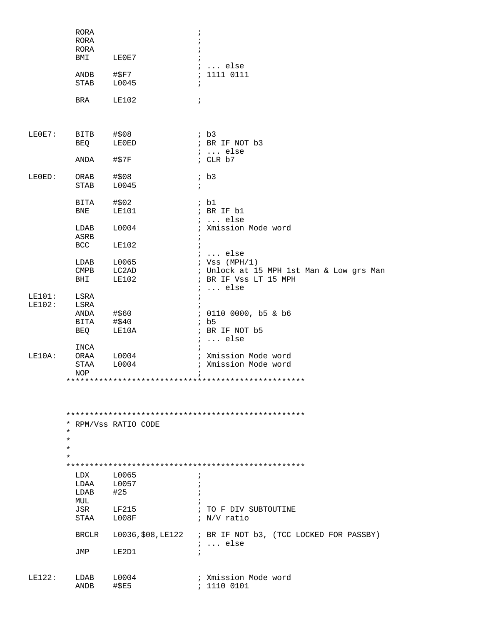|        | RORA<br>RORA<br>RORA<br>BMI | LE0E7                | ÷                                                                             |
|--------|-----------------------------|----------------------|-------------------------------------------------------------------------------|
|        |                             |                      | $i \ldots$ else                                                               |
|        | ANDB                        | #\$F7                | : 1111 0111                                                                   |
|        | <b>STAB</b>                 | L0045                | $\ddot{i}$                                                                    |
|        | BRA                         | <b>LE102</b>         | $\ddot{i}$                                                                    |
| LEOE7: | BITB                        | #\$08                | ib3                                                                           |
|        | BEQ                         | LE0ED                | ; BR IF NOT b3                                                                |
|        |                             |                      | $: $ else                                                                     |
|        | ANDA                        | #\$7F                | ; CLR b7                                                                      |
| LEOED: | ORAB                        | #\$08                | $;$ b3                                                                        |
|        | STAB                        | L0045                | $\ddot{i}$                                                                    |
|        | BITA                        | #\$02                | ib1                                                                           |
|        | BNE                         | <b>LE101</b>         | ; BR IF b1                                                                    |
|        |                             |                      | $i \ldots$ else                                                               |
|        | LDAB                        | L0004                | ; Xmission Mode word                                                          |
|        | ASRB                        |                      |                                                                               |
|        | BCC                         | <b>LE102</b>         |                                                                               |
|        |                             |                      | $i \ldots$ else                                                               |
|        | LDAB                        | L0065                | ; $Vss$ (MPH/1)                                                               |
|        | <b>CMPB</b>                 | LC2AD                | ; Unlock at 15 MPH 1st Man & Low grs Man                                      |
|        | BHI                         | LE102                | ; BR IF Vss LT 15 MPH<br>$i \ldots$ else                                      |
| LE101: | LSRA                        |                      |                                                                               |
| LE102: | LSRA                        |                      |                                                                               |
|        | ANDA                        | #\$60                | ; 0110 0000, b5 & b6                                                          |
|        | BITA                        | #\$40                | ib5                                                                           |
|        | BEQ                         | LE10A                | ; BR IF NOT b5<br>$i \ldots$ else                                             |
|        | INCA                        |                      |                                                                               |
| LE10A: | ORAA                        | L0004                | ; Xmission Mode word                                                          |
|        | STAA<br>NOP                 | L0004                | ; Xmission Mode word                                                          |
|        |                             |                      |                                                                               |
|        |                             |                      |                                                                               |
|        | $\star$                     | * RPM/Vss RATIO CODE |                                                                               |
|        | $\star$                     |                      |                                                                               |
|        | $\ast$                      |                      |                                                                               |
|        | $\star$                     |                      |                                                                               |
|        |                             |                      |                                                                               |
|        | LDX                         | L0065                | $\ddot{i}$                                                                    |
|        | LDAA                        | L0057                | $\cdot$                                                                       |
|        | LDAB                        | #25                  |                                                                               |
|        | MUL                         |                      |                                                                               |
|        | JSR                         | LF215                | ; TO F DIV SUBTOUTINE                                                         |
|        | STAA                        | ${\tt LOO8F}$        | ; N/V ratio                                                                   |
|        | BRCLR                       |                      | L0036, \$08, LE122 ; BR IF NOT b3, (TCC LOCKED FOR PASSBY)<br>$i \ldots$ else |
|        | JMP                         | LE2D1                |                                                                               |
| LE122: |                             |                      | ; Xmission Mode word                                                          |
|        | LDAB<br>ANDB                | L0004<br>#\$E5       | : 111000101                                                                   |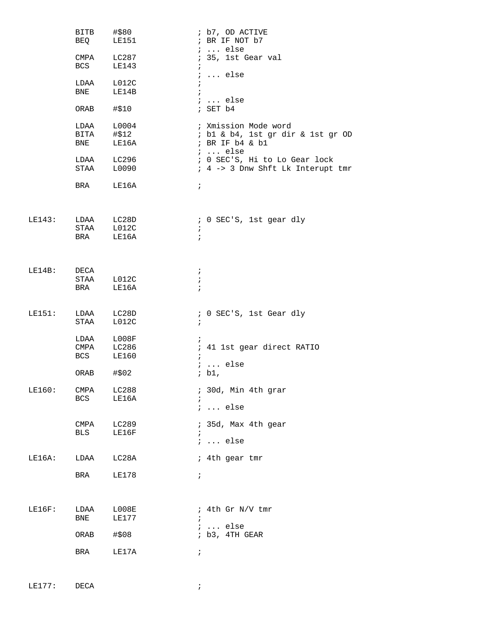|        | BITB<br>BEQ        | #\$80<br>LE151                           | ; b7, OD ACTIVE<br>; BR IF NOT b7                                                               |
|--------|--------------------|------------------------------------------|-------------------------------------------------------------------------------------------------|
|        | <b>BCS</b>         | CMPA LC287<br>LE143                      | $i \ldots$ else<br>; 35, 1st Gear val<br>$\ddot{i}$<br>$i \ldots$ else                          |
|        | LDAA<br><b>BNE</b> | L012C<br>LE14B                           | $\ddot{i}$<br>$\ddot{i}$                                                                        |
|        | ORAB               | #\$10                                    | $i \ldots$ else<br>; SET b4                                                                     |
|        | LDAA<br><b>BNE</b> | L0004<br>BITA #\$12<br>LE16A             | ; Xmission Mode word<br>; b1 & b4, 1st gr dir & 1st gr OD<br>; BR IF b4 & b1<br>$i \ldots$ else |
|        |                    | LDAA LC296<br>STAA L0090                 | ; 0 SEC'S, Hi to Lo Gear lock<br>; 4 -> 3 Dnw Shft Lk Interupt tmr                              |
|        | <b>BRA</b>         | LE16A                                    | $\ddot{i}$                                                                                      |
|        | <b>BRA</b>         | LE143: LDAA LC28D<br>STAA L012C<br>LE16A | ; 0 SEC'S, 1st gear dly<br>$\ddot{i}$<br>$\ddot{i}$                                             |
| LE14B: | DECA               | STAA L012C<br>BRA LE16A                  | $\ddot{i}$<br>$\ddot{i}$<br>$\ddot{i}$                                                          |
| LE151: | STAA               | LDAA LC28D<br>L012C                      | ; 0 SEC'S, 1st Gear dly<br>$\ddot{ }$                                                           |
|        | LDAA<br><b>BCS</b> | $_{\tt LOO8F}$<br>CMPA LC286<br>LE160    | $\ddot{i}$<br>; 41 1st gear direct RATIO<br>$\ddot{i}$<br>$i \ldots$ else                       |
|        | ORAB #\$02         |                                          | ; $b1$ ,                                                                                        |
| LE160: | CMPA<br><b>BCS</b> | LC288<br>LE16A                           | ; 30d, Min 4th grar<br>$i \ldots$ else                                                          |
|        | CMPA<br><b>BLS</b> | LC289<br>LE16F                           | ; 35d, Max 4th gear<br>$\ddot{i}$<br>$i \dots$ else                                             |
| LE16A: | LDAA               | LC28A                                    | ; 4th gear tmr                                                                                  |
|        | BRA                | LE178                                    | $\ddot{i}$                                                                                      |
| LE16F: | LDAA<br>BNE        | L008E<br>LE177                           | ; 4th Gr N/V tmr<br>$\ddot{i}$<br>$i \ldots$ else                                               |
|        | ORAB               | #\$08                                    | $;$ b3, 4TH GEAR                                                                                |
|        | BRA                | LE17A                                    | $\ddot{i}$                                                                                      |

LE177: DECA ;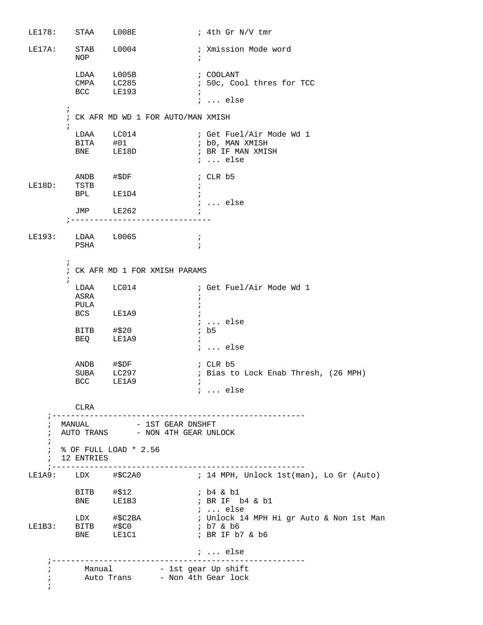LE178: STAA L008E : 4th Gr N/V tmr LE17A: STAB L0004 : Xmission Mode word NOP  $\qquad \qquad ;$  $\begin{tabular}{lllllll} \texttt{\texttt{LDAA}} & \texttt{\texttt{L005B}} & & \texttt{\texttt{; COOLANT}} \end{tabular}$ ; 50c, Cool thres for TCC BCC LE193 ; ; ... else  $\mathcal{L}^{\text{max}}$  ; CK AFR MD WD 1 FOR AUTO/MAN XMISH  $\mathcal{L}^{\text{max}}$ LDAA LC014 : Get Fuel/Air Mode Wd 1 BITA #01 ; b0, MAN XMISH BNE LE18D ; BR IF MAN XMISH ; ... else ANDB #\$DF ; CLR b5 LE18D: TSTB ; BPL LE1D4 ; ; ... else JMP LE262 ; ;------------------------------ LE193: LDAA L0065 ; PSHA ;  $\mathcal{L}^{\text{max}}$  ; CK AFR MD 1 FOR XMISH PARAMS  $\mathcal{L}^{\text{max}}$ LDAA LC014 : Get Fuel/Air Mode Wd 1 **ASRA** PULA  $\qquad \qquad ;$ BCS LE1A9 ; ; ... else  $BITB$   $\# $20$  ; b5 BEQ LE1A9 ; ; ... else ANDB #\$DF ; CLR b5 SUBA LC297 : Bias to Lock Enab Thresh, (26 MPH)<br>BCC LE1A9 :  $\begin{tabular}{lllll} \multicolumn{2}{l}{{\small\texttt{SUBA}}} & $\verb+LC297 & & & \multicolumn{2}{l}{\small\texttt{;}} \\ & $\verb+BCC} & $\verb+LE1A9 & & & \multicolumn{2}{l}{\small\texttt{;}} \\ \multicolumn{2}{l}{\small\texttt{BCC}} & $\verb+LE1A9 & & & \multicolumn{2}{l}{\small\texttt{;}} \\ \multicolumn{2}{l}{\small\texttt{BCC}} & $\verb+LE1A9 & & & \multicolumn{2}{l}{\small\texttt{;}} \\ \multicolumn{2}{l}{\small\texttt{BCC}} & $\verb+LE1A9 & & & \multicolumn$  ; ... else CLRA ;------------------------------------------------------ ; MANUAL  $-$  1ST GEAR DNSHFT ; AUTO TRANS - NON 4TH GEAR UNLOCK ; ; % OF FULL LOAD \* 2.56 ; 12 ENTRIES ;------------------------------------------------------ ; 14 MPH, Unlock 1st(man), Lo Gr (Auto) BITB  $\# $12$  ; b4 & b1 BNE LE1B3 ; BR IF b4 & b1<br>; ... else ; ... else LDX #\$C2BA ; Unlock 14 MPH Hi gr Auto & Non 1st Man LE1B3: BITB #\$C0 ; b7 & b6 BNE LE1C1 ; BR IF b7 & b6 ; ... else ;----------------------------------------------------- i Manual - 1st gear Up shift ; Auto Trans - Non 4th Gear lock ;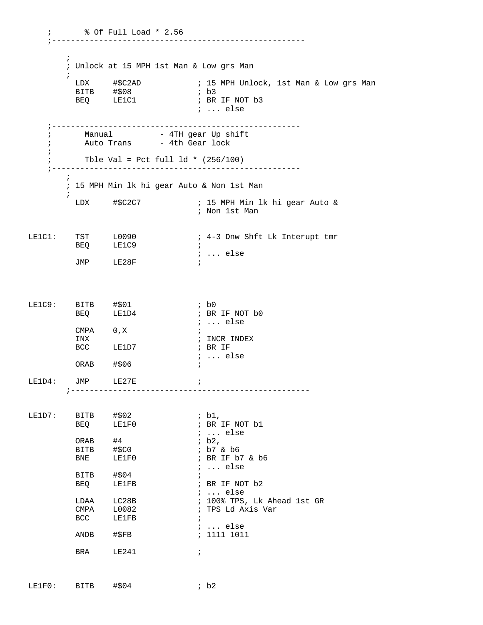; % Of Full Load \* 2.56 ;------------------------------------------------------  $\mathcal{L}^{\text{max}}$  ; Unlock at 15 MPH 1st Man & Low grs Man  $\mathcal{L}^{\text{max}}$  LDX #\$C2AD ; 15 MPH Unlock, 1st Man & Low grs Man  $BITB$   $\#$08$ BEQ LE1C1 ; BR IF NOT b3 ; ... else ;---------------------------------------------------- i Manual - 4TH gear Up shift ; The Caustic Trans that the Gear lock ; ; The Val = Pct full  $1d * (256/100)$  ;-----------------------------------------------------  $\mathbf{z}$  ;  $\mathbf{z}$  ; 15 MPH Min lk hi gear Auto & Non 1st Man  $\mathcal{L}^{\text{max}}$  LDX #\$C2C7 ; 15 MPH Min lk hi gear Auto & ; Non 1st Man LE1C1: TST L0090 : 4-3 Dnw Shft Lk Interupt tmr BEQ LE1C9 ; ; ... else JMP LE28F ; LE1C9: BITB #\$01 ; b0 BEQ LE1D4 ; BR IF NOT b0 ; ... else  $\begin{array}{lllll} \texttt{CMPA} & & 0\texttt{,X} & & \texttt{;} \\ \texttt{INX} & & & \texttt{; INCR INDEX} \end{array}$ INX  $\qquad \qquad ; \quad \text{INCR} \quad \text{INDEX}$ BCC LE1D7 ; BR IF ; ... else ORAB #\$06 ; LE1D4: JMP LE27E ; ;--------------------------------------------------- LE1D7: BITB  $\#§02$  ; b1, BEQ LE1F0 ; BR IF NOT b1 ; ... else<br>; b2,  $ORAB$   $#4$   $; b2,$ BITB #\$C0 ; b7 & b6 BNE LE1F0 ; BR IF b7 & b6 ; ... else  $BITB$   $\# $04$  ; BEQ LE1FB  $\qquad$  ; BR IF NOT b2 ; ... else LDAA LC28B ; 100% TPS, Lk Ahead 1st GR CMPA L0082 **;** TPS Ld Axis Var  $\begin{tabular}{lllllllll} \texttt{LDAA} & $\tt{LC28B}$ & & & & ; \\ \texttt{CMPA} & $\tt{L0082}$ & & & ; \\ \texttt{BCC} & $\tt{LE1FB}$ & & & ; \\ \end{tabular}$ ; ... else<br>; 1111 1011 ANDB #\$FB BRA LE241 ;

LE1F0: BITB #\$04 ; b2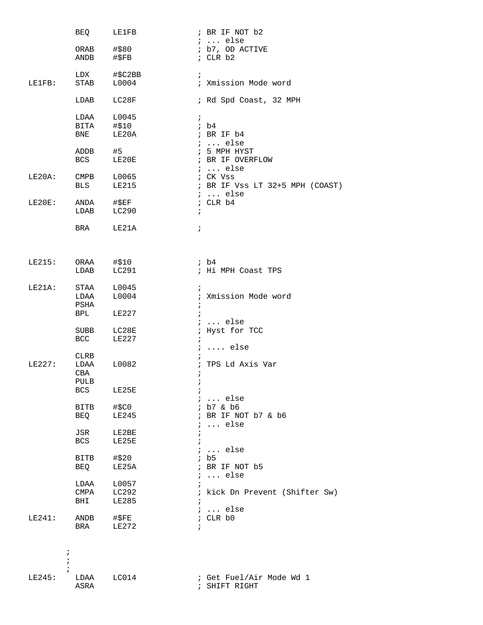|                   | BEO                | LE1FB            | ; BR IF NOT b2                     |
|-------------------|--------------------|------------------|------------------------------------|
|                   |                    |                  | $i \ldots$ else                    |
|                   | ORAB #\$80<br>ANDB | #\$FB            | ; b7, OD ACTIVE<br>; $CLR b2$      |
|                   |                    |                  |                                    |
| LE1FB:            | LDX<br><b>STAB</b> | #\$C2BB<br>L0004 | $\ddot{i}$<br>; Xmission Mode word |
|                   | LDAB               | LC28F            | ; Rd Spd Coast, 32 MPH             |
|                   | LDAA               | L0045            | $\mathcal{V}$                      |
|                   | BITA #\$10         |                  | ib4                                |
|                   | <b>BNE</b>         | LE20A            | ; BR IF b4                         |
|                   |                    |                  | $i \ldots$ else                    |
|                   | ADDB               | #5               | ; 5 MPH HYST                       |
|                   | <b>BCS</b>         | LE20E            | ; BR IF OVERFLOW                   |
|                   |                    |                  | $i$ else                           |
| LE20A:            | <b>CMPB</b>        | L0065            | ; CK Vss                           |
|                   | <b>BLS</b>         | LE215            | ; BR IF Vss LT 32+5 MPH (COAST)    |
|                   |                    |                  | $i \ldots$ else                    |
| $LE20E$ :         | ANDA #\$EF         |                  | ; CLR b4                           |
|                   | LDAB               | LC290            | $\ddot{i}$                         |
|                   |                    |                  |                                    |
|                   | <b>BRA</b>         | LE21A            | $\ddot{i}$                         |
|                   |                    |                  |                                    |
| LE215: ORAA #\$10 |                    |                  | $;$ b4                             |
|                   | LDAB               | LC291            | ; Hi MPH Coast TPS                 |
|                   |                    |                  |                                    |
| $LE21A$ :         | STAA               | L0045            | $\ddot{ }$                         |
|                   | LDAA               | L0004            | ; Xmission Mode word               |
|                   | PSHA               |                  | $\ddot{i}$                         |
|                   | <b>BPL</b>         | LE227            | $\ddot{i}$<br>$i \ldots$ else      |
|                   | SUBB               | LC28E            | ; Hyst for TCC                     |
|                   | <b>BCC</b>         | LE227            | $\ddot{i}$                         |
|                   |                    |                  | $i \ldots$ else                    |
|                   | CLRB               |                  |                                    |
| LE227:            | LDAA               | L0082            | ; TPS Ld Axis Var                  |
|                   | CBA                |                  |                                    |
|                   | PULB               |                  |                                    |
|                   | <b>BCS</b>         | LE25E            | $\ddot{i}$                         |
|                   |                    |                  | $i \ldots$ else                    |
|                   | <b>BITB</b>        | #\$C0            | ; b7 & b6                          |
|                   | BEQ                | LE245            | ; BR IF NOT b7 & b6                |
|                   |                    |                  | $i \ldots$ else                    |
|                   | JSR                | LE2BE            | $\ddot{i}$                         |
|                   | BCS                | LE25E            |                                    |
|                   |                    |                  | $i \ldots$ else                    |
|                   | <b>BITB</b>        | #\$20            | ib5                                |
|                   | BEQ                | LE25A            | ; BR IF NOT b5<br>$i \ldots$ else  |
|                   | LDAA               | L0057            |                                    |
|                   | CMPA               | LC292            | ; kick Dn Prevent (Shifter Sw)     |
|                   | BHI                | LE285            | $\ddot{i}$                         |
|                   |                    |                  | $i \ldots$ else                    |
| LE241:            | ANDB               | #\$FE            | ; CLR b0                           |
|                   | BRA                | LE272            | $\ddot{ }$                         |
|                   |                    |                  |                                    |
| ÷                 |                    |                  |                                    |
|                   |                    |                  |                                    |
|                   |                    |                  |                                    |
| LE245:            | LDAA               | LCO14            | ; Get Fuel/Air Mode Wd 1           |
|                   | ASRA               |                  | ; SHIFT RIGHT                      |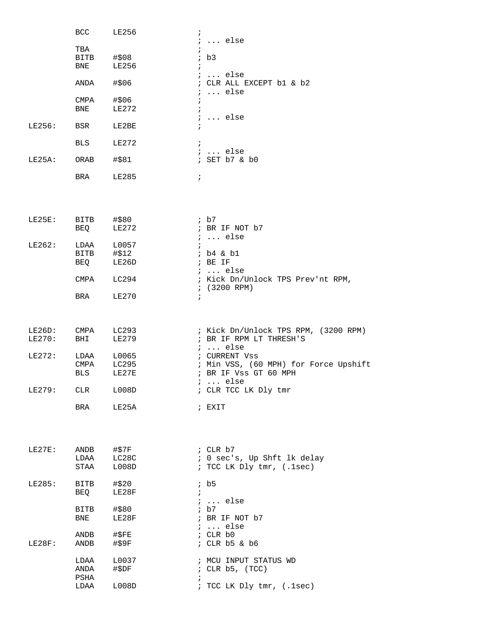|        | BCC               | LE256          | $\ddot{i}$                                           |
|--------|-------------------|----------------|------------------------------------------------------|
|        | TBA               |                | $i \ldots$ else<br>$\ddot{ }$                        |
|        | <b>BITB</b>       | #\$08          | ib3                                                  |
|        | BNE               | LE256          | $\ddot{i}$                                           |
|        |                   |                | $i \ldots$ else                                      |
|        | ANDA              | #\$06          | ; CLR ALL EXCEPT b1 & b2                             |
|        | CMPA              | #\$06          | $i \ldots$ else<br>$\ddot{i}$                        |
|        | BNE               | LE272          | $\ddot{i}$                                           |
|        |                   |                | $i \ldots$ else                                      |
| LE256: | BSR               | LE2BE          | $\ddot{i}$                                           |
|        |                   |                |                                                      |
|        | BLS               | LE272          | $\ddot{i}$<br>$i \ldots$ else                        |
| LE25A: | ORAB              | #\$81          | ; SET b7 & b0                                        |
|        |                   |                |                                                      |
|        | BRA               | LE285          | $\ddot{i}$                                           |
|        |                   |                |                                                      |
|        |                   |                |                                                      |
|        |                   |                | $;$ b7                                               |
| LE25E: | BITB #\$80<br>BEQ | LE272          | ; BR IF NOT b7                                       |
|        |                   |                | $i \ldots$ else                                      |
| LE262: |                   | LDAA L0057     | $\ddot{i}$                                           |
|        | BITB #\$12        |                | ; b4 & b1                                            |
|        |                   | BEQ LE26D      | ; BE IF                                              |
|        | CMPA              | LC294          | $i \ldots$ else<br>; Kick Dn/Unlock TPS Prev'nt RPM, |
|        |                   |                | $(3200$ RPM)                                         |
|        | BRA               | LE270          | $\ddot{i}$                                           |
|        |                   |                |                                                      |
|        |                   |                |                                                      |
| LE26D: | CMPA LC293        |                | ; Kick Dn/Unlock TPS RPM, (3200 RPM)                 |
| LE270: | BHI               | LE279          | ; BR IF RPM LT THRESH'S<br>$i \ldots$ else           |
| LE272: | LDAA              | L0065          | ; CURRENT Vss                                        |
|        | CMPA              | LC295          | ; Min VSS, (60 MPH) for Force Upshift                |
|        | <b>BLS</b>        | LE27E          | ; BR IF Vss GT 60 MPH                                |
|        |                   |                | $i \ldots$ else                                      |
| LE279: | CLR               | L008D          | ; CLR TCC LK Dly tmr                                 |
|        | BRA               | LE25A          | ; EXIT                                               |
|        |                   |                |                                                      |
|        |                   |                |                                                      |
|        |                   |                | $;$ CLR $b7$                                         |
| LE27E: | ANDB<br>LDAA      | #\$7F<br>LC28C | ; 0 sec's, Up Shft lk delay                          |
|        | STAA              | L008D          | ; TCC LK Dly tmr, (.1sec)                            |
|        |                   |                |                                                      |
| LE285: | BITB              | #\$20          | ib5                                                  |
|        | BEQ               | LE28F          | $\ddot{i}$                                           |
|        | BITB              | #\$80          | $i \ldots$ else<br>ib7                               |
|        | BNE               | LE28F          | ; BR IF NOT b7                                       |
|        |                   |                | $i \ldots$ else                                      |
|        | ANDB              | $\sharp$ \$FE  | ; CLR b0                                             |
| LE28F: | ANDB              | #\$9F          | $:$ CLR b5 & b6                                      |
|        | LDAA              | L0037          | ; MCU INPUT STATUS WD                                |
|        | ANDA              | #\$DF          | ; CLR $b5$ , $(TCC)$                                 |
|        | PSHA              |                | $\ddot{i}$                                           |
|        | LDAA              | L008D          | ; TCC LK Dly tmr, (.1sec)                            |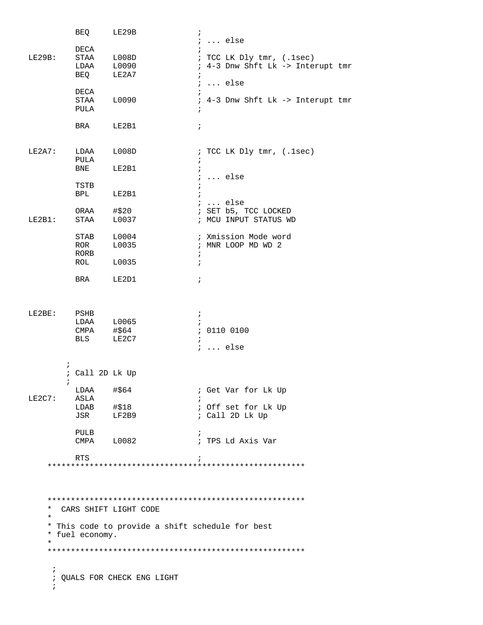|                     | BEQ                | LE29B                                            | $\ddot{ }$                        |
|---------------------|--------------------|--------------------------------------------------|-----------------------------------|
|                     |                    |                                                  | $i \ldots$ else                   |
|                     | DECA               |                                                  |                                   |
| LE29B:              | STAA               | L008D                                            | ; TCC LK Dly tmr, (.1sec)         |
|                     | LDAA<br><b>BEQ</b> | L0090                                            | ; 4-3 Dnw Shft Lk -> Interupt tmr |
|                     |                    | LE2A7                                            | $\ddot{i}$                        |
|                     | DECA               |                                                  | $: $ else                         |
|                     | STAA               | L0090                                            | ; 4-3 Dnw Shft Lk -> Interupt tmr |
|                     | PULA               |                                                  | $\ddot{i}$                        |
|                     |                    |                                                  |                                   |
|                     | BRA                | LE2B1                                            | $\ddot{i}$                        |
|                     |                    |                                                  |                                   |
|                     |                    |                                                  |                                   |
| LE2A7:              | LDAA               | L008D                                            | ; TCC LK Dly tmr, (.1sec)         |
|                     | PULA               |                                                  | $\ddot{i}$                        |
|                     | <b>BNE</b>         | LE2B1                                            | $\ddot{ }$                        |
|                     |                    |                                                  | $i \ldots$ else                   |
|                     | TSTB<br><b>BPL</b> | LE2B1                                            | $\ddot{i}$<br>$\ddot{i}$          |
|                     |                    |                                                  | $i \ldots$ else                   |
|                     | ORAA               | #\$20                                            | ; SET b5, TCC LOCKED              |
| LE2B1:              | STAA               | L0037                                            | ; MCU INPUT STATUS WD             |
|                     |                    |                                                  |                                   |
|                     | STAB               | L0004                                            | ; Xmission Mode word              |
|                     | ROR                | L0035                                            | ; MNR LOOP MD WD 2                |
|                     | RORB               |                                                  | $\ddot{ }$                        |
|                     | ROL                | L0035                                            | $\ddot{i}$                        |
|                     |                    |                                                  |                                   |
|                     | BRA                | LE2D1                                            | $\ddot{i}$                        |
|                     |                    |                                                  |                                   |
| LE2BE:              | PSHB               |                                                  | $\ddot{i}$                        |
|                     | LDAA               | L0065                                            | $\cdot$                           |
|                     | CMPA $\#$ \$64     |                                                  | : 0110 0100                       |
|                     | <b>BLS</b>         | LE2C7                                            | $\ddot{i}$                        |
|                     |                    |                                                  | $i \ldots$ else                   |
| $\ddot{i}$          |                    |                                                  |                                   |
|                     | ; Call 2D Lk Up    |                                                  |                                   |
| $\ddot{i}$          |                    |                                                  |                                   |
|                     | LDAA               | #\$64                                            | ; Get Var for Lk Up               |
| LE2C7:              | ASLA               |                                                  |                                   |
|                     | LDAB               | #\$18                                            | ; Off set for Lk Up               |
|                     | JSR                | LF2B9                                            | ; Call 2D Lk Up                   |
|                     |                    |                                                  |                                   |
|                     | PULB               |                                                  | $\ddot{ }$                        |
|                     | CMPA               | L0082                                            | ; TPS Ld Axis Var                 |
|                     | <b>RTS</b>         |                                                  | $\ddot{i}$                        |
|                     |                    |                                                  |                                   |
|                     |                    |                                                  |                                   |
|                     |                    |                                                  |                                   |
|                     |                    |                                                  |                                   |
|                     |                    |                                                  |                                   |
| $^\star$<br>$\star$ |                    | CARS SHIFT LIGHT CODE                            |                                   |
|                     |                    |                                                  |                                   |
|                     | * fuel economy.    | * This code to provide a shift schedule for best |                                   |
| $\star$             |                    |                                                  |                                   |
|                     |                    |                                                  |                                   |
|                     |                    |                                                  |                                   |
| $\ddot{i}$          |                    |                                                  |                                   |
|                     |                    | ; QUALS FOR CHECK ENG LIGHT                      |                                   |
| $\ddot{i}$          |                    |                                                  |                                   |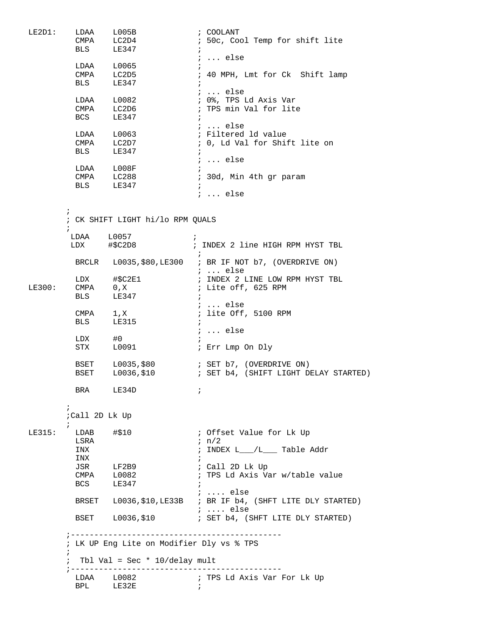| LE2D1: | LDAA           | $_{\rm L005B}$                            | ; COOLANT                                                    |
|--------|----------------|-------------------------------------------|--------------------------------------------------------------|
|        | CMPA           | LC2D4                                     | ; 50c, Cool Temp for shift lite                              |
|        | <b>BLS</b>     | LE347                                     | $\ddot{i}$                                                   |
|        |                |                                           | $i \ldots$ else                                              |
|        |                | LDAA L0065                                |                                                              |
|        |                | CMPA LC2D5                                | $\ddot{i}$                                                   |
|        |                |                                           | ; 40 MPH, Lmt for Ck Shift lamp                              |
|        |                | BLS LE347                                 |                                                              |
|        |                |                                           | $i \ldots$ else                                              |
|        |                |                                           | ; 0%, TPS Ld Axis Var                                        |
|        |                | LDAA L0082<br>CMPA LC2D6                  | ; TPS min Val for lite                                       |
|        | <b>BCS</b>     | LE347                                     | $\ddot{i}$                                                   |
|        |                |                                           | ;  else                                                      |
|        |                | LDAA L0063                                | ; Filtered ld value                                          |
|        |                |                                           | ; 0, Ld Val for Shift lite on                                |
|        |                | CMPA LC2D7<br>BLS LE347                   |                                                              |
|        |                |                                           | $\ddot{i}$                                                   |
|        |                |                                           | $i \ldots$ else                                              |
|        |                | LDAA L008F                                |                                                              |
|        |                | CMPA LC288                                | ; 30d, Min 4th gr param                                      |
|        |                | BLS LE347                                 | $\ddot{i}$                                                   |
|        |                |                                           | $i \ldots$ else                                              |
|        |                |                                           |                                                              |
|        | $\ddot{ }$     |                                           |                                                              |
|        |                | ; CK SHIFT LIGHT hi/lo RPM QUALS          |                                                              |
|        | $\ddot{i}$     |                                           |                                                              |
|        |                | LDAA L0057                                | $\ddot{i}$                                                   |
|        |                | LDX #\$C2D8                               | ; INDEX 2 line HIGH RPM HYST TBL                             |
|        |                |                                           |                                                              |
|        |                |                                           | $\ddot{i}$                                                   |
|        |                |                                           | BRCLR L0035, \$80, LE300 ; BR IF NOT b7, (OVERDRIVE ON)      |
|        |                |                                           | ; $\ldots$ else                                              |
|        | LDX            | #\$C2E1                                   | ; INDEX 2 LINE LOW RPM HYST TBL                              |
| LE300: | $CMPA$ 0, $X$  |                                           | ; Lite off, 625 RPM                                          |
|        | <b>BLS</b>     | LE347                                     | $\ddot{i}$                                                   |
|        |                |                                           | ;  else                                                      |
|        |                |                                           | ; lite Off, 5100 RPM                                         |
|        | <b>BLS</b>     | $CMPA$ 1, $X$<br>LE315                    | $\ddot{i}$                                                   |
|        |                |                                           |                                                              |
|        |                |                                           | $i \ldots$ else                                              |
|        | LDX            | #0                                        | $\ddot{i}$                                                   |
|        | <b>STX</b>     | L0091                                     | ; Err Lmp On Dly                                             |
|        |                |                                           |                                                              |
|        | <b>BSET</b>    |                                           | $L0035, $80$ ; SET b7, (OVERDRIVE ON)                        |
|        | <b>BSET</b>    |                                           | $L0036, $10$ : SET b4, (SHIFT LIGHT DELAY STARTED)           |
|        |                |                                           |                                                              |
|        |                | BRA LE34D                                 | $\cdot$                                                      |
|        |                |                                           |                                                              |
|        | $\ddot{i}$     |                                           |                                                              |
|        | ;Call 2D Lk Up |                                           |                                                              |
|        |                |                                           |                                                              |
|        | $\ddot{i}$     |                                           |                                                              |
| LE315: | $LDAB$ #\$10   |                                           | ; Offset Value for Lk Up                                     |
|        | LSRA           |                                           | $\ln/2$                                                      |
|        | INX            |                                           | ; INDEX L__/L__ Table Addr                                   |
|        | INX            |                                           | $\mathcal{L}$                                                |
|        |                | JSR LF2B9                                 | ; Call 2D Lk Up                                              |
|        |                | CMPA L0082                                | ; TPS Ld Axis Var w/table value                              |
|        |                | BCS LE347                                 | $\ddot{i}$                                                   |
|        |                |                                           | $i \ldots$ else                                              |
|        |                |                                           |                                                              |
|        |                |                                           | BRSET L0036, \$10, LE33B ; BR IF b4, (SHFT LITE DLY STARTED) |
|        |                |                                           | $i \ldots$ else                                              |
|        |                |                                           |                                                              |
|        |                |                                           |                                                              |
|        |                |                                           |                                                              |
|        |                | ; LK UP Eng Lite on Modifier Dly vs % TPS |                                                              |
|        | $\ddot{i}$     |                                           |                                                              |
|        | $\ddot{ }$     | Tbl Val = Sec $*$ 10/delay mult           |                                                              |
|        | ; ---------    |                                           |                                                              |
|        |                | $LDAA$ $L0082$                            | ; TPS Ld Axis Var For Lk Up                                  |
|        |                | BPL LE32E                                 | $\ddot{i}$                                                   |
|        |                |                                           |                                                              |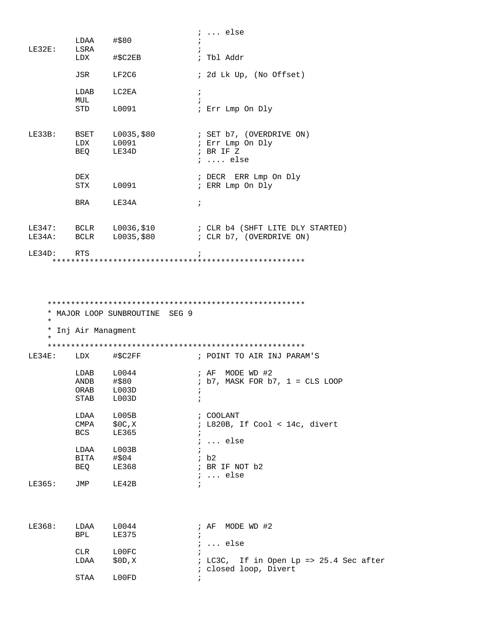|                    |                              |                                  | $i \ldots$ else                                                                                                                                                        |
|--------------------|------------------------------|----------------------------------|------------------------------------------------------------------------------------------------------------------------------------------------------------------------|
|                    | LDAA                         | #\$80                            |                                                                                                                                                                        |
| LE32E:             | LSRA<br>LDX                  | #\$C2EB                          | ; Tbl Addr                                                                                                                                                             |
|                    | JSR                          | LF2C6                            | ; 2d Lk Up, (No Offset)                                                                                                                                                |
|                    | LDAB                         | LC2EA                            | $\ddot{i}$                                                                                                                                                             |
|                    | MUL<br>STD                   | L0091                            | $\ddot{i}$<br>; Err Lmp On Dly                                                                                                                                         |
| LE33B:             | <b>BSET</b><br>LDX           | L0091<br>BEQ LE34D               | $L0035, $80$ ; SET b7, (OVERDRIVE ON)<br>; Err Lmp On Dly<br>; BR IF Z<br>$i$ else                                                                                     |
|                    | DEX                          | STX L0091                        | ; DECR ERR Lmp On Dly<br>; ERR Lmp On Dly                                                                                                                              |
|                    | <b>BRA</b>                   | LE34A                            | $\ddot{i}$                                                                                                                                                             |
|                    |                              |                                  | LE347: BCLR L0036, \$10<br>LE34A: BCLR L0035, \$80<br>$E34A$ : BCLR L0035, \$80<br>$E34A$ : BCLR L0035, \$80<br>$E34A$ : BCLR L0035, \$80<br>$E34A$ : BCLR L0035, \$80 |
| LE34D:             | RTS                          |                                  | $\ddot{ }$                                                                                                                                                             |
| $\star$<br>$\star$ | * Inj Air Managment          | * MAJOR LOOP SUNBROUTINE SEG 9   |                                                                                                                                                                        |
| LE34E:             | LDX                          | #\$C2FF                          | ; POINT TO AIR INJ PARAM'S                                                                                                                                             |
|                    | LDAB<br>ANDB<br>ORAB<br>STAB | L0044<br>#\$80<br>L003D<br>L003D | ; AF MODE WD #2<br>$: b7$ , MASK FOR $b7$ , $1 = CLS$ LOOP<br>$\ddot{ }$                                                                                               |
|                    | LDAA<br>CMPA<br>BCS          | L005B<br>\$0C,X<br>LE365         | ; COOLANT<br>; L820B, If Cool < 14c, divert                                                                                                                            |
|                    | LDAA<br>BITA<br>BEQ          | L003B<br>#\$04<br>LE368          | $i \ldots$ else<br>$\ddot{i}$<br>ib2<br>; BR IF NOT b2<br>$i \ldots$ else                                                                                              |
| LE365:             | JMP                          | LE42B                            | $\ddot{i}$                                                                                                                                                             |
| LE368:             | LDAA<br>BPL                  | L0044<br>LE375                   | MODE WD #2<br>; AF<br>$i \ldots$ else                                                                                                                                  |
|                    | CLR<br>LDAA                  | L00FC<br>\$0D, X                 | ; LC3C, If in Open Lp => 25.4 Sec after                                                                                                                                |
|                    | STAA                         | LOOFD                            | ; closed loop, Divert                                                                                                                                                  |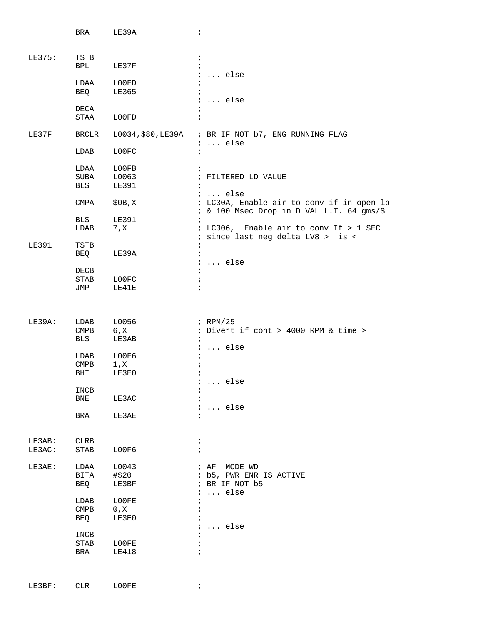|              | BRA                      | LE39A                 | $\ddot{i}$                                                                            |
|--------------|--------------------------|-----------------------|---------------------------------------------------------------------------------------|
|              |                          |                       |                                                                                       |
| LE375:       | TSTB<br>BPL              | $\ddot{i}$<br>LE37F   | $\ddot{i}$                                                                            |
|              | LDAA                     | L00FD<br>$\ddot{i}$   | $i \ldots$ else                                                                       |
|              | BEQ                      | LE365<br>$\ddot{i}$   |                                                                                       |
|              | DECA                     |                       | $i \ldots$ else                                                                       |
|              | STAA                     | L00FD<br>$\ddot{i}$   |                                                                                       |
| LE37F        | BRCLR                    |                       | L0034, \$80, LE39A ; BR IF NOT b7, ENG RUNNING FLAG<br>$: $ else                      |
|              | LDAB                     | L00FC<br>$\ddot{i}$   |                                                                                       |
|              | LDAA                     | LOOFB                 | $\ddot{i}$                                                                            |
|              | SUBA<br>BLS              | L0063<br><b>LE391</b> | ; FILTERED LD VALUE<br>$\ddot{i}$                                                     |
|              |                          |                       | $i \ldots$ else                                                                       |
|              | CMPA                     | \$0B,X                | ; LC30A, Enable air to conv if in open lp<br>; & 100 Msec Drop in D VAL L.T. 64 gms/S |
|              | BLS<br>LDAB              | LE391<br>7, x         | $\ddot{i}$<br>; LC306, Enable air to conv If > 1 SEC                                  |
|              |                          |                       | ; since last neg delta LV8 > is <                                                     |
| <b>LE391</b> | TSTB<br>BEQ              | $\ddot{i}$<br>LE39A   | $\ddot{i}$                                                                            |
|              |                          |                       | $i \ldots$ else                                                                       |
|              | DECB<br>STAB             | LOOFC<br>$\ddot{i}$   | $\ddot{ }$                                                                            |
|              | JMP                      | LE41E                 |                                                                                       |
|              |                          |                       |                                                                                       |
| LE39A:       | LDAB                     | L0056                 | ; RPM/25                                                                              |
|              | <b>CMPB</b>              | 6, X                  | ; Divert if cont > 4000 RPM & time >                                                  |
|              | BLS                      | LE3AB                 | $\ddot{i}$                                                                            |
|              |                          |                       | $i \ldots$ else                                                                       |
|              | LDAB<br><b>CMPB</b>      | L00F6<br>1, x         | $\ddot{i}$                                                                            |
|              | BHI                      | LE3E0                 |                                                                                       |
|              |                          |                       | $\ldots$ else<br>ĭ.                                                                   |
|              | INCB                     |                       |                                                                                       |
|              | BNE                      | LE3AC                 | $i \ldots$ else                                                                       |
|              | BRA                      | LE3AE                 |                                                                                       |
|              |                          |                       |                                                                                       |
| LE3AB:       | CLRB                     |                       | $\ddot{i}$                                                                            |
| LE3AC:       | STAB                     | LOOF6                 | $\mathbf{r}$                                                                          |
| LE3AE:       | LDAA                     | L0043                 | ; AF MODE WD                                                                          |
|              | BITA                     | #\$20                 | ; b5, PWR ENR IS ACTIVE                                                               |
|              | BEQ                      | LE3BF                 | ; BR IF NOT b5                                                                        |
|              | LDAB                     | L00FE                 | $i \ldots$ else                                                                       |
|              | $\mathop{\mathrm{CMPB}}$ | 0, X                  | $\ddot{i}$                                                                            |
|              | BEQ                      | LE3E0                 |                                                                                       |
|              |                          |                       | $\ldots$ else<br>$\ddot{i}$                                                           |
|              | INCB                     |                       |                                                                                       |
|              | STAB                     | L00FE                 |                                                                                       |
|              | BRA                      | <b>LE418</b>          |                                                                                       |
|              |                          |                       |                                                                                       |

LE3BF: CLR L00FE ;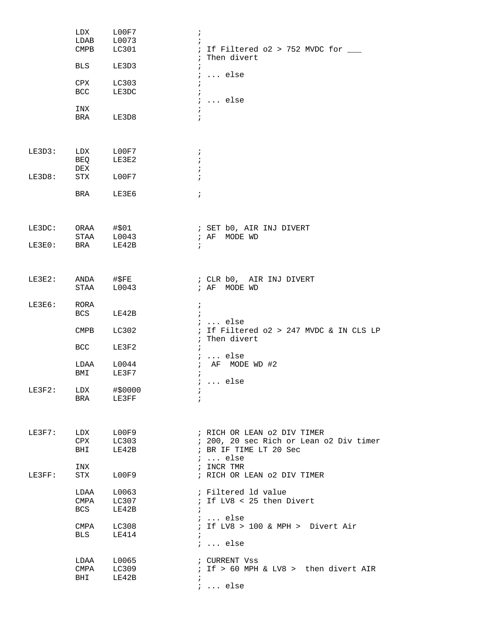|           | LDX<br>LDAB<br>$\mathop{\mathrm{CMPB}}$ | L00F7<br>L0073<br>LC301 | $\ddot{i}$<br>; If Filtered $o2$ > 752 MVDC for $\_\_$                                                              |
|-----------|-----------------------------------------|-------------------------|---------------------------------------------------------------------------------------------------------------------|
|           | <b>BLS</b>                              | LE3D3                   | ; Then divert<br>$\ddot{i}$                                                                                         |
|           | CPX<br><b>BCC</b>                       | LC303<br>LE3DC          | $i \ldots$ else<br>$\ddot{i}$<br>$\ddot{i}$                                                                         |
|           | INX                                     |                         | $i$ else                                                                                                            |
|           | BRA                                     | LE3D8                   | $\ddot{ }$                                                                                                          |
| LE3D3:    | LDX<br>BEQ                              | LOOF7<br>LE3E2          | $\ddot{i}$<br>$\ddot{i}$                                                                                            |
| LE3D8:    | DEX<br>STX                              | LOOF7                   | $\ddot{i}$                                                                                                          |
|           | BRA                                     | LE3E6                   | $\ddot{i}$                                                                                                          |
| LE3DC:    | ORAA<br>STAA                            | #\$01<br>L0043          | ; SET b0, AIR INJ DIVERT<br>; AF<br>MODE WD                                                                         |
| LE3E0:    | <b>BRA</b>                              | LE42B                   | $\ddot{i}$                                                                                                          |
| LE3E2:    | ANDA<br><b>STAA</b>                     | #\$FE<br>L0043          | ; CLR b0, AIR INJ DIVERT<br>; AF MODE WD                                                                            |
| LE3E6:    | RORA<br>BCS                             | LE42B                   | $\ddot{i}$<br>$\ddot{i}$                                                                                            |
|           | <b>CMPB</b>                             | LC302                   | $i \ldots$ else<br>; If Filtered o2 > 247 MVDC & IN CLS LP<br>$\ddot{i}$<br>Then divert                             |
|           | BCC                                     | LE3F2                   | $i \ldots$ else                                                                                                     |
|           | LDAA<br>BMI                             | L0044<br>LE3F7          | AF MODE WD #2<br>$\ddot{ }$<br>$\ddot{i}$<br>;  else                                                                |
| $LE3F2$ : | LDX<br><b>BRA</b>                       | #\$0000<br>LE3FF        | $\ddot{ }$<br>$\ddot{i}$                                                                                            |
| LE3F7:    | LDX<br>CPX<br>BHI                       | L00F9<br>LC303<br>LE42B | ; RICH OR LEAN 02 DIV TIMER<br>; 200, 20 sec Rich or Lean o2 Div timer<br>; BR IF TIME LT 20 Sec<br>$i \ldots$ else |
| LE3FF:    | INX<br>STX                              | L00F9                   | ; INCR TMR<br>; RICH OR LEAN 02 DIV TIMER                                                                           |
|           | LDAA<br>CMPA<br><b>BCS</b>              | L0063<br>LC307<br>LE42B | ; Filtered 1d value<br>; If LV8 < 25 then Divert<br>$\ddot{i}$                                                      |
|           | CMPA<br>BLS                             | LC308<br>LE414          | $i \ldots$ else<br>; If LV8 > 100 & MPH > Divert Air<br>$\ddot{i}$<br>$i \ldots$ else                               |
|           | LDAA<br>CMPA<br>BHI                     | L0065<br>LC309<br>LE42B | ; CURRENT Vss<br>; If > 60 MPH & LV8 > then divert AIR<br>$\ddot{i}$<br>$: $ else                                   |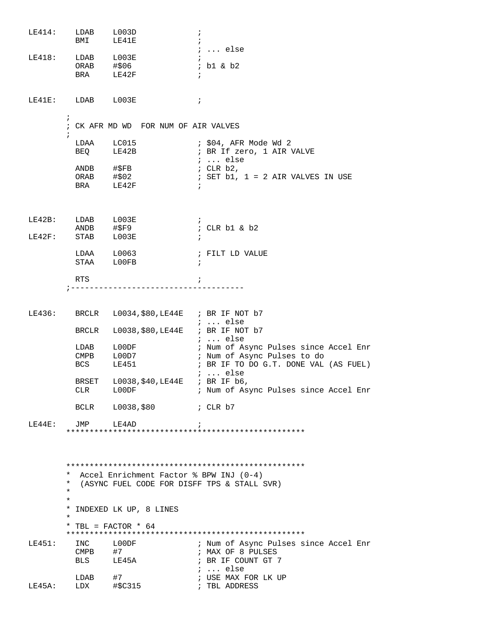$\begin{tabular}{lllll} \multicolumn{2}{l}{{\bf LE414:}} & & {\bf LDAB} & & {\bf L003D} \\ & & {\bf BMI} & & {\bf LE41E} \\ \end{tabular}$  $\cdot$  ;  $\ddot{i}$ ; ... else LDAB L003E<br>ORAB #\$06<br>BRA LE42F  $LE418:$  $\cdot$  ; ; b1 & b2  $\cdot$  ;  $LE41E:$   $LDAB$   $L003E$  $\mathcal{L} = \mathcal{L} \mathcal{L}$  $\ddot{i}$ ; CK AFR MD WD FOR NUM OF AIR VALVES  $\ddot{ }$ LDAA LC015 ; \$04, AFR Mode Wd 2 BEQ LE42B ; BR If zero, 1 AIR VALVE  $\cdots$  else ANDB #\$FB<br>ORAB #\$02 ; CLR b2, ; SET b1,  $1 = 2$  AIR VALVES IN USE BRA LE42F ;<br>; CLR b1 & b2<br>. LE42B: LDAB L003E<br>ANDB #\$F9<br>LE42F: STAB L003E  $\cdot$  : RTS  $\cdot$  ; LE436: BRCLR L0034, \$80, LE44E ; BR IF NOT b7 ; ... else BRCLR L0038, \$80, LE44E ; BR IF NOT b7 ; ... else LDAB L00DF ; Num of Async Pulses since Accel Enr CMPB L00D7 ; Num of Async Pulses to do **LE451 BCS** ; BR IF TO DO G.T. DONE VAL (AS FUEL)  $i$  ... else BRSET L0038, \$40, LE44E ; BR IF b6,  $L00DF$ ; Num of Async Pulses since Accel Enr  $CLR$ BCLR L0038,\$80 ; CLR b7 **JMP**  $LE44E:$ LE4AD  $\cdot$  ; \* Accel Enrichment Factor % BPW INJ (0-4) \* (ASYNC FUEL CODE FOR DISFF TPS & STALL SVR) \* INDEXED LK UP, 8 LINES \* TBL = FACTOR \*  $64$ LE451: INC LOODF ; Num of Async Pulses since Accel Enr  $CMPB$  #7 ; MAX OF 8 PULSES BLS LE45A ; BR IF COUNT GT 7 ; ... else  $\begin{tabular}{lllllll} \multicolumn{2}{c}{\text{LDAB}} & \multicolumn{2}{c}{\text{H7}} & \multicolumn{2}{c}{\text{I.} & \multicolumn{2}{c}{\text{I.} & \multicolumn{2}{c}{\text{LDAB}}}\\ & \multicolumn{2}{c}{\text{LDAB}} & \multicolumn{2}{c}{\text{H7}} & \multicolumn{2}{c}{\text{I.} & \multicolumn{2}{c}{\text{I.} & \multicolumn{2}{c}{\text{I.} & \multicolumn{2}{c}{\text{I.} & \multicolumn{2}{c}{\text{I.} & \multicolumn{2}{c}{\text{I$ ; USE MAX FOR LK UP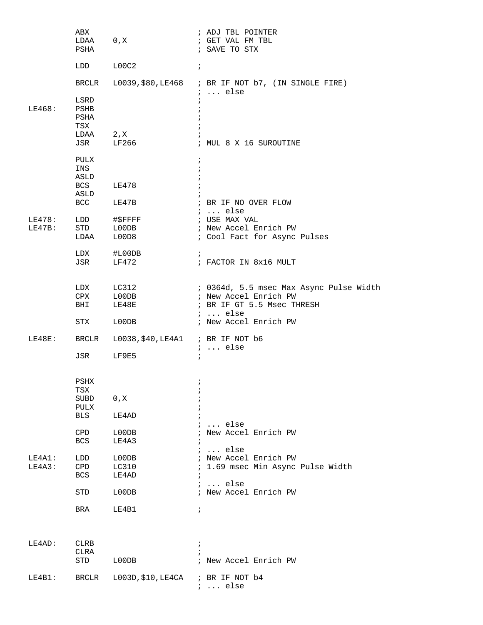|               | ABX            |                                      | ; ADJ TBL POINTER                                                            |
|---------------|----------------|--------------------------------------|------------------------------------------------------------------------------|
|               | LDAA 0, X      |                                      | ; GET VAL FM TBL                                                             |
|               | PSHA           |                                      | ; SAVE TO STX                                                                |
|               | LDD            | L00C2                                | $\ddot{i}$                                                                   |
|               |                |                                      |                                                                              |
|               |                |                                      | BRCLR L0039, \$80, LE468 ; BR IF NOT b7, (IN SINGLE FIRE)<br>$i \ldots$ else |
|               | LSRD           |                                      |                                                                              |
| LE468:        | PSHB           |                                      |                                                                              |
|               | PSHA           |                                      |                                                                              |
|               | TSX            |                                      |                                                                              |
|               | LDAA 2, X      |                                      |                                                                              |
|               | JSR            | LF266                                | ; MUL 8 X 16 SUROUTINE                                                       |
|               | PULX           |                                      | $\ddot{i}$                                                                   |
|               | INS            |                                      |                                                                              |
|               | ASLD           |                                      |                                                                              |
|               | <b>BCS</b>     | LE478                                |                                                                              |
|               | ASLD           |                                      |                                                                              |
|               | <b>BCC</b>     | LE47B                                | ; BR IF NO OVER FLOW<br><i>i</i> else                                        |
| <b>LE478:</b> |                | LDD #\$FFFF                          | ; USE MAX VAL                                                                |
| $LE47B$ :     | <b>STD</b>     | $\text{LOODB}$                       | ; New Accel Enrich PW                                                        |
|               | LDAA           | L00D8                                | ; Cool Fact for Async Pulses                                                 |
|               |                |                                      |                                                                              |
|               | LDX            | #L00DB                               | $\ddot{i}$                                                                   |
|               | JSR            | LF472                                | ; FACTOR IN 8x16 MULT                                                        |
|               |                |                                      |                                                                              |
|               | LDX            | LC312                                | ; 0364d, 5.5 msec Max Async Pulse Width                                      |
|               | CPX            | L00DB                                | ; New Accel Enrich PW                                                        |
|               | BHI            | LE48E                                | ; BR IF GT 5.5 Msec THRESH                                                   |
|               |                |                                      | $: $ else                                                                    |
|               | STX            | L00DB                                | ; New Accel Enrich PW                                                        |
|               |                |                                      |                                                                              |
| LE48E:        | BRCLR          | L0038, \$40, LE4A1 ; BR IF NOT b6    | $i$ else                                                                     |
|               | JSR            | LF9E5                                | $\ddot{ }$                                                                   |
|               |                |                                      |                                                                              |
|               |                |                                      |                                                                              |
|               | $_{\rm{PSHX}}$ |                                      |                                                                              |
|               | TSX<br>SUBD    | 0, X                                 |                                                                              |
|               | PULX           |                                      |                                                                              |
|               | BLS            | LE4AD                                |                                                                              |
|               |                |                                      | $i$ else                                                                     |
|               | CPD            | L00DB                                | ; New Accel Enrich PW                                                        |
|               | BCS            | LE4A3                                |                                                                              |
|               |                |                                      | $i \ldots$ else                                                              |
| LE4A1:        | LDD            | L00DB                                | ; New Accel Enrich PW                                                        |
| LE4A3:        | $\texttt{CPD}$ | LC310                                | ; 1.69 msec Min Async Pulse Width                                            |
|               | BCS            | LE4AD                                |                                                                              |
|               | STD            | L00DB                                | $i \ldots$ else<br>; New Accel Enrich PW                                     |
|               |                |                                      |                                                                              |
|               | BRA            | LE4B1                                | $\ddot{i}$                                                                   |
|               |                |                                      |                                                                              |
|               |                |                                      |                                                                              |
| LE4AD:        | CLRB           |                                      | $\ddot{ }$                                                                   |
|               | CLRA           |                                      |                                                                              |
|               | STD            | L00DB                                | ; New Accel Enrich PW                                                        |
|               |                |                                      |                                                                              |
| $LE4B1$ :     | BRCLR          | $L003D$ , \$10, LE4CA ; BR IF NOT b4 |                                                                              |
|               |                |                                      | $i \ldots$ else                                                              |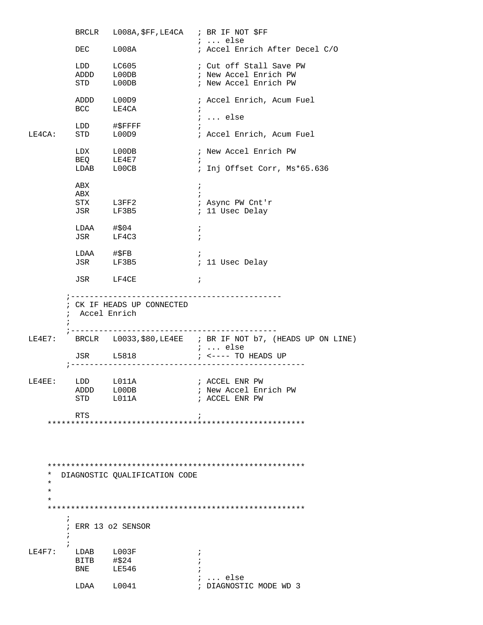|                  |                | BRCLR L008A, \$FF, LE4CA ; BR IF NOT \$FF |                                                                    |
|------------------|----------------|-------------------------------------------|--------------------------------------------------------------------|
|                  |                |                                           | ;  else                                                            |
|                  |                | DEC L008A                                 | ; Accel Enrich After Decel C/O                                     |
|                  |                |                                           | ; Cut off Stall Save PW                                            |
|                  |                |                                           | ; New Accel Enrich PW                                              |
|                  |                | LDD LC605<br>ADDD L00DB<br>STD L00DB      | ; New Accel Enrich PW                                              |
|                  |                |                                           |                                                                    |
|                  |                | ADDD L00D9                                | ; Accel Enrich, Acum Fuel                                          |
|                  |                | $BCC$ $LE4CA$                             | $\ddot{i}$                                                         |
|                  |                |                                           | ;  else                                                            |
|                  |                | LDD #\$FFFF<br>STD L00D9                  | ; Accel Enrich, Acum Fuel                                          |
| LE4CA:           |                |                                           |                                                                    |
|                  |                | $LDX$ $L00DB$                             | ; New Accel Enrich PW                                              |
|                  | BEQ            | LE4E7                                     | $\ddot{i}$                                                         |
|                  |                | $LDAB$ $L00CB$                            | ; Inj Offset Corr, Ms*65.636                                       |
|                  |                |                                           |                                                                    |
|                  | ABX            |                                           | $\ddot{i}$                                                         |
|                  | ABX            |                                           | $\mathbf{r}$                                                       |
|                  |                | STX L3FF2<br>JSR LF3B5                    | ; Async PW Cnt'r                                                   |
|                  |                |                                           | ; 11 Usec Delay                                                    |
|                  | LDAA #\$04     |                                           | $\ddot{ }$                                                         |
|                  | JSR            | LF4C3                                     | $\ddot{i}$                                                         |
|                  |                |                                           |                                                                    |
|                  |                | LDAA #\$FB                                | $\ddot{i}$                                                         |
|                  |                | JSR LF3B5                                 | ; 11 Usec Delay                                                    |
|                  |                |                                           |                                                                    |
|                  |                | JSR LF4CE                                 | $\cdot$ ;                                                          |
|                  |                |                                           |                                                                    |
|                  |                | ; CK IF HEADS UP CONNECTED                |                                                                    |
|                  | ; Accel Enrich |                                           |                                                                    |
|                  |                |                                           |                                                                    |
|                  |                |                                           |                                                                    |
|                  |                |                                           | LE4E7: BRCLR L0033, \$80, LE4EE ; BR IF NOT b7, (HEADS UP ON LINE) |
|                  |                |                                           | ;  else                                                            |
|                  |                | JSR L5818                                 | ; <---- TO HEADS UP                                                |
|                  |                |                                           |                                                                    |
| LE4EE: LDD L011A |                |                                           | ; ACCEL ENR PW                                                     |
|                  | ADDD L00DB     |                                           | ; New Accel Enrich PW                                              |
|                  |                | STD L011A                                 | ; ACCEL ENR PW                                                     |
|                  |                |                                           |                                                                    |
|                  | RTS            |                                           | $\ddot{i}$                                                         |
|                  |                |                                           |                                                                    |
|                  |                |                                           |                                                                    |
|                  |                |                                           |                                                                    |
|                  |                |                                           |                                                                    |
|                  |                |                                           |                                                                    |
| *                |                | DIAGNOSTIC OUALIFICATION CODE             |                                                                    |
| *                |                |                                           |                                                                    |
| $\star$          |                |                                           |                                                                    |
| *                |                |                                           |                                                                    |
|                  |                |                                           |                                                                    |
| $\ddot{ }$       |                |                                           |                                                                    |
|                  |                | ; ERR 13 o2 SENSOR                        |                                                                    |
| $\ddot{i}$       |                |                                           |                                                                    |
| LE4F7:           | LDAB L003F     |                                           | i.                                                                 |
|                  | BITB #\$24     |                                           |                                                                    |
|                  | <b>BNE</b>     | LE546                                     |                                                                    |
|                  |                |                                           | $i \ldots$ else                                                    |
|                  | LDAA           | L0041                                     | ; DIAGNOSTIC MODE WD 3                                             |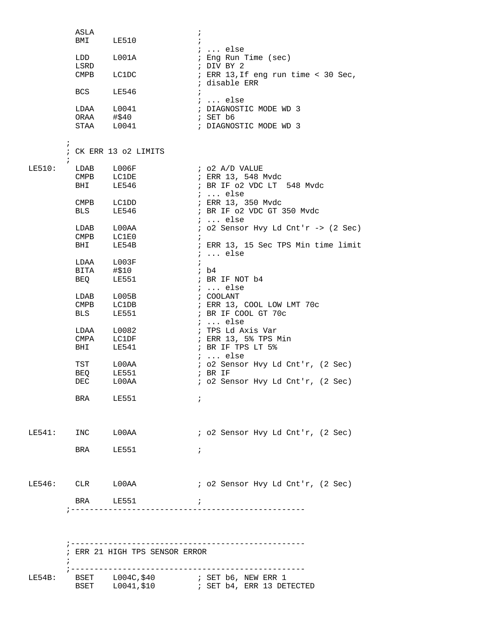|                  | ASLA        |                                | $\ddot{i}$                            |
|------------------|-------------|--------------------------------|---------------------------------------|
|                  | BMI LE510   |                                |                                       |
|                  |             |                                | ;  else                               |
|                  | LDD         | L001A                          | ; Eng Run Time (sec)                  |
|                  | LSRD        |                                | ; DIV BY 2                            |
|                  | <b>CMPB</b> | LC1DC                          | ; ERR 13, If eng run time < 30 Sec,   |
|                  |             |                                | ; disable ERR                         |
|                  | <b>BCS</b>  | LE546                          | $\ddot{i}$                            |
|                  |             |                                | ;  else                               |
|                  | LDAA        | L0041                          | ; DIAGNOSTIC MODE WD 3                |
|                  | ORAA        | #\$40                          | ; SET b6                              |
|                  |             | STAA L0041                     | ; DIAGNOSTIC MODE WD 3                |
|                  |             |                                |                                       |
| $\ddot{i}$       |             |                                |                                       |
|                  |             | ; CK ERR 13 o2 LIMITS          |                                       |
| $\ddot{i}$       |             |                                |                                       |
| LE510:           | LDAB L006F  |                                | ; o2 A/D VALUE                        |
|                  |             | CMPB LC1DE                     | ; ERR 13, 548 Mvdc                    |
|                  | <b>BHI</b>  | LE546                          | ; BR IF 02 VDC LT 548 Mvdc            |
|                  |             |                                | $i \ldots$ else                       |
|                  | CMPB        | <b>LC1DD</b>                   | ; ERR 13, 350 Mvdc                    |
|                  | <b>BLS</b>  | LE546                          | ; BR IF 02 VDC GT 350 Mvdc            |
|                  |             |                                | $i \ldots$ else                       |
|                  |             | LDAB LOOAA                     | $:$ 02 Sensor Hvy Ld Cnt'r -> (2 Sec) |
|                  | CMPB LC1E0  |                                | $\ddot{i}$                            |
|                  | BHI         | LE54B                          | ; ERR 13, 15 Sec TPS Min time limit   |
|                  |             |                                | $i$ else                              |
|                  |             | LDAA L003F                     | $\ddot{i}$                            |
|                  | BITA #\$10  |                                | ; b4                                  |
|                  | BEQ         | LE551                          | ; BR IF NOT b4                        |
|                  |             |                                | ;  else                               |
|                  | LDAB        | L005B                          | ; COOLANT                             |
|                  | <b>CMPB</b> | LC1DB                          | ; ERR 13, COOL LOW LMT 70c            |
|                  | <b>BLS</b>  | LE551                          | ; BR IF COOL GT 70c                   |
|                  |             |                                | $i \ldots$ else                       |
|                  | LDAA        | L0082                          | ; TPS Ld Axis Var                     |
|                  | CMPA        | LC1DF                          | ; ERR 13, 5% TPS Min                  |
|                  | <b>BHI</b>  | LE541                          | ; BR IF TPS LT 5%                     |
|                  |             |                                | $i$ else                              |
|                  | TST         | L00AA                          | ; o2 Sensor Hvy Ld Cnt'r, (2 Sec)     |
|                  | BEQ         | LE551                          | ; BR IF                               |
|                  | DEC         | $_{\tt LOOAA}$                 | ; o2 Sensor Hvy Ld Cnt'r, (2 Sec)     |
|                  |             |                                |                                       |
|                  | BRA LE551   |                                | $\ddot{i}$                            |
|                  |             |                                |                                       |
|                  |             |                                |                                       |
|                  |             |                                |                                       |
| LE541: INC LOOAA |             |                                | ; o2 Sensor Hvy Ld Cnt'r, (2 Sec)     |
|                  |             |                                |                                       |
|                  | BRA LE551   |                                | $\ddot{ }$                            |
|                  |             |                                |                                       |
|                  |             |                                |                                       |
|                  |             |                                |                                       |
|                  |             | LE546: CLR LOOAA               | ; o2 Sensor Hvy Ld Cnt'r, (2 Sec)     |
|                  |             |                                |                                       |
|                  | BRA LE551   | $\mathbf{r}$                   |                                       |
|                  |             |                                |                                       |
|                  |             |                                |                                       |
|                  |             |                                |                                       |
|                  |             |                                |                                       |
|                  |             |                                |                                       |
|                  |             | ; ERR 21 HIGH TPS SENSOR ERROR |                                       |
|                  |             |                                |                                       |
|                  |             |                                |                                       |
| LE54B:           |             |                                |                                       |
|                  |             |                                |                                       |
|                  |             |                                |                                       |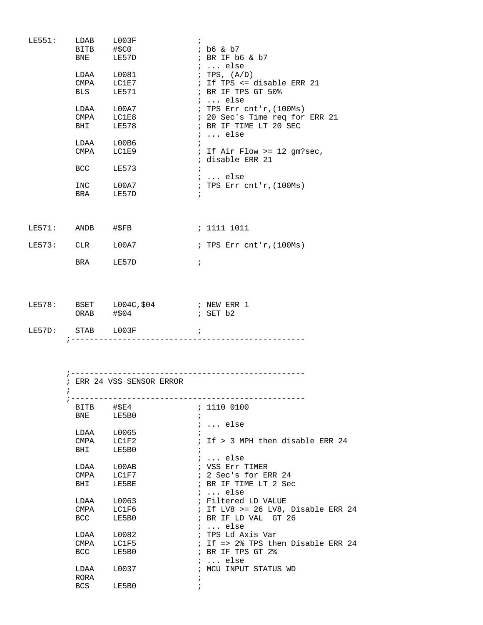| LE551:              |                 | LDAB L003F                                        | $\ddot{i}$                              |
|---------------------|-----------------|---------------------------------------------------|-----------------------------------------|
|                     |                 | BITB #\$C0                                        | ; b6 & b7                               |
|                     |                 | BNE LE57D                                         | ; BR IF b6 & b7<br>$\ldots$ else        |
|                     |                 | $LDAA$ $L0081$                                    | ; TPS, (A/D)                            |
|                     |                 | CMPA LC1E7                                        | ; If TPS <= disable ERR 21              |
|                     |                 | BLS LE571                                         | ; BR IF TPS GT 50%<br>;  else           |
|                     |                 | LDAA L00A7                                        | ; TPS Err $cnt'r$ , $(100Ms)$           |
|                     | $\texttt{CMPA}$ | LC1E8                                             | ; 20 Sec's Time req for ERR 21          |
|                     | BHI             | LE578                                             | ; BR IF TIME LT 20 SEC                  |
|                     |                 |                                                   | $i$ else                                |
|                     |                 | LDAA L00B6                                        | $\ddot{i}$                              |
|                     |                 | CMPA LC1E9                                        | ; If Air Flow >= 12 gm?sec,             |
|                     |                 |                                                   | ; disable ERR 21                        |
|                     |                 | BCC LE573                                         | $\ddot{i}$                              |
|                     |                 |                                                   |                                         |
|                     |                 |                                                   | ;  else                                 |
|                     |                 | INC L00A7                                         | ; TPS Err $cnt'r$ , $(100Ms)$           |
|                     |                 | BRA LE57D                                         | $\ddot{\phantom{1}}$                    |
| $LE571:$ ANDB #\$FB |                 |                                                   | ; 1111 1011                             |
|                     |                 | LE573: CLR L00A7                                  | ; TPS Err cnt'r, (100Ms)                |
|                     |                 | BRA LE57D                                         | $\ddot{i}$                              |
|                     |                 | LE578: BSET L004C, \$04 ; NEW ERR 1<br>ORAB #\$04 | $;$ SET $b2$                            |
|                     |                 | LE57D: STAB L003F ;                               |                                         |
|                     | $\ddot{i}$      | ; ERR 24 VSS SENSOR ERROR                         |                                         |
|                     |                 |                                                   |                                         |
|                     | BITB            | #\$E4                                             | ; 1110 0100                             |
|                     | BNE             | LE5B0                                             | $\ddot{i}$<br>$: $ else                 |
|                     |                 | LDAA L0065                                        | $\ddot{i}$                              |
|                     | CMPA            | LC1F2                                             | ; If > 3 MPH then disable ERR 24        |
|                     | BHI             | LE5B0                                             | $\ddot{i}$<br>$i$ else                  |
|                     | LDAA            | ${\tt LOOAB}$                                     | ; VSS Err TIMER                         |
|                     | CMPA            | LC1F7                                             | ; 2 Sec's for ERR 24                    |
|                     | BHI             | LE5BE                                             | ; BR IF TIME LT 2 Sec<br>$i$ else       |
|                     | LDAA            | L0063                                             | ; Filtered LD VALUE                     |
|                     | CMPA            | LC1F6                                             | ; If LV8 >= 26 LV8, Disable ERR 24      |
|                     | <b>BCC</b>      | LE5B0                                             | ; BR IF LD VAL GT 26<br>$i \ldots$ else |
|                     | LDAA            | L0082                                             | ; TPS Ld Axis Var                       |
|                     | CMPA            | LC1F5                                             | ; If => 2% TPS then Disable ERR 24      |
|                     | BCC             | LE5B0                                             | ; BR IF TPS GT 2%<br>$i \ldots$ else    |
|                     | LDAA<br>RORA    | L0037                                             | ; MCU INPUT STATUS WD<br>$\ddot{ }$     |
|                     | BCS             | LE5B0                                             | $\ddot{i}$                              |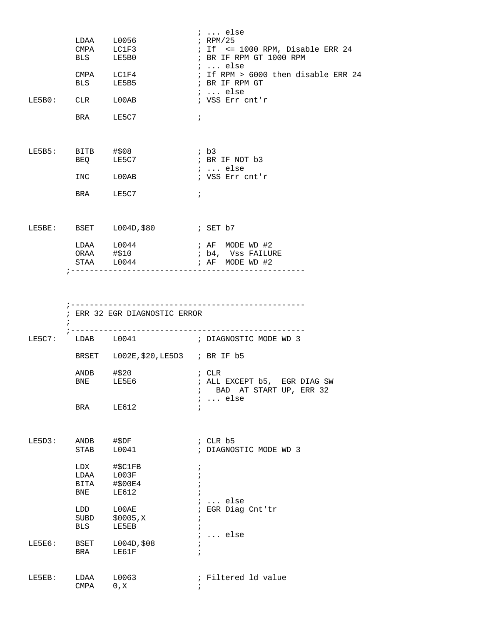|        |                        | LDAA L0056<br>CMPA LC1F3<br>BLS LE5B0                                          | $i \ldots$ else<br>$i$ RPM/25<br>$:$ If $\leq$ 1000 RPM, Disable ERR 24<br>; BR IF RPM GT 1000 RPM<br>$i$ else |
|--------|------------------------|--------------------------------------------------------------------------------|----------------------------------------------------------------------------------------------------------------|
|        |                        | CMPA LC1F4<br>BLS LE5B5                                                        | ; If RPM $> 6000$ then disable ERR 24<br>; BR IF RPM GT<br>$i \ldots$ else                                     |
|        |                        | LE5B0: CLR L00AB                                                               | ; VSS Err cnt'r                                                                                                |
|        |                        | BRA LE5C7                                                                      | $\ddot{i}$                                                                                                     |
|        | $LE5B5:$ BITB $\# $08$ | BEQ LE5C7                                                                      | ; b3<br>; BR IF NOT b3<br>;  else                                                                              |
|        |                        | $\begin{minipage}{0.9\linewidth} \texttt{INC} & \texttt{L00AB} \end{minipage}$ | ; VSS Err cnt'r                                                                                                |
|        |                        | BRA LE5C7                                                                      | $\ddot{i}$                                                                                                     |
|        |                        | LE5BE: BSET L004D, \$80 ; SET b7                                               |                                                                                                                |
|        |                        | $LDAA$ $L0044$                                                                 | ; AF MODE WD #2                                                                                                |
|        |                        | ORAA #\$10<br>$STAA$ $L0044$ $\qquad \qquad ; AF$ $MODE WD #2$                 | ; b4, Vss FAILURE                                                                                              |
|        |                        |                                                                                |                                                                                                                |
|        | $\ddot{i}$             | ; ERR 32 EGR DIAGNOSTIC ERROR                                                  |                                                                                                                |
|        |                        |                                                                                | LE5C7: LDAB L0041 : DIAGNOSTIC MODE WD 3                                                                       |
|        |                        | BRSET L002E, \$20, LE5D3 ; BR IF b5                                            |                                                                                                                |
|        | ANDB #\$20             |                                                                                | ; CLR<br>BNE LE5E6 ; ALL EXCEPT b5, EGR DIAG SW                                                                |
|        |                        |                                                                                | ; BAD AT START UP, ERR 32                                                                                      |
|        | BRA                    | LE612                                                                          | $i \ldots$ else                                                                                                |
| LE5D3: | ANDB<br>STAB           | #\$DF<br>L0041                                                                 | $;$ CLR $b5$<br>; DIAGNOSTIC MODE WD 3                                                                         |
|        | LDX<br>BITA<br>BNE     | #\$C1FB<br>LDAA L003F<br>#\$00E4<br>LE612                                      | $\ddot{ }$<br>$\ddot{i}$                                                                                       |
|        | LDD<br>BLS             | $_{\rm LOOAE}$<br>SUBD \$0005, X<br>LE5EB                                      | $i \ldots$ else<br>; EGR Diag Cnt'tr<br>$\ddot{ }$                                                             |
| LE5E6: | BSET<br>BRA            | L004D, \$08<br>LE61F                                                           | $i \ldots$ else<br>$\ddot{i}$                                                                                  |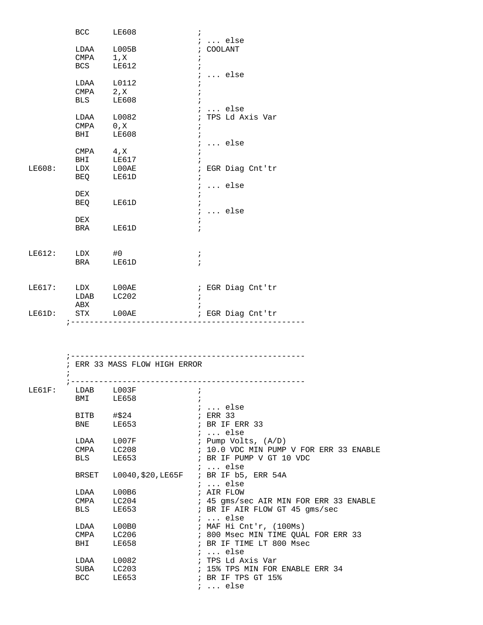|           |                  | BCC LE608                     | $\ddot{i}$                                  |
|-----------|------------------|-------------------------------|---------------------------------------------|
|           |                  |                               | $i \ldots$ else                             |
|           |                  | LDAA L005B                    | ; COOLANT                                   |
|           | $CMPA$ 1, X      |                               | $\ddot{i}$                                  |
|           | <b>BCS</b>       | LE612                         | $i \ldots$ else                             |
|           |                  | LDAA L0112                    |                                             |
|           | $CMPA$ 2, X      |                               |                                             |
|           | <b>BLS</b>       | LE608                         |                                             |
|           |                  |                               | $i \ldots$ else                             |
|           |                  | LDAA L0082                    | ; TPS Ld Axis Var                           |
|           | CMPA             | $0$ , $\rm X$                 |                                             |
|           | <b>BHI</b>       | LE608                         | $\ddot{i}$                                  |
|           |                  |                               | $i \ldots$ else                             |
|           | $CMPA$ 4, X      |                               | $\ddot{ }$                                  |
|           | BHI              | LE617                         |                                             |
| LE608:    | LDX              | ${\tt LOOAE}$                 | ; EGR Diag Cnt'tr                           |
|           | <b>BEQ</b>       | LE61D                         | $\ddot{i}$                                  |
|           |                  |                               | $i \ldots$ else                             |
|           | DEX              |                               | $\ddot{i}$<br>$\ddot{i}$                    |
|           |                  | BEQ LE61D                     | $i \ldots$ else                             |
|           | DEX              |                               | $\ddot{i}$                                  |
|           |                  | BRA LE61D                     |                                             |
|           |                  |                               |                                             |
|           |                  |                               |                                             |
|           | LE612: LDX #0    |                               | $\ddot{ }$                                  |
|           | <b>BRA</b>       | LE61D                         |                                             |
|           |                  |                               |                                             |
|           |                  |                               |                                             |
|           | LE617: LDX LOOAE |                               | ; EGR Diag Cnt'tr                           |
|           | ${\tt LDAB}$     | LC202                         | $\ddot{i}$                                  |
|           | ABX              |                               |                                             |
| LE61D:    | STX              | $_{\rm LOOAE}$                | ; EGR Diag Cnt'tr                           |
|           |                  | ----------------------        |                                             |
|           |                  |                               |                                             |
|           |                  |                               |                                             |
|           |                  |                               |                                             |
|           |                  | ; ERR 33 MASS FLOW HIGH ERROR |                                             |
|           | i                |                               |                                             |
|           |                  |                               |                                             |
| $LE61F$ : | LDAB             | L003F                         | $\ddot{i}$                                  |
|           | BMI              | LE658                         |                                             |
|           |                  |                               | $: $ else                                   |
|           | <b>BITB</b>      | #\$24                         | ; ERR 33                                    |
|           | BNE              | LE653                         | ; BR IF ERR 33                              |
|           |                  |                               | $i$ else                                    |
|           | LDAA             | L007F                         | ; Pump Volts, (A/D)                         |
|           | CMPA             | LC208                         | ; 10.0 VDC MIN PUMP V FOR ERR 33 ENABLE     |
|           | BLS              | LE653                         | ; BR IF PUMP V GT 10 VDC<br>$i \ldots$ else |
|           | BRSET            | L0040, \$20, LE65F            | ; BR IF b5, ERR 54A                         |
|           |                  |                               | $i \ldots$ else                             |
|           | LDAA             | L00B6                         | ; AIR FLOW                                  |
|           | CMPA             | LC204                         | ; 45 gms/sec AIR MIN FOR ERR 33 ENABLE      |
|           | BLS              | LE653                         | ; BR IF AIR FLOW GT 45 gms/sec              |
|           |                  |                               | $i$ else                                    |
|           | LDAA             | L00B0                         | ; MAF Hi Cnt'r, (100Ms)                     |
|           | CMPA             | LC206                         | ; 800 Msec MIN TIME QUAL FOR ERR 33         |
|           | BHI              | LE658                         | ; BR IF TIME LT 800 Msec                    |
|           |                  |                               | $i \ldots$ else                             |
|           | LDAA             | L0082                         | ; TPS Ld Axis Var                           |
|           | SUBA             | LC203                         | ; 15% TPS MIN FOR ENABLE ERR 34             |
|           | BCC              | LE653                         | ; BR IF TPS GT 15%                          |
|           |                  |                               | $i \ldots$ else                             |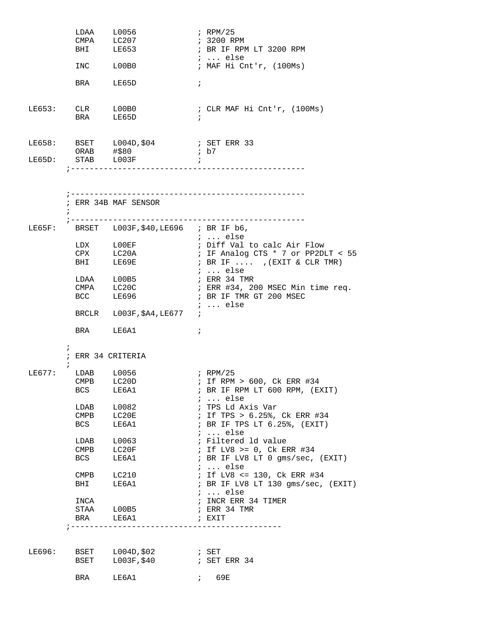|                  |                          | LDAA L0056<br>CMPA LC207                           | ; RPM/25                                              |
|------------------|--------------------------|----------------------------------------------------|-------------------------------------------------------|
|                  | BHI LE653                |                                                    | ; 3200 RPM<br>; BR IF RPM LT 3200 RPM                 |
|                  |                          |                                                    | $i$ else                                              |
|                  | INC LOOBO                |                                                    | ; MAF Hi Cnt'r, (100Ms)                               |
|                  | BRA LE65D                |                                                    | $\ddot{i}$                                            |
| LE653: CLR L00B0 | BRA LE65D                |                                                    | ; CLR MAF Hi Cnt'r, (100Ms)                           |
|                  |                          | LE658: BSET L004D, \$04 : SET ERR 33<br>ORAB #\$80 | ; b7                                                  |
|                  |                          | LE65D: STAB L003F                                  | $\cdot$ ;                                             |
|                  |                          | ; ERR 34B MAF SENSOR                               |                                                       |
| LE65F:           |                          | BRSET $L003F$ ,\$40,LE696 ; BR IF $b6$ ,           |                                                       |
|                  |                          |                                                    | $i \ldots$ else<br>; Diff Val to calc Air Flow        |
|                  | CPX                      | LDX LOOEF<br>LC20A                                 | ; IF Analog CTS * 7 or PP2DLT < 55                    |
|                  | BHI LE69E                |                                                    | ; BR IF $\ldots$ , (EXIT & CLR TMR)                   |
|                  |                          | LDAA L00B5                                         | ;  else<br>; ERR 34 TMR                               |
|                  |                          | CMPA LC20C                                         | ; ERR #34, 200 MSEC Min time req.                     |
|                  | BCC LE696                |                                                    | ; BR IF TMR GT 200 MSEC                               |
|                  |                          | BRCLR L003F, \$A4, LE677 ;                         | $i \ldots$ else                                       |
|                  |                          | BRA LE6A1                                          | $\ddot{i}$                                            |
| $\ddot{i}$       |                          | ; ERR 34 CRITERIA                                  |                                                       |
| LE677:           | LDAB L0056               |                                                    | ; RPM/25                                              |
|                  | CMPB LC20D               |                                                    | ; If RPM > 600, Ck ERR #34                            |
|                  | BCS                      | LE6A1                                              | ; BR IF RPM LT 600 RPM, (EXIT)<br>$i \ldots$ else     |
|                  | LDAB                     | L0082                                              | ; TPS Ld Axis Var                                     |
|                  | CMPB                     | LC20E                                              | ; If TPS > 6.25%, Ck ERR #34                          |
|                  | BCS                      | LE6A1                                              | ; BR IF TPS LT 6.25%, (EXIT)                          |
|                  |                          | LDAB L0063                                         | $i \ldots$ else<br>; Filtered 1d value                |
|                  | $\mathop{\mathrm{CMPB}}$ | LC20F                                              | ; If LV8 >= $0$ , Ck ERR #34                          |
|                  | BCS                      | LE6A1                                              | ; BR IF LV8 LT 0 gms/sec, (EXIT)                      |
|                  |                          | CMPB LC210                                         | $i \ldots$ else<br>; If LV8 <= 130, Ck ERR #34        |
|                  | <b>BHI</b>               | LE6A1                                              | ; BR IF LV8 LT 130 gms/sec, (EXIT)<br>$i \ldots$ else |
|                  | INCA                     |                                                    | ; INCR ERR 34 TIMER                                   |
|                  |                          | STAA L00B5                                         | ; ERR 34 TMR                                          |
|                  | BRA                      | LE6A1<br>_____________________                     | ; EXIT                                                |
|                  |                          |                                                    |                                                       |
| LE696:           |                          |                                                    |                                                       |
|                  |                          | BSET L003F, \$40                                   | ; SET ERR 34                                          |
|                  | BRA                      | LE6A1                                              | 7.69E                                                 |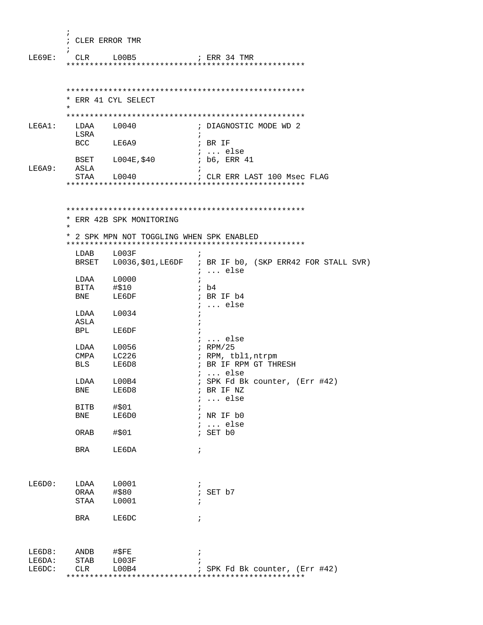| i.<br>; CLER ERROR TMR<br>$\mathbf{r}$<br>; ERR 34 TMR<br>LE69E:<br>CLR L00B5     |  |
|-----------------------------------------------------------------------------------|--|
| * ERR 41 CYL SELECT                                                               |  |
| $\star$                                                                           |  |
| LE6A1:<br>LDAA L0040<br>; DIAGNOSTIC MODE WD 2                                    |  |
| LSRA<br>$\ddot{i}$                                                                |  |
| BCC LE6A9<br>; BR IF                                                              |  |
| <i>i</i> else<br>BSET L004E, \$40<br>; b6, ERR 41                                 |  |
| LE6A9:<br>ASLA                                                                    |  |
| STAA L0040<br>; CLR ERR LAST 100 Msec FLAG                                        |  |
|                                                                                   |  |
| * ERR 42B SPK MONITORING                                                          |  |
| $\star$                                                                           |  |
| * 2 SPK MPN NOT TOGGLING WHEN SPK ENABLED                                         |  |
| LDAB L003F                                                                        |  |
| BRSET L0036, \$01, LE6DF ; BR IF b0, (SKP ERR42 FOR STALL SVR)<br>$i \ldots$ else |  |
| $LDAA \qquad L0000$<br>$\ddot{i}$                                                 |  |
| BITA #\$10<br>BNE LE6DF<br>; b4                                                   |  |
| ; BR IF b4<br>$i$ else                                                            |  |
| LDAA L0034                                                                        |  |
| ASLA                                                                              |  |
| BPL LE6DF                                                                         |  |
| $i$ else                                                                          |  |
| LDAA L0056<br>; RPM/25                                                            |  |
| CMPA LC226<br>; RPM, tbl1,ntrpm<br>; BR IF RPM GT THRESH                          |  |
| BLS<br>LE6D8<br>$: $ else                                                         |  |
| LDAA<br>L00B4<br>; SPK Fd Bk counter, (Err #42)                                   |  |
| LE6D8<br>; BR IF NZ<br>BNE                                                        |  |
| $\ldots$ else<br>$\ddot{ }$                                                       |  |
| #\$01<br><b>BITB</b>                                                              |  |
| BNE<br>LE6D0<br>; NR IF b0<br>$i \ldots$ else                                     |  |
| ; SET b0<br>ORAB<br>#\$01                                                         |  |
| BRA<br>LE6DA<br>$\ddot{i}$                                                        |  |
| LE6D0:<br>L0001<br>LDAA<br>÷                                                      |  |
| #\$80<br>; SET b7<br>ORAA                                                         |  |
| L0001<br>STAA<br>$\ddot{i}$                                                       |  |
| LE6DC<br>BRA<br>$\ddot{ }$                                                        |  |
| LE6D8:<br>ANDB<br>#\$FE<br>$\ddot{i}$                                             |  |
| LE6DA:<br>STAB<br>L003F                                                           |  |
| LE6DC:<br>CLR<br>L00B4<br>; SPK Fd Bk counter, (Err #42)                          |  |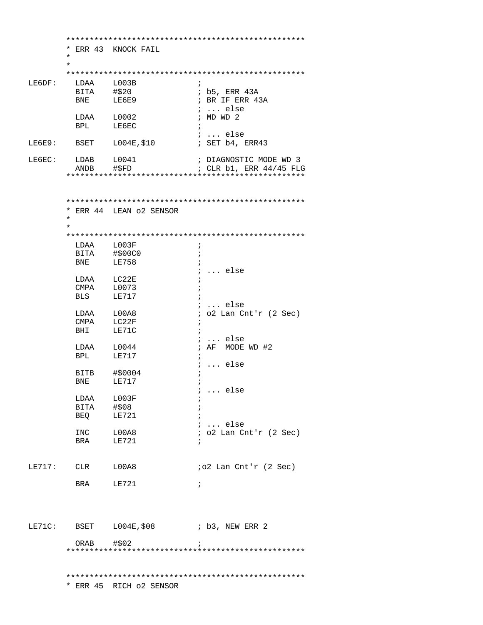|        |                  | * ERR 43 KNOCK FAIL      |                            |
|--------|------------------|--------------------------|----------------------------|
|        | $\ast$           |                          |                            |
|        | $\star$          |                          |                            |
|        |                  |                          |                            |
| LE6DF: | LDAA             | L003B                    | ÷                          |
|        | BITA #\$20       |                          | ; b5, ERR 43A              |
|        | BNE              | LE6E9                    | ; BR IF ERR 43A            |
|        |                  |                          | $i \ldots$ else            |
|        |                  |                          | ; $MDWD2$                  |
|        | LDAA L0002       | LE6EC                    |                            |
|        | BPL              |                          |                            |
|        |                  |                          | $i$ else                   |
|        |                  | LE6E9: BSET $L004E, $10$ | ; SET b4, ERR43            |
|        |                  |                          |                            |
| LE6EC: | LDAB L0041       |                          | ; DIAGNOSTIC MODE WD 3     |
|        | ANDB             | #\$FD                    | ; CLR b1, ERR 44/45 FLG    |
|        |                  |                          |                            |
|        |                  |                          |                            |
|        |                  |                          |                            |
|        |                  |                          |                            |
|        |                  | * ERR 44 LEAN 02 SENSOR  |                            |
|        | ¥                |                          |                            |
|        | $\star$          |                          |                            |
|        |                  |                          |                            |
|        |                  |                          |                            |
|        | LDAA L003F       |                          | $\ddot{i}$                 |
|        | BITA             | #\$00C0                  |                            |
|        | BNE              | LE758                    |                            |
|        |                  |                          | else                       |
|        | LDAA LC22E       |                          |                            |
|        | CMPA             | L0073                    |                            |
|        | BLS              | LE717                    |                            |
|        |                  |                          | $i$ else                   |
|        | LDAA L00A8       |                          | $:$ 02 Lan Cnt'r (2 Sec)   |
|        | CMPA LC22F       |                          | $\ddot{ }$                 |
|        | BHI              | LE71C                    | $\ddot{i}$                 |
|        |                  |                          | else<br>$\ddot{ }$         |
|        | LDAA L0044       |                          | ; AF MODE WD #2            |
|        |                  |                          |                            |
|        | BPL LE717        |                          |                            |
|        |                  |                          | $\ldots$ else              |
|        | BITB             | #\$0004                  |                            |
|        | <b>BNE</b>       | LE717                    |                            |
|        |                  |                          | else                       |
|        | LDAA L003F       |                          | i                          |
|        | BITA #\$08       |                          |                            |
|        | BEQ LE721        |                          |                            |
|        |                  |                          | $i$ else                   |
|        | INC LOOA8        |                          | $: o2$ Lan Cnt'r $(2$ Sec) |
|        | BRA LE721        |                          |                            |
|        |                  |                          |                            |
|        |                  |                          |                            |
|        | LE717: CLR L00A8 |                          | $io2$ Lan Cnt'r $(2$ Sec)  |
|        |                  |                          |                            |
|        | BRA LE721        |                          | $\ddot{ }$                 |
|        |                  |                          |                            |
|        |                  |                          |                            |
|        |                  |                          |                            |
|        |                  |                          |                            |
|        |                  |                          |                            |
|        |                  |                          |                            |
|        |                  |                          |                            |
|        | $ORAB$ $#502$    |                          |                            |
|        |                  |                          |                            |
|        |                  |                          |                            |
|        |                  |                          |                            |
|        |                  |                          |                            |
|        |                  | * ERR 45 RICH o2 SENSOR  |                            |
|        |                  |                          |                            |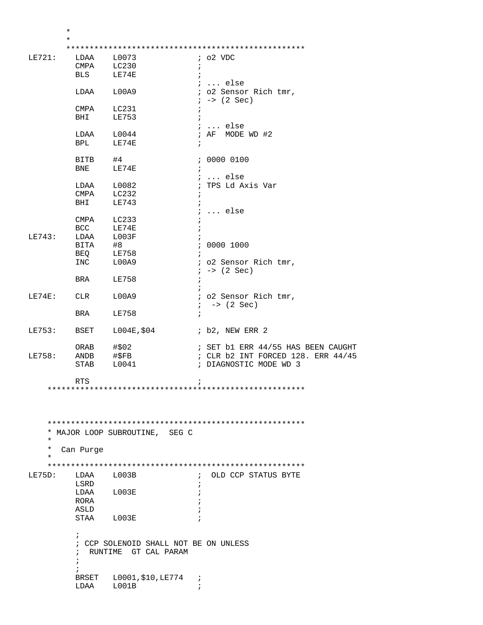| $^\star$ |                      |                                       |            |                                    |
|----------|----------------------|---------------------------------------|------------|------------------------------------|
| $\ast$   |                      |                                       |            |                                    |
|          |                      |                                       |            |                                    |
| LE721:   |                      | LDAA L0073                            |            | $:$ 02 VDC                         |
|          | CMPA LC230           |                                       | $\ddot{ }$ |                                    |
|          | <b>BLS</b>           | LE74E                                 |            |                                    |
|          |                      |                                       |            |                                    |
|          |                      |                                       |            | $i \ldots$ else                    |
|          | LDAA L00A9           |                                       |            | ; o2 Sensor Rich tmr,              |
|          |                      |                                       |            | $: -> (2 Sec)$                     |
|          | CMPA                 | LC231                                 | $\ddot{i}$ |                                    |
|          | BHI                  | LE753                                 |            |                                    |
|          |                      |                                       |            | $i \ldots$ else                    |
|          | LDAA                 | L0044                                 |            | ; AF MODE WD #2                    |
|          | <b>BPL</b>           | LE74E                                 | $\ddot{i}$ |                                    |
|          |                      |                                       |            |                                    |
|          | BITB<br>BNE          | #4                                    |            | ; 0000 0100                        |
|          |                      | LE74E                                 | $\ddot{i}$ |                                    |
|          |                      |                                       |            | ;  else                            |
|          | LDAA                 | L0082                                 |            | ; TPS Ld Axis Var                  |
|          | CMPA LC232           |                                       | $\ddot{ }$ |                                    |
|          | BHI                  | LE743                                 |            |                                    |
|          |                      |                                       |            | $: $ else                          |
|          | CMPA                 | LC233                                 |            |                                    |
|          | <b>BCC</b>           | LE74E                                 |            |                                    |
| LE743:   |                      |                                       |            |                                    |
|          | LDAA L003F           |                                       |            |                                    |
|          | BITA #8<br>BEQ LE758 |                                       |            | : 0000 1000                        |
|          |                      |                                       | $\ddot{i}$ |                                    |
|          | INC L00A9            |                                       |            | ; o2 Sensor Rich tmr,              |
|          |                      |                                       |            | $: -> (2 Sec)$                     |
|          | BRA                  | <b>LE758</b>                          |            |                                    |
|          |                      |                                       |            |                                    |
| LE74E:   | CLR                  | L00A9                                 |            | ; o2 Sensor Rich tmr,              |
|          |                      |                                       |            | $: -$ (2 Sec)                      |
|          | BRA                  | LE758                                 | $\ddot{i}$ |                                    |
|          |                      |                                       |            |                                    |
| LE753:   | BSET                 | L004E,\$04                            |            | ; b2, NEW ERR 2                    |
|          |                      |                                       |            |                                    |
|          | ORAB                 | #\$02                                 |            | ; SET b1 ERR 44/55 HAS BEEN CAUGHT |
| LE758:   | ANDB #\$FB           |                                       |            | ; CLR b2 INT FORCED 128. ERR 44/45 |
|          |                      |                                       |            |                                    |
|          | STAB                 | L0041                                 |            | ; DIAGNOSTIC MODE WD 3             |
|          |                      |                                       |            |                                    |
|          | <b>RTS</b>           |                                       |            |                                    |
|          |                      |                                       |            |                                    |
|          |                      |                                       |            |                                    |
|          |                      |                                       |            |                                    |
|          |                      |                                       |            |                                    |
|          |                      |                                       |            |                                    |
|          |                      | * MAJOR LOOP SUBROUTINE, SEG C        |            |                                    |
| $^\star$ |                      |                                       |            |                                    |
| $^\star$ | Can Purge            |                                       |            |                                    |
| $^\star$ |                      |                                       |            |                                    |
|          |                      |                                       |            |                                    |
|          |                      |                                       |            |                                    |
| LE75D:   | LDAA                 | L003B                                 | $\ddot{i}$ | OLD CCP STATUS BYTE                |
|          | LSRD                 |                                       |            |                                    |
|          | LDAA                 | L003E                                 |            |                                    |
|          | RORA                 |                                       |            |                                    |
|          | ASLD                 |                                       |            |                                    |
|          | STAA                 | L003E                                 |            |                                    |
|          |                      |                                       |            |                                    |
|          | $\ddot{ }$           |                                       |            |                                    |
|          |                      | ; CCP SOLENOID SHALL NOT BE ON UNLESS |            |                                    |
|          | $\ddot{i}$           | RUNTIME GT CAL PARAM                  |            |                                    |
|          | i.                   |                                       |            |                                    |
|          |                      |                                       |            |                                    |
|          | <b>BRSET</b>         | L0001,\$10,LE774                      | $\ddot{i}$ |                                    |
|          | LDAA                 | L001B                                 |            |                                    |
|          |                      |                                       |            |                                    |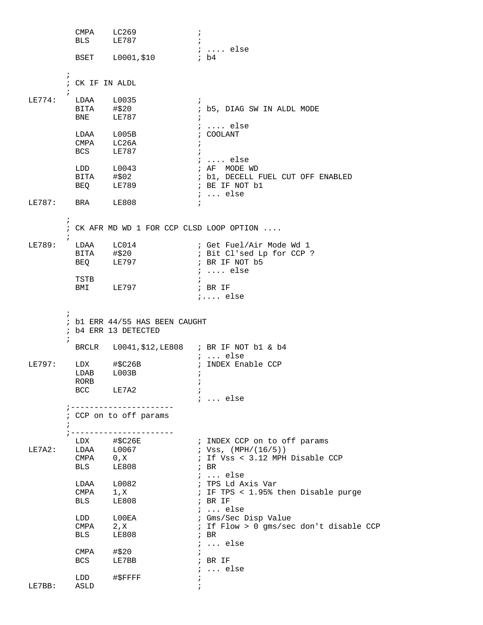CMPA LC269 ; BLS LE787 ; ; .... else BSET L0001, \$10  $\mathcal{L}^{\text{max}}$  ; CK IF IN ALDL ; LE774: LDAA L0035 ;<br>BITA #\$20 ;  $BITA$   $\#20$  ; b5, DIAG SW IN ALDL MODE<br>BNE LE787 ; ET =  $\begin{array}{ccc} \n\text{LE} & \text{787} \\
\text{I} & \text{I} & \text{I} \\
\text{I} & \text{I} & \text{I} \\
\text{I} & \text{I} & \text{I} \\
\text{II} & \text{II} & \text{II}\n\end{array}$  ; .... else LDAA L005B ; COOLANT CMPA LC26A ; BCS LE787 ; ; .... else<br>; AF MODE WD LDD L0043 ; AF MODE WD ; b1, DECELL FUEL CUT OFF ENABLED<br>; BE IF NOT b1  $BEQ$   $LE789$  ; ... else LE787: BRA LE808 ;  $\mathcal{L}^{\text{max}}$  ; CK AFR MD WD 1 FOR CCP CLSD LOOP OPTION ....  $\mathcal{L}^{\text{max}}$ LE789: LDAA LC014 : Get Fuel/Air Mode Wd 1 BITA #\$20 ; Bit Cl'sed Lp for CCP ? BEQ LE797 **; BR IF NOT b5**  $\begin{tabular}{llllllll} \texttt{LDAA} & $\;\texttt{LC014}$ & & & &;\tt{Get} \texttt{Fuel}\texttt{/} \\ \texttt{BITA} & $\;\sharp$20 & & &;\tt{Bit} \texttt{Cl} ' see \\ \texttt{BEQ} & $\;\texttt{LE797}$ & & &;\tt{BR} \texttt{ IF} \texttt{NOT} \\ & & & &;\tt{...} \texttt{else} \end{tabular}$ TSTB  $\qquad \qquad ;$ BMI LE797 **; BR IF**  ;.... else  $\mathcal{L}^{\text{max}}$  ; b1 ERR 44/55 HAS BEEN CAUGHT ; b4 ERR 13 DETECTED  $\mathcal{L}^{\text{max}}_{\text{max}}$  BRCLR L0041,\$12,LE808 ; BR IF NOT b1 & b4 ; ... else<br>; INDEX Enable CCP  $LE797: LDX$  #\$C26B  $LDAB$   $L003B$  RORB ;  $LE7A2$  ; ; ... else ;---------------------- ; CCP on to off params  $\mathcal{L}^{\text{max}}$  ;---------------------- LDX #\$C26E : INDEX CCP on to off params LE7A2: LDAA L0067 ; Vss, (MPH/(16/5)) CMPA 0,X ; If Vss < 3.12 MPH Disable CCP BLS LE808 ; BR 1. LDAA 1,0082 <br>
CMPA 1, X ; TPS 1. A:<br>
CMPA 1, X ; IF TPS < ; TPS Ld Axis Var CMPA 1,X ; IF TPS < 1.95% then Disable purge<br>BLS LE808 ; BR IF  $LE808$ ; ... else<br>; Gms/Sec Disp Value LDD  $L00EA$ <br>CMPA  $2, X$ <br>PLG  $5-2.5$ ; If Flow  $> 0$  qms/sec don't disable CCP BLS LE808 ; BR ; ... else  $CMPA$   $\# $20$  ; BCS LE7BB ; BR IF ; ... else LDD #\$FFFFF ; LE7BB: ASLD ;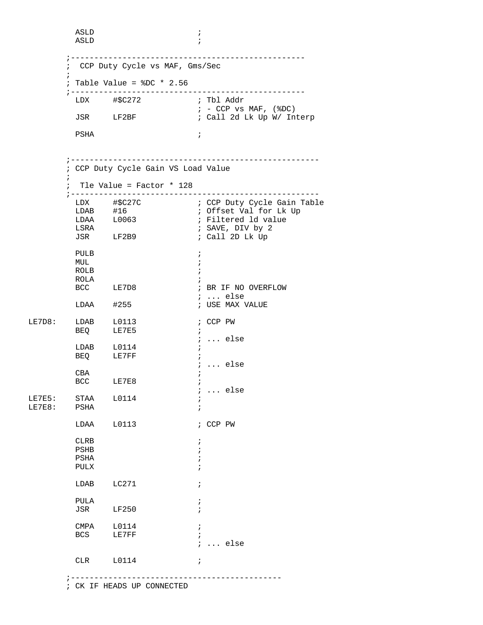```
 ASLD ; 
          ASLD ; 
         ;--------------------------------------------------
         ; CCP Duty Cycle vs MAF, Gms/Sec
\mathcal{L}^{\text{max}} ; Table Value = %DC * 2.56
         ;--------------------------------------------------
 LDX #$C272 ; Tbl Addr 
; - CCP vs MAF, (\$DC)JSR LF2BF ; Call 2d Lk Up W/ Interp
PSHA \qquad \qquad ; ;-----------------------------------------------------
         ; CCP Duty Cycle Gain VS Load Value
\mathcal{L}^{\text{max}} ; Tle Value = Factor * 128
         ;-----------------------------------------------------
LDX #$C27C                ; CCP Duty Cycle Gain Table
LDAB #16 ; Offset Val for Lk Up
LDAA L0063    i Filtered ld value
          LSRA ; SAVE, DIV by 2
                                  ; Call 2D Lk Up
 PULB ; 
MUL \qquad \qquad ;ROLB \qquad \qquad ;\begin{tabular}{lllllll} \multicolumn{2}{l} \multicolumn{2}{l}{{\text{ROLA}}} & & & & & \\ \multicolumn{2}{l}{\text{ROLA}} & & & & \\ \multicolumn{2}{l}{\text{BCC}} & & & \text{LE7D8} & & & \\ & & & & & \\ \multicolumn{2}{l}{\text{BCC}} & & & \text{LE7D8} & & \\ \multicolumn{2}{l}{\text{CCT}} & & & \text{LE7D8} & & \\ \multicolumn{2}{l}{\text{CCT}} & & & \text{LE7D8} & & \\ \multicolumn{2}{l}{\text{CCT}} & & & \text{LE7D8} & & \\ \multicolumn{; BR IF NO OVERFLOW
         ة : ... else<br>LDAA #255 #255 ; USE MAX
                                  ; USE MAX VALUE
LE7D8: LDAB L0113 ; CCP PW
         BEQ LE7E5 ;
                                   ; ... else 
          LDAB L0114 ; 
         BEQ LE7FF ;
                                   ; ... else
         CBABCC LE7E8
                                   ; ... else 
LE7E5: STAA L0114 ;
LE7E8: PSHA ;
          LDAA L0113 ; CCP PW 
         CLRB \qquad \qquad ; PSHB ; 
PSHA \qquad \qquad ;PULX \qquad \qquad ;LDAB LC271 ;
          PULA ; 
          JSR LF250 ; 
         CMPA L0114 ;<br>BCS LE7FF ;
                LE7FF \qquad \qquad ; ; ... else 
         CLR L0114 ;
         ;---------------------------------------------
         ; CK IF HEADS UP CONNECTED
```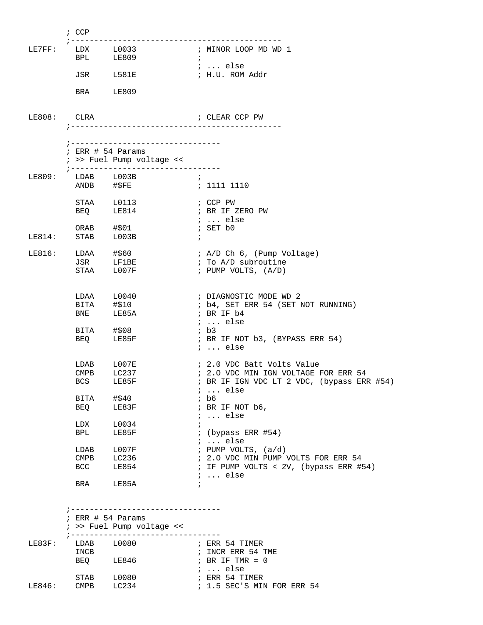|        | $;$ CCP                              |                                                                                          |                                                                                                                              |
|--------|--------------------------------------|------------------------------------------------------------------------------------------|------------------------------------------------------------------------------------------------------------------------------|
| LE7FF: | <b>BPL</b>                           | $LDX$ $L0033$<br>LE809                                                                   | ; MINOR LOOP MD WD 1<br>$\mathbf{r}$                                                                                         |
|        |                                      | JSR L581E                                                                                | ;  else<br>; H.U. ROM Addr                                                                                                   |
|        |                                      | BRA LE809                                                                                |                                                                                                                              |
| LE808: | CLRA                                 |                                                                                          | ; CLEAR CCP PW                                                                                                               |
|        |                                      | ; --------------------------------                                                       |                                                                                                                              |
|        |                                      | $:$ ERR $#$ 54 Params<br>; >> Fuel Pump voltage <<<br>; -------------------------------- |                                                                                                                              |
| LE809: |                                      | $LDAB$ $L003B$<br>ANDB #\$FE                                                             | $\mathcal{L}$<br>: 1111 1110                                                                                                 |
|        | <b>BEQ</b>                           | STAA L0113<br>LE814                                                                      | ; CCP PW<br>; BR IF ZERO PW<br>$i \ldots$ else                                                                               |
| LE814: | STAB                                 | ORAB #\$01<br>L003B                                                                      | ; SET b0<br>$\ddot{i}$                                                                                                       |
| LE816: |                                      | LDAA #\$60<br>JSR LF1BE<br>STAA L007F                                                    | ; A/D Ch 6, (Pump Voltage)<br>; To A/D subroutine<br>; PUMP VOLTS, $(A/D)$                                                   |
|        | <b>BNE</b>                           | $LDAA$ $L0040$<br>$BITA$ $\#$10$<br>LE85A                                                | ; DIAGNOSTIC MODE WD 2<br>; b4, SET ERR 54 (SET NOT RUNNING)<br>; BR IF b4                                                   |
|        | <b>BEQ</b>                           | BITA #\$08<br>LE85F                                                                      | $i \ldots$ else<br>; b3<br>; BR IF NOT b3, (BYPASS ERR 54)<br>$i \ldots$ else                                                |
|        | CMPB<br><b>BCS</b>                   | LDAB L007E<br>LC237<br>LE85F                                                             | ; 2.0 VDC Batt Volts Value<br>; 2.0 VDC MIN IGN VOLTAGE FOR ERR 54<br>; BR IF IGN VDC LT 2 VDC, (bypass ERR #54)<br>$i$ else |
|        | BITA<br>BEQ                          | #\$40<br>LE83F                                                                           | $;$ b6<br>; BR IF NOT b6,<br>$i \ldots$ else                                                                                 |
|        | LDX<br>BPL                           | L0034<br>LE85F                                                                           | $\ddot{i}$<br><i>;</i> (bypass ERR #54)<br>$i$ else                                                                          |
|        | LDAB<br>CMPB<br>BCC                  | L007F<br>LC236<br>LE854                                                                  | ; PUMP VOLTS, $(a/d)$<br>; 2.0 VDC MIN PUMP VOLTS FOR ERR 54<br>; IF PUMP VOLTS < 2V, (bypass ERR #54)                       |
|        | <b>BRA</b>                           | LE85A                                                                                    | $i \ldots$ else                                                                                                              |
|        |                                      | ---------------------------<br>$:$ ERR $#$ 54 Params<br>; >> Fuel Pump voltage <<        |                                                                                                                              |
| LE83F: | LDAB<br>INCB<br><b>BEQ</b>           | ; ------------------------------<br>L0080<br>LE846                                       | ; ERR 54 TIMER<br>; INCR ERR 54 TME<br>; BR IF TMR = $0$                                                                     |
| LE846: | STAB<br>$\mathop{\rm CMBB}\nolimits$ | L0080<br>LC234                                                                           | $i$ else<br>; ERR 54 TIMER<br>; 1.5 SEC'S MIN FOR ERR 54                                                                     |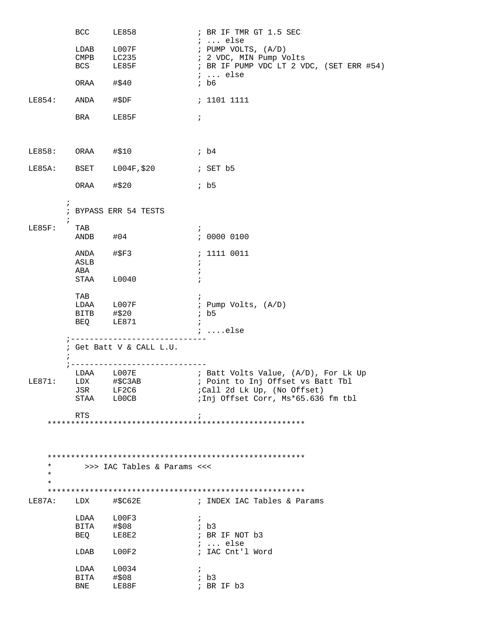|                                 | <b>BCC</b>                 | LE858                                                       | ; BR IF TMR GT 1.5 SEC                                                                                               |
|---------------------------------|----------------------------|-------------------------------------------------------------|----------------------------------------------------------------------------------------------------------------------|
|                                 | LDAB<br>CMPB<br><b>BCS</b> | L007F<br>LC235<br>LE85F                                     | $i \ldots$ else<br>; PUMP VOLTS, (A/D)<br>; 2 VDC, MIN Pump Volts<br>; BR IF PUMP VDC LT 2 VDC, (SET ERR #54)        |
|                                 | ORAA                       | #\$40                                                       | $i \ldots$ else<br>$;$ b6                                                                                            |
| LE854:                          | ANDA                       | #\$DF                                                       | ; 1101 1111                                                                                                          |
|                                 | <b>BRA</b>                 | LE85F                                                       | $\ddot{i}$                                                                                                           |
| LE858: ORAA #\$10               |                            |                                                             | ib4                                                                                                                  |
| LE85A:                          |                            | BSET L004F, \$20                                            | ; SET b5                                                                                                             |
|                                 |                            | ORAA #\$20                                                  | ib5                                                                                                                  |
|                                 | $\ddot{ }$<br>$\ddot{ }$   | ; BYPASS ERR 54 TESTS                                       |                                                                                                                      |
| LE85F:                          | TAB                        | ANDB #04                                                    | $\ddot{ }$<br>: 0000 0100                                                                                            |
|                                 | ANDA<br>ASLB               | #\$F3                                                       | : 1111 0011<br>$\ddot{ }$                                                                                            |
|                                 | ABA                        | STAA L0040                                                  | $\ddot{i}$<br>$\ddot{i}$                                                                                             |
|                                 | TAB                        | LDAA L007F<br>BITB #\$20<br>BEQ LE871<br>LE871              | ; Pump Volts, (A/D)<br>$;$ b5<br>$\ddot{i}$                                                                          |
|                                 |                            | ; -----------------------------<br>; Get Batt V & CALL L.U. | $\ldots$ else                                                                                                        |
| LE871:                          | JSR<br>STAA                | ; -----------------------------<br>LF2C6<br>LOOCB           | LDAA L007E : Batt Volts Value, (A/D), For Lk Up<br>;Call 2d Lk Up, (No Offset)<br>;Inj Offset Corr, Ms*65.636 fm tbl |
|                                 | RTS                        |                                                             | $\ddot{i}$                                                                                                           |
|                                 |                            |                                                             |                                                                                                                      |
| $^\star$<br>$^\star$<br>$\star$ |                            | >>> IAC Tables & Params <<<                                 |                                                                                                                      |
|                                 |                            |                                                             |                                                                                                                      |
| LE87A: LDX                      |                            | #\$C62E                                                     | ; INDEX IAC Tables & Params                                                                                          |
|                                 | LDAA                       | LOOF3                                                       | $\ddot{ }$                                                                                                           |
|                                 | BITA<br>BEQ                | #\$08<br>LE8E2                                              | ; b3<br>; BR IF NOT b3                                                                                               |
|                                 | LDAB                       | L00F2                                                       | $i \ldots$ else<br>; IAC Cnt'l Word                                                                                  |
|                                 | LDAA                       | L0034                                                       | $\ddot{ }$                                                                                                           |
|                                 | BITA                       | #\$08                                                       | ib3                                                                                                                  |
|                                 | <b>BNE</b>                 | LE88F                                                       | ; BR IF b3                                                                                                           |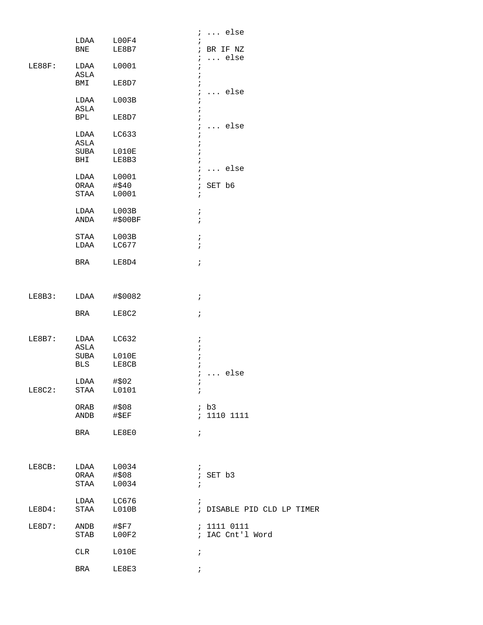|        |                    |                | $i \ldots$ else                           |
|--------|--------------------|----------------|-------------------------------------------|
|        | LDAA<br><b>BNE</b> | L00F4<br>LE8B7 | ; BR IF NZ<br>$\ldots$ else<br>$\ddot{i}$ |
| LE88F: | LDAA<br>ASLA       | L0001          | $\ddot{i}$<br>$\ddot{ }$                  |
|        | BMI                | LE8D7          | $\ldots$ else<br>$\mathcal{L}$            |
|        | LDAA<br>ASLA       | L003B          | $\ddot{i}$<br>$\ddot{ }$                  |
|        | <b>BPL</b>         | LE8D7          | $\ddot{i}$<br>else<br>$\ddot{i}$          |
|        | LDAA<br>ASLA       | LC633          | $\ddot{i}$                                |
|        | SUBA<br>BHI        | L010E<br>LE8B3 | $\cdot$<br>$\ddot{i}$                     |
|        | LDAA               | L0001          | $\ldots$ else<br>$\ddot{i}$               |
|        | ORAA               | #\$40          | SET b6<br>$\ddot{i}$                      |
|        | STAA               | L0001          | $\ddot{i}$                                |
|        | LDAA               | L003B          | $\ddot{i}$                                |
|        | ANDA               | #\$00BF        | $\ddot{i}$                                |
|        | STAA               | L003B          | $\ddot{i}$                                |
|        | LDAA               | LC677          | $\ddot{i}$                                |
|        | BRA                | LE8D4          | $\ddot{i}$                                |
|        |                    |                |                                           |
| LE8B3: | LDAA               | #\$0082        | $\ddot{i}$                                |
|        | BRA                | LE8C2          | $\ddot{i}$                                |
|        |                    |                |                                           |
| LE8B7: | LDAA               | LC632          | $\ddot{ }$                                |
|        | ASLA<br>SUBA       | LO10E          | $\ddot{ }$<br>$\ddot{i}$                  |
|        | BLS                | LE8CB          | $\mathbf{r}$                              |
|        | LDAA               | #\$02          | $i \ldots$ else                           |
| LE8C2: | STAA               | L0101          | $\ddot{i}$                                |
|        | ORAB               | #\$08          | ; b3                                      |
|        | ANDB               | $#$ $SEF$      | : 1110 1111                               |
|        | BRA                | LE8E0          | $\ddot{i}$                                |
|        |                    |                |                                           |
| LE8CB: | LDAA               | L0034          | $\ddot{i}$                                |
|        | ORAA               | #\$08          | ; SET b3                                  |
|        | STAA               | L0034          | $\ddot{i}$                                |
|        | LDAA               | LC676          | $\mathbf{r}$                              |
| LE8D4: | STAA               | L010B          | ; DISABLE PID CLD LP TIMER                |
| LE8D7: | ANDB               | #\$F7          | : 1111 0111                               |
|        | STAB               | LOOF2          | ; IAC Cnt'l Word                          |
|        | CLR                | L010E          | $\ddot{i}$                                |
|        | BRA                | LE8E3          | $\ddot{i}$                                |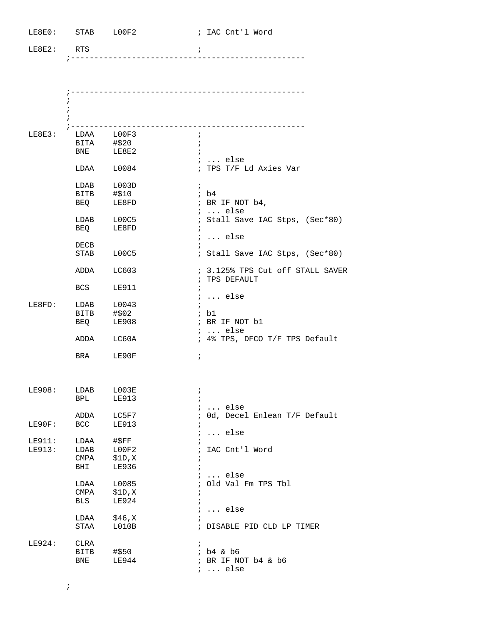| LE8E0: STAB L00F2 |                           |               | ; IAC Cnt'l Word                                  |
|-------------------|---------------------------|---------------|---------------------------------------------------|
| LE8E2: RTS        |                           |               | $\ddot{i}$                                        |
|                   |                           |               |                                                   |
|                   |                           |               |                                                   |
|                   | ÷<br>$\ddot{ }$           |               |                                                   |
|                   | $7 - - - - - - - - - - -$ |               |                                                   |
| LE8E3:            | LDAA L00F3                |               | $\ddot{i}$                                        |
|                   | BITA #\$20                |               |                                                   |
|                   |                           | BNE LE8E2     | ;  else                                           |
|                   | $LDAA$ $L0084$            |               | ; TPS T/F Ld Axies Var                            |
|                   | $LDAB$ $L003D$            |               | $\ddot{i}$                                        |
|                   | BITB #\$10                |               | ; b4                                              |
|                   | BEQ                       | LE8FD         | ; BR IF NOT b4,<br>$i \ldots$ else                |
|                   | LDAB L00C5                |               | ; Stall Save IAC Stps, (Sec*80)                   |
|                   | BEQ LE8FD                 |               |                                                   |
|                   |                           |               | $i \ldots$ else                                   |
|                   | DECB                      |               |                                                   |
|                   | STAB L00C5                |               | ; Stall Save IAC Stps, (Sec*80)                   |
|                   | ADDA LC603                |               | ; 3.125% TPS Cut off STALL SAVER<br>; TPS DEFAULT |
|                   | <b>BCS</b>                | LE911         | $\ddot{i}$<br>$i \ldots$ else                     |
| LE8FD:            | LDAB L0043                |               |                                                   |
|                   | BITB #\$02                |               | ; b1                                              |
|                   | BEQ LE908                 |               | ; BR IF NOT b1                                    |
|                   |                           |               | <i>i</i> else                                     |
|                   | ADDA LC60A                |               | ; 4% TPS, DFCO T/F TPS Default                    |
|                   | BRA LE90F                 |               | $\ddot{ }$                                        |
|                   |                           |               |                                                   |
| LE908:            | LDAB                      | L003E         | $\ddot{i}$                                        |
|                   | BPL                       | <b>LE913</b>  | $i$ else                                          |
|                   | ADDA                      | LC5F7         | ; Od, Decel Enlean T/F Default                    |
| LE90F:            | BCC                       | <b>LE913</b>  |                                                   |
|                   |                           |               | $\ldots$ else<br>$\ddot{i}$                       |
| LE911:            | LDAA                      | $\sharp$ \$FF |                                                   |
| LE913:            | LDAB                      | L00F2         | IAC Cnt'l Word                                    |
|                   | CMPA                      | \$1D,X        |                                                   |
|                   | BHI                       | LE936         |                                                   |
|                   |                           |               | <i>;</i> else                                     |
|                   | LDAA                      | L0085         | ; Old Val Fm TPS Tbl                              |
|                   | CMPA                      | \$1D,X        | $\ddot{i}$                                        |
|                   | <b>BLS</b>                | <b>LE924</b>  | $\ddot{i}$<br>$i \ldots$ else                     |
|                   | LDAA                      | \$46,X        |                                                   |
|                   | STAA                      | L010B         | ; DISABLE PID CLD LP TIMER                        |
| LE924:            | CLRA                      |               | $\ddot{ }$                                        |
|                   | BITB                      | #\$50         | $;$ b4 & b6                                       |
|                   | BNE                       | LE944         | ; BR IF NOT b4 & b6                               |
|                   |                           |               | $i \ldots$ else                                   |

;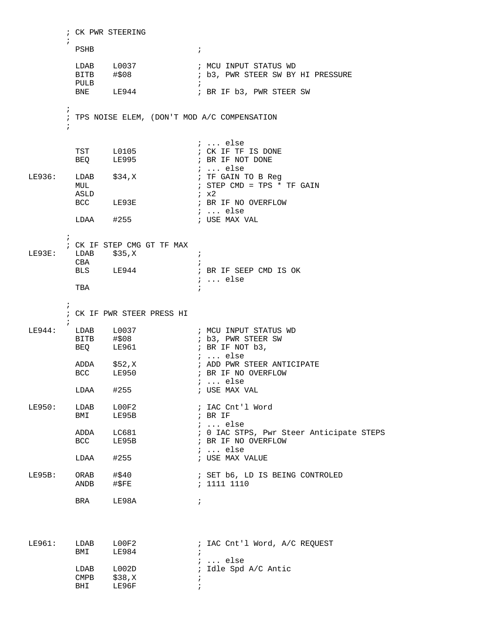```
; CK PWR STEERING
       \ddot{i}PSHB
                                  \mathcal{I}L0037
                                 ; MCU INPUT STATUS WD
         LDAB
               #$08
         BITB
                                  ; b3, PWR STEER SW BY HI PRESSURE
         PULB
                                  \cdot:
               LE944
         BNE
                                  ; BR IF b3, PWR STEER SW
       \cdot; TPS NOISE ELEM, (DON'T MOD A/C COMPENSATION
       \ddot{i}; ... else
         TST L0105
                                  ; CK IF TF IS DONE
         BEQ
               LE995
                                 ; BR IF NOT DONE
                                 ; ... else
LE936:
       LDAB $34,X; TF GAIN TO B Req
                                  ; STEP CMD = TPS * TF GAIN
        MUL
        ASLD
                                  i \times 2BCC LE93E
                                 ; BR IF NO OVERFLOW
                                 ; ... else
                          ; USE MAX VAL
        LDAA #255\mathcal{I}; CK IF STEP CMG GT TF MAX
LE93E:
         LDAB $35,X
                                  \cdot:
         CBA
                                  \cdot ;
         BLS LE944
                                 ; BR IF SEEP CMD IS OK
                                  i \ldots else
         TBA
                                  . .
       \cdot; CK IF PWR STEER PRESS HI
       \ddot{i}; MCU INPUT STATUS WD
LE944:
       LDAB
              L0037
        BITB #$08
                                 ; b3, PWR STEER SW
         BEO LE961
                                 ; BR IF NOT b3,
                                 ; ... else
         ADDA $52, X
                                 ; ADD PWR STEER ANTICIPATE
               LE950
                                 ; BR IF NO OVERFLOW
         BCC
                                 ; ... else
        LDAA #255
                                 ; USE MAX VAL
LE950:LDAB L00F2
                                 ; IAC Cnt'l Word
               LE95B
                                  ; BR IF
         BMI
                                  : ... else
         ADDA LC681<br>BCC LE95B
                                 ; 0 IAC STPS, Pwr Steer Anticipate STEPS
                                  ; BR IF NO OVERFLOW
                                  i \ldots else
         LDAA #255; USE MAX VALUE
                              ; SET b6, LD IS BEING CONTROLED
LE95B:
        ORAB #$40
                                 : 1111 1110ANDB #$FE
         BRA
               LE98A
                                 \mathbf{r}LE961:LDAB L00F2
                               ; IAC Cnt'l Word, A/C REQUEST
         BMI LE984
                                 \mathbf{r}; ... else
                                ; Idle Spd A/C Antic
         LDAB L002D
         CMPB $38,X\cdot ;
         BHI
               LE96F
                                 \overrightarrow{i}
```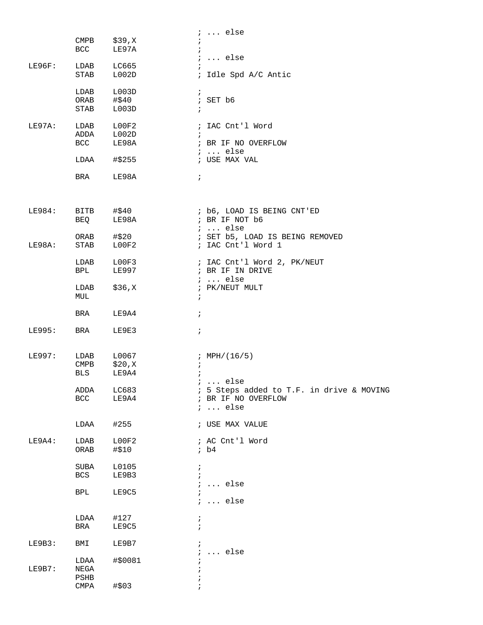|        |                          |                | $i \ldots$ else                                       |
|--------|--------------------------|----------------|-------------------------------------------------------|
|        | $\texttt{CMPB}$          | \$39,X         | $\ddot{ }$                                            |
|        | <b>BCC</b>               | LE97A          | $\ddot{i}$                                            |
|        |                          |                | $i \ldots$ else                                       |
| LE96F: | LDAB                     | LC665          | $\ddot{i}$                                            |
|        | STAB                     | L002D          | ; Idle Spd A/C Antic                                  |
|        |                          |                |                                                       |
|        | LDAB                     | L003D          | $\mathcal{L}$                                         |
|        | ORAB #\$40               |                | ; SET b6                                              |
|        | STAB                     | L003D          | $\ddot{i}$                                            |
| LE97A: |                          |                |                                                       |
|        | LDAB<br>ADDA L002D       | L00F2          | ; IAC Cnt'l Word                                      |
|        | <b>BCC</b>               | LE98A          | ; BR IF NO OVERFLOW                                   |
|        |                          |                | $i \ldots$ else                                       |
|        | LDAA                     | #\$255         | ; USE MAX VAL                                         |
|        |                          |                |                                                       |
|        | <b>BRA</b>               | LE98A          | $\ddot{i}$                                            |
|        |                          |                |                                                       |
|        |                          |                |                                                       |
|        |                          |                |                                                       |
| LE984: | BITB                     | #\$40          | ; b6, LOAD IS BEING CNT'ED                            |
|        | BEQ                      | LE98A          | ; BR IF NOT b6                                        |
|        |                          |                | $i \ldots$ else                                       |
| LE98A: | ORAB<br>STAB             | #\$20<br>LOOF2 | ; SET b5, LOAD IS BEING REMOVED<br>; IAC Cnt'l Word 1 |
|        |                          |                |                                                       |
|        | LDAB L00F3               |                | ; IAC Cnt'l Word 2, PK/NEUT                           |
|        | BPL                      | LE997          | ; BR IF IN DRIVE                                      |
|        |                          |                | $i \ldots$ else                                       |
|        | LDAB                     | \$36,X         | ; PK/NEUT MULT                                        |
|        | MUL                      |                | $\ddot{i}$                                            |
|        |                          |                |                                                       |
|        | BRA                      | LE9A4          | $\ddot{i}$                                            |
|        |                          |                |                                                       |
| LE995: | BRA                      | LE9E3          | $\ddot{i}$                                            |
|        |                          |                |                                                       |
| LE997: | LDAB                     | L0067          | ; $MPH/(16/5)$                                        |
|        | $\mathop{\mathrm{CMPB}}$ | \$20, X        | $\ddot{ }$                                            |
|        | BLS                      | LE9A4          | $\ddot{i}$                                            |
|        |                          |                | $i \ldots$ else                                       |
|        | ADDA                     | LC683          | ; 5 Steps added to T.F. in drive & MOVING             |
|        | BCC                      | LE9A4          | ; BR IF NO OVERFLOW                                   |
|        |                          |                | $i \ldots$ else                                       |
|        |                          |                |                                                       |
|        | LDAA                     | #255           | ; USE MAX VALUE                                       |
|        |                          |                |                                                       |
| LE9A4: | LDAB                     | LOOF2          | ; AC Cnt'l Word<br>ib4                                |
|        | ${\sf ORAB}$             | #\$10          |                                                       |
|        | SUBA                     | L0105          | $\ddot{i}$                                            |
|        | <b>BCS</b>               | LE9B3          | $\ddot{i}$                                            |
|        |                          |                | $\ldots$ else<br>$\ddot{i}$                           |
|        | <b>BPL</b>               | LE9C5          |                                                       |
|        |                          |                | $\ldots$ else<br>$\ddot{i}$                           |
|        |                          |                |                                                       |
|        | LDAA                     | #127           | $\ddot{ }$                                            |
|        | BRA                      | LE9C5          | $\ddot{i}$                                            |
|        |                          |                |                                                       |
| LE9B3: | BMI                      | LE9B7          | $\ddot{i}$                                            |
|        |                          | #\$0081        | else<br>$\ddot{i}$<br>$\cdots$                        |
| LE9B7: | LDAA<br>NEGA             |                |                                                       |
|        | PSHB                     |                |                                                       |
|        | CMPA                     | #\$03          |                                                       |
|        |                          |                |                                                       |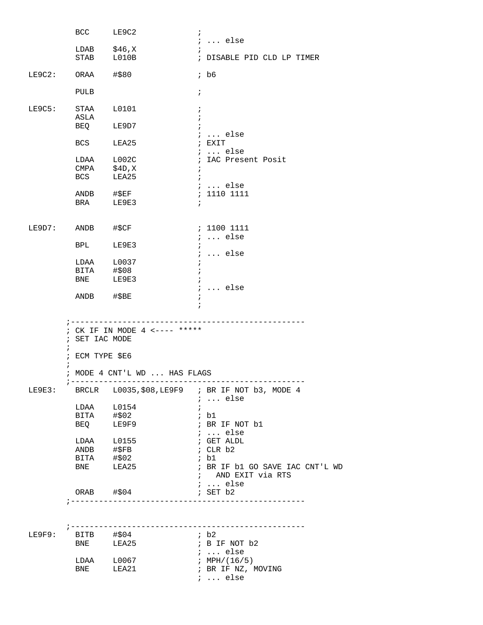|                     | BCC LE9C2                         |                                                               | $\ddot{i}$                                      |
|---------------------|-----------------------------------|---------------------------------------------------------------|-------------------------------------------------|
|                     | LDAB $$46,X$                      |                                                               | $i \ldots$ else<br>$\ddot{i}$                   |
|                     | STAB L010B                        |                                                               | ; DISABLE PID CLD LP TIMER                      |
| $LE9C2: ORAA$ #\$80 |                                   |                                                               | $;$ b6                                          |
|                     | PULB                              |                                                               | $\ddot{ }$                                      |
| LE9C5:              | STAA L0101<br>ASLA                |                                                               | $\ddot{i}$<br>$\ddot{i}$                        |
|                     | BEQ LE9D7                         |                                                               | $\ddot{i}$<br>$i \ldots$ else                   |
|                     | BCS LEA25                         |                                                               | ; EXIT<br>$i \ldots$ else                       |
|                     | LDAA L002C<br>CMPA \$4D,X         |                                                               | ; IAC Present Posit                             |
|                     |                                   |                                                               | $\ddot{ }$                                      |
|                     | BCS LEA25                         |                                                               | $\ddot{i}$                                      |
|                     | $ANDB$ #\$EF                      |                                                               | $i \ldots$ else<br>: 1110 1111                  |
|                     | BRA LE9E3                         |                                                               |                                                 |
|                     |                                   |                                                               |                                                 |
| LE9D7: ANDB #\$CF   |                                   |                                                               | ; 1100 1111                                     |
|                     |                                   |                                                               | $i \ldots$ else                                 |
|                     | BPL LE9E3                         |                                                               | $\ddot{i}$                                      |
|                     | LDAA L0037                        |                                                               | $: $ else                                       |
|                     | BITA #\$08                        |                                                               | $\ddot{i}$<br>$\ddot{i}$                        |
|                     | BNE LE9E3                         |                                                               | $\ddot{i}$                                      |
|                     |                                   |                                                               | $i \ldots$ else                                 |
|                     | ANDB #\$BE                        |                                                               | $\ddot{ }$                                      |
| $\ddot{i}$          | ; SET IAC MODE<br>; ECM TYPE \$E6 | ; CK IF IN MODE 4 <---- *****<br>; MODE 4 CNT'L WD  HAS FLAGS |                                                 |
| LE9E3:              |                                   |                                                               | BRCLR L0035, \$08, LE9F9 ; BR IF NOT b3, MODE 4 |
|                     | LDAA L0154                        |                                                               | $i \ldots$ else<br>$\ddot{i}$                   |
|                     | BITA                              | #\$02                                                         | ; bl                                            |
|                     | BEQ                               | LE9F9                                                         | ; BR IF NOT b1                                  |
|                     |                                   |                                                               | $i \ldots$ else                                 |
|                     | LDAA L0155                        |                                                               | ; GET ALDL                                      |
|                     | $ANDB$ # $$FB$                    |                                                               | ; CLR b2                                        |
|                     |                                   |                                                               | ; bl                                            |
|                     | BITA #\$02<br>BNE LEA25           |                                                               | ; BR IF b1 GO SAVE IAC CNT'L WD                 |
|                     |                                   |                                                               | ; AND EXIT via RTS                              |
|                     |                                   |                                                               | $i \ldots$ else                                 |
|                     | ORAB #\$04                        |                                                               | $;$ SET $b2$                                    |
|                     |                                   |                                                               |                                                 |
|                     |                                   |                                                               |                                                 |
| LE9F9:              | BITB #\$04<br>BNE LEA25           |                                                               | ; b2<br>; B IF NOT b2                           |
|                     |                                   |                                                               | $: $ else                                       |
|                     | LDAA L0067                        |                                                               | ; MPH/ $(16/5)$                                 |
|                     | BNE LEA21                         |                                                               | ; BR IF NZ, MOVING                              |
|                     |                                   |                                                               | $i$ else                                        |
|                     |                                   |                                                               |                                                 |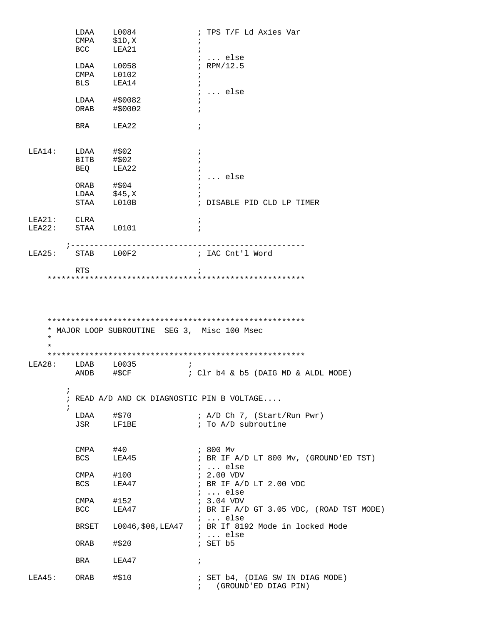|                    |            |                                              | ; TPS T/F Ld Axies Var                               |
|--------------------|------------|----------------------------------------------|------------------------------------------------------|
|                    | CMPA       | \$1D,X                                       | $\ddot{i}$                                           |
|                    | BCC        | LEA21                                        |                                                      |
|                    |            |                                              | $i \ldots$ else                                      |
|                    | LDAA       | L0058                                        | ; RPM/12.5                                           |
|                    | CMPA       | L0102                                        | $\ddot{i}$                                           |
|                    | BLS        | LEA14                                        | $\ddot{i}$                                           |
|                    |            |                                              | $i \ldots$ else                                      |
|                    | LDAA       | #\$0082                                      |                                                      |
|                    | ORAB       | #\$0002                                      |                                                      |
|                    | BRA        | LEA22                                        | $\ddot{ }$                                           |
| LEA14:             | LDAA       | #\$02                                        | $\ddot{i}$                                           |
|                    | BITB       | #\$02                                        | $\ddot{i}$                                           |
|                    | BEQ        | LEA22                                        | $\ddot{i}$                                           |
|                    |            |                                              | $i \ldots$ else                                      |
|                    | ORAB       | #\$04                                        |                                                      |
|                    | LDAA       | \$45,X                                       |                                                      |
|                    | STAA       | L010B                                        | ; DISABLE PID CLD LP TIMER                           |
|                    |            |                                              |                                                      |
| LEA21:             | CLRA       |                                              | $\ddot{ }$                                           |
| LEA22:             | STAA L0101 |                                              |                                                      |
| LEA25:             |            | STAB LOOF2                                   | ; IAC Cnt'l Word                                     |
|                    |            |                                              |                                                      |
|                    | <b>RTS</b> |                                              |                                                      |
|                    |            | * MAJOR LOOP SUBROUTINE SEG 3, Misc 100 Msec |                                                      |
| $\star$<br>$\star$ |            |                                              |                                                      |
|                    |            |                                              |                                                      |
|                    | LDAB       | L0035                                        |                                                      |
|                    | ANDB       | #\$CF                                        | ; Clr b4 & b5 (DAIG MD & ALDL MODE)                  |
|                    | ÷,         |                                              |                                                      |
|                    | $\ddot{i}$ |                                              | ; READ A/D AND CK DIAGNOSTIC PIN B VOLTAGE           |
|                    | LDAA       | #\$70                                        | ; A/D Ch 7, (Start/Run Pwr)                          |
|                    | JSR        | LF1BE                                        | ; To A/D subroutine                                  |
|                    |            |                                              |                                                      |
|                    | CMPA       | #40                                          | ; 800 Mv                                             |
|                    | BCS        | LEA45                                        | ; BR IF A/D LT 800 Mv, (GROUND'ED TST)               |
|                    | CMPA       |                                              | $i \ldots$ else                                      |
|                    | <b>BCS</b> | #100                                         | $: 2.00$ VDV                                         |
|                    |            | LEA47                                        | ; BR IF A/D LT 2.00 VDC<br>$i \ldots$ else           |
|                    | CMPA       | #152                                         | ; 3.04 VDV                                           |
|                    | <b>BCC</b> | LEA47                                        |                                                      |
|                    |            |                                              | $i$ else                                             |
|                    | BRSET      |                                              | L0046, \$08, LEA47 ; BR If 8192 Mode in locked Mode  |
|                    |            |                                              | $\ldots$ else                                        |
|                    | ORAB       | #\$20                                        | ; BR IF A/D GT 3.05 VDC, (ROAD TST MODE)<br>; SET b5 |
|                    | BRA        | LEA47                                        | $\ddot{i}$                                           |
| LEA28:<br>LEA45:   | ORAB       | #\$10                                        | ; SET b4, (DIAG SW IN DIAG MODE)                     |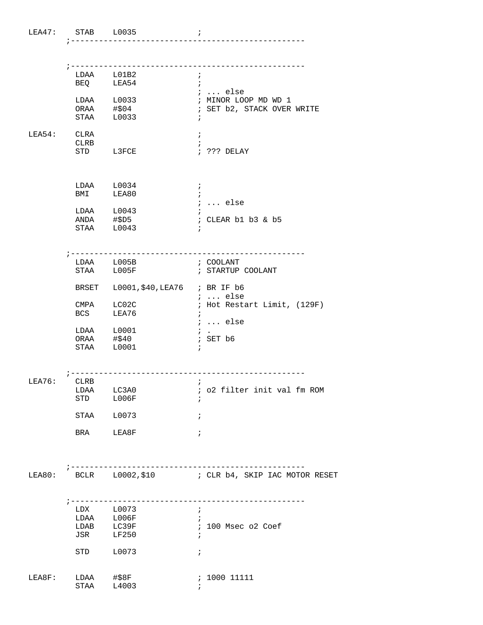|             |                    | LDAA L01B2                          | $\mathbf{r}$                                                        |
|-------------|--------------------|-------------------------------------|---------------------------------------------------------------------|
|             |                    | BEQ LEA54                           | $\ddot{i}$<br><i>i</i> else                                         |
|             |                    | LDAA L0033                          | ; MINOR LOOP MD WD 1                                                |
|             | ORAA $\sharp$ \$04 |                                     | ; SET b2, STACK OVER WRITE                                          |
|             |                    | STAA L0033                          | ÷                                                                   |
| LEA54: CLRA |                    |                                     | $\ddot{i}$                                                          |
|             | CLRB               | STD L3FCE                           | ; ??? DELAY                                                         |
|             |                    |                                     |                                                                     |
|             |                    | LDAA L0034                          | $\ddot{i}$                                                          |
|             | BMI LEA80          |                                     |                                                                     |
|             |                    | LDAA L0043                          | $i \ldots$ else                                                     |
|             |                    | ANDA #\$D5                          | ; CLEAR b1 b3 & b5                                                  |
|             | STAA L0043         |                                     |                                                                     |
|             |                    | ; ------------------                | --------------                                                      |
|             |                    | LDAA L005B                          | ; COOLANT                                                           |
|             |                    | STAA L005F                          | ; STARTUP COOLANT                                                   |
|             |                    | BRSET L0001, \$40, LEA76 ; BR IF b6 | ;  else                                                             |
|             | CMPA LC02C         |                                     | ; Hot Restart Limit, (129F)                                         |
|             | <b>BCS</b>         | LEA76                               | $\ddot{i}$                                                          |
|             |                    | $LDAA$ $L0001$                      | $i \ldots$ else<br>$\mathcal{F}$ .                                  |
|             | ORAA #\$40         |                                     | ; SET b6                                                            |
|             | STAA L0001         |                                     |                                                                     |
|             |                    | ----------------------------        |                                                                     |
| LEA76:      | CLRB               |                                     | $\ddot{i}$                                                          |
|             |                    | LDAA LC3A0                          | ; o2 filter init val fm ROM                                         |
|             | STD                | L006F                               | $\ddot{i}$                                                          |
|             | STAA L0073         |                                     | $\ddot{ }$                                                          |
|             | BRA LEA8F          |                                     | ÷,                                                                  |
|             |                    |                                     |                                                                     |
| LEA80:      |                    |                                     | ----------------<br>BCLR L0002, \$10 : CLR b4, SKIP IAC MOTOR RESET |
|             |                    |                                     |                                                                     |
|             |                    | LDX L0073                           | $\cdot$ i                                                           |
|             |                    | LDAA L006F                          |                                                                     |
|             |                    | LDAB LC39F                          | ; 100 Msec o2 Coef                                                  |
|             | JSR LF250          |                                     |                                                                     |
|             | STD                | L0073                               | $\ddot{i}$                                                          |
| LEA8F:      | LDAA #\$8F         |                                     | ; 1000 11111                                                        |
|             | STAA               | L4003                               |                                                                     |

LEA47: STAB L0035 ;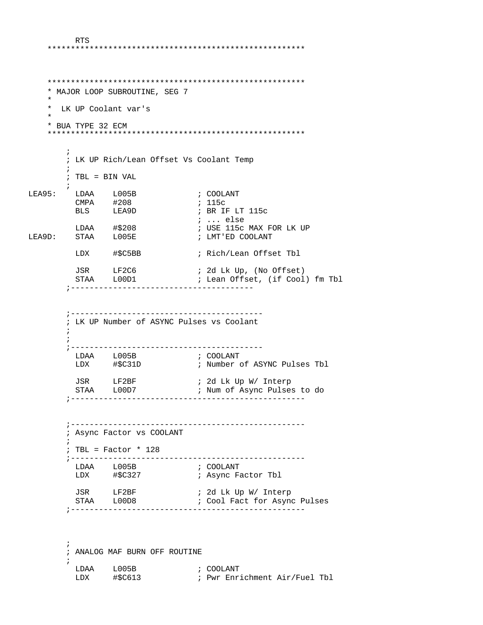\*\*\*\*\*\*\*\*\*\*\*\*\*\*\*\*\*\*\*\*\*\*\*\*\*\*\*\*\*\*\*\*\*\*\*\*\*\*\*\*\*\*\*\*\*\*\*\*\*\*\*\*\*\*\* \*\*\*\*\*\*\*\*\*\*\*\*\*\*\*\*\*\*\*\*\*\*\*\*\*\*\*\*\*\*\*\*\*\*\*\*\*\*\*\*\*\*\*\*\*\*\*\*\*\*\*\*\*\*\* \* MAJOR LOOP SUBROUTINE, SEG 7 \* \* LK UP Coolant var's \* \* BUA TYPE 32 ECM \*\*\*\*\*\*\*\*\*\*\*\*\*\*\*\*\*\*\*\*\*\*\*\*\*\*\*\*\*\*\*\*\*\*\*\*\*\*\*\*\*\*\*\*\*\*\*\*\*\*\*\*\*\*\*  $\mathcal{L}^{\text{max}}$  ; LK UP Rich/Lean Offset Vs Coolant Temp  $\mathcal{L}^{\text{max}}_{\text{max}}$  ; TBL = BIN VAL  $\mathcal{L}^{\text{max}}$ LEA95: LDAA L005B ; COOLANT<br>
CMPA #208 ; 115c CMPA #208 ; 115c BLS LEA9D ; BR IF LT 115c ; ... else<br>; USE 115c MAX FOR LK UP LDAA #\$208 ; USE 115c MAX FOR LK UP LEA9D: STAA L005E ; LMT'ED COOLANT LDX #\$C5BB ; Rich/Lean Offset Tbl JSR LF2C6 ; 2d Lk Up, (No Offset) ; Lean Offset, (if Cool) fm Tbl ;--------------------------------------- ;----------------------------------------- ; LK UP Number of ASYNC Pulses vs Coolant  $\mathcal{L}^{\text{max}}$  $\mathcal{L}^{\text{max}}$  ;----------------------------------------- LDAA L005B ; COOLANT LDX #\$C31D ; Number of ASYNC Pulses Tbl JSR LF2BF ; 2d Lk Up W/ Interp ; Num of Async Pulses to do ;-------------------------------------------------- ;-------------------------------------------------- ; Async Factor vs COOLANT  $\mathcal{L}^{\text{max}}$  ; TBL = Factor \* 128 ;-------------------------------------------------- LDAA L005B<br>LDX #\$C327 ; COOLANT<br>; Async Factor Tbl JSR LF2BF ; 2d Lk Up W/ Interp STAA L00D8 ; Cool Fact for Async Pulses ;--------------------------------------------------  $\mathcal{L}^{\text{max}}$  ; ANALOG MAF BURN OFF ROUTINE  $\mathcal{L}^{\text{max}}$ LDAA L005B ; COOLANT

LDX #\$C613 ; Pwr Enrichment Air/Fuel Tbl

RTS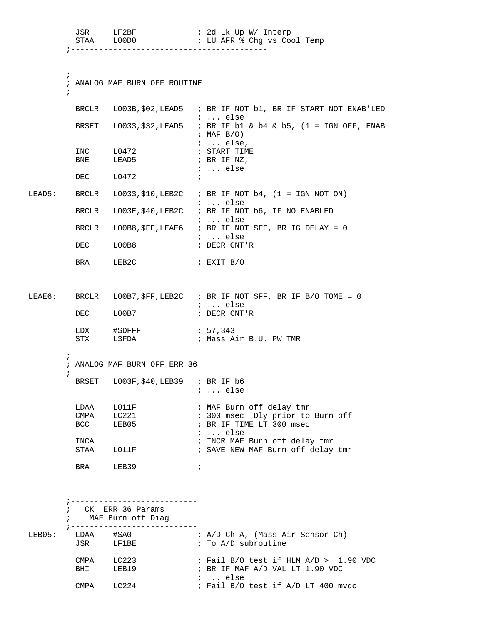|        | JSR                      | LF2BF<br>STAA LOODO                                                  | ; 2d Lk Up W/ Interp<br>; LU AFR % Chg vs Cool Temp                                                  |
|--------|--------------------------|----------------------------------------------------------------------|------------------------------------------------------------------------------------------------------|
|        | $\ddot{i}$<br>$\ddot{ }$ | ; ANALOG MAF BURN OFF ROUTINE                                        |                                                                                                      |
|        |                          |                                                                      | BRCLR L003B, \$02, LEAD5 ; BR IF NOT b1, BR IF START NOT ENAB'LED<br>$i \ldots$ else                 |
|        |                          |                                                                      | BRSET L0033, \$32, LEAD5 ; BR IF b1 & b4 & b5, (1 = IGN OFF, ENAB<br>$;$ MAF $B/O$ )                 |
|        | INC<br>BNE               | L0472<br>LEAD5                                                       | $i \ldots$ else,<br>; START TIME<br>; BR IF NZ,<br>;  else                                           |
|        |                          | DEC L0472                                                            | $\ddot{i}$                                                                                           |
| LEAD5: | BRCLR                    |                                                                      | L0033, \$10, LEB2C $\;$ ; BR IF NOT b4, (1 = IGN NOT ON)                                             |
|        | BRCLR                    |                                                                      | $: $ else<br>L003E, \$40, LEB2C : BR IF NOT b6, IF NO ENABLED                                        |
|        | BRCLR                    |                                                                      | $: $ else<br>LOOB8, \$FF, LEAE6 : BR IF NOT \$FF, BR IG DELAY = 0                                    |
|        | DEC                      | L00B8                                                                | ; $\ldots$ else<br>; DECR CNT'R                                                                      |
|        | <b>BRA</b>               | LEB2C                                                                | ; EXIT B/O                                                                                           |
| LEAE6: |                          |                                                                      | BRCLR L00B7, \$FF, LEB2C ; BR IF NOT \$FF, BR IF B/O TOME = 0<br><i>i</i> else                       |
|        | DEC                      | L00B7                                                                | ; DECR CNT'R                                                                                         |
|        | LDX                      | STX L3FDA                                                            | ; Mass Air B.U. PW TMR                                                                               |
|        | i.<br>$\ddot{i}$         | ; ANALOG MAF BURN OFF ERR 36                                         |                                                                                                      |
|        |                          | BRSET L003F, \$40, LEB39 ; BR IF b6                                  | $i \ldots$ else                                                                                      |
|        | LDAA<br><b>BCC</b>       | L011F<br>CMPA LC221<br>LEB05                                         | ; MAF Burn off delay tmr<br>; 300 msec Dly prior to Burn off<br>; BR IF TIME LT 300 msec<br>$i$ else |
|        | INCA                     | STAA L011F                                                           | ; INCR MAF Burn off delay tmr<br>; SAVE NEW MAF Burn off delay tmr                                   |
|        | <b>BRA</b>               | LEB39                                                                | $\ddot{i}$                                                                                           |
|        |                          | -----------------------<br>; CK ERR 36 Params<br>; MAF Burn off Diag |                                                                                                      |
| LEB05: |                          | ; --------------------------<br>LDAA #\$A0<br>JSR LF1BE              | ; A/D Ch A, (Mass Air Sensor Ch)<br>; To A/D subroutine                                              |
|        | CMPA                     | LC223<br>BHI LEB19                                                   | $:$ Fail B/O test if HLM A/D > 1.90 VDC<br>; BR IF MAF A/D VAL LT 1.90 VDC<br>$i$ else               |

CMPA LC224 ; Fail B/O test if A/D LT 400 mvdc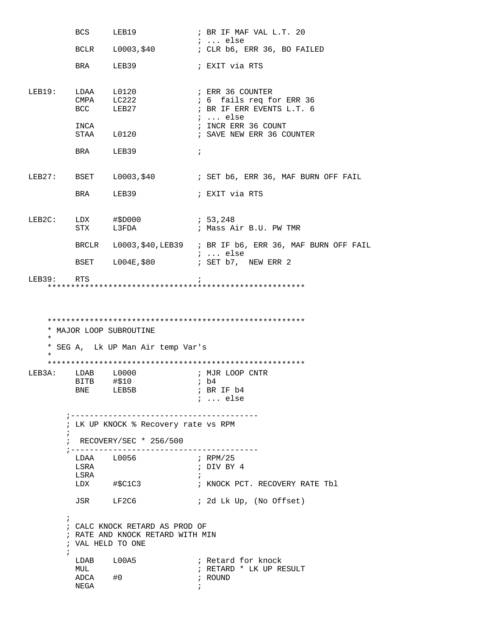BCS LEB19 ; BR IF MAF VAL L.T. 20 ; ... else ; CLR b6, ERR 36, BO FAILED BRA LEB39 ; EXIT via RTS LEB19: LDAA L0120 ; ERR 36 COUNTER CMPA LC222 : 6 fails req for ERR 36<br>BCC LEB27 : BR IF ERR EVENTS L.T. 6 ; BR IF ERR EVENTS L.T. 6  $\begin{tabular}{lllllllllll} \bf 1NCA & \bf 3DCR & \bf 1NCR & \bf 2DCR & \bf 3DCR & \bf 4DCR & \bf 5DCR & \bf 6DCR & \bf 7DCR & \bf 8DCR & \bf 1DCR & \bf 1DCR & \bf 1DCR & \bf 1DCR & \bf 1DCR & \bf 1DCR & \bf 1DCR & \bf 1DCR & \bf 1DCR & \bf 1DCR & \bf 1DCR & \bf 1DCR & \bf 1DCR & \bf 1DCR & \bf 1DCR & \bf 1DCR & \bf 1DCR & \bf 1DCR & \bf 1DCR & \bf 1DC$  INCA ; INCR ERR 36 COUNT ; SAVE NEW ERR 36 COUNTER BRA LEB39 ; LEB27: BSET L0003, \$40 ; SET b6, ERR 36, MAF BURN OFF FAIL BRA LEB39 **;** EXIT via RTS LEB2C: LDX #\$D000 ; 53,248 STX L3FDA : Mass Air B.U. PW TMR BRCLR  $L0003$ , \$40, LEB39 ; BR IF b6, ERR 36, MAF BURN OFF FAIL  $\cdot \cdot \cdot$  else ; ... else BSET L004E, \$80 **;** SET b7, NEW ERR 2 LEB39: RTS ; \*\*\*\*\*\*\*\*\*\*\*\*\*\*\*\*\*\*\*\*\*\*\*\*\*\*\*\*\*\*\*\*\*\*\*\*\*\*\*\*\*\*\*\*\*\*\*\*\*\*\*\*\*\*\* \*\*\*\*\*\*\*\*\*\*\*\*\*\*\*\*\*\*\*\*\*\*\*\*\*\*\*\*\*\*\*\*\*\*\*\*\*\*\*\*\*\*\*\*\*\*\*\*\*\*\*\*\*\*\* \* MAJOR LOOP SUBROUTINE \* \* SEG A, Lk UP Man Air temp Var's \* \*\*\*\*\*\*\*\*\*\*\*\*\*\*\*\*\*\*\*\*\*\*\*\*\*\*\*\*\*\*\*\*\*\*\*\*\*\*\*\*\*\*\*\*\*\*\*\*\*\*\*\*\*\*\* LEB3A: LDAB L0000 ; MJR LOOP CNTR<br>BITB #\$10 ; b4 BITB #\$10 ; b4 ; BR IF b4 ; ... else ;---------------------------------------- ; LK UP KNOCK % Recovery rate vs RPM  $\mathcal{L}^{\text{max}}_{\text{max}}$  ; RECOVERY/SEC \* 256/500 ;----------------------------------------  $LDAA$   $L0056$  LSRA ; DIV BY 4 LSRA ; #\$C1C3 **;** KNOCK PCT. RECOVERY RATE Tbl JSR LF2C6 ; 2d Lk Up, (No Offset)  $\mathcal{L}^{\text{max}}$  ; CALC KNOCK RETARD AS PROD OF ; RATE AND KNOCK RETARD WITH MIN ; VAL HELD TO ONE  $\mathcal{L}^{\text{max}}$ LDAB L00A5 ; Retard for knock MUL  $\begin{array}{ccc} H\cup L & H\cup R\end{array}$  ; RETARD \* LK UP RESULT  $ADCA$   $\#0$ NEGA $\qquad \qquad ;$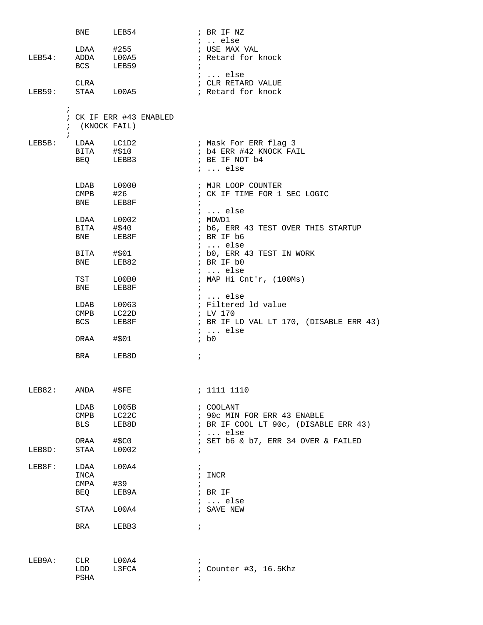|            | BNE                          | LEB54                   | ; BR IF NZ                                |
|------------|------------------------------|-------------------------|-------------------------------------------|
|            |                              |                         | $i$ else                                  |
|            |                              | $LDAA$ #255             | ; USE MAX VAL                             |
| LEB54:     | <b>BCS</b>                   | ADDA L00A5<br>LEB59     | ; Retard for knock<br>$\ddot{i}$          |
|            |                              |                         | $i \ldots$ else                           |
|            | CLRA                         |                         | ; CLR RETARD VALUE                        |
| LEB59:     |                              | STAA L00A5              | ; Retard for knock                        |
|            |                              |                         |                                           |
| $\ddot{i}$ |                              |                         |                                           |
|            |                              | ; CK IF ERR #43 ENABLED |                                           |
|            | ; (KNOCK FAIL)               |                         |                                           |
| $\ddot{ }$ |                              |                         |                                           |
| LEB5B:     |                              | LDAA LC1D2              | ; Mask For ERR flag 3                     |
|            |                              | BITA #\$10<br>BEQ LEBB3 | ; b4 ERR #42 KNOCK FAIL<br>; BE IF NOT b4 |
|            |                              |                         | $i \ldots$ else                           |
|            |                              |                         |                                           |
|            |                              | LDAB L0000              | ; MJR LOOP COUNTER                        |
|            | $\mathop{\mathrm{CMPB}}$     | #26                     | ; CK IF TIME FOR 1 SEC LOGIC              |
|            | <b>BNE</b>                   | LEB8F                   | $\ddot{i}$                                |
|            |                              |                         | $\cdots$ else                             |
|            |                              | LDAA L0002              | ; MDWD1                                   |
|            |                              | BITA #\$40              | ; b6, ERR 43 TEST OVER THIS STARTUP       |
|            | BNE                          | LEB8F                   | ; BR IF b6                                |
|            |                              |                         | $i \ldots$ else                           |
|            | BNE                          | BITA #\$01<br>LEB82     | ; b0, ERR 43 TEST IN WORK<br>; BR IF b0   |
|            |                              |                         | $i \ldots$ else                           |
|            | TST                          | L00B0                   | ; MAP Hi Cnt'r, (100Ms)                   |
|            | BNE                          | LEB8F                   | $\ddot{i}$                                |
|            |                              |                         | ;  else                                   |
|            | LDAB                         | L0063                   | ; Filtered ld value                       |
|            | $\texttt{CMPB}$              | LC22D                   | ; LV 170                                  |
|            | BCS                          | LEB8F                   | ; BR IF LD VAL LT 170, (DISABLE ERR 43)   |
|            |                              |                         | $i \ldots$ else                           |
|            | ORAA #\$01                   |                         | ib0                                       |
|            | <b>BRA</b>                   | LEB8D                   | $\ddot{i}$                                |
|            |                              |                         |                                           |
|            |                              |                         |                                           |
|            |                              |                         |                                           |
| LEB82:     | ANDA                         | $\#$ \$FE               | ; 1111 1110                               |
|            | LDAB                         | L005B                   | ; COOLANT                                 |
|            | $\mathop{\rm CMBB}\nolimits$ | LC22C                   | ; 90c MIN FOR ERR 43 ENABLE               |
|            | BLS                          | LEB8D                   | ; BR IF COOL LT 90c, (DISABLE ERR 43)     |
|            |                              |                         | $i \ldots$ else                           |
|            | ORAA                         | #\$C0                   | ; SET b6 & b7, ERR 34 OVER & FAILED       |
| LEB8D:     | STAA                         | L0002                   | $\ddot{i}$                                |
|            |                              |                         |                                           |
| LEB8F:     | LDAA                         | L00A4                   | $\ddot{i}$                                |
|            | INCA                         |                         | ; INCR                                    |
|            | CMPA<br>BEQ                  | #39<br>LEB9A            | $;$ BR IF                                 |
|            |                              |                         | $i \ldots$ else                           |
|            | STAA                         | L00A4                   | ; SAVE NEW                                |
|            |                              |                         |                                           |
|            | BRA                          | LEBB3                   | $\ddot{i}$                                |
|            |                              |                         |                                           |
|            |                              |                         |                                           |
| LEB9A:     | CLR                          | L00A4                   |                                           |
|            | LDD                          | L3FCA                   | ; Counter #3, 16.5Khz                     |
|            | PSHA                         |                         |                                           |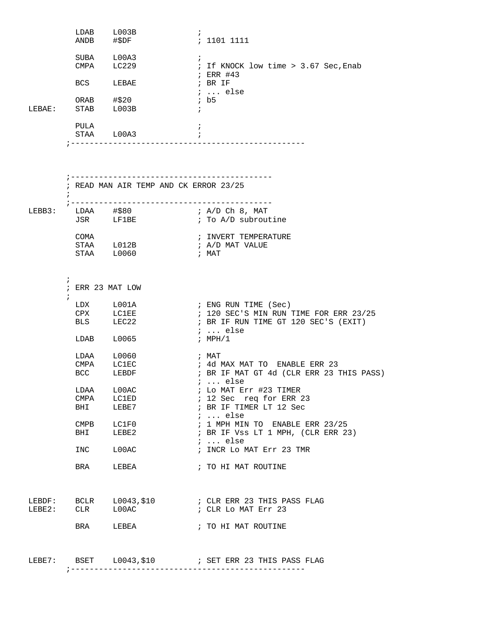|        |                          | LDAB L003B<br>ANDB #\$DF | $\ddot{i}$<br>: 1101 1111                                                                         |
|--------|--------------------------|--------------------------|---------------------------------------------------------------------------------------------------|
|        | CMPA                     | SUBA L00A3<br>LC229      | $\ddot{i}$<br>; If KNOCK low time > 3.67 Sec, Enab                                                |
|        | <b>BCS</b>               | LEBAE                    | $;$ ERR #43<br>; BR IF<br>$i$ else                                                                |
| LEBAE: |                          |                          | ib5<br>$\ddot{i}$                                                                                 |
|        | PULA                     | STAA L00A3               |                                                                                                   |
|        |                          |                          |                                                                                                   |
|        |                          |                          | ; READ MAN AIR TEMP AND CK ERROR 23/25                                                            |
|        |                          |                          |                                                                                                   |
|        |                          |                          | LEBB3: LDAA $\#$ \$80<br>; A/D Ch 8, MAT<br>JSR LF1BE $\qquad$ ; To A/D subroutine                |
|        |                          |                          |                                                                                                   |
|        | COMA                     | STAA L012B               | ; INVERT TEMPERATURE                                                                              |
|        |                          | STAA L0060               | ; A/D MAT VALUE<br>; MAT                                                                          |
|        |                          |                          |                                                                                                   |
|        | $\ddot{i}$<br>$\ddot{ }$ | ; ERR 23 MAT LOW         |                                                                                                   |
|        |                          | LDX L001A                | ; ENG RUN TIME (Sec)                                                                              |
|        | BLS                      | CPX LC1EE<br>LEC22       | ; 120 SEC'S MIN RUN TIME FOR ERR 23/25<br>; BR IF RUN TIME GT 120 SEC'S (EXIT)<br>$i \ldots$ else |
|        | LDAB                     | L0065                    | ; $MPH/1$                                                                                         |
|        | LDAA                     | L0060                    | ; MAT                                                                                             |
|        | CMPA                     | LC1EC                    | ; 4d MAX MAT TO ENABLE ERR 23                                                                     |
|        | <b>BCC</b>               | LEBDF                    | ; BR IF MAT GT 4d (CLR ERR 23 THIS PASS)<br>$\mathfrak{i}$ else                                   |
|        | LDAA                     | LOOAC                    | ; Lo MAT Err #23 TIMER                                                                            |
|        | CMPA                     | LC1ED                    | ; 12 Sec req for ERR 23                                                                           |
|        | BHI                      | LEBE7                    | ; BR IF TIMER LT 12 Sec<br>$i \ldots$ else                                                        |
|        | <b>CMPB</b>              | LCIF0                    | $: 1$ MPH MIN TO ENABLE ERR 23/25                                                                 |
|        | BHI                      | LEBE2                    | ; BR IF Vss LT 1 MPH, (CLR ERR 23)                                                                |
|        | INC                      | LOOAC                    | $\ldots$ else<br>; INCR Lo MAT Err 23 TMR                                                         |
|        | BRA                      | LEBEA                    | ; TO HI MAT ROUTINE                                                                               |
|        |                          |                          |                                                                                                   |
|        |                          |                          |                                                                                                   |
| LEBE2: | <b>CLR</b>               | L00AC                    | ; CLR Lo MAT Err 23                                                                               |
|        | <b>BRA</b>               | LEBEA                    | ; TO HI MAT ROUTINE                                                                               |
|        |                          |                          | LEBE7: BSET L0043, \$10 : SET ERR 23 THIS PASS FLAG                                               |
|        |                          |                          |                                                                                                   |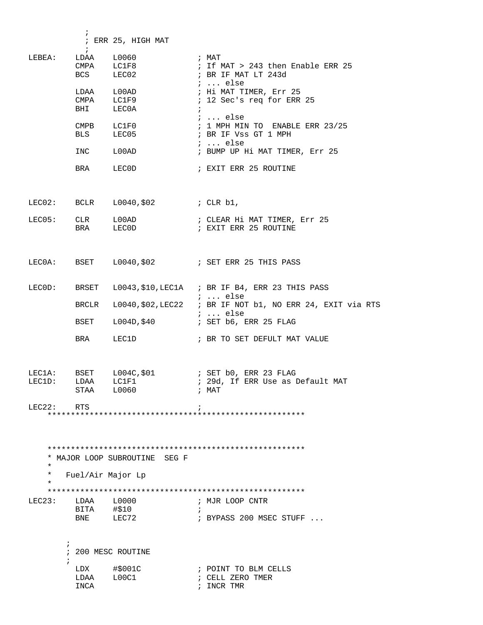|                  |                                                                                                       | ; ERR 25, HIGH MAT                                                                                                                                                                                          |            |                                                                                                                                                                                                                                                                                                 |
|------------------|-------------------------------------------------------------------------------------------------------|-------------------------------------------------------------------------------------------------------------------------------------------------------------------------------------------------------------|------------|-------------------------------------------------------------------------------------------------------------------------------------------------------------------------------------------------------------------------------------------------------------------------------------------------|
| LEBEA:           | $\ddot{i}$<br>LDAA<br><b>BCS</b><br>LDAA<br>BHI<br>$\texttt{CMPB}$<br><b>BLS</b><br>INC<br><b>BRA</b> | L0060<br>CMPA LC1F8<br>LEC02 and the state of the state of the state of the state of the state of the state of the state of the state o<br>L00AD<br>CMPA LC1F9<br>LECOA<br>LCIF0<br>LEC05<br>L00AD<br>LECOD | $\ddot{i}$ | ; MAT<br>; If MAT > 243 then Enable ERR 25<br>; BR IF MAT LT 243d<br>$\ldots$ else<br>; Hi MAT TIMER, Err 25<br>; 12 Sec's req for ERR 25<br>;  else<br>$: 1$ MPH MIN TO ENABLE ERR 23/25<br>; BR IF Vss GT 1 MPH<br>$i \ldots$ else<br>; BUMP UP Hi MAT TIMER, Err 25<br>; EXIT ERR 25 ROUTINE |
|                  |                                                                                                       | LEC02: BCLR $L0040, $02$ ; CLR b1,                                                                                                                                                                          |            |                                                                                                                                                                                                                                                                                                 |
| LECO5:           | CLR<br><b>BRA</b>                                                                                     | $\mathtt{L00AD}$<br>LEC0D                                                                                                                                                                                   |            | ; CLEAR Hi MAT TIMER, Err 25<br>; EXIT ERR 25 ROUTINE                                                                                                                                                                                                                                           |
|                  |                                                                                                       |                                                                                                                                                                                                             |            | LECOA: BSET L0040, \$02 : SET ERR 25 THIS PASS                                                                                                                                                                                                                                                  |
| LECOD:           | BRSET                                                                                                 |                                                                                                                                                                                                             |            | L0043, \$10, LEC1A : BR IF B4, ERR 23 THIS PASS<br>$i \ldots$ else                                                                                                                                                                                                                              |
|                  | BRCLR                                                                                                 |                                                                                                                                                                                                             |            | L0040, \$02, LEC22 ; BR IF NOT b1, NO ERR 24, EXIT via RTS                                                                                                                                                                                                                                      |
|                  | BSET                                                                                                  |                                                                                                                                                                                                             |            | $i$ else                                                                                                                                                                                                                                                                                        |
|                  | BRA                                                                                                   | LEC1D                                                                                                                                                                                                       |            | ; BR TO SET DEFULT MAT VALUE                                                                                                                                                                                                                                                                    |
| LEC1A:<br>LEC1D: | LDAA<br>STAA L0060                                                                                    | LC1F1                                                                                                                                                                                                       |            | ; 29d, If ERR Use as Default MAT<br>; MAT                                                                                                                                                                                                                                                       |
| LEC22:           | RTS                                                                                                   |                                                                                                                                                                                                             |            |                                                                                                                                                                                                                                                                                                 |
| $\star$          |                                                                                                       | * MAJOR LOOP SUBROUTINE SEG F                                                                                                                                                                               |            |                                                                                                                                                                                                                                                                                                 |
| $^\star$         | Fuel/Air Major Lp                                                                                     |                                                                                                                                                                                                             |            |                                                                                                                                                                                                                                                                                                 |
| LEC23:           | LDAA L0000<br>BITA #\$10<br>BNE                                                                       | LEC72                                                                                                                                                                                                       | $\cdot$    | ; MJR LOOP CNTR<br>$:$ BYPASS 200 MSEC STUFF $\ldots$                                                                                                                                                                                                                                           |
| ÷                |                                                                                                       | 200 MESC ROUTINE                                                                                                                                                                                            |            |                                                                                                                                                                                                                                                                                                 |
|                  | LDX<br>LDAA L00C1<br>INCA                                                                             | #\$001C                                                                                                                                                                                                     |            | ; POINT TO BLM CELLS<br>; CELL ZERO TMER<br>; INCR TMR                                                                                                                                                                                                                                          |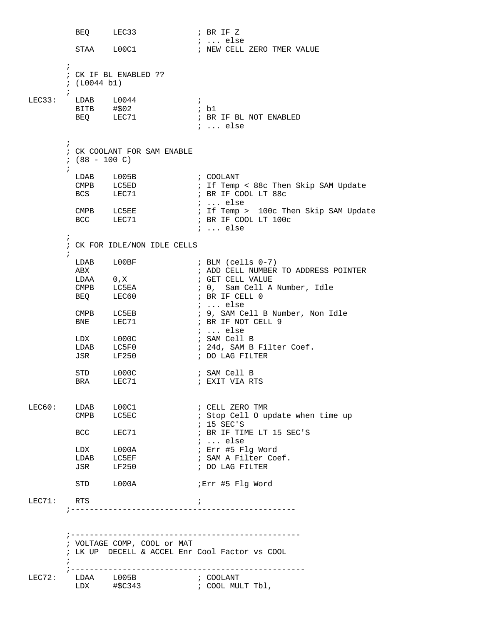```
BEQ LEC33 ; BR IF Z
          \begin{tabular}{lllll} \multicolumn{2}{l}{{\text{STAA}}} & $\hspace{1.5mm} \text{LOOC1} & & & \multicolumn{2}{l}{\text{}} & & \multicolumn{2}{l}{\text{NEW CELL}}\\ \end{tabular}; NEW CELL ZERO TMER VALUE
\mathcal{L}^{\text{max}} ; CK IF BL ENABLED ??
         ; (L0044 b1)
\mathcal{L}^{\text{max}}LEC33: LDAB L0044 ;
 BITB #$02 ; b1 
                                 ;<br>; b1<br>; BR IF BL NOT ENABLED
                                    ; ... else 
         ;
         ; CK COOLANT FOR SAM ENABLE
        ; (88 - 100 C)
\mathcal{L}^{\text{max}} LDAB L005B ; COOLANT 
          CMPB LC5ED : If Temp < 88c Then Skip SAM Update<br>BCS LEC71 : BR IF COOL LT 88c
                                    ; BR IF COOL LT 88c
          ; ... else
                                    ; If Temp > 100c Then Skip SAM Update
                                    ; BR IF COOL LT 100c
                                     ; ... else
\mathcal{L}^{\text{max}} ; CK FOR IDLE/NON IDLE CELLS
\mathcal{L}^{\text{max}}\begin{tabular}{lllllll} \texttt{LDAB} & \texttt{L00BF} & & \texttt{7} & \texttt{5} & \texttt{5} & \texttt{6} & \texttt{6} & \texttt{7} \end{tabular} ABX ; ADD CELL NUMBER TO ADDRESS POINTER 
LDAA 0,X ; GET CELL VALUE
                                   ; 0, Sam Cell A Number, Idle<br>; BR IF CELL 0
BEQ LEC60 ; BR IF CELL 0
                                     ; ... else 
                                   ; 9, SAM Cell B Number, Non Idle<br>; BR IF NOT CELL 9
          CMPB LC5EB<br>BNE LEC71
                                   ; ... else<br>; SAM Cell B
LDX LOOOC ; SAM Cell B
LDAB LC5F0 : 24d, SAM B Filter Coef.
           JSR LF250 ; DO LAG FILTER 
STD LOOOC ; SAM Cell B
BRA LEC71 ; EXIT VIA RTS
LEC60: LDAB L00C1 ; CELL ZERO TMR<br>CMPB LC5EC ; Stop Cell 0 up
                                    ; Stop Cell O update when time up
          \begin{tabular}{lllll} BCC & & LEC71 & & & & ; & 15 & SEC'S \\ & & & & & & ; & BR IF TI \\ \end{tabular}; BR IF TIME LT 15 SEC'S
           ; ... else
LDX L000A ; Err #5 Flg Word
LDAB LC5EF : SAM A Filter Coef.
           JSR LF250 ; DO LAG FILTER
          STD L000A ;Err #5 Flg Word
LEC71: RTS ;
         ;------------------------------------------------
         ;-------------------------------------------------
         ; VOLTAGE COMP, COOL or MAT 
         ; LK UP DECELL & ACCEL Enr Cool Factor vs COOL
\mathcal{L}^{\text{max}} ;-------------------------------------------------- 
LEC72: LDAA L005B     ; COOLANT
 LDX #$C343 ; COOL MULT Tbl,
```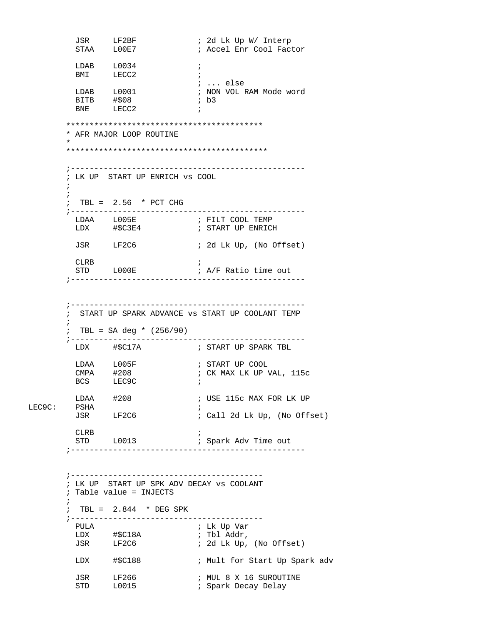```
 JSR LF2BF ; 2d Lk Up W/ Interp 
                                       ; Accel Enr Cool Factor
          \begin{tabular}{lllllll} \texttt{LDAB} & \texttt{L0034} & & \texttt{;} \\ \texttt{BMI} & \texttt{LECC2} & & \texttt{;} \end{tabular}LECC2 ;
          \begin{tabular}{lllll} \tt LDAB & I0001 & & & & & ; & ... & else \\ \tt LDAB & I0001 & & & & ; & \tt{NON} & \tt{VOL} \end{tabular}; NON VOL RAM Mode word<br>; b3
          BITB #$08<br>BNE LECC2
                  LECC2
         ******************************************
         * AFR MAJOR LOOP ROUTINE 
 *
         ******************************************* 
         ;--------------------------------------------------
         ; LK UP START UP ENRICH vs COOL
\mathcal{L}^{\text{max}}\mathcal{L}^{\text{max}} ; TBL = 2.56 * PCT CHG
         ;--------------------------------------------------
LDAA L005E    ; FILT COOL TEMP
 LDX #$C3E4 ; START UP ENRICH 
           JSR LF2C6 ; 2d Lk Up, (No Offset) 
           CLRB ; 
                                       ; A/F Ratio time out
          ;--------------------------------------------------
         ;--------------------------------------------------
         ; START UP SPARK ADVANCE vs START UP COOLANT TEMP 
\mathcal{L}^{\text{max}}_{\text{max}} ; TBL = SA deg * (256/90) 
         ;--------------------------------------------------
           LDX #$C17A ; START UP SPARK TBL
          LDAA L005F ; START UP COOL
          CMPA #208 ; CK MAX LK UP VAL, 115c<br>BCS LEC9C ;
          \begin{array}{lll}\n\text{CMPA} & \#208 & \text{ } & \text{ } \\
\text{BCS} & \text{LEC9C} & & \text{ } & \text{ } \\
\end{array}LDAA #208 ; USE 115c MAX FOR LK UP
LEC9C: PSHA ;
                                       ; Call 2d Lk Up, (No Offset)
          CLRB ; 
          STD L0013 ; Spark Adv Time out
         ;--------------------------------------------------
         ;-----------------------------------------
         ; LK UP START UP SPK ADV DECAY vs COOLANT 
         ; Table value = INJECTS 
\mathcal{L}^{\text{max}}_{\text{max}}\div TBL = 2.844 \star DEG SPK
         ;----------------------------------------- 
           PULA ; Lk Up Var 
          LDX #$C18A ; Tbl Addr,<br>JSR LF2C6 ; 2d Lk Up,
                                       ; 2d Lk Up, (No Offset)
          LDX #$C188 ; Mult for Start Up Spark adv
          JSR LF266 : MUL 8 X 16 SUROUTINE<br>STD L0015 : Spark Decay Delay
                                       ; Spark Decay Delay
```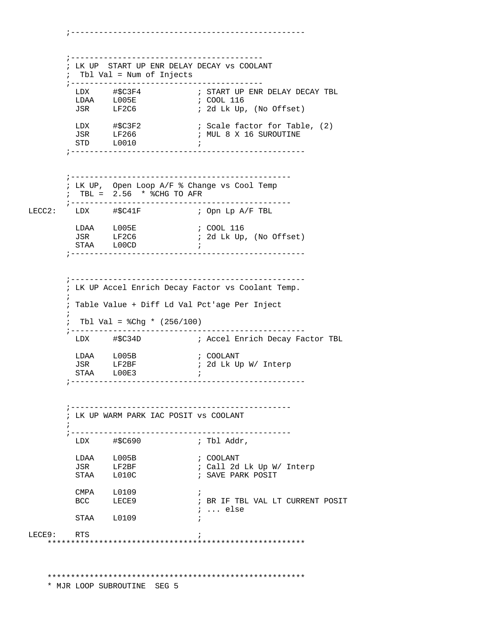;----------------------------------------- ; LK UP START UP ENR DELAY DECAY vs COOLANT ; Tbl Val = Num of Injects ;----------------------------------------- LDX #\$C3F4 ; START UP ENR DELAY DECAY TBL  $\begin{tabular}{ll} \tt LDAA & \tt L005E \\ \tt JSR & \tt LF2C6 \end{tabular}$ ; 2d Lk Up, (No Offset) LDX #\$C3F2 : Scale factor for Table, (2)<br>JSR LF266 : MUL 8 X 16 SUROUTINE ; MUL 8 X 16 SUROUTINE STD L0010 ; ;-------------------------------------------------- ;----------------------------------------------- ; LK UP, Open Loop A/F % Change vs Cool Temp ; TBL = 2.56 \* %CHG TO AFR ;----------------------------------------------- ; Opn Lp A/F TBL LDAA L005E ; COOL 116<br>JSR LF2C6 ; 2d Lk Up ; 2d Lk Up, (No Offset) STAA LOOCD ;<br>STAA LOOCD ; ;-------------------------------------------------- ;-------------------------------------------------- ; LK UP Accel Enrich Decay Factor vs Coolant Temp.  $\mathcal{L}^{\text{max}}$  ; Table Value + Diff Ld Val Pct'age Per Inject  $\mathcal{L}^{\text{max}}$ ; Tbl Val =  $8Chg * (256/100)$  ;-------------------------------------------------- LDX #\$C34D ; Accel Enrich Decay Factor TBL LDAA L005B ; COOLANT<br>JSR LF2BF ; 2d Lk U JSR LF2BF ; 2d Lk Up W/ Interp STAA LOOE3 ; ;-------------------------------------------------- ;----------------------------------------------- ; LK UP WARM PARK IAC POSIT vs COOLANT  $\mathcal{L}^{\text{max}}$  ;----------------------------------------------- LDX #\$C690 ; Tbl Addr, LDAA L005B ; COOLANT<br>JSR LF2BF ; Call 2d<br>STAA L010C ; SAVE\_PAI ; Call 2d Lk Up W/ Interp ; SAVE PARK POSIT CMPA L0109 ; BCC LECE9 : BR IF TBL VAL LT CURRENT POSIT ; ... else STAA L0109 ; LECE9: RTS ; \*\*\*\*\*\*\*\*\*\*\*\*\*\*\*\*\*\*\*\*\*\*\*\*\*\*\*\*\*\*\*\*\*\*\*\*\*\*\*\*\*\*\*\*\*\*\*\*\*\*\*\*\*\*\* \*\*\*\*\*\*\*\*\*\*\*\*\*\*\*\*\*\*\*\*\*\*\*\*\*\*\*\*\*\*\*\*\*\*\*\*\*\*\*\*\*\*\*\*\*\*\*\*\*\*\*\*\*\*\*

;--------------------------------------------------

\* MJR LOOP SUBROUTINE SEG 5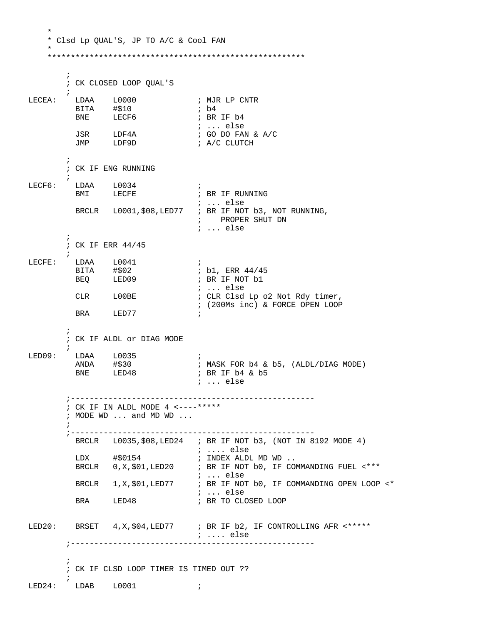\* Clsd Lp QUAL'S, JP TO A/C & Cool FAN  $\cdot$ ; CK CLOSED LOOP QUAL'S  $\cdot$  : ; MJR LP CNTR LECEA: LDAA L0000  $; b4$ BITA #\$10 ; BR IF b4 **BNE** LECF6  $: ...$  else  $\frac{1}{2}$  GO DO FAN & A/C JSR LDF4A<br>JMP LDF9D ; A/C CLUTCH  $\ddot{i}$ ; CK IF ENG RUNNING  $\begin{tabular}{llll} \texttt{LECF6}: & \texttt{LDAA} & \texttt{L0034} \end{tabular}$  $\mathbf{r}$ BMI LECFE ; BR IF RUNNING  $i$  ... else BRCLR L0001, \$08, LED77 ; BR IF NOT b3, NOT RUNNING, ; PROPER SHUT DN  $: ...$  else  $\ddot{i}$ ; CK IF ERR 44/45  $L0041$ LECFE: LDAA  $\cdot$  ; ; b1, ERR 44/45 BITA #\$02<br>BEQ LED09 ; BR IF NOT b1  $i \ldots$  else CLR LOOBE ; CLR Clsd Lp o2 Not Rdy timer, ; (200Ms inc) & FORCE OPEN LOOP BRA LED77  $\cdot$  ; ; CK IF ALDL or DIAG MODE  $LED09:$ LDAA L0035  $\rightarrow$ ; MASK FOR b4 & b5, (ALDL/DIAG MODE) ANDA #\$30  $LED48$ **BNE** ; BR IF b4 & b5  $i \dots$ else ; CK IF IN ALDL MODE 4 <----\*\*\*\*\* ; MODE WD ... and MD WD ... BRCLR  $L0035$ , \$08, LED24 ; BR IF NOT b3, (NOT IN 8192 MODE 4)  $\cdots$  else #\$0154 ; INDEX ALDL MD WD .. LDX BRCLR  $0, x, \xi 01, \text{LED20}$ ; BR IF NOT b0, IF COMMANDING FUEL <\*\*\*  $\cdots$  else BRCLR 1, X, \$01, LED77 ; BR IF NOT b0, IF COMMANDING OPEN LOOP <\*  $: ...$  else **BRA**  $LED48$ ; BR TO CLOSED LOOP LED20: BRSET 4, X, \$04, LED77 ; BR IF b2, IF CONTROLLING AFR <\*\*\*\*\* ; .... else ; CK IF CLSD LOOP TIMER IS TIMED OUT ??  $\verb|LED24: LDAB L0001|;$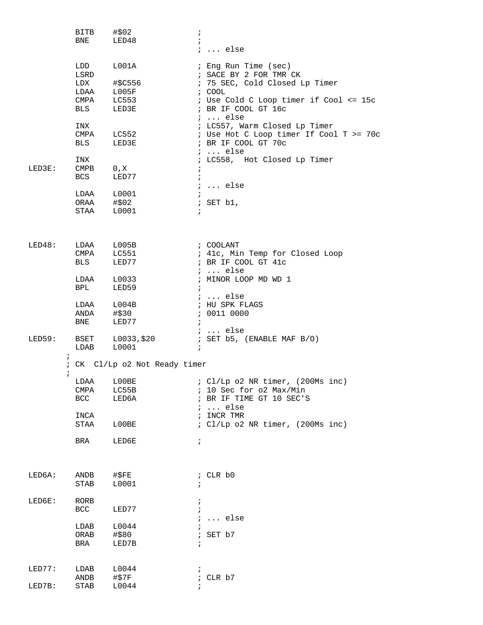|        | BITB                            | #\$02                         | $\ddot{i}$                                       |
|--------|---------------------------------|-------------------------------|--------------------------------------------------|
|        | BNE                             | LED48                         | $\ddot{i}$                                       |
|        |                                 |                               | $i \ldots$ else                                  |
|        | LDD                             | L001A                         | ; Eng Run Time (sec)                             |
|        | LSRD                            |                               | ; SACE BY 2 FOR TMR CK                           |
|        | LDX                             | #\$C556                       | ; 75 SEC, Cold Closed Lp Timer<br>; COOL         |
|        |                                 | LDAA L005F                    | ; Use Cold C Loop timer if Cool <= 15c           |
|        | <b>BLS</b>                      | $CMPA$ $LC553$<br>LED3E       | ; BR IF COOL GT 16c                              |
|        | INX                             |                               | $i \ldots$ else<br>; LC557, Warm Closed Lp Timer |
|        |                                 | CMPA LC552                    | : Use Hot C Loop timer If Cool T >= 70c          |
|        | <b>BLS</b>                      | LED3E                         | ; BR IF COOL GT 70c<br>$i \ldots$ else           |
|        | INX                             |                               | ; LC558, Hot Closed Lp Timer                     |
| LED3E: | $\texttt{CMPB}$ 0, $\texttt{X}$ |                               | $\ddot{ }$                                       |
|        | <b>BCS</b>                      | LED77                         | $\ddot{i}$                                       |
|        |                                 |                               | $i$ else                                         |
|        |                                 | $LDAA$ $L0001$                |                                                  |
|        | ORAA #\$02                      |                               | ; SET b1,                                        |
|        | STAA                            | L0001                         | $\ddot{i}$                                       |
|        |                                 |                               |                                                  |
| LED48: |                                 | LDAA L005B                    | ; COOLANT                                        |
|        | CMPA                            | LC551                         | ; 41c, Min Temp for Closed Loop                  |
|        | <b>BLS</b>                      | LED77                         | ; BR IF COOL GT 41c<br>$i \ldots$ else           |
|        | LDAA                            | L0033                         | ; MINOR LOOP MD WD 1                             |
|        | <b>BPL</b>                      | LED59                         | $\ddot{i}$                                       |
|        |                                 |                               | ;  else                                          |
|        |                                 | LDAA L004B                    | ; HU SPK FLAGS                                   |
|        | ANDA                            | #\$30                         | : 0011 0000                                      |
|        | BNE                             | LED77                         | $\ddot{i}$                                       |
|        |                                 |                               | $\ldots$ else                                    |
| LED59: | BSET                            | L0033,\$20                    | ; SET b5, (ENABLE MAF B/O)                       |
|        | LDAB                            | L0001                         | $\ddot{i}$                                       |
|        | $\ddot{i}$<br>$\ddot{i}$        | : CK Cl/Lp o2 Not Ready timer |                                                  |
|        | LDAA L00BE                      |                               | ; $Cl/Lp$ o2 NR timer, $(200Ms$ inc)             |
|        | CMPA                            | LC55B                         | ; 10 Sec for o2 Max/Min                          |
|        | BCC                             | LED6A                         | ; BR IF TIME GT 10 SEC'S                         |
|        |                                 |                               | $i \ldots$ else                                  |
|        | INCA                            |                               | ; INCR TMR                                       |
|        | STAA                            | L00BE                         | ; Cl/Lp o2 NR timer, (200Ms inc)                 |
|        |                                 |                               |                                                  |
|        | BRA                             | LED6E                         | $\ddot{i}$                                       |
|        |                                 |                               |                                                  |
| LED6A: | ANDB                            | #\$FE                         | ; CLR b0                                         |
|        | STAB                            | L0001                         |                                                  |
| LED6E: | RORB                            |                               |                                                  |
|        | BCC                             | LED77                         |                                                  |
|        |                                 |                               | $i \ldots$ else                                  |
|        | LDAB                            | L0044                         |                                                  |
|        | ORAB                            | #\$80                         | ; SET b7                                         |
|        | BRA                             | LED7B                         | $\ddot{i}$                                       |
|        |                                 |                               |                                                  |
| LED77: | LDAB                            | L0044                         |                                                  |
|        | ANDB                            | #\$7F                         | ; CLR b7                                         |
| LED7B: | STAB                            | L0044                         |                                                  |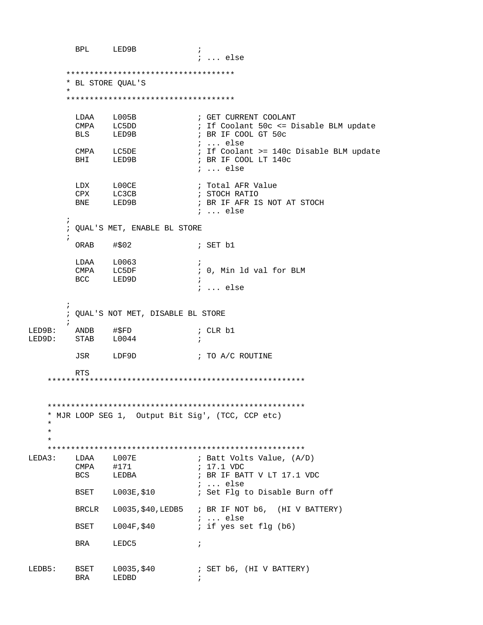**BPL** LED9B  $\cdot$ ; ... else \*\*\*\*\*\*\*\*\*\*\*\*\*\*\*\*\*\*\*\*\*\*\*\*\*\*\*\*\*\*\*\*\*\*\*\*\* \* BL STORE QUAL'S \*\*\*\*\*\*\*\*\*\*\*\*\*\*\*\*\*\*\*\*\*\*\*\*\*\*\*\*\*\*\*\*\*\*\*\* LDAA L005B ; GET CURRENT COOLANT CMPA LC5DD ; If Coolant 50c <= Disable BLM update **BLS** LED9B ; BR IF COOL GT 50c ; ... else CMPA LC5DE ; If Coolant >= 140c Disable BLM update BHI LED9B ; BR IF COOL LT 140c ; ... else LDX L00CE<br>CPX LC3CB ; Total AFR Value ; STOCH RATIO **BNE** LED9B ; BR IF AFR IS NOT AT STOCH ; ... else  $\mathcal{L}$ ; QUAL'S MET, ENABLE BL STORE ORAB #\$02 ; SET b1 LDAA L0063  $\cdot$  ; CMPA LC5DF<br>BCC LED9D ; 0, Min ld val for BLM *i* ... else  $\ddot{ }$ ; QUAL'S NOT MET, DISABLE BL STORE  $\cdot$ LED9B: ANDB #\$FD<br>LED9D: STAB L0044 ; CLR b1  $\mathcal{L}$ JSR LDF9D ; TO A/C ROUTINE RTS \* MJR LOOP SEG 1, Output Bit Sig', (TCC, CCP etc)  $\star$  $LOO7E$ ; Batt Volts Value, (A/D) LDAA  $LEDA3:$ ; 17.1 VDC CMPA #171<br>BCS LEDBA ; BR IF BATT V LT 17.1 VDC  $\cdots$  else BSET L003E, \$10 ; Set Flg to Disable Burn off BRCLR L0035, \$40, LEDB5 ; BR IF NOT b6, (HI V BATTERY) ; ... else BSET L004F, \$40 ; if yes set flg (b6) **BRA** LEDC5  $\ddot{i}$ ; SET b6, (HI V BATTERY) LEDB5: BSET  $L0035, $40$ BRA LEDBD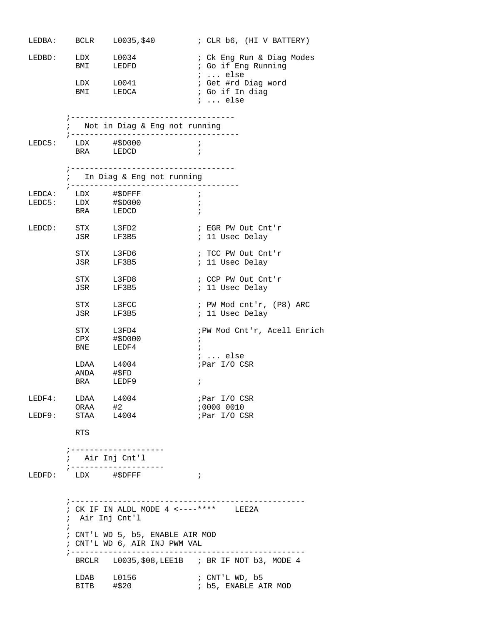|        |                                                                                 | LEDBA: BCLR $L0035, $40$                                             | ; CLR b6, (HI V BATTERY)                        |  |  |  |
|--------|---------------------------------------------------------------------------------|----------------------------------------------------------------------|-------------------------------------------------|--|--|--|
|        |                                                                                 | LEDBD: LDX L0034                                                     | ; Ck Eng Run & Diag Modes                       |  |  |  |
|        |                                                                                 | BMI LEDFD                                                            | ; Go if Eng Running<br>$i \ldots$ else          |  |  |  |
|        |                                                                                 | $LDX$ $L0041$                                                        | ; Get #rd Diag word                             |  |  |  |
|        |                                                                                 | BMI LEDCA                                                            | ; Go if In diag<br><i>i</i> else                |  |  |  |
|        |                                                                                 | -----------------------------------                                  |                                                 |  |  |  |
|        |                                                                                 | ; Not in Diag & Eng not running                                      |                                                 |  |  |  |
|        |                                                                                 | LEDC5: LDX #\$D000                                                   | $\cdot$ ;                                       |  |  |  |
|        |                                                                                 | BRA LEDCD                                                            | $\cdot$ ;                                       |  |  |  |
|        |                                                                                 | ;------------------------------------<br>; In Diag & Eng not running |                                                 |  |  |  |
|        |                                                                                 | ; ------------------------                                           | $\cdot$ ;                                       |  |  |  |
|        |                                                                                 | LEDCA: LDX #\$DFFF<br>LEDC5: LDX #\$D000<br>BRA LEDCD                | $\ddot{i}$<br>$\cdot$                           |  |  |  |
|        |                                                                                 |                                                                      |                                                 |  |  |  |
|        | LEDCD: STX L3FD2<br>JSR LF3B5                                                   |                                                                      | ; EGR PW Out Cnt'r<br>; 11 Usec Delay           |  |  |  |
|        | STX L3FD6                                                                       |                                                                      | ; TCC PW Out Cnt'r                              |  |  |  |
|        | JSR LF3B5                                                                       |                                                                      | ; 11 Usec Delay                                 |  |  |  |
|        | STX L3FD8                                                                       |                                                                      | ; CCP PW Out Cnt'r<br>; 11 Usec Delay           |  |  |  |
|        | JSR LF3B5                                                                       |                                                                      |                                                 |  |  |  |
|        | STX L3FCC<br>JSR LF3B5                                                          |                                                                      | ; PW Mod cnt'r, (P8) ARC<br>; 11 Usec Delay     |  |  |  |
|        | STX L3FD4                                                                       |                                                                      | ; PW Mod Cnt'r, Acell Enrich                    |  |  |  |
|        | BNE LEDF4                                                                       | CPX #\$D000                                                          | $\ddot{i}$<br>$\ddot{i}$                        |  |  |  |
|        |                                                                                 |                                                                      | $i \ldots$ else<br>;Par I/O CSR                 |  |  |  |
|        | LDAA L4004<br>ANDA #\$FD<br>BRA LEDF9                                           |                                                                      |                                                 |  |  |  |
|        |                                                                                 |                                                                      | $\ddot{i}$                                      |  |  |  |
| LEDF4: | LDAA L4004                                                                      |                                                                      | ;Par I/O CSR                                    |  |  |  |
| LEDF9: | ORAA #2<br>STAA L4004                                                           |                                                                      | ;0000 0010<br>;Par I/O CSR                      |  |  |  |
|        |                                                                                 |                                                                      |                                                 |  |  |  |
|        | RTS                                                                             |                                                                      |                                                 |  |  |  |
|        | ; Air Inj Cnt'l                                                                 | ; --------------------                                               |                                                 |  |  |  |
|        | ; ----------                                                                    |                                                                      |                                                 |  |  |  |
| LEDFD: | LDX #\$DFFF                                                                     |                                                                      | $\cdot$                                         |  |  |  |
|        |                                                                                 | ; ------------------------------------                               |                                                 |  |  |  |
|        | ; CK IF IN ALDL MODE 4 <----**** LEE2A<br>; Air Inj Cnt'l                       |                                                                      |                                                 |  |  |  |
|        | $\ddot{i}$<br>; CNT'L WD 5, b5, ENABLE AIR MOD<br>; CNT'L WD 6, AIR INJ PWM VAL |                                                                      |                                                 |  |  |  |
|        | ; ----------------                                                              |                                                                      | BRCLR L0035, \$08, LEE1B : BR IF NOT b3, MODE 4 |  |  |  |
|        | $LDAB$ $L0156$<br>BITB                                                          | #\$20                                                                | ; CNT'L WD, b5<br>; b5, ENABLE AIR MOD          |  |  |  |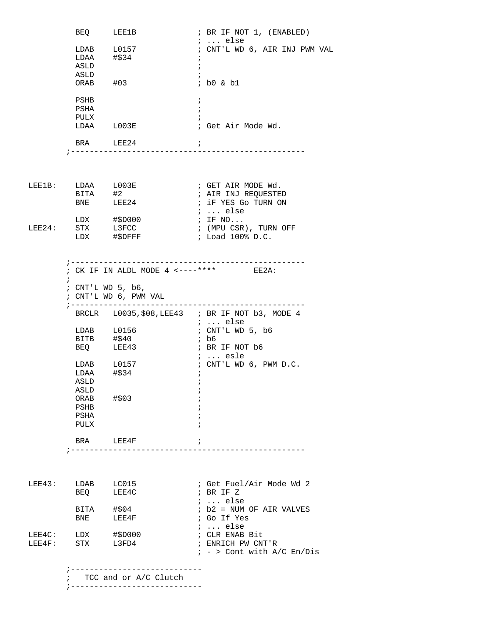|        | BEQ LEE1B               |                                        | $:$ BR IF NOT 1, $(ENABLED)$                     |
|--------|-------------------------|----------------------------------------|--------------------------------------------------|
|        |                         | LDAB L0157                             | $i \ldots$ else<br>; CNT'L WD 6, AIR INJ PWM VAL |
|        | $LDAA$ #\$34            |                                        | $\ddot{ }$                                       |
|        | ASLD                    |                                        | $\ddot{i}$                                       |
|        | ASLD                    |                                        |                                                  |
|        | ORAB #03                |                                        | ; b0 & b1                                        |
|        |                         |                                        |                                                  |
|        | PSHB                    |                                        | $\ddot{ }$                                       |
|        | PSHA                    |                                        | $\ddot{i}$                                       |
|        | PULX                    |                                        |                                                  |
|        | LDAA L003E              |                                        | ; Get Air Mode Wd.                               |
|        |                         |                                        |                                                  |
|        | BRA LEE24               | ;---------------------------           | $\mathbf{i}$                                     |
|        |                         |                                        |                                                  |
|        |                         |                                        |                                                  |
|        |                         |                                        |                                                  |
|        | LEE1B: LDAA L003E       |                                        | ; GET AIR MODE Wd.                               |
|        | BITA #2                 |                                        | ; AIR INJ REQUESTED                              |
|        | BNE LEE24               |                                        | ; iF YES Go TURN ON                              |
|        |                         |                                        | $i \ldots$ else                                  |
|        |                         | LDX #\$D000                            | $;$ IF $NO$                                      |
| LEE24: | STX L3FCC               |                                        | ; (MPU CSR), TURN OFF                            |
|        |                         | LDX #\$DFFF                            | ; Load 100% D.C.                                 |
|        |                         |                                        |                                                  |
|        |                         |                                        |                                                  |
|        |                         | ; CK IF IN ALDL MODE 4 <----**** EE2A: |                                                  |
|        | $\ddot{i}$              |                                        |                                                  |
|        | ; CNT'L WD 5, b6,       |                                        |                                                  |
|        |                         | ; CNT'L WD 6, PWM VAL                  |                                                  |
|        | ; -----------------     |                                        | . _ _ _ _ _ _ _ _ _ _ _ _ _ _ _                  |
|        |                         |                                        | BRCLR L0035, \$08, LEE43 ; BR IF NOT b3, MODE 4  |
|        |                         |                                        | ;  else                                          |
|        | $LDAB$ $L0156$          |                                        | ; CNT'L WD 5, b6                                 |
|        | BITB #\$40<br>BEQ LEE43 |                                        | ; b6                                             |
|        |                         |                                        | ; BR IF NOT b6                                   |
|        |                         |                                        | $i \ldots$ esle                                  |
|        | LDAB L0157              |                                        | ; CNT'L WD 6, PWM D.C.                           |
|        | LDAA                    | #\$34                                  |                                                  |
|        | ASLD                    |                                        | $\ddot{i}$                                       |
|        |                         |                                        | $\ddot{ }$                                       |
|        | ASLD                    |                                        |                                                  |
|        | ORAB $\#$ \$03          |                                        |                                                  |
|        | PSHB                    |                                        |                                                  |
|        | PSHA<br>PULX            |                                        |                                                  |
|        |                         |                                        |                                                  |
|        | BRA LEE4F               |                                        | $\ddot{ }$                                       |
|        |                         |                                        |                                                  |
|        |                         |                                        |                                                  |
|        |                         |                                        |                                                  |
|        |                         |                                        |                                                  |
| LEE43: | LDAB LC015              |                                        | ; Get Fuel/Air Mode Wd 2                         |
|        | BEQ                     | LEE4C                                  | ; BR IF Z                                        |
|        |                         |                                        | $i \ldots$ else                                  |
|        |                         |                                        | ; b2 = NUM OF AIR VALVES<br>; Go If Yes          |
|        | BITA #\$04<br>BNE LEE4F |                                        | $i$ else                                         |
|        | LEE4C: LDX #\$D000      |                                        | ; CLR ENAB Bit                                   |
|        | LEE4F: STX L3FD4        |                                        | ; ENRICH PW CNT'R                                |
|        |                         |                                        | $: -$ > Cont with A/C En/Dis                     |
|        |                         |                                        |                                                  |
|        |                         |                                        |                                                  |
|        |                         | ; TCC and or A/C Clutch                |                                                  |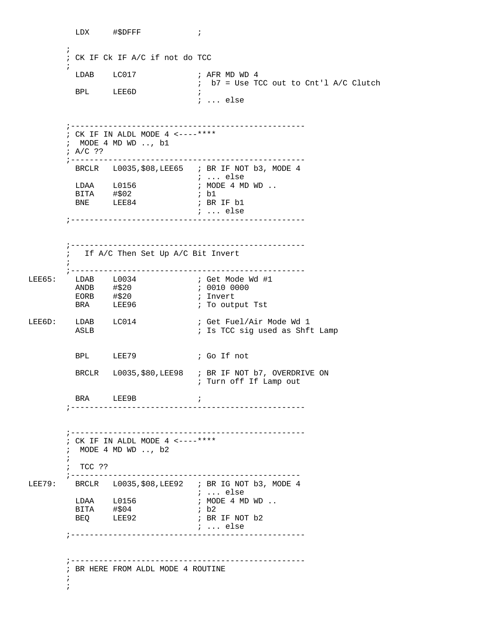LDX #\$DFFF ;  $\mathcal{L}^{\text{max}}$  ; CK IF Ck IF A/C if not do TCC  $\mathcal{L}^{\text{max}}$  $\begin{tabular}{lllllllll} \texttt{\texttt{LDAB}} & $\color{red}$ & $\color{red}$ & $\color{blue}$ & $\color{blue}$ & $\color{blue}$ & $\color{blue}$ & $\color{blue}$ & $\color{blue}$ & $\color{blue}$ & $\color{blue}$ & $\color{blue}$ & $\color{blue}$ & $\color{blue}$ & $\color{blue}$ & $\color{blue}$ & $\color{blue}$ & $\color{blue}$ & $\color{blue}$ & $\color{blue}$ & $\color{blue}$ & $\color{blue}$ & $\color{blue}$ & $\color{blue}$ & $\color{blue}$ & $\color{blue}$ & $\color{blue}$ & $\color{blue}$ & $\color{blue}$ & $\color{blue}$ & $\color{blue}$ & $\color{blue}$ & $\color{blue}$ & $\color{blue$  ; b7 = Use TCC out to Cnt'l A/C Clutch BPL LEE6D ; ; ... else ;-------------------------------------------------- ; CK IF IN ALDL MODE 4 <----\*\*\*\* ; MODE 4 MD WD .., b1 ; A/C ?? ;-------------------------------------------------- BRCLR L0035, \$08, LEE65 ; BR IF NOT b3, MODE 4 ; ... else ; MODE 4 MD WD ..<br>; b1 LDAA L0156<br>BITA #\$02<br>BNE LEE84 ; BR IF b1 ; ... else ;-------------------------------------------------- ;-------------------------------------------------- If A/C Then Set Up A/C Bit Invert  $\mathcal{L}^{\text{max}}$  ;-------------------------------------------------- ; Get Mode Wd #1<br>; 0010 0000 ANDB #\$20 ; 0010 0000 EORB #\$20 ; Invert BRA LEE96 **;** To output Tst LEE6D: LDAB LC014 : Get Fuel/Air Mode Wd 1 ASLB ; Is TCC sig used as Shft Lamp BPL LEE79 ; Go If not BRCLR L0035, \$80, LEE 98 ; BR IF NOT b7, OVERDRIVE ON ; Turn off If Lamp out BRA LEE9B ; ;-------------------------------------------------- ;-------------------------------------------------- ; CK IF IN ALDL MODE 4  $\leftarrow--****$  ; MODE 4 MD WD .., b2  $\mathcal{L}^{\text{max}}$  ; TCC ?? ;------------------------------------------------- LEE79: BRCLR L0035, \$08, LEE92 ; BR IG NOT b3, MODE 4 ; ... else  $\vdots$  MODE 4 MD WD  $\ldots$ BITA #\$04 ; b2<br>BEQ LEE92 ; BR LEE92 **; BR IF NOT b2**  ; ... else ;-------------------------------------------------- ;-------------------------------------------------- ; BR HERE FROM ALDL MODE 4 ROUTINE  $\mathcal{L}^{\text{max}}$ ;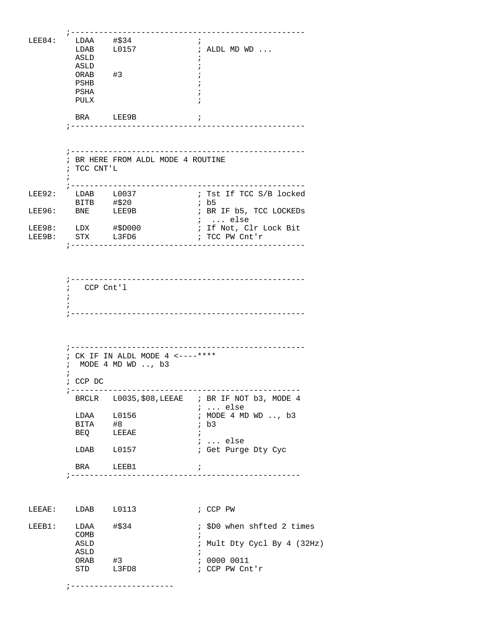| LEE84: | LDAA #\$34         | $\overline{\phantom{a}}$           |            |                                                 |
|--------|--------------------|------------------------------------|------------|-------------------------------------------------|
|        |                    |                                    |            |                                                 |
|        |                    | LDAB L0157                         |            | $\vdots$ ALDL MD WD $\ldots$                    |
|        | ASLD               |                                    |            |                                                 |
|        | ASLD               |                                    |            |                                                 |
|        | ORAB #3            |                                    |            |                                                 |
|        | PSHB               |                                    |            |                                                 |
|        | PSHA               |                                    |            |                                                 |
|        |                    |                                    |            |                                                 |
|        | PULX               |                                    |            |                                                 |
|        |                    |                                    |            |                                                 |
|        | BRA LEE9B          | $\overline{\phantom{a}}$           |            |                                                 |
|        |                    |                                    |            |                                                 |
|        |                    |                                    |            |                                                 |
|        |                    |                                    |            |                                                 |
|        |                    |                                    |            |                                                 |
|        |                    |                                    |            |                                                 |
|        |                    | ; BR HERE FROM ALDL MODE 4 ROUTINE |            |                                                 |
|        | ; TCC CNT'L        |                                    |            |                                                 |
|        |                    |                                    |            |                                                 |
|        |                    |                                    |            |                                                 |
|        |                    |                                    |            |                                                 |
| LEE92: | LDAB L0037         |                                    |            | ; Tst If TCC S/B locked                         |
|        | BITB #\$20         |                                    |            | ; b5                                            |
|        | LEE96: BNE LEE9B   |                                    |            | ; BR IF b5, TCC LOCKEDs                         |
|        |                    |                                    |            | $\cdot$ $\cdot$ else                            |
|        |                    |                                    |            |                                                 |
|        | LEE98: LDX #\$D000 |                                    |            | ; If Not, Clr Lock Bit                          |
| LEE9B: | STX L3FD6          |                                    |            | ; TCC PW Cnt'r                                  |
|        |                    |                                    |            |                                                 |
|        |                    |                                    |            |                                                 |
|        |                    |                                    |            |                                                 |
|        |                    |                                    |            |                                                 |
|        |                    |                                    |            |                                                 |
|        |                    |                                    |            |                                                 |
|        | ; CCP Cnt'l        |                                    |            |                                                 |
|        | i.                 |                                    |            |                                                 |
|        |                    |                                    |            |                                                 |
|        |                    |                                    |            |                                                 |
|        |                    |                                    |            |                                                 |
|        |                    |                                    |            |                                                 |
|        |                    |                                    |            |                                                 |
|        |                    |                                    |            |                                                 |
|        |                    |                                    |            |                                                 |
|        |                    |                                    |            |                                                 |
|        |                    |                                    |            |                                                 |
|        |                    |                                    |            |                                                 |
|        |                    | ; CK IF IN ALDL MODE 4 <----****   |            |                                                 |
|        |                    | MODE $4$ MD WD , $b3$              |            |                                                 |
|        | i                  |                                    |            |                                                 |
|        | $;$ CCP DC         |                                    |            |                                                 |
|        | ; ----------       | _________________________________  |            |                                                 |
|        |                    |                                    |            |                                                 |
|        |                    |                                    |            | BRCLR L0035, \$08, LEEAE ; BR IF NOT b3, MODE 4 |
|        |                    |                                    |            | ;  else                                         |
|        | LDAA L0156         |                                    |            | ; MODE 4 MD WD , b3                             |
|        |                    |                                    |            | ; b3                                            |
|        | BITA #8            |                                    |            |                                                 |
|        | BEQ LEEAE          |                                    | $\ddot{i}$ |                                                 |
|        |                    |                                    |            | $i \ldots$ else                                 |
|        |                    | LDAB L0157                         |            |                                                 |
|        |                    |                                    |            | ; Get Purge Dty Cyc                             |
|        |                    |                                    |            |                                                 |
|        |                    | BRA LEEB1                          | $\ddot{i}$ |                                                 |
|        |                    | ;---------------------------       |            | ____________________                            |
|        |                    |                                    |            |                                                 |
|        |                    |                                    |            |                                                 |
|        |                    |                                    |            |                                                 |
|        |                    |                                    |            |                                                 |
| LEEAE: | LDAB L0113         |                                    |            | ; CCP PW                                        |
|        |                    |                                    |            |                                                 |
|        |                    |                                    |            |                                                 |
| LEEB1: | LDAA               | #\$34                              |            | ; \$D0 when shfted 2 times                      |
|        | COMB               |                                    | $\ddot{i}$ |                                                 |
|        | ASLD               |                                    |            | ; Mult Dty Cycl By 4 (32Hz)                     |
|        |                    |                                    |            |                                                 |
|        | ASLD               |                                    |            |                                                 |
|        | ORAB #3            |                                    |            | : 0000 0011                                     |
|        | STD L3FD8          |                                    |            | ; CCP PW Cnt'r                                  |

;----------------------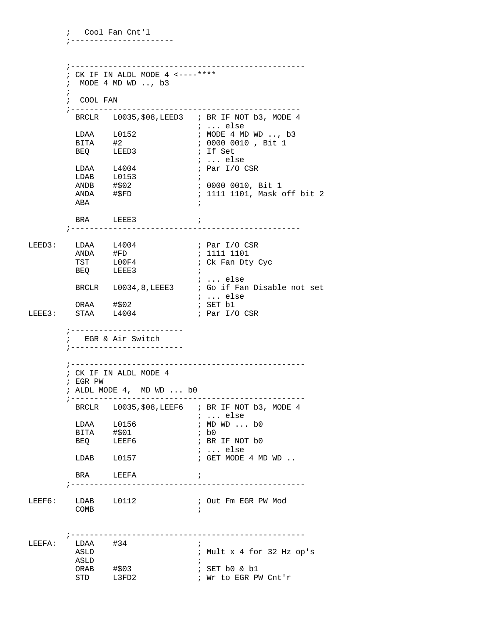; CK IF IN ALDL MODE 4  $\leftarrow$ ----\*\*\*\* ; MODE 4 MD WD .., b3  $:$  COOL FAN BRCLR L0035, \$08, LEED3 ; BR IF NOT b3, MODE 4 ; ... else  $LDAA$   $L0152$ ; MODE 4 MD WD .., b3  $BITA$  #2 ; 0000 0010, Bit 1 ; If Set **BEQ** LEED3 ; ... else  $LDAA$   $L4004$ ; Par I/O CSR  $LDAB$   $L0153$  $\overline{\phantom{a}}$ ; 0000 0010, Bit 1  $ANDB$   $\#502$ ANDA #\$FD ; 1111 1101, Mask off bit 2 ABA  $\mathcal{L}$ BRA LEEE3 LDAA L4004<br>ANDA #FD<br>TST L00F4<br>BEQ LEEE3 ; Par I/O CSR<br>; 1111 1101<br>; Ck Fan Dty Cyc LEED3: LDAA  $\ldots$  else BRCLR L0034,8, LEEE3 ; Go if Fan Disable not set ; ... else ; SET b1 ORAA #\$02  $LEEE3:$ STAA L4004 ; Par I/O CSR ; ------------------------; EGR & Air Switch : \_\_\_\_\_\_\_\_\_\_\_\_\_\_\_\_\_\_\_\_\_\_\_\_\_\_ ; CK IF IN ALDL MODE 4 ; EGR PW ; ALDL MODE 4, MD WD ... b0 BRCLR L0035, \$08, LEEF6 ; BR IF NOT b3, MODE 4  $i$  ... else LDAA L0156 ; MD WD ... b0 BITA #\$01  $;$  b<sub>0</sub> LEEF6 BEQ ; BR IF NOT b0  $i \ldots$  else LDAB L0157 ; GET MODE 4 MD WD .. **BRA**  $\mathcal{L}$ LEEFA LEEF6: LDAB L0112 ; Out Fm EGR PW Mod COMB  $\cdot$   $\cdot$ LEEFA:  $LDAA$   $#34$  $\ddot{i}$ ; Mult x 4 for 32 Hz op's ASLD ASLD  $\overline{\phantom{a}}$ : ORAB #\$03<br>STD L3FD2 ; SET b0 & b1 ; Wr to EGR PW Cnt'r

; Cool Fan Cnt'l ; \_\_\_\_\_\_\_\_\_\_\_\_\_\_\_\_\_\_\_\_\_\_\_\_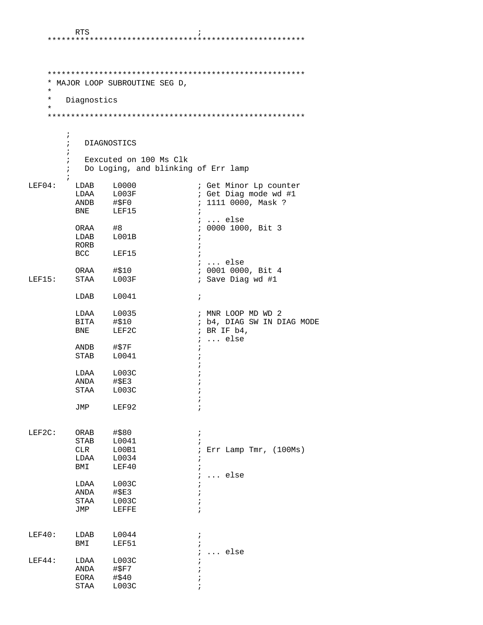## 

| $^\star$<br>$\ast$ | Diagnostics                | * MAJOR LOOP SUBROUTINE SEG D, |                                     |
|--------------------|----------------------------|--------------------------------|-------------------------------------|
| $\star$            |                            |                                |                                     |
|                    |                            |                                |                                     |
|                    | $\ddot{i}$                 |                                |                                     |
|                    | ; DIAGNOSTICS              |                                |                                     |
|                    | i.                         | ; Eexcuted on 100 Ms Clk       |                                     |
|                    | $\mathbf{i}$<br>$\ddot{i}$ |                                | Do Loging, and blinking of Err lamp |
| LEF04:             | LDAB                       | L0000                          | ; Get Minor Lp counter              |
|                    |                            | LDAA L003F                     | ; Get Diag mode wd #1               |
|                    |                            | $ANDB$ # $$F0$                 | ; 1111 0000, Mask ?                 |
|                    | <b>BNE</b>                 | LEF15                          | $\ddot{i}$                          |
|                    |                            |                                | $\ldots$ else                       |
|                    | ORAA                       | #8                             | ; 0000 1000, Bit 3                  |
|                    |                            | LDAB L001B                     | ÷                                   |
|                    | RORB                       |                                | $\ddot{i}$                          |
|                    |                            | BCC LEF15                      | $\ddot{i}$                          |
|                    |                            |                                | $i \ldots$ else                     |
|                    | ORAA                       | #\$10                          | ; 0001 0000, Bit 4                  |
| LEF15:             | STAA                       | L003F                          | ; Save Diag wd #1                   |
|                    | LDAB                       | L0041                          | $\ddot{ }$                          |
|                    | LDAA                       | L0035                          | ; MNR LOOP MD WD 2                  |
|                    | <b>BITA</b>                | #\$10                          | ; b4, DIAG SW IN DIAG MODE          |
|                    | <b>BNE</b>                 | LEF2C                          | ; BR IF $b4$ ,<br>$i \ldots$ else   |
|                    | ANDB                       | #\$7F                          | $\ddot{ }$                          |
|                    | STAB                       | L0041                          |                                     |
|                    | LDAA                       | L003C                          | i                                   |
|                    |                            | ANDA #\$E3                     | ï                                   |
|                    | STAA                       | L003C                          |                                     |
|                    | JMP                        | LEF92                          |                                     |
| LEF2C:             | ORAB                       | #\$80                          | $\ddot{ }$                          |
|                    | STAB                       | L0041                          | $\ddot{i}$                          |
|                    | CLR                        | L00B1                          | Err Lamp Tmr, (100Ms)<br>i          |
|                    | LDAA                       | L0034                          | i                                   |
|                    | BMI                        | LEF40                          | $\ddot{i}$                          |
|                    |                            |                                | else                                |
|                    | LDAA                       | L003C                          |                                     |
|                    | ANDA                       | #\$E3                          |                                     |
|                    | STAA                       | L003C                          |                                     |
|                    | JMP                        | LEFFE                          |                                     |
|                    |                            |                                |                                     |
| LEF40:             | LDAB                       | L0044                          | ÷                                   |
|                    | BMI                        | LEF51                          | $\ddot{i}$                          |
|                    |                            |                                | else                                |
| LEF44:             | LDAA                       | L003C                          |                                     |
|                    | ANDA                       | #\$F7                          |                                     |
|                    | EORA                       | #\$40                          |                                     |
|                    | STAA                       | L003C                          | ï                                   |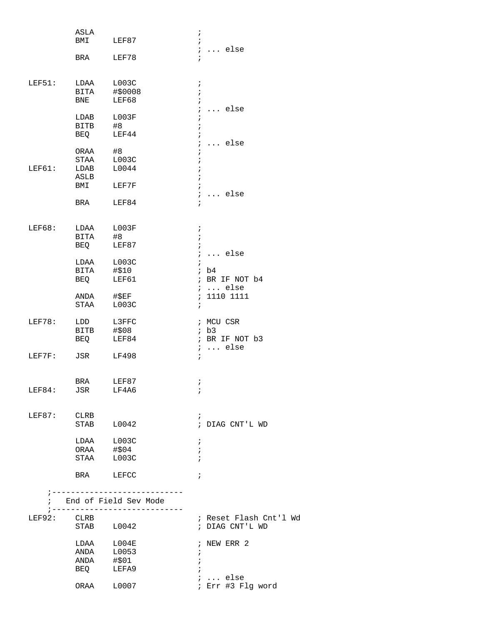|               | ASLA<br>BMI                         | LEF87                                                                                  | $\ddot{ }$<br>$\ddot{i}$                                                                 |
|---------------|-------------------------------------|----------------------------------------------------------------------------------------|------------------------------------------------------------------------------------------|
|               | BRA                                 | LEF78                                                                                  | $i \ldots$ else<br>$\ddot{i}$                                                            |
| LEF51:        | LDAA<br>BITA<br>BNE                 | LOO3C<br>#\$0008<br>LEF68                                                              | $\ddot{ }$<br>$\ddot{ }$<br>$\ddot{i}$                                                   |
|               | LDAB<br><b>BITB</b><br>BEQ          | L003F<br>#8<br>LEF44                                                                   | $\ddot{i}$<br>else<br>$\ddot{i}$<br>$\ddot{ }$<br>$\ddot{ }$                             |
| LEF61:        | ORAA<br>STAA<br>LDAB<br>ASLB<br>BMI | #8<br>L003C<br>L0044<br>LEF7F                                                          | $\ddot{i}$<br>else<br>$\ddot{i}$<br>$\ddot{i}$<br>$\ddot{ }$<br>$\ddot{ }$<br>$\ddot{i}$ |
|               | BRA                                 | LEF84                                                                                  | else<br>$\ddot{i}$<br>$\ddot{ }$                                                         |
| <b>LEF68:</b> | LDAA                                | L003F                                                                                  | $\ddot{r}$                                                                               |
|               | BITA<br>BEQ                         | #8<br>LEF87                                                                            | $\ddot{ }$<br>$\ddot{ }$<br>$i \ldots$ else                                              |
|               | LDAA<br>BITA<br>BEQ                 | L003C<br>#\$10<br>LEF61                                                                | $\ddot{i}$<br>ib4<br>; BR IF NOT b4                                                      |
|               | ANDA<br>STAA                        | $#$ \$EF<br>L003C                                                                      | $i \ldots$ else<br>1110 1111<br>$\ddot{i}$<br>$\ddot{i}$                                 |
| <b>LEF78:</b> | LDD<br><b>BITB</b><br>BEQ           | L3FFC<br># \$08<br>LEF84                                                               | ; MCU CSR<br>ib3<br>; BR IF NOT b3                                                       |
| LEF7F:        | JSR                                 | LF498                                                                                  | $i \ldots$ else<br>$\ddot{ }$                                                            |
| LEF84:        | <b>BRA</b><br>JSR                   | LEF87<br>LF4A6                                                                         | Ť<br>$\ddot{i}$                                                                          |
| LEF87:        | CLRB<br>STAB                        | L0042                                                                                  | $\ddot{ }$<br>; DIAG CNT'L WD                                                            |
|               | LDAA L003C                          |                                                                                        | $\ddot{ }$                                                                               |
|               | ORAA #\$04<br>STAA                  | L003C                                                                                  | $\ddot{i}$<br>$\ddot{i}$                                                                 |
|               | <b>BRA</b>                          | LEFCC                                                                                  | $\ddot{i}$                                                                               |
|               |                                     | ; _______________________________<br>End of Field Sev Mode<br>; ---------------------- |                                                                                          |
| LEF92:        | CLRB                                |                                                                                        | ; Reset Flash Cnt'l Wd                                                                   |
|               | STAB                                | L0042                                                                                  | ; DIAG CNT'L WD                                                                          |
|               | LDAA L004E<br>ANDA                  | L0053                                                                                  | ; NEW ERR 2<br>$\ddot{i}$                                                                |
|               | ANDA                                | #\$01<br>LEFA9                                                                         | ÷                                                                                        |
|               | BEQ                                 |                                                                                        | $\ldots$ else                                                                            |
|               | ORAA                                | L0007                                                                                  | ; Err #3 Flg word                                                                        |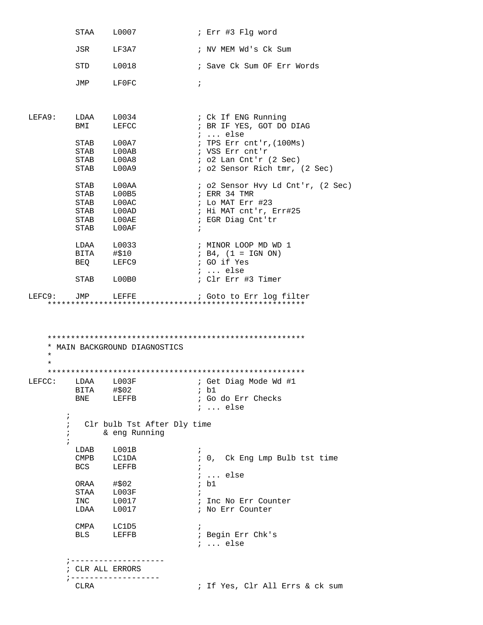|          |                          | STAA L0007                               | ; Err #3 Flg word                                         |
|----------|--------------------------|------------------------------------------|-----------------------------------------------------------|
|          |                          | JSR LF3A7                                | ; NV MEM Wd's Ck Sum                                      |
|          |                          | STD L0018                                | ; Save Ck Sum OF Err Words                                |
|          |                          | JMP LF0FC                                | $\ddot{i}$                                                |
| LEFA9:   |                          | $LDAA$ $L0034$                           | ; Ck If ENG Running                                       |
|          | BMI                      | LEFCC                                    | ; BR IF YES, GOT DO DIAG<br>$i \ldots$ else               |
|          |                          | STAB L00A7                               | ; TPS Err cnt'r, $(100Ms)$                                |
|          |                          | STAB L00AB<br>STAB L00A8                 | ; VSS Err cnt'r                                           |
|          |                          | STAB L00A9                               | $i$ o2 Lan Cnt'r (2 Sec)<br>; o2 Sensor Rich tmr, (2 Sec) |
|          |                          | STAB LOOAA                               | ; o2 Sensor Hvy Ld Cnt'r, (2 Sec)                         |
|          | STAB                     | L00B5                                    | ; ERR 34 TMR                                              |
|          | <b>STAB</b>              | LOOAC                                    | ; Lo MAT Err #23                                          |
|          |                          | STAB L00AD                               | ; Hi MAT cnt'r, Err#25                                    |
|          |                          | STAB LOOAE<br>STAB LOOAF                 | ; EGR Diag Cnt'tr<br>$\ddot{i}$                           |
|          |                          | LDAA L0033                               | ; MINOR LOOP MD WD 1                                      |
|          |                          | BITA #\$10                               | ; $B4$ , $(1 = IGN ON)$                                   |
|          |                          | BEQ LEFC9                                | ; GO if Yes                                               |
|          |                          | STAB L00B0                               | $i \ldots$ else<br>; Clr Err #3 Timer                     |
|          |                          | LEFC9: JMP LEFFE                         | ; Goto to Err log filter                                  |
| $^\star$ |                          | * MAIN BACKGROUND DIAGNOSTICS            |                                                           |
| $\star$  |                          |                                          |                                                           |
|          |                          |                                          | LEFCC: LDAA L003F     ; Get Diag Mode Wd #1               |
|          |                          | BITA #\$02                               | ; b1                                                      |
|          |                          | BNE LEFFB                                | ; Go do Err Checks<br>$i \ldots$ else                     |
|          | $\ddot{i}$               | Clr bulb Tst After Dly time              |                                                           |
|          | $\ddot{i}$<br>;          | & eng Running                            |                                                           |
|          | $\ddot{i}$               |                                          |                                                           |
|          |                          | LDAB L001B                               | $\ddot{i}$                                                |
|          | $\mathop{\mathrm{CMPB}}$ | <b>LC1DA</b>                             | ; 0, Ck Eng Lmp Bulb tst time                             |
|          |                          | BCS LEFFB                                | $i$ else                                                  |
|          |                          | ORAA #\$02<br>STAA L003F<br>INC L0017    | ; b1                                                      |
|          |                          |                                          |                                                           |
|          |                          |                                          | ; Inc No Err Counter                                      |
|          |                          | $LDAA \qquad L0017$                      | ; No Err Counter                                          |
|          |                          | CMPA LC1D5                               | $\ddot{i}$                                                |
|          |                          | BLS LEFFB                                | ; Begin Err Chk's<br>$i \ldots$ else                      |
|          |                          |                                          |                                                           |
|          |                          | ; --------------------                   |                                                           |
|          | CLRA                     | ; CLR ALL ERRORS<br>; ------------------ | ; If Yes, Clr All Errs & ck sum                           |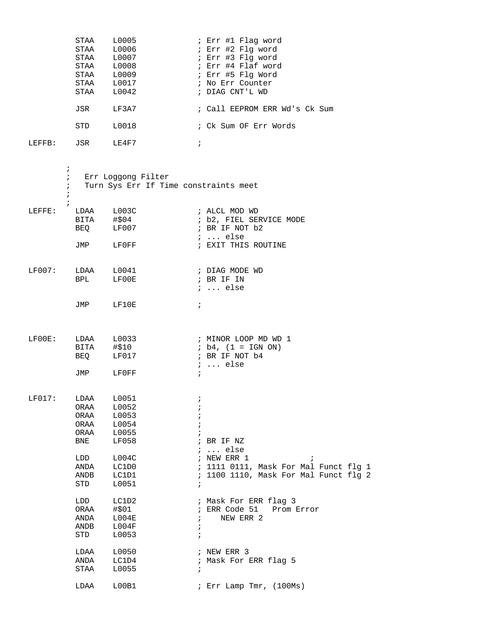|        | STAA | L0005         | ; Err #1 Flag word            |
|--------|------|---------------|-------------------------------|
|        | STAA | L0006         | ; Err #2 Flq word             |
|        | STAA | L0007         | ; Err #3 Flq word             |
|        | STAA | L0008         | ; Err #4 Flaf word            |
|        | STAA | L0009         | ; Err #5 Flq Word             |
|        | STAA | L0017         | ; No Err Counter              |
|        | STAA | L0042         | ; DIAG CNT'L WD               |
|        |      |               |                               |
|        | JSR  | LF3A7         | ; Call EEPROM ERR Wd's Ck Sum |
|        |      |               |                               |
|        | STD  | <b>T.0018</b> | ; Ck Sum OF Err Words         |
|        |      |               |                               |
| LEFFR: | JSR  | T.F.4F7       |                               |
|        |      |               |                               |

|        | $\ddot{i}$<br>i.<br>$\ddot{i}$<br>$\ddot{i}$<br>$\ddot{i}$ | Err Loggong Filter<br>Turn Sys Err If Time constraints meet                                                          |                                                                    |                                                                                                                                   |
|--------|------------------------------------------------------------|----------------------------------------------------------------------------------------------------------------------|--------------------------------------------------------------------|-----------------------------------------------------------------------------------------------------------------------------------|
| LEFFE: |                                                            | LDAA L003C<br>BITA #\$04<br>BEQ LF007                                                                                |                                                                    | ; ALCL MOD WD<br>; b2, FIEL SERVICE MODE<br>; BR IF NOT b2<br>;  else                                                             |
|        |                                                            | JMP LFOFF                                                                                                            |                                                                    | ; EXIT THIS ROUTINE                                                                                                               |
| LF007: | LDAA L0041                                                 | BPL LFOOE                                                                                                            |                                                                    | ; DIAG MODE WD<br>; BR IF IN<br>$i \ldots$ else                                                                                   |
|        |                                                            | JMP LF10E                                                                                                            | $\ddot{i}$                                                         |                                                                                                                                   |
| LF00E: |                                                            | LDAA L0033<br>BITA #\$10<br>BEQ LF017                                                                                |                                                                    | ; MINOR LOOP MD WD 1<br>$; b4, (1 = IGN ON)$<br>; BR IF NOT b4<br>$i \ldots$ else                                                 |
|        |                                                            | JMP LFOFF                                                                                                            | $\ddot{i}$                                                         |                                                                                                                                   |
| LF017: | <b>BNE</b><br>LDD<br>ANDA<br>STD                           | LDAA L0051<br>ORAA L0052<br>ORAA L0053<br>ORAA L0054<br>ORAA L0055<br>LF058<br>1004C<br>LC1D0<br>ANDB LC1D1<br>L0051 | $\ddot{ }$<br>$\ddot{i}$<br>$\ddot{i}$<br>$\ddot{i}$<br>$\ddot{i}$ | ; BR IF NZ<br>;  else<br>; NEW ERR 1<br>$\cdot$<br>; 1111 0111, Mask For Mal Funct flg 1<br>; 1100 1110, Mask For Mal Funct flg 2 |
|        | ORAA<br>ANDB<br>STD                                        | LDD LC1D2<br>#\$01<br>ANDA L004E<br>L004F<br>L0053                                                                   | ÷<br>$\ddot{ }$                                                    | ; Mask For ERR flag 3<br>; ERR Code 51 Prom Error<br>$\mathfrak{z}$ NEW ERR 2                                                     |
|        | LDAA<br>ANDA<br>STAA                                       | L0050<br>LC1D4<br>L0055                                                                                              | $\ddot{i}$                                                         | ; NEW ERR 3<br>; Mask For ERR flag 5                                                                                              |
|        | LDAA                                                       | L00B1                                                                                                                |                                                                    | ; Err Lamp Tmr, (100Ms)                                                                                                           |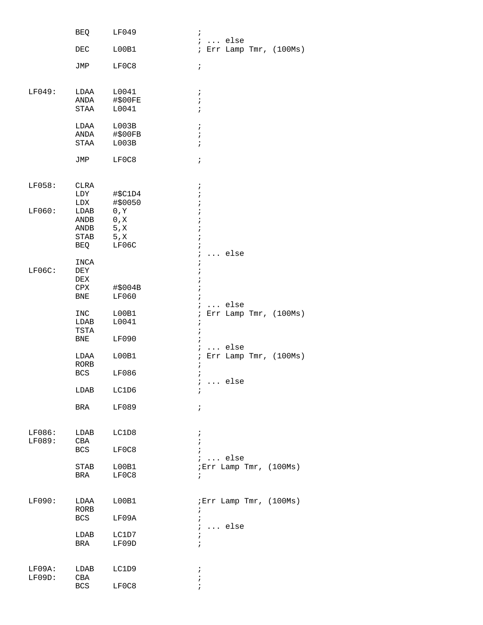|           | BEQ          | LF049   | $\ddot{i}$                          |
|-----------|--------------|---------|-------------------------------------|
|           |              |         | $i \ldots$ else                     |
|           | DEC          | L00B1   | ; Err Lamp Tmr, (100Ms)             |
|           | JMP          | LF0C8   | $\ddot{ }$                          |
| LF049:    | LDAA         | L0041   | $\ddot{i}$                          |
|           | ANDA #\$00FE |         | $\ddot{ }$                          |
|           | STAA         | L0041   | $\ddot{i}$                          |
|           | LDAA         | L003B   | $\ddot{i}$                          |
|           | ANDA #\$00FB |         | $\ddot{ }$                          |
|           | STAA         | L003B   | $\ddot{i}$                          |
|           | JMP          | LF0C8   | $\ddot{i}$                          |
| LF058:    | CLRA         |         | $\ddot{ }$                          |
|           | LDY          | #\$C1D4 | $\ddot{ }$                          |
|           | LDX          | #\$0050 | $\ddot{i}$                          |
| LF060:    | LDAB         | 0, Y    | $\ddot{i}$                          |
|           | ANDB         | 0, X    | $\ddot{i}$                          |
|           | ANDB         | 5, x    | $\cdot$                             |
|           | STAB 5, X    |         | $\ddot{ }$                          |
|           | BEQ          | LF06C   | $\ddot{i}$                          |
|           |              |         | $\ldots$ else<br>$\ddot{i}$         |
| $LF06C$ : | INCA<br>DEY  |         | $\ddot{ }$                          |
|           | DEX          |         | $\cdot$<br>$\dot{.}$                |
|           | CPX          | #\$004B | $\mathbf{\dot{i}}$                  |
|           | <b>BNE</b>   | LF060   | $\ddot{i}$                          |
|           |              |         | $i \ldots$ else                     |
|           | <b>INC</b>   | L00B1   | Err Lamp Tmr, (100Ms)<br>$\ddot{i}$ |
|           | LDAB         | L0041   | $\ddot{ }$                          |
|           | TSTA         |         | $\ddot{i}$                          |
|           | BNE          | LF090   | $\ddot{i}$                          |
|           |              |         | $\ldots$ else<br>$\mathcal{L}$      |
|           | LDAA<br>RORB | L00B1   | Err Lamp Tmr, (100Ms)<br>$\ddot{i}$ |
|           | BCS          | LF086   | i<br>$\ddot{ }$                     |
|           |              |         | $\mathcal{L}$<br>else               |
|           | LDAB         | LC1D6   | $\ddot{i}$                          |
|           |              |         |                                     |
|           | BRA          | LF089   | $\ddot{ }$                          |
| LF086:    | LDAB         | LC1D8   | $\ddot{i}$                          |
| LF089:    | CBA          |         | $\ddot{ }$                          |
|           | BCS          | LF0C8   | $\ddot{i}$                          |
|           |              |         | $i \ldots$ else                     |
|           | STAB         | L00B1   | ; Err Lamp Tmr, (100Ms)             |
|           | BRA          | LF0C8   | $\ddot{ }$                          |
| LF090:    | LDAA         | L00B1   | ; Err Lamp Tmr, (100Ms)             |
|           | RORB         |         | $\ddot{i}$                          |
|           | BCS          | LF09A   | $\ddot{i}$                          |
|           |              |         | $\ldots$ else<br>$\ddot{i}$         |
|           | LDAB         | LC1D7   | ï                                   |
|           | BRA          | LF09D   | $\ddot{i}$                          |
|           |              |         |                                     |
| $LFO9A$ : | LDAB         | LC1D9   | $\ddot{ }$                          |
| LFO9D:    | CBA          |         | ï                                   |
|           | BCS          | LF0C8   | $\ddot{i}$                          |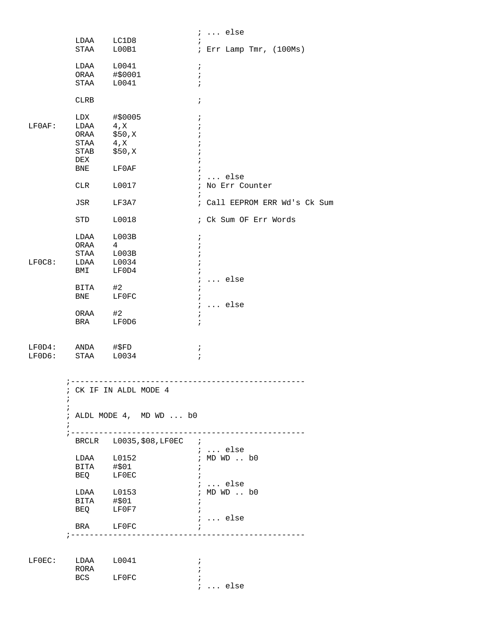|        |                          |                                               |                            | $i \ldots$ else               |
|--------|--------------------------|-----------------------------------------------|----------------------------|-------------------------------|
|        | LDAA                     | LC1D8                                         | $\ddot{i}$                 |                               |
|        | STAA                     | L00B1                                         |                            | ; Err Lamp Tmr, $(100Ms)$     |
|        |                          |                                               | $\ddot{i}$                 |                               |
|        | ORAA                     | $LDAA$ $L0041$<br>#\$0001                     | $\ddot{ }$                 |                               |
|        | STAA                     | L0041                                         | $\ddot{i}$                 |                               |
|        |                          |                                               |                            |                               |
|        | <b>CLRB</b>              |                                               | $\ddot{ }$                 |                               |
|        |                          |                                               |                            |                               |
|        | LDX                      | #\$0005                                       | $\ddot{ }$                 |                               |
| LF0AF: | LDAA 4, X                |                                               | $\ddot{i}$                 |                               |
|        | ORAA                     | \$50,X                                        |                            |                               |
|        | STAA                     | 4, x                                          | i                          |                               |
|        | STAB                     | \$50,X                                        | $\cdot$                    |                               |
|        | DEX                      |                                               | $\cdot$                    |                               |
|        | BNE                      | LF0AF                                         | $\ddot{i}$                 |                               |
|        |                          |                                               |                            | $i \ldots$ else               |
|        | CLR                      | L0017                                         |                            | ; No Err Counter              |
|        | JSR                      | LF3A7                                         | $\ddot{i}$                 | ; Call EEPROM ERR Wd's Ck Sum |
|        |                          |                                               |                            |                               |
|        | STD                      | L0018                                         |                            | ; Ck Sum OF Err Words         |
|        |                          |                                               |                            |                               |
|        |                          | $LDAA$ $L003B$                                | $\ddot{i}$                 |                               |
|        | ORAA                     | $\overline{4}$                                | $\ddot{ }$                 |                               |
|        |                          | STAA L003B                                    | $\ddot{i}$                 |                               |
| LF0C8: |                          | LDAA L0034                                    |                            |                               |
|        | BMI                      | LF0D4                                         | $\ddot{i}$                 |                               |
|        |                          |                                               | $\ddot{ }$                 | $\ldots$ else                 |
|        | BITA                     | #2                                            | $\ddot{i}$                 |                               |
|        | BNE                      | LF0FC                                         | $\ddot{i}$                 |                               |
|        |                          |                                               |                            | $i \ldots$ else               |
|        | ORAA                     | #2                                            | $\ddot{i}$                 |                               |
|        | BRA                      | LF0D6                                         | $\ddot{i}$                 |                               |
|        |                          |                                               |                            |                               |
| LFOD4: | ANDA                     | #\$FD                                         |                            |                               |
| LFOD6: | STAA                     | L0034                                         | $\ddot{i}$<br>$\mathbf{r}$ |                               |
|        |                          |                                               |                            |                               |
|        |                          |                                               |                            |                               |
|        |                          |                                               |                            |                               |
|        |                          | ; CK IF IN ALDL MODE 4                        |                            |                               |
|        | $\ddot{i}$<br>$\ddot{i}$ |                                               |                            |                               |
|        |                          | ; ALDL MODE 4, MD WD  b0                      |                            |                               |
|        | $\ddot{ }$               |                                               |                            |                               |
|        |                          |                                               |                            |                               |
|        |                          | BRCLR L0035, \$08, LF0EC ;                    |                            |                               |
|        |                          |                                               |                            | ;  else                       |
|        |                          | LDAA L0152                                    |                            | ; MD WD  b0                   |
|        | BITA #\$01               |                                               | $\ddot{i}$                 |                               |
|        |                          | BEQ LFOEC                                     |                            |                               |
|        |                          |                                               |                            | $i \ldots$ else               |
|        |                          | LDAA L0153<br>BITA #\$01                      |                            | ; MD WD  b0                   |
|        |                          |                                               | $\ddot{i}$                 |                               |
|        |                          | BEQ LFOF7                                     | $\ddot{i}$                 |                               |
|        |                          |                                               |                            | $i \ldots$ else               |
|        |                          | BRA LF0FC<br>; ------------------------------ | $\ddot{i}$                 | _______________               |
|        |                          |                                               |                            |                               |
|        |                          |                                               |                            |                               |
|        | LFOEC: LDAA L0041        |                                               | $\ddot{i}$                 |                               |
|        | RORA                     |                                               | $\ddot{i}$                 |                               |
|        |                          | BCS LF0FC                                     | $\ddot{i}$                 |                               |
|        |                          |                                               |                            | $i \ldots$ else               |
|        |                          |                                               |                            |                               |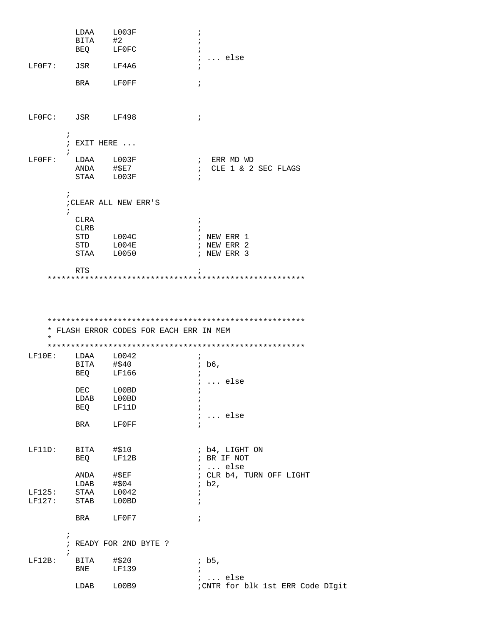|                  | LDAA                     | L003F                  | ÷                                       |
|------------------|--------------------------|------------------------|-----------------------------------------|
|                  | BITA #2                  |                        |                                         |
|                  |                          | BEQ LFOFC              | $\ddot{i}$                              |
| LF0F7: JSR LF4A6 |                          |                        | $i \ldots$ else                         |
|                  |                          |                        |                                         |
|                  |                          | BRA LFOFF              | $\ddot{i}$                              |
|                  |                          |                        |                                         |
|                  |                          |                        |                                         |
|                  |                          |                        |                                         |
| LFOFC: JSR LF498 |                          |                        | $\ddot{i}$                              |
|                  |                          |                        |                                         |
|                  | $\ddot{i}$               |                        |                                         |
|                  | $:$ EXIT HERE $\ldots$   |                        |                                         |
|                  | $\ddot{i}$<br>LDAA L003F |                        |                                         |
| $LFOFF$ :        |                          | ANDA #\$E7             | ; ERR MD WD<br>: CLE 1 & 2 SEC FLAGS    |
|                  |                          | STAA L003F             |                                         |
|                  |                          |                        |                                         |
|                  | $\ddot{i}$               |                        |                                         |
|                  |                          | ; CLEAR ALL NEW ERR'S  |                                         |
|                  | $\ddot{ }$               |                        |                                         |
|                  | CLRA                     |                        | $\ddot{i}$                              |
|                  | CLRB                     |                        |                                         |
|                  |                          | STD L004C              | ; NEW ERR 1                             |
|                  |                          | STD L004E              | ; NEW ERR 2                             |
|                  |                          | STAA L0050             | ; NEW ERR 3                             |
|                  | <b>RTS</b>               |                        | $\ddot{i}$                              |
|                  |                          |                        |                                         |
|                  |                          |                        |                                         |
|                  |                          |                        |                                         |
|                  |                          |                        |                                         |
|                  |                          |                        |                                         |
|                  |                          |                        |                                         |
|                  |                          |                        | * FLASH ERROR CODES FOR EACH ERR IN MEM |
| $\star$          |                          |                        |                                         |
|                  |                          |                        |                                         |
| $LF10E$ :        | LDAA                     | L0042                  |                                         |
|                  | BITA                     | #\$40                  | ib6,                                    |
|                  |                          | BEQ LF166              | ÷.                                      |
|                  |                          |                        | $\ldots$ else                           |
|                  | DEC                      | L00BD                  | $\ddot{ }$                              |
|                  | LDAB                     | L00BD                  | $\ddot{i}$                              |
|                  | BEQ                      | LF11D                  | $\ddot{ }$                              |
|                  | <b>BRA</b>               |                        | $i \ldots$ else                         |
|                  |                          | LF0FF                  | $\ddot{ }$                              |
|                  |                          |                        |                                         |
| LF11D:           |                          | BITA #\$10             | ; b4, LIGHT ON                          |
|                  | <b>BEQ</b>               | LF12B                  | ; BR IF NOT                             |
|                  |                          |                        | $i \ldots$ else                         |
|                  |                          | ANDA #\$EF             | ; CLR b4, TURN OFF LIGHT                |
|                  | LDAB                     | #\$04                  | ib2,                                    |
| LF125:           | STAA                     | L0042                  | $\ddot{i}$                              |
| LF127:           | STAB                     | L00BD                  | $\ddot{ }$                              |
|                  |                          |                        |                                         |
|                  | <b>BRA</b>               | LF0F7                  | $\ddot{i}$                              |
|                  |                          |                        |                                         |
|                  | $\ddot{i}$               |                        |                                         |
|                  |                          | ; READY FOR 2ND BYTE ? |                                         |
|                  | $\ddot{ }$               |                        |                                         |
| $LF12B$ :        | BITA<br>BNE              | #\$20<br>LF139         | ib5,                                    |
|                  |                          |                        | $: $ else                               |
|                  | LDAB                     | L00B9                  | : CNTR for blk 1st ERR Code DIgit       |
|                  |                          |                        |                                         |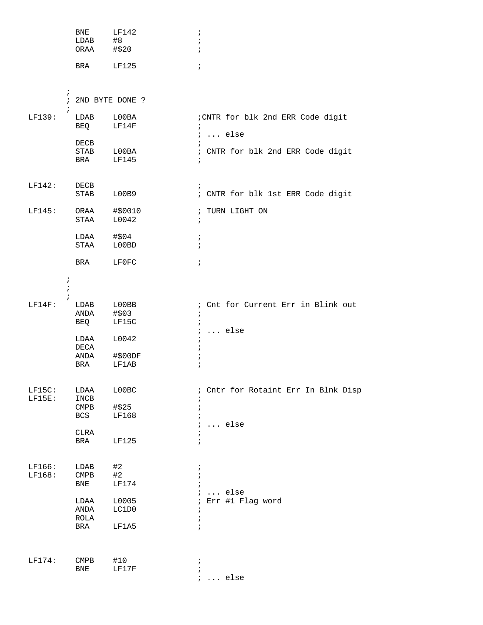|           |                                     | <b>BNE</b><br>LDAB           | LF142<br>#8      | $\ddot{i}$<br>$\ddot{i}$                        |
|-----------|-------------------------------------|------------------------------|------------------|-------------------------------------------------|
|           |                                     | ORAA                         | #\$20            | $\ddot{ }$                                      |
|           |                                     | BRA                          | LF125            | $\ddot{i}$                                      |
|           |                                     |                              |                  |                                                 |
|           | $\cdot$<br>$\ddot{i}$<br>$\ddot{i}$ | 2ND BYTE DONE ?              |                  |                                                 |
| LF139:    |                                     | LDAB<br>BEQ                  | L00BA<br>LF14F   | ; CNTR for blk 2nd ERR Code digit<br>$\ddot{i}$ |
|           |                                     | DECB                         |                  | $\ldots$ else<br>$\ddot{i}$<br>$\cdot$          |
|           |                                     | STAB<br>BRA                  | L00BA<br>LF145   | ; CNTR for blk 2nd ERR Code digit<br>$\ddot{i}$ |
| LF142:    |                                     |                              |                  |                                                 |
|           |                                     | DECB<br>STAB                 | L00B9            | $\ddot{i}$<br>; CNTR for blk 1st ERR Code digit |
| LF145:    |                                     | ORAA<br>STAA                 | #\$0010<br>L0042 | ; TURN LIGHT ON<br>$\ddot{i}$                   |
|           |                                     | LDAA                         | #\$04            | $\ddot{ }$                                      |
|           |                                     | STAA                         | L00BD            | $\ddot{i}$                                      |
|           |                                     | BRA                          | LF0FC            | $\ddot{i}$                                      |
|           | $\cdot$                             |                              |                  |                                                 |
|           | $\ddot{ }$                          |                              |                  |                                                 |
| $LF14F$ : |                                     | LDAB                         | L00BB            | ; Cnt for Current Err in Blink out              |
|           |                                     | ANDA<br>BEQ                  | #\$03<br>LF15C   | $\ddot{i}$<br>$\ddot{i}$                        |
|           |                                     |                              |                  | $\ldots$ else<br>$\ddot{ }$                     |
|           |                                     | LDAA<br>DECA                 | L0042            | $\ddot{ }$                                      |
|           |                                     | ANDA                         | #\$00DF          | ÷                                               |
|           |                                     | BRA                          | LF1AB            |                                                 |
| $LF15C$ : |                                     | LDAA                         | LOOBC            | ; Cntr for Rotaint Err In Blnk Disp             |
| $LF15E$ : |                                     | INCB<br>$\texttt{CMPB}$      | #\$25            | $\mathbf{r}$                                    |
|           |                                     | BCS                          | LF168            |                                                 |
|           |                                     | <b>CLRA</b>                  |                  | $\ldots$ else                                   |
|           |                                     | BRA                          | <b>LF125</b>     | $\ddot{ }$                                      |
| LF166:    |                                     | LDAB                         | #2               | $\ddot{ }$                                      |
| LF168:    |                                     | CMPB                         | #2               |                                                 |
|           |                                     | BNE                          | LF174            | $\ldots$ else                                   |
|           |                                     | LDAA                         | L0005            | Err #1 Flag word                                |
|           |                                     | ANDA                         | LC1D0            |                                                 |
|           |                                     | ROLA<br>BRA                  | LF1A5            | ÷,<br>$\ddot{i}$                                |
|           |                                     |                              |                  |                                                 |
| LF174:    |                                     | $\mathop{\rm CMBB}\nolimits$ | #10              | $\ddot{ }$                                      |
|           |                                     | BNE                          | LF17F            | $\dot{.}$                                       |
|           |                                     |                              |                  | $\ldots$ else<br>$\ddot{ }$                     |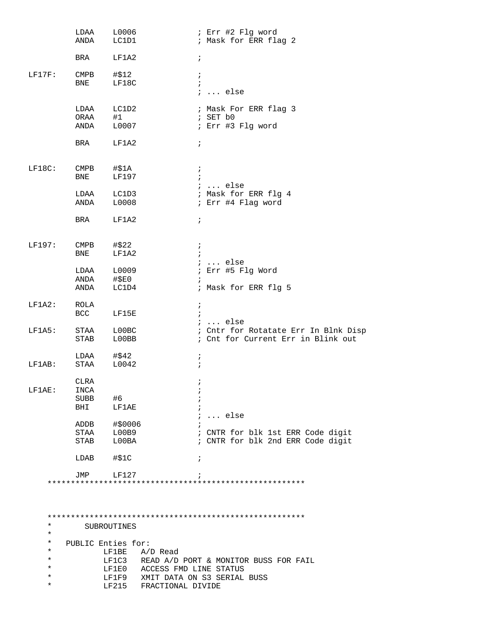|                      | LDAA<br>ANDA                          | L0006<br>LC1D1              | ; Err #2 Flg word<br>; Mask for ERR flag 2                                 |
|----------------------|---------------------------------------|-----------------------------|----------------------------------------------------------------------------|
|                      | BRA                                   | LF1A2                       | $\ddot{i}$                                                                 |
| $LF17F$ :            | $\mathop{\mathrm{CMPB}}$<br>BNE       | #\$12<br>LF18C              | $\ddot{i}$<br>$\ddot{i}$                                                   |
|                      |                                       |                             | $i \ldots$ else                                                            |
|                      | LDAA<br>ORAA<br>ANDA                  | LC1D2<br>#1<br>L0007        | ; Mask For ERR flag 3<br>; SET b0<br>; Err #3 Flg word                     |
|                      | BRA                                   | LF1A2                       | $\ddot{i}$                                                                 |
| $LF18C$ :            | $\mathop{\rm CMBB}\nolimits$<br>BNE   | #\$1A<br>LF197              | $\ddot{ }$<br>$i \ldots$ else                                              |
|                      | LDAA<br>ANDA                          | LC1D3<br>L0008              | ; Mask for ERR flg 4<br>; Err #4 Flag word                                 |
|                      | BRA                                   | LF1A2                       | $\ddot{i}$                                                                 |
| LF197:               | $\footnotesize{\mathsf{CMPB}}$<br>BNE | #\$22<br>LF1A2              | $\ddot{i}$<br>$i \ldots$ else                                              |
|                      | LDAA<br>ANDA<br>ANDA                  | L0009<br>$\#$ \$E0<br>LC1D4 | ; Err #5 Flg Word<br>; Mask for ERR flg 5                                  |
| $LF1A2$ :            | ROLA<br>BCC                           | LF15E                       | $\ddot{i}$<br>$i \ldots$ else                                              |
| $LF1A5$ :            | STAA<br><b>STAB</b>                   | LOOBC<br>L00BB              | ; Cntr for Rotatate Err In Blnk Disp<br>; Cnt for Current Err in Blink out |
| $LF1AB$ :            | LDAA<br>STAA                          | #\$42<br>L0042              | ï<br>$\cdot$                                                               |
| LF1AE:               | <b>CLRA</b><br>INCA<br>SUBB<br>BHI    | #6<br>LF1AE                 |                                                                            |
|                      | ADDB                                  | #\$0006                     | $i \ldots$ else                                                            |
|                      | STAA<br>STAB                          | L00B9<br>L00BA              | ; CNTR for blk 1st ERR Code digit<br>; CNTR for blk 2nd ERR Code digit     |
|                      | LDAB                                  | #\$1C                       | $\ddot{i}$                                                                 |
|                      | JMP                                   | LF127                       |                                                                            |
|                      |                                       |                             |                                                                            |
| $^\star$<br>$^\star$ |                                       | SUBROUTINES                 |                                                                            |
| *<br>*               |                                       | PUBLIC Enties for:<br>LF1BE | A/D Read                                                                   |
| *                    |                                       |                             | LF1C3 READ A/D PORT & MONITOR BUSS FOR FAIL                                |
| $^\star$<br>$^\star$ |                                       |                             | LF1E0 ACCESS FMD LINE STATUS<br>LF1F9 XMIT DATA ON S3 SERIAL BUSS          |
| *                    |                                       |                             | LF215 FRACTIONAL DIVIDE                                                    |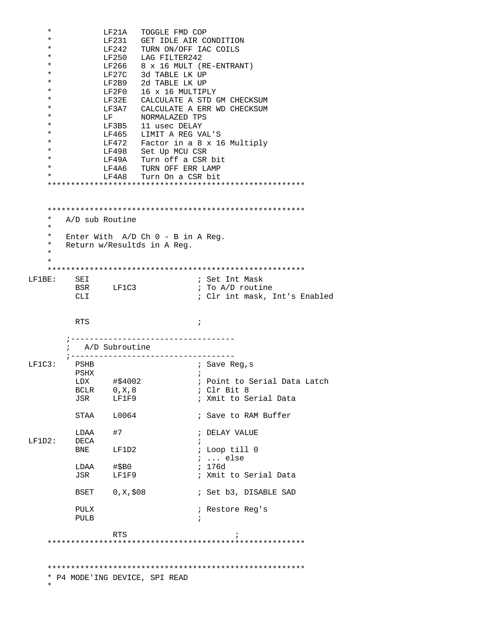|                                                         |                  | LF21A           | TOGGLE FMD COP                                                       |  |  |
|---------------------------------------------------------|------------------|-----------------|----------------------------------------------------------------------|--|--|
| *                                                       |                  | LF231           | GET IDLE AIR CONDITION                                               |  |  |
| $^\star$                                                |                  |                 | LF242 TURN ON/OFF IAC COILS                                          |  |  |
| $^\star$                                                |                  |                 | LF250 LAG FILTER242                                                  |  |  |
| $^\star$                                                |                  |                 | LF266 $8 \times 16$ MULT (RE-ENTRANT)                                |  |  |
| $^\star$                                                |                  | LF27C           | 3d TABLE LK UP                                                       |  |  |
| $^\star$                                                |                  |                 | LF2B9 2d TABLE LK UP                                                 |  |  |
| $^\star$                                                |                  |                 | LF2F0 16 x 16 MULTIPLY                                               |  |  |
| *                                                       |                  |                 |                                                                      |  |  |
| $^\star$                                                |                  |                 | LF32E CALCULATE A STD GM CHECKSUM                                    |  |  |
|                                                         |                  |                 | LF3A7 CALCULATE A ERR WD CHECKSUM                                    |  |  |
| $^\star$                                                |                  | LF 1            | NORMALAZED TPS                                                       |  |  |
| $^\star$                                                |                  |                 | LF3B5 11 usec DELAY                                                  |  |  |
| $^\star$                                                |                  |                 | LF465 LIMIT A REG VAL'S                                              |  |  |
| $^\star$                                                |                  |                 | LF472 Factor in a 8 x 16 Multiply                                    |  |  |
| $^\star$                                                |                  |                 | LF498 Set Up MCU CSR                                                 |  |  |
| $^\star$                                                |                  | LF49A           | Turn off a CSR bit                                                   |  |  |
| $\ast$                                                  |                  |                 | LF4A6 TURN OFF ERR LAMP                                              |  |  |
| $\star$                                                 |                  | LF4A8           | Turn On a CSR bit                                                    |  |  |
|                                                         |                  |                 |                                                                      |  |  |
| $^\star$<br>$^\star$<br>$^\star$<br>$^\star$<br>$\star$ | A/D sub Routine  |                 | Enter With $A/D$ Ch $0 - B$ in A Reg.<br>Return w/Resultds in A Reg. |  |  |
| $\star$                                                 |                  |                 |                                                                      |  |  |
|                                                         |                  |                 |                                                                      |  |  |
| LF1BE:                                                  | SEI              |                 | ; Set Int Mask                                                       |  |  |
|                                                         |                  | BSR LF1C3       | ; To A/D routine                                                     |  |  |
|                                                         | <b>CLI</b>       |                 | ; Clr int mask, Int's Enabled                                        |  |  |
|                                                         |                  |                 |                                                                      |  |  |
|                                                         | <b>RTS</b>       |                 | $\cdot$                                                              |  |  |
|                                                         | ; A/D Subroutine |                 |                                                                      |  |  |
|                                                         | $7 - - - -$      |                 |                                                                      |  |  |
| $LF1C3$ :                                               | PSHB             |                 | ; Save Req,s                                                         |  |  |
|                                                         | PSHX             |                 | $\ddot{i}$                                                           |  |  |
|                                                         |                  | LDX #\$4002     | ; Point to Serial Data Latch                                         |  |  |
|                                                         |                  | BCLR $0, X, 8$  | ; Clr Bit 8                                                          |  |  |
|                                                         |                  | JSR LF1F9       | ; Xmit to Serial Data                                                |  |  |
|                                                         |                  |                 |                                                                      |  |  |
|                                                         |                  | STAA L0064      | ; Save to RAM Buffer                                                 |  |  |
|                                                         |                  |                 |                                                                      |  |  |
|                                                         | LDAA             | #7              | ; DELAY VALUE                                                        |  |  |
| LF1D2:                                                  | DECA             |                 |                                                                      |  |  |
|                                                         | BNE              | LF1D2           | ; Loop till 0                                                        |  |  |
|                                                         |                  |                 | $i \ldots$ else                                                      |  |  |
|                                                         |                  | LDAA #\$B0      | ; 176d                                                               |  |  |
|                                                         |                  | JSR LF1F9       | ; Xmit to Serial Data                                                |  |  |
|                                                         |                  |                 |                                                                      |  |  |
|                                                         |                  | BSET 0, X, \$08 | ; Set b3, DISABLE SAD                                                |  |  |
|                                                         |                  |                 |                                                                      |  |  |
|                                                         | PULX             |                 | ; Restore Reg's                                                      |  |  |
|                                                         | PULB             |                 | $\ddot{i}$                                                           |  |  |
|                                                         |                  |                 |                                                                      |  |  |
|                                                         |                  | <b>RTS</b>      |                                                                      |  |  |
|                                                         |                  |                 |                                                                      |  |  |
|                                                         |                  |                 |                                                                      |  |  |
|                                                         |                  |                 |                                                                      |  |  |
|                                                         |                  |                 | * P4 MODE'ING DEVICE, SPI READ                                       |  |  |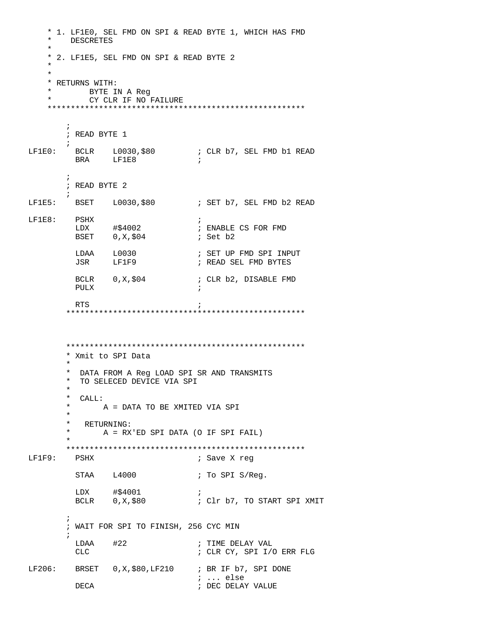```
* 1. LF1E0, SEL FMD ON SPI & READ BYTE 1, WHICH HAS FMD
      DESCRETES
   * 2. LF1E5, SEL FMD ON SPI & READ BYTE 2
   * RETURNS WITH:
   \ddot{\textbf{r}}BYTE IN A Req
   \starCY CLR IF NO FAILURE
   \cdot; READ BYTE 1
LF1E0: BCLR L0030, $80 ; CLR b7, SEL FMD b1 READ
      BRA LF1E8
      \cdot; READ BYTE 2
LF1E5: BSET L0030,$80
                        ; SET b7, SEL FMD b2 READ
LF1E8: PSHX
                            \rightarrow; ENABLE CS FOR FMD
       LDX
                            ; Set b2
                         ; SET UP FMD SPI INPUT
       LDAA L0030<br>JSR LF1F9
                            ; READ SEL FMD BYTES
        BCLR 0, X, $04 ; CLR b2, DISABLE FMD
        PULX
                             \ddot{i}RTS
                             \cdot* Xmit to SPI Data
      * DATA FROM A Reg LOAD SPI SR AND TRANSMITS
      * TO SELECED DEVICE VIA SPI
      \star* CALL:
      \starA = DATA TO BE XMITED VIA SPI
      \starRETURNING:
      \starA = RX'ED SPI DATA (O IF SPI FAIL)
      PSHX
LF1F9:
                            ; Save X reg
        STAA L4000
                            ; To SPI S/Req.
       LDX
             #$4001
                            \mathcal{L}BCLR 0, X,$80
                        ; Clr b7, TO START SPI XMIT
      \cdot; WAIT FOR SPI TO FINISH, 256 CYC MIN
       LDAA #22
                            ; TIME DELAY VAL
       CLC; CLR CY, SPI I/O ERR FLG
LF206: BRSET 0, X, $80, LF210 : BR IF b7, SPI DONE
                            : ... else
       DECA
                             ; DEC DELAY VALUE
```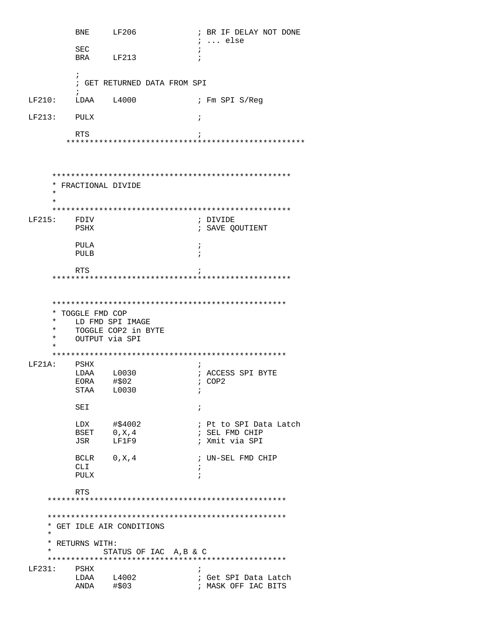**BNE** LF206 ; BR IF DELAY NOT DONE  $i \ldots$  else SEC  $\cdot$ : BRA LF213  $\cdot$  $\ddot{i}$ ; GET RETURNED DATA FROM SPI  $LF210:$ LDAA L4000 ; Fm SPI S/Req  $LF213:$ **PULX**  $\cdot$  ; **RTC**  $\cdot$  ; \* FRACTIONAL DIVIDE ; DIVIDE LF215: FDIV ; SAVE QOUTIENT PSHX PULA  $\cdot$ : PULB  $\mathbf{r}$ RTS  $\cdot$ \* TOGGLE FMD COP  $\star$ LD FMD SPI IMAGE  $\star$ TOGGLE COP2 in BYTE  $\star$ OUTPUT via SPI  $LF21A$ : PSHX  $\ddot{i}$  $LDAA$   $L0030$ ; ACCESS SPI BYTE EORA #\$02  $; COP2$ STAA L0030  $\cdot$ : SEI  $\mathbf{i}$ #\$4002 LDX ; Pt to SPI Data Latch BSET  $0, X, 4$ ; SEL FMD CHIP LF1F9 JSR ; Xmit via SPI BCLR 0, X, 4 ; UN-SEL FMD CHIP CLI  $\cdot$ : PULX  $\cdot$ RTS \* GET IDLE AIR CONDITIONS  $\star$ \* RETURNS WITH:  $\star$ STATUS OF IAC A, B & C  $LF231:$ PSHX  $\mathbf{r}$ ; Get SPI Data Latch<br>; MASK OFF IAC BITS LDAA L4002<br>ANDA #\$03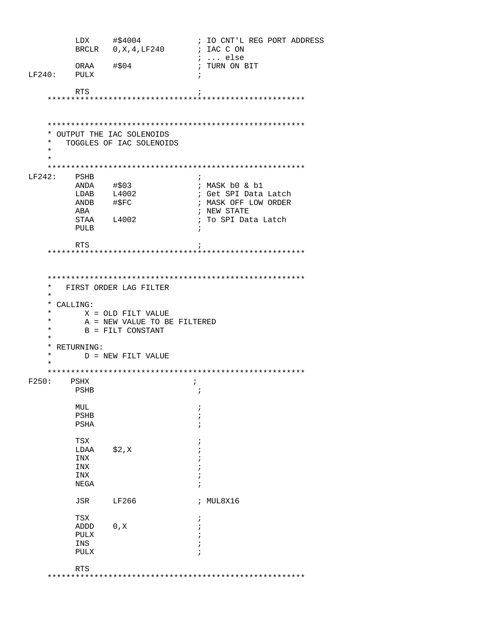|                                                                                              | LDX                    | #\$4004<br>BRCLR 0, X, 4, LF240                                                                                         | ; IO CNT'L REG PORT ADDRESS<br>; IAC C ON |
|----------------------------------------------------------------------------------------------|------------------------|-------------------------------------------------------------------------------------------------------------------------|-------------------------------------------|
| LF240:                                                                                       | ORAA<br>PULX           | #\$04                                                                                                                   | $i \ldots$ else<br>; TURN ON BIT          |
|                                                                                              | <b>RTS</b>             |                                                                                                                         |                                           |
|                                                                                              |                        |                                                                                                                         |                                           |
|                                                                                              |                        |                                                                                                                         |                                           |
|                                                                                              |                        |                                                                                                                         |                                           |
| *<br>$^\star$                                                                                |                        | OUTPUT THE IAC SOLENOIDS<br>TOGGLES OF IAC SOLENOIDS                                                                    |                                           |
| $^\star$                                                                                     |                        |                                                                                                                         |                                           |
| $\star$                                                                                      |                        |                                                                                                                         |                                           |
| LF242:                                                                                       | PSHB                   |                                                                                                                         | $\ddot{i}$                                |
|                                                                                              | ANDA                   | #\$03                                                                                                                   | ; MASK b0 & b1                            |
|                                                                                              | $LDAB$ $L4002$         |                                                                                                                         | ; Get SPI Data Latch                      |
|                                                                                              | ANDB                   | #\$FC                                                                                                                   | ; MASK OFF LOW ORDER                      |
|                                                                                              | ABA                    |                                                                                                                         | ; NEW STATE                               |
|                                                                                              |                        | STAA L4002                                                                                                              | ; To SPI Data Latch                       |
|                                                                                              | PULB                   |                                                                                                                         | ÷                                         |
|                                                                                              | <b>RTS</b>             |                                                                                                                         |                                           |
|                                                                                              |                        |                                                                                                                         |                                           |
| *<br>$\star$<br>*<br>$^\star$<br>$^\star$<br>$^\star$<br>$\star$<br>*<br>$^\star$<br>$\star$ | CALLING:<br>RETURNING: | FIRST ORDER LAG FILTER<br>X = OLD FILT VALUE<br>A = NEW VALUE TO BE FILTERED<br>B = FILT CONSTANT<br>D = NEW FILT VALUE |                                           |
| F250:                                                                                        | PSHX                   |                                                                                                                         | i                                         |
|                                                                                              | PSHB                   |                                                                                                                         | $\ddot{ }$                                |
|                                                                                              | MUL                    |                                                                                                                         | i                                         |
|                                                                                              | <b>PSHB</b>            |                                                                                                                         | $\cdot$                                   |
|                                                                                              | PSHA                   |                                                                                                                         | $\ddot{i}$                                |
|                                                                                              |                        |                                                                                                                         |                                           |
|                                                                                              | TSX                    |                                                                                                                         | i                                         |
|                                                                                              | LDAA                   | \$2,X                                                                                                                   |                                           |
|                                                                                              | INX                    |                                                                                                                         |                                           |
|                                                                                              | INX<br>INX             |                                                                                                                         |                                           |
|                                                                                              | NEGA                   |                                                                                                                         | i                                         |
|                                                                                              |                        |                                                                                                                         |                                           |
|                                                                                              | JSR                    | LF266                                                                                                                   | ; MUL8X16                                 |
|                                                                                              | TSX                    |                                                                                                                         | $\ddot{ }$                                |
|                                                                                              | ADDD                   | 0, X                                                                                                                    |                                           |
|                                                                                              | PULX                   |                                                                                                                         |                                           |
|                                                                                              | INS<br>PULX            |                                                                                                                         |                                           |
|                                                                                              |                        |                                                                                                                         |                                           |
|                                                                                              | <b>RTS</b>             |                                                                                                                         |                                           |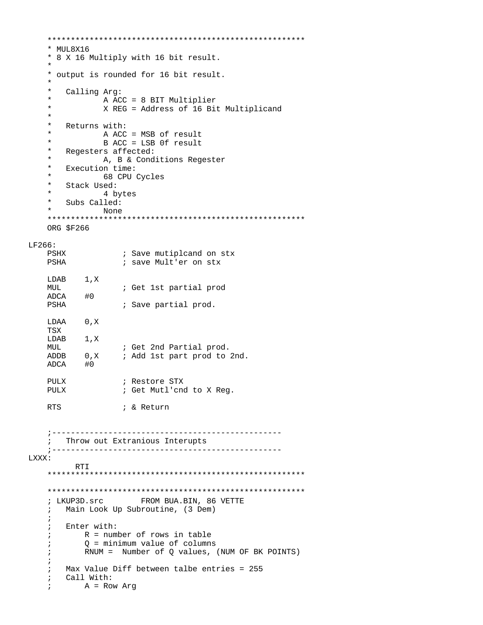```
* MUL8X16
   * 8 X 16 Multiply with 16 bit result.
   * output is rounded for 16 bit result.
   \star\starCalling Arg:
   \starA ACC = 8 BIT Multiplier
   \starX REG = Address of 16 Bit Multiplicand
   \star\starReturns with:
   \starA ACC = MSB of result
   \starB ACC = LSB 0f result
   \starRegesters affected:
   \starA, B & Conditions Regester
   \starExecution time:
   \star68 CPU Cycles
   \starStack Used:
   \star4 bytes
   \starSubs Called:
   \starNone
   ORG $F266
LF266:PSHX
               ; Save mutiplcand on stx
   PSHA
                ; save Mult'er on stx
   LDAB 1, X
   MUL
               ; Get 1st partial prod
   ADCA #0
   PSHA
               ; Save partial prod.
   LDAA 0, X
   TSX
   LDAB 1, X
               ; Get 2nd Partial prod.
   MUL
   ADDB 0, X
               ; Add 1st part prod to 2nd.
   ADCA #0
   PULX
                ; Restore STX
   PULX
                ; Get Mutl'cnd to X Reg.
   RTS
               ; & Return
   Throw out Extranious Interupts
   \mathcal{L}LXXX:
       RTI
   ; LKUP3D. Src FROM BUA. BIN, 86 VETTE
     Main Look Up Subroutine, (3 Dem)
   \ddot{i}\ddot{i}Enter with:
   \ddot{i}R = number of rows in table
   \cdot0 = minimum value of columns
   \cdotRNUM = Number of Q values, (NUM OF BK POINTS)
   \ddot{i}\cdotMax Value Diff between talbe entries = 255
   \mathcal{L}Call With:
   \mathcal{L}A = Row Arg
   \ddot{i}
```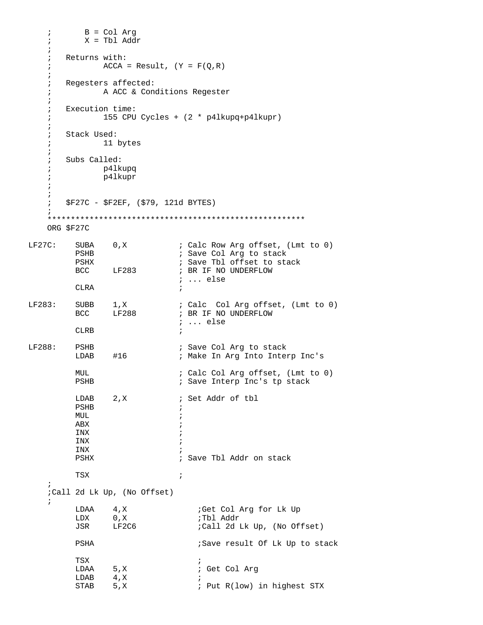```
 ; B = Col Arg 
    ; X = Tbl Addr 
    ; 
    ; Returns with:
   ; \text{ACCA} = \text{Result}, \quad (Y = F(Q,R)) ;
    ; Regesters affected:
    ; A ACC & Conditions Regester
    ;
    ; Execution time:
    ; 155 CPU Cycles + (2 * p4lkupq+p4lkupr)
    ;
    ; Stack Used:
    ; 11 bytes
    ;
    ; Subs Called:
    ; p4lkupq
    ; p4lkupr
    ;
     ;
     ; $F27C - $F2EF, ($79, 121d BYTES)
\mathcal{L} *******************************************************
    ORG $F27C 
LF27C: SUBA 0,X ; Calc Row Arg offset, (Lmt to 0)
         PSHB \qquad \qquad ; Save Col Arg to stack
          PSHX ; Save Tbl offset to stack 
BCC LF283 ; BR IF NO UNDERFLOW
 ; ... else
         CLRA ;
LF283: SUBB 1,X ; Calc Col Arg offset, (Lmt to 0)
         BCC LF288 ; BR IF NO UNDERFLOW
                              ; ... else
        CLRB \qquad \qquad ;LF288: PSHB ; Save Col Arg to stack
         LDAB #16 ; Make In Arg Into Interp Inc's
          MUL ; Calc Col Arg offset, (Lmt to 0) 
                             ; Save Interp Inc's tp stack
         LDAB 2, X ; Set Addr of tbl
          PSHB ; 
         MUL and the set of the set of the set of the set of the set of the set of the set of the set of the set of the set of the set of the set of the set of the set of the set of the set of the set of the set of the set of the s
ABX \qquad \qquad ;INX \qquad \qquad ;INX \qquad \qquad ;INX \qquad \qquad ;PSHX \qquad \qquad ; Save Tbl Addr on stack
TSX \qquad \qquad ;\mathbf{i} ;Call 2d Lk Up, (No Offset) 
    ; 
         LDAA 4,X ;Get Col Arg for Lk Up<br>
LDX 0,X ;Tbl Addr
         LDX 0, X JSR LF2C6 ;Call 2d Lk Up, (No Offset) 
         PSHA ;Save result Of Lk Up to stack
TSX \qquad \qquad ;LDAA 5, X ; Get Col Arg<br>
LDAB 4, X ;
         LDAB 4, X<br>STAB 5, X
                                ; Put R(low) in highest STX
```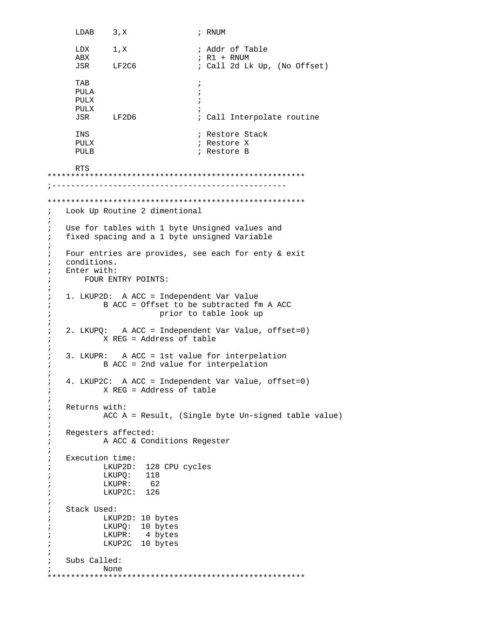```
LDAB 3, X ; RNUM
        LDX 1, X ; Addr of Table
         ABX ; R1 + RNUM 
                             ; Call 2d Lk Up, (No Offset)
TAB \qquad \qquad ; PULA ; 
PULX \qquad \qquad ;PULX \qquad \qquad ;JSR LF2D6 ; Call Interpolate routine
        INS \qquad \qquad ; Restore Stack
        PULX \qquad \qquad ; Restore X
        PULB \qquad \qquad ; Restore B
         RTS 
    *******************************************************
    ;-------------------------------------------------- 
    *******************************************************
    ; Look Up Routine 2 dimentional 
    ; 
    ; Use for tables with 1 byte Unsigned values and 
    ; fixed spacing and a 1 byte unsigned Variable 
\mathcal{L}^{\mathcal{L}} ; Four entries are provides, see each for enty & exit 
    ; conditions. 
    ; Enter with:
    ; FOUR ENTRY POINTS:
    ;
    ; 1. LKUP2D: A ACC = Independent Var Value
    ; B ACC = Offset to be subtracted fm A ACC
    ; prior to table look up
    ;
    ; 2. LKUPQ: A ACC = Independent Var Value, offset=0)
    ; X REG = Address of table
    ;
    ; 3. LKUPR: A ACC = 1st value for interpelation
    ; B ACC = 2nd value for interpelation 
    ;
    ; 4. LKUP2C: A ACC = Independent Var Value, offset=0)
    ; X REG = Address of table 
    ;
    ; Returns with:
    ; ACC A = Result, (Single byte Un-signed table value)
    ;
    ; Regesters affected:
    ; A ACC & Conditions Regester
    ;
    ; Execution time:
    ; LKUP2D: 128 CPU cycles
    ; LKUPQ: 118 
    ; LKUPR: 62 
    ; LKUP2C: 126 
    ;
    ; Stack Used:
    ; LKUP2D: 10 bytes
    ; LKUPQ: 10 bytes
    ; LKUPR: 4 bytes
    ; LKUP2C 10 bytes
    ;
    ; Subs Called:
    ; None
    *******************************************************
```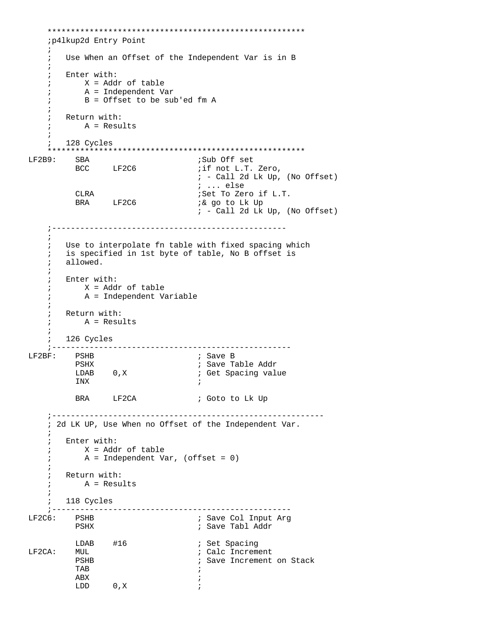```
 *******************************************************
    ;p4lkup2d Entry Point 
\mathbf{i} ; Use When an Offset of the Independent Var is in B 
    ; 
    ; Enter with: 
    ; X = Addr of table 
    ; A = Independent Var 
    ; B = Offset to be sub'ed fm A 
\mathcal{L}^{\mathcal{L}} ; Return with: 
     ; A = Results 
\mathbf{i} ; 128 Cycles 
    *******************************************************
LF2B9: SBA ;Sub Off set 
       BCC LF2C6
                                 ; - Call 2d Lk Up, (No Offset) 
          ; ... else
                                ;Set To Zero if L.T.
         BRA LF2C6 ;& go to Lk Up
                                 ; - Call 2d Lk Up, (No Offset) 
    ;--------------------------------------------------
    ; 
    ; Use to interpolate fn table with fixed spacing which 
    ; is specified in 1st byte of table, No B offset is 
    ; allowed. 
    ; 
    ; Enter with: 
    ; X = Addr of table 
    ; A = Independent Variable 
    ; 
    ; Return with: 
    ; A = Results 
    ; 
    ; 126 Cycles 
    ;--------------------------------------------------- 
LF2BF: PSHB ; Save B 
         PSHX ; Save Table Addr 
         LDAB 0,X ; Get Spacing value<br>INX ;
INX \qquad \qquad ;BRA LF2CA ; Goto to Lk Up
    ;---------------------------------------------------------- 
    ; 2d LK UP, Use When no Offset of the Independent Var. 
    ; 
    ; Enter with: 
    ; X = Addr of table 
    ; A = Independent Var, (offset = 0) 
    ; 
    ; Return with: 
    ; A = Results 
    ; 
    ; 118 Cycles 
 ;--------------------------------------------------- 
                               ; Save Col Input Arg
        PSHX ; Save Tabl Addr 
 LDAB #16 ; Set Spacing 
        LF2CA: MUL ; Calc Increment 
                               ; Save Increment on Stack
TAB \qquad \qquad ;ABX \qquad \qquad ;\begin{array}{lll} \text{LDD} & \qquad 0 \text{ , } \text{X} & \qquad \qquad \text{ ; } \end{array}
```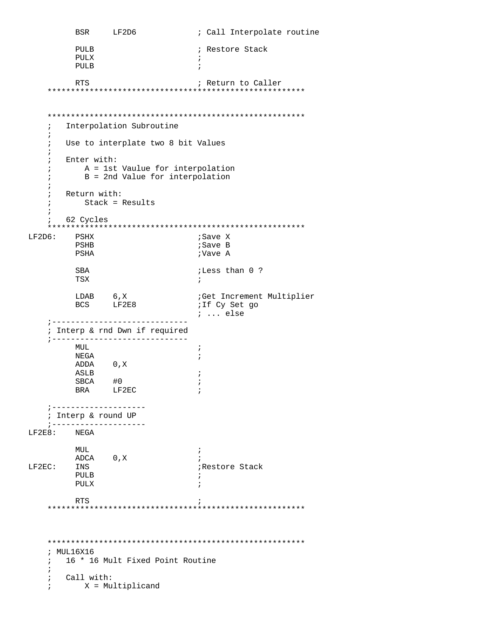```
BSR LF2D6 ; Call Interpolate routine
            PULB ; Restore Stack
PULX \qquad \qquad ; PULB ; 
           RTS 7 7 7 7 7 7 7 8 8 8 7 7 7 7 8 7 7 8 7 8 7 7 8 7 7 8 7 8 7 8 7 7 8 7 7 8 7 8 7 8 7 8 7 8 7 8 7 8 7 8 7 8 7 8 7 8 7 8 7 8 7 8 7 8 7 8 7 8 7 8 7 8 7 8 7 8 7 8 7 8 7 8 7 8 7 8 7 8 7 8 7 8 7 8 7 8 7 8 7 8 7 8 7 8 7 8 7 8 7 
      *******************************************************
      *******************************************************
      ; Interpolation Subroutine 
      ;
      ; Use to interplate two 8 bit Values 
      ; 
      ; Enter with: 
      ; A = 1st Vaulue for interpolation 
      ; B = 2nd Value for interpolation 
     \frac{i}{i} ; Return with: 
      ; Stack = Results 
      ; 
      ; 62 Cycles 
      *******************************************************
LF2D6: PSHX PSHB ;Save B 
           PSHA ;Vave A
             SBA ;Less than 0 ? 
TSX \qquad \qquad ;LDAB 6, X ;Get Increment Multiplier<br>BCS LF2E8 ;If Cy Set go
            BCS LF2E8
                                            ; ... else
      ;-----------------------------
      ; Interp & rnd Dwn if required 
      ;----------------------------- 
           MUL in the set of the set of the set of the set of the set of the set of the set of the set of the set of the set of the set of the set of the set of the set of the set of the set of the set of the set of the set of the s
           NEGA\qquad \qquad ; ADDA 0,X 
            ASLB ; 
            \begin{array}{ccc}\n\text{SBCA} & \text{#0} & \text{;} \\
\text{BRA} & \text{LF2EC} & \text{;} \\
\end{array}LF2EC ;--------------------
      ; Interp & round UP
      ;--------------------
LF2E8:\begin{array}{lll} \texttt{MUL} & & \texttt{;} \\ \texttt{ADCA} & & \texttt{0,X} & & \texttt{;} \end{array}ADCA 0,X<br>LF2EC: INS
           INS ; restore Stack<br>PULB ; in the stack of the stack of the stack \overline{z} PULB ; 
PULX \qquad \qquad ;RTS \qquad \qquad ; *******************************************************
     *******************************************************
      ; MUL16X16
      ; 16 * 16 Mult Fixed Point Routine 
      ; 
      ; Call with: 
      ; X = Multiplicand
```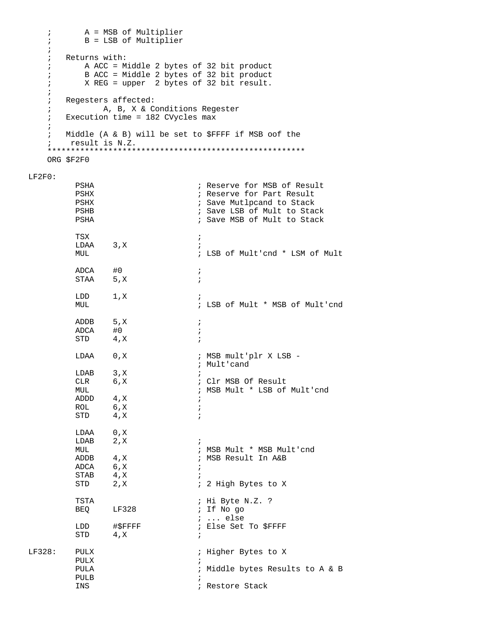```
A = MSB of Multiplier
    \ddot{i}B = LSB of Multiplier
    \ddot{i}\ddot{i}Returns with:
    \ddot{i}A ACC = Middle 2 bytes of 32 bit product
    \ddot{i}B ACC = Middle 2 bytes of 32 bit product
    \ddot{i}X REG = upper 2 bytes of 32 bit result.
    \ddot{i}\ddot{i}Regesters affected:
    \mathcal{L}\mathcal{L}A, B, X & Conditions Regester
      Execution time = 182 CVycles max
    \ddot{r}\ddot{i}Middle (A & B) will be set to $FFFF if MSB oof the
    \ddot{i}; result is N.Z.
    ORG $F2F0
LF2F0:
                                     ; Reserve for MSB of Result
          PSHA
          PSHX
                                     ; Reserve for Part Result
          PSHX
                                     ; Save Mutlpcand to Stack
                                     ; Save LSB of Mult to Stack
          PSHB
          PSHA
                                     ; Save MSB of Mult to Stack
          TSX
                                     \ddot{i}LDAA 3, X
                                      \cdotMUL
                                     ; LSB of Mult'end * LSM of Mult
          ADCA #0<br>STAA 5,X
                                     \cdot ;
                                     \cdot ;
          LDD 1,X\cdotMUL
                                     ; LSB of Mult * MSB of Mult'end
          ADDB 5, X
                                    \ddot{i}ADCA #0
                                    \ddot{i}STD
                 4, x\ddot{i}LDAA 0, X
                                     ; MSB mult'plr X LSB -
                                     ; Mult'cand
          LDAB 3, X<br>CLR 6, X
                                     ; Clr MSB Of Result
          MUL
                                    ; MSB Mult * LSB of Mult'cnd
          ADDD 4, X
                                     \cdot ;
                 6, XROL
                                     \cdot ;
          STD
                 4 , \rm X\cdot ;
                 0, XLDAA
          LDAB 2, X
                                     \cdot :
                                     ; MSB Mult * MSB Mult'cnd
          MUL
                4 , \rm XADDB
                                    ; MSB Result In A&B
          ADCA
                6, X\ddot{i}STAB 4, X
                                     \cdot:
          STD
                                    ; 2 High Bytes to X
                 2, X
          TSTA
                                    ; Hi Byte N.Z. ?
          BEQ LF328
                                     ; If No go
                                    ; ... else
                 #$FFFF
          LDD
                                    ; Else Set To $FFFF
          STD
                 4, X
                                     \cdot ;
LF328:
        PULX
                                     ; Higher Bytes to X
          PULX
                                     \cdot:
          PULA
                                     ; Middle bytes Results to A & B
          PULB
          INS
                                     ; Restore Stack
```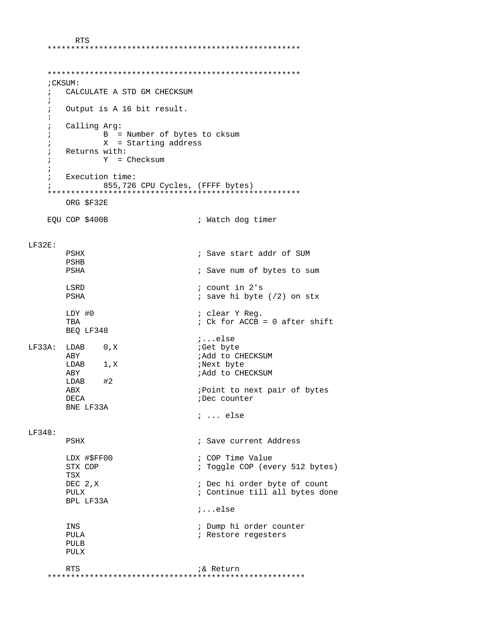RTS \*\*\*\*\*\*\*\*\*\*\*\*\*\*\*\*\*\*\*\*\*\*\*\*\*\*\*\*\*\*\*\*\*\*\*\*\*\*\*\*\*\*\*\*\*\*\*\*\*\*\*\*\*\*

```
 ****************************************************** 
     ;CKSUM: 
     ; CALCULATE A STD GM CHECKSUM 
     ; 
     ; Output is A 16 bit result. 
     : 
     ; Calling Arg: 
     ; B = Number of bytes to cksum 
     ; X = Starting address 
     ; Returns with: 
     ; Y = Checksum 
     ; 
     ; Execution time: 
     ; 855,726 CPU Cycles, (FFFF bytes) 
     ****************************************************** 
        ORG $F32E 
    EQU COP $400B \qquad \qquad ; Watch dog timer
LF32E: 
       PSHX \qquad \qquad ; Save start addr of SUM
        PSHB 
        PSHA ; Save num of bytes to sum 
        LSRD ; count in 2's 
                                   ; save hi byte (2) on stx
       LDY #0 \qquad ; clear Y Reg.<br>TBA \qquad ; Ck for ACCB =
                                  ; Ck for ACCB = 0 after shift
        BEQ LF348 
                                    ;...else 
LF33A: LDAB 0, X ;Get byte
        ABY ;Add to CHECKSUM 
       LDAB 1,X ABY ;Add to CHECKSUM 
       LDAB<br>ABX
                                   ; Point to next pair of bytes
       DECA iDec counter
        BNE LF33A 
                                    ; ... else
LF348: 
       PSHX \qquad \qquad ; Save current Address
        LDX #$FF00 ; COP Time Value 
                                   ; Toggle COP (every 512 bytes)
        TSX 
        DEC 2,X ; Dec hi order byte of count 
                                   ; Continue till all bytes done
        BPL LF33A 
                                    ;...else 
        INS ; Dump hi order counter 
       PULA \qquad \qquad ; Restore regesters
        PULB 
        PULX 
RTS 76 and 76 and 76 and 76 and 76 and 76 and 76 and 76 and 76 and 76 and 76 and 76 and 76 and 76 and 76 and 76 and 76 and 76 and 76 and 76 and 76 and 76 and 76 and 76 and 76 and 76 and 76 and 76 and 76 and 76 and 76 and 7
 *******************************************************
```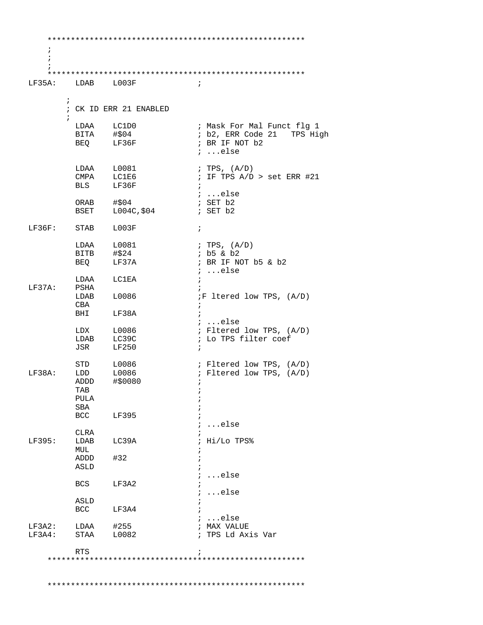| $\ddot{i}$        |                    |                        |                                      |
|-------------------|--------------------|------------------------|--------------------------------------|
|                   |                    |                        |                                      |
| LF35A: LDAB L003F |                    |                        | $\ddot{i}$                           |
|                   |                    |                        |                                      |
|                   | $\ddot{i}$         |                        |                                      |
|                   |                    | ; CK ID ERR 21 ENABLED |                                      |
|                   | $\ddot{ }$         |                        |                                      |
|                   | LDAA LC1D0         |                        | ; Mask For Mal Funct flg 1           |
|                   | BITA #\$04         |                        | ; b2, ERR Code 21 TPS High           |
|                   | BEQ LF36F          |                        | ; BR IF NOT b2                       |
|                   |                    |                        | $i$ else                             |
|                   | LDAA L0081         |                        | ; TPS, (A/D)                         |
|                   | CMPA LC1E6         |                        | ; IF TPS $A/D > set ERR #21$         |
|                   | <b>BLS</b>         | LF36F                  | $\ddot{i}$                           |
|                   |                    |                        | $i$ else                             |
|                   | ORAB $\#$ \$04     |                        | ; SET b2                             |
|                   |                    | BSET L004C, \$04       | ; SET b2                             |
|                   |                    |                        |                                      |
| LF36F:            | STAB               | L003F                  | $\ddot{i}$                           |
|                   | LDAA L0081         |                        | ; TPS, $(A/D)$                       |
|                   | $BITB$ $\# $24$    |                        | $ib5 \& b2$                          |
|                   | BEQ                | LF37A                  | ; BR IF NOT b5 & b2                  |
|                   |                    |                        | $i$ else                             |
|                   | LDAA LC1EA         |                        | $\ddot{i}$                           |
| LF37A:            | PSHA               |                        |                                      |
|                   | LDAB L0086         |                        | <i>iF</i> ltered low TPS, (A/D)      |
|                   | CBA                |                        | $\ddot{i}$                           |
|                   | <b>BHI</b>         | LF38A                  | $\ddot{i}$                           |
|                   | LDX L0086          |                        | $i$ else<br>; Fltered low TPS, (A/D) |
|                   | LDAB LC39C         |                        | ; Lo TPS filter coef                 |
|                   | JSR                | LF250                  | $\ddot{i}$                           |
|                   |                    |                        |                                      |
|                   | STD                | L0086                  | ; Fltered low TPS, (A/D)             |
| LF38A:            | $LDD$ $L0086$      |                        | ; Fltered low TPS, (A/D)             |
|                   | ADDD               | #\$0080                | $\ddot{i}$                           |
|                   | TAB                |                        |                                      |
|                   | PULA<br><b>SBA</b> |                        |                                      |
|                   | BCC                | LF395                  |                                      |
|                   |                    |                        | else                                 |
|                   | CLRA               |                        |                                      |
| LF395:            | LDAB               | LC39A                  | Hi/Lo TPS%                           |
|                   | MUL                |                        |                                      |
|                   | ADDD               | #32                    |                                      |
|                   | ASLD               |                        |                                      |
|                   | BCS                |                        | else                                 |
|                   |                    | LF3A2                  | else                                 |
|                   | ASLD               |                        |                                      |
|                   | <b>BCC</b>         | LF3A4                  |                                      |
|                   |                    |                        | ; else                               |
| LF3A2:            | LDAA               | #255                   | ; MAX VALUE                          |
| LF3A4:            | STAA               | L0082                  | ; TPS Ld Axis Var                    |
|                   |                    |                        |                                      |
|                   | <b>RTS</b>         |                        |                                      |
|                   |                    |                        |                                      |
|                   |                    |                        |                                      |
|                   |                    |                        |                                      |
|                   |                    |                        |                                      |
|                   |                    |                        |                                      |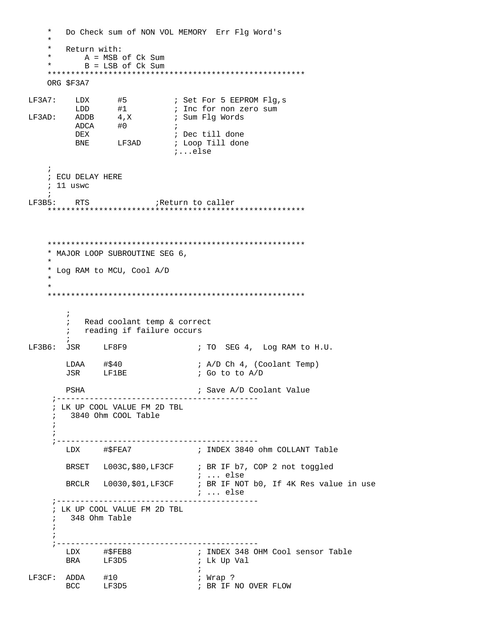$\star$ Do Check sum of NON VOL MEMORY Err Flg Word's  $\star$ Return with:  $\star$ A = MSB of Ck Sum B = LSB of Ck Sum  $\star$ ORG \$F3A7 LF3A7: LDX  $#5$  ; Set For 5 EEPROM Flg,s<br>
LDD  $#1$  ; Inc for non zero sum<br>
LF3AD: ADDB  $4 \times$  ; Sum Flg Words ADCA #0  $\cdot$  ; ; Dec till done **DEX** BNE LF3AD : Loop Till done  $i \ldots$ else  $\cdot$ : ; ECU DELAY HERE  $: 11$  uswc  $LF3B5:$  RTS \* MAJOR LOOP SUBROUTINE SEG 6, \* Log RAM to MCU, Cool A/D  $\ddot{i}$ ; Read coolant temp & correct ; reading if failure occurs LF3B6: JSR LF8F9 ; TO SEG 4, Log RAM to H.U.  $LDAA$   $\# $40$ ; A/D Ch 4, (Coolant Temp) **LF1BE** JSR ; Go to to A/D PSHA ; Save A/D Coolant Value ; LK UP COOL VALUE FM 2D TBL 3840 Ohm COOL Table  $\ddot{i}$ LDX #\$FEA7 ; INDEX 3840 ohm COLLANT Table BRSET L003C, \$80, LF3CF ; BR IF b7, COP 2 not toggled  $\cdots$  else BRCLR L0030, \$01, LF3CF ; BR IF NOT b0, If 4K Res value in use *i* ... else ; LK UP COOL VALUE FM 2D TBL ; 348 Ohm Table  $\begin{tabular}{llll} \tt LF3CF: & ADDA & \tt \#10 \\ & \tt BCC & \tt LF3D5 \\ \end{tabular}$ ; Wrap ? ; BR IF NO OVER FLOW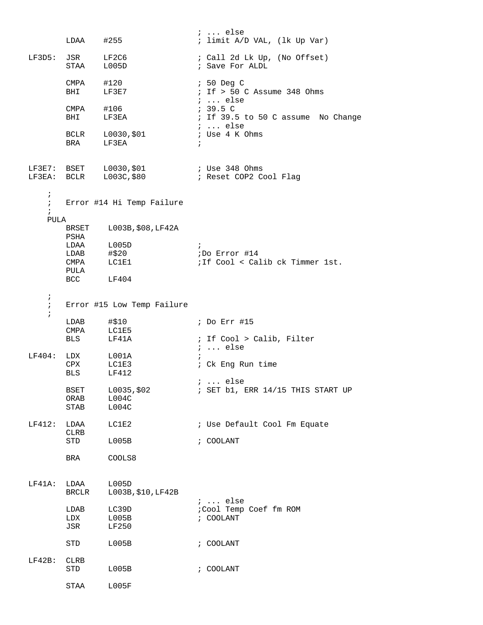|                                        | LDAA                         | #255                                             | $i \ldots$ else<br>; limit A/D VAL, (lk Up Var)           |
|----------------------------------------|------------------------------|--------------------------------------------------|-----------------------------------------------------------|
|                                        | $LF3D5: JSR$ $LF2C6$<br>STAA | L005D                                            | ; Call 2d Lk Up, (No Offset)<br>; Save For ALDL           |
|                                        | CMPA<br>BHI                  | #120<br>LF3E7                                    | $: 50$ Deg C<br>$\frac{1}{2}$ i If > 50 C Assume 348 Ohms |
|                                        | $CMPA$ #106<br>BHI           | LF3EA                                            | ;  else<br>: 39.5 C<br>; If 39.5 to 50 C assume No Change |
|                                        | <b>BRA</b>                   | BCLR L0030, \$01<br>LF3EA                        | ;  else<br>; Use 4 K Ohms<br>$\ddot{i}$                   |
|                                        |                              | LF3E7: BSET L0030,\$01<br>LF3EA: BCLR L003C,\$80 | ; Use 348 Ohms<br>; Reset COP2 Cool Flag                  |
| $\ddot{ }$<br>$\ddot{i}$<br>$\ddot{i}$ |                              | Error #14 Hi Temp Failure                        |                                                           |
| PULA                                   |                              |                                                  |                                                           |
|                                        | BRSET<br>PSHA                | L003B, \$08, LF42A                               |                                                           |
|                                        | LDAB                         | LDAA L005D<br>#\$20                              | $\ddot{i}$<br>;Do Error #14                               |
|                                        | CMPA                         | LC1E1                                            | ; If Cool < Calib ck Timmer 1st.                          |
|                                        | PULA                         |                                                  |                                                           |
|                                        | BCC LF404                    |                                                  |                                                           |
| $\ddot{i}$<br>$\ddot{i}$<br>$\ddot{i}$ |                              | Error #15 Low Temp Failure                       |                                                           |
|                                        | LDAB                         | #\$10                                            | ; Do Err #15                                              |
|                                        | CMPA                         | LC1E5                                            |                                                           |
|                                        | BLS                          | LF41A                                            | ; If Cool > Calib, Filter<br>$i \ldots$ else              |
| LF404:                                 |                              | LDX L001A                                        | $\ddot{i}$                                                |
|                                        | CPX LC1E3                    |                                                  | ; Ck Eng Run time                                         |
|                                        | <b>BLS</b>                   | LF412                                            | $i \ldots$ else                                           |
|                                        | BSET<br>ORAB                 | L0035,\$02<br>LO04C                              | $:$ SET b1, ERR $14/15$ THIS START UP                     |
|                                        | STAB                         | LO04C                                            |                                                           |
| LF412:                                 | LDAA<br>CLRB                 | LC1E2                                            | ; Use Default Cool Fm Equate                              |
|                                        | STD                          | L005B                                            | $:$ COOLANT                                               |
|                                        | BRA                          | COOLS8                                           |                                                           |
| $LF41A$ :                              | LDAA<br>BRCLR                | L005D<br>L003B, \$10, LF42B                      | $i \ldots$ else                                           |
|                                        | LDAB                         | LC39D                                            | ;Cool Temp Coef fm ROM                                    |
|                                        | LDX                          | L005B                                            | ; COOLANT                                                 |
|                                        | JSR                          | LF250                                            |                                                           |
|                                        | STD                          | L005B                                            | ; COOLANT                                                 |
| $LF42B$ :                              | CLRB<br>STD                  | L005B                                            | ; COOLANT                                                 |
|                                        | STAA                         | L005F                                            |                                                           |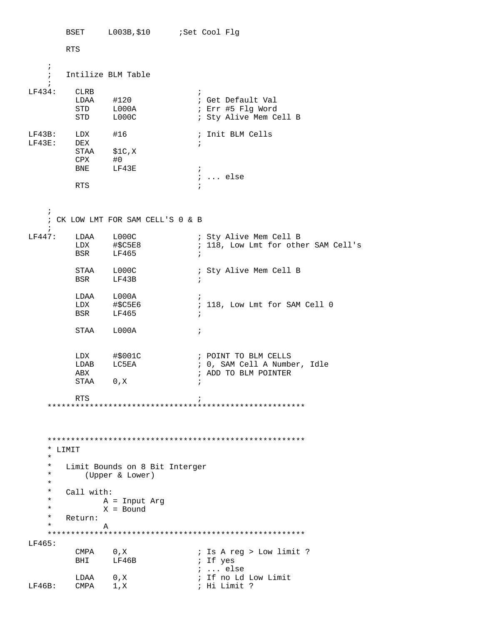BSET L003B, \$10 :Set Cool Flg **RTS**  $\ddot{i}$ Intilize BLM Table  $\ddot{i}$  $\cdot$ ;<br>; Get Default Val<br>; Err #5 Flg Word<br>. ctt: \*\*\*  $LF434:$  CLRB LDAA #120<br>STD L000A<br>STD L000C ; Sty Alive Mem Cell B ; Init BLM Cells LF43B: LDX #16<br>LF43E: DEX  $\mathcal{L}$  $STAA$   $$1C,X$  $\begin{tabular}{ll} CPX & \#0 \\ BNE & \quad LF43E \end{tabular}$  $\mathbf{r}$ ; ... else RTS  $\cdot$ : CK LOW LMT FOR SAM CELL'S 0 & B LF447: LDAA L000C <br>
LDX #\$C5E8 <br>
BSR LF465 <br>
; 118, Low Lmt for other SAM Cell's<br>
BSR LF465 ; STAA L000C<br>BSR LF43B ; Sty Alive Mem Cell B  $\cdot$  ; LDAA L000A<br>LDX #\$C5E6<br>BSR LF465  $\mathcal{L}$ ; 118, Low Lmt for SAM Cell 0  $\cdot$  ; STAA L000A  $\mathcal{L}$  $\begin{array}{lll}\n\text{LDX} & \# \text{$001C} \\
\text{TPX} & \text{FQEM} \\
\end{array}$ ; POINT TO BLM CELLS LDAB LC5EA ; 0, SAM Cell A Number, Idle ABX ; ADD TO BLM POINTER STAA 0, X  $\cdot$ : RTS  $\ddot{i}$ \*\*\*\*\*\*\*\*\*\*\*\*\*\*\*\*\*\*\*\*\*\*\*\*\*\*\*\*\*\*\*\* \*\*\*\*\*\*\*\*\*\*\*\*\*\*\*\*\*\*  $\star$  LIMIT  $\star$ Limit Bounds on 8 Bit Interger  $\star$  $\star$ (Upper & Lower)  $\star$  $\star$ Call with:  $\star$ A = Input Arg  $\star$ X = Bound  $\star$ Return:  $\star$ A  $LF465:$ ; Is A req > Low limit ? ; If yes ;  $\ldots$  else ; If no Ld Low Limit ; Hi Limit ?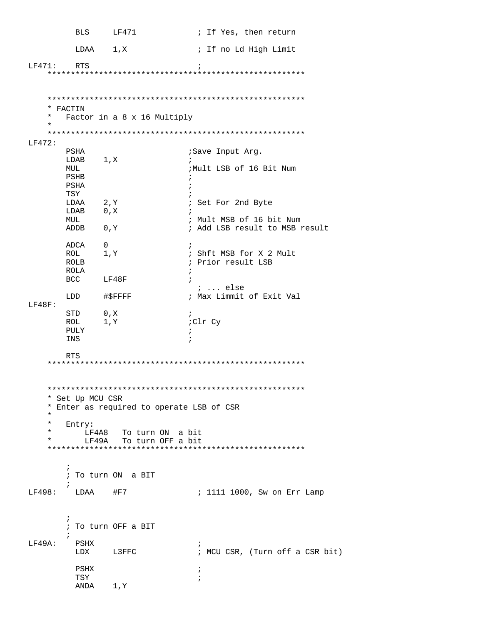**BLS** LF471 ; If Yes, then return LDAA  $1, x$ ; If no Ld High Limit RTS  $LF471:$  $\cdot$  ; \* FACTIN  $\star$ Factor in a 8 x 16 Multiply  $\star$  $LF472:$ PSHA ;Save Input Arg. LDAB 1, X MUL ;Mult LSB of 16 Bit Num PSHB PSHA  $\rightarrow$ TSY  $\cdot$ : LDAA  $2, Y$ ; Set For 2nd Byte LDAB 0, X MTTT. ; Mult MSB of 16 bit Num ADDB 0, Y ; Add LSB result to MSB result ADCA 0<br>ROL 1,Y  $\cdot$ : ; Shft MSB for X 2 Mult ; Prior result LSB ROLB ROLA BCC LF48F  $: ...$  else LDD #\$FFFF ; Max Limmit of Exit Val  $LF48F$ :  $\begin{tabular}{ll} \texttt{STD} & \tt{0,X} \\ \texttt{ROL} & \tt{1,Y} \end{tabular}$  $\ddot{i}$ ;Clr Cy PULY  $\ddot{i}$ INS  $\cdot$ RTS \* Set Up MCU CSR \* Enter as required to operate LSB of CSR  $\star$ Entry:  $\star$ LF4A8 To turn ON a bit LF49A To turn OFF a bit  $\star$  $\cdot$ ; To turn ON a BIT  $\cdot$  ; ; 1111 1000, Sw on Err Lamp  $LF498:$   $LDAA$  #F7  $\cdot$ ; To turn OFF a BIT  $\cdot$  ; LF49A: PSHX  $\cdot$  : LDX L3FFC : MCU CSR, (Turn off a CSR bit) PSHX  $\overrightarrow{i}$ TSY  $\cdot$ ANDA 1, Y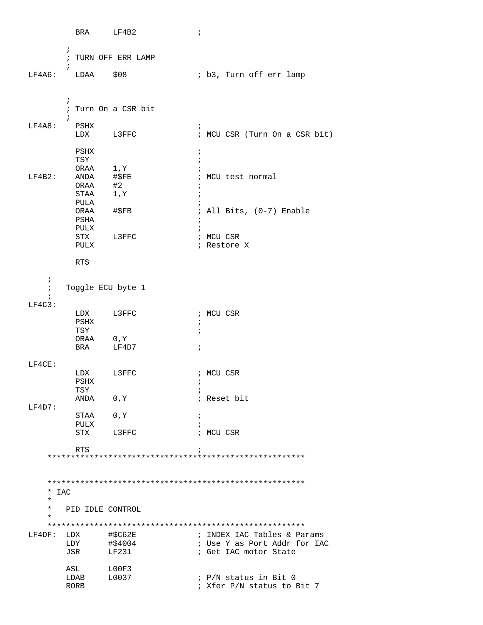|            | BRA          | LF4B2                 | $\ddot{i}$                                            |
|------------|--------------|-----------------------|-------------------------------------------------------|
|            | $\ddot{ }$   |                       |                                                       |
|            |              | ; TURN OFF ERR LAMP   |                                                       |
|            | $\ddot{ }$   |                       |                                                       |
| LF4A6:     |              | $LDAA$ $$08$          | ; b3, Turn off err lamp                               |
|            |              |                       |                                                       |
|            | $\ddot{ }$   |                       |                                                       |
|            |              | ; Turn On a CSR bit   |                                                       |
|            |              |                       |                                                       |
| LF4A8:     | PSHX         | LDX L3FFC             | i.<br>; MCU CSR (Turn On a CSR bit)                   |
|            |              |                       |                                                       |
|            | PSHX         |                       | $\ddot{i}$                                            |
|            | TSY          |                       | $\ddot{i}$                                            |
|            |              | ORAA 1, Y             |                                                       |
| LF4B2:     | ANDA         | #\$FE                 | ; MCU test normal                                     |
|            | ORAA<br>STAA | #2<br>$1, \mathtt{Y}$ |                                                       |
|            | PULA         |                       |                                                       |
|            |              | ORAA #\$FB            | ; All Bits, (0-7) Enable                              |
|            | PSHA         |                       | $\ddot{ }$                                            |
|            | PULX         |                       | $\ddot{i}$                                            |
|            |              | STX L3FFC             | ; MCU CSR                                             |
|            | PULX         |                       | ; Restore X                                           |
|            | RTS          |                       |                                                       |
|            |              |                       |                                                       |
| $\ddot{i}$ |              |                       |                                                       |
| $\ddot{i}$ |              | Toggle ECU byte 1     |                                                       |
|            |              |                       |                                                       |
| $LF4C3$ :  |              |                       |                                                       |
|            | PSHX         | LDX L3FFC             | ; MCU CSR                                             |
|            | TSY          |                       | $\ddot{ }$<br>$\ddot{i}$                              |
|            |              | ORAA 0, Y             |                                                       |
|            | BRA          | LF4D7                 | $\ddot{i}$                                            |
|            |              |                       |                                                       |
| LF4CE:     |              |                       |                                                       |
|            |              | LDX L3FFC             | ; MCU CSR                                             |
|            | PSHX<br>TSY  |                       | i.<br>$\ddot{ }$                                      |
|            | ANDA         | 0,Y                   | ; Reset bit                                           |
| LF4D7:     |              |                       |                                                       |
|            | STAA         | 0, Y                  | $\ddot{i}$                                            |
|            | PULX         |                       |                                                       |
|            | STX          | L3FFC                 | ; MCU CSR                                             |
|            | <b>RTS</b>   |                       | $\ddot{i}$                                            |
|            |              |                       |                                                       |
|            |              |                       |                                                       |
|            |              |                       |                                                       |
| $*$ IAC    |              |                       |                                                       |
| $\star$    |              |                       |                                                       |
| $^\star$   |              | PID IDLE CONTROL      |                                                       |
| $^\star$   |              |                       |                                                       |
|            |              |                       |                                                       |
| LF4DF:     | LDX          | #\$C62E               | ; INDEX IAC Tables & Params                           |
|            | LDY<br>JSR   | #\$4004<br>LF231      | ; Use Y as Port Addr for IAC<br>; Get IAC motor State |
|            |              |                       |                                                       |
|            | ASL          | LOOF3                 |                                                       |
|            | LDAB         | L0037                 | ; P/N status in Bit 0                                 |
|            | RORB         |                       | ; Xfer P/N status to Bit 7                            |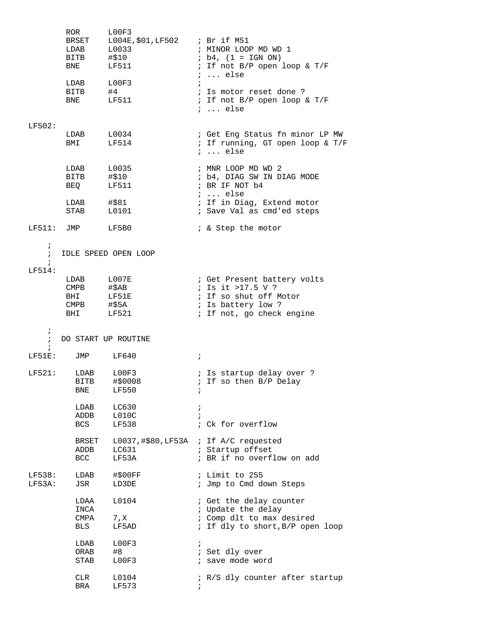|                                        | ROR<br>LDAB L0033<br>BITB<br>BNE                                     | LOOF3<br>BRSET L004E, \$01, LF502 ; Br if M51<br>#\$10<br>LF511 | ; MINOR LOOP MD WD 1<br>$; b4, (1 = IGN ON)$<br>; If not B/P open loop & T/F<br>$i \ldots$ else                               |
|----------------------------------------|----------------------------------------------------------------------|-----------------------------------------------------------------|-------------------------------------------------------------------------------------------------------------------------------|
|                                        | LDAB<br>BITB #4<br><b>BNE</b>                                        | L00F3<br>LF511                                                  | ; Is motor reset done ?<br>; If not B/P open loop & T/F<br>$i \ldots$ else                                                    |
| LF502:                                 | LDAB<br>BMI                                                          | L0034<br>LF514                                                  | ; Get Eng Status fn minor LP MW<br>; If running, GT open loop & T/F<br>$i \ldots$ else                                        |
|                                        | LDAB L0035<br>BITB #\$10<br><b>BEO</b>                               | LF511                                                           | ; MNR LOOP MD WD 2<br>; b4, DIAG SW IN DIAG MODE<br>; BR IF NOT b4<br>$i \ldots$ else                                         |
|                                        | LDAB<br>STAB                                                         | #\$81<br>L0101                                                  | ; If in Diag, Extend motor<br>; Save Val as cmd'ed steps                                                                      |
| $LF511:$ JMP                           |                                                                      | LF5B0                                                           | ; & Step the motor                                                                                                            |
| $\ddot{ }$<br>$\ddot{i}$<br>$\ddot{i}$ |                                                                      | IDLE SPEED OPEN LOOP                                            |                                                                                                                               |
| LF514:                                 | LDAB<br>$\mathop{\mathrm{CMPB}}$<br>BHI LF51E<br>$CMPB$ #\$5A<br>BHI | $_{\rm L007E}$<br>#\$AB<br>LF521                                | ; Get Present battery volts<br>; Is it >17.5 V ?<br>; If so shut off Motor<br>; Is battery low ?<br>; If not, go check engine |
| $\ddot{ }$<br>$\ddot{i}$               |                                                                      | DO START UP ROUTINE                                             |                                                                                                                               |
| $\ddot{i}$                             | LF51E: JMP                                                           | LF640                                                           | $\ddot{i}$                                                                                                                    |
| LF521:                                 | LDAB<br>BNE                                                          | LOOF3<br>BITB #\$0008<br>LF550                                  | ; Is startup delay over ?<br>; If so then B/P Delay<br>$\ddot{i}$                                                             |
|                                        | LDAB<br>ADDB<br>BCS                                                  | LC630<br>L010C<br>LF538                                         | $\ddot{i}$<br>$\ddot{i}$<br>; Ck for overflow                                                                                 |
|                                        | BRSET<br>ADDB<br>BCC                                                 | LC631<br>LF53A                                                  | L0037,#\$80, LF53A ; If A/C requested<br>; Startup offset<br>; BR if no overflow on add                                       |
| LF538:<br>LF53A:                       | LDAB<br>JSR                                                          | #\$00FF<br>LD3DE                                                | ; Limit to 255<br>; Jmp to Cmd down Steps                                                                                     |
|                                        | LDAA<br>INCA<br>CMPA<br>BLS                                          | L0104<br>7, X<br>LF5AD                                          | ; Get the delay counter<br>; Update the delay<br>; Comp dlt to max desired<br>; If dly to short, B/P open loop                |
|                                        | LDAB<br>ORAB<br>STAB                                                 | LOOF3<br>#8<br>LOOF3                                            | $\ddot{i}$<br>; Set dly over<br>; save mode word                                                                              |
|                                        | CLR<br>BRA                                                           | L0104<br>LF573                                                  | ; R/S dly counter after startup                                                                                               |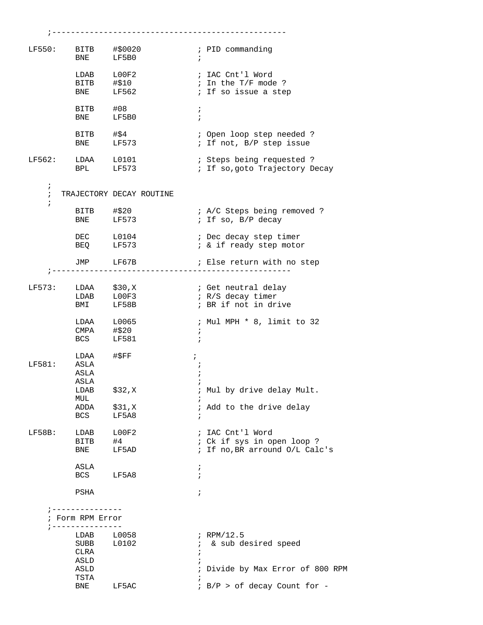| LF550:     | BITB #\$0020         |                                    | ; PID commanding                                                |
|------------|----------------------|------------------------------------|-----------------------------------------------------------------|
|            | BNE LF5B0            |                                    | $\ddot{i}$                                                      |
|            | LDAB L00F2           |                                    | ; IAC Cnt'l Word                                                |
|            |                      |                                    | ; In the T/F mode ?                                             |
|            | BITB #\$10           |                                    |                                                                 |
|            | <b>BNE</b>           | LF562                              | ; If so issue a step                                            |
|            | BITB #08             |                                    | $\ddot{r}$                                                      |
|            | <b>BNE</b>           | LF5B0                              | $\ddot{i}$                                                      |
|            |                      |                                    |                                                                 |
|            | BITB #\$4            |                                    | ; Open loop step needed ?                                       |
|            | BNE LF573            |                                    | ; If not, B/P step issue                                        |
|            |                      |                                    |                                                                 |
| LF562:     | LDAA L0101           |                                    | ; Steps being requested ?                                       |
|            | BPL LF573            |                                    | ; If so, goto Trajectory Decay                                  |
|            |                      |                                    |                                                                 |
| $\ddot{i}$ |                      |                                    |                                                                 |
| $\ddot{i}$ |                      | TRAJECTORY DECAY ROUTINE           |                                                                 |
| $\ddot{i}$ |                      |                                    |                                                                 |
|            | BITB #\$20           |                                    | ; A/C Steps being removed ?                                     |
|            | BNE LF573            |                                    | ; If so, B/P decay                                              |
|            |                      |                                    |                                                                 |
|            | DEC L0104            |                                    | ; Dec decay step timer                                          |
|            | BEQ LF573            |                                    | ; & if ready step motor                                         |
|            |                      |                                    |                                                                 |
|            | JMP LF67B            | ;--------------------------------- | ; Else return with no step<br>. _ _ _ _ _ _ _ _ _ _ _ _ _ _ _ _ |
|            |                      |                                    |                                                                 |
|            | $LF573: LDAA$ \$30,X |                                    | ; Get neutral delay                                             |
|            |                      | LDAB L00F3                         | ; R/S decay timer                                               |
|            |                      |                                    |                                                                 |
|            | <b>BMI</b>           | LF58B                              | ; BR if not in drive                                            |
|            | LDAA L0065           |                                    | ; Mul MPH * 8, limit to 32                                      |
|            | CMPA #\$20           |                                    | $\ddot{i}$                                                      |
|            | BCS LF581            |                                    | $\ddot{i}$                                                      |
|            |                      |                                    |                                                                 |
|            | LDAA                 | #SFF                               | $\ddot{ }$                                                      |
| LF581:     | ASLA                 |                                    |                                                                 |
|            | ASLA                 |                                    |                                                                 |
|            | ASLA                 |                                    |                                                                 |
|            | LDAB                 | \$32,K                             | ; Mul by drive delay Mult.                                      |
|            | MUL                  |                                    |                                                                 |
|            | ADDA                 | \$31, X                            | ; Add to the drive delay                                        |
|            | BCS                  | LF5A8                              | $\ddot{i}$                                                      |
|            |                      |                                    |                                                                 |
| LF58B:     | LDAB                 | LOOF2                              | ; IAC Cnt'l Word                                                |
|            | BITB                 | #4                                 | : Ck if sys in open loop ?                                      |
|            | BNE                  | LF5AD                              | ; If no, BR arround O/L Calc's                                  |
|            |                      |                                    |                                                                 |
|            | ASLA                 |                                    | ï                                                               |
|            | <b>BCS</b>           | LF5A8                              | $\ddot{i}$                                                      |
|            |                      |                                    |                                                                 |
|            | PSHA                 |                                    | $\ddot{i}$                                                      |
|            |                      |                                    |                                                                 |
|            | --------------       |                                    |                                                                 |
|            | ; Form RPM Error     |                                    |                                                                 |
|            | ; ---------------    |                                    |                                                                 |
|            | LDAB<br>SUBB         | L0058                              | $i$ RPM/12.5                                                    |
|            |                      | L0102                              | & sub desired speed<br>$\mathcal{L}$                            |
|            | CLRA                 |                                    |                                                                 |
|            | ASLD                 |                                    |                                                                 |
|            | ASLD                 |                                    | ; Divide by Max Error of 800 RPM                                |
|            | TSTA                 |                                    |                                                                 |
|            | BNE                  | LF5AC                              | ; B/P > of decay Count for -                                    |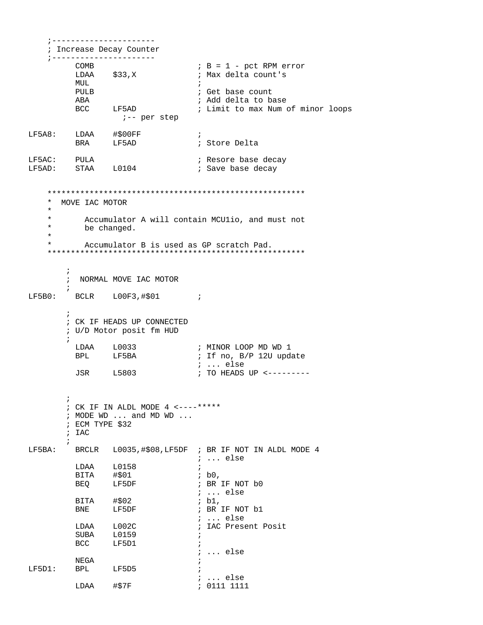```
; ________________________
   ; Increase Decay Counter
   ;---------------------
                               B = 1 - pct RPM error
        COMB
        LDAA $33,K; Max delta count's
        MUL
         PULB
                               ; Get base count
        ABA
                               ; Add delta to base
        BCC LF5AD
                               ; Limit to max Num of minor loops
                ;-- per step
LF5A8: LDAA #$00FF
                               \cdot \cdotBRA LF5AD
                               ; Store Delta
LF5AC: PULA<br>LF5AD: STAA L0104
                               ; Resore base decay
                               ; Save base decay
   * MOVE IAC MOTOR
   \star\starAccumulator A will contain MCUlio, and must not
    \starbe changed.
    \starAccumulator B is used as GP scratch Pad.
   \ddot{i}; NORMAL MOVE IAC MOTOR
LF5B0:BCLR L00F3,#$01 ;
       ; CK IF HEADS UP CONNECTED
       ; U/D Motor posit fm HUD
        LDAA L0033
                               ; MINOR LOOP MD WD 1
        BPL
              LF5BA
                               ; If no, B/P 12U update
                               ; ... else
        JSR
              L5803
                               ; TO HEADS UP <---------
       \mathcal{L}; CK IF IN ALDL MODE 4 \leftarrow---*****: MODE WD ... and MD WD ...
       ; ECM TYPE $32
       ; IAC
      \ddot{i}BRCLR L0035,#$08,LF5DF ; BR IF NOT IN ALDL MODE 4
LF5BA:
                               ; ... else
        LDAA L0158
                               \cdot:
                               ib0.BITA #$01
                               ; BR IF NOT b0
        BEQ
              LF5DF
                               : ... else
        BITA #$02<br>BNE LF5DF
                               ; b1,
                               ; BR IF NOT b1
                               ; ... else
        LDAA L002C; IAC Present Posit
         SUBA L0159
                               \cdot \cdotBCC LF5D1
                               \cdot ;
                               ; ... else
        NEGA
LF5D1: BPL LF5D5; ... else
        LDAA #$7F
                               : 0111 1111
```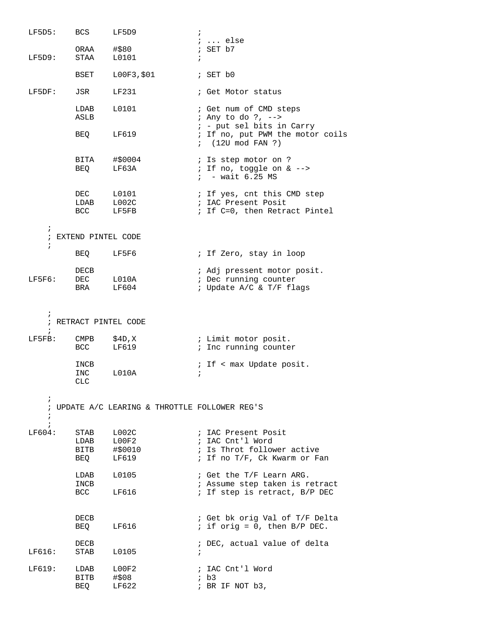| LF5D5:                   | BCS                      | LF5D9                                          | $\ddot{i}$                                                                |
|--------------------------|--------------------------|------------------------------------------------|---------------------------------------------------------------------------|
|                          |                          |                                                | $i \ldots$ else                                                           |
| LF5D9:                   | ORAA<br>STAA             | #\$80<br>L0101                                 | ; SET b7<br>$\ddot{i}$                                                    |
|                          | BSET                     | L00F3,\$01                                     | ; SET b0                                                                  |
| LF5DF:                   | JSR                      | LF231                                          | ; Get Motor status                                                        |
|                          | LDAB<br>ASLB             | L0101                                          | ; Get num of CMD steps<br>; Any to do ?, --><br>; - put sel bits in Carry |
|                          | BEQ                      | LF619                                          | ; If no, put PWM the motor coils<br>$(120 \mod \text{FAN} ?)$             |
|                          | BITA<br>BEQ              | #\$0004<br>LF63A                               | ; Is step motor on ?<br>; If no, toggle on & -->                          |
|                          |                          |                                                | $: -$ wait 6.25 MS                                                        |
|                          | DEC                      | L0101                                          | ; If yes, cnt this CMD step                                               |
|                          | LDAB                     | L002C                                          | ; IAC Present Posit                                                       |
|                          | <b>BCC</b>               | LF5FB                                          | ; If C=0, then Retract Pintel                                             |
| $\ddot{i}$               | ; EXTEND PINTEL CODE     |                                                |                                                                           |
| $\ddot{i}$               |                          |                                                |                                                                           |
|                          | BEQ                      | LF5F6                                          | ; If Zero, stay in loop                                                   |
|                          | DECB                     |                                                | ; Adj pressent motor posit.                                               |
| LF5F6:                   | DEC                      | L010A                                          | ; Dec running counter                                                     |
|                          | BRA                      | LF604                                          | ; Update A/C & T/F flags                                                  |
|                          |                          |                                                |                                                                           |
| $\ddot{i}$               | ; RETRACT PINTEL CODE    |                                                |                                                                           |
| $\ddot{i}$               |                          |                                                |                                                                           |
| LF5FB:                   | $\mathop{\mathrm{CMPB}}$ | \$4D,X                                         | ; Limit motor posit.                                                      |
|                          | <b>BCC</b>               | LF619                                          | ; Inc running counter                                                     |
|                          | INCB                     |                                                | ; If < max Update posit.                                                  |
|                          | INC                      | L010A                                          | $\ddot{i}$                                                                |
|                          | CLC                      |                                                |                                                                           |
| $\ddot{ }$               |                          |                                                |                                                                           |
|                          |                          | ; UPDATE A/C LEARING & THROTTLE FOLLOWER REG'S |                                                                           |
| $\ddot{i}$<br>$\ddot{i}$ |                          |                                                |                                                                           |
| LF604:                   | STAB                     | L002C                                          | ; IAC Present Posit                                                       |
|                          | LDAB                     | L00F2                                          | ; IAC Cnt'l Word                                                          |
|                          | BITB                     | #\$0010                                        | ; Is Throt follower active                                                |
|                          | BEQ                      | LF619                                          | ; If no T/F, Ck Kwarm or Fan                                              |
|                          | LDAB<br>INCB             | L0105                                          | ; Get the T/F Learn ARG.<br>; Assume step taken is retract                |
|                          | BCC                      | LF616                                          | ; If step is retract, B/P DEC                                             |
|                          |                          |                                                |                                                                           |
|                          | DECB                     |                                                | ; Get bk orig Val of T/F Delta                                            |
|                          | BEQ                      | LF616                                          | ; if orig = $0$ , then $B/P$ DEC.                                         |
|                          | DECB                     |                                                | ; DEC, actual value of delta                                              |
| LF616:                   | STAB                     | L0105                                          | $\ddot{i}$                                                                |
| LF619:                   | LDAB                     | L00F2                                          | ; IAC Cnt'l Word                                                          |
|                          | BITB                     | #\$08                                          | $;$ b3                                                                    |
|                          | BEQ                      | LF622                                          | ; BR IF NOT b3,                                                           |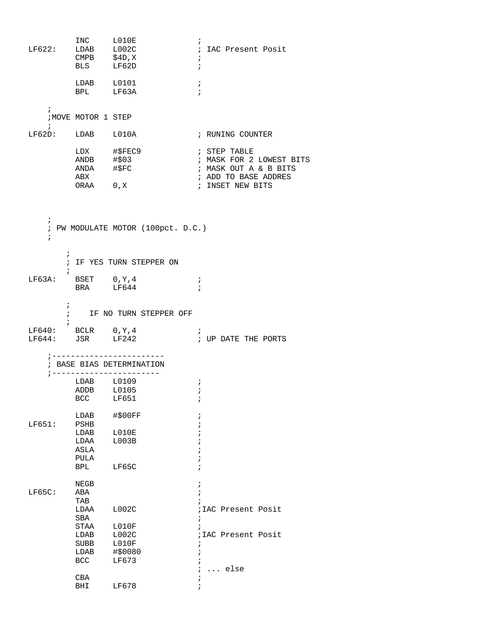| $LF622:$ $LDAB$ $L002C$                       | INC LO10E<br>CMPB      \$4D,X<br>BLS       LF62D           | LF62D                                                  | $\ddot{ }$<br>; IAC Present Posit<br>$\ddot{ }$<br>$\ddot{i}$                             |
|-----------------------------------------------|------------------------------------------------------------|--------------------------------------------------------|-------------------------------------------------------------------------------------------|
|                                               | LDAB L0101<br>BPL LF63A                                    |                                                        | $\ddot{i}$<br>$\ddot{ }$                                                                  |
| $\ddot{ }$<br>$\ddot{i}$                      | <b>NOVE MOTOR 1 STEP</b>                                   |                                                        |                                                                                           |
| LF62D: LDAB L010A                             |                                                            |                                                        | ; RUNING COUNTER                                                                          |
|                                               | LDX #\$FEC9<br>ANDB #\$03<br>ANDA #\$FC<br>ABX             |                                                        | ; STEP TABLE<br>; MASK FOR 2 LOWEST BITS<br>; MASK OUT A & B BITS<br>; ADD TO BASE ADDRES |
|                                               | ORAA 0, X                                                  |                                                        | ; INSET NEW BITS                                                                          |
| i.<br>$\ddot{i}$                              |                                                            | ; PW MODULATE MOTOR (100pct. D.C.)                     |                                                                                           |
| $\ddot{i}$<br>$\ddot{i}$                      |                                                            | ; IF YES TURN STEPPER ON                               |                                                                                           |
| $LF63A:$ BSET $0, Y, 4$                       | BRA LF644                                                  |                                                        | $\ddot{i}$<br>$\ddot{i}$                                                                  |
| i.<br>$\ddot{i}$                              |                                                            | : IF NO TURN STEPPER OFF                               |                                                                                           |
| LF640: BCLR $0, Y, 4$<br>$LF644:$ JSR $LF242$ |                                                            |                                                        | $\ddot{i}$<br>; UP DATE THE PORTS                                                         |
|                                               |                                                            | ; BASE BIAS DETERMINATION<br>; ----------------------- |                                                                                           |
|                                               | LDAB L0109<br>ADDB<br><b>BCC</b>                           | L0105<br>LF651                                         | $\ddot{i}$<br>i.<br>$\ddot{i}$                                                            |
| LF651:                                        | LDAB<br>PSHB<br>LDAB<br>LDAA<br>ASLA<br>PULA<br><b>BPL</b> | #\$00FF<br>L010E<br>L003B<br>LF65C                     | i<br>$\dot{.}$                                                                            |
| $LF65C$ :                                     | ${\tt NEGB}$<br>ABA<br>TAB<br>LDAA<br>SBA                  | L002C                                                  | $\ddot{i}$<br>$\ddot{i}$<br>; IAC Present Posit<br>÷                                      |
|                                               | STAA<br>LDAB<br>SUBB<br>LDAB<br><b>BCC</b>                 | L010F<br>L002C<br>L010F<br>#\$0080<br>LF673            | $\ddot{i}$<br>; IAC Present Posit<br>$\ddot{ }$<br>$\cdot$                                |
|                                               | CBA<br>BHI                                                 | LF678                                                  | else<br>÷                                                                                 |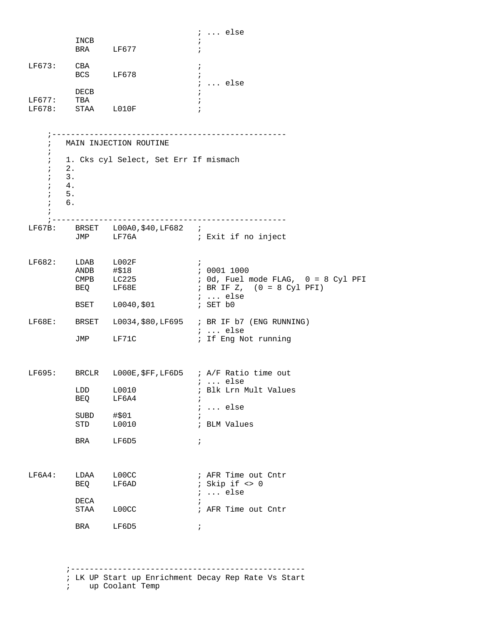|                                                                                                  | INCB<br>BRA LF677                         |                                                                 | $i \ldots$ else                                                                                                                                       |
|--------------------------------------------------------------------------------------------------|-------------------------------------------|-----------------------------------------------------------------|-------------------------------------------------------------------------------------------------------------------------------------------------------|
| $LF673:$ CBA                                                                                     | BCS LF678                                 |                                                                 | ÷<br>$\ddot{i}$                                                                                                                                       |
| LF677: TBA                                                                                       | DECB<br>LF678: STAA L010F                 |                                                                 | $i \ldots$ else                                                                                                                                       |
| $\ddot{i}$<br>$\ddot{ }$<br>$\ddot{i}$<br>$\ddot{i}$<br>$\ddot{i}$<br>$\ddot{i}$<br>$\mathbf{r}$ | 2.<br>3.<br>4.<br>5.<br>$\mathfrak{c}$ 6. | MAIN INJECTION ROUTINE<br>1. Cks cyl Select, Set Err If mismach |                                                                                                                                                       |
|                                                                                                  |                                           | LF67B: BRSET L00A0, \$40, LF682 ;<br>JMP LF76A                  | ; Exit if no inject                                                                                                                                   |
| LF682:                                                                                           | ANDB #\$18<br>BEQ LF68E                   | LDAB L002F<br>CMPB LC225<br>BSET L0040, \$01                    | $\mathcal{L}$<br>; 0001 1000<br>; Od, Fuel mode FLAG, 0 = 8 Cyl PFI<br>; BR IF Z, (0 = 8 Cyl PFI)<br>$i \ldots$ else<br>; SET b0                      |
|                                                                                                  |                                           | JMP LF71C                                                       | LF68E: BRSET L0034, \$80, LF695 ; BR IF b7 (ENG RUNNING)<br>$: $ else<br>; If Eng Not running                                                         |
|                                                                                                  | LDD<br>BEQ<br>SUBD<br>STD<br>BRA          | L0010<br>LF6A4<br>#\$01<br>L0010<br>LF6D5                       | LF695: BRCLR L000E, \$FF, LF6D5 ; A/F Ratio time out<br>;  else<br>; Blk Lrn Mult Values<br>$\ldots$ else<br>$\ddot{i}$<br>; BLM Values<br>$\ddot{ }$ |
| LF6A4:                                                                                           | LDAA<br>BEQ<br>DECA<br>STAA               | LOOCC<br>LF6AD<br>L00CC                                         | ; AFR Time out Cntr<br>; Skip if $\langle \rangle$ 0<br>$i \ldots$ else<br>; AFR Time out Cntr                                                        |
|                                                                                                  | BRA                                       | LF6D5                                                           | $\ddot{i}$                                                                                                                                            |

: LK UP Start up Enrichment Decay Rep Rate Vs Start<br>: up Coolant Temp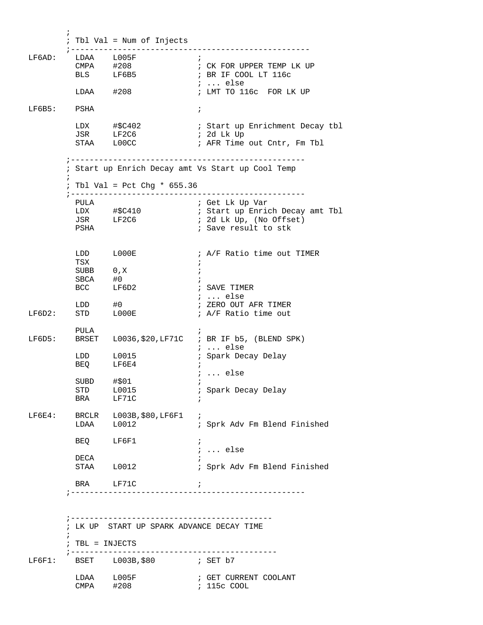$\mathcal{L}^{\text{max}}_{\text{max}}$  ; Tbl Val = Num of Injects ;--------------------------------------------------- LF6AD: LDAA L005F<br>CMPA #208<br>BLS LF6B5 ;<br>; CK FOR UPPER TEMP LK UP ; BR IF COOL LT  $116c$  ; ... else ; LMT TO 116c FOR LK UP LF6B5: PSHA ; LDX #\$C402 : Start up Enrichment Decay tbl<br>
JSR LF2C6 ; 2d Lk Up JSR LF2C6 ; 2d Lk Up<br>STAA L00CC ; AFR Time ; AFR Time out Cntr, Fm Tbl ;-------------------------------------------------- ; Start up Enrich Decay amt Vs Start up Cool Temp  $\mathcal{L}^{\text{max}}_{\text{max}}$  ; Tbl Val = Pct Chg \* 655.36 ;-------------------------------------------------- PULA ; Get Lk Up Var ; Start up Enrich Decay amt Tbl JSR LF2C6 : 2d Lk Up, (No Offset)<br>PSHA : Save result to stk ; Save result to stk LDD L000E : A/F Ratio time out TIMER TSX  $\qquad \qquad ;$ SUBB 0, X ;  $SBCA$   $\#0$  ; BCC LF6D2 ; SAVE TIMER ; ... else<br>; ZERO OUT AFR TIMER LDD #0  $\qquad$  ; ZERO OUT AFR TIMER LF6D2: STD L000E : A/F Ratio time out PULA ; LF6D5: BRSET L0036,\$20,LF71C ; BR IF b5, (BLEND SPK) ; ... else ; Spark Decay Delay LDD L0015<br>BEQ LF6E4 ; ... else  $\begin{tabular}{lllllll} \multicolumn{2}{c}{\text{SUBD}} & $\# \hat{\diamond} \, 01$ & $\quad \colon$ \\ \multicolumn{2}{c}{\text{STD}} & $\quad \text{L0015} & $\quad \colon$ \\ \multicolumn{2}{c}{\text{STD}} & $\quad \text{L0015} & $\quad \colon$ \\ \multicolumn{2}{c}{\text{STD}} & $\quad \text{L0015} & $\quad \colon$ \\ \multicolumn{2}{c}{\text{STD}} & $\quad \text{L0015} & $\quad \colon$ \\ \multicolumn{2}{c}{\text{STD}} & $\quad \text{L0015} & $\quad \colon$ \\ \multicolumn{2}{$ ; Spark Decay Delay BRA LF71C LF6E4: BRCLR L003B,\$80,LF6F1 ; LDAA L0012 ; Sprk Adv Fm Blend Finished BEQ LF6F1 ; ... else DECA ;<br>STAA L0012 ; ; Sprk Adv Fm Blend Finished BRA LF71C ; ;-------------------------------------------------- ;------------------------------------------- ; LK UP START UP SPARK ADVANCE DECAY TIME  $\mathcal{L}^{\text{max}}$  ; TBL = INJECTS ;--------------------------------------------  $LF6F1:$  BSET  $L003B, $80$ ; GET CURRENT COOLANT<br>; 115c COOL LDAA L005F<br>CMPA #208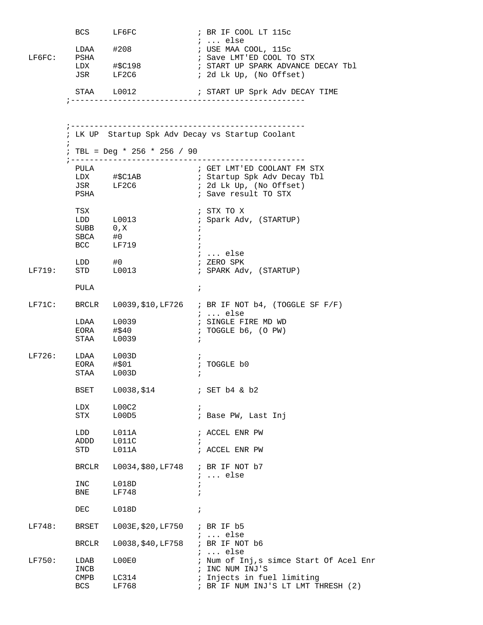|        |              | BCS LF6FC                         | ; BR IF COOL LT 115c<br>$: $ else                                           |
|--------|--------------|-----------------------------------|-----------------------------------------------------------------------------|
| LF6FC: |              | $LDAA$ $#208$                     | ; USE MAA COOL, 115c                                                        |
|        | PSHA         |                                   | ; Save LMT'ED COOL TO STX                                                   |
|        |              |                                   | ; START UP SPARK ADVANCE DECAY Tbl                                          |
|        |              | JSR LF2C6                         | ; 2d Lk Up, (No Offset)                                                     |
|        |              | STAA L0012                        | ; START UP Sprk Adv DECAY TIME                                              |
|        |              |                                   |                                                                             |
|        |              |                                   |                                                                             |
|        |              |                                   | _______________________<br>; LK UP Startup Spk Adv Decay vs Startup Coolant |
|        | $\ddot{i}$   | ; TBL = Deg * 256 * 256 / 90      |                                                                             |
|        | PULA         |                                   | ; GET LMT'ED COOLANT FM STX                                                 |
|        |              | LDX #\$C1AB<br>JSR LF2C6          | ; Startup Spk Adv Decay Tbl                                                 |
|        |              |                                   | ; 2d Lk Up, (No Offset)                                                     |
|        | PSHA         |                                   | ; Save result TO STX                                                        |
|        | TSX          |                                   | ; STX TO X                                                                  |
|        |              | LDD L0013<br>SUBB 0,X             | ; Spark Adv, (STARTUP)                                                      |
|        | SBCA #0      |                                   | $\ddot{ }$<br>$\ddot{i}$                                                    |
|        |              | BCC LF719                         |                                                                             |
|        |              |                                   | $\ldots$ else                                                               |
|        |              | LDD $\#0$                         | ; ZERO SPK                                                                  |
| LF719: |              | STD L0013                         | ; SPARK Adv, (STARTUP)                                                      |
|        | PULA         |                                   | $\ddot{i}$                                                                  |
|        |              |                                   | LF71C: BRCLR $L0039, $10, LF726$ ; BR IF NOT b4, (TOGGLE SF F/F)            |
|        |              | LDAA L0039                        | $i \dots$ else<br>; SINGLE FIRE MD WD                                       |
|        |              | $EORA$ $\#540$                    | ; TOGGLE b6, (O PW)                                                         |
|        |              | STAA L0039                        | $\ddot{i}$                                                                  |
| LF726: |              | LDAA L003D                        | $\ddot{i}$                                                                  |
|        |              | EORA #\$01                        | ; TOGGLE b0                                                                 |
|        |              | STAA L003D                        |                                                                             |
|        | BSET         | L0038,\$14                        | $:$ SET $b4$ & $b2$                                                         |
|        | LDX          | L00C2                             | $\ddot{i}$                                                                  |
|        | STX          | L00D5                             | ; Base PW, Last Inj                                                         |
|        | LDD          | L011A                             | ; ACCEL ENR PW                                                              |
|        | ADDD         | L011C                             | $\ddot{i}$                                                                  |
|        | STD          | L011A                             | ; ACCEL ENR PW                                                              |
|        | BRCLR        | L0034, \$80, LF748 ; BR IF NOT b7 |                                                                             |
|        | INC          | L018D                             | $\ldots$ else<br>$\ddot{i}$                                                 |
|        | BNE          | LF748                             | $\ddot{i}$                                                                  |
|        | DEC          | L018D                             | $\ddot{ }$                                                                  |
|        |              |                                   |                                                                             |
| LF748: | BRSET        | L003E, \$20, LF750                | ; BR IF b5<br>$i \ldots$ else                                               |
|        | BRCLR        | L0038, \$40, LF758                | ; BR IF NOT b6                                                              |
| LF750: |              | L00E0                             | $i \ldots$ else<br>; Num of Inj,s simce Start Of Acel Enr                   |
|        | LDAB<br>INCB |                                   | ; INC NUM INJ'S                                                             |
|        | CMPB         | LC314                             | ; Injects in fuel limiting                                                  |
|        | BCS          | LF768                             | ; BR IF NUM INJ'S LT LMT THRESH (2)                                         |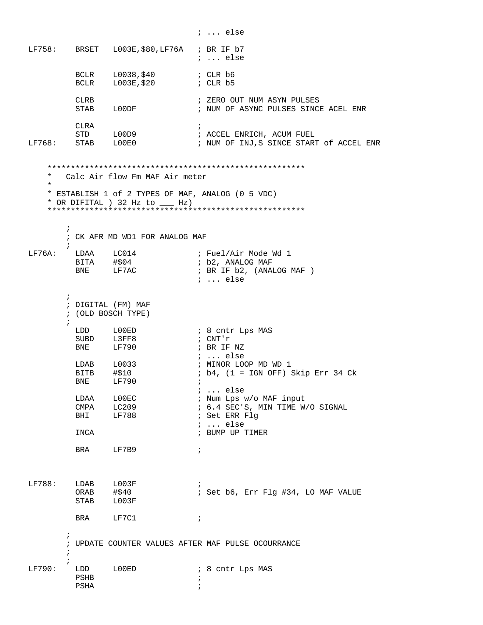$i \ldots$  else BRSET L003E, \$80, LF76A ; BR IF b7 LF758: ; ... else  $BCLR$   $L003E$ , \$20 <br>BCLR  $L003E$ , \$20 ; CLR  $hE$ ; ZERO OUT NUM ASYN PULSES CLRB CLRB<br>STAB L00DF ; NUM OF ASYNC PULSES SINCE ACEL ENR CLRA  $\overrightarrow{i}$ .<br>; ACCEL ENRICH, ACUM FUEL :<br>: NUM OF INJ S SINCE STAP STD L00D9  $LF768:$  STAB  $L00E0$ ; NUM OF INJ, S SINCE START of ACCEL ENR \* Calc Air flow Fm MAF Air meter  $\star$ \* ESTABLISH 1 of 2 TYPES OF MAF, ANALOG (0 5 VDC) \* OR DIFITAL ) 32 Hz to \_\_\_\_ Hz)  $\mathcal{L}$ ; CK AFR MD WD1 FOR ANALOG MAF  $\ddot{i}$ LF76A: LDAA LC014<br>BITA #\$04<br>BNE LF7AC ; Fuel/Air Mode Wd 1 ; b2, ANALOG MAF ; BR IF b2, (ANALOG MAF)  $i$  ... else  $\ddot{i}$ ; DIGITAL (FM) MAF ; (OLD BOSCH TYPE)  $\ddot{i}$ LDD  $LOOED$ ; 8 cntr Lps MAS  $: CNT' r$ SUBD L3FF8 BNE LF790 ; BR IF NZ ; ... else  $LDAB$   $L0033$ ; MINOR LOOP MD WD 1 BITB #\$10<br>BNE LF790 ; b4, (1 = IGN OFF) Skip Err 34 Ck  $\cdot$ : ; ... else LDAA LOOEC<br>CMPA LC209<br>BHI LF788 ; Num Lps w/o MAF input ; 6.4 SEC'S, MIN TIME W/O SIGNAL ; Set ERR Flg  $: ...$  else ; BUMP UP TIMER INCA BRA LF7B9  $\cdot$  ;  $LF788:$  LDAB  $L003F$ ;<br>; Set b6, Err Flg #34, LO MAF VALUE ORAB #\$40 STAB L003F **BRA** LF7C1  $\cdot$   $\cdot$ ; UPDATE COUNTER VALUES AFTER MAF PULSE OCOURRANCE  $LF790:$ LDD LOOED : 8 cntr Lps MAS PSHB  $\cdot$ : PSHA  $\ddot{i}$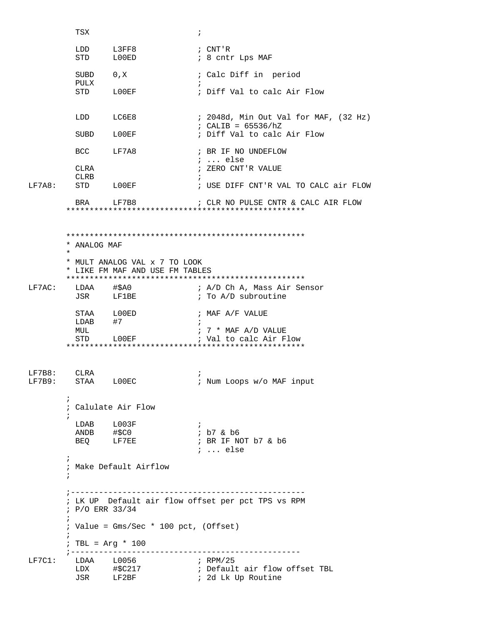|                  | TSX                                                                                            |                                                                  | $\ddot{ }$                                                      |  |  |  |
|------------------|------------------------------------------------------------------------------------------------|------------------------------------------------------------------|-----------------------------------------------------------------|--|--|--|
|                  | LDD<br>STD                                                                                     | L3FF8<br>L00ED                                                   | ; CNT'R<br>; 8 cntr Lps MAF                                     |  |  |  |
|                  | SUBD                                                                                           | 0, X                                                             | ; Calc Diff in period                                           |  |  |  |
|                  | PULX                                                                                           | STD LOOEF                                                        | $\ddot{ }$<br>; Diff Val to calc Air Flow                       |  |  |  |
|                  |                                                                                                | LDD LC6E8                                                        | ; 2048d, Min Out Val for MAF, (32 Hz)<br>; CALIB = $65536/hZ$   |  |  |  |
|                  |                                                                                                | SUBD LOOEF                                                       | ; Diff Val to calc Air Flow                                     |  |  |  |
|                  |                                                                                                | BCC LF7A8                                                        | ; BR IF NO UNDEFLOW<br>$i \ldots$ else                          |  |  |  |
|                  | CLRA<br>CLRB                                                                                   |                                                                  | ; ZERO CNT'R VALUE                                              |  |  |  |
| LF7A8:           |                                                                                                | STD LOOEF                                                        | ; USE DIFF CNT'R VAL TO CALC air FLOW                           |  |  |  |
|                  |                                                                                                | BRA LF7B8                                                        | ; CLR NO PULSE CNTR & CALC AIR FLOW                             |  |  |  |
|                  | * ANALOG MAF<br>$\star$                                                                        | * MULT ANALOG VAL x 7 TO LOOK<br>* LIKE FM MAF AND USE FM TABLES |                                                                 |  |  |  |
| LF7AC:           |                                                                                                | LDAA #\$A0<br>JSR LF1BE                                          | ; A/D Ch A, Mass Air Sensor<br>; To A/D subroutine              |  |  |  |
|                  | $LDAB$ #7                                                                                      | STAA LOOED                                                       | ; MAF A/F VALUE<br>$\ddot{i}$                                   |  |  |  |
|                  | MUL                                                                                            | STD LOOEF                                                        | $: 7 * MAF A/D VALUE$<br>; Val to calc Air Flow                 |  |  |  |
| LF7B8:<br>LF7B9: | CLRA                                                                                           | STAA LOOEC                                                       | $\ddot{ }$<br>; Num Loops w/o MAF input                         |  |  |  |
|                  | $\ddot{i}$                                                                                     | ; Calulate Air Flow                                              |                                                                 |  |  |  |
|                  | $\ddot{i}$                                                                                     | LDAB L003F<br>ANDB #\$C0<br>BEQ LF7EE                            | $\ddot{i}$<br>; b7 & b6<br>; BR IF NOT b7 & b6<br>$i$ else      |  |  |  |
|                  | $\ddot{i}$<br>; Make Default Airflow<br>$\ddot{i}$                                             |                                                                  |                                                                 |  |  |  |
|                  | _____________________<br>; LK UP Default air flow offset per pct TPS vs RPM<br>; P/O ERR 33/34 |                                                                  |                                                                 |  |  |  |
|                  | $\ddot{i}$<br>$:$ Value = Gms/Sec * 100 pct, (Offset)<br>$\ddot{i}$                            |                                                                  |                                                                 |  |  |  |
|                  | ; --------------                                                                               | ; TBL = $Arg * 100$                                              |                                                                 |  |  |  |
| LF7C1:           |                                                                                                | LDAA L0056<br>LDX #\$C217<br>JSR LF2BF                           | ; RPM/25<br>; Default air flow offset TBL<br>; 2d Lk Up Routine |  |  |  |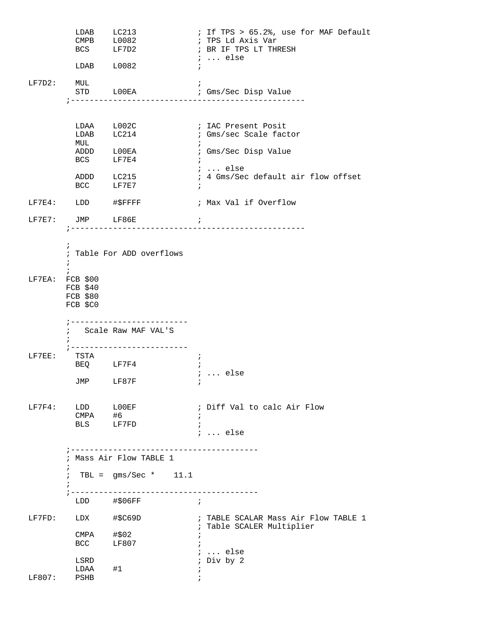|        | LDAB L0082                                                                                             | LDAB LC213<br>CMPB L0082<br>BCS LF7D2                                                                          | ; If TPS > 65.2%, use for MAF Default<br>; TPS Ld Axis Var<br>; BR IF TPS LT THRESH<br>$i \ldots$ else<br>$\ddot{i}$                                                      |
|--------|--------------------------------------------------------------------------------------------------------|----------------------------------------------------------------------------------------------------------------|---------------------------------------------------------------------------------------------------------------------------------------------------------------------------|
| LF7D2: | MUL                                                                                                    |                                                                                                                | STD LOOEA : Gms/Sec Disp Value                                                                                                                                            |
|        | MUL<br>BCS LF7E4                                                                                       | LDAA L002C<br>LDAB LC214<br>ADDD LOOEA<br>ADDD LC215<br>BCC LF7E7                                              | ; IAC Present Posit<br>; Gms/sec Scale factor<br>$\ddot{i}$<br>; Gms/Sec Disp Value<br>$\ddot{i}$<br>$i \ldots$ else<br>; 4 Gms/Sec default air flow offset<br>$\ddot{i}$ |
|        | LF7E4: LDD #\$FFFF                                                                                     |                                                                                                                | ; Max Val if Overflow                                                                                                                                                     |
|        | LF7E7: JMP LF86E                                                                                       | $\ddot{i}$                                                                                                     |                                                                                                                                                                           |
|        | $\ddot{ }$<br>$\ddot{i}$<br>$\ddot{i}$<br>LF7EA: FCB \$00<br>$FCB$ \$40<br><b>FCB \$80</b><br>FCB \$C0 | ; Table For ADD overflows                                                                                      |                                                                                                                                                                           |
| LF7EE: | TSTA                                                                                                   | ; --------------------------<br>; Scale Raw MAF VAL'S<br>; -------------------------<br>BEQ LF7F4<br>JMP LF87F | $\cdot$<br>$\ddot{i}$<br>$i \ldots$ else                                                                                                                                  |
| LF7F4: | LDD LOOEF<br>CMPA #6<br>BLS LF7FD                                                                      |                                                                                                                | ; Diff Val to calc Air Flow<br>$\ddot{i}$<br>$\ddot{i}$<br>$i \ldots$ else                                                                                                |
|        | $\ddot{ }$<br>$\ddot{i}$                                                                               | ; Mass Air Flow TABLE 1<br>; TBL = $gms/Sec * 11.1$                                                            |                                                                                                                                                                           |
|        |                                                                                                        | LDD #\$06FF<br>$\mathcal{L}$ , and the state $\mathcal{L}$                                                     |                                                                                                                                                                           |
|        | LF7FD: LDX #\$C69D                                                                                     |                                                                                                                | ; TABLE SCALAR Mass Air Flow TABLE 1                                                                                                                                      |
|        | $CMPA$ #\$02<br><b>BCC</b>                                                                             | LF807                                                                                                          | ; Table SCALER Multiplier<br>$\ddot{i}$                                                                                                                                   |
| LF807: | LSRD<br>LDAA #1<br>PSHB                                                                                |                                                                                                                | $i \ldots$ else<br>; Div by 2<br>$\ddot{i}$<br>$\ddot{i}$                                                                                                                 |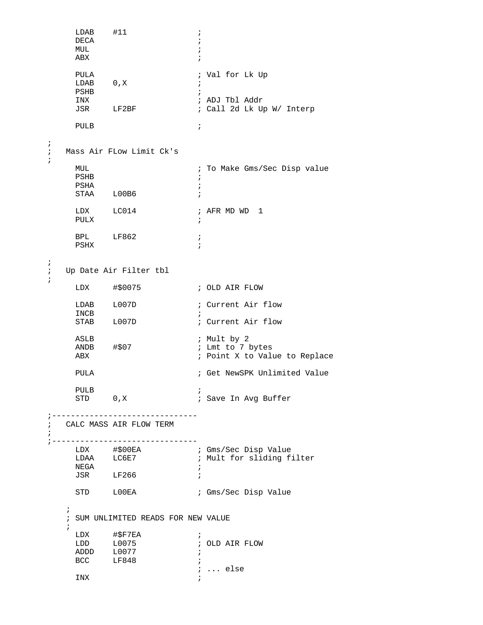```
 LDAB #11 ; 
      DECA ;<br>MUL ;
MUL \qquad \qquad ;ABX \qquad \qquad ; PULA ; Val for Lk Up 
          \begin{array}{ccc} 0 \text{ , } \text{X} & & \text{ } & \text{ } & \text{ } \\ \end{array} PSHB ; 
       INX ; ADJ Tbl Addr 
                        ; Call 2d Lk Up W/ Interp
       PULB ; 
   ;
   ; Mass Air FLow Limit Ck's 
   ;
      MUL MUL in the Make Gms/Sec Disp value
       PSHB ; 
       PSHA ; 
      STAA L00B6
      LDX LC014 ; AFR MD WD 1
       PULX ; 
      BPL LF862 ;
      PSHX \qquad \qquad ; ;
   ; Up Date Air Filter tbl 
   ;
       LDX #$0075 ; OLD AIR FLOW
      LDAB L007D ; Current Air flow
       INCB ; 
      STAB L007D
       ASLB ; Mult by 2 
                        ; Lmt to 7 bytes
      ABX \qquad \qquad ; Point X to Value to Replace
      PULA \qquad \qquad ; Get NewSPK Unlimited Value
      PULB \begin{array}{ccc} 0 & X \\ \end{array} ;
      STD 0, X \qquad \qquad ; Save In Avg Buffer
  ;-------------------------------
   ; CALC MASS AIR FLOW TERM 
   ;
  ;--------------------------------
LDX #$00EA ; Gms/Sec Disp Value
LDAA LC6E7 : Mult for sliding filter
 NEGA ; 
 JSR LF266 ; 
      STD LOOEA ; Gms/Sec Disp Value
      ; 
      ; SUM UNLIMITED READS FOR NEW VALUE 
\mathcal{L}^{\text{max}} LDX #$F7EA ; 
       LDD L0075 ; OLD AIR FLOW
       ADDD L0077 ; 
      BCC LF848 ;
       ; ... else
INX \qquad \qquad ;
```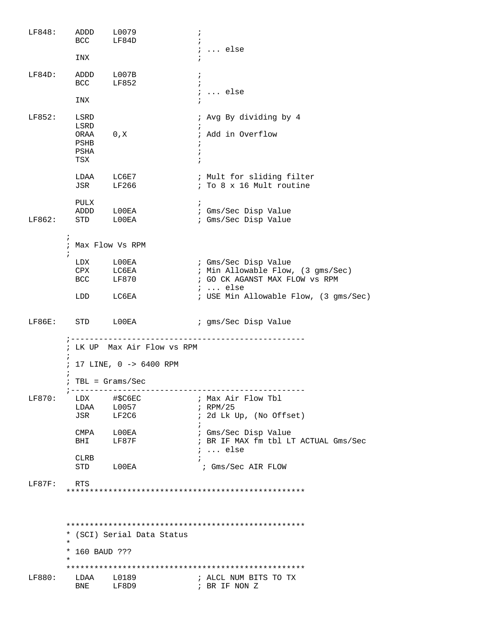| LF848: | ADDD<br><b>BCC</b>                    | L0079<br>LF84D              | $\ddot{ }$<br>$\ddot{i}$ |                                                                     |  |  |
|--------|---------------------------------------|-----------------------------|--------------------------|---------------------------------------------------------------------|--|--|
|        |                                       |                             |                          | $i \ldots$ else                                                     |  |  |
|        | INX                                   |                             | $\ddot{i}$               |                                                                     |  |  |
| LF84D: |                                       | ADDD L007B                  | $\ddot{ }$               |                                                                     |  |  |
|        | <b>BCC</b>                            | LF852                       | $\ddot{i}$               | $i \ldots$ else                                                     |  |  |
|        | INX                                   |                             |                          |                                                                     |  |  |
| LF852: | LSRD                                  |                             |                          | ; Avg By dividing by 4                                              |  |  |
|        | LSRD<br>ORAA                          | 0, X                        | $\ddot{i}$               | ; Add in Overflow                                                   |  |  |
|        | PSHB                                  |                             | $\ddot{ }$               |                                                                     |  |  |
|        | PSHA<br>TSX                           |                             | $\ddot{i}$<br>$\ddot{i}$ |                                                                     |  |  |
|        |                                       |                             |                          |                                                                     |  |  |
|        | LDAA<br>JSR                           | LC6E7<br>LF266              |                          | ; Mult for sliding filter<br>; To 8 x 16 Mult routine               |  |  |
|        |                                       |                             |                          |                                                                     |  |  |
|        | PULX                                  | ADDD LOOEA                  | $\ddot{i}$               | ; Gms/Sec Disp Value                                                |  |  |
| LF862: |                                       | STD LOOEA                   |                          | ; Gms/Sec Disp Value                                                |  |  |
|        | $\ddot{i}$                            |                             |                          |                                                                     |  |  |
|        | $\ddot{i}$                            | ; Max Flow Vs RPM           |                          |                                                                     |  |  |
|        |                                       | LDX LOOEA                   |                          | ; Gms/Sec Disp Value                                                |  |  |
|        | BCC                                   | CPX LC6EA<br>LF870          |                          | ; Min Allowable Flow, (3 gms/Sec)<br>; GO CK AGANST MAX FLOW VS RPM |  |  |
|        |                                       |                             |                          | $i \ldots$ else                                                     |  |  |
|        |                                       | LDD LC6EA                   |                          | ; USE Min Allowable Flow, (3 gms/Sec)                               |  |  |
| LF86E: |                                       | STD LOOEA                   |                          | ; gms/Sec Disp Value                                                |  |  |
|        |                                       |                             |                          |                                                                     |  |  |
|        |                                       | ; LK UP Max Air Flow vs RPM |                          |                                                                     |  |  |
|        | 17 LINE, 0 -> 6400 RPM<br>$\ddot{i}$  |                             |                          |                                                                     |  |  |
|        |                                       | $TBL = Grass/Sec$           |                          |                                                                     |  |  |
| LF870: | $7 - - - - - - - - -$                 | LDX #\$C6EC                 |                          | ; Max Air Flow Tbl                                                  |  |  |
|        | LDAA<br>JSR                           | L0057<br>LF2C6              |                          | ; $RPM/25$<br>; 2d Lk Up, (No Offset)                               |  |  |
|        |                                       |                             | $\ddot{i}$               |                                                                     |  |  |
|        | BHI                                   | CMPA LOOEA<br>LF87F         |                          | ; Gms/Sec Disp Value<br>; BR IF MAX fm tbl LT ACTUAL Gms/Sec        |  |  |
|        |                                       |                             |                          | $i \ldots$ else                                                     |  |  |
|        | CLRB                                  | STD LOOEA                   |                          | ; Gms/Sec AIR FLOW                                                  |  |  |
| LF87F: | RTS                                   |                             |                          |                                                                     |  |  |
|        |                                       |                             |                          |                                                                     |  |  |
|        |                                       |                             |                          |                                                                     |  |  |
|        |                                       |                             |                          |                                                                     |  |  |
|        | * (SCI) Serial Data Status<br>$\star$ |                             |                          |                                                                     |  |  |
|        | * 160 BAUD ???                        |                             |                          |                                                                     |  |  |
|        | *                                     |                             |                          |                                                                     |  |  |
| LF880: | LDAA                                  | L0189                       |                          | ; ALCL NUM BITS TO TX                                               |  |  |
|        | BNE                                   | LF8D9                       |                          | ; BR IF NON Z                                                       |  |  |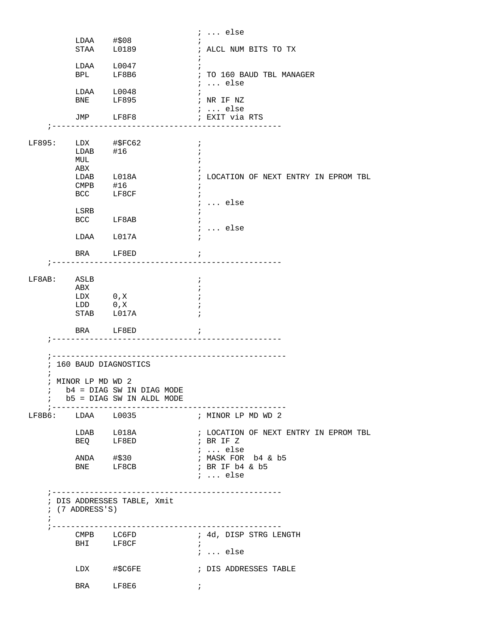|            | $LDAA$ #\$08                     |                                                            | $i \ldots$ else                                                                     |
|------------|----------------------------------|------------------------------------------------------------|-------------------------------------------------------------------------------------|
|            |                                  | STAA L0189                                                 | ; ALCL NUM BITS TO TX<br>$\ddot{i}$                                                 |
|            |                                  | $LDAA$ $L0047$<br>BPL LF8B6                                | $\ddot{i}$<br>; TO 160 BAUD TBL MANAGER<br>$i \ldots$ else                          |
|            |                                  | LDAA L0048<br>BNE LF895                                    | ; NR IF NZ                                                                          |
|            |                                  | JMP LF8F8                                                  | $i \ldots$ else<br>; EXIT via RTS                                                   |
| LF895:     |                                  |                                                            | $\overline{\phantom{a}}$<br>$\cdot$                                                 |
|            | MUL<br>ABX                       | LDAB L018A<br>CMPB #16<br>BCC LF8CF                        | $\ddot{i}$<br>; LOCATION OF NEXT ENTRY IN EPROM TBL<br>$\ddot{i}$<br>$\ddot{i}$     |
|            | LSRB                             | BCC LF8AB                                                  | $: $ else<br>$: $ else                                                              |
|            |                                  | LDAA L017A                                                 |                                                                                     |
|            |                                  | BRA LF8ED                                                  | $\ddot{i}$                                                                          |
|            | $LF8AB:$ ASLB<br>ABX<br>LDX 0, X | LDD 0, X<br>STAB L017A                                     | $\cdot$<br>$\ddot{i}$                                                               |
|            |                                  | BRA LF8ED<br>---------------------------------             | $\ddot{i}$                                                                          |
|            | ----------------                 |                                                            |                                                                                     |
| $\ddot{ }$ | 160 BAUD DIAGNOSTICS             |                                                            |                                                                                     |
|            | ; MINOR LP MD WD 2               | $b4 = DIAG$ SW IN DIAG MODE<br>; b5 = DIAG SW IN ALDL MODE |                                                                                     |
|            | $LF8B6:$ $LDAA$ $L0035$          |                                                            | ; MINOR LP MD WD 2                                                                  |
|            |                                  | LDAB L018A<br>BEQ LF8ED                                    | ; LOCATION OF NEXT ENTRY IN EPROM TBL<br>$\mathfrak{g}$ is BR IF Z<br>$\cdots$ else |
|            |                                  | ANDA #\$30<br>BNE LF8CB                                    | ; MASK FOR b4 & b5<br>; BR IF b4 & b5<br>$i \ldots$ else                            |
| $\ddot{i}$ | $(7$ ADDRESS'S)                  | ; DIS ADDRESSES TABLE, Xmit                                |                                                                                     |
|            |                                  | CMPB LC6FD<br>BHI LF8CF                                    | ; 4d, DISP STRG LENGTH<br>$\ddot{i}$<br>$i \ldots$ else                             |
|            |                                  | LDX #\$C6FE                                                | ; DIS ADDRESSES TABLE                                                               |
|            |                                  | BRA LF8E6                                                  | $\mathcal{L}$                                                                       |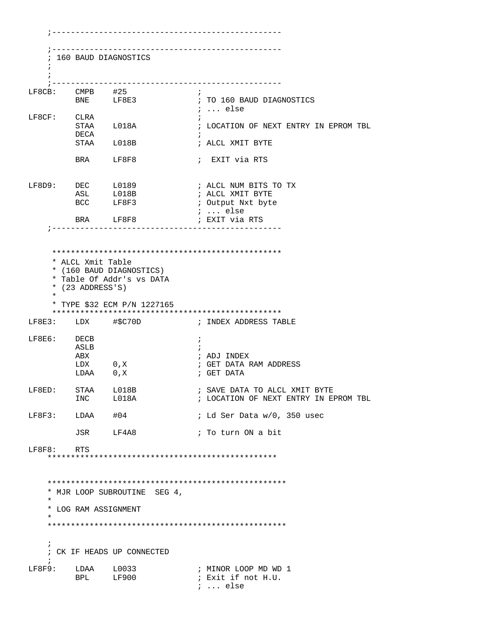;------------------------------------------------- ;------------------------------------------------- ; 160 BAUD DIAGNOSTICS  $\mathcal{L}$  ; ;------------------------------------------------- LF8CB: CMPB #25 ;<br>BNE LF8E3 ; LF8E3  $\qquad$  ; TO 160 BAUD DIAGNOSTICS ; ... else LF8CF: CLRA<br>STAA L018A ; LOCATION OF NEXT ENTRY IN EPROM TBL DECA ; STAA L018B ; ALCL XMIT BYTE BRA LF8F8 ; EXIT via RTS LF8D9: DEC L0189 ; ALCL NUM BITS TO TX ASL L018B ; ALCL XMIT BYTE BCC LF8F3 ; Output Nxt byte ; ... else<br>; EXIT via RTS BRA LF8F8 ;------------------------------------------------- \*\*\*\*\*\*\*\*\*\*\*\*\*\*\*\*\*\*\*\*\*\*\*\*\*\*\*\*\*\*\*\*\*\*\*\*\*\*\*\*\*\*\*\*\*\*\*\*\* \* ALCL Xmit Table \* (160 BAUD DIAGNOSTICS) \* Table Of Addr's vs DATA \* (23 ADDRESS'S) \* \* TYPE \$32 ECM P/N 1227165 \*\*\*\*\*\*\*\*\*\*\*\*\*\*\*\*\*\*\*\*\*\*\*\*\*\*\*\*\*\*\*\*\*\*\*\*\*\*\*\*\*\*\*\*\*\*\*\*\* ; INDEX ADDRESS TABLE LF8E6: DECB ; ASLB ; ABX ; ADJ INDEX ; GET DATA RAM ADDRESS<br>; GET DATA LDAA 0,X LF8ED: STAA L018B ; SAVE DATA TO ALCL XMIT BYTE INC L018A ; LOCATION OF NEXT ENTRY IN EPROM TBL LF8F3: LDAA  $#04$  ; Ld Ser Data w/0, 350 usec JSR LF4A8 ; To turn ON a bit LF8F8: RTS \*\*\*\*\*\*\*\*\*\*\*\*\*\*\*\*\*\*\*\*\*\*\*\*\*\*\*\*\*\*\*\*\*\*\*\*\*\*\*\*\*\*\*\*\*\*\*\*\* \*\*\*\*\*\*\*\*\*\*\*\*\*\*\*\*\*\*\*\*\*\*\*\*\*\*\*\*\*\*\*\*\*\*\*\*\*\*\*\*\*\*\*\*\*\*\*\*\*\*\* \* MJR LOOP SUBROUTINE SEG 4, \* \* LOG RAM ASSIGNMENT \* \*\*\*\*\*\*\*\*\*\*\*\*\*\*\*\*\*\*\*\*\*\*\*\*\*\*\*\*\*\*\*\*\*\*\*\*\*\*\*\*\*\*\*\*\*\*\*\*\*\*\*  $\mathcal{L}$  ; CK IF HEADS UP CONNECTED  $\cdot$  ; LF8F9: LDAA L0033 ; MINOR LOOP MD WD 1 BPL LF900 ; Exit if not H.U. ; ... else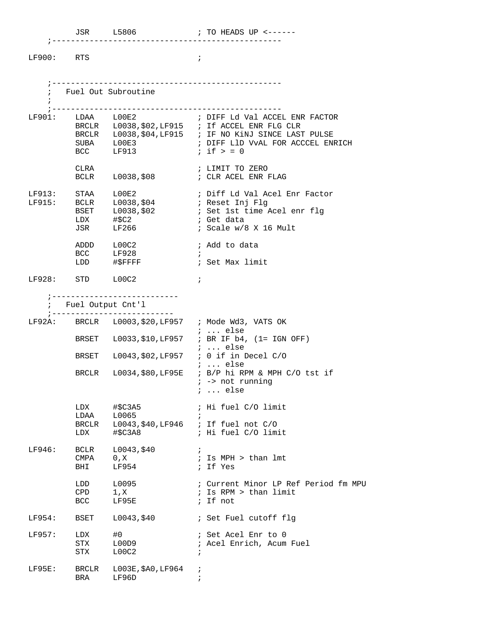| $\cdot$ $\overline{N}$<br>υ |  |
|-----------------------------|--|
|                             |  |

LF900: RTS ;

;-------------------------------------------------

|        |                              | ; Fuel Out Subroutine                               |                                                                                                                                                                                 |
|--------|------------------------------|-----------------------------------------------------|---------------------------------------------------------------------------------------------------------------------------------------------------------------------------------|
|        |                              | BCC LF913                                           | BRCLR L0038, \$02, LF915 ; If ACCEL ENR FLG CLR<br>BRCLR L0038, \$04, LF915 ; IF NO KiNJ SINCE LAST PULSE<br>SUBA $L00E3$ ; DIFF L1D VvAL FOR ACCCEL ENRICH<br>$i$ if $> = 0$   |
|        | CLRA                         |                                                     | ; LIMIT TO ZERO<br>BCLR L0038, \$08 ; CLR ACEL ENR FLAG                                                                                                                         |
|        |                              | LDX #\$C2<br>JSR LF266                              | LF913: STAA LOOE2 ; Diff Ld Val Acel Enr Factor<br>LF915: BCLR LOO38,\$04 ; Reset Inj Flg<br>BSET LOO38,\$02 ; Set 1st time Acel enr flg<br>; Get data<br>; Scale w/8 X 16 Mult |
|        |                              | ADDD L00C2<br>BCC LF928                             | ; Add to data<br>$\cdot$ :                                                                                                                                                      |
|        | $LF928:$ STD $L00C2$         |                                                     | $\ddot{i}$                                                                                                                                                                      |
|        |                              | ;---------------------------<br>; Fuel Output Cnt'l |                                                                                                                                                                                 |
|        | ;--------------------        |                                                     | LF92A: BRCLR L0003, \$20, LF957 ; Mode Wd3, VATS OK<br>$i \ldots$ else                                                                                                          |
|        |                              |                                                     | BRSET L0033, \$10, LF957 ; BR IF b4, (1= IGN OFF)<br>;  else                                                                                                                    |
|        |                              |                                                     | BRSET L0043, \$02, LF957 ; 0 if in Decel C/O<br><i>i</i> else                                                                                                                   |
|        |                              |                                                     | BRCLR L0034, \$80, LF95E ; B/P hi RPM & MPH C/O tst if<br>$i \rightarrow$ not running<br>$i \ldots$ else                                                                        |
|        |                              |                                                     | ; Hi fuel C/O limit                                                                                                                                                             |
|        |                              |                                                     | BRCLR L0043, \$40, LF946 ; If fuel not C/O<br>LDX #\$C3A8 ; Hi fuel C/O limit                                                                                                   |
| LF946: | BCLR<br>CMPA<br>BHI          | L0043,\$40<br>0, X<br>LF954                         | ; Is MPH > than lmt<br>; If Yes                                                                                                                                                 |
|        | LDD<br>$\mathrm{CPD}$<br>BCC | L0095<br>1, X<br>LF95E                              | ; Current Minor LP Ref Period fm MPU<br>; Is RPM > than limit<br>; If not                                                                                                       |
| LF954: | BSET                         | L0043,\$40                                          | ; Set Fuel cutoff flg                                                                                                                                                           |
| LF957: | LDX<br>STX<br>STX            | #0<br>L00D9<br>L00C2                                | ; Set Acel Enr to 0<br>; Acel Enrich, Acum Fuel<br>$\ddot{i}$                                                                                                                   |
| LF95E: | BRA                          | BRCLR L003E, \$A0, LF964<br>LF96D                   | $\ddot{ }$<br>$\ddot{i}$                                                                                                                                                        |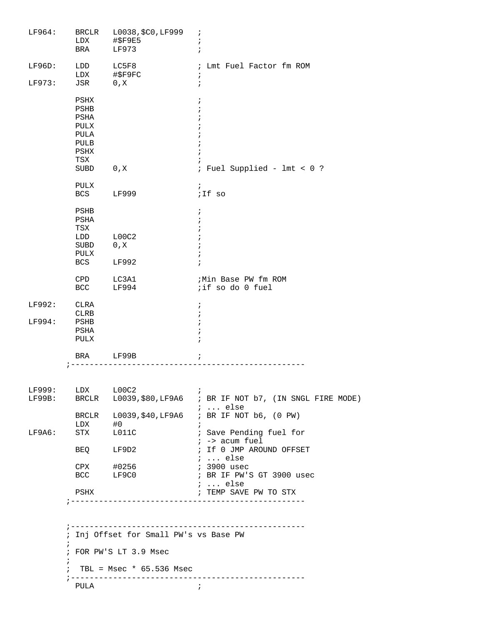| LF964:           | BRCLR<br>LDX<br>BRA                                                 | L0038, \$C0, LF999<br>#\$F9E5<br>LF973 | $\cdot$<br>ï<br>$\mathbf{\dot{i}}$                                                                                                                      |  |  |
|------------------|---------------------------------------------------------------------|----------------------------------------|---------------------------------------------------------------------------------------------------------------------------------------------------------|--|--|
|                  |                                                                     |                                        |                                                                                                                                                         |  |  |
| LF96D:           | LDD<br>LDX                                                          | LC5F8<br>#\$F9FC                       | ; Lmt Fuel Factor fm ROM<br>$\ddot{ }$                                                                                                                  |  |  |
| LF973:           | JSR                                                                 | 0, X                                   | $\ddot{i}$                                                                                                                                              |  |  |
|                  | PSHX<br>PSHB<br>PSHA<br>PULX<br>PULA<br>PULB<br>PSHX<br>TSX<br>SUBD | 0, X                                   | $\ddot{i}$<br>$\ddot{ }$<br>$\cdot$<br>$\ddot{i}$<br>; Fuel Supplied - lmt < 0 ?                                                                        |  |  |
|                  | PULX<br>BCS                                                         | LF999                                  | $\ddot{ }$<br>;If so                                                                                                                                    |  |  |
|                  | PSHB<br>PSHA<br>TSX<br>LDD<br>SUBD<br>PULX<br>BCS                   | L00C2<br>0, X<br>LF992                 | $\ddot{ }$<br>÷                                                                                                                                         |  |  |
|                  | CPD<br>BCC                                                          | LC3A1<br>LF994                         | ; Min Base PW fm ROM<br>;if so do 0 fuel                                                                                                                |  |  |
| LF992:<br>LF994: | CLRA<br><b>CLRB</b><br>PSHB<br>PSHA<br>PULX                         |                                        | $\ddot{i}$<br>$\ddot{i}$<br>$\ddot{i}$<br>$\ddot{i}$                                                                                                    |  |  |
|                  | BRA                                                                 | LF99B                                  | ï                                                                                                                                                       |  |  |
|                  |                                                                     |                                        |                                                                                                                                                         |  |  |
| LF999:           | LDX L00C2                                                           |                                        | $\ddot{i}$<br>LF99B: BRCLR L0039, \$80, LF9A6 ; BR IF NOT b7, (IN SNGL FIRE MODE)<br>$i \ldots$ else<br>BRCLR L0039, \$40, LF9A6 ; BR IF NOT b6, (0 PW) |  |  |
| LF9A6:           | $LDX$ #0<br>STX L011C                                               |                                        | $\ddot{i}$<br>; Save Pending fuel for                                                                                                                   |  |  |
|                  |                                                                     | BEQ LF9D2                              | $i \rightarrow \text{acum fuel}$<br>; If 0 JMP AROUND OFFSET<br>$i \ldots$ else                                                                         |  |  |
|                  |                                                                     | CPX #0256<br>BCC LF9C0                 | <i>i</i> 3900 usec<br>; BR IF PW'S GT 3900 usec                                                                                                         |  |  |
|                  | PSHX                                                                |                                        | $i$ else<br>; TEMP SAVE PW TO STX                                                                                                                       |  |  |
|                  |                                                                     |                                        |                                                                                                                                                         |  |  |
|                  | ; Inj Offset for Small PW's vs Base PW                              |                                        |                                                                                                                                                         |  |  |
|                  | $\ddot{i}$                                                          | ; FOR PW'S LT 3.9 Msec                 |                                                                                                                                                         |  |  |
|                  | $\ddot{i}$<br>$\ddot{i}$<br>$\frac{1}{2}$ - - - - -                 | TBL = $Msec * 65.536 Msec$             | . <u>.</u>                                                                                                                                              |  |  |
|                  | PULA                                                                |                                        | $\cdot$                                                                                                                                                 |  |  |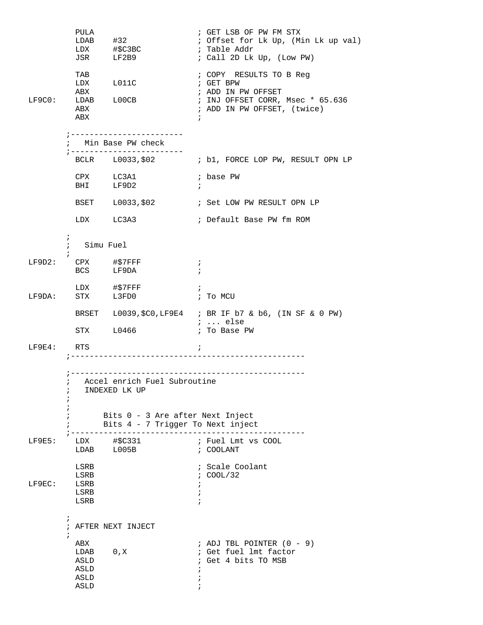|              | PULA                                                              | $LDAB$ #32<br>LDX #\$C3BC<br>JSR LF2B9                                                                                   | ; GET LSB OF PW FM STX<br>; Offset for Lk Up, (Min Lk up val)<br>; Table Addr<br>; Call 2D Lk Up, (Low PW)                                  |
|--------------|-------------------------------------------------------------------|--------------------------------------------------------------------------------------------------------------------------|---------------------------------------------------------------------------------------------------------------------------------------------|
| LF9C0:       | TAB<br>ABX<br>ABX<br>ABX                                          | LDX L011C<br>LDAB L00CB                                                                                                  | ; COPY RESULTS TO B Reg<br>; GET BPW<br>; ADD IN PW OFFSET<br>; INJ OFFSET CORR, Msec * 65.636<br>; ADD IN PW OFFSET, (twice)<br>$\ddot{i}$ |
|              |                                                                   | ; ------------------------<br>; Min Base PW check                                                                        |                                                                                                                                             |
|              |                                                                   | ; ------------------------                                                                                               | BCLR L0033,\$02 ; b1, FORCE LOP PW, RESULT OPN LP                                                                                           |
|              |                                                                   | CPX LC3A1<br>BHI LF9D2                                                                                                   | ; base PW<br>$\ddot{ }$                                                                                                                     |
|              |                                                                   |                                                                                                                          | BSET L0033, \$02 : Set LOW PW RESULT OPN LP                                                                                                 |
|              |                                                                   | LDX LC3A3                                                                                                                | ; Default Base PW fm ROM                                                                                                                    |
|              | $\mathbf{i}$<br>$\mathcal{V}$<br>Simu Fuel                        |                                                                                                                          |                                                                                                                                             |
|              | $LF9D2:$ CPX #\$7FFF                                              | BCS LF9DA                                                                                                                | $\ddot{i}$<br>$\ddot{i}$                                                                                                                    |
| LF9DA:       |                                                                   | LDX #\$7FFF<br>STX L3FD0                                                                                                 | $\ddot{i}$<br>; To MCU                                                                                                                      |
|              |                                                                   |                                                                                                                          | BRSET L0039, \$C0, LF9E4 ; BR IF b7 & b6, (IN SF & 0 PW)<br>$i \ldots$ else                                                                 |
|              |                                                                   | STX L0466                                                                                                                | ; To Base PW                                                                                                                                |
| $LF9E4:$ RTS |                                                                   |                                                                                                                          | $\ddot{ }$                                                                                                                                  |
|              | i                                                                 | ; Accel enrich Fuel Subroutine<br>INDEXED LK UP<br>Bits 0 - 3 Are after Next Inject<br>Bits 4 - 7 Trigger To Next inject |                                                                                                                                             |
| $LF9E5$ :    |                                                                   | LDX #\$C331                                                                                                              | ; Fuel Lmt vs COOL                                                                                                                          |
|              |                                                                   | LDAB L005B                                                                                                               | ; COOLANT                                                                                                                                   |
| LF9EC:       | LSRB<br>LSRB<br>LSRB<br>LSRB<br>LSRB                              |                                                                                                                          | ; Scale Coolant<br>: COOL/32                                                                                                                |
|              | $\ddot{i}$                                                        | ; AFTER NEXT INJECT                                                                                                      |                                                                                                                                             |
|              | $\mathcal{L}$<br>ABX<br>LDAB 0, X<br>ASLD<br>ASLD<br>ASLD<br>ASLD |                                                                                                                          | ; ADJ TBL POINTER $(0 - 9)$<br>; Get fuel lmt factor<br>; Get 4 bits TO MSB                                                                 |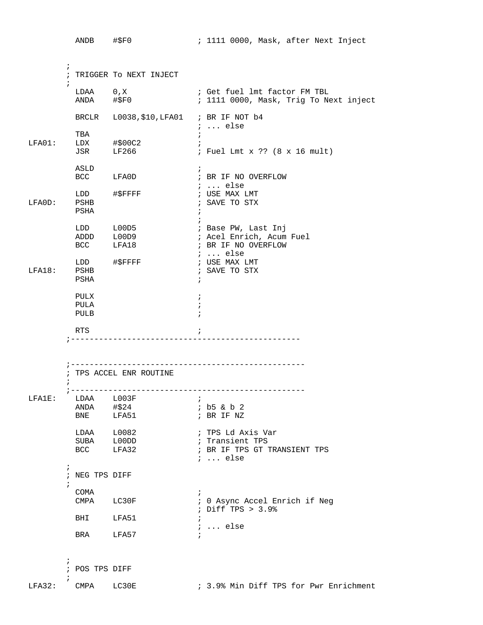|           |                          | ANDB #\$F0                                                                 |                                                  |                                             | ; 1111 0000, Mask, after Next Inject                                                                                  |
|-----------|--------------------------|----------------------------------------------------------------------------|--------------------------------------------------|---------------------------------------------|-----------------------------------------------------------------------------------------------------------------------|
|           | $\ddot{i}$<br>$\ddot{i}$ | LDAA 0, X                                                                  | ; TRIGGER TO NEXT INJECT<br>ANDA #\$F0           |                                             | ; Get fuel lmt factor FM TBL<br>; 1111 0000, Mask, Trig To Next inject                                                |
| $LFA01$ : |                          | TBA<br>$LDX$ #\$00C2<br>JSR                                                | BRCLR L0038, \$10, LFA01 ; BR IF NOT b4<br>LF266 | $\ddot{i}$                                  | $i \ldots$ else<br>; Fuel Lmt x ?? (8 x 16 mult)                                                                      |
| LFA0D:    |                          | ASLD<br>PSHB<br>PSHA                                                       | BCC LFA0D<br>LDD #\$FFFF                         | $\ddot{i}$<br>$\ddot{ }$                    | ; BR IF NO OVERFLOW<br>;  else<br>; USE MAX LMT<br>; SAVE TO STX                                                      |
|           |                          | ADDD L00D9<br>BCC<br>LDD #\$FFFF                                           | LDD L00D5<br>LFA18                               |                                             | ; Base PW, Last Inj<br>; Acel Enrich, Acum Fuel<br>; BR IF NO OVERFLOW<br>$i \ldots$ else<br>; USE MAX LMT            |
| LFA18:    |                          | PSHB<br>PSHA<br>PULX<br>PULA<br>PULB                                       |                                                  | $\ddot{i}$<br>$\ddot{i}$<br>÷<br>$\ddot{i}$ | ; SAVE TO STX                                                                                                         |
|           | $\ddot{i}$               | RTS                                                                        | ; TPS ACCEL ENR ROUTINE                          | $\ddot{i}$                                  | ----------------------                                                                                                |
| LFA1E:    |                          | LDAA<br>ANDA $\# $24$<br>BNE<br>$LDAA$ $L0082$<br>SUBA L00DD<br><b>BCC</b> | L003F<br>LFA51<br>LFA32                          | $\ddot{i}$                                  | ; b5 & b 2<br>$;$ BR IF NZ<br>; TPS Ld Axis Var<br>; Transient TPS<br>; BR IF TPS GT TRANSIENT TPS<br>$i \ldots$ else |
|           | $\ddot{i}$<br>$\ddot{ }$ | ; NEG TPS DIFF<br>COMA<br>CMPA LC30F<br>BHI<br>BRA                         | LFA51<br>LFA57                                   | $\ddot{i}$<br>$\ddot{i}$<br>$\ddot{i}$      | : 0 Async Accel Enrich if Neg<br>; Diff TPS > 3.9%<br>$i \ldots$ else                                                 |
| LFA32:    | i.                       | ; POS TPS DIFF<br>CMPA LC30E                                               |                                                  |                                             | ; 3.9% Min Diff TPS for Pwr Enrichment                                                                                |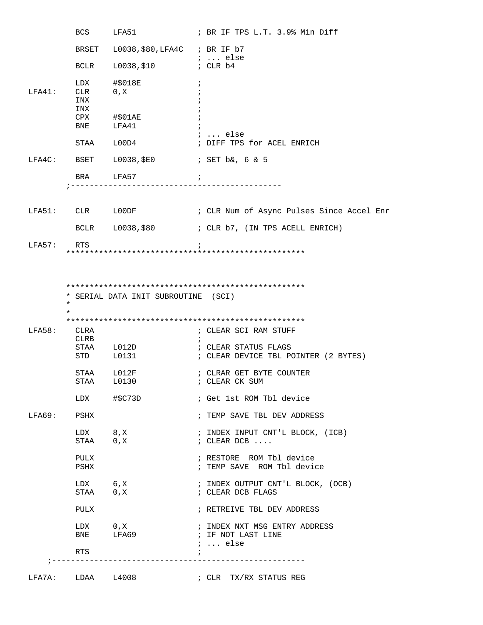|        | BCS                      | LFA51                                  | ; BR IF TPS L.T. 3.9% Min Diff                                         |
|--------|--------------------------|----------------------------------------|------------------------------------------------------------------------|
|        |                          | BRSET L0038, \$80, LFA4C ; BR IF b7    |                                                                        |
|        | BCLR                     | $10038,$ \$10 $\qquad \qquad i$ CLR b4 |                                                                        |
| LFA41: | LDX<br>CLR<br>INX<br>INX | #\$018E<br>0, X                        | $\ddot{i}$                                                             |
|        |                          | $CPX$ #\$01AE<br>BNE LFA41             | <i>;</i> else                                                          |
|        |                          | STAA L00D4                             | ; DIFF TPS for ACEL ENRICH                                             |
|        |                          |                                        |                                                                        |
|        |                          | BRA LFA57                              | $\overline{\phantom{a}}$                                               |
|        |                          |                                        |                                                                        |
|        |                          | LFA51: CLR LOODF                       | ; CLR Num of Async Pulses Since Accel Enr                              |
|        |                          |                                        | BCLR L0038, \$80 ; CLR b7, (IN TPS ACELL ENRICH)                       |
| LFA57: | RTS                      |                                        |                                                                        |
|        | $\ast$                   | * SERIAL DATA INIT SUBROUTINE (SCI)    |                                                                        |
| LFA58: | CLRA<br>CLRB             |                                        | ; CLEAR SCI RAM STUFF<br>$\cdot$                                       |
|        |                          | STAA L012D<br>STD L0131                | ; CLEAR STATUS FLAGS<br>; CLEAR DEVICE TBL POINTER (2 BYTES)           |
|        |                          | STAA L012F<br>STAA L0130               | ; CLRAR GET BYTE COUNTER<br>; CLEAR CK SUM                             |
|        |                          | LDX #\$C73D                            | ; Get 1st ROM Tbl device                                               |
|        | LFA69: PSHX              |                                        | ; TEMP SAVE TBL DEV ADDRESS                                            |
|        | LDX 8, X<br>STAA 0, X    |                                        | ; INDEX INPUT CNT'L BLOCK, (ICB)<br>$\mathcal{C}$ . CLEAR DCB $\ldots$ |
|        | PULX<br>PSHX             |                                        | ; RESTORE ROM Tbl device<br>; TEMP SAVE ROM Tbl device                 |
|        | LDX 6, X                 |                                        |                                                                        |
|        |                          | STAA 0, X                              | ; INDEX OUTPUT CNT'L BLOCK, (OCB)<br>; CLEAR DCB FLAGS                 |
|        | PULX                     |                                        | ; RETREIVE TBL DEV ADDRESS                                             |
|        | BNE                      | $LDX \qquad 0,X$<br>LFA69              | : INDEX NXT MSG ENTRY ADDRESS<br>; IF NOT LAST LINE                    |
|        | RTS                      |                                        | $i \ldots$ else<br>$\ddot{i}$                                          |
|        | LFA7A: LDAA L4008        |                                        | ; CLR TX/RX STATUS REG                                                 |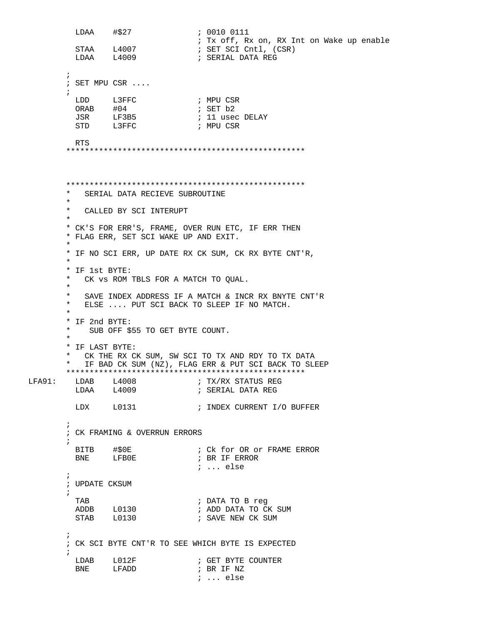```
LDAA #$27 ; 0010 0111
          ; Tx off, Rx on, RX Int on Wake up enable<br>
\begin{array}{ccc} 5\text{TA} & \text{L4007} \\ \text{L4007} & \text{SET SCI Cntl} \\ \text{SET SCI Cntl} & \text{CSR} \end{array}STAA L4007 : SET SCI Cntl, (CSR)<br>LDAA L4009 : SERIAL DATA REG
                                    ; SERIAL DATA REG
\mathcal{L}^{\text{max}} ; SET MPU CSR ....
\mathcal{L}^{\text{max}}LDD L3FFC ; MPU CSR
ORAB #04 ; SET b2
          JSR LF3B5 ; 11 usec DELAY<br>
STD L3FFC ; MPU CSR
                                   ; MPU CSR
          RTS 
         ***************************************************
         ***************************************************
           SERIAL DATA RECIEVE SUBROUTINE
\star * CALLED BY SCI INTERUPT
\star * CK'S FOR ERR'S, FRAME, OVER RUN ETC, IF ERR THEN
         * FLAG ERR, SET SCI WAKE UP AND EXIT. 
\star * IF NO SCI ERR, UP DATE RX CK SUM, CK RX BYTE CNT'R,
 *
         * IF 1st BYTE:
           CK vs ROM TBLS FOR A MATCH TO OUAL.
\star * SAVE INDEX ADDRESS IF A MATCH & INCR RX BNYTE CNT'R
           ELSE .... PUT SCI BACK TO SLEEP IF NO MATCH.
 *
         * IF 2nd BYTE:
         * SUB OFF $55 TO GET BYTE COUNT. 
\star * IF LAST BYTE:
         * CK THE RX CK SUM, SW SCI TO TX AND RDY TO TX DATA
           IF BAD CK SUM (NZ), FLAG ERR & PUT SCI BACK TO SLEEP
 ***************************************************
        LFA91: LDAB L4008 ; TX/RX STATUS REG 
                                   ; SERIAL DATA REG
         LDX L0131 : INDEX CURRENT I/O BUFFER
\mathcal{L}^{\text{max}} ; CK FRAMING & OVERRUN ERRORS 
\mathcal{L}^{\text{max}}BITB #$0E ; Ck for OR or FRAME ERROR<br>BNE LFB0E ; BR IF ERROR
                 LFB0E ; BR IF ERROR
                                     ; ... else
\mathcal{L}^{\text{max}} ; UPDATE CKSUM
\mathcal{L}^{\text{max}} TAB ; DATA TO B reg
           ADDB L0130 ; ADD DATA TO CK SUM 
                                   ; SAVE NEW CK SUM
\mathcal{L}^{\text{max}} ; CK SCI BYTE CNT'R TO SEE WHICH BYTE IS EXPECTED
\mathcal{L}^{\text{max}}LDAB L012F ; GET BYTE COUNTER
          BNE LFADD ; BR IF NZ
                                      ; ... else
```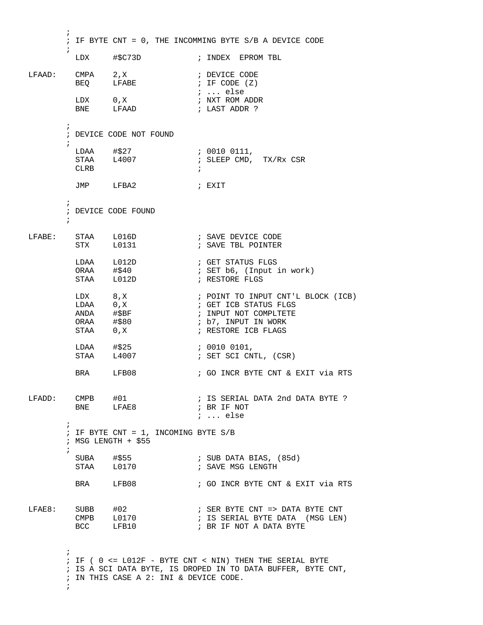$\mathcal{L}^{\text{max}}$  ; IF BYTE CNT = 0, THE INCOMMING BYTE S/B A DEVICE CODE  $\mathcal{L}^{\text{max}}$  LDX #\$C73D ; INDEX EPROM TBL LFAAD: CMPA 2,X ; DEVICE CODE BEQ LFABE  $\qquad$  ; IF CODE (Z) ; ... else LDX 0,X ; NXT ROM ADDR  $\begin{tabular}{ll} \tt LDX & 0\,, X \\ \tt BNE & LFAAD \end{tabular}$  $\mathcal{L}^{\text{max}}$  ; DEVICE CODE NOT FOUND  $\mathcal{L}^{\text{max}}$ LDAA #\$27 ; 0010 0111, STAA  $\frac{1}{2}$  L4007 ; SLEEP CMD, TX/Rx CSR  $CLRB$  JMP LFBA2 ; EXIT  $\mathcal{L}^{\text{max}}$  ; DEVICE CODE FOUND  $\mathcal{L}^{\text{max}}$ LFABE: STAA L016D ; SAVE DEVICE CODE STX L0131 **;** SAVE TBL POINTER LDAA L012D ; GET STATUS FLGS ORAA #\$40 ; SET b6, (Input in work) STAA L012D ; RESTORE FLGS LDX 8, X  $\qquad$  ; POINT TO INPUT CNT'L BLOCK (ICB) LDAA 0, X ; GET ICB STATUS FLGS ANDA #\$BF  $\qquad$  ; INPUT NOT COMPLTETE ORAA #\$80 ; b7, INPUT IN WORK STAA 0,X ; RESTORE ICB FLAGS LDAA #\$25 ; 0010 0101, STAA L4007 ; SET SCI CNTL, (CSR) BRA LFB08 ; GO INCR BYTE CNT & EXIT via RTS LFADD: CMPB #01 ; IS SERIAL DATA 2nd DATA BYTE ?<br>BNE LFAE8 ; BR IF NOT ; BR IF NOT ; ... else  $\mathcal{L}^{\text{max}}$  ; IF BYTE CNT = 1, INCOMING BYTE S/B ; MSG LENGTH + \$55  $\mathcal{L}^{\text{max}}$ SUBA #\$55 ; SUB DATA BIAS, (85d)<br>STAA L0170 ; SAVE MSG LENGTH  $STAA$   $10170$ BRA LFB08 ; GO INCR BYTE CNT & EXIT via RTS LFAE8: SUBB #02 ; SER BYTE CNT => DATA BYTE CNT CMPB L0170  $\qquad$  ; IS SERIAL BYTE DATA (MSG LEN) CMPB LOTTO : SER BYTE CNT => DATA I<br>BCC LFB10 : BR IF NOT A DATA BYTE  $\mathcal{L}^{\text{max}}$  ; IF ( 0 <= L012F - BYTE CNT < NIN) THEN THE SERIAL BYTE ; IS A SCI DATA BYTE, IS DROPED IN TO DATA BUFFER, BYTE CNT, ; IN THIS CASE A 2: INI & DEVICE CODE.  $\mathcal{L}^{\text{max}}$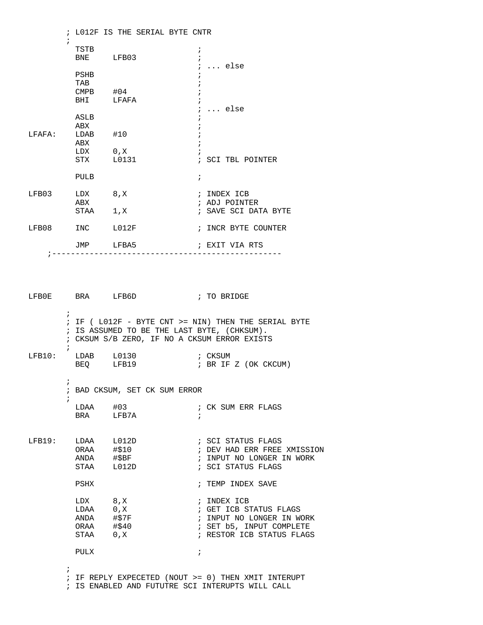|                 |            |             |  | ; LO12F IS THE SERIAL BYTE CNTR |            |                      |
|-----------------|------------|-------------|--|---------------------------------|------------|----------------------|
|                 | $\ddot{i}$ | TSTB        |  |                                 | $\ddot{ }$ |                      |
|                 |            | BNE LFB03   |  |                                 |            |                      |
|                 |            |             |  |                                 |            | else                 |
|                 |            | PSHB        |  |                                 |            |                      |
|                 |            | TAB         |  |                                 |            |                      |
|                 |            | $CMPB$ #04  |  |                                 |            |                      |
|                 |            | BHI LFAFA   |  |                                 |            |                      |
|                 |            | ASLB        |  |                                 |            | else                 |
|                 |            | ABX         |  |                                 |            |                      |
| LFAFA: LDAB #10 |            |             |  |                                 |            |                      |
|                 |            | ABX         |  |                                 |            |                      |
|                 |            | LDX 0, X    |  |                                 |            |                      |
|                 |            | STX L0131   |  |                                 |            | ; SCI TBL POINTER    |
|                 |            | <b>PULB</b> |  |                                 | $\ddot{i}$ |                      |
| LFB03 LDX 8,X   |            |             |  |                                 |            | ; INDEX ICB          |
|                 |            | ABX         |  |                                 |            | ; ADJ POINTER        |
|                 |            | STAA 1, X   |  |                                 |            | ; SAVE SCI DATA BYTE |
| LFB08           |            | INC LO12F   |  |                                 |            | ; INCR BYTE COUNTER  |
|                 |            | JMP LFBA5   |  |                                 |            | ; EXIT VIA RTS       |

LFB0E BRA LFB6D ; TO BRIDGE  $\mathcal{L}^{\text{max}}$  ; IF ( L012F - BYTE CNT >= NIN) THEN THE SERIAL BYTE ; IS ASSUMED TO BE THE LAST BYTE, (CHKSUM). ; CKSUM S/B ZERO, IF NO A CKSUM ERROR EXISTS ; LFB10: LDAB L0130 ; CKSUM<br>BEQ LFB19 ; BR IF ; BR IF Z (OK CKCUM)  $\mathcal{L}^{\text{max}}$  ; BAD CKSUM, SET CK SUM ERROR ; LDAA #03 ; CK SUM ERR FLAGS BRA LFB7A ; LFB19: LDAA L012D ; SCI STATUS FLAGS ORAA #\$10 ; DEV HAD ERR FREE XMISSION ANDA #\$BF ; INPUT NO LONGER IN WORK ; SCI STATUS FLAGS PSHX ; TEMP INDEX SAVE LDX 8, X ; INDEX ICB<br>
LDAA 0, X ; GET ICB S' LDAA 0,X ; GET ICB STATUS FLAGS<br>ANDA #\$7F ; INPUT NO LONGER IN W ; INPUT NO LONGER IN WORK ORAA #\$40 ; SET b5, INPUT COMPLETE STAA 0, X ; RESTOR ICB STATUS FLAGS PULX ;  $\mathcal{L}^{\text{max}}$  ; IF REPLY EXPECETED (NOUT >= 0) THEN XMIT INTERUPT ; IS ENABLED AND FUTUTRE SCI INTERUPTS WILL CALL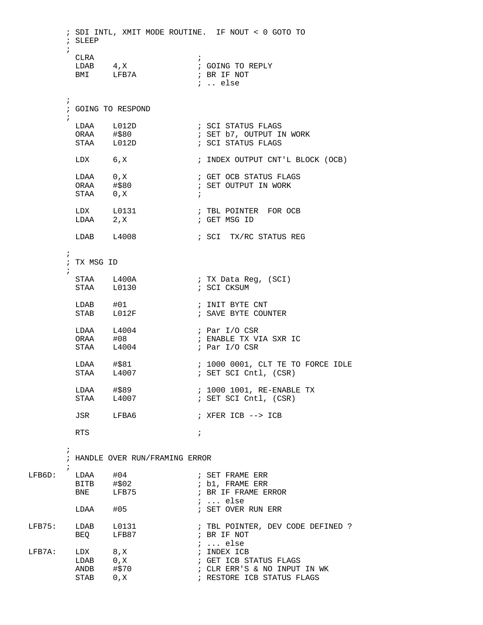```
 ; SDI INTL, XMIT MODE ROUTINE. IF NOUT < 0 GOTO TO
        ; SLEEP
\mathcal{L}^{\text{max}}CLRA \qquad \qquad ;LDAB 4, X ; GOING TO REPLY
BMI LFB7A ; BR IF NOT
                                ; .. else
\mathcal{L}^{\text{max}} ; GOING TO RESPOND
\mathcal{L}^{\text{max}}LDAA L012D    i SCI STATUS FLAGS
ORAA #$80 ; SET b7, OUTPUT IN WORK
        STAA L012D ; SCI STATUS FLAGS
        LDX 6,X ; INDEX OUTPUT CNT'L BLOCK (OCB)
                              ; GET OCB STATUS FLAGS
                              ; SET OUTPUT IN WORK
        \begin{array}{lllllll} \text{LDAA} & & 0\,,\text{X} & & & \text{;} \\ \text{ORAA} & & \text{#$$80} & & & \text{;} \\ \text{STAA} & & 0\,,\text{X} & & & \text{;} \\ \end{array}LDX L0131 : TBL POINTER FOR OCB
LDAA 2, X ; GET MSG ID
        LDAB L4008 ; SCI TX/RC STATUS REG
\mathcal{L}^{\text{max}} ; TX MSG ID
\mathcal{L}^{\text{max}}STAA L400A ; TX Data Reg, (SCI)
STAA L0130 ; SCI CKSUM
LDAB #01 ; INIT BYTE CNT
STAB L012F ; SAVE BYTE COUNTER
         LDAA L4004 ; Par I/O CSR 
ORAA #08 ; ENABLE TX VIA SXR IC
STAA L4004 ; Par I/O CSR
        LDAA #$81 ; 1000 0001, CLT TE TO FORCE IDLE<br>
STAA L4007 ; SET SCI Cntl, (CSR)
                              ; SET SCI Cntl, (CSR)
        LDAA #$89 <br>
STAA L4007                     ; SET SCI Cntl, (CSR)
                               ; SET SCI Cntl, (CSR)
         JSR LFBA6 ; XFER ICB --> ICB 
RTS \qquad \qquad ;\mathcal{L}^{\text{max}} ; HANDLE OVER RUN/FRAMING ERROR 
\mathcal{L}^{\text{max}}LFB6D: LDAA #04 ; SET FRAME ERR
        BITB #$02 <br>BNE LFB75 <br>BR IF FRAME E
                               ; BR IF FRAME ERROR
         ; ... else
                               ; SET OVER RUN ERR
                            ; TBL POINTER, DEV CODE DEFINED ?<br>; BR IF NOT
LFB75: LDAB L0131<br>BEQ LFB87
LFB7A: LDX 8,X ; ... else
        LFB7A: LDX 8,X ; INDEX ICB 
        LDAB 0,X ; GET ICB STATUS FLAGS<br>ANDB #$70 ; CLR ERR'S & NO INPUT
ANDB #$70 ; CLR ERR'S & NO INPUT IN WK
STAB 0, X \sim ; RESTORE ICB STATUS FLAGS
```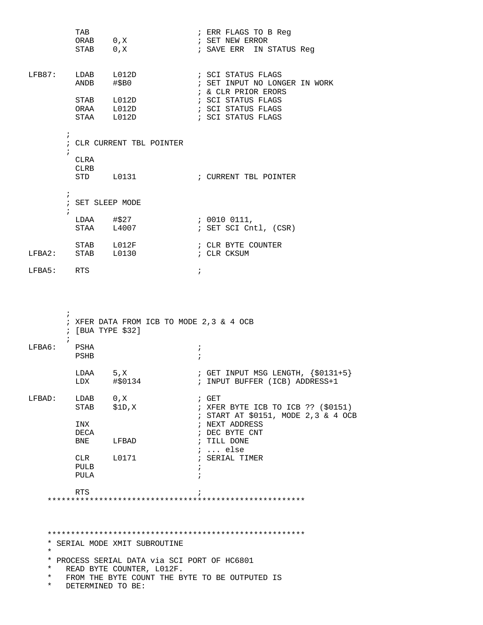|                                            | TAB<br>STAB                         | ORAB 0, X<br>0, X                                                               | ; ERR FLAGS TO B Reg<br>; SET NEW ERROR<br>; SAVE ERR IN STATUS Reg                            |
|--------------------------------------------|-------------------------------------|---------------------------------------------------------------------------------|------------------------------------------------------------------------------------------------|
| $LFB87:$ $LDAB$                            | ANDB                                | L012D<br>#\$B0                                                                  | ; SCI STATUS FLAGS<br>; SET INPUT NO LONGER IN WORK<br>; & CLR PRIOR ERORS                     |
|                                            |                                     | STAB L012D<br>ORAA L012D<br>STAA L012D                                          | ; SCI STATUS FLAGS<br>; SCI STATUS FLAGS<br>; SCI STATUS FLAGS                                 |
|                                            | $\ddot{i}$<br>$\mathcal{L}$<br>CLRA | ; CLR CURRENT TBL POINTER                                                       |                                                                                                |
|                                            | CLRB                                | STD L0131                                                                       | ; CURRENT TBL POINTER                                                                          |
|                                            | $\ddot{i}$<br>$\mathcal{L}$         | ; SET SLEEP MODE                                                                |                                                                                                |
|                                            |                                     | LDAA #\$27<br>STAA L4007                                                        | ; 0010 0111,<br>; SET SCI Cntl, (CSR)                                                          |
|                                            |                                     | STAB L012F<br>$LFBA2:$ STAB $L0130$                                             | ; CLR BYTE COUNTER<br>; CLR CKSUM                                                              |
| LFBA5: RTS                                 |                                     |                                                                                 | $\ddot{i}$                                                                                     |
|                                            | i.<br>$\ddot{i}$                    | $;$ [BUA TYPE \$32]                                                             | ; XFER DATA FROM ICB TO MODE 2,3 & 4 OCB                                                       |
| LFBA6:                                     | PSHA<br>PSHB                        |                                                                                 | $\ddot{ }$<br>$\ddot{i}$                                                                       |
|                                            | LDAA 5, X                           |                                                                                 | ; GET INPUT MSG LENGTH, $\{ $0131+5 \}$<br>; INPUT BUFFER (ICB) ADDRESS+1                      |
| LFBAD:                                     | LDAB 0, X<br><b>STAB</b>            | \$1D,X                                                                          | $;$ GET<br>; XFER BYTE ICB TO ICB ?? $(\$0151)$<br>; START AT \$0151, MODE 2,3 & 4 OCB         |
|                                            | INX<br>DECA                         | BNE LFBAD                                                                       | ; NEXT ADDRESS<br>; DEC BYTE CNT<br>; TILL DONE<br>$i \ldots$ else                             |
|                                            | PULB<br>PULA                        | CLR L0171                                                                       | ; SERIAL TIMER<br>$\ddot{i}$                                                                   |
|                                            | RTS                                 |                                                                                 | $\ddot{i}$                                                                                     |
| $^\star$<br>$^\star$<br>$^\star$<br>$\ast$ |                                     | * SERIAL MODE XMIT SUBROUTINE<br>READ BYTE COUNTER, L012F.<br>DETERMINED TO BE: | * PROCESS SERIAL DATA via SCI PORT OF HC6801<br>FROM THE BYTE COUNT THE BYTE TO BE OUTPUTED IS |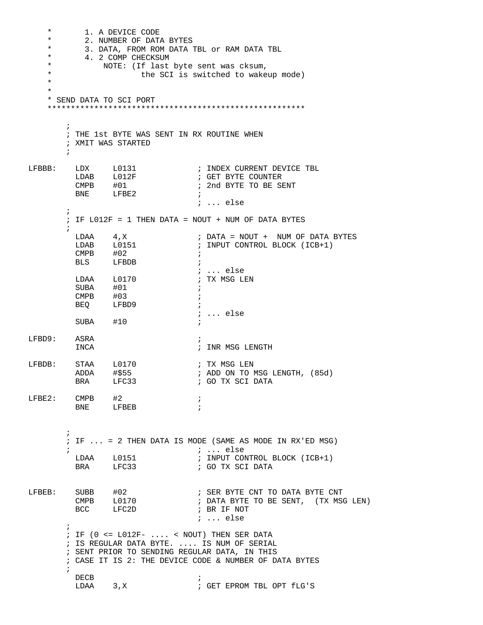\* 1. A DEVICE CODE<br>\* 2 NUMBER OF DATI \* 2. NUMBER OF DATA BYTES \* 3. DATA, FROM ROM DATA TBL OF RAM DATA TBL<br>\* 4. 2. COMP CHECKSIM \* 4. 2 COMP CHECKSUM<br>\* NOTE: (If last NOTE: (If last byte sent was cksum, \* the SCI is switched to wakeup mode)<br>\* \* \* \* SEND DATA TO SCI PORT \*\*\*\*\*\*\*\*\*\*\*\*\*\*\*\*\*\*\*\*\*\*\*\*\*\*\*\*\*\*\*\*\*\*\*\*\*\*\*\*\*\*\*\*\*\*\*\*\*\*\*\*\*\*\*  $\mathcal{L}^{\text{max}}$  ; THE 1st BYTE WAS SENT IN RX ROUTINE WHEN ; XMIT WAS STARTED  $\mathcal{L}^{\text{max}}$ LFBBB: LDX L0131 ; INDEX CURRENT DEVICE TBL  $L$ DAB  $L$ 012F CMPB #01  $\qquad$  ; 2nd BYTE TO BE SENT BNE LFBE2 ; ... else  $\mathcal{L}^{\text{max}}$ ; IF  $L012F = 1$  THEN DATA = NOUT + NUM OF DATA BYTES  $\mathcal{L}^{\text{max}}$ LDAA 4, X ; DATA = NOUT + NUM OF DATA BYTES ; INPUT CONTROL BLOCK (ICB+1)  $\text{CMPB}$   $\#02$  ; BLS LFBDB ; ; ... else<br>; TX MSG LEN  $LDAA$   $L0170$  $\begin{tabular}{lllllll} \multicolumn{2}{c}{\text{SUBA}} & \multicolumn{2}{c}{\text{#01}} & \multicolumn{2}{c}{\text{;}} \\ \multicolumn{2}{c}{\text{SUBA}} & \multicolumn{2}{c}{\text{#01}} & \multicolumn{2}{c}{\text{;}} \\ \multicolumn{2}{c}{\text{SUBA}} & \multicolumn{2}{c}{\text{#01}} & \multicolumn{2}{c}{\text{;}} \\ \multicolumn{2}{c}{\text{SUBA}} & \multicolumn{2}{c}{\text{#01}} & \multicolumn{2}{c}{\text{;}} \\ \multicolumn{2}{c}{\text{SUBA}}$  CMPB #03 ; LFBD9 ; ; ... else  $SUBA$   $#10$ LFBD9: ASRA ; INCA  $\qquad \qquad ;\quad \text{INR MSG LENGTH}$ LFBDB: STAA L0170 ; TX MSG LEN ADDA #\$55 ; ADD ON TO MSG LENGTH, (85d) BRA LFC33 ; GO TX SCI DATA  $LFE2:$  CMPB  $#2$  ; BNE LFBEB ;  $\mathcal{L}^{\text{max}}$  ; IF ... = 2 THEN DATA IS MODE (SAME AS MODE IN RX'ED MSG) ; ; ... else LDAA L0151 ; INPUT CONTROL BLOCK (ICB+1)<br>BRA LFC33 ; GO TX SCI DATA BRA LFC33 ; GO TX SCI DATA LFBEB: SUBB #02 ; SER BYTE CNT TO DATA BYTE CNT ; DATA BYTE TO BE SENT, (TX MSG LEN)<br>; BR IF NOT BCC LFC2D ; BR IF NOT ; ... else  $\mathcal{L}^{\text{max}}$  ; IF (0 <= L012F- .... < NOUT) THEN SER DATA ; IS REGULAR DATA BYTE. .... IS NUM OF SERIAL ; SENT PRIOR TO SENDING REGULAR DATA, IN THIS ; CASE IT IS 2: THE DEVICE CODE & NUMBER OF DATA BYTES  $\mathcal{L}^{\text{max}}$ DECB<br>LDAA 3, X ; GET EPROM TBL OPT fLG'S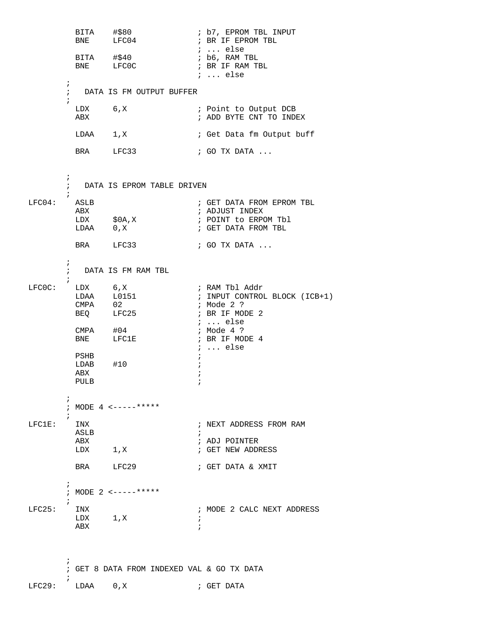; b7, EPROM TBL INPUT<br>; BR IF EPROM TBL BITA #\$80<br>BNE LFC04 ; ... else  $BITA$   $\#$ \$40 ; b6, RAM TBL BNE LFCOC **;** BR IF RAM TBL ; ... else ; ; DATA IS FM OUTPUT BUFFER  $\mathcal{L}^{\text{max}}$ LDX 6,X ; Point to Output DCB<br>ABX ; ADD BYTE CNT TO INDI ; ADD BYTE CNT TO INDEX LDAA 1, X ; Get Data fm Output buff BRA LFC33 ; GO TX DATA ...  $\mathcal{L}^{\text{max}}$  ; DATA IS EPROM TABLE DRIVEN  $\mathcal{L}^{\text{max}}$ LFC04: ASLB ; GET DATA FROM EPROM TBL ABX ; ADJUST INDEX ; POINT to ERPOM Tbl ; GET DATA FROM TBL BRA LFC33 ; GO TX DATA ... ; ; DATA IS FM RAM TBL  $\mathcal{L}^{\text{max}}$ LFCOC: LDX 6,X ; RAM Tbl Addr<br>LDAA L0151 ; INPUT CONTROL ; INPUT CONTROL BLOCK (ICB+1)<br>; Mode 2 ? CMPA 02<br>BEQ LFC25 ; BR IF MODE 2 ; ... else<br>; Mode 4 ? CMPA #04 ; Mode 4 ? BNE LFC1E : BR IF MODE 4 ; ... else PSHB ; LDAB #10 ; ABX ;<br>PULB ; PULB ;  $\mathcal{L}^{\text{max}}$  ; MODE 4 <-----\*\*\*\*\*  $\begin{minipage}{0.9\linewidth} \vspace{0.2cm} \begin{minipage}{0.9cm} \vspace{0.2cm} \vspace{0.2cm} \vspace{0.2cm} \vspace{0.2cm} \vspace{0.2cm} \vspace{0.2cm} \vspace{0.2cm} \vspace{0.2cm} \vspace{0.2cm} \vspace{0.2cm} \vspace{0.2cm} \vspace{0.2cm} \vspace{0.2cm} \vspace{0.2cm} \vspace{0.2cm} \vspace{0.2cm} \vspace{0.2cm} \vspace{0.2cm} \vspace{0.2cm} \vspace{0.2cm} \vspace{0.$ ; NEXT ADDRESS FROM RAM ASLB ; ABX ; ADJ POINTER ; GET NEW ADDRESS BRA LFC29 ; GET DATA & XMIT  $\mathcal{L}^{\text{max}}$  ; MODE 2 <-----\*\*\*\*\*  $LFC25:$  INX  $\begin{array}{lll}\n\text{INX} & & \text{if } i \text{ is } 2 \text{ CALC } \text{NEXT } \text{ADDRESS} \\
\text{LDX} & & 1 \text{ and } i \text{ is } 2 \text{ CALC } \text{NEXT } \text{ADDRESS}\n\end{array}$  $1, X$  ; ABX ;  $\mathcal{L}^{\text{max}}$ ; GET 8 DATA FROM INDEXED VAL & GO TX DATA

 $\begin{array}{ccc} \texttt{LFC29}: & \texttt{LDAA} & \texttt{0,X} & \texttt{3} & \texttt{GET DATA} \end{array}$ 

 $\mathcal{L}^{\text{max}}$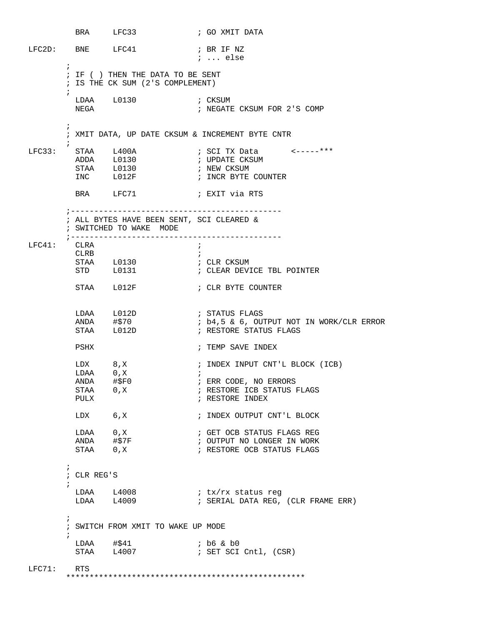BRA LFC33 ; GO XMIT DATA LFC2D: BNE LFC41 ; BR IF NZ ; ... else  $\mathcal{L}^{\text{max}}$  ; IF ( ) THEN THE DATA TO BE SENT ; IS THE CK SUM (2'S COMPLEMENT)  $\mathcal{L}^{\text{max}}_{\text{max}}$ LDAA L0130 ; CKSUM<br>NEGA 10130 ; NEGATE ; NEGATE CKSUM FOR 2'S COMP  $\mathcal{L}^{\text{max}}_{\text{max}}$  ; XMIT DATA, UP DATE CKSUM & INCREMENT BYTE CNTR  $\mathcal{L}^{\text{max}}$ LFC33: STAA L400A ; SCI TX Data <-----\*\*\* ADDA L0130 ; UPDATE CKSUM STAA L0130<br>INC L012F ; INCR BYTE COUNTER BRA LFC71 ; EXIT via RTS ;--------------------------------------------- ; ALL BYTES HAVE BEEN SENT, SCI CLEARED & ; SWITCHED TO WAKE MODE ;--------------------------------------------- LFC41: CLRA ; CLRB  $\qquad \qquad ;$ STAA L0130 ; CLR CKSUM ; CLEAR DEVICE TBL POINTER STAA L012F ; CLR BYTE COUNTER  $\begin{array}{lllllll} \text{LDAA} & \text{L012D} & \text{ } & \text{;} & \text{STATUS FLAGS} \\ \text{ANDA} & \text{\#$70} & \text{;} & \text{b4,5 & & 6,} & \text{OU} \end{array}$ ; b4,5 & 6, OUTPUT NOT IN WORK/CLR ERROR STAA L012D ; RESTORE STATUS FLAGS PSHX ; TEMP SAVE INDEX LDX 8, X ; INDEX INPUT CNT'L BLOCK (ICB)  $\begin{array}{lll}\n\text{LDAA} & & 0 \,, \text{X} & & \text{ } i \\
\text{ANDA} & & \text{\#SP0} & & \text{ } i\n\end{array}$ ANDA #\$F0 ; ERR CODE, NO ERRORS<br>STAA 0,X ; RESTORE ICB STATUS ! STAA 0,X ; RESTORE ICB STATUS FLAGS PULX ; RESTORE INDEX ; RESTORE INDEX LDX 6,X ; INDEX OUTPUT CNT'L BLOCK LDAA 0,X ; GET OCB STATUS FLAGS REG ANDA #\$7F : OUTPUT NO LONGER IN WORK STAA 0, X ; RESTORE OCB STATUS FLAGS  $\mathcal{L}^{\text{max}}$  ; CLR REG'S  $\mathcal{L}^{\text{max}}$  LDAA L4008 ; tx/rx status reg ; SERIAL DATA REG, (CLR FRAME ERR)  $\mathcal{L}^{\text{max}}$  ; SWITCH FROM XMIT TO WAKE UP MODE  $\mathcal{L}^{\text{max}}$ LDAA #\$41 ; b6 & b0<br>STAA L4007 ; SET SCI ; SET SCI Cntl, (CSR) LFC71: RTS \*\*\*\*\*\*\*\*\*\*\*\*\*\*\*\*\*\*\*\*\*\*\*\*\*\*\*\*\*\*\*\*\*\*\*\*\*\*\*\*\*\*\*\*\*\*\*\*\*\*\*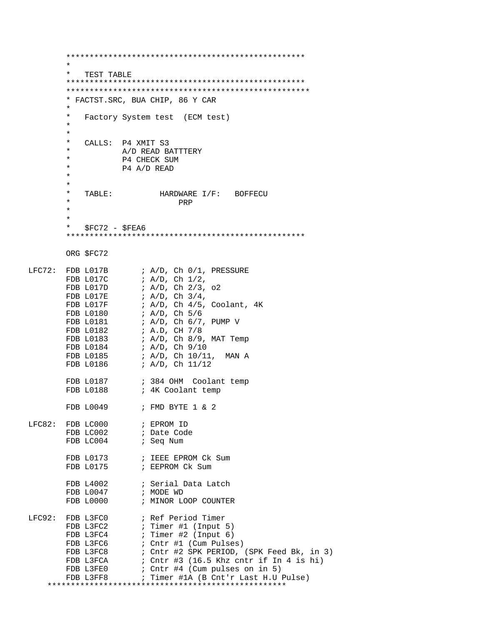```
 *************************************************** 
\star * TEST TABLE 
        ***************************************************
        ****************************************************
        * FACTST.SRC, BUA CHIP, 86 Y CAR
\star * Factory System test (ECM test)
\star\star* CALLS: P4 XMIT S3
       * A/D READ BATTTERY<br>* DA CHECK SIM
       * P4 CHECK SUM<br>* P4 7/D PEAD
       * P4 A/D READ
 *
 *
        * TABLE: HARDWARE I/F: BOFFECU
 * PRP
\star *
       * $FC72 - $FEA6 ***************************************************
        ORG $FC72
LFC72: FDB L017B ; A/D, Ch 0/1, PRESSUREFDB L017C ; A/D, Ch 1/2,
       FDB L017D ; A/D, Ch 2/3, o2<br>FDB L017E ; A/D, Ch 3/4,
       FDB L017E : A/D, Ch 3/4,<br>FDB L017F : A/D, Ch 4/5,
       FDB L017F : A/D, Ch 4/5, Coolant, 4K<br>FDB L0180 : A/D, Ch 5/6
        FDB L0180 ; A/D, Ch 5/6
                     ; A/D, Ch 6/7, PUMP VFDB L0182 ; A.D, CH 7/8
       FDB L0183 : A/D, Ch 8/9, MAT Temp
        FDB L0184 ; A/D, Ch 9/10
       FDB L0185 ; A/D, Ch 10/11, MAN A<br>FDB L0186 ; A/D, Ch 11/12
                      ; A/D, Ch 11/12FDB L0187 \qquad ; 384 OHM Coolant temp<br>FDB L0188 \qquad ; 4K Coolant temp
                     ; 4K Coolant temp
        FDB L0049 ; FMD BYTE 1 & 2
LFC82: FDB LC000 ; EPROM ID<br>FDB LC002 ; Date Cod
                      ; Date Code
       FDB LC004 ; Seq Num
       FDB L0173 ; IEEE EPROM Ck Sum
       FDB L0175 ; EEPROM Ck Sum
FDB L4002 : Serial Data Latch
FDB L0047 ; MODE WD
       FDB L0000 ; MINOR LOOP COUNTER
LFC92: FDB L3FC0 ; Ref Period Timer
       FDB L3FC2 \qquad ; Timer #1 (Input 5)
       FDB L3FC4 ; Timer #2 (Input 6)
       FDB L3FC6 : Cntr #1 (Cum Pulses)
        FDB L3FC8 ; Cntr #2 SPK PERIOD, (SPK Feed Bk, in 3) 
       FDB L3FCA : Cntr #3 (16.5 Khz cntr if In 4 is hi)
FDB L3FE0 \qquad ; Cntr #4 (Cum pulses on in 5)
 FDB L3FF8 ; Timer #1A (B Cnt'r Last H.U Pulse) 
     ***************************************************
```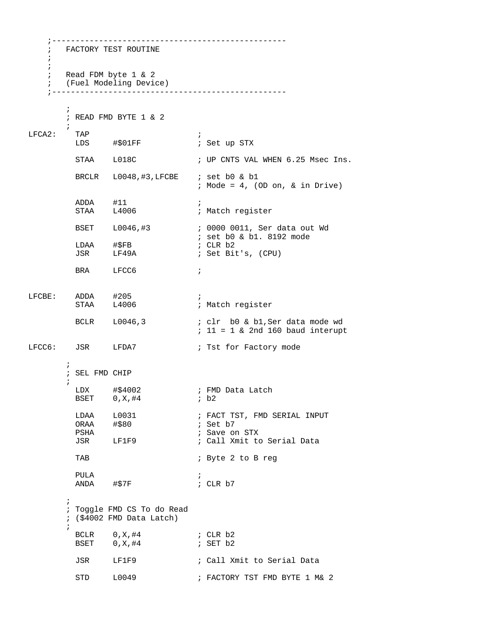;-------------------------------------------------- ; FACTORY TEST ROUTINE ; ; ; Read FDM byte 1 & 2 ; (Fuel Modeling Device) ;--------------------------------------------------  $\mathcal{L}^{\text{max}}$  ; READ FMD BYTE 1 & 2 ;<br>TAP LFCA2: TAP ; LDS #\$01FF  $\qquad$  ; Set up STX STAA L018C : UP CNTS VAL WHEN 6.25 Msec Ins. BRCLR L0048,#3, LFCBE ; set b0 & b1 ; Mode = 4, (OD on, & in Drive) ADDA #11 ;<br>STAA L4006 ; ; Match register BSET L0046,#3 ; 0000 0011, Ser data out Wd ; set b0 & b1. 8192 mode LDAA #\$FB ; CLR b2<br>JSR LF49A ; Set Bi ; Set Bit's, (CPU) BRA LFCC6 ; LFCBE: ADDA #205 ;<br>STAA L4006 ; ; Match register BCLR L0046,3 ; clr b0 & b1, Ser data mode wd ; 11 = 1 & 2nd 160 baud interupt LFCC6: JSR LFDA7 ; Tst for Factory mode  $\mathcal{L}^{\text{max}}$  ; SEL FMD CHIP  $\mathcal{L}^{\text{max}}$  LDX #\$4002 ; FMD Data Latch BSET  $0, X, #4$  LDAA L0031 ; FACT TST, FMD SERIAL INPUT ; Set b7 PSHA ; Save on STX JSR LF1F9 ; Call Xmit to Serial Data TAB  $\qquad \qquad ; \text{Byte 2 to B reg}$  PULA ; ANDA #\$7F ; CLR b7  $\mathcal{L}^{\text{max}}$  ; Toggle FMD CS To do Read ; (\$4002 FMD Data Latch)  $\mathcal{L}^{\text{max}}$ BCLR 0, X, #4 ; CLR b2 BSET  $0, X, #4$  ; SET b2 JSR LF1F9 ; Call Xmit to Serial Data STD L0049 ; FACTORY TST FMD BYTE 1 M& 2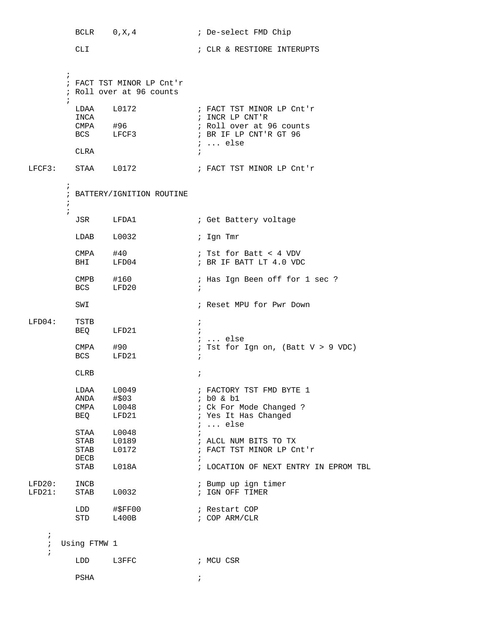BCLR  $0, X, 4$  ; De-select FMD Chip CLI ; CLR & RESTIORE INTERUPTS  $\mathcal{L}^{\text{max}}$  ; FACT TST MINOR LP Cnt'r ; Roll over at 96 counts  $\mathcal{L}^{\text{max}}$ LDAA L0172 ; FACT TST MINOR LP Cnt'r<br>INCA ; INCR LP CNT'R INCA<br>
CMPA #96 ; INCR LP CNT'R<br>
BCS LFCF3 ; BR IF LP CNT'! ; Roll over at 96 counts ; BR IF LP CNT'R GT 96 ; ... else CLRA  $\qquad \qquad ;$ LFCF3: STAA L0172 ; FACT TST MINOR LP Cnt'r  $\mathcal{L}^{\text{max}}_{\text{max}}$  ; BATTERY/IGNITION ROUTINE  $\mathcal{L}^{\text{max}}$  $\mathcal{L}^{\text{max}}$  JSR LFDA1 ; Get Battery voltage LDAB L0032 ; Ign Tmr CMPA #40 ; Tst for Batt < 4 VDV<br>BHI LFD04 ; BR IF BATT LT 4.0 VDC ; BR IF BATT LT 4.0 VDC ; Has Ign Been off for 1 sec ? CMPB #160 ;<br>BCS LFD20 ; SWI **Fig. 2018** : Reset MPU for Pwr Down LFD04: TSTB ; BEQ LFD21 ; CMPA #90 <br>
; Tst for :  $:$  Tst for Ign on, (Batt V > 9 VDC) BCS LFD21 ; CLRB  $\qquad \qquad ;$ LDAA L0049 ; FACTORY TST FMD BYTE 1<br>ANDA #\$03 ; b0 & b1 ANDA #\$03 ; b0 & b1<br>
CMPA L0048 ; Ck For M<br>
BEQ LFD21 ; Yes It I ; Ck For Mode Changed ? ; Yes It Has Changed ; ... else  $\begin{tabular}{lllllll} \texttt{STAA} & $\color{red}\texttt{L0048}$ & & \texttt{;} \\ \texttt{STAB} & $\color{red}\texttt{L0189}$ & & \texttt{;} \\ \texttt{STAB} & $\color{red}\texttt{L0172}$ & & \texttt{;} \\ \end{tabular}$ STAB L0189 ; ALCL NUM BITS TO TX STAB L0172 ; FACT TST MINOR LP Cnt'r  $\begin{tabular}{lllllll} \bf DECB & & & & & & & \it i\\ \bf STAB & & \tt LO18A & & & & \it i\\ \end{tabular}$ ; LOCATION OF NEXT ENTRY IN EPROM TBL LFD20: INCB ; Bump up ign timer ; IGN OFF TIMER LDD #\$FF00 ; Restart COP STD L400B ; COP ARM/CLR ; ; Using FTMW 1 ; LDD L3FFC ; MCU CSR PSHA  $\qquad \qquad ;$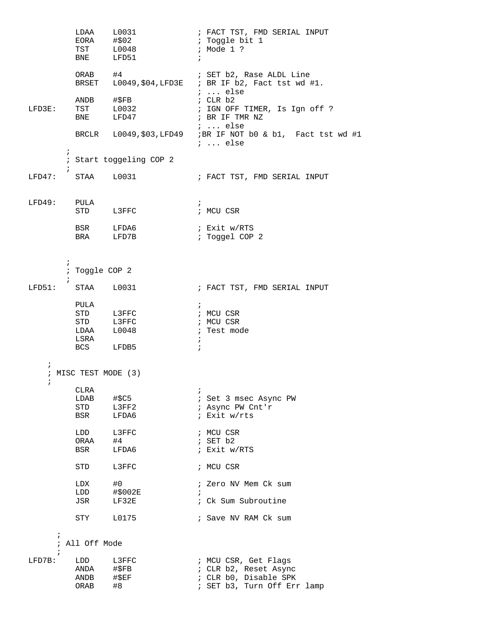|                          | LDAA L0031                 | EORA #\$02<br>TST L0048<br>BNE LFD51 | ; FACT TST, FMD SERIAL INPUT<br>; Toggle bit 1<br>; Mode 1 ?<br>$\ddot{i}$                         |  |  |  |
|--------------------------|----------------------------|--------------------------------------|----------------------------------------------------------------------------------------------------|--|--|--|
|                          | ORAB #4                    |                                      | ; SET b2, Rase ALDL Line<br>BRSET $L0049, $04, LFD3E$ ; BR IF b2, Fact tst wd #1.<br>$i$ else      |  |  |  |
| LFD3E:                   | ANDB #\$FB                 | TST L0032<br>BNE LFD47               | ; CLR b2<br>; IGN OFF TIMER, Is Ign off ?<br>; BR IF TMR NZ                                        |  |  |  |
|                          |                            |                                      | $i \ldots$ else<br>BRCLR L0049, \$03, LFD49 ; BR IF NOT b0 & b1, Fact tst wd #1<br>$i \ldots$ else |  |  |  |
| $\ddot{ }$<br>$\ddot{ }$ |                            | ; Start toggeling COP 2              |                                                                                                    |  |  |  |
| LFD47: STAA L0031        |                            |                                      | ; FACT TST, FMD SERIAL INPUT                                                                       |  |  |  |
| LFD49: PULA              |                            | STD L3FFC                            | $\ddot{ }$<br>; MCU CSR                                                                            |  |  |  |
|                          |                            | BSR LFDA6<br>BRA LFD7B               | ; Exit w/RTS<br>; Toggel COP 2                                                                     |  |  |  |
| $\ddot{ }$<br>$\ddot{ }$ | ; Toggle COP 2             |                                      |                                                                                                    |  |  |  |
| LFD51:                   | STAA L0031                 |                                      | ; FACT TST, FMD SERIAL INPUT                                                                       |  |  |  |
|                          | PULA<br>LSRA<br>BCS LFDB5  | STD L3FFC<br>STD L3FFC<br>LDAA L0048 | $\mathcal{V}$<br>; MCU CSR<br>; MCU CSR<br>; Test mode<br>$\ddot{i}$<br>$\mathbf{r}$               |  |  |  |
| $\ddot{ }$<br>ï          | ; MISC TEST MODE (3)       |                                      |                                                                                                    |  |  |  |
|                          | CLRA<br>LDAB<br>STD<br>BSR | #\$C5<br>L3FF2<br>LFDA6              | ; Set 3 msec Async PW<br>; Async PW Cnt'r<br>; Exit w/rts                                          |  |  |  |
|                          | LDD<br>ORAA<br>BSR         | L3FFC<br>#4<br>LFDA6                 | ; MCU CSR<br>; SET b2<br>; Exit w/RTS                                                              |  |  |  |
|                          | STD                        | L3FFC                                | ; MCU CSR                                                                                          |  |  |  |
|                          | LDX<br>LDD<br>JSR          | #0<br>#\$002E<br>LF32E               | ; Zero NV Mem Ck sum<br>$\ddot{i}$<br>: Ck Sum Subroutine                                          |  |  |  |
|                          | STY                        | L0175                                | ; Save NV RAM Ck sum                                                                               |  |  |  |
| $\ddot{i}$<br>$\ddot{i}$ | All Off Mode               |                                      |                                                                                                    |  |  |  |
| ï<br>$LFD7B$ :           | LDD                        | L3FFC                                | ; MCU CSR, Get Flags                                                                               |  |  |  |
|                          | ANDA<br>ANDB<br>ORAB       | $\sharp$ \$FB<br>$\#$ \$EF<br>#8     | ; CLR b2, Reset Async<br>; CLR b0, Disable SPK<br>; SET b3, Turn Off Err lamp                      |  |  |  |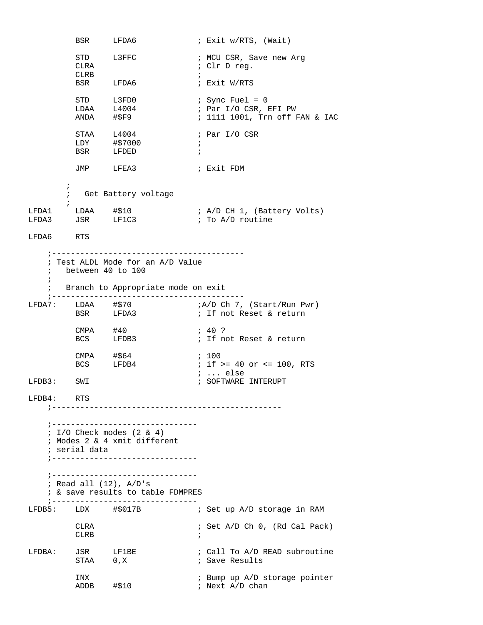BSR LFDA6 ; Exit w/RTS, (Wait) STD L3FFC : NCU CSR, Save new Arg<br>CLRA : Clr D reg. CLRA  $\qquad \qquad ;$  Clr D reg. CLRB  $\qquad \qquad ;$ BSR LFDA6 ; Exit W/RTS STD L3FD0 ; Sync Fuel = 0 LDAA L4004 ; Par I/O CSR, EFI PW STD L3FD0 : Sync Fuel = 0<br>
LDAA L4004 : Par I/O CSR, EFI PW<br>
ANDA #\$F9 : 1111 1001, Trn off FAN & IAC STAA L4004 ; Par I/O CSR LDY #\$7000 ; BSR LFDED ; JMP LFEA3 ; Exit FDM  $\mathcal{L}^{\text{max}}_{\text{max}}$  ; Get Battery voltage  $\mathcal{I}$ LFDA1 LDAA #\$10 ; A/D CH 1, (Battery Volts) LFDA3 JSR LF1C3  $\cdot$  ; To A/D routine LFDA6 RTS ;----------------------------------------- ; Test ALDL Mode for an A/D Value ; between 40 to 100 ; ; Branch to Appropriate mode on exit ;----------------------------------------- LFDA7: LDAA #\$70 ;A/D Ch 7, (Start/Run Pwr) BSR LFDA3  $\qquad$  ; If not Reset & return CMPA #40 ; 40 ? ; If not Reset & return CMPA #\$64 ; 100 ; if  $>= 40$  or  $<= 100$ , RTS ; ... else ; SOFTWARE INTERUPT LFDB4: RTS ;------------------------------------------------- ;------------------------------- ; I/O Check modes (2 & 4) ; Modes 2 & 4 xmit different ; serial data ;------------------------------- ;------------------------------- ; Read all (12), A/D's ; & save results to table FDMPRES ;------------------------------- LFDB5: LDX #\$017B ; Set up A/D storage in RAM CLRA ; Set A/D Ch 0, (Rd Cal Pack) CLRB  $\qquad \qquad ;$ LFDBA: JSR LF1BE ; Call To A/D READ subroutine<br>STAA 0,X ; Save Results ; Save Results INX ; Bump up A/D storage pointer ADDB #\$10 ; Next A/D chan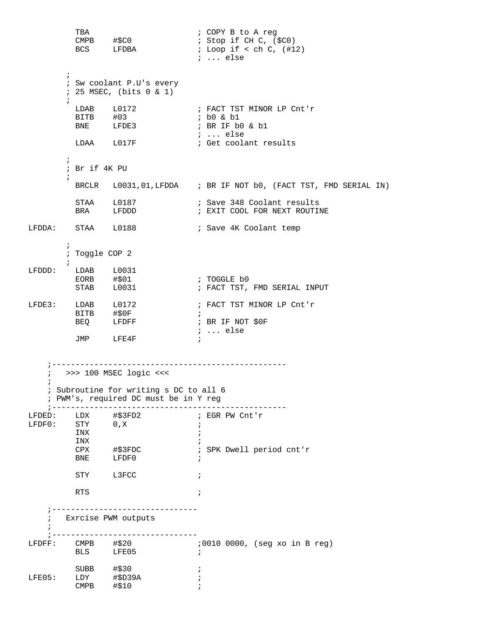```
 TBA ; COPY B to A reg
                             ; Stop if CH C, ($C0)
                             ; Loop if \lt ch C, (#12)
                              ; ... else
\mathcal{L}^{\text{max}} ; Sw coolant P.U's every
       ; 25 MSEC, (bits 0 & 1)
\mathcal{L}^{\text{max}}; FACT TST MINOR LP Cnt'r<br>; b0 & b1
 BITB #03 ; b0 & b1 
BNE LFDE3 ; BR IF b0 & b1
                             ; ... else
       LDAA L017F ; Get coolant results
\mathcal{L}^{\text{max}} ; Br if 4K PU
\mathcal{L}^{\text{max}}_{\text{max}} BRCLR L0031,01,LFDDA ; BR IF NOT b0, (FACT TST, FMD SERIAL IN)
STAA L0187 6 Gase 348 Coolant results
BRA LFDDD ; EXIT COOL FOR NEXT ROUTINE
LFDDA: STAA L0188 : Save 4K Coolant temp
       ;
       ; Toggle COP 2 
\mathcal{L}^{\text{max}}LFDDD: LDAB L0031
EORB #$01 ; TOGGLE b0
       STAB L0031 : FACT TST, FMD SERIAL INPUT
LFDE3: LDAB L0172 : FACT TST MINOR LP Cnt'r
        BITB #$0F ; 
                            ; BR IF NOT $0F
                             ; ... else
        JMP LFE4F ; 
    ;--------------------------------------------------
    ; >>> 100 MSEC logic <<<
    ;
    ; Subroutine for writing s DC to all 6
    ; PWM's, required DC must be in Y reg
    ;--------------------------------------------------
LFDED: LDX #$3FD2 ; EGR PW Cnt'r 
\text{LFDF0}: \quad \text{STY} \quad 0, \text{X} \quad ;INX \qquad \qquad ;INX \qquad \qquad ; CPX #$3FDC ; SPK Dwell period cnt'r 
        BNE LFDF0 ;
        STY L3FCC ;
RTS \qquad \qquad ; ;-------------------------------
    ; Exrcise PWM outputs
   \mathcal{L} ;-------------------------------
                          ;0010 0000, (seg xo in B reg)
 BLS LFE05 ; 
SUBB  \#$30 ;
LFE05: LDY #$D39A ;
\text{CMPB} \#$10 ;
```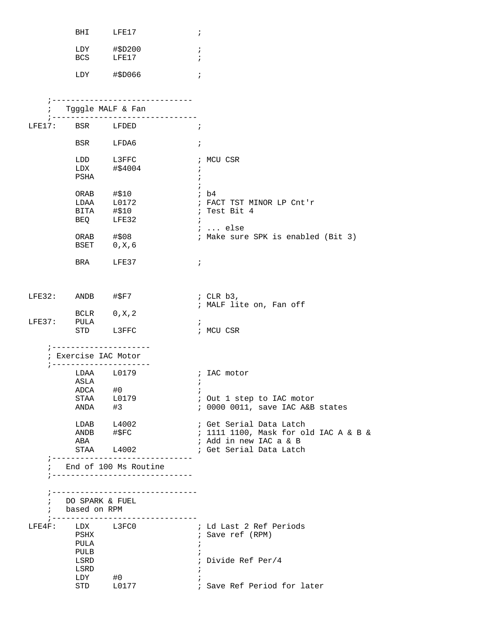|        | BHI                | LFE17                                                    | $\ddot{i}$                            |
|--------|--------------------|----------------------------------------------------------|---------------------------------------|
|        |                    |                                                          |                                       |
|        | LDY                | #\$D200                                                  | ï                                     |
|        | BCS                | LFE17                                                    |                                       |
|        | LDY                | #\$D066                                                  | $\ddot{i}$                            |
|        |                    |                                                          |                                       |
|        |                    |                                                          |                                       |
|        |                    | Tgggle MALF & Fan                                        |                                       |
| LFE17: | BSR                | LFDED                                                    | $\ddot{ }$                            |
|        | BSR                | LFDA6                                                    | $\ddot{i}$                            |
|        | LDD                | L3FFC                                                    | ; MCU CSR                             |
|        | LDX                | #\$4004                                                  | $\ddot{ }$                            |
|        | PSHA               |                                                          | $\ddot{i}$                            |
|        |                    |                                                          |                                       |
|        | ORAB               | #\$10                                                    | ; b4                                  |
|        | LDAA               | L0172                                                    | ; FACT TST MINOR LP Cnt'r             |
|        | BITA               | #\$10                                                    | ; Test Bit 4                          |
|        | BEQ                | LFE32                                                    | $\ddot{i}$                            |
|        |                    |                                                          | $i \ldots$ else                       |
|        | ORAB               | #\$08                                                    | ; Make sure SPK is enabled (Bit 3)    |
|        | BSET               | 0, X, 6                                                  |                                       |
|        |                    |                                                          |                                       |
|        | BRA                | LFE37                                                    | $\ddot{i}$                            |
| LFE32: | ANDB               | #\$F7                                                    | ; CLR $b3$ ,                          |
|        |                    |                                                          | ; MALF lite on, Fan off               |
|        | BCLR               | 0, X, 2                                                  |                                       |
| LFE37: | PULA               |                                                          | ÷,                                    |
|        | STD                | L3FFC                                                    | ; MCU CSR                             |
|        |                    |                                                          |                                       |
|        | Exercise IAC Motor |                                                          |                                       |
|        | LDAA               | L0179                                                    | ; IAC motor                           |
|        | ASLA               |                                                          | $\ddot{i}$                            |
|        | ADCA #0            |                                                          | $\ddot{i}$                            |
|        |                    | STAA L0179                                               | ; Out 1 step to IAC motor             |
|        | ANDA               | #3                                                       | ; 0000 0011, save IAC A&B states      |
|        |                    |                                                          |                                       |
|        |                    | $LDAB$ $L4002$                                           | ; Get Serial Data Latch               |
|        |                    | ANDB #\$FC                                               | ; 1111 1100, Mask for old IAC A & B & |
|        | ABA                |                                                          | ; Add in new IAC a & B                |
|        |                    | STAA L4002                                               | ; Get Serial Data Latch               |
|        |                    | -------------------------------<br>End of 100 Ms Routine |                                       |
|        |                    |                                                          |                                       |
| ÷      | DO SPARK & FUEL    |                                                          |                                       |
|        |                    |                                                          |                                       |
| ;      | based on RPM       | -------------------------------                          |                                       |
|        | LFE4F: LDX L3FC0   |                                                          | ; Ld Last 2 Ref Periods               |
|        | PSHX               |                                                          | ; Save ref (RPM)                      |
|        | PULA               |                                                          | $\ddot{i}$                            |
|        | PULB               |                                                          |                                       |
|        |                    |                                                          |                                       |
|        | LSRD               |                                                          | ; Divide Ref Per/4                    |
|        | LSRD               |                                                          |                                       |
|        | LDY                | #0                                                       |                                       |
|        | STD                | L0177                                                    | ; Save Ref Period for later           |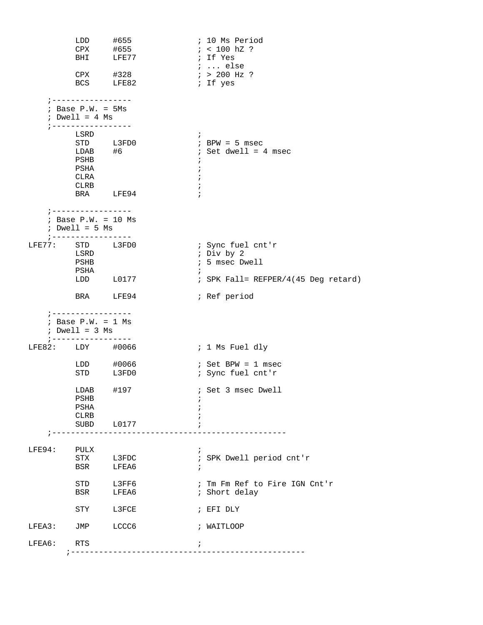|        |                                                                  | LDD #655<br>CPX #655    | ; 10 Ms Period                                    |
|--------|------------------------------------------------------------------|-------------------------|---------------------------------------------------|
|        |                                                                  | BHI LFE77               | $: < 100 \text{ hZ}$ ?<br>; If Yes                |
|        |                                                                  |                         | <i>;</i> else                                     |
|        |                                                                  | $CPX$ #328<br>BCS LFE82 | $: > 200$ Hz ?<br>; If yes                        |
|        | ;-----------------                                               |                         |                                                   |
|        | $:$ Base P.W. = $5Ms$<br>; Dwell = $4$ Ms<br>; ----------------- |                         |                                                   |
|        | LSRD                                                             |                         | $\ddot{i}$                                        |
|        |                                                                  | STD L3FD0<br>$LDAB$ #6  | $;$ BPW = 5 msec<br>; Set dwell = 4 msec          |
|        | PSHB                                                             |                         | $\ddot{ }$                                        |
|        | PSHA<br>CLRA                                                     |                         | $\ddot{i}$<br>$\ddot{ }$                          |
|        | CLRB                                                             |                         | $\ddot{i}$                                        |
|        |                                                                  | BRA LFE94               | $\ddot{i}$                                        |
|        | ; -----------------<br>; Base $P.W. = 10$ Ms<br>$: Dwell = 5 Ms$ |                         |                                                   |
|        | ; -----------------                                              |                         |                                                   |
|        | LFE77: STD L3FD0<br>LSRD                                         |                         | ; Sync fuel cnt'r<br>; Div by 2                   |
|        | PSHB                                                             |                         | ; 5 msec Dwell                                    |
|        | PSHA                                                             | $LDD$ $L0177$           | $\ddot{ }$<br>; SPK Fall= REFPER/4(45 Deg retard) |
|        |                                                                  |                         |                                                   |
|        |                                                                  | BRA LFE94               | ; Ref period                                      |
|        | ; -----------------                                              |                         |                                                   |
|        | ; Base $P.W. = 1$ Ms<br>$: Dwell = 3 Ms$<br>; -----------------  |                         |                                                   |
|        | LFE82: LDY #0066                                                 |                         | ; 1 Ms Fuel dly                                   |
|        |                                                                  | LDD #0066               | $: Set BPW = 1 msec$                              |
|        |                                                                  | STD L3FD0               | ; Sync fuel cnt'r                                 |
|        | $LDAB$ #197                                                      |                         | ; Set 3 msec Dwell                                |
|        | PSHB<br>PSHA                                                     |                         |                                                   |
|        | <b>CLRB</b>                                                      |                         |                                                   |
|        |                                                                  | SUBD L0177              |                                                   |
| LFE94: | PULX                                                             |                         | $\ddot{ }$                                        |
|        | STX                                                              | L3FDC                   | ; SPK Dwell period cnt'r                          |
|        | BSR                                                              | LFEA6                   | $\ddot{i}$                                        |
|        |                                                                  | STD L3FF6               | ; Tm Fm Ref to Fire IGN Cnt'r                     |
|        | <b>BSR</b>                                                       | LFEA6                   | ; Short delay                                     |
|        | STY                                                              | L3FCE                   | ; EFI DLY                                         |
| LFEA3: | JMP                                                              | LCCC6                   | ; WAITLOOP                                        |
| LFEA6: | RTS                                                              |                         | $\ddot{i}$                                        |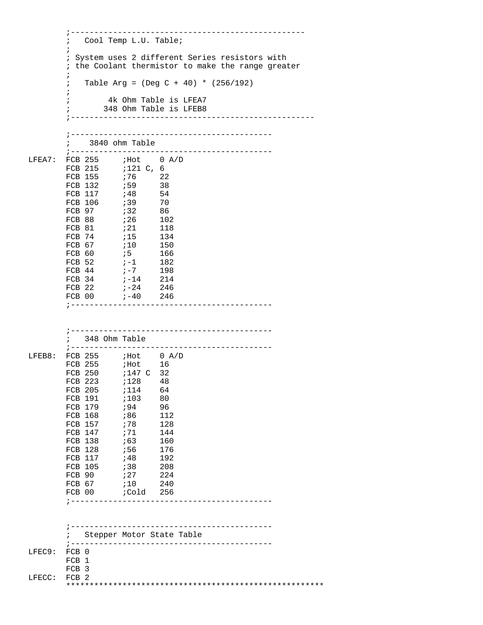|        | Cool Temp L.U. Table;<br>$\ddot{i}$                |  |  |  |  |  |  |
|--------|----------------------------------------------------|--|--|--|--|--|--|
|        | System uses 2 different Series resistors with      |  |  |  |  |  |  |
|        | ; the Coolant thermistor to make the range greater |  |  |  |  |  |  |
|        | i                                                  |  |  |  |  |  |  |
|        | Table Arg = $(Deg C + 40) * (256/192)$<br>÷,       |  |  |  |  |  |  |
|        | i                                                  |  |  |  |  |  |  |
|        | 4k Ohm Table is LFEA7                              |  |  |  |  |  |  |
|        | 348 Ohm Table is LFEB8<br>$\ddot{i}$               |  |  |  |  |  |  |
|        |                                                    |  |  |  |  |  |  |
|        |                                                    |  |  |  |  |  |  |
|        | ; 3840 ohm Table                                   |  |  |  |  |  |  |
|        |                                                    |  |  |  |  |  |  |
| LFEA7: | FCB 255 ; Hot 0 A/D                                |  |  |  |  |  |  |
|        |                                                    |  |  |  |  |  |  |
|        |                                                    |  |  |  |  |  |  |
|        |                                                    |  |  |  |  |  |  |
|        |                                                    |  |  |  |  |  |  |
|        |                                                    |  |  |  |  |  |  |
|        |                                                    |  |  |  |  |  |  |
|        |                                                    |  |  |  |  |  |  |
|        |                                                    |  |  |  |  |  |  |
|        |                                                    |  |  |  |  |  |  |
|        |                                                    |  |  |  |  |  |  |
|        |                                                    |  |  |  |  |  |  |
|        |                                                    |  |  |  |  |  |  |
|        | $-40$ 246<br>FCB 00                                |  |  |  |  |  |  |
|        |                                                    |  |  |  |  |  |  |
|        |                                                    |  |  |  |  |  |  |
|        |                                                    |  |  |  |  |  |  |
|        |                                                    |  |  |  |  |  |  |
|        | ; 348 Ohm Table                                    |  |  |  |  |  |  |
| LFEB8: | FCB $255$ ; Hot 0 A/D                              |  |  |  |  |  |  |
|        | FCB 255 $; Hot$ 16                                 |  |  |  |  |  |  |
|        | FCB 250<br>;147 C 32                               |  |  |  |  |  |  |
|        | $:128$ 48<br>FCB 223                               |  |  |  |  |  |  |
|        | FCB 205 ; 114 64                                   |  |  |  |  |  |  |
|        | FCB 191<br>;103<br>80<br>FCB 179<br>;94<br>96      |  |  |  |  |  |  |
|        | FCB 168<br>;86<br>112                              |  |  |  |  |  |  |
|        | FCB 157<br>;78<br>128                              |  |  |  |  |  |  |
|        | FCB 147<br>,71<br>144                              |  |  |  |  |  |  |
|        | ; 63<br>FCB 138<br>160                             |  |  |  |  |  |  |
|        | FCB 128<br>;56<br>176                              |  |  |  |  |  |  |
|        | FCB 117<br>; 48<br>192                             |  |  |  |  |  |  |
|        | 738<br>FCB 105<br>208<br>727<br>FCB 90<br>224      |  |  |  |  |  |  |
|        | FCB 67<br>;10<br>240                               |  |  |  |  |  |  |
|        | FCB 00<br>cold 256;                                |  |  |  |  |  |  |
|        |                                                    |  |  |  |  |  |  |
|        |                                                    |  |  |  |  |  |  |
|        |                                                    |  |  |  |  |  |  |
|        | Stepper Motor State Table                          |  |  |  |  |  |  |
|        |                                                    |  |  |  |  |  |  |
| LFEC9: | FCB 0                                              |  |  |  |  |  |  |
|        | FCB 1                                              |  |  |  |  |  |  |
|        | FCB 3                                              |  |  |  |  |  |  |
| LFECC: | FCB <sub>2</sub>                                   |  |  |  |  |  |  |
|        |                                                    |  |  |  |  |  |  |

;--------------------------------------------------